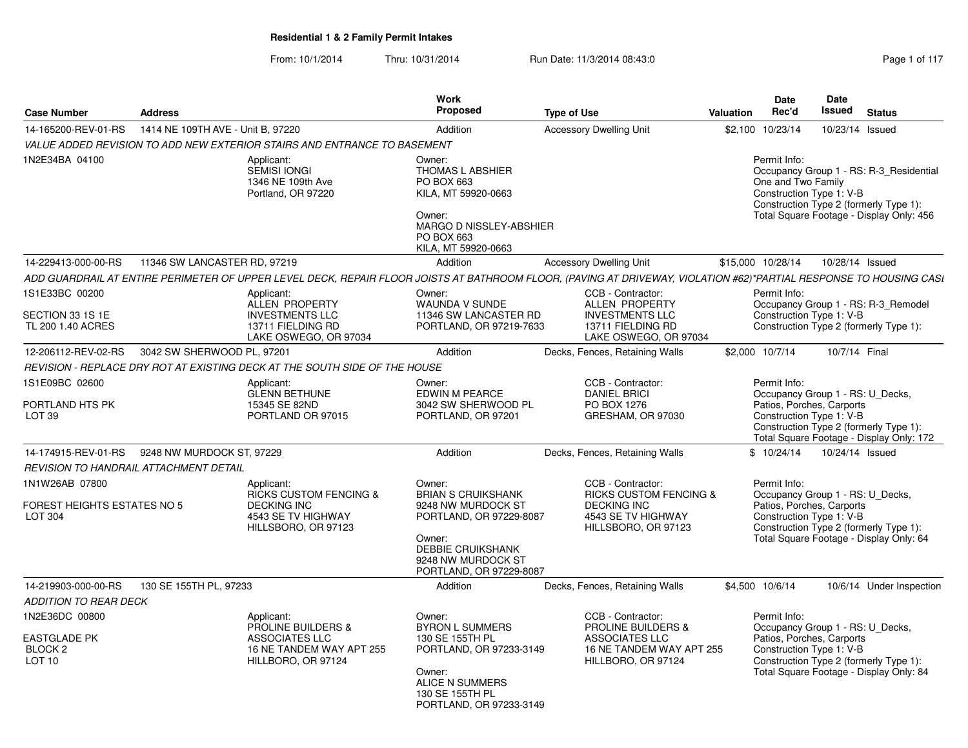|                                                                                  |                                               |                                                                                                                    | <b>Work</b>                                                                                                                                                                 |                                                                                                                                                                    |           | <b>Date</b>                                                                                               | Date            |                                                                                                                               |
|----------------------------------------------------------------------------------|-----------------------------------------------|--------------------------------------------------------------------------------------------------------------------|-----------------------------------------------------------------------------------------------------------------------------------------------------------------------------|--------------------------------------------------------------------------------------------------------------------------------------------------------------------|-----------|-----------------------------------------------------------------------------------------------------------|-----------------|-------------------------------------------------------------------------------------------------------------------------------|
| <b>Case Number</b>                                                               | <b>Address</b>                                |                                                                                                                    | Proposed                                                                                                                                                                    | <b>Type of Use</b>                                                                                                                                                 | Valuation | Rec'd                                                                                                     | <b>Issued</b>   | <b>Status</b>                                                                                                                 |
| 14-165200-REV-01-RS                                                              | 1414 NE 109TH AVE - Unit B, 97220             |                                                                                                                    | Addition                                                                                                                                                                    | <b>Accessory Dwelling Unit</b>                                                                                                                                     |           | \$2,100 10/23/14                                                                                          | 10/23/14 Issued |                                                                                                                               |
|                                                                                  |                                               | VALUE ADDED REVISION TO ADD NEW EXTERIOR STAIRS AND ENTRANCE TO BASEMENT                                           |                                                                                                                                                                             |                                                                                                                                                                    |           |                                                                                                           |                 |                                                                                                                               |
| 1N2E34BA 04100                                                                   |                                               | Applicant:<br>SEMISI IONGI<br>1346 NE 109th Ave<br>Portland, OR 97220                                              | Owner:<br><b>THOMAS L ABSHIER</b><br>PO BOX 663<br>KILA, MT 59920-0663<br>Owner:<br>MARGO D NISSLEY-ABSHIER<br>PO BOX 663<br>KILA, MT 59920-0663                            |                                                                                                                                                                    |           | Permit Info:<br>One and Two Family<br>Construction Type 1: V-B                                            |                 | Occupancy Group 1 - RS: R-3_Residential<br>Construction Type 2 (formerly Type 1):<br>Total Square Footage - Display Only: 456 |
| 14-229413-000-00-RS                                                              | 11346 SW LANCASTER RD, 97219                  |                                                                                                                    | Addition                                                                                                                                                                    | <b>Accessory Dwelling Unit</b>                                                                                                                                     |           | \$15,000 10/28/14                                                                                         | 10/28/14 Issued |                                                                                                                               |
|                                                                                  |                                               |                                                                                                                    |                                                                                                                                                                             | ADD GUARDRAIL AT ENTIRE PERIMETER OF UPPER LEVEL DECK, REPAIR FLOOR JOISTS AT BATHROOM FLOOR, (PAVING AT DRIVEWAY, VIOLATION #62)*PARTIAL RESPONSE TO HOUSING CASI |           |                                                                                                           |                 |                                                                                                                               |
| 1S1E33BC 00200<br>SECTION 33 1S 1E<br>TL 200 1.40 ACRES                          |                                               | Applicant:<br>ALLEN PROPERTY<br><b>INVESTMENTS LLC</b><br>13711 FIELDING RD<br>LAKE OSWEGO, OR 97034               | Owner:<br><b>WAUNDA V SUNDE</b><br>11346 SW LANCASTER RD<br>PORTLAND, OR 97219-7633                                                                                         | CCB - Contractor:<br>ALLEN PROPERTY<br><b>INVESTMENTS LLC</b><br>13711 FIELDING RD<br>LAKE OSWEGO, OR 97034                                                        |           | Permit Info:<br>Construction Type 1: V-B                                                                  |                 | Occupancy Group 1 - RS: R-3_Remodel<br>Construction Type 2 (formerly Type 1):                                                 |
| 12-206112-REV-02-RS                                                              | 3042 SW SHERWOOD PL, 97201                    |                                                                                                                    | Addition                                                                                                                                                                    | Decks, Fences, Retaining Walls                                                                                                                                     |           | \$2,000 10/7/14                                                                                           | 10/7/14 Final   |                                                                                                                               |
|                                                                                  |                                               | REVISION - REPLACE DRY ROT AT EXISTING DECK AT THE SOUTH SIDE OF THE HOUSE                                         |                                                                                                                                                                             |                                                                                                                                                                    |           |                                                                                                           |                 |                                                                                                                               |
| 1S1E09BC 02600<br>PORTLAND HTS PK<br>LOT <sub>39</sub>                           |                                               | Applicant:<br><b>GLENN BETHUNE</b><br>15345 SE 82ND<br>PORTLAND OR 97015                                           | Owner:<br>EDWIN M PEARCE<br>3042 SW SHERWOOD PL<br>PORTLAND, OR 97201                                                                                                       | CCB - Contractor:<br><b>DANIEL BRICI</b><br>PO BOX 1276<br>GRESHAM, OR 97030                                                                                       |           | Permit Info:<br>Occupancy Group 1 - RS: U_Decks,<br>Patios, Porches, Carports<br>Construction Type 1: V-B |                 | Construction Type 2 (formerly Type 1):<br>Total Square Footage - Display Only: 172                                            |
|                                                                                  | 14-174915-REV-01-RS 9248 NW MURDOCK ST, 97229 |                                                                                                                    | Addition                                                                                                                                                                    | Decks, Fences, Retaining Walls                                                                                                                                     |           | \$10/24/14                                                                                                | 10/24/14 Issued |                                                                                                                               |
|                                                                                  | <b>REVISION TO HANDRAIL ATTACHMENT DETAIL</b> |                                                                                                                    |                                                                                                                                                                             |                                                                                                                                                                    |           |                                                                                                           |                 |                                                                                                                               |
| 1N1W26AB 07800<br><b>FOREST HEIGHTS ESTATES NO 5</b><br>LOT 304                  |                                               | Applicant:<br><b>RICKS CUSTOM FENCING &amp;</b><br><b>DECKING INC</b><br>4543 SE TV HIGHWAY<br>HILLSBORO, OR 97123 | Owner:<br><b>BRIAN S CRUIKSHANK</b><br>9248 NW MURDOCK ST<br>PORTLAND, OR 97229-8087<br>Owner:<br><b>DEBBIE CRUIKSHANK</b><br>9248 NW MURDOCK ST<br>PORTLAND, OR 97229-8087 | CCB - Contractor:<br><b>RICKS CUSTOM FENCING &amp;</b><br><b>DECKING INC</b><br>4543 SE TV HIGHWAY<br>HILLSBORO, OR 97123                                          |           | Permit Info:<br>Occupancy Group 1 - RS: U_Decks,<br>Patios, Porches, Carports<br>Construction Type 1: V-B |                 | Construction Type 2 (formerly Type 1):<br>Total Square Footage - Display Only: 64                                             |
| 14-219903-000-00-RS                                                              | 130 SE 155TH PL, 97233                        |                                                                                                                    | Addition                                                                                                                                                                    | Decks, Fences, Retaining Walls                                                                                                                                     |           | \$4,500 10/6/14                                                                                           |                 | 10/6/14 Under Inspection                                                                                                      |
| <b>ADDITION TO REAR DECK</b>                                                     |                                               |                                                                                                                    |                                                                                                                                                                             |                                                                                                                                                                    |           |                                                                                                           |                 |                                                                                                                               |
| 1N2E36DC 00800<br><b>EASTGLADE PK</b><br>BLOCK <sub>2</sub><br>LOT <sub>10</sub> |                                               | Applicant:<br><b>PROLINE BUILDERS &amp;</b><br>ASSOCIATES LLC<br>16 NE TANDEM WAY APT 255<br>HILLBORO, OR 97124    | Owner:<br><b>BYRON L SUMMERS</b><br>130 SE 155TH PL<br>PORTLAND, OR 97233-3149<br>Owner:<br>ALICE N SUMMERS<br>130 SE 155TH PL<br>PORTLAND, OR 97233-3149                   | CCB - Contractor:<br><b>PROLINE BUILDERS &amp;</b><br><b>ASSOCIATES LLC</b><br>16 NE TANDEM WAY APT 255<br>HILLBORO, OR 97124                                      |           | Permit Info:<br>Occupancy Group 1 - RS: U_Decks,<br>Patios, Porches, Carports<br>Construction Type 1: V-B |                 | Construction Type 2 (formerly Type 1):<br>Total Square Footage - Display Only: 84                                             |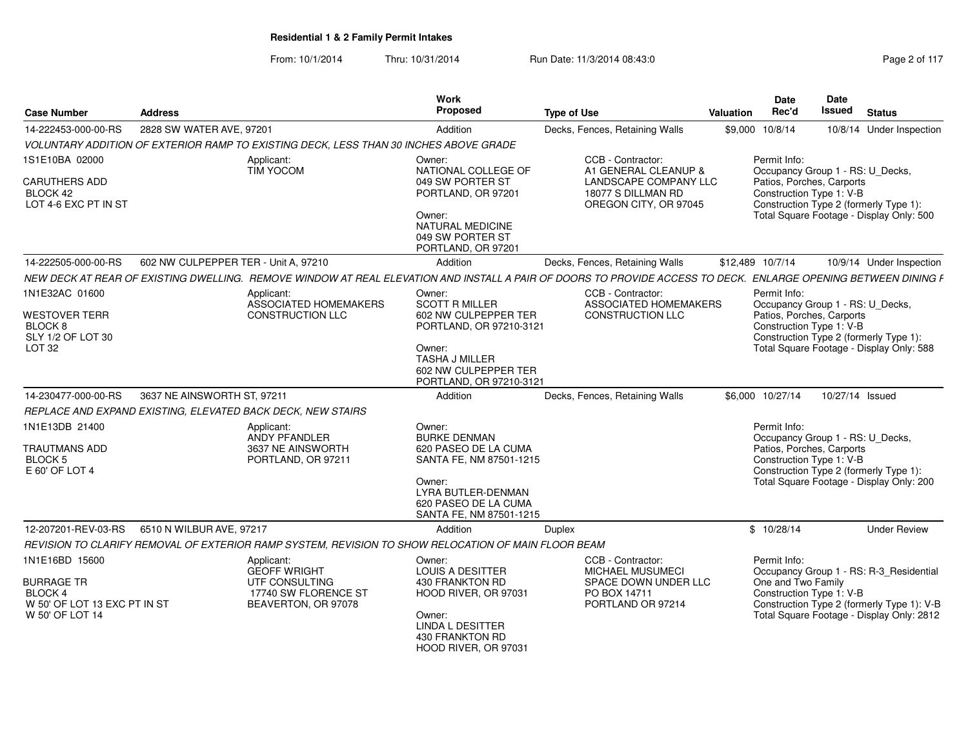| <b>Case Number</b>                                                                                      | <b>Address</b>                       |                                                                                                     | Work<br><b>Proposed</b>                                                                                                                                             | <b>Type of Use</b>                                                                                                                                             | Valuation | <b>Date</b><br>Rec'd                                                                                                                                                                            | Date<br><b>Issued</b> | <b>Status</b>                                                                                                                      |  |
|---------------------------------------------------------------------------------------------------------|--------------------------------------|-----------------------------------------------------------------------------------------------------|---------------------------------------------------------------------------------------------------------------------------------------------------------------------|----------------------------------------------------------------------------------------------------------------------------------------------------------------|-----------|-------------------------------------------------------------------------------------------------------------------------------------------------------------------------------------------------|-----------------------|------------------------------------------------------------------------------------------------------------------------------------|--|
| 14-222453-000-00-RS                                                                                     | 2828 SW WATER AVE, 97201             |                                                                                                     | Addition                                                                                                                                                            | Decks, Fences, Retaining Walls                                                                                                                                 |           | \$9,000 10/8/14                                                                                                                                                                                 |                       | 10/8/14 Under Inspection                                                                                                           |  |
|                                                                                                         |                                      | VOLUNTARY ADDITION OF EXTERIOR RAMP TO EXISTING DECK, LESS THAN 30 INCHES ABOVE GRADE               |                                                                                                                                                                     |                                                                                                                                                                |           |                                                                                                                                                                                                 |                       |                                                                                                                                    |  |
| 1S1E10BA 02000<br><b>CARUTHERS ADD</b><br>BLOCK 42<br>LOT 4-6 EXC PT IN ST                              |                                      | Applicant:<br><b>TIM YOCOM</b>                                                                      | Owner:<br>NATIONAL COLLEGE OF<br>049 SW PORTER ST<br>PORTLAND, OR 97201                                                                                             | CCB - Contractor:<br>A1 GENERAL CLEANUP &<br>LANDSCAPE COMPANY LLC<br>18077 S DILLMAN RD<br>OREGON CITY, OR 97045                                              |           | Permit Info:<br>Patios, Porches, Carports<br>Construction Type 1: V-B                                                                                                                           |                       | Occupancy Group 1 - RS: U_Decks,<br>Construction Type 2 (formerly Type 1):<br>Total Square Footage - Display Only: 500             |  |
|                                                                                                         |                                      |                                                                                                     | Owner:<br><b>NATURAL MEDICINE</b><br>049 SW PORTER ST<br>PORTLAND, OR 97201                                                                                         |                                                                                                                                                                |           |                                                                                                                                                                                                 |                       |                                                                                                                                    |  |
| 14-222505-000-00-RS                                                                                     | 602 NW CULPEPPER TER - Unit A, 97210 |                                                                                                     | Addition                                                                                                                                                            | Decks, Fences, Retaining Walls                                                                                                                                 |           | \$12,489 10/7/14                                                                                                                                                                                |                       | 10/9/14 Under Inspection                                                                                                           |  |
|                                                                                                         |                                      |                                                                                                     |                                                                                                                                                                     | NEW DECK AT REAR OF EXISTING DWELLING. REMOVE WINDOW AT REAL ELEVATION AND INSTALL A PAIR OF DOORS TO PROVIDE ACCESS TO DECK. ENLARGE OPENING BETWEEN DINING F |           |                                                                                                                                                                                                 |                       |                                                                                                                                    |  |
| 1N1E32AC 01600                                                                                          |                                      | Applicant:<br>ASSOCIATED HOMEMAKERS                                                                 | Owner:<br><b>SCOTT R MILLER</b>                                                                                                                                     | CCB - Contractor:<br>ASSOCIATED HOMEMAKERS                                                                                                                     |           | Permit Info:<br>Occupancy Group 1 - RS: U_Decks,                                                                                                                                                |                       |                                                                                                                                    |  |
| WESTOVER TERR<br>BLOCK 8<br>SLY 1/2 OF LOT 30<br>LOT <sub>32</sub>                                      |                                      | CONSTRUCTION LLC                                                                                    | 602 NW CULPEPPER TER<br>PORTLAND, OR 97210-3121<br>Owner:<br><b>TASHA J MILLER</b><br>602 NW CULPEPPER TER<br>PORTLAND, OR 97210-3121                               | CONSTRUCTION LLC                                                                                                                                               |           | Patios, Porches, Carports<br>Construction Type 1: V-B                                                                                                                                           |                       | Construction Type 2 (formerly Type 1):<br>Total Square Footage - Display Only: 588                                                 |  |
| 14-230477-000-00-RS                                                                                     | 3637 NE AINSWORTH ST, 97211          |                                                                                                     | Addition                                                                                                                                                            | Decks, Fences, Retaining Walls                                                                                                                                 |           | \$6,000 10/27/14                                                                                                                                                                                | 10/27/14 Issued       |                                                                                                                                    |  |
|                                                                                                         |                                      | REPLACE AND EXPAND EXISTING, ELEVATED BACK DECK, NEW STAIRS                                         |                                                                                                                                                                     |                                                                                                                                                                |           |                                                                                                                                                                                                 |                       |                                                                                                                                    |  |
| 1N1E13DB 21400<br><b>TRAUTMANS ADD</b><br>BLOCK 5<br>E 60' OF LOT 4                                     |                                      | Applicant:<br>ANDY PFANDLER<br>3637 NE AINSWORTH<br>PORTLAND, OR 97211                              | Owner:<br><b>BURKE DENMAN</b><br>620 PASEO DE LA CUMA<br>SANTA FE, NM 87501-1215<br>Owner:<br>LYRA BUTLER-DENMAN<br>620 PASEO DE LA CUMA<br>SANTA FE, NM 87501-1215 |                                                                                                                                                                |           | Permit Info:<br>Occupancy Group 1 - RS: U_Decks,<br>Patios, Porches, Carports<br>Construction Type 1: V-B<br>Construction Type 2 (formerly Type 1):<br>Total Square Footage - Display Only: 200 |                       |                                                                                                                                    |  |
| 12-207201-REV-03-RS                                                                                     | 6510 N WILBUR AVE, 97217             |                                                                                                     | Addition                                                                                                                                                            | <b>Duplex</b>                                                                                                                                                  |           | \$10/28/14                                                                                                                                                                                      |                       | <b>Under Review</b>                                                                                                                |  |
|                                                                                                         |                                      | REVISION TO CLARIFY REMOVAL OF EXTERIOR RAMP SYSTEM, REVISION TO SHOW RELOCATION OF MAIN FLOOR BEAM |                                                                                                                                                                     |                                                                                                                                                                |           |                                                                                                                                                                                                 |                       |                                                                                                                                    |  |
| 1N1E16BD 15600<br><b>BURRAGE TR</b><br><b>BLOCK4</b><br>W 50' OF LOT 13 EXC PT IN ST<br>W 50' OF LOT 14 |                                      | Applicant:<br><b>GEOFF WRIGHT</b><br>UTF CONSULTING<br>17740 SW FLORENCE ST<br>BEAVERTON, OR 97078  | Owner:<br><b>LOUIS A DESITTER</b><br>430 FRANKTON RD<br>HOOD RIVER, OR 97031<br>Owner:<br><b>LINDA L DESITTER</b><br>430 FRANKTON RD<br>HOOD RIVER, OR 97031        | CCB - Contractor:<br><b>MICHAEL MUSUMECI</b><br>SPACE DOWN UNDER LLC<br>PO BOX 14711<br>PORTLAND OR 97214                                                      |           | Permit Info:<br>One and Two Family<br>Construction Type 1: V-B                                                                                                                                  |                       | Occupancy Group 1 - RS: R-3_Residential<br>Construction Type 2 (formerly Type 1): V-B<br>Total Square Footage - Display Only: 2812 |  |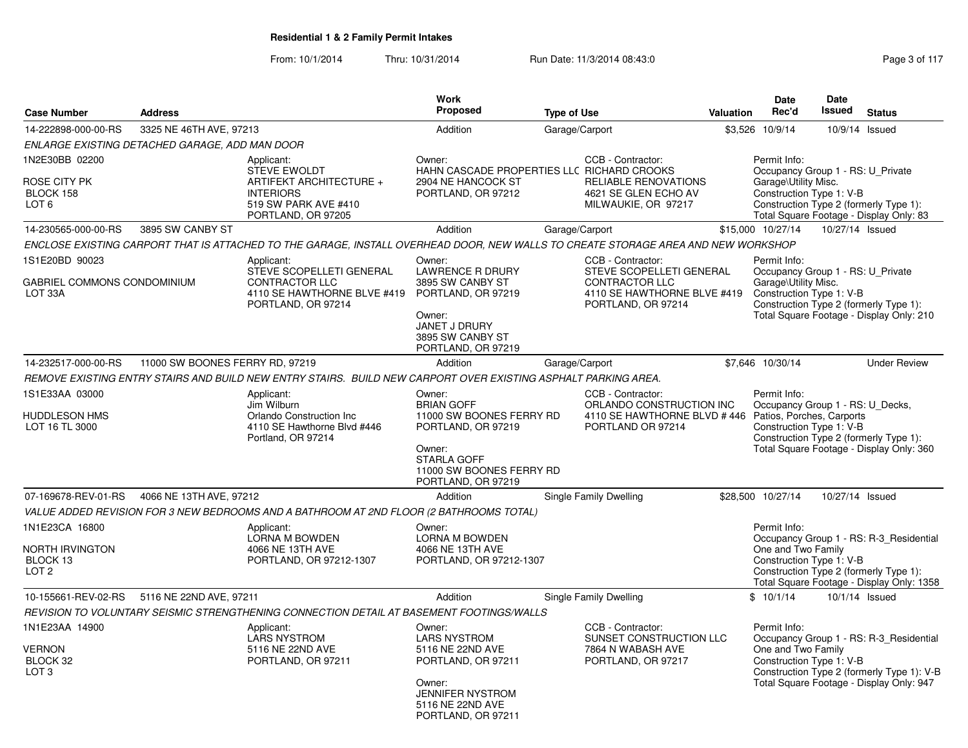| <b>Case Number</b>                                                | <b>Address</b>                                 |                                                                                                                                   | <b>Work</b><br><b>Proposed</b>                                                                                                                          | <b>Type of Use</b> |                                                                                                                             | <b>Valuation</b> | Date<br>Rec'd                                                                                             | Date<br><b>Issued</b> | <b>Status</b>                                                                                                                     |
|-------------------------------------------------------------------|------------------------------------------------|-----------------------------------------------------------------------------------------------------------------------------------|---------------------------------------------------------------------------------------------------------------------------------------------------------|--------------------|-----------------------------------------------------------------------------------------------------------------------------|------------------|-----------------------------------------------------------------------------------------------------------|-----------------------|-----------------------------------------------------------------------------------------------------------------------------------|
| 14-222898-000-00-RS                                               | 3325 NE 46TH AVE, 97213                        |                                                                                                                                   | Addition                                                                                                                                                |                    | Garage/Carport                                                                                                              | \$3,526          | 10/9/14                                                                                                   |                       | 10/9/14 Issued                                                                                                                    |
|                                                                   | ENLARGE EXISTING DETACHED GARAGE, ADD MAN DOOR |                                                                                                                                   |                                                                                                                                                         |                    |                                                                                                                             |                  |                                                                                                           |                       |                                                                                                                                   |
| 1N2E30BB 02200<br>ROSE CITY PK<br>BLOCK 158<br>LOT <sub>6</sub>   |                                                | Applicant:<br><b>STEVE EWOLDT</b><br>ARTIFEKT ARCHITECTURE +<br><b>INTERIORS</b><br>519 SW PARK AVE #410<br>PORTLAND, OR 97205    | Owner:<br>HAHN CASCADE PROPERTIES LLC RICHARD CROOKS<br>2904 NE HANCOCK ST<br>PORTLAND, OR 97212                                                        |                    | CCB - Contractor:<br><b>RELIABLE RENOVATIONS</b><br>4621 SE GLEN ECHO AV<br>MILWAUKIE, OR 97217                             |                  | Permit Info:<br>Occupancy Group 1 - RS: U_Private<br>Garage\Utility Misc.<br>Construction Type 1: V-B     |                       | Construction Type 2 (formerly Type 1):<br>Total Square Footage - Display Only: 83                                                 |
| 14-230565-000-00-RS                                               | 3895 SW CANBY ST                               |                                                                                                                                   | Addition                                                                                                                                                |                    | Garage/Carport                                                                                                              |                  | \$15,000 10/27/14                                                                                         | 10/27/14 Issued       |                                                                                                                                   |
|                                                                   |                                                | ENCLOSE EXISTING CARPORT THAT IS ATTACHED TO THE GARAGE. INSTALL OVERHEAD DOOR, NEW WALLS TO CREATE STORAGE AREA AND NEW WORKSHOP |                                                                                                                                                         |                    |                                                                                                                             |                  |                                                                                                           |                       |                                                                                                                                   |
| 1S1E20BD 90023<br>GABRIEL COMMONS CONDOMINIUM<br>LOT 33A          |                                                | Applicant:<br>STEVE SCOPELLETI GENERAL<br><b>CONTRACTOR LLC</b><br>4110 SE HAWTHORNE BLVE #419<br>PORTLAND, OR 97214              | Owner:<br><b>LAWRENCE R DRURY</b><br>3895 SW CANBY ST<br>PORTLAND, OR 97219<br>Owner:<br><b>JANET J DRURY</b><br>3895 SW CANBY ST<br>PORTLAND, OR 97219 |                    | CCB - Contractor:<br>STEVE SCOPELLETI GENERAL<br><b>CONTRACTOR LLC</b><br>4110 SE HAWTHORNE BLVE #419<br>PORTLAND, OR 97214 |                  | Permit Info:<br>Occupancy Group 1 - RS: U_Private<br>Garage\Utility Misc.<br>Construction Type 1: V-B     |                       | Construction Type 2 (formerly Type 1):<br>Total Square Footage - Display Only: 210                                                |
| 14-232517-000-00-RS                                               | 11000 SW BOONES FERRY RD, 97219                |                                                                                                                                   | Addition                                                                                                                                                | Garage/Carport     |                                                                                                                             |                  | \$7,646 10/30/14                                                                                          |                       | <b>Under Review</b>                                                                                                               |
|                                                                   |                                                | REMOVE EXISTING ENTRY STAIRS AND BUILD NEW ENTRY STAIRS. BUILD NEW CARPORT OVER EXISTING ASPHALT PARKING AREA.                    |                                                                                                                                                         |                    |                                                                                                                             |                  |                                                                                                           |                       |                                                                                                                                   |
| 1S1E33AA 03000<br>HUDDLESON HMS<br>LOT 16 TL 3000                 |                                                | Applicant:<br>Jim Wilburn<br>Orlando Construction Inc<br>4110 SE Hawthorne Blvd #446<br>Portland, OR 97214                        | Owner:<br><b>BRIAN GOFF</b><br>11000 SW BOONES FERRY RD<br>PORTLAND, OR 97219<br>Owner:<br>STARLA GOFF                                                  |                    | CCB - Contractor:<br>ORLANDO CONSTRUCTION INC<br>4110 SE HAWTHORNE BLVD #446<br>PORTLAND OR 97214                           |                  | Permit Info:<br>Occupancy Group 1 - RS: U_Decks,<br>Patios, Porches, Carports<br>Construction Type 1: V-B |                       | Construction Type 2 (formerly Type 1):<br>Total Square Footage - Display Only: 360                                                |
|                                                                   |                                                |                                                                                                                                   | 11000 SW BOONES FERRY RD<br>PORTLAND, OR 97219                                                                                                          |                    |                                                                                                                             |                  |                                                                                                           |                       |                                                                                                                                   |
| 07-169678-REV-01-RS                                               | 4066 NE 13TH AVE, 97212                        |                                                                                                                                   | Addition                                                                                                                                                |                    | Single Family Dwelling                                                                                                      |                  | \$28,500 10/27/14                                                                                         | 10/27/14 Issued       |                                                                                                                                   |
|                                                                   |                                                | VALUE ADDED REVISION FOR 3 NEW BEDROOMS AND A BATHROOM AT 2ND FLOOR (2 BATHROOMS TOTAL)                                           |                                                                                                                                                         |                    |                                                                                                                             |                  |                                                                                                           |                       |                                                                                                                                   |
| 1N1E23CA 16800<br>NORTH IRVINGTON<br>BLOCK 13<br>LOT <sub>2</sub> |                                                | Applicant:<br><b>LORNA M BOWDEN</b><br>4066 NE 13TH AVE<br>PORTLAND, OR 97212-1307                                                | Owner:<br><b>LORNA M BOWDEN</b><br>4066 NE 13TH AVE<br>PORTLAND, OR 97212-1307                                                                          |                    |                                                                                                                             |                  | Permit Info:<br>One and Two Family<br>Construction Type 1: V-B                                            |                       | Occupancy Group 1 - RS: R-3 Residential<br>Construction Type 2 (formerly Type 1):<br>Total Square Footage - Display Only: 1358    |
| 10-155661-REV-02-RS                                               | 5116 NE 22ND AVE, 97211                        |                                                                                                                                   | Addition                                                                                                                                                |                    | Single Family Dwelling                                                                                                      |                  | \$10/1/14                                                                                                 |                       | 10/1/14 Issued                                                                                                                    |
|                                                                   |                                                | REVISION TO VOLUNTARY SEISMIC STRENGTHENING CONNECTION DETAIL AT BASEMENT FOOTINGS/WALLS                                          |                                                                                                                                                         |                    |                                                                                                                             |                  |                                                                                                           |                       |                                                                                                                                   |
| 1N1E23AA 14900<br><b>VERNON</b><br>BLOCK 32<br>LOT <sub>3</sub>   |                                                | Applicant:<br><b>LARS NYSTROM</b><br>5116 NE 22ND AVE<br>PORTLAND, OR 97211                                                       | Owner:<br><b>LARS NYSTROM</b><br>5116 NE 22ND AVE<br>PORTLAND, OR 97211<br>Owner:<br><b>JENNIFER NYSTROM</b><br>5116 NE 22ND AVE<br>PORTLAND, OR 97211  |                    | CCB - Contractor:<br>SUNSET CONSTRUCTION LLC<br>7864 N WABASH AVE<br>PORTLAND, OR 97217                                     |                  | Permit Info:<br>One and Two Family<br>Construction Type 1: V-B                                            |                       | Occupancy Group 1 - RS: R-3_Residential<br>Construction Type 2 (formerly Type 1): V-B<br>Total Square Footage - Display Only: 947 |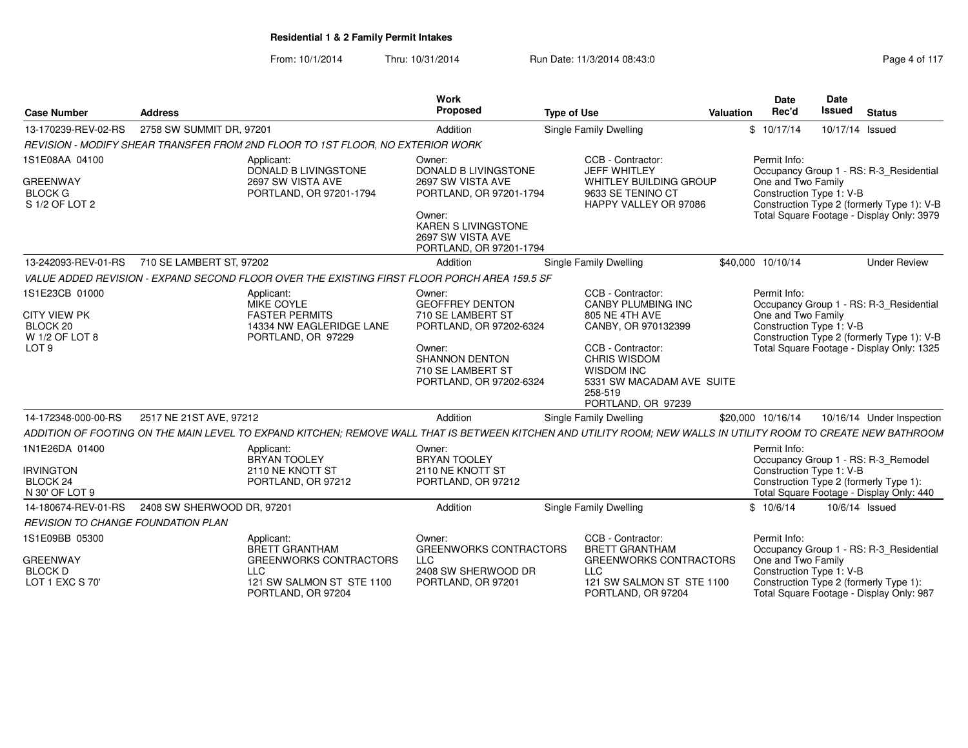| <b>Case Number</b>                                                                      | <b>Address</b>             |                                                                                                                          | Work<br>Proposed                                                                                                                                                       | <b>Type of Use</b>                                                                                                                                                                                       | <b>Date</b><br>Rec'd<br>Valuation                                                                                                                                                               | <b>Date</b><br>Issued | <b>Status</b> |                                                                                                                                    |
|-----------------------------------------------------------------------------------------|----------------------------|--------------------------------------------------------------------------------------------------------------------------|------------------------------------------------------------------------------------------------------------------------------------------------------------------------|----------------------------------------------------------------------------------------------------------------------------------------------------------------------------------------------------------|-------------------------------------------------------------------------------------------------------------------------------------------------------------------------------------------------|-----------------------|---------------|------------------------------------------------------------------------------------------------------------------------------------|
| 13-170239-REV-02-RS                                                                     | 2758 SW SUMMIT DR. 97201   |                                                                                                                          | Addition                                                                                                                                                               | Single Family Dwelling                                                                                                                                                                                   | \$10/17/14                                                                                                                                                                                      | 10/17/14 Issued       |               |                                                                                                                                    |
|                                                                                         |                            | REVISION - MODIFY SHEAR TRANSFER FROM 2ND FLOOR TO 1ST FLOOR, NO EXTERIOR WORK                                           |                                                                                                                                                                        |                                                                                                                                                                                                          |                                                                                                                                                                                                 |                       |               |                                                                                                                                    |
| 1S1E08AA 04100<br><b>GREENWAY</b><br><b>BLOCK G</b><br>S 1/2 OF LOT 2                   |                            | Applicant<br><b>DONALD B LIVINGSTONE</b><br>2697 SW VISTA AVE<br>PORTLAND, OR 97201-1794                                 | Owner:<br><b>DONALD B LIVINGSTONE</b><br>2697 SW VISTA AVE<br>PORTLAND, OR 97201-1794<br>Owner:<br>KAREN S LIVINGSTONE<br>2697 SW VISTA AVE<br>PORTLAND, OR 97201-1794 | CCB - Contractor:<br>JEFF WHITLEY<br>WHITLEY BUILDING GROUP<br>9633 SE TENINO CT<br>HAPPY VALLEY OR 97086                                                                                                | Permit Info:<br>Occupancy Group 1 - RS: R-3_Residential<br>One and Two Family<br>Construction Type 1: V-B<br>Total Square Footage - Display Only: 3979                                          |                       |               | Construction Type 2 (formerly Type 1): V-B                                                                                         |
| 13-242093-REV-01-RS                                                                     | 710 SE LAMBERT ST, 97202   |                                                                                                                          | Addition                                                                                                                                                               | <b>Single Family Dwelling</b>                                                                                                                                                                            | \$40,000 10/10/14                                                                                                                                                                               |                       |               | <b>Under Review</b>                                                                                                                |
|                                                                                         |                            | VALUE ADDED REVISION - EXPAND SECOND FLOOR OVER THE EXISTING FIRST FLOOR PORCH AREA 159.5 SF                             |                                                                                                                                                                        |                                                                                                                                                                                                          |                                                                                                                                                                                                 |                       |               |                                                                                                                                    |
| 1S1E23CB 01000<br><b>CITY VIEW PK</b><br>BLOCK 20<br>W 1/2 OF LOT 8<br>LOT <sub>9</sub> |                            | Applicant:<br>MIKE COYLE<br><b>FASTER PERMITS</b><br>14334 NW EAGLERIDGE LANE<br>PORTLAND, OR 97229                      | Owner:<br><b>GEOFFREY DENTON</b><br>710 SE LAMBERT ST<br>PORTLAND, OR 97202-6324<br>Owner:<br><b>SHANNON DENTON</b><br>710 SE LAMBERT ST<br>PORTLAND, OR 97202-6324    | CCB - Contractor:<br><b>CANBY PLUMBING INC</b><br>805 NE 4TH AVE<br>CANBY, OR 970132399<br>CCB - Contractor:<br>CHRIS WISDOM<br>WISDOM INC<br>5331 SW MACADAM AVE SUITE<br>258-519<br>PORTLAND, OR 97239 | Permit Info:<br>One and Two Family<br>Construction Type 1: V-B                                                                                                                                  |                       |               | Occupancy Group 1 - RS: R-3_Residential<br>Construction Type 2 (formerly Type 1): V-B<br>Total Square Footage - Display Only: 1325 |
| 14-172348-000-00-RS                                                                     | 2517 NE 21ST AVE, 97212    |                                                                                                                          | Addition                                                                                                                                                               | Single Family Dwelling                                                                                                                                                                                   | \$20,000 10/16/14                                                                                                                                                                               |                       |               | 10/16/14 Under Inspection                                                                                                          |
|                                                                                         |                            |                                                                                                                          |                                                                                                                                                                        | ADDITION OF FOOTING ON THE MAIN LEVEL TO EXPAND KITCHEN: REMOVE WALL THAT IS BETWEEN KITCHEN AND UTILITY ROOM: NEW WALLS IN UTILITY ROOM TO CREATE NEW BATHROOM                                          |                                                                                                                                                                                                 |                       |               |                                                                                                                                    |
| 1N1E26DA 01400<br><b>IRVINGTON</b><br>BLOCK 24<br>N 30' OF LOT 9                        |                            | Applicant<br>BRYAN TOOLEY<br>2110 NE KNOTT ST<br>PORTLAND, OR 97212                                                      | Owner:<br><b>BRYAN TOOLEY</b><br>2110 NE KNOTT ST<br>PORTLAND, OR 97212                                                                                                |                                                                                                                                                                                                          | Permit Info:<br>Occupancy Group 1 - RS: R-3_Remodel<br>Construction Type 1: V-B<br>Construction Type 2 (formerly Type 1):<br>Total Square Footage - Display Only: 440                           |                       |               |                                                                                                                                    |
| 14-180674-REV-01-RS                                                                     | 2408 SW SHERWOOD DR, 97201 |                                                                                                                          | Addition                                                                                                                                                               | <b>Single Family Dwelling</b>                                                                                                                                                                            | \$10/6/14                                                                                                                                                                                       | 10/6/14 Issued        |               |                                                                                                                                    |
| REVISION TO CHANGE FOUNDATION PLAN                                                      |                            |                                                                                                                          |                                                                                                                                                                        |                                                                                                                                                                                                          |                                                                                                                                                                                                 |                       |               |                                                                                                                                    |
| 1S1E09BB 05300<br><b>GREENWAY</b><br><b>BLOCK D</b><br>LOT 1 EXC S 70'                  |                            | Applicant:<br>BRETT GRANTHAM<br><b>GREENWORKS CONTRACTORS</b><br>LLC.<br>121 SW SALMON ST STE 1100<br>PORTLAND, OR 97204 | Owner:<br><b>GREENWORKS CONTRACTORS</b><br><b>LLC</b><br>2408 SW SHERWOOD DR<br>PORTLAND, OR 97201                                                                     | CCB - Contractor:<br><b>BRETT GRANTHAM</b><br><b>GREENWORKS CONTRACTORS</b><br><b>LLC</b><br>121 SW SALMON ST STE 1100<br>PORTLAND, OR 97204                                                             | Permit Info:<br>Occupancy Group 1 - RS: R-3_Residential<br>One and Two Family<br>Construction Type 1: V-B<br>Construction Type 2 (formerly Type 1):<br>Total Square Footage - Display Only: 987 |                       |               |                                                                                                                                    |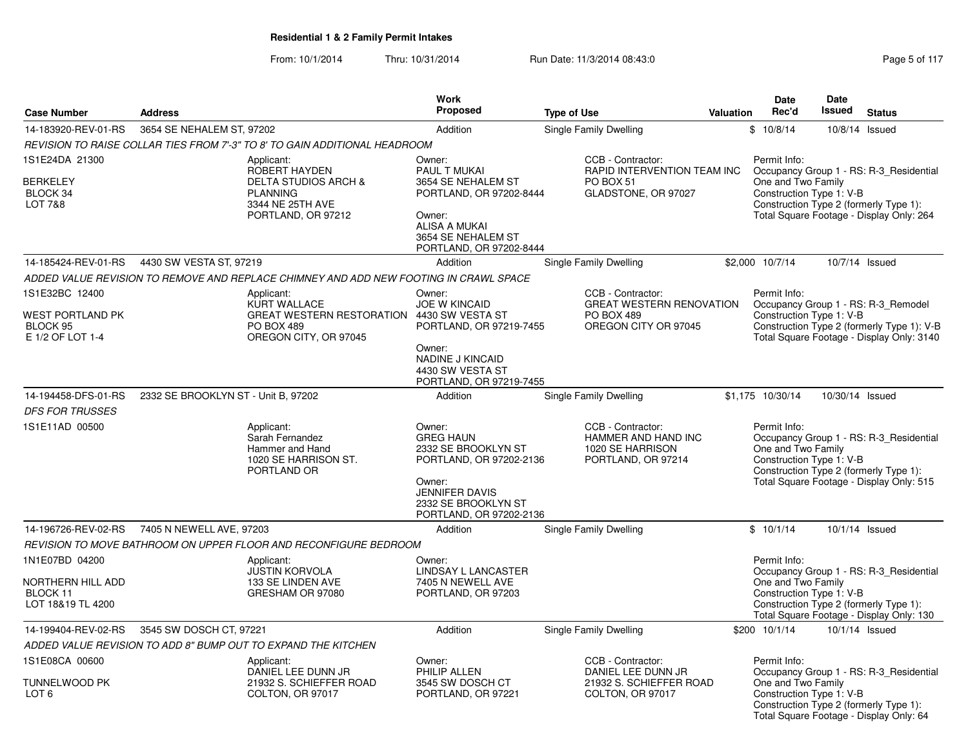|                                                                           |                                     |                                                                                                                               | <b>Work</b>                                                                                                                                                       |                                                                                                   |           | Date                                                           | Date            |                                                                                                                                |
|---------------------------------------------------------------------------|-------------------------------------|-------------------------------------------------------------------------------------------------------------------------------|-------------------------------------------------------------------------------------------------------------------------------------------------------------------|---------------------------------------------------------------------------------------------------|-----------|----------------------------------------------------------------|-----------------|--------------------------------------------------------------------------------------------------------------------------------|
| <b>Case Number</b>                                                        | <b>Address</b>                      |                                                                                                                               | <b>Proposed</b>                                                                                                                                                   | <b>Type of Use</b>                                                                                | Valuation | Rec'd                                                          | Issued          | <b>Status</b>                                                                                                                  |
| 14-183920-REV-01-RS                                                       | 3654 SE NEHALEM ST, 97202           |                                                                                                                               | Addition                                                                                                                                                          | Single Family Dwelling                                                                            |           | \$10/8/14                                                      |                 | 10/8/14 Issued                                                                                                                 |
|                                                                           |                                     | REVISION TO RAISE COLLAR TIES FROM 7'-3" TO 8' TO GAIN ADDITIONAL HEADROOM                                                    |                                                                                                                                                                   |                                                                                                   |           |                                                                |                 |                                                                                                                                |
| 1S1E24DA 21300<br><b>BERKELEY</b><br>BLOCK 34<br>LOT 7&8                  |                                     | Applicant:<br>ROBERT HAYDEN<br><b>DELTA STUDIOS ARCH &amp;</b><br><b>PLANNING</b><br>3344 NE 25TH AVE<br>PORTLAND, OR 97212   | Owner:<br>PAUL T MUKAI<br>3654 SE NEHALEM ST<br>PORTLAND, OR 97202-8444<br>Owner:<br>ALISA A MUKAI<br>3654 SE NEHALEM ST<br>PORTLAND, OR 97202-8444               | CCB - Contractor:<br>RAPID INTERVENTION TEAM INC<br>PO BOX 51<br>GLADSTONE, OR 97027              |           | Permit Info:<br>One and Two Family<br>Construction Type 1: V-B |                 | Occupancy Group 1 - RS: R-3_Residential<br>Construction Type 2 (formerly Type 1):<br>Total Square Footage - Display Only: 264  |
| 14-185424-REV-01-RS                                                       | 4430 SW VESTA ST, 97219             |                                                                                                                               | Addition                                                                                                                                                          | Single Family Dwelling                                                                            |           | \$2,000 10/7/14                                                |                 | 10/7/14 Issued                                                                                                                 |
|                                                                           |                                     | ADDED VALUE REVISION TO REMOVE AND REPLACE CHIMNEY AND ADD NEW FOOTING IN CRAWL SPACE                                         |                                                                                                                                                                   |                                                                                                   |           |                                                                |                 |                                                                                                                                |
| 1S1E32BC 12400<br><b>WEST PORTLAND PK</b><br>BLOCK 95<br>E 1/2 OF LOT 1-4 |                                     | Applicant:<br><b>KURT WALLACE</b><br>GREAT WESTERN RESTORATION 4430 SW VESTA ST<br><b>PO BOX 489</b><br>OREGON CITY, OR 97045 | Owner:<br><b>JOE W KINCAID</b><br>PORTLAND, OR 97219-7455<br>Owner:<br><b>NADINE J KINCAID</b><br>4430 SW VESTA ST<br>PORTLAND, OR 97219-7455                     | CCB - Contractor:<br><b>GREAT WESTERN RENOVATION</b><br><b>PO BOX 489</b><br>OREGON CITY OR 97045 |           | Permit Info:<br>Construction Type 1: V-B                       |                 | Occupancy Group 1 - RS: R-3 Remodel<br>Construction Type 2 (formerly Type 1): V-B<br>Total Square Footage - Display Only: 3140 |
| 14-194458-DFS-01-RS                                                       | 2332 SE BROOKLYN ST - Unit B, 97202 |                                                                                                                               | Addition                                                                                                                                                          | Single Family Dwelling                                                                            |           | \$1,175 10/30/14                                               | 10/30/14 Issued |                                                                                                                                |
| <b>DFS FOR TRUSSES</b>                                                    |                                     |                                                                                                                               |                                                                                                                                                                   |                                                                                                   |           |                                                                |                 |                                                                                                                                |
| 1S1E11AD 00500                                                            |                                     | Applicant:<br>Sarah Fernandez<br>Hammer and Hand<br>1020 SE HARRISON ST.<br>PORTLAND OR                                       | Owner:<br><b>GREG HAUN</b><br>2332 SE BROOKLYN ST<br>PORTLAND, OR 97202-2136<br>Owner:<br><b>JENNIFER DAVIS</b><br>2332 SE BROOKLYN ST<br>PORTLAND, OR 97202-2136 | CCB - Contractor:<br><b>HAMMER AND HAND INC</b><br>1020 SE HARRISON<br>PORTLAND, OR 97214         |           | Permit Info:<br>One and Two Family<br>Construction Type 1: V-B |                 | Occupancy Group 1 - RS: R-3 Residential<br>Construction Type 2 (formerly Type 1):<br>Total Square Footage - Display Only: 515  |
| 14-196726-REV-02-RS                                                       | 7405 N NEWELL AVE, 97203            |                                                                                                                               | Addition                                                                                                                                                          | Single Family Dwelling                                                                            |           | \$10/1/14                                                      |                 | 10/1/14 Issued                                                                                                                 |
|                                                                           |                                     | REVISION TO MOVE BATHROOM ON UPPER FLOOR AND RECONFIGURE BEDROOM                                                              |                                                                                                                                                                   |                                                                                                   |           |                                                                |                 |                                                                                                                                |
| 1N1E07BD 04200<br>NORTHERN HILL ADD<br>BLOCK 11<br>LOT 18&19 TL 4200      |                                     | Applicant:<br><b>JUSTIN KORVOLA</b><br>133 SE LINDEN AVE<br>GRESHAM OR 97080                                                  | Owner:<br>LINDSAY L LANCASTER<br>7405 N NEWELL AVE<br>PORTLAND, OR 97203                                                                                          |                                                                                                   |           | Permit Info:<br>One and Two Family<br>Construction Type 1: V-B |                 | Occupancy Group 1 - RS: R-3 Residential<br>Construction Type 2 (formerly Type 1):<br>Total Square Footage - Display Only: 130  |
| 14-199404-REV-02-RS                                                       | 3545 SW DOSCH CT, 97221             |                                                                                                                               | Addition                                                                                                                                                          | Single Family Dwelling                                                                            |           | \$200 10/1/14                                                  |                 | 10/1/14 Issued                                                                                                                 |
|                                                                           |                                     | ADDED VALUE REVISION TO ADD 8" BUMP OUT TO EXPAND THE KITCHEN                                                                 |                                                                                                                                                                   |                                                                                                   |           |                                                                |                 |                                                                                                                                |
| 1S1E08CA 00600<br>TUNNELWOOD PK<br>LOT <sub>6</sub>                       |                                     | Applicant:<br>DANIEL LEE DUNN JR<br>21932 S. SCHIEFFER ROAD<br>COLTON, OR 97017                                               | Owner:<br>PHILIP ALLEN<br>3545 SW DOSCH CT<br>PORTLAND, OR 97221                                                                                                  | CCB - Contractor:<br>DANIEL LEE DUNN JR<br>21932 S. SCHIEFFER ROAD<br>COLTON, OR 97017            |           | Permit Info:<br>One and Two Family<br>Construction Type 1: V-B |                 | Occupancy Group 1 - RS: R-3_Residential<br>Construction Type 2 (formerly Type 1):<br>Total Square Footage - Display Only: 64   |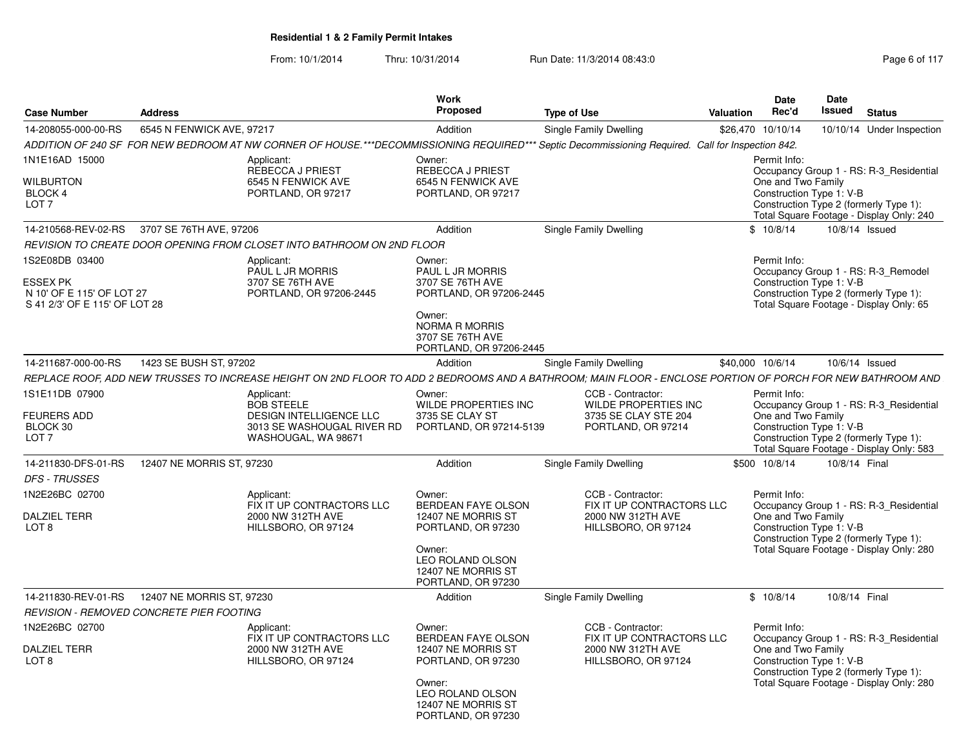| <b>Case Number</b>                                                                              | <b>Address</b>                           |                                                                                      | Work<br>Proposed                                                               | <b>Type of Use</b>                                                                                                                                         | Valuation         | <b>Date</b><br>Rec'd               | <b>Date</b><br>Issued    | <b>Status</b>                                                                                                            |
|-------------------------------------------------------------------------------------------------|------------------------------------------|--------------------------------------------------------------------------------------|--------------------------------------------------------------------------------|------------------------------------------------------------------------------------------------------------------------------------------------------------|-------------------|------------------------------------|--------------------------|--------------------------------------------------------------------------------------------------------------------------|
| 14-208055-000-00-RS                                                                             | 6545 N FENWICK AVE, 97217                |                                                                                      | Addition                                                                       | Single Family Dwelling                                                                                                                                     | \$26,470 10/10/14 |                                    |                          | 10/10/14 Under Inspection                                                                                                |
|                                                                                                 |                                          |                                                                                      |                                                                                | ADDITION OF 240 SF FOR NEW BEDROOM AT NW CORNER OF HOUSE.***DECOMMISSIONING REQUIRED*** Septic Decommissioning Required. Call for Inspection 842.          |                   |                                    |                          |                                                                                                                          |
| 1N1E16AD 15000                                                                                  |                                          | Applicant:<br><b>REBECCA J PRIEST</b>                                                | Owner:<br><b>REBECCA J PRIEST</b>                                              |                                                                                                                                                            |                   | Permit Info:                       |                          | Occupancy Group 1 - RS: R-3 Residential                                                                                  |
| <b>WILBURTON</b><br><b>BLOCK 4</b><br>LOT <sub>7</sub>                                          |                                          | 6545 N FENWICK AVE<br>PORTLAND, OR 97217                                             | 6545 N FENWICK AVE<br>PORTLAND, OR 97217                                       |                                                                                                                                                            |                   | One and Two Family                 | Construction Type 1: V-B | Construction Type 2 (formerly Type 1):<br>Total Square Footage - Display Only: 240                                       |
| 14-210568-REV-02-RS                                                                             | 3707 SE 76TH AVE, 97206                  |                                                                                      | Addition                                                                       | Single Family Dwelling                                                                                                                                     |                   | \$10/8/14                          |                          | 10/8/14 Issued                                                                                                           |
|                                                                                                 |                                          | REVISION TO CREATE DOOR OPENING FROM CLOSET INTO BATHROOM ON 2ND FLOOR               |                                                                                |                                                                                                                                                            |                   |                                    |                          |                                                                                                                          |
| 1S2E08DB 03400<br><b>ESSEX PK</b><br>N 10' OF E 115' OF LOT 27<br>S 41 2/3' OF E 115' OF LOT 28 |                                          | Applicant:<br><b>PAUL L JR MORRIS</b><br>3707 SE 76TH AVE<br>PORTLAND, OR 97206-2445 | Owner:<br>PAUL L JR MORRIS<br>3707 SE 76TH AVE<br>PORTLAND, OR 97206-2445      |                                                                                                                                                            |                   | Permit Info:                       | Construction Type 1: V-B | Occupancy Group 1 - RS: R-3_Remodel<br>Construction Type 2 (formerly Type 1):<br>Total Square Footage - Display Only: 65 |
|                                                                                                 |                                          |                                                                                      | Owner:<br><b>NORMA R MORRIS</b><br>3707 SE 76TH AVE<br>PORTLAND, OR 97206-2445 |                                                                                                                                                            |                   |                                    |                          |                                                                                                                          |
| 14-211687-000-00-RS                                                                             | 1423 SE BUSH ST, 97202                   |                                                                                      | Addition                                                                       | Single Family Dwelling                                                                                                                                     | \$40,000 10/6/14  |                                    |                          | 10/6/14 Issued                                                                                                           |
|                                                                                                 |                                          |                                                                                      |                                                                                | REPLACE ROOF, ADD NEW TRUSSES TO INCREASE HEIGHT ON 2ND FLOOR TO ADD 2 BEDROOMS AND A BATHROOM; MAIN FLOOR - ENCLOSE PORTION OF PORCH FOR NEW BATHROOM AND |                   |                                    |                          |                                                                                                                          |
| 1S1E11DB 07900<br><b>FEURERS ADD</b>                                                            |                                          | Applicant:<br><b>BOB STEELE</b><br>DESIGN INTELLIGENCE LLC                           | Owner:<br>WILDE PROPERTIES INC<br>3735 SE CLAY ST                              | CCB - Contractor:<br><b>WILDE PROPERTIES INC</b><br>3735 SE CLAY STE 204                                                                                   |                   | Permit Info:<br>One and Two Family |                          | Occupancy Group 1 - RS: R-3 Residential                                                                                  |
| BLOCK 30<br>LOT <sub>7</sub>                                                                    |                                          | 3013 SE WASHOUGAL RIVER RD<br>WASHOUGAL, WA 98671                                    | PORTLAND, OR 97214-5139                                                        | PORTLAND, OR 97214                                                                                                                                         |                   |                                    | Construction Type 1: V-B | Construction Type 2 (formerly Type 1):<br>Total Square Footage - Display Only: 583                                       |
| 14-211830-DFS-01-RS                                                                             | 12407 NE MORRIS ST, 97230                |                                                                                      | Addition                                                                       | Single Family Dwelling                                                                                                                                     | \$500 10/8/14     |                                    | 10/8/14 Final            |                                                                                                                          |
| <b>DFS - TRUSSES</b>                                                                            |                                          |                                                                                      |                                                                                |                                                                                                                                                            |                   |                                    |                          |                                                                                                                          |
| 1N2E26BC 02700                                                                                  |                                          | Applicant:<br>FIX IT UP CONTRACTORS LLC                                              | Owner:<br><b>BERDEAN FAYE OLSON</b>                                            | CCB - Contractor:<br>FIX IT UP CONTRACTORS LLC                                                                                                             |                   | Permit Info:                       |                          | Occupancy Group 1 - RS: R-3 Residential                                                                                  |
| <b>DALZIEL TERR</b><br>LOT <sub>8</sub>                                                         |                                          | 2000 NW 312TH AVE<br>HILLSBORO, OR 97124                                             | 12407 NE MORRIS ST<br>PORTLAND, OR 97230                                       | 2000 NW 312TH AVE<br>HILLSBORO, OR 97124                                                                                                                   |                   | One and Two Family                 | Construction Type 1: V-B | Construction Type 2 (formerly Type 1):                                                                                   |
|                                                                                                 |                                          |                                                                                      | Owner:<br><b>LEO ROLAND OLSON</b><br>12407 NE MORRIS ST<br>PORTLAND, OR 97230  |                                                                                                                                                            |                   |                                    |                          | Total Square Footage - Display Only: 280                                                                                 |
| 14-211830-REV-01-RS                                                                             | 12407 NE MORRIS ST, 97230                |                                                                                      | Addition                                                                       | Single Family Dwelling                                                                                                                                     |                   | \$10/8/14                          | 10/8/14 Final            |                                                                                                                          |
|                                                                                                 | REVISION - REMOVED CONCRETE PIER FOOTING |                                                                                      |                                                                                |                                                                                                                                                            |                   |                                    |                          |                                                                                                                          |
| 1N2E26BC 02700                                                                                  |                                          | Applicant:<br>FIX IT UP CONTRACTORS LLC                                              | Owner:<br>BERDEAN FAYE OLSON                                                   | CCB - Contractor:<br>FIX IT UP CONTRACTORS LLC                                                                                                             |                   | Permit Info:                       |                          | Occupancy Group 1 - RS: R-3 Residential                                                                                  |
| <b>DALZIEL TERR</b><br>LOT <sub>8</sub>                                                         |                                          | 2000 NW 312TH AVE<br>HILLSBORO, OR 97124                                             | 12407 NE MORRIS ST<br>PORTLAND, OR 97230                                       | 2000 NW 312TH AVE<br>HILLSBORO, OR 97124                                                                                                                   |                   | One and Two Family                 | Construction Type 1: V-B | Construction Type 2 (formerly Type 1):                                                                                   |
|                                                                                                 |                                          |                                                                                      | Owner:<br>LEO ROLAND OLSON<br>12407 NE MORRIS ST<br>PORTLAND, OR 97230         |                                                                                                                                                            |                   |                                    |                          | Total Square Footage - Display Only: 280                                                                                 |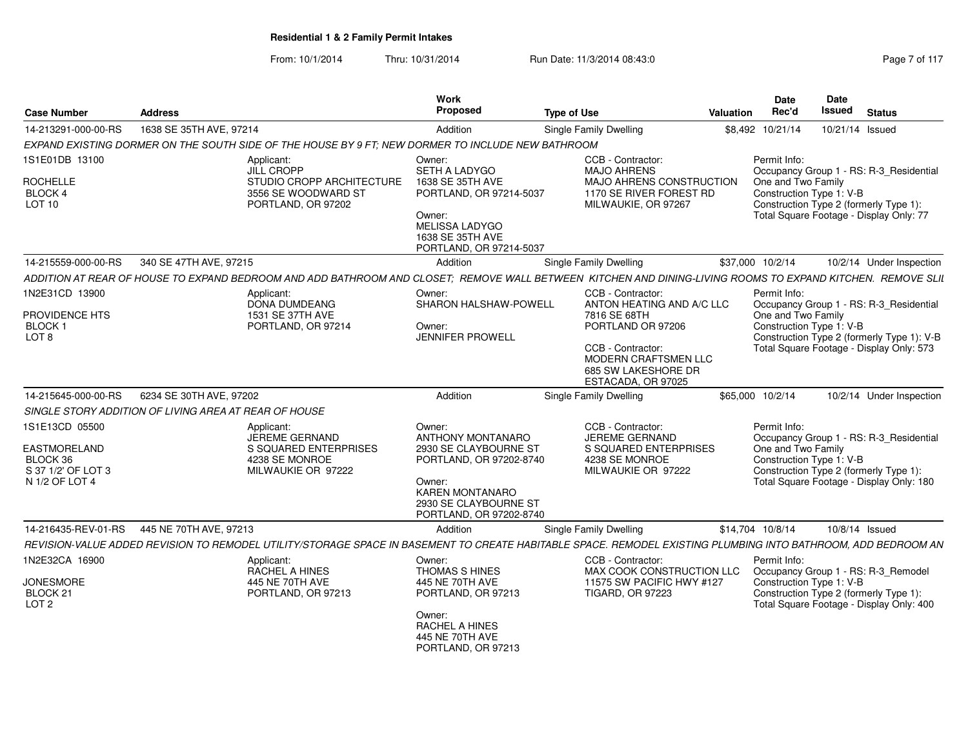| <b>Case Number</b>                                                                 | <b>Address</b>                                        |                                                                                                   | Work<br>Proposed                                                                                                                                                        | <b>Type of Use</b>                                                                                                                                                                   | Valuation | <b>Date</b><br>Rec'd                                           | <b>Date</b><br>Issued<br><b>Status</b>                                                                                            |
|------------------------------------------------------------------------------------|-------------------------------------------------------|---------------------------------------------------------------------------------------------------|-------------------------------------------------------------------------------------------------------------------------------------------------------------------------|--------------------------------------------------------------------------------------------------------------------------------------------------------------------------------------|-----------|----------------------------------------------------------------|-----------------------------------------------------------------------------------------------------------------------------------|
| 14-213291-000-00-RS                                                                | 1638 SE 35TH AVE, 97214                               |                                                                                                   | Addition                                                                                                                                                                | Single Family Dwelling                                                                                                                                                               |           | \$8,492 10/21/14                                               | 10/21/14 Issued                                                                                                                   |
|                                                                                    |                                                       | EXPAND EXISTING DORMER ON THE SOUTH SIDE OF THE HOUSE BY 9 FT: NEW DORMER TO INCLUDE NEW BATHROOM |                                                                                                                                                                         |                                                                                                                                                                                      |           |                                                                |                                                                                                                                   |
| 1S1E01DB 13100                                                                     |                                                       | Applicant:                                                                                        | Owner:                                                                                                                                                                  | CCB - Contractor:                                                                                                                                                                    |           | Permit Info:                                                   |                                                                                                                                   |
| <b>ROCHELLE</b><br>BLOCK 4<br>LOT 10                                               |                                                       | <b>JILL CROPP</b><br>STUDIO CROPP ARCHITECTURE<br>3556 SE WOODWARD ST<br>PORTLAND, OR 97202       | SETH A LADYGO<br>1638 SE 35TH AVE<br>PORTLAND, OR 97214-5037<br>Owner:<br><b>MELISSA LADYGO</b><br>1638 SE 35TH AVE                                                     | <b>MAJO AHRENS</b><br>MAJO AHRENS CONSTRUCTION<br>1170 SE RIVER FOREST RD<br>MILWAUKIE, OR 97267                                                                                     |           | One and Two Family<br>Construction Type 1: V-B                 | Occupancy Group 1 - RS: R-3 Residential<br>Construction Type 2 (formerly Type 1):<br>Total Square Footage - Display Only: 77      |
|                                                                                    |                                                       |                                                                                                   | PORTLAND, OR 97214-5037                                                                                                                                                 |                                                                                                                                                                                      |           |                                                                |                                                                                                                                   |
| 14-215559-000-00-RS                                                                | 340 SE 47TH AVE, 97215                                |                                                                                                   | Addition                                                                                                                                                                | Single Family Dwelling                                                                                                                                                               |           | \$37,000 10/2/14                                               | 10/2/14 Under Inspection                                                                                                          |
|                                                                                    |                                                       |                                                                                                   |                                                                                                                                                                         | ADDITION AT REAR OF HOUSE TO EXPAND BEDROOM AND ADD BATHROOM AND CLOSET; REMOVE WALL BETWEEN KITCHEN AND DINING-LIVING ROOMS TO EXPAND KITCHEN. REMOVE SLII                          |           |                                                                |                                                                                                                                   |
| 1N2E31CD 13900<br>PROVIDENCE HTS<br><b>BLOCK1</b><br>LOT 8                         |                                                       | Applicant:<br>DONA DUMDEANG<br>1531 SE 37TH AVE<br>PORTLAND, OR 97214                             | Owner:<br>SHARON HALSHAW-POWELL<br>Owner:<br><b>JENNIFER PROWELL</b>                                                                                                    | CCB - Contractor:<br>ANTON HEATING AND A/C LLC<br>7816 SE 68TH<br>PORTLAND OR 97206<br>CCB - Contractor:<br><b>MODERN CRAFTSMEN LLC</b><br>685 SW LAKESHORE DR<br>ESTACADA, OR 97025 |           | Permit Info:<br>One and Two Family<br>Construction Type 1: V-B | Occupancy Group 1 - RS: R-3_Residential<br>Construction Type 2 (formerly Type 1): V-B<br>Total Square Footage - Display Only: 573 |
| 14-215645-000-00-RS                                                                | 6234 SE 30TH AVE, 97202                               |                                                                                                   | Addition                                                                                                                                                                | <b>Single Family Dwelling</b>                                                                                                                                                        |           | \$65,000 10/2/14                                               | 10/2/14 Under Inspection                                                                                                          |
|                                                                                    | SINGLE STORY ADDITION OF LIVING AREA AT REAR OF HOUSE |                                                                                                   |                                                                                                                                                                         |                                                                                                                                                                                      |           |                                                                |                                                                                                                                   |
| 1S1E13CD 05500<br>EASTMORELAND<br>BLOCK 36<br>S 37 1/2' OF LOT 3<br>N 1/2 OF LOT 4 |                                                       | Applicant:<br>JEREME GERNAND<br>S SQUARED ENTERPRISES<br>4238 SE MONROE<br>MILWAUKIE OR 97222     | Owner:<br>ANTHONY MONTANARO<br>2930 SE CLAYBOURNE ST<br>PORTLAND, OR 97202-8740<br>Owner:<br><b>KAREN MONTANARO</b><br>2930 SE CLAYBOURNE ST<br>PORTLAND, OR 97202-8740 | CCB - Contractor:<br>JEREME GERNAND<br>S SQUARED ENTERPRISES<br>4238 SE MONROE<br>MILWAUKIE OR 97222                                                                                 |           | Permit Info:<br>One and Two Family<br>Construction Type 1: V-B | Occupancy Group 1 - RS: R-3_Residential<br>Construction Type 2 (formerly Type 1):<br>Total Square Footage - Display Only: 180     |
| 14-216435-REV-01-RS                                                                | 445 NE 70TH AVE, 97213                                |                                                                                                   | Addition                                                                                                                                                                | Single Family Dwelling                                                                                                                                                               |           | \$14,704 10/8/14                                               | 10/8/14 Issued                                                                                                                    |
|                                                                                    |                                                       |                                                                                                   |                                                                                                                                                                         | REVISION-VALUE ADDED REVISION TO REMODEL UTILITY/STORAGE SPACE IN BASEMENT TO CREATE HABITABLE SPACE. REMODEL EXISTING PLUMBING INTO BATHROOM, ADD BEDROOM AN                        |           |                                                                |                                                                                                                                   |
| 1N2E32CA 16900<br><b>JONESMORE</b><br>BLOCK 21<br>LOT <sub>2</sub>                 |                                                       | Applicant:<br><b>RACHEL A HINES</b><br>445 NE 70TH AVE<br>PORTLAND, OR 97213                      | Owner:<br>THOMAS S HINES<br>445 NE 70TH AVE<br>PORTLAND, OR 97213<br>Owner:<br>RACHEL A HINES<br>445 NE 70TH AVE<br>PORTLAND, OR 97213                                  | CCB - Contractor:<br>MAX COOK CONSTRUCTION LLC<br>11575 SW PACIFIC HWY #127<br><b>TIGARD, OR 97223</b>                                                                               |           | Permit Info:<br>Construction Type 1: V-B                       | Occupancy Group 1 - RS: R-3_Remodel<br>Construction Type 2 (formerly Type 1):<br>Total Square Footage - Display Only: 400         |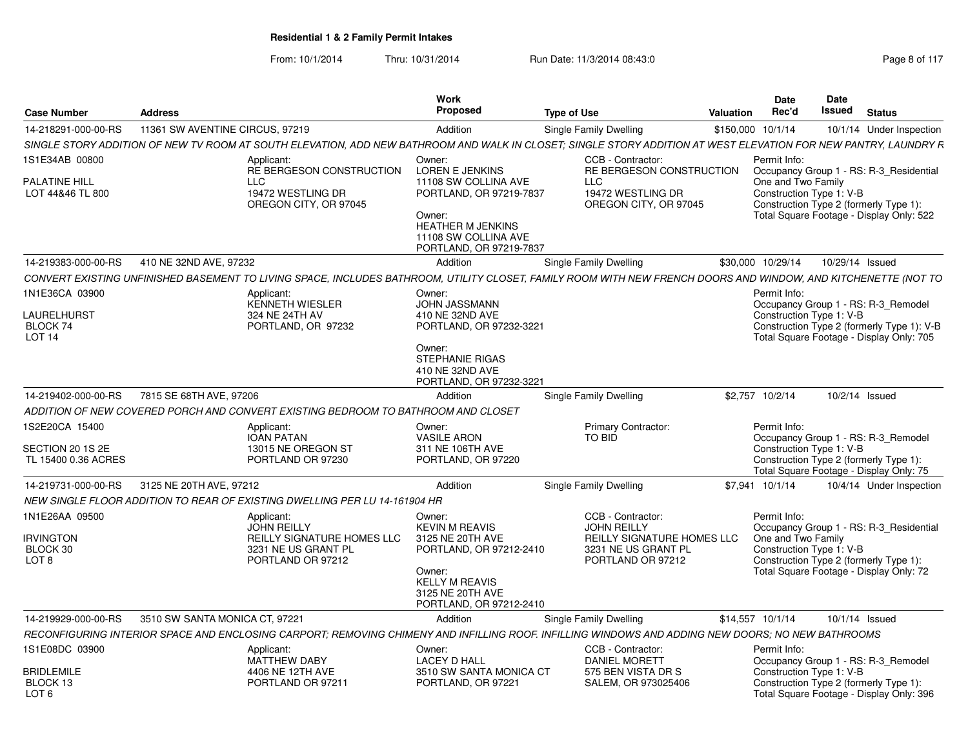|                                         |                                             |                                                                                                                                                                 | Work                                                                                                      |                                                                        | Date                                | Date                                           |                                                                                        |
|-----------------------------------------|---------------------------------------------|-----------------------------------------------------------------------------------------------------------------------------------------------------------------|-----------------------------------------------------------------------------------------------------------|------------------------------------------------------------------------|-------------------------------------|------------------------------------------------|----------------------------------------------------------------------------------------|
| <b>Case Number</b>                      | <b>Address</b>                              |                                                                                                                                                                 | Proposed                                                                                                  | <b>Type of Use</b>                                                     | Rec'd<br>Valuation                  | <b>Issued</b>                                  | <b>Status</b>                                                                          |
| 14-218291-000-00-RS                     | 11361 SW AVENTINE CIRCUS, 97219             |                                                                                                                                                                 | Addition                                                                                                  | <b>Single Family Dwelling</b>                                          | \$150,000 10/1/14                   |                                                | 10/1/14 Under Inspection                                                               |
|                                         |                                             | SINGLE STORY ADDITION OF NEW TV ROOM AT SOUTH ELEVATION, ADD NEW BATHROOM AND WALK IN CLOSET; SINGLE STORY ADDITION AT WEST ELEVATION FOR NEW PANTRY, LAUNDRY R |                                                                                                           |                                                                        |                                     |                                                |                                                                                        |
| 1S1E34AB 00800<br><b>PALATINE HILL</b>  |                                             | Applicant:<br>RE BERGESON CONSTRUCTION                                                                                                                          | Owner:<br><b>LOREN E JENKINS</b><br>11108 SW COLLINA AVE                                                  | CCB - Contractor:<br>RE BERGESON CONSTRUCTION<br><b>LLC</b>            | Permit Info:                        | One and Two Family                             | Occupancy Group 1 - RS: R-3_Residential                                                |
| LOT 44&46 TL 800                        |                                             | 19472 WESTLING DR<br>OREGON CITY, OR 97045                                                                                                                      | PORTLAND, OR 97219-7837<br>Owner:<br>HEATHER M JENKINS<br>11108 SW COLLINA AVE<br>PORTLAND, OR 97219-7837 | 19472 WESTLING DR<br>OREGON CITY, OR 97045                             |                                     | Construction Type 1: V-B                       | Construction Type 2 (formerly Type 1):<br>Total Square Footage - Display Only: 522     |
|                                         | 14-219383-000-00-RS 410 NE 32ND AVE, 97232  |                                                                                                                                                                 | Addition                                                                                                  | <b>Single Family Dwelling</b>                                          | \$30,000 10/29/14  10/29/14  Issued |                                                |                                                                                        |
|                                         |                                             | CONVERT EXISTING UNFINISHED BASEMENT TO LIVING SPACE, INCLUDES BATHROOM, UTILITY CLOSET, FAMILY ROOM WITH NEW FRENCH DOORS AND WINDOW, AND KITCHENETTE (NOT TO  |                                                                                                           |                                                                        |                                     |                                                |                                                                                        |
| 1N1E36CA 03900                          |                                             | Applicant:<br>KENNETH WIESLER                                                                                                                                   | Owner:                                                                                                    |                                                                        | Permit Info:                        |                                                |                                                                                        |
| LAURELHURST                             |                                             | 324 NE 24TH AV                                                                                                                                                  | <b>JOHN JASSMANN</b><br>410 NE 32ND AVE                                                                   |                                                                        |                                     | Construction Type 1: V-B                       | Occupancy Group 1 - RS: R-3_Remodel                                                    |
| BLOCK 74<br><b>LOT 14</b>               |                                             | PORTLAND, OR 97232                                                                                                                                              | PORTLAND, OR 97232-3221                                                                                   |                                                                        |                                     |                                                | Construction Type 2 (formerly Type 1): V-B<br>Total Square Footage - Display Only: 705 |
|                                         |                                             |                                                                                                                                                                 | Owner:<br><b>STEPHANIE RIGAS</b><br>410 NE 32ND AVE<br>PORTLAND, OR 97232-3221                            |                                                                        |                                     |                                                |                                                                                        |
|                                         | 14-219402-000-00-RS 7815 SE 68TH AVE, 97206 |                                                                                                                                                                 | Addition                                                                                                  | <b>Single Family Dwelling</b>                                          | \$2,757 10/2/14                     |                                                | 10/2/14 Issued                                                                         |
|                                         |                                             | ADDITION OF NEW COVERED PORCH AND CONVERT EXISTING BEDROOM TO BATHROOM AND CLOSET                                                                               |                                                                                                           |                                                                        |                                     |                                                |                                                                                        |
| IS2E20CA 15400                          |                                             | Applicant:                                                                                                                                                      | Owner:                                                                                                    | <b>Primary Contractor:</b>                                             | Permit Info:                        |                                                |                                                                                        |
|                                         |                                             | <b>IOAN PATAN</b>                                                                                                                                               | <b>VASILE ARON</b>                                                                                        | TO BID                                                                 |                                     |                                                | Occupancy Group 1 - RS: R-3 Remodel                                                    |
| SECTION 20 1S 2E<br>TL 15400 0.36 ACRES |                                             | 13015 NE OREGON ST<br>PORTLAND OR 97230                                                                                                                         | 311 NE 106TH AVE<br>PORTLAND, OR 97220                                                                    |                                                                        |                                     | Construction Type 1: V-B                       | Construction Type 2 (formerly Type 1):<br>Total Square Footage - Display Only: 75      |
| 14-219731-000-00-RS                     | 3125 NE 20TH AVE, 97212                     |                                                                                                                                                                 | Addition                                                                                                  | Single Family Dwelling                                                 | \$7,941 10/1/14                     |                                                | 10/4/14 Under Inspection                                                               |
|                                         |                                             | NEW SINGLE FLOOR ADDITION TO REAR OF EXISTING DWELLING PER LU 14-161904 HR                                                                                      |                                                                                                           |                                                                        |                                     |                                                |                                                                                        |
| 1N1E26AA 09500                          |                                             | Applicant:<br><b>JOHN REILLY</b>                                                                                                                                | Owner:<br><b>KEVIN M REAVIS</b>                                                                           | CCB - Contractor:<br><b>JOHN REILLY</b>                                | Permit Info:                        |                                                | Occupancy Group 1 - RS: R-3_Residential                                                |
| <b>RVINGTON</b><br>BLOCK 30<br>LOT 8    |                                             | REILLY SIGNATURE HOMES LLC<br>3231 NE US GRANT PL<br>PORTLAND OR 97212                                                                                          | 3125 NE 20TH AVE<br>PORTLAND, OR 97212-2410<br>Owner:<br><b>KELLY M REAVIS</b><br>3125 NE 20TH AVE        | REILLY SIGNATURE HOMES LLC<br>3231 NE US GRANT PL<br>PORTLAND OR 97212 |                                     | One and Two Family<br>Construction Type 1: V-B | Construction Type 2 (formerly Type 1):<br>Total Square Footage - Display Only: 72      |
|                                         |                                             |                                                                                                                                                                 | PORTLAND, OR 97212-2410                                                                                   |                                                                        |                                     |                                                |                                                                                        |
| 14-219929-000-00-RS                     | 3510 SW SANTA MONICA CT, 97221              |                                                                                                                                                                 | Addition                                                                                                  | Single Family Dwelling                                                 | \$14,557 10/1/14                    |                                                | 10/1/14 Issued                                                                         |
|                                         |                                             | RECONFIGURING INTERIOR SPACE AND ENCLOSING CARPORT; REMOVING CHIMENY AND INFILLING ROOF. INFILLING WINDOWS AND ADDING NEW DOORS; NO NEW BATHROOMS               |                                                                                                           |                                                                        |                                     |                                                |                                                                                        |
| 1S1E08DC 03900                          |                                             | Applicant:<br><b>MATTHEW DABY</b>                                                                                                                               | Owner:<br><b>LACEY D HALL</b>                                                                             | CCB - Contractor:<br><b>DANIEL MORETT</b>                              | Permit Info:                        |                                                | Occupancy Group 1 - RS: R-3_Remodel                                                    |
| <b>BRIDLEMILE</b>                       |                                             | 4406 NE 12TH AVE                                                                                                                                                | 3510 SW SANTA MONICA CT                                                                                   | 575 BEN VISTA DR S                                                     |                                     | Construction Type 1: V-B                       |                                                                                        |
| BLOCK 13<br>LOT <sub>6</sub>            |                                             | PORTLAND OR 97211                                                                                                                                               | PORTLAND, OR 97221                                                                                        | SALEM, OR 973025406                                                    |                                     |                                                | Construction Type 2 (formerly Type 1):<br>Total Square Footage - Display Only: 396     |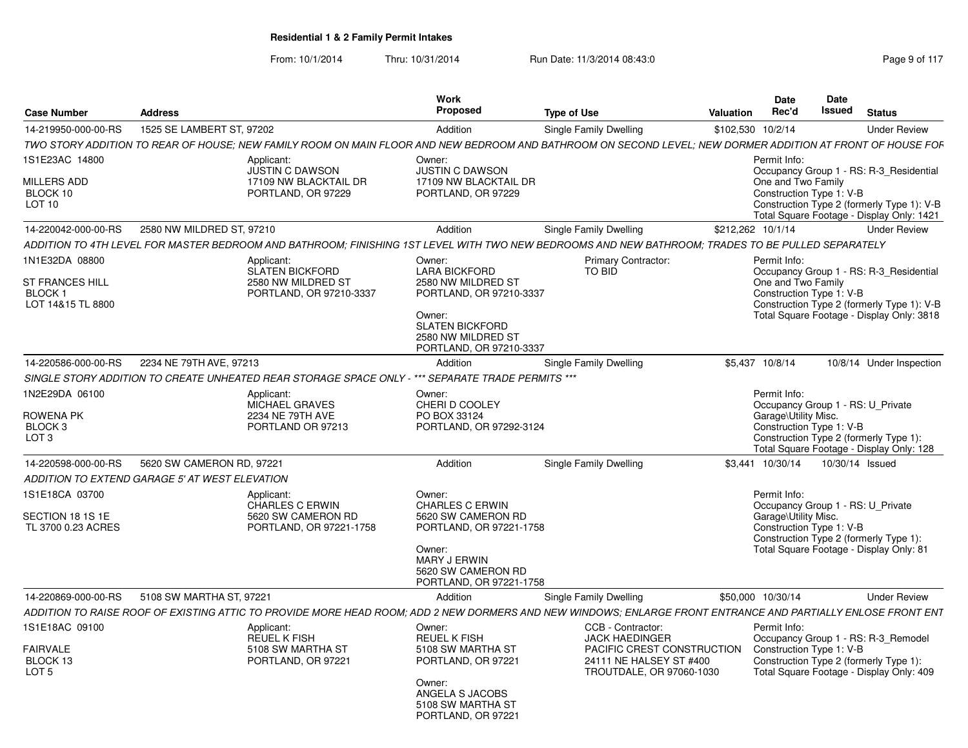| <b>Case Number</b>                                                       | <b>Address</b>                                 |                                                                                                                                                              | <b>Work</b><br>Proposed                                                                                                                                              | <b>Type of Use</b> |                                                                                                                                 | <b>Valuation</b>  | <b>Date</b><br>Rec'd                                                                                  | Date<br><b>Issued</b> | <b>Status</b>                                                                                                                      |
|--------------------------------------------------------------------------|------------------------------------------------|--------------------------------------------------------------------------------------------------------------------------------------------------------------|----------------------------------------------------------------------------------------------------------------------------------------------------------------------|--------------------|---------------------------------------------------------------------------------------------------------------------------------|-------------------|-------------------------------------------------------------------------------------------------------|-----------------------|------------------------------------------------------------------------------------------------------------------------------------|
| 14-219950-000-00-RS                                                      | 1525 SE LAMBERT ST, 97202                      |                                                                                                                                                              | Addition                                                                                                                                                             |                    | Single Family Dwelling                                                                                                          | \$102,530 10/2/14 |                                                                                                       |                       | <b>Under Review</b>                                                                                                                |
|                                                                          |                                                | TWO STORY ADDITION TO REAR OF HOUSE; NEW FAMILY ROOM ON MAIN FLOOR AND NEW BEDROOM AND BATHROOM ON SECOND LEVEL; NEW DORMER ADDITION AT FRONT OF HOUSE FOF   |                                                                                                                                                                      |                    |                                                                                                                                 |                   |                                                                                                       |                       |                                                                                                                                    |
| 1S1E23AC 14800                                                           |                                                | Applicant:                                                                                                                                                   | Owner:                                                                                                                                                               |                    |                                                                                                                                 |                   | Permit Info:                                                                                          |                       |                                                                                                                                    |
| <b>MILLERS ADD</b><br>BLOCK 10<br>LOT 10                                 |                                                | <b>JUSTIN C DAWSON</b><br>17109 NW BLACKTAIL DR<br>PORTLAND, OR 97229                                                                                        | <b>JUSTIN C DAWSON</b><br>17109 NW BLACKTAIL DR<br>PORTLAND, OR 97229                                                                                                |                    |                                                                                                                                 |                   | One and Two Family<br>Construction Type 1: V-B                                                        |                       | Occupancy Group 1 - RS: R-3 Residential<br>Construction Type 2 (formerly Type 1): V-B<br>Total Square Footage - Display Only: 1421 |
| 14-220042-000-00-RS                                                      | 2580 NW MILDRED ST, 97210                      |                                                                                                                                                              | Addition                                                                                                                                                             |                    | <b>Single Family Dwelling</b>                                                                                                   | \$212.262 10/1/14 |                                                                                                       |                       | <b>Under Review</b>                                                                                                                |
|                                                                          |                                                | ADDITION TO 4TH LEVEL FOR MASTER BEDROOM AND BATHROOM: FINISHING 1ST LEVEL WITH TWO NEW BEDROOMS AND NEW BATHROOM: TRADES TO BE PULLED SEPARATELY            |                                                                                                                                                                      |                    |                                                                                                                                 |                   |                                                                                                       |                       |                                                                                                                                    |
| 1N1E32DA 08800<br><b>ST FRANCES HILL</b><br>BLOCK 1<br>LOT 14&15 TL 8800 |                                                | Applicant:<br><b>SLATEN BICKFORD</b><br>2580 NW MILDRED ST<br>PORTLAND, OR 97210-3337                                                                        | Owner:<br><b>LARA BICKFORD</b><br>2580 NW MILDRED ST<br>PORTLAND, OR 97210-3337<br>Owner:<br><b>SLATEN BICKFORD</b><br>2580 NW MILDRED ST<br>PORTLAND, OR 97210-3337 |                    | <b>Primary Contractor:</b><br>TO BID                                                                                            |                   | Permit Info:<br>One and Two Family<br>Construction Type 1: V-B                                        |                       | Occupancy Group 1 - RS: R-3_Residential<br>Construction Type 2 (formerly Type 1): V-B<br>Total Square Footage - Display Only: 3818 |
| 14-220586-000-00-RS                                                      | 2234 NE 79TH AVE, 97213                        |                                                                                                                                                              | Addition                                                                                                                                                             |                    | Single Family Dwelling                                                                                                          |                   | \$5,437 10/8/14                                                                                       |                       | 10/8/14 Under Inspection                                                                                                           |
|                                                                          |                                                | SINGLE STORY ADDITION TO CREATE UNHEATED REAR STORAGE SPACE ONLY - *** SEPARATE TRADE PERMITS ***                                                            |                                                                                                                                                                      |                    |                                                                                                                                 |                   |                                                                                                       |                       |                                                                                                                                    |
| 1N2E29DA 06100<br><b>ROWENA PK</b><br>BLOCK <sub>3</sub><br>LOT 3        |                                                | Applicant:<br>MICHAEL GRAVES<br>2234 NE 79TH AVE<br>PORTLAND OR 97213                                                                                        | Owner:<br>CHERI D COOLEY<br>PO BOX 33124<br>PORTLAND, OR 97292-3124                                                                                                  |                    |                                                                                                                                 |                   | Permit Info:<br>Occupancy Group 1 - RS: U Private<br>Garage\Utility Misc.<br>Construction Type 1: V-B |                       | Construction Type 2 (formerly Type 1):<br>Total Square Footage - Display Only: 128                                                 |
| 14-220598-000-00-RS                                                      | 5620 SW CAMERON RD, 97221                      |                                                                                                                                                              | Addition                                                                                                                                                             |                    | Single Family Dwelling                                                                                                          |                   | \$3,441 10/30/14                                                                                      | 10/30/14 Issued       |                                                                                                                                    |
|                                                                          | ADDITION TO EXTEND GARAGE 5' AT WEST ELEVATION |                                                                                                                                                              |                                                                                                                                                                      |                    |                                                                                                                                 |                   |                                                                                                       |                       |                                                                                                                                    |
| 1S1E18CA 03700<br>SECTION 18 1S 1E<br>TL 3700 0.23 ACRES                 |                                                | Applicant:<br><b>CHARLES C ERWIN</b><br>5620 SW CAMERON RD<br>PORTLAND, OR 97221-1758                                                                        | Owner:<br><b>CHARLES C ERWIN</b><br>5620 SW CAMERON RD<br>PORTLAND, OR 97221-1758<br>Owner:<br>MARY J ERWIN<br>5620 SW CAMERON RD<br>PORTLAND, OR 97221-1758         |                    |                                                                                                                                 |                   | Permit Info:<br>Occupancy Group 1 - RS: U Private<br>Garage\Utility Misc.<br>Construction Type 1: V-B |                       | Construction Type 2 (formerly Type 1):<br>Total Square Footage - Display Only: 81                                                  |
| 14-220869-000-00-RS                                                      | 5108 SW MARTHA ST, 97221                       |                                                                                                                                                              | Addition                                                                                                                                                             |                    | <b>Single Family Dwelling</b>                                                                                                   |                   | \$50,000 10/30/14                                                                                     |                       | <b>Under Review</b>                                                                                                                |
|                                                                          |                                                | ADDITION TO RAISE ROOF OF EXISTING ATTIC TO PROVIDE MORE HEAD ROOM: ADD 2 NEW DORMERS AND NEW WINDOWS: ENLARGE FRONT ENTRANCE AND PARTIALLY ENLOSE FRONT ENT |                                                                                                                                                                      |                    |                                                                                                                                 |                   |                                                                                                       |                       |                                                                                                                                    |
| 1S1E18AC 09100<br><b>FAIRVALE</b><br>BLOCK 13<br>LOT <sub>5</sub>        |                                                | Applicant:<br><b>REUEL K FISH</b><br>5108 SW MARTHA ST<br>PORTLAND, OR 97221                                                                                 | Owner:<br><b>REUEL K FISH</b><br>5108 SW MARTHA ST<br>PORTLAND, OR 97221<br>Owner:                                                                                   |                    | CCB - Contractor:<br><b>JACK HAEDINGER</b><br>PACIFIC CREST CONSTRUCTION<br>24111 NE HALSEY ST #400<br>TROUTDALE, OR 97060-1030 |                   | Permit Info:<br>Construction Type 1: V-B                                                              |                       | Occupancy Group 1 - RS: R-3 Remodel<br>Construction Type 2 (formerly Type 1):<br>Total Square Footage - Display Only: 409          |
|                                                                          |                                                |                                                                                                                                                              | ANGELA S JACOBS<br>5108 SW MARTHA ST<br>PORTLAND, OR 97221                                                                                                           |                    |                                                                                                                                 |                   |                                                                                                       |                       |                                                                                                                                    |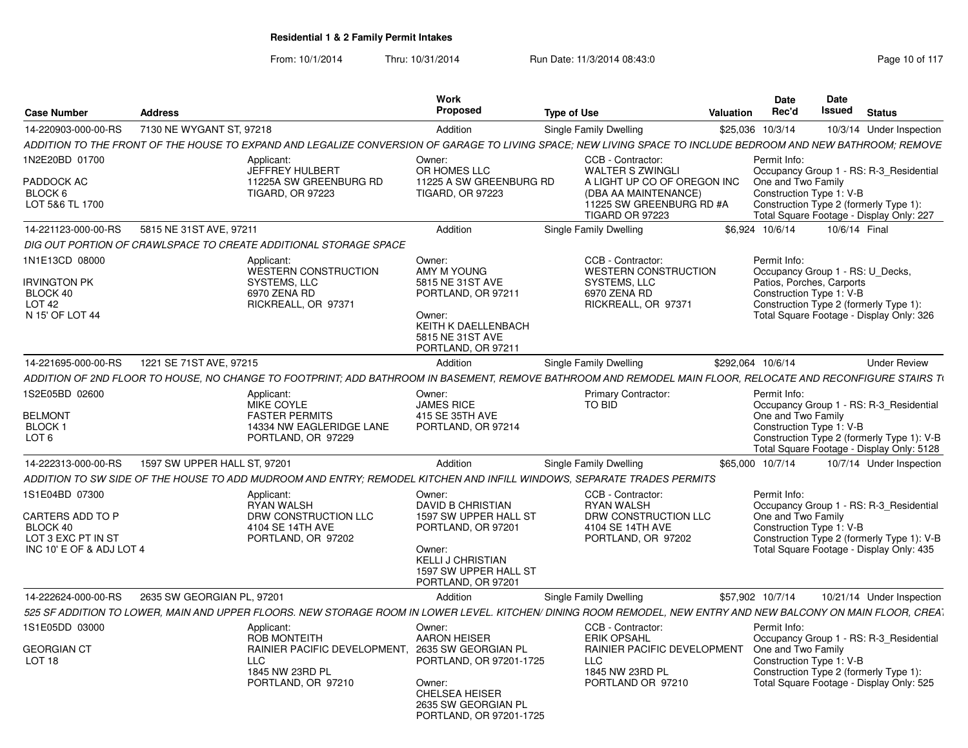|                                                   |                                            |                                                                                                                                                                | Work<br>Proposed                                                        |                                                                                                            | <b>Date</b><br>Rec'd<br>Valuation | <b>Date</b><br>Issued<br><b>Status</b>                                                                        |
|---------------------------------------------------|--------------------------------------------|----------------------------------------------------------------------------------------------------------------------------------------------------------------|-------------------------------------------------------------------------|------------------------------------------------------------------------------------------------------------|-----------------------------------|---------------------------------------------------------------------------------------------------------------|
| <b>Case Number</b>                                | <b>Address</b><br>7130 NE WYGANT ST, 97218 |                                                                                                                                                                |                                                                         | <b>Type of Use</b>                                                                                         |                                   |                                                                                                               |
| 14-220903-000-00-RS                               |                                            | ADDITION TO THE FRONT OF THE HOUSE TO EXPAND AND LEGALIZE CONVERSION OF GARAGE TO LIVING SPACE; NEW LIVING SPACE TO INCLUDE BEDROOM AND NEW BATHROOM; REMOVE   | Addition                                                                | Single Family Dwelling                                                                                     | \$25,036 10/3/14                  | 10/3/14 Under Inspection                                                                                      |
| IN2E20BD 01700                                    |                                            | Applicant:                                                                                                                                                     | Owner:                                                                  | CCB - Contractor:                                                                                          | Permit Info:                      |                                                                                                               |
| PADDOCK AC<br>BLOCK 6<br>LOT 5&6 TL 1700          |                                            | JEFFREY HULBERT<br>11225A SW GREENBURG RD<br><b>TIGARD, OR 97223</b>                                                                                           | OR HOMES LLC<br>11225 A SW GREENBURG RD<br><b>TIGARD, OR 97223</b>      | <b>WALTER S ZWINGLI</b><br>A LIGHT UP CO OF OREGON INC<br>(DBA AA MAINTENANCE)<br>11225 SW GREENBURG RD #A | One and Two Family                | Occupancy Group 1 - RS: R-3 Residential<br>Construction Type 1: V-B<br>Construction Type 2 (formerly Type 1): |
|                                                   |                                            |                                                                                                                                                                |                                                                         | TIGARD OR 97223                                                                                            |                                   | Total Square Footage - Display Only: 227                                                                      |
| 14-221123-000-00-RS                               | 5815 NE 31ST AVE, 97211                    |                                                                                                                                                                | Addition                                                                | Single Family Dwelling                                                                                     | \$6.924 10/6/14                   | 10/6/14 Final                                                                                                 |
|                                                   |                                            | DIG OUT PORTION OF CRAWLSPACE TO CREATE ADDITIONAL STORAGE SPACE                                                                                               |                                                                         |                                                                                                            |                                   |                                                                                                               |
| 1N1E13CD 08000<br><b>IRVINGTON PK</b><br>BLOCK 40 |                                            | Applicant:<br>WESTERN CONSTRUCTION<br>SYSTEMS, LLC<br>6970 ZENA RD                                                                                             | Owner:<br>AMY M YOUNG<br>5815 NE 31ST AVE<br>PORTLAND, OR 97211         | CCB - Contractor:<br><b>WESTERN CONSTRUCTION</b><br>SYSTEMS, LLC<br>6970 ZENA RD                           | Permit Info:                      | Occupancy Group 1 - RS: U Decks,<br>Patios, Porches, Carports<br>Construction Type 1: V-B                     |
| LOT <sub>42</sub><br>N 15' OF LOT 44              |                                            | RICKREALL, OR 97371                                                                                                                                            | Owner:<br>KEITH K DAELLENBACH<br>5815 NE 31ST AVE<br>PORTLAND, OR 97211 | RICKREALL, OR 97371                                                                                        |                                   | Construction Type 2 (formerly Type 1):<br>Total Square Footage - Display Only: 326                            |
| 14-221695-000-00-RS                               | 1221 SE 71ST AVE, 97215                    |                                                                                                                                                                | Addition                                                                | <b>Single Family Dwelling</b>                                                                              | \$292,064 10/6/14                 | <b>Under Review</b>                                                                                           |
|                                                   |                                            | ADDITION OF 2ND FLOOR TO HOUSE. NO CHANGE TO FOOTPRINT: ADD BATHROOM IN BASEMENT. REMOVE BATHROOM AND REMODEL MAIN FLOOR. RELOCATE AND RECONFIGURE STAIRS T\   |                                                                         |                                                                                                            |                                   |                                                                                                               |
| 1S2E05BD 02600                                    |                                            | Applicant:                                                                                                                                                     | Owner:                                                                  | <b>Primary Contractor:</b>                                                                                 | Permit Info:                      |                                                                                                               |
| <b>BELMONT</b>                                    |                                            | MIKE COYLE<br><b>FASTER PERMITS</b>                                                                                                                            | <b>JAMES RICE</b><br>415 SE 35TH AVE                                    | TO BID                                                                                                     | One and Two Family                | Occupancy Group 1 - RS: R-3_Residential                                                                       |
| <b>BLOCK</b>                                      |                                            | 14334 NW EAGLERIDGE LANE                                                                                                                                       | PORTLAND, OR 97214                                                      |                                                                                                            |                                   | Construction Type 1: V-B                                                                                      |
| LOT <sub>6</sub>                                  |                                            | PORTLAND, OR 97229                                                                                                                                             |                                                                         |                                                                                                            |                                   | Construction Type 2 (formerly Type 1): V-B<br>Total Square Footage - Display Only: 5128                       |
| 14-222313-000-00-RS                               | 1597 SW UPPER HALL ST, 97201               |                                                                                                                                                                | Addition                                                                | Single Family Dwelling                                                                                     | \$65,000 10/7/14                  | 10/7/14 Under Inspection                                                                                      |
|                                                   |                                            | ADDITION TO SW SIDE OF THE HOUSE TO ADD MUDROOM AND ENTRY; REMODEL KITCHEN AND INFILL WINDOWS, SEPARATE TRADES PERMITS                                         |                                                                         |                                                                                                            |                                   |                                                                                                               |
| 1S1E04BD 07300                                    |                                            | Applicant:                                                                                                                                                     | Owner:                                                                  | CCB - Contractor:                                                                                          | Permit Info:                      |                                                                                                               |
| <b>CARTERS ADD TO P</b>                           |                                            | <b>RYAN WALSH</b><br>DRW CONSTRUCTION LLC                                                                                                                      | <b>DAVID B CHRISTIAN</b><br>1597 SW UPPER HALL ST                       | <b>RYAN WALSH</b><br>DRW CONSTRUCTION LLC                                                                  | One and Two Family                | Occupancy Group 1 - RS: R-3 Residential                                                                       |
| BLOCK 40                                          |                                            | 4104 SE 14TH AVE                                                                                                                                               | PORTLAND, OR 97201                                                      | 4104 SE 14TH AVE                                                                                           |                                   | Construction Type 1: V-B                                                                                      |
| LOT 3 EXC PT IN ST<br>INC 10' E OF & ADJ LOT 4    |                                            | PORTLAND, OR 97202                                                                                                                                             | Owner:                                                                  | PORTLAND, OR 97202                                                                                         |                                   | Construction Type 2 (formerly Type 1): V-B<br>Total Square Footage - Display Only: 435                        |
|                                                   |                                            |                                                                                                                                                                | <b>KELLI J CHRISTIAN</b><br>1597 SW UPPER HALL ST<br>PORTLAND, OR 97201 |                                                                                                            |                                   |                                                                                                               |
| 14-222624-000-00-RS                               | 2635 SW GEORGIAN PL, 97201                 |                                                                                                                                                                | Addition                                                                | Single Family Dwelling                                                                                     | \$57,902 10/7/14                  | 10/21/14 Under Inspection                                                                                     |
|                                                   |                                            | 525 SF ADDITION TO LOWER. MAIN AND UPPER FLOORS, NEW STORAGE ROOM IN LOWER LEVEL, KITCHEN/ DINING ROOM REMODEL, NEW ENTRY AND NEW BALCONY ON MAIN FLOOR, CREAT |                                                                         |                                                                                                            |                                   |                                                                                                               |
| 1S1E05DD 03000                                    |                                            | Applicant:                                                                                                                                                     | Owner:                                                                  | CCB - Contractor:                                                                                          | Permit Info:                      |                                                                                                               |
| <b>GEORGIAN CT</b>                                |                                            | ROB MONTEITH<br>RAINIER PACIFIC DEVELOPMENT, 2635 SW GEORGIAN PL                                                                                               | <b>AARON HEISER</b>                                                     | <b>ERIK OPSAHL</b><br>RAINIER PACIFIC DEVELOPMENT                                                          | One and Two Family                | Occupancy Group 1 - RS: R-3_Residential                                                                       |
| LOT <sub>18</sub>                                 |                                            | <b>LLC</b>                                                                                                                                                     | PORTLAND, OR 97201-1725                                                 | <b>LLC</b>                                                                                                 |                                   | Construction Type 1: V-B                                                                                      |
|                                                   |                                            | 1845 NW 23RD PL<br>PORTLAND, OR 97210                                                                                                                          | Owner:                                                                  | 1845 NW 23RD PL<br>PORTLAND OR 97210                                                                       |                                   | Construction Type 2 (formerly Type 1):<br>Total Square Footage - Display Only: 525                            |
|                                                   |                                            |                                                                                                                                                                | <b>CHELSEA HEISER</b><br>2635 SW GEORGIAN PL<br>PORTLAND, OR 97201-1725 |                                                                                                            |                                   |                                                                                                               |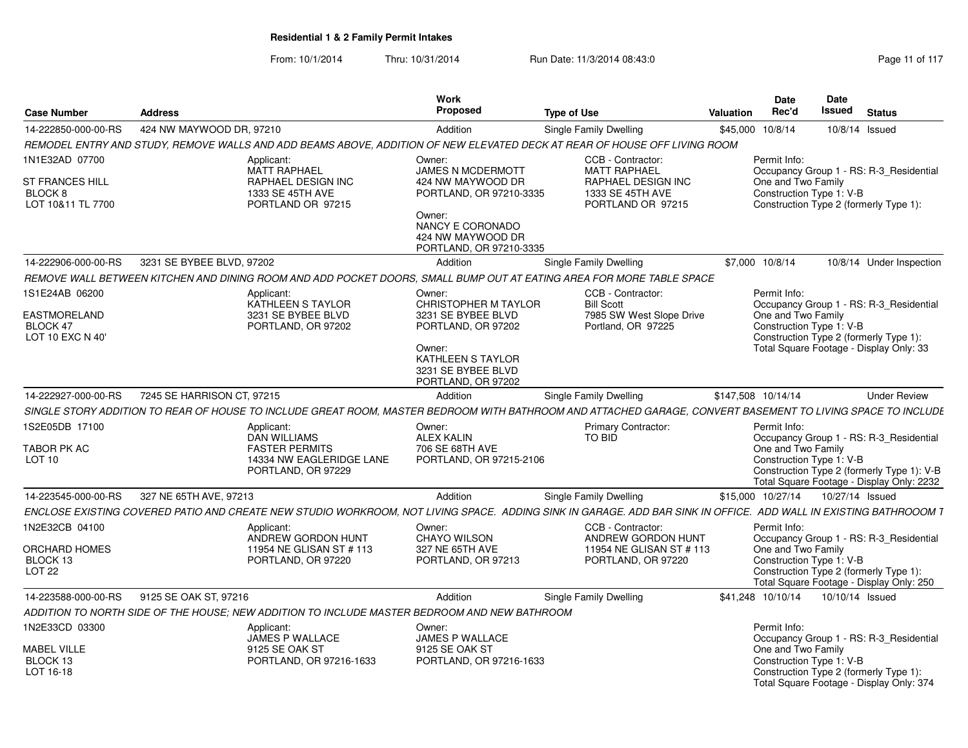| <b>Case Number</b>                                                       | <b>Address</b>             |                                                                                                  | Work<br>Proposed                                                                                                                                   | <b>Type of Use</b>                                                                                                                                                 | Valuation          | <b>Date</b><br>Rec'd                                           | Date<br>Issued | <b>Status</b>                                                                                                                      |  |
|--------------------------------------------------------------------------|----------------------------|--------------------------------------------------------------------------------------------------|----------------------------------------------------------------------------------------------------------------------------------------------------|--------------------------------------------------------------------------------------------------------------------------------------------------------------------|--------------------|----------------------------------------------------------------|----------------|------------------------------------------------------------------------------------------------------------------------------------|--|
| 14-222850-000-00-RS                                                      | 424 NW MAYWOOD DR, 97210   |                                                                                                  | Addition                                                                                                                                           | <b>Single Family Dwelling</b>                                                                                                                                      | \$45.000           | 10/8/14                                                        |                | $10/8/14$ Issued                                                                                                                   |  |
|                                                                          |                            |                                                                                                  |                                                                                                                                                    | REMODEL ENTRY AND STUDY, REMOVE WALLS AND ADD BEAMS ABOVE, ADDITION OF NEW ELEVATED DECK AT REAR OF HOUSE OFF LIVING ROOM                                          |                    |                                                                |                |                                                                                                                                    |  |
| 1N1E32AD 07700<br><b>ST FRANCES HILL</b><br>BLOCK 8<br>LOT 10&11 TL 7700 |                            | Applicant:<br><b>MATT RAPHAEL</b><br>RAPHAEL DESIGN INC<br>1333 SE 45TH AVE<br>PORTLAND OR 97215 | Owner:<br><b>JAMES N MCDERMOTT</b><br>424 NW MAYWOOD DR<br>PORTLAND, OR 97210-3335<br>Owner:                                                       | CCB - Contractor:<br><b>MATT RAPHAEL</b><br><b>RAPHAEL DESIGN INC</b><br>1333 SE 45TH AVE<br>PORTLAND OR 97215                                                     |                    | Permit Info:<br>One and Two Family<br>Construction Type 1: V-B |                | Occupancy Group 1 - RS: R-3 Residential<br>Construction Type 2 (formerly Type 1):                                                  |  |
|                                                                          |                            |                                                                                                  | NANCY E CORONADO<br>424 NW MAYWOOD DR<br>PORTLAND, OR 97210-3335                                                                                   |                                                                                                                                                                    |                    |                                                                |                |                                                                                                                                    |  |
| 14-222906-000-00-RS                                                      | 3231 SE BYBEE BLVD, 97202  |                                                                                                  | Addition                                                                                                                                           | Single Family Dwelling                                                                                                                                             | \$7,000 10/8/14    |                                                                |                | 10/8/14 Under Inspection                                                                                                           |  |
|                                                                          |                            |                                                                                                  |                                                                                                                                                    | REMOVE WALL BETWEEN KITCHEN AND DINING ROOM AND ADD POCKET DOORS, SMALL BUMP OUT AT EATING AREA FOR MORE TABLE SPACE                                               |                    |                                                                |                |                                                                                                                                    |  |
| 1S1E24AB 06200                                                           |                            | Applicant:                                                                                       | Owner:                                                                                                                                             | CCB - Contractor:                                                                                                                                                  |                    | Permit Info:                                                   |                |                                                                                                                                    |  |
| EASTMORELAND<br>BLOCK 47<br>LOT 10 EXC N 40'                             |                            | KATHLEEN S TAYLOR<br>3231 SE BYBEE BLVD<br>PORTLAND, OR 97202                                    | <b>CHRISTOPHER M TAYLOR</b><br>3231 SE BYBEE BLVD<br>PORTLAND, OR 97202<br>Owner:<br>KATHLEEN S TAYLOR<br>3231 SE BYBEE BLVD<br>PORTLAND, OR 97202 | <b>Bill Scott</b><br>7985 SW West Slope Drive<br>Portland, OR 97225                                                                                                |                    | One and Two Family<br>Construction Type 1: V-B                 |                | Occupancy Group 1 - RS: R-3 Residential<br>Construction Type 2 (formerly Type 1):<br>Total Square Footage - Display Only: 33       |  |
| 14-222927-000-00-RS                                                      | 7245 SE HARRISON CT, 97215 |                                                                                                  | Addition                                                                                                                                           | Single Family Dwelling                                                                                                                                             | \$147,508 10/14/14 |                                                                |                | <b>Under Review</b>                                                                                                                |  |
|                                                                          |                            |                                                                                                  |                                                                                                                                                    | SINGLE STORY ADDITION TO REAR OF HOUSE TO INCLUDE GREAT ROOM, MASTER BEDROOM WITH BATHROOM AND ATTACHED GARAGE, CONVERT BASEMENT TO LIVING SPACE TO INCLUDE        |                    |                                                                |                |                                                                                                                                    |  |
| 1S2E05DB 17100                                                           |                            | Applicant:<br><b>DAN WILLIAMS</b>                                                                | Owner:<br><b>ALEX KALIN</b>                                                                                                                        | <b>Primary Contractor:</b><br>TO BID                                                                                                                               |                    | Permit Info:                                                   |                |                                                                                                                                    |  |
| TABOR PK AC<br><b>LOT 10</b>                                             |                            | <b>FASTER PERMITS</b><br>14334 NW EAGLERIDGE LANE<br>PORTLAND, OR 97229                          | 706 SE 68TH AVE<br>PORTLAND, OR 97215-2106                                                                                                         |                                                                                                                                                                    |                    | One and Two Family<br>Construction Type 1: V-B                 |                | Occupancy Group 1 - RS: R-3_Residential<br>Construction Type 2 (formerly Type 1): V-B<br>Total Square Footage - Display Only: 2232 |  |
| 14-223545-000-00-RS                                                      | 327 NE 65TH AVE, 97213     |                                                                                                  | Addition                                                                                                                                           | Single Family Dwelling                                                                                                                                             | \$15,000 10/27/14  |                                                                |                | 10/27/14 Issued                                                                                                                    |  |
|                                                                          |                            |                                                                                                  |                                                                                                                                                    | ENCLOSE EXISTING COVERED PATIO AND CREATE NEW STUDIO WORKROOM. NOT LIVING SPACE.  ADDING SINK IN GARAGE. ADD BAR SINK IN OFFICE.  ADD WALL IN EXISTING BATHROOOM 1 |                    |                                                                |                |                                                                                                                                    |  |
| 1N2E32CB 04100                                                           |                            | Applicant:<br>ANDREW GORDON HUNT                                                                 | Owner:<br><b>CHAYO WILSON</b>                                                                                                                      | CCB - Contractor:<br>ANDREW GORDON HUNT                                                                                                                            |                    | Permit Info:                                                   |                | Occupancy Group 1 - RS: R-3_Residential                                                                                            |  |
| ORCHARD HOMES<br>BLOCK 13<br>LOT <sub>22</sub>                           |                            | 11954 NE GLISAN ST # 113<br>PORTLAND, OR 97220                                                   | 327 NE 65TH AVE<br>PORTLAND, OR 97213                                                                                                              | 11954 NE GLISAN ST # 113<br>PORTLAND, OR 97220                                                                                                                     |                    | One and Two Family<br>Construction Type 1: V-B                 |                | Construction Type 2 (formerly Type 1):<br>Total Square Footage - Display Only: 250                                                 |  |
| 14-223588-000-00-RS                                                      | 9125 SE OAK ST, 97216      |                                                                                                  | Addition                                                                                                                                           | Single Family Dwelling                                                                                                                                             | \$41.248 10/10/14  |                                                                |                | 10/10/14 Issued                                                                                                                    |  |
|                                                                          |                            | ADDITION TO NORTH SIDE OF THE HOUSE: NEW ADDITION TO INCLUDE MASTER BEDROOM AND NEW BATHROOM     |                                                                                                                                                    |                                                                                                                                                                    |                    |                                                                |                |                                                                                                                                    |  |
| 1N2E33CD 03300                                                           |                            | Applicant:<br>JAMES P WALLACE                                                                    | Owner:<br>JAMES P WALLACE                                                                                                                          |                                                                                                                                                                    |                    | Permit Info:                                                   |                | Occupancy Group 1 - RS: R-3_Residential                                                                                            |  |
| MABEL VILLE<br>BLOCK 13<br>LOT 16-18                                     |                            | 9125 SE OAK ST<br>PORTLAND, OR 97216-1633                                                        | 9125 SE OAK ST<br>PORTLAND, OR 97216-1633                                                                                                          |                                                                                                                                                                    |                    | One and Two Family<br>Construction Type 1: V-B                 |                | Construction Type 2 (formerly Type 1):<br>Total Square Footage - Display Only: 374                                                 |  |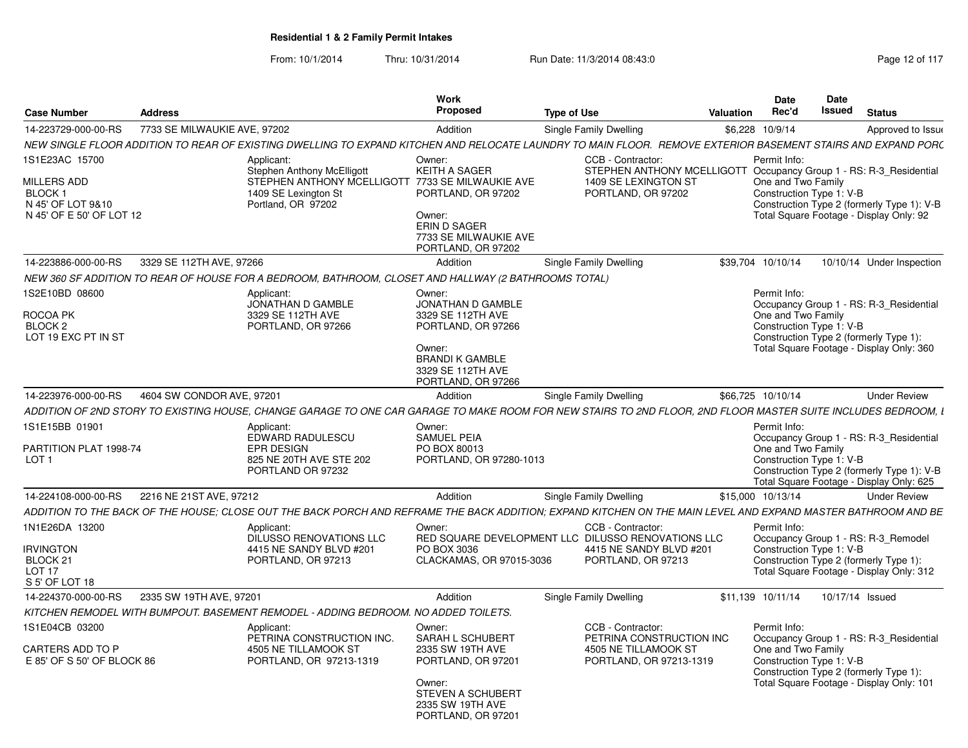| <b>Case Number</b>                                            | <b>Address</b>               |                                                                                                                                                               | Work<br>Proposed                                                                                                                                      | <b>Type of Use</b>            |                                                                                                                                       | <b>Valuation</b> | <b>Date</b><br>Rec'd                                           | Date<br>Issued | <b>Status</b>                                                                                                                     |
|---------------------------------------------------------------|------------------------------|---------------------------------------------------------------------------------------------------------------------------------------------------------------|-------------------------------------------------------------------------------------------------------------------------------------------------------|-------------------------------|---------------------------------------------------------------------------------------------------------------------------------------|------------------|----------------------------------------------------------------|----------------|-----------------------------------------------------------------------------------------------------------------------------------|
| 14-223729-000-00-RS                                           | 7733 SE MILWAUKIE AVE, 97202 |                                                                                                                                                               | Addition                                                                                                                                              | <b>Single Family Dwelling</b> |                                                                                                                                       |                  | \$6,228 10/9/14                                                |                | Approved to Issue                                                                                                                 |
|                                                               |                              | NEW SINGLE FLOOR ADDITION TO REAR OF EXISTING DWELLING TO EXPAND KITCHEN AND RELOCATE LAUNDRY TO MAIN FLOOR.  REMOVE EXTERIOR BASEMENT STAIRS AND EXPAND PORC |                                                                                                                                                       |                               |                                                                                                                                       |                  |                                                                |                |                                                                                                                                   |
| 1S1E23AC 15700<br>MILLERS ADD<br>BLOCK 1<br>N 45' OF LOT 9&10 |                              | Applicant:<br><b>Stephen Anthony McElligott</b><br>STEPHEN ANTHONY MCELLIGOTT 7733 SE MILWAUKIE AVE<br>1409 SE Lexington St                                   | Owner:<br><b>KEITH A SAGER</b><br>PORTLAND, OR 97202                                                                                                  |                               | CCB - Contractor:<br>STEPHEN ANTHONY MCELLIGOTT Occupancy Group 1 - RS: R-3_Residential<br>1409 SE LEXINGTON ST<br>PORTLAND, OR 97202 |                  | Permit Info:<br>One and Two Family<br>Construction Type 1: V-B |                | Construction Type 2 (formerly Type 1): V-B                                                                                        |
| N 45' OF E 50' OF LOT 12                                      |                              | Portland, OR 97202                                                                                                                                            | Owner:<br><b>ERIN D SAGER</b><br>7733 SE MILWAUKIE AVE<br>PORTLAND, OR 97202                                                                          |                               |                                                                                                                                       |                  |                                                                |                | Total Square Footage - Display Only: 92                                                                                           |
| 14-223886-000-00-RS                                           | 3329 SE 112TH AVE, 97266     |                                                                                                                                                               | Addition                                                                                                                                              | Single Family Dwelling        |                                                                                                                                       |                  | \$39.704 10/10/14                                              |                | 10/10/14 Under Inspection                                                                                                         |
|                                                               |                              | NEW 360 SF ADDITION TO REAR OF HOUSE FOR A BEDROOM, BATHROOM, CLOSET AND HALLWAY (2 BATHROOMS TOTAL)                                                          |                                                                                                                                                       |                               |                                                                                                                                       |                  |                                                                |                |                                                                                                                                   |
| 1S2E10BD 08600<br>ROCOA PK<br>BLOCK 2<br>LOT 19 EXC PT IN ST  |                              | Applicant:<br>JONATHAN D GAMBLE<br>3329 SE 112TH AVE<br>PORTLAND, OR 97266                                                                                    | Owner:<br>JONATHAN D GAMBLE<br>3329 SE 112TH AVE<br>PORTLAND, OR 97266<br>Owner:<br><b>BRANDI K GAMBLE</b><br>3329 SE 112TH AVE<br>PORTLAND, OR 97266 |                               |                                                                                                                                       |                  | Permit Info:<br>One and Two Family<br>Construction Type 1: V-B |                | Occupancy Group 1 - RS: R-3_Residential<br>Construction Type 2 (formerly Type 1):<br>Total Square Footage - Display Only: 360     |
| 14-223976-000-00-RS                                           | 4604 SW CONDOR AVE, 97201    |                                                                                                                                                               | Addition                                                                                                                                              | Single Family Dwelling        |                                                                                                                                       |                  | \$66,725 10/10/14                                              |                | Under Review                                                                                                                      |
|                                                               |                              | ADDITION OF 2ND STORY TO EXISTING HOUSE, CHANGE GARAGE TO ONE CAR GARAGE TO MAKE ROOM FOR NEW STAIRS TO 2ND FLOOR, 2ND FLOOR MASTER SUITE INCLUDES BEDROOM, L |                                                                                                                                                       |                               |                                                                                                                                       |                  |                                                                |                |                                                                                                                                   |
| 1S1E15BB 01901                                                |                              | Applicant:                                                                                                                                                    | Owner:                                                                                                                                                |                               |                                                                                                                                       |                  | Permit Info:                                                   |                |                                                                                                                                   |
| PARTITION PLAT 1998-74<br>LOT <sub>1</sub>                    |                              | EDWARD RADULESCU<br><b>EPR DESIGN</b><br>825 NE 20TH AVE STE 202<br>PORTLAND OR 97232                                                                         | <b>SAMUEL PEIA</b><br>PO BOX 80013<br>PORTLAND, OR 97280-1013                                                                                         |                               |                                                                                                                                       |                  | One and Two Family<br>Construction Type 1: V-B                 |                | Occupancy Group 1 - RS: R-3_Residential<br>Construction Type 2 (formerly Type 1): V-B<br>Total Square Footage - Display Only: 625 |
| 14-224108-000-00-RS                                           | 2216 NE 21ST AVE, 97212      |                                                                                                                                                               | Addition                                                                                                                                              | Single Family Dwelling        |                                                                                                                                       |                  | \$15,000 10/13/14                                              |                | <b>Under Review</b>                                                                                                               |
|                                                               |                              | ADDITION TO THE BACK OF THE HOUSE: CLOSE OUT THE BACK PORCH AND REFRAME THE BACK ADDITION: EXPAND KITCHEN ON THE MAIN LEVEL AND EXPAND MASTER BATHROOM AND BE |                                                                                                                                                       |                               |                                                                                                                                       |                  |                                                                |                |                                                                                                                                   |
| IN1E26DA 13200                                                |                              | Applicant:                                                                                                                                                    | Owner:                                                                                                                                                |                               | CCB - Contractor:                                                                                                                     |                  | Permit Info:                                                   |                |                                                                                                                                   |
| irvington<br>BLOCK 21                                         |                              | DILUSSO RENOVATIONS LLC<br>4415 NE SANDY BLVD #201<br>PORTLAND, OR 97213                                                                                      | RED SQUARE DEVELOPMENT LLC DILUSSO RENOVATIONS LLC<br>PO BOX 3036<br>CLACKAMAS, OR 97015-3036                                                         |                               | 4415 NE SANDY BLVD #201<br>PORTLAND, OR 97213                                                                                         |                  | Construction Type 1: V-B                                       |                | Occupancy Group 1 - RS: R-3_Remodel<br>Construction Type 2 (formerly Type 1):                                                     |
| LOT <sub>17</sub><br>S 5' OF LOT 18                           |                              |                                                                                                                                                               |                                                                                                                                                       |                               |                                                                                                                                       |                  |                                                                |                | Total Square Footage - Display Only: 312                                                                                          |
| 14-224370-000-00-RS                                           | 2335 SW 19TH AVE, 97201      |                                                                                                                                                               | Addition                                                                                                                                              | Single Family Dwelling        |                                                                                                                                       |                  | \$11,139 10/11/14                                              |                | 10/17/14 Issued                                                                                                                   |
|                                                               |                              | KITCHEN REMODEL WITH BUMPOUT. BASEMENT REMODEL - ADDING BEDROOM. NO ADDED TOILETS.                                                                            |                                                                                                                                                       |                               |                                                                                                                                       |                  |                                                                |                |                                                                                                                                   |
| 1S1E04CB 03200                                                |                              | Applicant:<br>PETRINA CONSTRUCTION INC.                                                                                                                       | Owner:<br><b>SARAH L SCHUBERT</b>                                                                                                                     |                               | CCB - Contractor:<br>PETRINA CONSTRUCTION INC                                                                                         |                  | Permit Info:                                                   |                | Occupancy Group 1 - RS: R-3 Residential                                                                                           |
| CARTERS ADD TO P<br>E 85' OF S 50' OF BLOCK 86                |                              | 4505 NE TILLAMOOK ST<br>PORTLAND, OR 97213-1319                                                                                                               | 2335 SW 19TH AVE<br>PORTLAND, OR 97201                                                                                                                |                               | 4505 NE TILLAMOOK ST<br>PORTLAND, OR 97213-1319                                                                                       |                  | One and Two Family<br>Construction Type 1: V-B                 |                | Construction Type 2 (formerly Type 1):                                                                                            |
|                                                               |                              |                                                                                                                                                               | Owner:<br><b>STEVEN A SCHUBERT</b><br>2335 SW 19TH AVE<br>PORTLAND, OR 97201                                                                          |                               |                                                                                                                                       |                  |                                                                |                | Total Square Footage - Display Only: 101                                                                                          |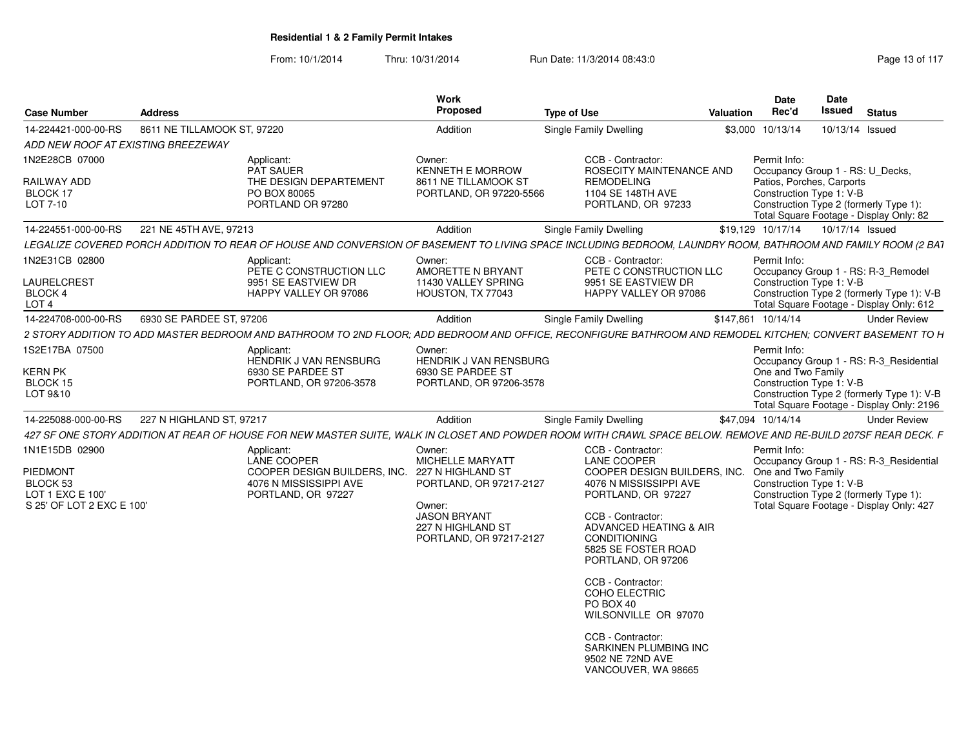| <b>Case Number</b>                                                    | <b>Address</b>              |                                                                                                                                                                | Work<br>Proposed                                                                                                              | <b>Type of Use</b>                                                                                                                                                                                                   | Valuation | <b>Date</b><br>Rec'd | Date<br><b>Issued</b>                                 | <b>Status</b>                                                                           |
|-----------------------------------------------------------------------|-----------------------------|----------------------------------------------------------------------------------------------------------------------------------------------------------------|-------------------------------------------------------------------------------------------------------------------------------|----------------------------------------------------------------------------------------------------------------------------------------------------------------------------------------------------------------------|-----------|----------------------|-------------------------------------------------------|-----------------------------------------------------------------------------------------|
| 14-224421-000-00-RS                                                   | 8611 NE TILLAMOOK ST, 97220 |                                                                                                                                                                | Addition                                                                                                                      | Single Family Dwelling                                                                                                                                                                                               |           | \$3,000 10/13/14     |                                                       | 10/13/14 Issued                                                                         |
| ADD NEW ROOF AT EXISTING BREEZEWAY                                    |                             |                                                                                                                                                                |                                                                                                                               |                                                                                                                                                                                                                      |           |                      |                                                       |                                                                                         |
| 1N2E28CB 07000<br>RAILWAY ADD<br>BLOCK 17                             |                             | Applicant:<br><b>PAT SAUER</b><br>THE DESIGN DEPARTEMENT<br>PO BOX 80065                                                                                       | Owner:<br><b>KENNETH E MORROW</b><br>8611 NE TILLAMOOK ST<br>PORTLAND, OR 97220-5566                                          | CCB - Contractor:<br>ROSECITY MAINTENANCE AND<br><b>REMODELING</b><br>1104 SE 148TH AVE                                                                                                                              |           | Permit Info:         | Patios, Porches, Carports<br>Construction Type 1: V-B | Occupancy Group 1 - RS: U Decks,                                                        |
| LOT 7-10                                                              |                             | PORTLAND OR 97280                                                                                                                                              |                                                                                                                               | PORTLAND, OR 97233                                                                                                                                                                                                   |           |                      |                                                       | Construction Type 2 (formerly Type 1):<br>Total Square Footage - Display Only: 82       |
| 14-224551-000-00-RS                                                   | 221 NE 45TH AVE, 97213      |                                                                                                                                                                | Addition                                                                                                                      | <b>Single Family Dwelling</b>                                                                                                                                                                                        |           | \$19,129 10/17/14    |                                                       | 10/17/14 Issued                                                                         |
|                                                                       |                             | LEGALIZE COVERED PORCH ADDITION TO REAR OF HOUSE AND CONVERSION OF BASEMENT TO LIVING SPACE INCLUDING BEDROOM, LAUNDRY ROOM, BATHROOM AND FAMILY ROOM (2 BA1   |                                                                                                                               |                                                                                                                                                                                                                      |           |                      |                                                       |                                                                                         |
| 1N2E31CB 02800                                                        |                             | Applicant:<br>PETE C CONSTRUCTION LLC                                                                                                                          | Owner:<br>AMORETTE N BRYANT                                                                                                   | CCB - Contractor:<br>PETE C CONSTRUCTION LLC                                                                                                                                                                         |           | Permit Info:         |                                                       | Occupancy Group 1 - RS: R-3 Remodel                                                     |
| LAURELCREST<br>BLOCK 4<br>LOT <sub>4</sub>                            |                             | 9951 SE EASTVIEW DR<br>HAPPY VALLEY OR 97086                                                                                                                   | 11430 VALLEY SPRING<br>HOUSTON, TX 77043                                                                                      | 9951 SE EASTVIEW DR<br>HAPPY VALLEY OR 97086                                                                                                                                                                         |           |                      | Construction Type 1: V-B                              | Construction Type 2 (formerly Type 1): V-B<br>Total Square Footage - Display Only: 612  |
| 14-224708-000-00-RS                                                   | 6930 SE PARDEE ST. 97206    |                                                                                                                                                                | Addition                                                                                                                      | Single Family Dwelling                                                                                                                                                                                               |           | \$147,861 10/14/14   |                                                       | <b>Under Review</b>                                                                     |
|                                                                       |                             | 2 STORY ADDITION TO ADD MASTER BEDROOM AND BATHROOM TO 2ND FLOOR; ADD BEDROOM AND OFFICE, RECONFIGURE BATHROOM AND REMODEL KITCHEN; CONVERT BASEMENT TO H      |                                                                                                                               |                                                                                                                                                                                                                      |           |                      |                                                       |                                                                                         |
| 1S2E17BA 07500                                                        |                             | Applicant:<br><b>HENDRIK J VAN RENSBURG</b>                                                                                                                    | Owner:<br><b>HENDRIK J VAN RENSBURG</b>                                                                                       |                                                                                                                                                                                                                      |           | Permit Info:         |                                                       | Occupancy Group 1 - RS: R-3_Residential                                                 |
| <b>KERN PK</b>                                                        |                             | 6930 SE PARDEE ST                                                                                                                                              | 6930 SE PARDEE ST                                                                                                             |                                                                                                                                                                                                                      |           | One and Two Family   |                                                       |                                                                                         |
| BLOCK 15                                                              |                             | PORTLAND, OR 97206-3578                                                                                                                                        | PORTLAND, OR 97206-3578                                                                                                       |                                                                                                                                                                                                                      |           |                      | Construction Type 1: V-B                              |                                                                                         |
| LOT 9&10                                                              |                             |                                                                                                                                                                |                                                                                                                               |                                                                                                                                                                                                                      |           |                      |                                                       | Construction Type 2 (formerly Type 1): V-B<br>Total Square Footage - Display Only: 2196 |
| 14-225088-000-00-RS                                                   | 227 N HIGHLAND ST, 97217    |                                                                                                                                                                | Addition                                                                                                                      | Single Family Dwelling                                                                                                                                                                                               |           | \$47,094 10/14/14    |                                                       | <b>Under Review</b>                                                                     |
|                                                                       |                             | 427 SF ONE STORY ADDITION AT REAR OF HOUSE FOR NEW MASTER SUITE, WALK IN CLOSET AND POWDER ROOM WITH CRAWL SPACE BELOW. REMOVE AND RE-BUILD 207SF REAR DECK. F |                                                                                                                               |                                                                                                                                                                                                                      |           |                      |                                                       |                                                                                         |
| 1N1E15DB 02900                                                        |                             | Applicant:<br>LANE COOPER                                                                                                                                      | Owner:<br>MICHELLE MARYATT                                                                                                    | CCB - Contractor:<br><b>LANE COOPER</b>                                                                                                                                                                              |           | Permit Info:         |                                                       | Occupancy Group 1 - RS: R-3 Residential                                                 |
| PIEDMONT<br>BLOCK 53<br>LOT 1 EXC E 100'<br>S 25' OF LOT 2 EXC E 100' |                             | COOPER DESIGN BUILDERS. INC.<br>4076 N MISSISSIPPI AVE<br>PORTLAND, OR 97227                                                                                   | 227 N HIGHLAND ST<br>PORTLAND, OR 97217-2127<br>Owner:<br><b>JASON BRYANT</b><br>227 N HIGHLAND ST<br>PORTLAND, OR 97217-2127 | COOPER DESIGN BUILDERS. INC.<br>4076 N MISSISSIPPI AVE<br>PORTLAND, OR 97227<br>CCB - Contractor:<br>ADVANCED HEATING & AIR<br><b>CONDITIONING</b><br>5825 SE FOSTER ROAD<br>PORTLAND, OR 97206<br>CCB - Contractor: |           | One and Two Family   | Construction Type 1: V-B                              | Construction Type 2 (formerly Type 1):<br>Total Square Footage - Display Only: 427      |
|                                                                       |                             |                                                                                                                                                                |                                                                                                                               | COHO ELECTRIC<br>PO BOX 40<br>WILSONVILLE OR 97070<br>CCB - Contractor:<br>SARKINEN PLUMBING INC<br>9502 NE 72ND AVE<br>VANCOUVER, WA 98665                                                                          |           |                      |                                                       |                                                                                         |
|                                                                       |                             |                                                                                                                                                                |                                                                                                                               |                                                                                                                                                                                                                      |           |                      |                                                       |                                                                                         |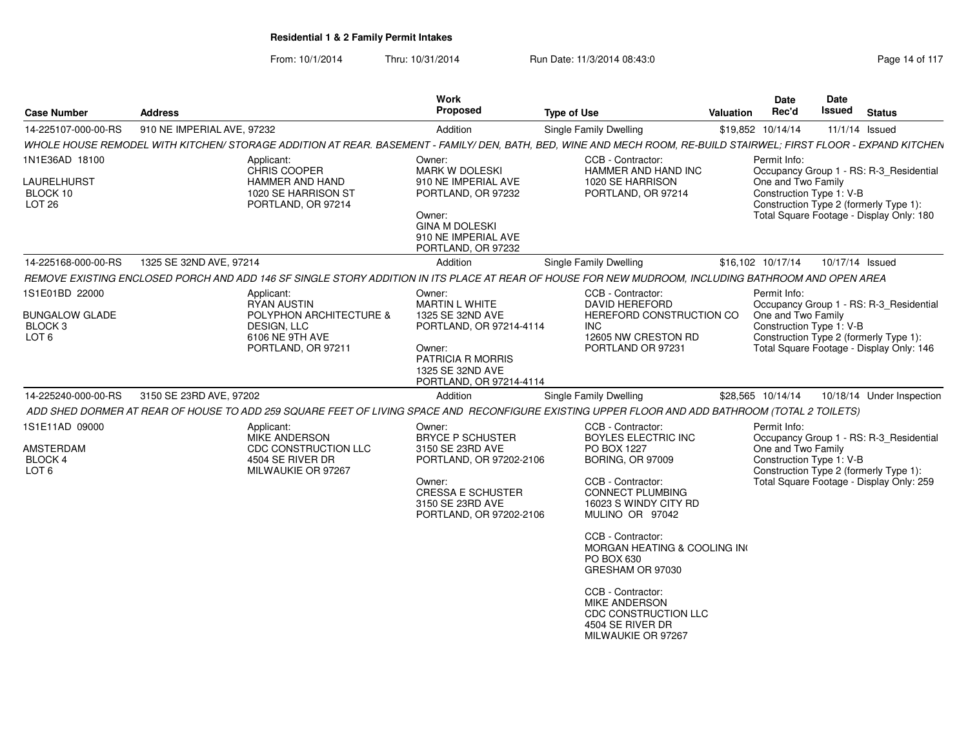| <b>Case Number</b>                                              | <b>Address</b>             |                                                                                                                                                                    | <b>Work</b><br>Proposed                                                                             | Type of Use                                                                                          | Valuation | <b>Date</b><br>Rec'd | Date<br>Issued           | <b>Status</b>                                                                      |
|-----------------------------------------------------------------|----------------------------|--------------------------------------------------------------------------------------------------------------------------------------------------------------------|-----------------------------------------------------------------------------------------------------|------------------------------------------------------------------------------------------------------|-----------|----------------------|--------------------------|------------------------------------------------------------------------------------|
| 14-225107-000-00-RS                                             | 910 NE IMPERIAL AVE, 97232 |                                                                                                                                                                    | Addition                                                                                            | Single Family Dwelling                                                                               |           | \$19,852 10/14/14    |                          | $11/1/14$ Issued                                                                   |
|                                                                 |                            | WHOLE HOUSE REMODEL WITH KITCHEN/ STORAGE ADDITION AT REAR. BASEMENT - FAMILY/ DEN, BATH, BED, WINE AND MECH ROOM, RE-BUILD STAIRWEL; FIRST FLOOR - EXPAND KITCHEN |                                                                                                     |                                                                                                      |           |                      |                          |                                                                                    |
| 1N1E36AD 18100                                                  |                            | Applicant:<br>CHRIS COOPER                                                                                                                                         | Owner:<br><b>MARK W DOLESKI</b>                                                                     | CCB - Contractor:<br>HAMMER AND HAND INC                                                             |           | Permit Info:         |                          | Occupancy Group 1 - RS: R-3 Residential                                            |
| LAURELHURST<br>BLOCK 10<br>LOT <sub>26</sub>                    |                            | HAMMER AND HAND<br>1020 SE HARRISON ST<br>PORTLAND, OR 97214                                                                                                       | 910 NE IMPERIAL AVE<br>PORTLAND, OR 97232<br>Owner:<br><b>GINA M DOLESKI</b><br>910 NE IMPERIAL AVE | 1020 SE HARRISON<br>PORTLAND, OR 97214                                                               |           | One and Two Family   | Construction Type 1: V-B | Construction Type 2 (formerly Type 1):<br>Total Square Footage - Display Only: 180 |
|                                                                 |                            |                                                                                                                                                                    | PORTLAND, OR 97232                                                                                  |                                                                                                      |           |                      |                          |                                                                                    |
| 14-225168-000-00-RS                                             | 1325 SE 32ND AVE, 97214    |                                                                                                                                                                    | Addition                                                                                            | Single Family Dwelling                                                                               |           | \$16.102 10/17/14    | 10/17/14 Issued          |                                                                                    |
|                                                                 |                            | REMOVE EXISTING ENCLOSED PORCH AND ADD 146 SF SINGLE STORY ADDITION IN ITS PLACE AT REAR OF HOUSE FOR NEW MUDROOM, INCLUDING BATHROOM AND OPEN AREA                |                                                                                                     |                                                                                                      |           |                      |                          |                                                                                    |
| 1S1E01BD 22000                                                  |                            | Applicant:<br><b>RYAN AUSTIN</b>                                                                                                                                   | Owner:<br><b>MARTIN L WHITE</b>                                                                     | CCB - Contractor:<br><b>DAVID HEREFORD</b>                                                           |           | Permit Info:         |                          | Occupancy Group 1 - RS: R-3_Residential                                            |
| <b>BUNGALOW GLADE</b><br>BLOCK <sub>3</sub><br>LOT <sub>6</sub> |                            | POLYPHON ARCHITECTURE &<br>DESIGN, LLC<br>6106 NE 9TH AVE                                                                                                          | 1325 SE 32ND AVE<br>PORTLAND, OR 97214-4114                                                         | HEREFORD CONSTRUCTION CO<br><b>INC</b><br>12605 NW CRESTON RD                                        |           | One and Two Family   | Construction Type 1: V-B | Construction Type 2 (formerly Type 1):                                             |
|                                                                 |                            | PORTLAND, OR 97211                                                                                                                                                 | Owner:<br>PATRICIA R MORRIS<br>1325 SE 32ND AVE<br>PORTLAND, OR 97214-4114                          | PORTLAND OR 97231                                                                                    |           |                      |                          | Total Square Footage - Display Only: 146                                           |
| 14-225240-000-00-RS                                             | 3150 SE 23RD AVE, 97202    |                                                                                                                                                                    | Addition                                                                                            | Single Family Dwelling                                                                               |           | \$28,565 10/14/14    |                          | 10/18/14 Under Inspection                                                          |
|                                                                 |                            | ADD SHED DORMER AT REAR OF HOUSE TO ADD 259 SQUARE FEET OF LIVING SPACE AND RECONFIGURE EXISTING UPPER FLOOR AND ADD BATHROOM (TOTAL 2 TOILETS)                    |                                                                                                     |                                                                                                      |           |                      |                          |                                                                                    |
| 1S1E11AD 09000                                                  |                            | Applicant:                                                                                                                                                         | Owner:                                                                                              | CCB - Contractor:                                                                                    |           | Permit Info:         |                          |                                                                                    |
| AMSTERDAM                                                       |                            | MIKE ANDERSON<br>CDC CONSTRUCTION LLC                                                                                                                              | <b>BRYCE P SCHUSTER</b><br>3150 SE 23RD AVE                                                         | BOYLES ELECTRIC INC<br>PO BOX 1227                                                                   |           | One and Two Family   |                          | Occupancy Group 1 - RS: R-3_Residential                                            |
| BLOCK 4                                                         |                            | 4504 SE RIVER DR                                                                                                                                                   | PORTLAND, OR 97202-2106                                                                             | <b>BORING, OR 97009</b>                                                                              |           |                      | Construction Type 1: V-B |                                                                                    |
| LOT <sub>6</sub>                                                |                            | MILWAUKIE OR 97267                                                                                                                                                 | Owner:<br><b>CRESSA E SCHUSTER</b><br>3150 SE 23RD AVE<br>PORTLAND, OR 97202-2106                   | CCB - Contractor:<br><b>CONNECT PLUMBING</b><br>16023 S WINDY CITY RD<br>MULINO OR 97042             |           |                      |                          | Construction Type 2 (formerly Type 1):<br>Total Square Footage - Display Only: 259 |
|                                                                 |                            |                                                                                                                                                                    |                                                                                                     | CCB - Contractor:<br>MORGAN HEATING & COOLING IN(<br>PO BOX 630<br>GRESHAM OR 97030                  |           |                      |                          |                                                                                    |
|                                                                 |                            |                                                                                                                                                                    |                                                                                                     | CCB - Contractor:<br>MIKE ANDERSON<br>CDC CONSTRUCTION LLC<br>4504 SE RIVER DR<br>MILWAUKIE OR 97267 |           |                      |                          |                                                                                    |
|                                                                 |                            |                                                                                                                                                                    |                                                                                                     |                                                                                                      |           |                      |                          |                                                                                    |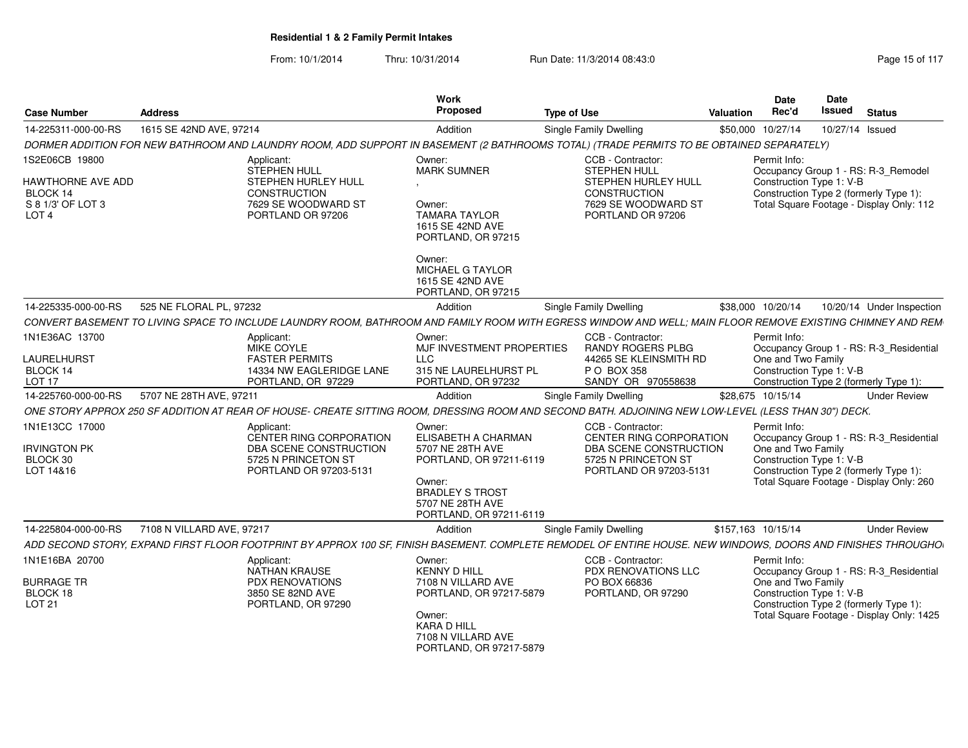| Case Number                                                            | <b>Address</b>                                |                                                                                                    | Work<br>Propose                                                                                                                                              | <b>Type of Use</b>                                                                                                                                           | Date<br>Rec'd<br>Valuation                     | Date<br>Issued<br><b>Status</b>                                                                                               |
|------------------------------------------------------------------------|-----------------------------------------------|----------------------------------------------------------------------------------------------------|--------------------------------------------------------------------------------------------------------------------------------------------------------------|--------------------------------------------------------------------------------------------------------------------------------------------------------------|------------------------------------------------|-------------------------------------------------------------------------------------------------------------------------------|
| 14-225311-000-00-RS                                                    | 1615 SE 42ND AVE, 97214                       |                                                                                                    | Addition                                                                                                                                                     | Single Family Dwelling                                                                                                                                       | \$50,000 10/27/14                              | 10/27/14 Issued                                                                                                               |
|                                                                        |                                               | DORMER ADDITION FOR NEW BATHROOM AND LAUNDRY ROOM, ADD SUPPORT IN BASEMENT                         |                                                                                                                                                              | (2 BATHROOMS TOTAL) (TRADE PERMITS TO BE OBTAINED SEPARATELY)                                                                                                |                                                |                                                                                                                               |
| 1S2E06CB 19800                                                         |                                               | Applicant:<br>STEPHEN HULL                                                                         | Owner:<br><b>MARK SUMNER</b>                                                                                                                                 | CCB - Contractor:<br><b>STEPHEN HULL</b>                                                                                                                     | Permit Info:                                   | Occupancy Group 1 - RS: R-3 Remodel                                                                                           |
| HAWTHORNE AVE ADD<br>BLOCK 14<br>S 8 1/3' OF LOT 3<br>LOT <sub>4</sub> |                                               | <b>STEPHEN HURLEY HULL</b><br>CONSTRUCTION<br>7629 SE WOODWARD ST<br>PORTLAND OR 97206             | Owner:<br><b>TAMARA TAYLOR</b><br>1615 SE 42ND AVE<br>PORTLAND, OR 97215                                                                                     | STEPHEN HURLEY HULL<br>CONSTRUCTION<br>7629 SE WOODWARD ST<br>PORTLAND OR 97206                                                                              | Construction Type 1: V-B                       | Construction Type 2 (formerly Type 1):<br>Total Square Footage - Display Only: 112                                            |
|                                                                        |                                               |                                                                                                    | Owner:<br>MICHAEL G TAYLOR<br>1615 SE 42ND AVE<br>PORTLAND, OR 97215                                                                                         |                                                                                                                                                              |                                                |                                                                                                                               |
|                                                                        | 14-225335-000-00-RS 525 NE FLORAL PL, 97232   |                                                                                                    | Addition                                                                                                                                                     | <b>Single Family Dwelling</b>                                                                                                                                | \$38,000 10/20/14                              | 10/20/14 Under Inspection                                                                                                     |
|                                                                        |                                               |                                                                                                    |                                                                                                                                                              | CONVERT BASEMENT TO LIVING SPACE TO INCLUDE LAUNDRY ROOM, BATHROOM AND FAMILY ROOM WITH EGRESS WINDOW AND WELL; MAIN FLOOR REMOVE EXISTING CHIMNEY AND REM   |                                                |                                                                                                                               |
| 1N1E36AC 13700<br>LAURELHURST                                          |                                               | Applicant:<br>MIKE COYLE<br><b>FASTER PERMITS</b>                                                  | Owner:<br>MJF INVESTMENT PROPERTIES<br>LLC                                                                                                                   | CCB - Contractor:<br>RANDY ROGERS PLBG<br>44265 SE KLEINSMITH RD                                                                                             | Permit Info:<br>One and Two Family             | Occupancy Group 1 - RS: R-3 Residential                                                                                       |
| BLOCK 14<br>LOT 17                                                     |                                               | 14334 NW EAGLERIDGE LANE<br>PORTLAND, OR 97229                                                     | 315 NE LAURELHURST PL<br>PORTLAND, OR 97232                                                                                                                  | P O BOX 358<br>SANDY OR 970558638                                                                                                                            | Construction Type 1: V-B                       | Construction Type 2 (formerly Type 1)                                                                                         |
| 14-225760-000-00-RS                                                    | 5707 NE 28TH AVE, 97211                       |                                                                                                    | Addition                                                                                                                                                     | Single Family Dwelling                                                                                                                                       | \$28,675 10/15/14                              | <b>Under Review</b>                                                                                                           |
|                                                                        |                                               |                                                                                                    |                                                                                                                                                              | ONE STORY APPROX 250 SF ADDITION AT REAR OF HOUSE- CREATE SITTING ROOM, DRESSING ROOM AND SECOND BATH. ADJOINING NEW LOW-LEVEL (LESS THAN 30") DECK.         |                                                |                                                                                                                               |
| 1N1E13CC 17000                                                         |                                               | Applicant:                                                                                         | Owner:                                                                                                                                                       | CCB - Contractor:                                                                                                                                            | Permit Info:                                   |                                                                                                                               |
| <b>IRVINGTON PK</b><br>BLOCK 30<br>LOT 14&16                           |                                               | CENTER RING CORPORATION<br>DBA SCENE CONSTRUCTION<br>5725 N PRINCETON ST<br>PORTLAND OR 97203-5131 | <b>ELISABETH A CHARMAN</b><br>5707 NE 28TH AVE<br>PORTLAND, OR 97211-6119<br>Owner:<br><b>BRADLEY S TROST</b><br>5707 NE 28TH AVE<br>PORTLAND, OR 97211-6119 | CENTER RING CORPORATION<br>DBA SCENE CONSTRUCTION<br>5725 N PRINCETON ST<br>PORTLAND OR 97203-5131                                                           | One and Two Family<br>Construction Type 1: V-B | Occupancy Group 1 - RS: R-3_Residential<br>Construction Type 2 (formerly Type 1):<br>Total Square Footage - Display Only: 260 |
|                                                                        | 14-225804-000-00-RS 7108 N VILLARD AVE, 97217 |                                                                                                    | Addition                                                                                                                                                     | <b>Single Family Dwelling</b>                                                                                                                                | \$157,163 10/15/14                             | <b>Under Review</b>                                                                                                           |
|                                                                        |                                               |                                                                                                    |                                                                                                                                                              | ADD SECOND STORY, EXPAND FIRST FLOOR FOOTPRINT BY APPROX 100 SF, FINISH BASEMENT. COMPLETE REMODEL OF ENTIRE HOUSE. NEW WINDOWS, DOORS AND FINISHES THROUGHO |                                                |                                                                                                                               |
| 1N1E16BA 20700<br><b>BURRAGE TR</b>                                    |                                               | Applicant:<br>NATHAN KRAUSE<br><b>PDX RENOVATIONS</b>                                              | Owner:<br><b>KENNY D HILL</b><br>7108 N VILLARD AVE                                                                                                          | CCB - Contractor:<br><b>PDX RENOVATIONS LLC</b><br>PO BOX 66836                                                                                              | Permit Info:<br>One and Two Family             | Occupancy Group 1 - RS: R-3_Residential                                                                                       |
| BLOCK 18<br>LOT 21                                                     |                                               | 3850 SE 82ND AVE<br>PORTLAND, OR 97290                                                             | PORTLAND, OR 97217-5879<br>Owner:<br>KARA D HILL<br>7108 N VILLARD AVE<br>PORTLAND, OR 97217-5879                                                            | PORTLAND, OR 97290                                                                                                                                           | Construction Type 1: V-B                       | Construction Type 2 (formerly Type 1):<br>Total Square Footage - Display Only: 1425                                           |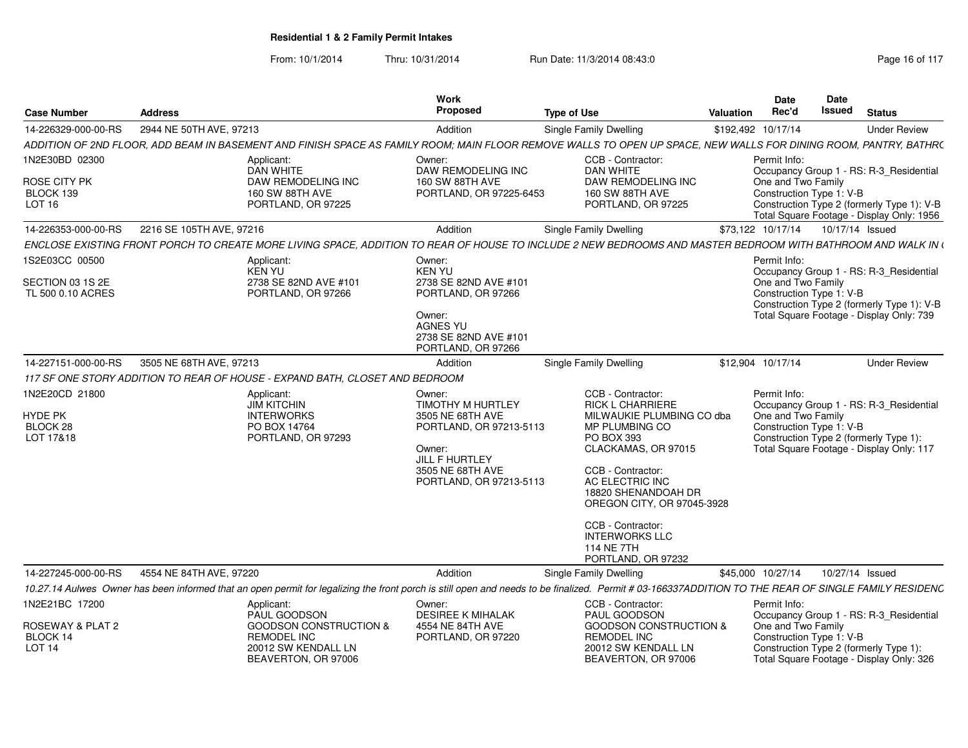| 14-226329-000-00-RS<br>2944 NE 50TH AVE, 97213<br>Addition<br>Single Family Dwelling<br>ADDITION OF 2ND FLOOR, ADD BEAM IN BASEMENT AND FINISH SPACE AS FAMILY ROOM: MAIN FLOOR REMOVE WALLS TO OPEN UP SPACE, NEW WALLS FOR DINING ROOM, PANTRY, BATHR(<br>1N2E30BD 02300<br>CCB - Contractor:<br>Applicant:<br>Owner:<br>DAN WHITE<br>DAW REMODELING INC<br>DAN WHITE<br>DAW REMODELING INC<br>DAW REMODELING INC<br><b>160 SW 88TH AVE</b> | \$192,492 10/17/14<br>Permit Info: |                                                                                                                     | <b>Under Review</b> |
|-----------------------------------------------------------------------------------------------------------------------------------------------------------------------------------------------------------------------------------------------------------------------------------------------------------------------------------------------------------------------------------------------------------------------------------------------|------------------------------------|---------------------------------------------------------------------------------------------------------------------|---------------------|
|                                                                                                                                                                                                                                                                                                                                                                                                                                               |                                    |                                                                                                                     |                     |
| ROSE CITY PK                                                                                                                                                                                                                                                                                                                                                                                                                                  |                                    |                                                                                                                     |                     |
|                                                                                                                                                                                                                                                                                                                                                                                                                                               |                                    | Occupancy Group 1 - RS: R-3 Residential                                                                             |                     |
| BLOCK 139<br><b>160 SW 88TH AVE</b><br>PORTLAND, OR 97225-6453<br>160 SW 88TH AVE<br>LOT 16<br>PORTLAND, OR 97225<br>PORTLAND, OR 97225                                                                                                                                                                                                                                                                                                       | One and Two Family                 | Construction Type 1: V-B<br>Construction Type 2 (formerly Type 1): V-B<br>Total Square Footage - Display Only: 1956 |                     |
| 2216 SE 105TH AVE, 97216<br>14-226353-000-00-RS<br><b>Single Family Dwelling</b><br>Addition                                                                                                                                                                                                                                                                                                                                                  | \$73,122 10/17/14                  | 10/17/14 Issued                                                                                                     |                     |
| ENCLOSE EXISTING FRONT PORCH TO CREATE MORE LIVING SPACE, ADDITION TO REAR OF HOUSE TO INCLUDE 2 NEW BEDROOMS AND MASTER BEDROOM WITH BATHROOM AND WALK IN (                                                                                                                                                                                                                                                                                  |                                    |                                                                                                                     |                     |
| 1S2E03CC 00500<br>Applicant:<br>Owner:<br>KEN YU<br><b>KEN YU</b>                                                                                                                                                                                                                                                                                                                                                                             | Permit Info:                       | Occupancy Group 1 - RS: R-3_Residential                                                                             |                     |
| SECTION 03 1S 2E<br>2738 SE 82ND AVE #101<br>2738 SE 82ND AVE #101<br>TL 500 0.10 ACRES<br>PORTLAND, OR 97266<br>PORTLAND, OR 97266                                                                                                                                                                                                                                                                                                           | One and Two Family                 | Construction Type 1: V-B<br>Construction Type 2 (formerly Type 1): V-B                                              |                     |
| Owner:<br><b>AGNES YU</b><br>2738 SE 82ND AVE #101<br>PORTLAND, OR 97266                                                                                                                                                                                                                                                                                                                                                                      |                                    | Total Square Footage - Display Only: 739                                                                            |                     |
| 3505 NE 68TH AVE, 97213<br>14-227151-000-00-RS<br>Addition<br><b>Single Family Dwelling</b>                                                                                                                                                                                                                                                                                                                                                   | \$12.904 10/17/14                  |                                                                                                                     | <b>Under Review</b> |
| 117 SF ONE STORY ADDITION TO REAR OF HOUSE - EXPAND BATH. CLOSET AND BEDROOM                                                                                                                                                                                                                                                                                                                                                                  |                                    |                                                                                                                     |                     |
| 1N2E20CD 21800<br>CCB - Contractor:<br>Applicant:<br>Owner:<br><b>JIM KITCHIN</b><br>TIMOTHY M HURTLEY<br><b>RICK L CHARRIERE</b>                                                                                                                                                                                                                                                                                                             | Permit Info:                       | Occupancy Group 1 - RS: R-3_Residential                                                                             |                     |
| HYDE PK<br><b>INTERWORKS</b><br>3505 NE 68TH AVE<br>MILWAUKIE PLUMBING CO dba<br>BLOCK 28<br>PO BOX 14764<br>MP PLUMBING CO<br>PORTLAND, OR 97213-5113<br>LOT 17&18<br>PORTLAND, OR 97293<br><b>PO BOX 393</b><br>CLACKAMAS, OR 97015<br>Owner:<br>JILL F HURTLEY                                                                                                                                                                             | One and Two Family                 | Construction Type 1: V-B<br>Construction Type 2 (formerly Type 1):<br>Total Square Footage - Display Only: 117      |                     |
| CCB - Contractor:<br>3505 NE 68TH AVE<br>AC ELECTRIC INC<br>PORTLAND, OR 97213-5113<br>18820 SHENANDOAH DR<br>OREGON CITY, OR 97045-3928                                                                                                                                                                                                                                                                                                      |                                    |                                                                                                                     |                     |
| CCB - Contractor:<br><b>INTERWORKS LLC</b><br>114 NE 7TH<br>PORTLAND, OR 97232                                                                                                                                                                                                                                                                                                                                                                |                                    |                                                                                                                     |                     |
| 14-227245-000-00-RS<br>4554 NE 84TH AVE, 97220<br>Addition<br>Single Family Dwelling                                                                                                                                                                                                                                                                                                                                                          | \$45,000 10/27/14                  | 10/27/14 Issued                                                                                                     |                     |
| 10.27.14 Aulwes Owner has been informed that an open permit for legalizing the front porch is still open and needs to be finalized. Permit # 03-166337ADDITION TO THE REAR OF SINGLE FAMILY RESIDENC                                                                                                                                                                                                                                          |                                    |                                                                                                                     |                     |
| 1N2E21BC 17200<br>Owner:<br>CCB - Contractor:<br>Applicant:<br>PAUL GOODSON<br><b>DESIREE K MIHALAK</b><br>PAUL GOODSON                                                                                                                                                                                                                                                                                                                       | Permit Info:                       | Occupancy Group 1 - RS: R-3_Residential                                                                             |                     |
| ROSEWAY & PLAT 2<br><b>GOODSON CONSTRUCTION &amp;</b><br>4554 NE 84TH AVE<br><b>GOODSON CONSTRUCTION &amp;</b><br>BLOCK 14<br>REMODEL INC<br>PORTLAND, OR 97220<br><b>REMODEL INC</b><br>LOT <sub>14</sub><br>20012 SW KENDALL LN<br>20012 SW KENDALL LN<br>BEAVERTON, OR 97006<br>BEAVERTON, OR 97006                                                                                                                                        | One and Two Family                 | Construction Type 1: V-B<br>Construction Type 2 (formerly Type 1):<br>Total Square Footage - Display Only: 326      |                     |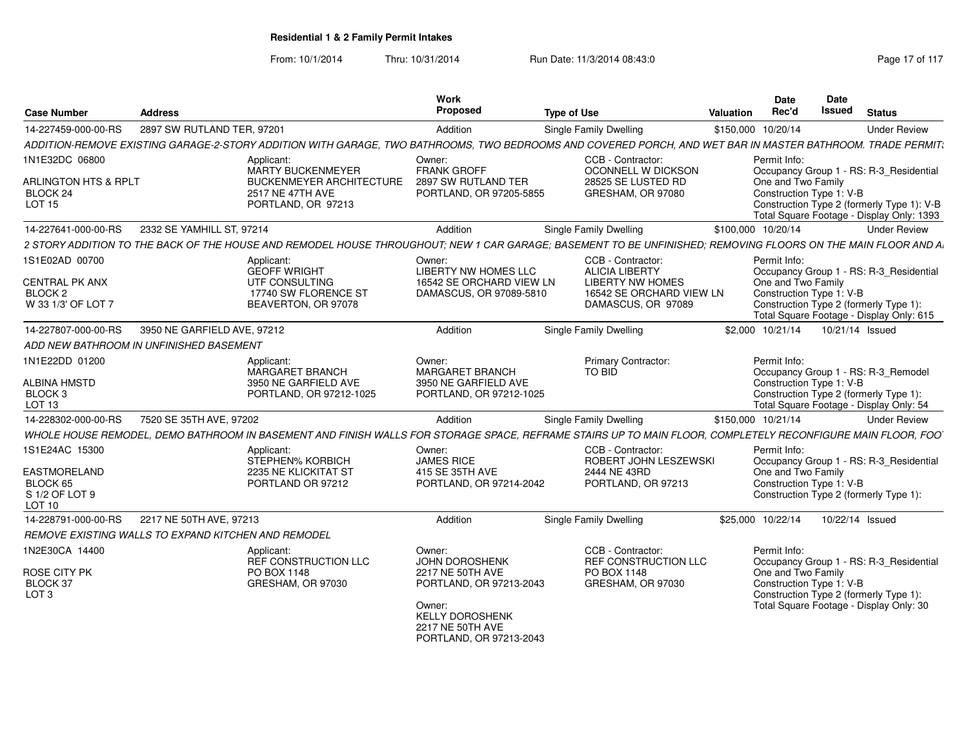| <b>Case Number</b>                                                    | <b>Address</b>              |                                                                                                                                                              | Work<br><b>Proposed</b>                                                                                                                                           | <b>Type of Use</b>            |                                                                                      | Valuation          | Date<br>Rec'd                                                  | <b>Date</b><br>Issued | <b>Status</b>                                                                                                                      |
|-----------------------------------------------------------------------|-----------------------------|--------------------------------------------------------------------------------------------------------------------------------------------------------------|-------------------------------------------------------------------------------------------------------------------------------------------------------------------|-------------------------------|--------------------------------------------------------------------------------------|--------------------|----------------------------------------------------------------|-----------------------|------------------------------------------------------------------------------------------------------------------------------------|
| 14-227459-000-00-RS                                                   | 2897 SW RUTLAND TER, 97201  |                                                                                                                                                              | Addition                                                                                                                                                          | Single Family Dwelling        |                                                                                      | \$150,000 10/20/14 |                                                                |                       | <b>Under Review</b>                                                                                                                |
|                                                                       |                             | ADDITION-REMOVE EXISTING GARAGE-2-STORY ADDITION WITH GARAGE, TWO BATHROOMS, TWO BEDROOMS AND COVERED PORCH, AND WET BAR IN MASTER BATHROOM. TRADE PERMIT,   |                                                                                                                                                                   |                               |                                                                                      |                    |                                                                |                       |                                                                                                                                    |
| 1N1E32DC 06800                                                        |                             | Applicant:                                                                                                                                                   | Owner:                                                                                                                                                            |                               | CCB - Contractor:                                                                    |                    | Permit Info:                                                   |                       |                                                                                                                                    |
| ARLINGTON HTS & RPLT<br>BLOCK 24<br><b>LOT 15</b>                     |                             | MARTY BUCKENMEYER<br><b>BUCKENMEYER ARCHITECTURE</b><br>2517 NE 47TH AVE<br>PORTLAND, OR 97213                                                               | <b>FRANK GROFF</b><br>2897 SW RUTLAND TER<br>PORTLAND, OR 97205-5855                                                                                              |                               | OCONNELL W DICKSON<br>28525 SE LUSTED RD<br>GRESHAM, OR 97080                        |                    | One and Two Family<br>Construction Type 1: V-B                 |                       | Occupancy Group 1 - RS: R-3_Residential<br>Construction Type 2 (formerly Type 1): V-B<br>Total Square Footage - Display Only: 1393 |
| 14-227641-000-00-RS                                                   | 2332 SE YAMHILL ST, 97214   |                                                                                                                                                              | Addition                                                                                                                                                          | Single Family Dwelling        |                                                                                      | \$100,000 10/20/14 |                                                                |                       | <b>Under Review</b>                                                                                                                |
|                                                                       |                             | 2 STORY ADDITION TO THE BACK OF THE HOUSE AND REMODEL HOUSE THROUGHOUT: NEW 1 CAR GARAGE: BASEMENT TO BE UNFINISHED: REMOVING FLOORS ON THE MAIN FLOOR AND A |                                                                                                                                                                   |                               |                                                                                      |                    |                                                                |                       |                                                                                                                                    |
| 1S1E02AD 00700                                                        |                             | Applicant:<br><b>GEOFF WRIGHT</b>                                                                                                                            | Owner:<br>LIBERTY NW HOMES LLC                                                                                                                                    |                               | CCB - Contractor:<br><b>ALICIA LIBERTY</b>                                           |                    | Permit Info:                                                   |                       | Occupancy Group 1 - RS: R-3_Residential                                                                                            |
| CENTRAL PK ANX<br>BLOCK <sub>2</sub>                                  |                             | UTF CONSULTING<br>17740 SW FLORENCE ST                                                                                                                       | 16542 SE ORCHARD VIEW LN<br>DAMASCUS, OR 97089-5810                                                                                                               |                               | <b>LIBERTY NW HOMES</b><br>16542 SE ORCHARD VIEW LN                                  |                    | One and Two Family<br>Construction Type 1: V-B                 |                       |                                                                                                                                    |
| W 33 1/3' OF LOT 7                                                    |                             | BEAVERTON, OR 97078                                                                                                                                          |                                                                                                                                                                   |                               | DAMASCUS, OR 97089                                                                   |                    |                                                                |                       | Construction Type 2 (formerly Type 1):<br>Total Square Footage - Display Only: 615                                                 |
| 14-227807-000-00-RS                                                   | 3950 NE GARFIELD AVE, 97212 |                                                                                                                                                              | Addition                                                                                                                                                          | Single Family Dwelling        |                                                                                      |                    | \$2,000 10/21/14                                               |                       | 10/21/14 Issued                                                                                                                    |
| ADD NEW BATHROOM IN UNFINISHED BASEMENT                               |                             |                                                                                                                                                              |                                                                                                                                                                   |                               |                                                                                      |                    |                                                                |                       |                                                                                                                                    |
| 1N1E22DD 01200                                                        |                             | Applicant:<br>MARGARET BRANCH                                                                                                                                | Owner:<br><b>MARGARET BRANCH</b>                                                                                                                                  | TO BID                        | <b>Primary Contractor:</b>                                                           |                    | Permit Info:                                                   |                       | Occupancy Group 1 - RS: R-3_Remodel                                                                                                |
| <b>ALBINA HMSTD</b><br>BLOCK <sub>3</sub><br>LOT <sub>13</sub>        |                             | 3950 NE GARFIELD AVE<br>PORTLAND, OR 97212-1025                                                                                                              | 3950 NE GARFIELD AVE<br>PORTLAND, OR 97212-1025                                                                                                                   |                               |                                                                                      |                    | Construction Type 1: V-B                                       |                       | Construction Type 2 (formerly Type 1):<br>Total Square Footage - Display Only: 54                                                  |
| 14-228302-000-00-RS                                                   | 7520 SE 35TH AVE, 97202     |                                                                                                                                                              | Addition                                                                                                                                                          | <b>Single Family Dwelling</b> |                                                                                      | \$150,000 10/21/14 |                                                                |                       | <b>Under Review</b>                                                                                                                |
|                                                                       |                             | WHOLE HOUSE REMODEL, DEMO BATHROOM IN BASEMENT AND FINISH WALLS FOR STORAGE SPACE, REFRAME STAIRS UP TO MAIN FLOOR, COMPLETELY RECONFIGURE MAIN FLOOR, FOO'  |                                                                                                                                                                   |                               |                                                                                      |                    |                                                                |                       |                                                                                                                                    |
| 1S1E24AC 15300                                                        |                             | Applicant:<br>STEPHEN% KORBICH                                                                                                                               | Owner:<br><b>JAMES RICE</b>                                                                                                                                       |                               | CCB - Contractor:<br>ROBERT JOHN LESZEWSKI                                           |                    | Permit Info:                                                   |                       | Occupancy Group 1 - RS: R-3_Residential                                                                                            |
| EASTMORELAND                                                          |                             | 2235 NE KLICKITAT ST                                                                                                                                         | 415 SE 35TH AVE                                                                                                                                                   |                               | 2444 NE 43RD                                                                         |                    | One and Two Family                                             |                       |                                                                                                                                    |
| BLOCK 65<br>S 1/2 OF LOT 9                                            |                             | PORTLAND OR 97212                                                                                                                                            | PORTLAND, OR 97214-2042                                                                                                                                           |                               | PORTLAND, OR 97213                                                                   |                    | Construction Type 1: V-B                                       |                       | Construction Type 2 (formerly Type 1):                                                                                             |
| <b>LOT 10</b>                                                         |                             |                                                                                                                                                              |                                                                                                                                                                   |                               |                                                                                      |                    |                                                                |                       |                                                                                                                                    |
| 14-228791-000-00-RS                                                   | 2217 NE 50TH AVE, 97213     |                                                                                                                                                              | Addition                                                                                                                                                          | Single Family Dwelling        |                                                                                      |                    | \$25,000 10/22/14                                              |                       | 10/22/14 Issued                                                                                                                    |
| REMOVE EXISTING WALLS TO EXPAND KITCHEN AND REMODEL                   |                             |                                                                                                                                                              |                                                                                                                                                                   |                               |                                                                                      |                    |                                                                |                       |                                                                                                                                    |
| 1N2E30CA 14400<br><b>ROSE CITY PK</b><br>BLOCK 37<br>LOT <sub>3</sub> |                             | Applicant:<br>REF CONSTRUCTION LLC<br>PO BOX 1148<br>GRESHAM, OR 97030                                                                                       | Owner:<br><b>JOHN DOROSHENK</b><br>2217 NE 50TH AVE<br>PORTLAND, OR 97213-2043<br>Owner:<br><b>KELLY DOROSHENK</b><br>2217 NE 50TH AVE<br>PORTLAND, OR 97213-2043 |                               | CCB - Contractor:<br><b>REF CONSTRUCTION LLC</b><br>PO BOX 1148<br>GRESHAM, OR 97030 |                    | Permit Info:<br>One and Two Family<br>Construction Type 1: V-B |                       | Occupancy Group 1 - RS: R-3_Residential<br>Construction Type 2 (formerly Type 1):<br>Total Square Footage - Display Only: 30       |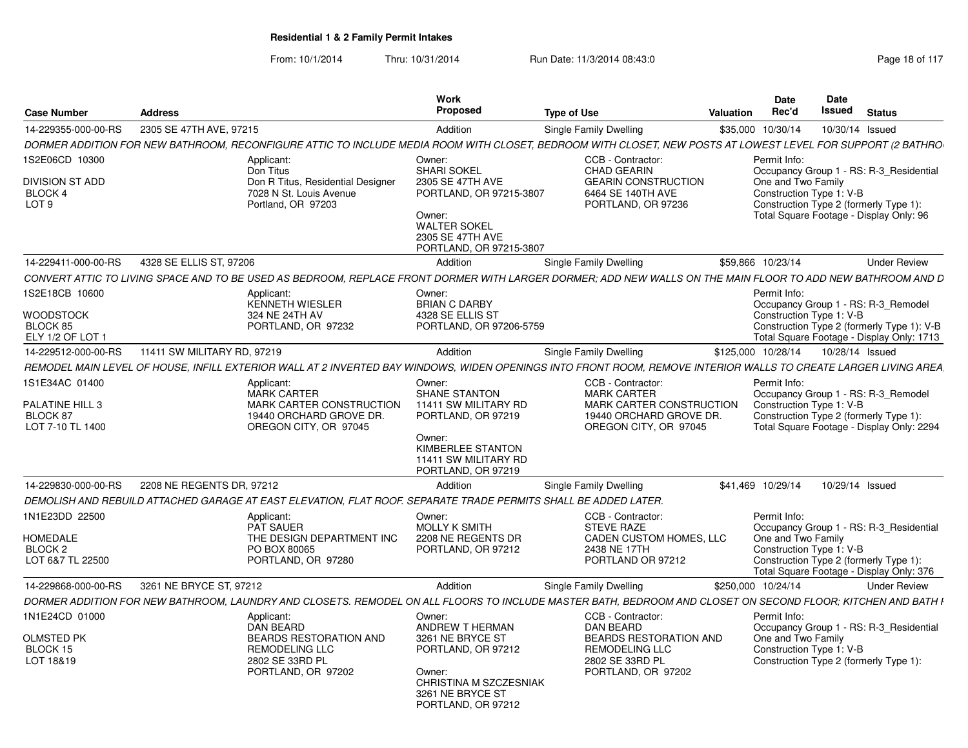|                                    |                             |                                                                                                                                                                 | Work                                      |                                                        |                    | Date               | Date                                                                                    |
|------------------------------------|-----------------------------|-----------------------------------------------------------------------------------------------------------------------------------------------------------------|-------------------------------------------|--------------------------------------------------------|--------------------|--------------------|-----------------------------------------------------------------------------------------|
| <b>Case Number</b>                 | <b>Address</b>              |                                                                                                                                                                 | Proposed                                  | <b>Type of Use</b>                                     | Valuation          | Rec'd              | Issued<br><b>Status</b>                                                                 |
| 14-229355-000-00-RS                | 2305 SE 47TH AVE, 97215     |                                                                                                                                                                 | Addition                                  | Single Family Dwelling                                 | \$35,000 10/30/14  |                    | 10/30/14 Issued                                                                         |
|                                    |                             | DORMER ADDITION FOR NEW BATHROOM, RECONFIGURE ATTIC TO INCLUDE MEDIA ROOM WITH CLOSET, BEDROOM WITH CLOSET, NEW POSTS AT LOWEST LEVEL FOR SUPPORT (2 BATHRO     |                                           |                                                        |                    |                    |                                                                                         |
| 1S2E06CD 10300                     |                             | Applicant:                                                                                                                                                      | Owner:                                    | CCB - Contractor:                                      |                    | Permit Info:       |                                                                                         |
|                                    |                             | Don Titus                                                                                                                                                       | <b>SHARI SOKEL</b>                        | <b>CHAD GEARIN</b>                                     |                    |                    | Occupancy Group 1 - RS: R-3_Residential                                                 |
| DIVISION ST ADD                    |                             | Don R Titus, Residential Designer                                                                                                                               | 2305 SE 47TH AVE                          | <b>GEARIN CONSTRUCTION</b>                             |                    | One and Two Family |                                                                                         |
| <b>BLOCK 4</b><br>LOT <sub>9</sub> |                             | 7028 N St. Louis Avenue<br>Portland, OR 97203                                                                                                                   | PORTLAND, OR 97215-3807                   | 6464 SE 140TH AVE<br>PORTLAND, OR 97236                |                    |                    | Construction Type 1: V-B<br>Construction Type 2 (formerly Type 1):                      |
|                                    |                             |                                                                                                                                                                 | Owner:                                    |                                                        |                    |                    | Total Square Footage - Display Only: 96                                                 |
|                                    |                             |                                                                                                                                                                 | <b>WALTER SOKEL</b>                       |                                                        |                    |                    |                                                                                         |
|                                    |                             |                                                                                                                                                                 | 2305 SE 47TH AVE                          |                                                        |                    |                    |                                                                                         |
|                                    |                             |                                                                                                                                                                 | PORTLAND, OR 97215-3807                   |                                                        |                    |                    |                                                                                         |
| 14-229411-000-00-RS                | 4328 SE ELLIS ST, 97206     |                                                                                                                                                                 | Addition                                  | Single Family Dwelling                                 | \$59,866 10/23/14  |                    | <b>Under Review</b>                                                                     |
|                                    |                             | CONVERT ATTIC TO LIVING SPACE AND TO BE USED AS BEDROOM, REPLACE FRONT DORMER WITH LARGER DORMER; ADD NEW WALLS ON THE MAIN FLOOR TO ADD NEW BATHROOM AND D     |                                           |                                                        |                    |                    |                                                                                         |
| 1S2E18CB 10600                     |                             | Applicant:                                                                                                                                                      | Owner:                                    |                                                        |                    | Permit Info:       |                                                                                         |
|                                    |                             | <b>KENNETH WIESLER</b>                                                                                                                                          | <b>BRIAN C DARBY</b>                      |                                                        |                    |                    | Occupancy Group 1 - RS: R-3_Remodel                                                     |
| WOODSTOCK                          |                             | 324 NE 24TH AV                                                                                                                                                  | 4328 SE ELLIS ST                          |                                                        |                    |                    | Construction Type 1: V-B                                                                |
| BLOCK 85<br>ELY 1/2 OF LOT 1       |                             | PORTLAND, OR 97232                                                                                                                                              | PORTLAND, OR 97206-5759                   |                                                        |                    |                    | Construction Type 2 (formerly Type 1): V-B<br>Total Square Footage - Display Only: 1713 |
| 14-229512-000-00-RS                | 11411 SW MILITARY RD, 97219 |                                                                                                                                                                 | Addition                                  | Single Family Dwelling                                 | \$125,000 10/28/14 |                    | 10/28/14 Issued                                                                         |
|                                    |                             |                                                                                                                                                                 |                                           |                                                        |                    |                    |                                                                                         |
|                                    |                             | REMODEL MAIN LEVEL OF HOUSE. INFILL EXTERIOR WALL AT 2 INVERTED BAY WINDOWS. WIDEN OPENINGS INTO FRONT ROOM. REMOVE INTERIOR WALLS TO CREATE LARGER LIVING AREA |                                           |                                                        |                    |                    |                                                                                         |
| 1S1E34AC 01400                     |                             | Applicant:<br><b>MARK CARTER</b>                                                                                                                                | Owner:<br><b>SHANE STANTON</b>            | CCB - Contractor:<br><b>MARK CARTER</b>                |                    | Permit Info:       | Occupancy Group 1 - RS: R-3 Remodel                                                     |
| <b>PALATINE HILL 3</b>             |                             | <b>MARK CARTER CONSTRUCTION</b>                                                                                                                                 | 11411 SW MILITARY RD                      | <b>MARK CARTER CONSTRUCTION</b>                        |                    |                    | Construction Type 1: V-B                                                                |
| BLOCK 87                           |                             | 19440 ORCHARD GROVE DR.                                                                                                                                         | PORTLAND, OR 97219                        | 19440 ORCHARD GROVE DR.                                |                    |                    | Construction Type 2 (formerly Type 1):                                                  |
| LOT 7-10 TL 1400                   |                             | OREGON CITY, OR 97045                                                                                                                                           |                                           | OREGON CITY, OR 97045                                  |                    |                    | Total Square Footage - Display Only: 2294                                               |
|                                    |                             |                                                                                                                                                                 | Owner:                                    |                                                        |                    |                    |                                                                                         |
|                                    |                             |                                                                                                                                                                 | KIMBERLEE STANTON<br>11411 SW MILITARY RD |                                                        |                    |                    |                                                                                         |
|                                    |                             |                                                                                                                                                                 | PORTLAND, OR 97219                        |                                                        |                    |                    |                                                                                         |
| 14-229830-000-00-RS                | 2208 NE REGENTS DR, 97212   |                                                                                                                                                                 | Addition                                  | Single Family Dwelling                                 | \$41,469 10/29/14  |                    | 10/29/14 Issued                                                                         |
|                                    |                             |                                                                                                                                                                 |                                           |                                                        |                    |                    |                                                                                         |
|                                    |                             | DEMOLISH AND REBUILD ATTACHED GARAGE AT EAST ELEVATION, FLAT ROOF, SEPARATE TRADE PERMITS SHALL BE ADDED LATER.                                                 |                                           |                                                        |                    |                    |                                                                                         |
| 1N1E23DD 22500                     |                             | Applicant:<br><b>PAT SAUER</b>                                                                                                                                  | Owner:<br><b>MOLLY K SMITH</b>            | CCB - Contractor:<br><b>STEVE RAZE</b>                 |                    | Permit Info:       | Occupancy Group 1 - RS: R-3_Residential                                                 |
| HOMEDALE                           |                             | THE DESIGN DEPARTMENT INC                                                                                                                                       | 2208 NE REGENTS DR                        | CADEN CUSTOM HOMES, LLC                                |                    | One and Two Family |                                                                                         |
| <b>BLOCK 2</b>                     |                             | PO BOX 80065                                                                                                                                                    | PORTLAND, OR 97212                        | 2438 NE 17TH                                           |                    |                    | Construction Type 1: V-B                                                                |
| LOT 6&7 TL 22500                   |                             | PORTLAND, OR 97280                                                                                                                                              |                                           | PORTLAND OR 97212                                      |                    |                    | Construction Type 2 (formerly Type 1):                                                  |
|                                    |                             |                                                                                                                                                                 |                                           |                                                        |                    |                    | Total Square Footage - Display Only: 376                                                |
| 14-229868-000-00-RS                | 3261 NE BRYCE ST. 97212     |                                                                                                                                                                 | Addition                                  | Single Family Dwelling                                 | \$250,000 10/24/14 |                    | <b>Under Review</b>                                                                     |
|                                    |                             | DORMER ADDITION FOR NEW BATHROOM, LAUNDRY AND CLOSETS. REMODEL ON ALL FLOORS TO INCLUDE MASTER BATH, BEDROOM AND CLOSET ON SECOND FLOOR; KITCHEN AND BATH I     |                                           |                                                        |                    |                    |                                                                                         |
| 1N1E24CD 01000                     |                             | Applicant:                                                                                                                                                      | Owner:                                    | CCB - Contractor:                                      |                    | Permit Info:       |                                                                                         |
|                                    |                             | <b>DAN BEARD</b>                                                                                                                                                | ANDREW T HERMAN                           | DAN BEARD                                              |                    |                    | Occupancy Group 1 - RS: R-3_Residential                                                 |
| <b>OLMSTED PK</b><br>BLOCK 15      |                             | <b>BEARDS RESTORATION AND</b><br><b>REMODELING LLC</b>                                                                                                          | 3261 NE BRYCE ST<br>PORTLAND, OR 97212    | <b>BEARDS RESTORATION AND</b><br><b>REMODELING LLC</b> |                    | One and Two Family | Construction Type 1: V-B                                                                |
| LOT 18&19                          |                             | 2802 SE 33RD PL                                                                                                                                                 |                                           | 2802 SE 33RD PL                                        |                    |                    | Construction Type 2 (formerly Type 1):                                                  |
|                                    |                             | PORTLAND, OR 97202                                                                                                                                              | Owner:                                    | PORTLAND, OR 97202                                     |                    |                    |                                                                                         |
|                                    |                             |                                                                                                                                                                 | <b>CHRISTINA M SZCZESNIAK</b>             |                                                        |                    |                    |                                                                                         |
|                                    |                             |                                                                                                                                                                 | 3261 NE BRYCE ST<br>PORTLAND, OR 97212    |                                                        |                    |                    |                                                                                         |
|                                    |                             |                                                                                                                                                                 |                                           |                                                        |                    |                    |                                                                                         |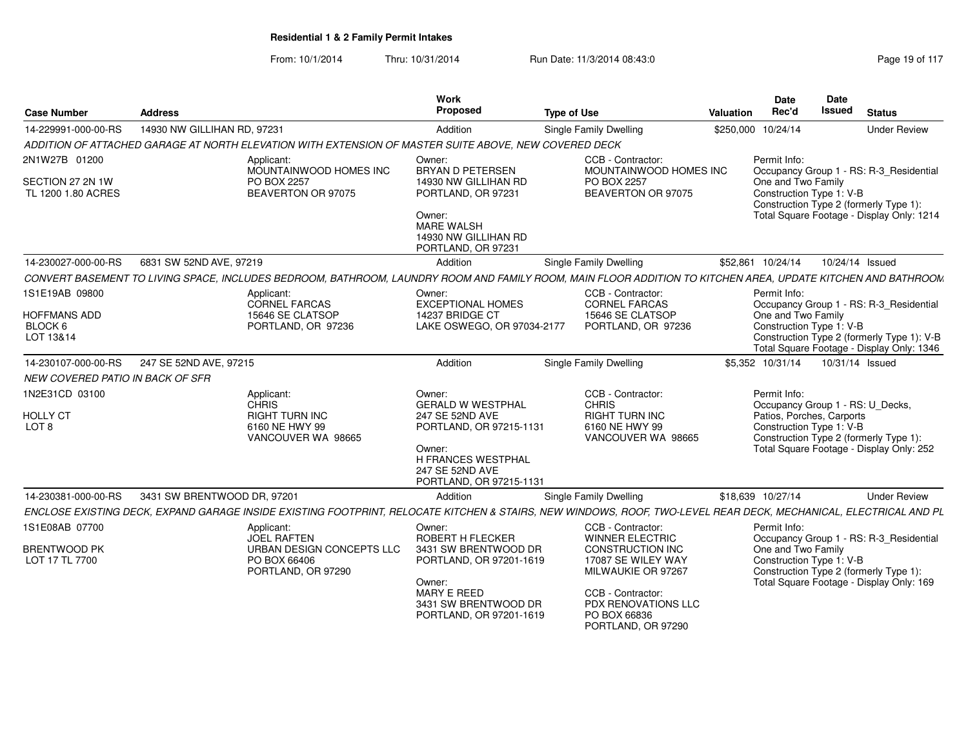| <b>Case Number</b>                                            | <b>Address</b>              |                                                                                                                                                                  | Work<br>Proposed                                                                                                                                               | <b>Type of Use</b>                                                                                                                                                             | <b>Valuation</b> | <b>Date</b><br>Rec'd                                                                                      | <b>Date</b><br><b>Issued</b> | <b>Status</b>                                                                                                                      |
|---------------------------------------------------------------|-----------------------------|------------------------------------------------------------------------------------------------------------------------------------------------------------------|----------------------------------------------------------------------------------------------------------------------------------------------------------------|--------------------------------------------------------------------------------------------------------------------------------------------------------------------------------|------------------|-----------------------------------------------------------------------------------------------------------|------------------------------|------------------------------------------------------------------------------------------------------------------------------------|
| 14-229991-000-00-RS                                           | 14930 NW GILLIHAN RD, 97231 |                                                                                                                                                                  | Addition                                                                                                                                                       | Single Family Dwelling                                                                                                                                                         |                  | \$250,000 10/24/14                                                                                        |                              | <b>Under Review</b>                                                                                                                |
|                                                               |                             | ADDITION OF ATTACHED GARAGE AT NORTH ELEVATION WITH EXTENSION OF MASTER SUITE ABOVE, NEW COVERED DECK                                                            |                                                                                                                                                                |                                                                                                                                                                                |                  |                                                                                                           |                              |                                                                                                                                    |
| 2N1W27B 01200<br>SECTION 27 2N 1W<br>TL 1200 1.80 ACRES       |                             | Applicant:<br>MOUNTAINWOOD HOMES INC<br><b>PO BOX 2257</b><br>BEAVERTON OR 97075                                                                                 | Owner:<br><b>BRYAN D PETERSEN</b><br>14930 NW GILLIHAN RD<br>PORTLAND, OR 97231<br>Owner:<br><b>MARE WALSH</b><br>14930 NW GILLIHAN RD<br>PORTLAND, OR 97231   | CCB - Contractor:<br>MOUNTAINWOOD HOMES INC<br>PO BOX 2257<br>BEAVERTON OR 97075                                                                                               |                  | Permit Info:<br>One and Two Family<br>Construction Type 1: V-B                                            |                              | Occupancy Group 1 - RS: R-3_Residential<br>Construction Type 2 (formerly Type 1):<br>Total Square Footage - Display Only: 1214     |
| 14-230027-000-00-RS                                           | 6831 SW 52ND AVE, 97219     |                                                                                                                                                                  | Addition                                                                                                                                                       | <b>Single Family Dwelling</b>                                                                                                                                                  |                  | \$52,861 10/24/14                                                                                         |                              | 10/24/14 Issued                                                                                                                    |
|                                                               |                             | CONVERT BASEMENT TO LIVING SPACE, INCLUDES BEDROOM, BATHROOM, LAUNDRY ROOM AND FAMILY ROOM, MAIN FLOOR ADDITION TO KITCHEN AREA, UPDATE KITCHEN AND BATHROOM     |                                                                                                                                                                |                                                                                                                                                                                |                  |                                                                                                           |                              |                                                                                                                                    |
| 1S1E19AB 09800<br><b>HOFFMANS ADD</b><br>BLOCK 6<br>LOT 13&14 |                             | Applicant:<br>CORNEL FARCAS<br>15646 SE CLATSOP<br>PORTLAND, OR 97236                                                                                            | Owner:<br><b>EXCEPTIONAL HOMES</b><br>14237 BRIDGE CT<br>LAKE OSWEGO, OR 97034-2177                                                                            | CCB - Contractor:<br><b>CORNEL FARCAS</b><br>15646 SE CLATSOP<br>PORTLAND, OR 97236                                                                                            |                  | Permit Info:<br>One and Two Family<br>Construction Type 1: V-B                                            |                              | Occupancy Group 1 - RS: R-3_Residential<br>Construction Type 2 (formerly Type 1): V-B<br>Total Square Footage - Display Only: 1346 |
| 14-230107-000-00-RS                                           | 247 SE 52ND AVE, 97215      |                                                                                                                                                                  | Addition                                                                                                                                                       | <b>Single Family Dwelling</b>                                                                                                                                                  |                  | \$5.352 10/31/14                                                                                          |                              | 10/31/14 Issued                                                                                                                    |
| <b>NEW COVERED PATIO IN BACK OF SFR</b>                       |                             |                                                                                                                                                                  |                                                                                                                                                                |                                                                                                                                                                                |                  |                                                                                                           |                              |                                                                                                                                    |
| 1N2E31CD 03100<br><b>HOLLY CT</b><br>LOT 8                    |                             | Applicant:<br><b>CHRIS</b><br><b>RIGHT TURN INC</b><br>6160 NE HWY 99<br>VANCOUVER WA 98665                                                                      | Owner:<br><b>GERALD W WESTPHAL</b><br>247 SE 52ND AVE<br>PORTLAND, OR 97215-1131<br>Owner:<br>H FRANCES WESTPHAL<br>247 SE 52ND AVE<br>PORTLAND, OR 97215-1131 | CCB - Contractor:<br><b>CHRIS</b><br><b>RIGHT TURN INC</b><br>6160 NE HWY 99<br>VANCOUVER WA 98665                                                                             |                  | Permit Info:<br>Occupancy Group 1 - RS: U_Decks,<br>Patios, Porches, Carports<br>Construction Type 1: V-B |                              | Construction Type 2 (formerly Type 1):<br>Total Square Footage - Display Only: 252                                                 |
| 14-230381-000-00-RS                                           | 3431 SW BRENTWOOD DR, 97201 |                                                                                                                                                                  | Addition                                                                                                                                                       | <b>Single Family Dwelling</b>                                                                                                                                                  |                  | \$18,639 10/27/14                                                                                         |                              | <b>Under Review</b>                                                                                                                |
|                                                               |                             | ENCLOSE EXISTING DECK, EXPAND GARAGE INSIDE EXISTING FOOTPRINT, RELOCATE KITCHEN & STAIRS, NEW WINDOWS, ROOF, TWO-LEVEL REAR DECK, MECHANICAL, ELECTRICAL AND PL |                                                                                                                                                                |                                                                                                                                                                                |                  |                                                                                                           |                              |                                                                                                                                    |
| 1S1E08AB 07700<br><b>BRENTWOOD PK</b><br>LOT 17 TL 7700       |                             | Applicant:<br><b>JOEL RAFTEN</b><br>URBAN DESIGN CONCEPTS LLC<br>PO BOX 66406<br>PORTLAND, OR 97290                                                              | Owner:<br>ROBERT H FLECKER<br>3431 SW BRENTWOOD DR<br>PORTLAND, OR 97201-1619<br>Owner:<br>MARY E REED<br>3431 SW BRENTWOOD DR<br>PORTLAND, OR 97201-1619      | CCB - Contractor:<br><b>WINNER ELECTRIC</b><br><b>CONSTRUCTION INC</b><br>17087 SE WILEY WAY<br>MILWAUKIE OR 97267<br>CCB - Contractor:<br>PDX RENOVATIONS LLC<br>PO BOX 66836 |                  | Permit Info:<br>One and Two Family<br>Construction Type 1: V-B                                            |                              | Occupancy Group 1 - RS: R-3_Residential<br>Construction Type 2 (formerly Type 1):<br>Total Square Footage - Display Only: 169      |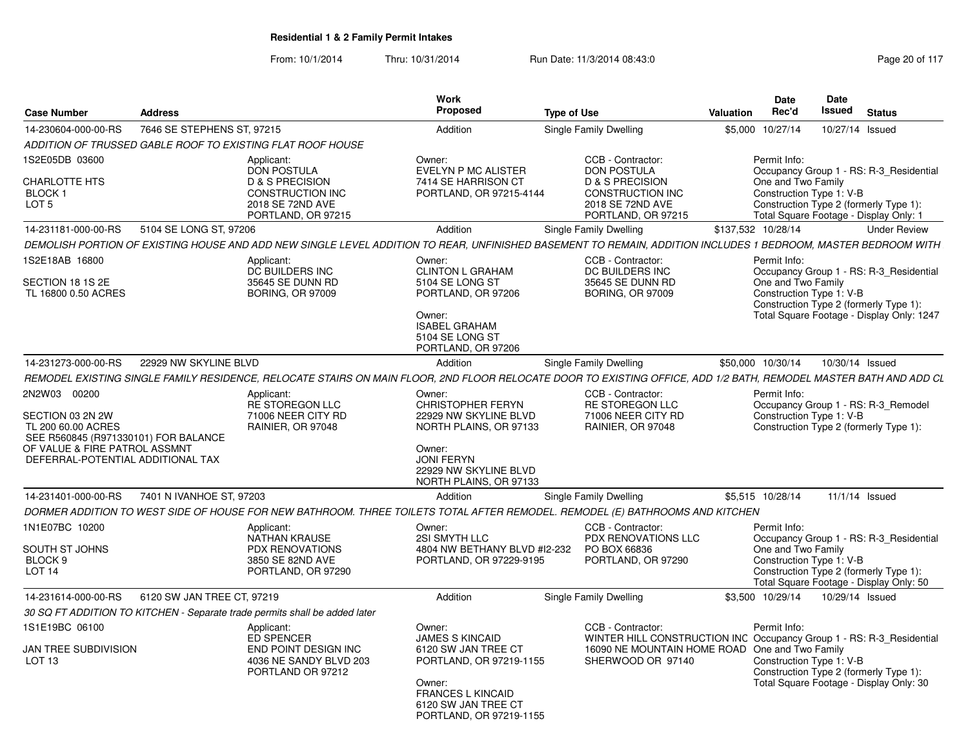| <b>Case Number</b>                                                                                                                                                   | <b>Address</b>             |                                                                                                                              | Work<br><b>Proposed</b>                                                                                                                                                    | <b>Type of Use</b>                                                                                                                                                | <b>Date</b><br>Rec'd<br>Valuation  | Date<br>Issued           | <b>Status</b>                                                                                                                  |
|----------------------------------------------------------------------------------------------------------------------------------------------------------------------|----------------------------|------------------------------------------------------------------------------------------------------------------------------|----------------------------------------------------------------------------------------------------------------------------------------------------------------------------|-------------------------------------------------------------------------------------------------------------------------------------------------------------------|------------------------------------|--------------------------|--------------------------------------------------------------------------------------------------------------------------------|
| 14-230604-000-00-RS                                                                                                                                                  | 7646 SE STEPHENS ST, 97215 |                                                                                                                              | Addition                                                                                                                                                                   | Single Family Dwelling                                                                                                                                            | 10/27/14<br>\$5,000                |                          | 10/27/14 Issued                                                                                                                |
|                                                                                                                                                                      |                            | ADDITION OF TRUSSED GABLE ROOF TO EXISTING FLAT ROOF HOUSE                                                                   |                                                                                                                                                                            |                                                                                                                                                                   |                                    |                          |                                                                                                                                |
| 1S2E05DB 03600<br><b>CHARLOTTE HTS</b><br>BLOCK 1<br>LOT 5                                                                                                           |                            | Applicant:<br><b>DON POSTULA</b><br><b>D &amp; S PRECISION</b><br>CONSTRUCTION INC<br>2018 SE 72ND AVE<br>PORTLAND, OR 97215 | Owner:<br>EVELYN P MC ALISTER<br>7414 SE HARRISON CT<br>PORTLAND, OR 97215-4144                                                                                            | CCB - Contractor:<br><b>DON POSTULA</b><br>D & S PRECISION<br><b>CONSTRUCTION INC</b><br>2018 SE 72ND AVE<br>PORTLAND, OR 97215                                   | Permit Info:<br>One and Two Family | Construction Type 1: V-B | Occupancy Group 1 - RS: R-3_Residential<br>Construction Type 2 (formerly Type 1):<br>Total Square Footage - Display Only: 1    |
| 14-231181-000-00-RS                                                                                                                                                  | 5104 SE LONG ST, 97206     |                                                                                                                              | Addition                                                                                                                                                                   | Single Family Dwelling                                                                                                                                            | \$137.532 10/28/14                 |                          | <b>Under Review</b>                                                                                                            |
|                                                                                                                                                                      |                            |                                                                                                                              |                                                                                                                                                                            | DEMOLISH PORTION OF EXISTING HOUSE AND ADD NEW SINGLE LEVEL ADDITION TO REAR, UNFINISHED BASEMENT TO REMAIN, ADDITION INCLUDES 1 BEDROOM, MASTER BEDROOM WITH     |                                    |                          |                                                                                                                                |
| 1S2E18AB 16800<br>SECTION 18 1S 2E<br>TL 16800 0.50 ACRES                                                                                                            |                            | Applicant:<br>DC BUILDERS INC<br>35645 SE DUNN RD<br><b>BORING, OR 97009</b>                                                 | Owner:<br><b>CLINTON L GRAHAM</b><br>5104 SE LONG ST<br>PORTLAND, OR 97206<br>Owner:<br><b>ISABEL GRAHAM</b><br>5104 SE LONG ST<br>PORTLAND, OR 97206                      | CCB - Contractor:<br>DC BUILDERS INC<br>35645 SE DUNN RD<br><b>BORING, OR 97009</b>                                                                               | Permit Info:<br>One and Two Family | Construction Type 1: V-B | Occupancy Group 1 - RS: R-3_Residential<br>Construction Type 2 (formerly Type 1):<br>Total Square Footage - Display Only: 1247 |
| 14-231273-000-00-RS                                                                                                                                                  | 22929 NW SKYLINE BLVD      |                                                                                                                              | Addition                                                                                                                                                                   | Single Family Dwelling                                                                                                                                            | \$50,000 10/30/14                  |                          | 10/30/14 Issued                                                                                                                |
|                                                                                                                                                                      |                            |                                                                                                                              |                                                                                                                                                                            | REMODEL EXISTING SINGLE FAMILY RESIDENCE, RELOCATE STAIRS ON MAIN FLOOR, 2ND FLOOR RELOCATE DOOR TO EXISTING OFFICE, ADD 1/2 BATH, REMODEL MASTER BATH AND ADD CL |                                    |                          |                                                                                                                                |
| 2N2W03 00200<br>SECTION 03 2N 2W<br>TL 200 60.00 ACRES<br>SEE R560845 (R971330101) FOR BALANCE<br>OF VALUE & FIRE PATROL ASSMNT<br>DEFERRAL-POTENTIAL ADDITIONAL TAX |                            | Applicant:<br><b>RE STOREGON LLC</b><br>71006 NEER CITY RD<br>RAINIER, OR 97048                                              | Owner:<br>CHRISTOPHER FERYN<br>22929 NW SKYLINE BLVD<br>NORTH PLAINS, OR 97133<br>Owner:<br><b>JONI FERYN</b><br>22929 NW SKYLINE BLVD<br>NORTH PLAINS, OR 97133           | CCB - Contractor:<br><b>RE STOREGON LLC</b><br>71006 NEER CITY RD<br>RAINIER, OR 97048                                                                            | Permit Info:                       | Construction Type 1: V-B | Occupancy Group 1 - RS: R-3_Remodel<br>Construction Type 2 (formerly Type 1):                                                  |
| 14-231401-000-00-RS                                                                                                                                                  | 7401 N IVANHOE ST, 97203   |                                                                                                                              | Addition                                                                                                                                                                   | Single Family Dwelling                                                                                                                                            | \$5,515 10/28/14                   |                          | 11/1/14 Issued                                                                                                                 |
|                                                                                                                                                                      |                            |                                                                                                                              |                                                                                                                                                                            | DORMER ADDITION TO WEST SIDE OF HOUSE FOR NEW BATHROOM. THREE TOILETS TOTAL AFTER REMODEL. REMODEL (E) BATHROOMS AND KITCHEN                                      |                                    |                          |                                                                                                                                |
| 1N1E07BC 10200<br>SOUTH ST JOHNS<br>BLOCK <sub>9</sub><br>LOT <sub>14</sub>                                                                                          |                            | Applicant:<br>NATHAN KRAUSE<br><b>PDX RENOVATIONS</b><br>3850 SE 82ND AVE<br>PORTLAND, OR 97290                              | Owner:<br>2SI SMYTH LLC<br>4804 NW BETHANY BLVD #12-232<br>PORTLAND, OR 97229-9195                                                                                         | CCB - Contractor:<br>PDX RENOVATIONS LLC<br>PO BOX 66836<br>PORTLAND, OR 97290                                                                                    | Permit Info:<br>One and Two Family | Construction Type 1: V-B | Occupancy Group 1 - RS: R-3 Residential<br>Construction Type 2 (formerly Type 1):<br>Total Square Footage - Display Only: 50   |
| 14-231614-000-00-RS                                                                                                                                                  | 6120 SW JAN TREE CT, 97219 |                                                                                                                              | Addition                                                                                                                                                                   | Single Family Dwelling                                                                                                                                            | \$3,500 10/29/14                   | 10/29/14 Issued          |                                                                                                                                |
|                                                                                                                                                                      |                            | 30 SQ FT ADDITION TO KITCHEN - Separate trade permits shall be added later                                                   |                                                                                                                                                                            |                                                                                                                                                                   |                                    |                          |                                                                                                                                |
| 1S1E19BC 06100<br>JAN TREE SUBDIVISION<br>LOT <sub>13</sub>                                                                                                          |                            | Applicant:<br>ED SPENCER<br>END POINT DESIGN INC<br>4036 NE SANDY BLVD 203<br>PORTLAND OR 97212                              | Owner:<br><b>JAMES S KINCAID</b><br>6120 SW JAN TREE CT<br>PORTLAND, OR 97219-1155<br>Owner:<br><b>FRANCES L KINCAID</b><br>6120 SW JAN TREE CT<br>PORTLAND, OR 97219-1155 | CCB - Contractor:<br>WINTER HILL CONSTRUCTION INC Occupancy Group 1 - RS: R-3_Residential<br>16090 NE MOUNTAIN HOME ROAD One and Two Family<br>SHERWOOD OR 97140  | Permit Info:                       | Construction Type 1: V-B | Construction Type 2 (formerly Type 1):<br>Total Square Footage - Display Only: 30                                              |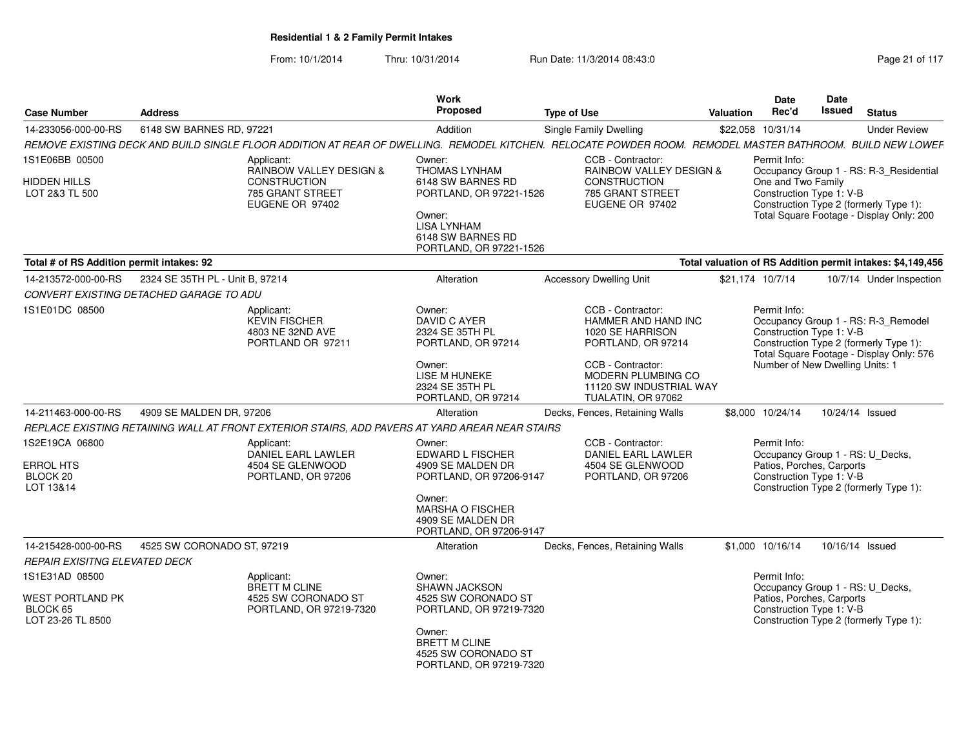| <b>Case Number</b>                                                         | <b>Address</b>                  |                                                                                                | <b>Work</b><br>Proposed                                                                                                                                                | <b>Type of Use</b>                                                                                                                                        | Valuation | Date<br>Rec'd                                                                                             | <b>Date</b><br><b>Issued</b> | <b>Status</b>                                                                                                             |
|----------------------------------------------------------------------------|---------------------------------|------------------------------------------------------------------------------------------------|------------------------------------------------------------------------------------------------------------------------------------------------------------------------|-----------------------------------------------------------------------------------------------------------------------------------------------------------|-----------|-----------------------------------------------------------------------------------------------------------|------------------------------|---------------------------------------------------------------------------------------------------------------------------|
| 14-233056-000-00-RS                                                        | 6148 SW BARNES RD, 97221        |                                                                                                | Addition                                                                                                                                                               | Single Family Dwelling                                                                                                                                    |           | \$22.058 10/31/14                                                                                         |                              | <b>Under Review</b>                                                                                                       |
|                                                                            |                                 |                                                                                                |                                                                                                                                                                        | REMOVE EXISTING DECK AND BUILD SINGLE FLOOR ADDITION AT REAR OF DWELLING. REMODEL KITCHEN. RELOCATE POWDER ROOM. REMODEL MASTER BATHROOM. BUILD NEW LOWEF |           |                                                                                                           |                              |                                                                                                                           |
| 1S1E06BB 00500                                                             |                                 | Applicant:<br>RAINBOW VALLEY DESIGN &                                                          | Owner:<br><b>THOMAS LYNHAM</b>                                                                                                                                         | CCB - Contractor:<br><b>RAINBOW VALLEY DESIGN &amp;</b>                                                                                                   |           | Permit Info:                                                                                              |                              | Occupancy Group 1 - RS: R-3_Residential                                                                                   |
| HIDDEN HILLS<br>LOT 2&3 TL 500                                             |                                 | <b>CONSTRUCTION</b><br>785 GRANT STREET<br>EUGENE OR 97402                                     | 6148 SW BARNES RD<br>PORTLAND, OR 97221-1526<br>Owner:<br><b>LISA LYNHAM</b><br>6148 SW BARNES RD                                                                      | <b>CONSTRUCTION</b><br>785 GRANT STREET<br>EUGENE OR 97402                                                                                                |           | One and Two Family<br>Construction Type 1: V-B                                                            |                              | Construction Type 2 (formerly Type 1):<br>Total Square Footage - Display Only: 200                                        |
|                                                                            |                                 |                                                                                                | PORTLAND, OR 97221-1526                                                                                                                                                |                                                                                                                                                           |           |                                                                                                           |                              |                                                                                                                           |
| Total # of RS Addition permit intakes: 92                                  |                                 |                                                                                                |                                                                                                                                                                        |                                                                                                                                                           |           |                                                                                                           |                              | Total valuation of RS Addition permit intakes: \$4,149,456                                                                |
| 14-213572-000-00-RS                                                        | 2324 SE 35TH PL - Unit B, 97214 |                                                                                                | Alteration                                                                                                                                                             | <b>Accessory Dwelling Unit</b>                                                                                                                            |           | \$21,174 10/7/14                                                                                          |                              | 10/7/14 Under Inspection                                                                                                  |
| CONVERT EXISTING DETACHED GARAGE TO ADU                                    |                                 |                                                                                                |                                                                                                                                                                        |                                                                                                                                                           |           |                                                                                                           |                              |                                                                                                                           |
| 1S1E01DC 08500                                                             |                                 | Applicant:<br><b>KEVIN FISCHER</b><br>4803 NE 32ND AVE<br>PORTLAND OR 97211                    | Owner:<br>DAVID C AYER<br>2324 SE 35TH PL<br>PORTLAND, OR 97214<br>Owner:<br>LISE M HUNEKE<br>2324 SE 35TH PL                                                          | CCB - Contractor:<br>HAMMER AND HAND INC<br>1020 SE HARRISON<br>PORTLAND, OR 97214<br>CCB - Contractor:<br>MODERN PLUMBING CO<br>11120 SW INDUSTRIAL WAY  |           | Permit Info:<br>Construction Type 1: V-B<br>Number of New Dwelling Units: 1                               |                              | Occupancy Group 1 - RS: R-3 Remodel<br>Construction Type 2 (formerly Type 1):<br>Total Square Footage - Display Only: 576 |
|                                                                            |                                 |                                                                                                | PORTLAND, OR 97214                                                                                                                                                     | TUALATIN, OR 97062                                                                                                                                        |           |                                                                                                           |                              |                                                                                                                           |
| 14-211463-000-00-RS                                                        | 4909 SE MALDEN DR, 97206        |                                                                                                | Alteration                                                                                                                                                             | Decks, Fences, Retaining Walls                                                                                                                            |           | \$8,000 10/24/14                                                                                          |                              | 10/24/14 Issued                                                                                                           |
|                                                                            |                                 | REPLACE EXISTING RETAINING WALL AT FRONT EXTERIOR STAIRS, ADD PAVERS AT YARD AREAR NEAR STAIRS |                                                                                                                                                                        |                                                                                                                                                           |           |                                                                                                           |                              |                                                                                                                           |
| 1S2E19CA 06800<br><b>ERROL HTS</b><br>BLOCK 20<br>LOT 13&14                |                                 | Applicant:<br>DANIEL EARL LAWLER<br>4504 SE GLENWOOD<br>PORTLAND, OR 97206                     | Owner:<br><b>EDWARD L FISCHER</b><br>4909 SE MALDEN DR<br>PORTLAND, OR 97206-9147<br>Owner:<br><b>MARSHA O FISCHER</b><br>4909 SE MALDEN DR<br>PORTLAND, OR 97206-9147 | CCB - Contractor:<br><b>DANIEL EARL LAWLER</b><br>4504 SE GLENWOOD<br>PORTLAND, OR 97206                                                                  |           | Permit Info:<br>Occupancy Group 1 - RS: U_Decks,<br>Patios, Porches, Carports<br>Construction Type 1: V-B |                              | Construction Type 2 (formerly Type 1):                                                                                    |
| 14-215428-000-00-RS                                                        | 4525 SW CORONADO ST, 97219      |                                                                                                | Alteration                                                                                                                                                             | Decks, Fences, Retaining Walls                                                                                                                            |           | \$1,000 10/16/14                                                                                          |                              | 10/16/14 Issued                                                                                                           |
| REPAIR EXISITNG ELEVATED DECK                                              |                                 |                                                                                                |                                                                                                                                                                        |                                                                                                                                                           |           |                                                                                                           |                              |                                                                                                                           |
| 1S1E31AD 08500<br><b>WEST PORTLAND PK</b><br>BLOCK 65<br>LOT 23-26 TL 8500 |                                 | Applicant:<br><b>BRETT M CLINE</b><br>4525 SW CORONADO ST<br>PORTLAND, OR 97219-7320           | Owner:<br><b>SHAWN JACKSON</b><br>4525 SW CORONADO ST<br>PORTLAND, OR 97219-7320<br>Owner:<br><b>BRETT M CLINE</b><br>4525 SW CORONADO ST<br>PORTLAND, OR 97219-7320   |                                                                                                                                                           |           | Permit Info:<br>Patios, Porches, Carports<br>Construction Type 1: V-B                                     |                              | Occupancy Group 1 - RS: U_Decks,<br>Construction Type 2 (formerly Type 1):                                                |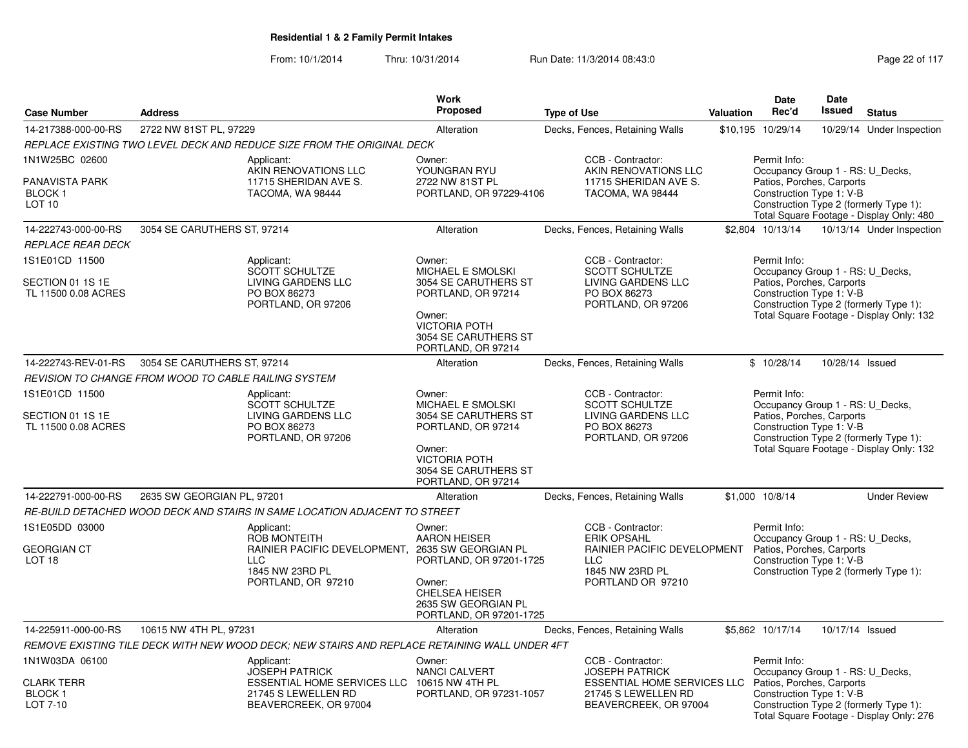|                                                                               |                                                                                                                                    | <b>Work</b>                                                                                                                                                                                       |                                                                                                                                                     |           | Date                                                                  | Date            |                                                                                                                        |
|-------------------------------------------------------------------------------|------------------------------------------------------------------------------------------------------------------------------------|---------------------------------------------------------------------------------------------------------------------------------------------------------------------------------------------------|-----------------------------------------------------------------------------------------------------------------------------------------------------|-----------|-----------------------------------------------------------------------|-----------------|------------------------------------------------------------------------------------------------------------------------|
| <b>Case Number</b>                                                            | <b>Address</b>                                                                                                                     | Proposed                                                                                                                                                                                          | <b>Type of Use</b>                                                                                                                                  | Valuation | Rec'd                                                                 | <b>Issued</b>   | <b>Status</b>                                                                                                          |
| 14-217388-000-00-RS                                                           | 2722 NW 81ST PL, 97229                                                                                                             | Alteration                                                                                                                                                                                        | Decks, Fences, Retaining Walls                                                                                                                      |           | \$10,195 10/29/14                                                     |                 | 10/29/14 Under Inspection                                                                                              |
|                                                                               | REPLACE EXISTING TWO LEVEL DECK AND REDUCE SIZE FROM THE ORIGINAL DECK                                                             |                                                                                                                                                                                                   |                                                                                                                                                     |           |                                                                       |                 |                                                                                                                        |
| 1N1W25BC 02600<br><b>PANAVISTA PARK</b><br><b>BLOCK1</b><br>LOT <sub>10</sub> | Applicant:<br>AKIN RENOVATIONS LLC<br>11715 SHERIDAN AVE S.<br>TACOMA, WA 98444                                                    | Owner:<br>YOUNGRAN RYU<br>2722 NW 81ST PL<br>PORTLAND, OR 97229-4106                                                                                                                              | CCB - Contractor:<br>AKIN RENOVATIONS LLC<br>11715 SHERIDAN AVE S.<br>TACOMA, WA 98444                                                              |           | Permit Info:<br>Patios, Porches, Carports<br>Construction Type 1: V-B |                 | Occupancy Group 1 - RS: U_Decks,<br>Construction Type 2 (formerly Type 1):<br>Total Square Footage - Display Only: 480 |
| 14-222743-000-00-RS                                                           | 3054 SE CARUTHERS ST, 97214                                                                                                        | Alteration                                                                                                                                                                                        | Decks, Fences, Retaining Walls                                                                                                                      |           | \$2,804 10/13/14                                                      |                 | 10/13/14 Under Inspection                                                                                              |
| <b>REPLACE REAR DECK</b>                                                      |                                                                                                                                    |                                                                                                                                                                                                   |                                                                                                                                                     |           |                                                                       |                 |                                                                                                                        |
| 1S1E01CD 11500                                                                | Applicant:<br><b>SCOTT SCHULTZE</b>                                                                                                | Owner:<br>MICHAEL E SMOLSKI                                                                                                                                                                       | CCB - Contractor:<br><b>SCOTT SCHULTZE</b>                                                                                                          |           | Permit Info:                                                          |                 | Occupancy Group 1 - RS: U_Decks,                                                                                       |
| SECTION 01 1S 1E<br>TL 11500 0.08 ACRES                                       | LIVING GARDENS LLC<br>PO BOX 86273<br>PORTLAND, OR 97206                                                                           | 3054 SE CARUTHERS ST<br>PORTLAND, OR 97214<br>Owner:<br><b>VICTORIA POTH</b><br>3054 SE CARUTHERS ST<br>PORTLAND, OR 97214                                                                        | LIVING GARDENS LLC<br>PO BOX 86273<br>PORTLAND, OR 97206                                                                                            |           | Patios, Porches, Carports<br>Construction Type 1: V-B                 |                 | Construction Type 2 (formerly Type 1):<br>Total Square Footage - Display Only: 132                                     |
| 14-222743-REV-01-RS                                                           | 3054 SE CARUTHERS ST, 97214                                                                                                        | Alteration                                                                                                                                                                                        | Decks, Fences, Retaining Walls                                                                                                                      |           | \$10/28/14                                                            |                 | 10/28/14 Issued                                                                                                        |
|                                                                               | REVISION TO CHANGE FROM WOOD TO CABLE RAILING SYSTEM                                                                               |                                                                                                                                                                                                   |                                                                                                                                                     |           |                                                                       |                 |                                                                                                                        |
| 1S1E01CD 11500<br>SECTION 01 1S 1E<br>TL 11500 0.08 ACRES                     | Applicant:<br>SCOTT SCHULTZE<br>LIVING GARDENS LLC<br>PO BOX 86273<br>PORTLAND, OR 97206                                           | Owner:<br><b>MICHAEL E SMOLSKI</b><br>3054 SE CARUTHERS ST<br>PORTLAND, OR 97214<br>Owner:<br><b>VICTORIA POTH</b><br>3054 SE CARUTHERS ST<br>PORTLAND, OR 97214                                  | CCB - Contractor:<br><b>SCOTT SCHULTZE</b><br>LIVING GARDENS LLC<br>PO BOX 86273<br>PORTLAND, OR 97206                                              |           | Permit Info:<br>Patios, Porches, Carports<br>Construction Type 1: V-B |                 | Occupancy Group 1 - RS: U_Decks,<br>Construction Type 2 (formerly Type 1):<br>Total Square Footage - Display Only: 132 |
| 14-222791-000-00-RS                                                           | 2635 SW GEORGIAN PL, 97201                                                                                                         | Alteration                                                                                                                                                                                        | Decks, Fences, Retaining Walls                                                                                                                      |           | \$1,000 10/8/14                                                       |                 | <b>Under Review</b>                                                                                                    |
|                                                                               | RE-BUILD DETACHED WOOD DECK AND STAIRS IN SAME LOCATION ADJACENT TO STREET                                                         |                                                                                                                                                                                                   |                                                                                                                                                     |           |                                                                       |                 |                                                                                                                        |
| 1S1E05DD 03000<br><b>GEORGIAN CT</b><br>LOT <sub>18</sub>                     | Applicant:<br>ROB MONTEITH<br><b>LLC</b><br>1845 NW 23RD PL<br>PORTLAND, OR 97210                                                  | Owner:<br><b>AARON HEISER</b><br>RAINIER PACIFIC DEVELOPMENT, 2635 SW GEORGIAN PL<br>PORTLAND, OR 97201-1725<br>Owner:<br><b>CHELSEA HEISER</b><br>2635 SW GEORGIAN PL<br>PORTLAND, OR 97201-1725 | CCB - Contractor:<br><b>ERIK OPSAHL</b><br>RAINIER PACIFIC DEVELOPMENT<br><b>LLC</b><br>1845 NW 23RD PL<br>PORTLAND OR 97210                        |           | Permit Info:<br>Patios, Porches, Carports<br>Construction Type 1: V-B |                 | Occupancy Group 1 - RS: U_Decks,<br>Construction Type 2 (formerly Type 1):                                             |
| 14-225911-000-00-RS                                                           | 10615 NW 4TH PL, 97231                                                                                                             | Alteration                                                                                                                                                                                        | Decks, Fences, Retaining Walls                                                                                                                      |           | \$5.862 10/17/14                                                      | 10/17/14 Issued |                                                                                                                        |
|                                                                               | REMOVE EXISTING TILE DECK WITH NEW WOOD DECK: NEW STAIRS AND REPLACE RETAINING WALL UNDER 4FT                                      |                                                                                                                                                                                                   |                                                                                                                                                     |           |                                                                       |                 |                                                                                                                        |
| 1N1W03DA 06100<br><b>CLARK TERR</b><br><b>BLOCK1</b><br>LOT 7-10              | Applicant:<br><b>JOSEPH PATRICK</b><br>ESSENTIAL HOME SERVICES LLC 10615 NW 4TH PL<br>21745 S LEWELLEN RD<br>BEAVERCREEK, OR 97004 | Owner:<br>NANCI CALVERT<br>PORTLAND, OR 97231-1057                                                                                                                                                | CCB - Contractor:<br><b>JOSEPH PATRICK</b><br>ESSENTIAL HOME SERVICES LLC Patios, Porches, Carports<br>21745 S LEWELLEN RD<br>BEAVERCREEK, OR 97004 |           | Permit Info:<br>Construction Type 1: V-B                              |                 | Occupancy Group 1 - RS: U_Decks,<br>Construction Type 2 (formerly Type 1):<br>Total Square Footage - Display Only: 276 |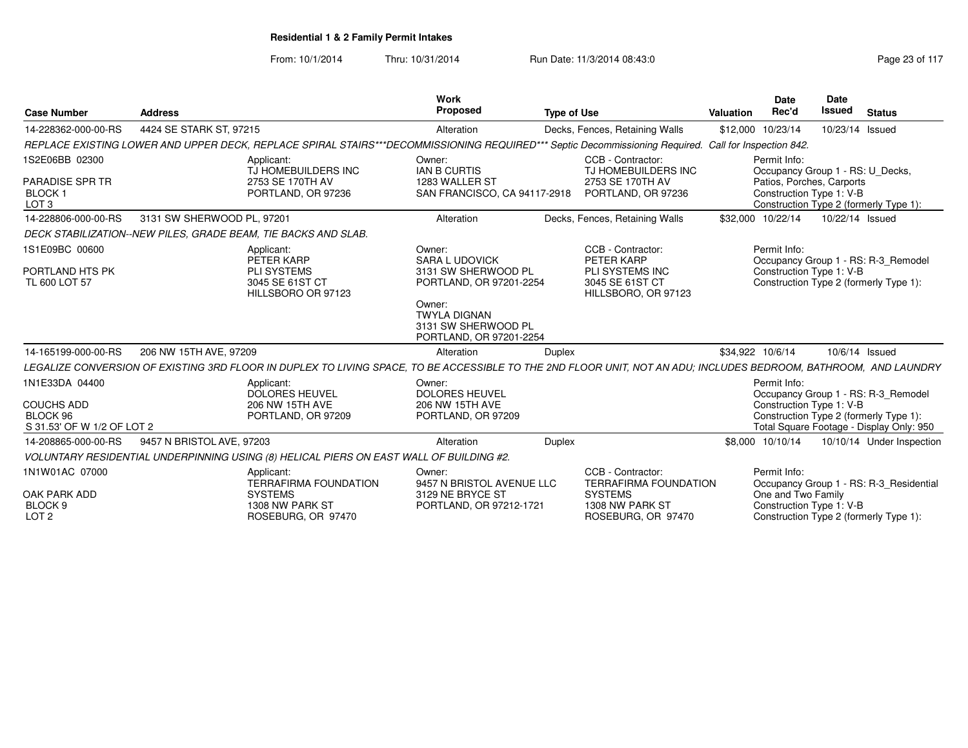| <b>Case Number</b>                                                            | <b>Address</b>                                                 |                                                                                                                                                                  | <b>Work</b><br>Proposed                                                                                                                                              | <b>Type of Use</b> |                                                                                                              | <b>Valuation</b>  | Date<br>Rec'd                                                                                             | <b>Date</b><br><b>Issued</b> | <b>Status</b>                                                                                                             |
|-------------------------------------------------------------------------------|----------------------------------------------------------------|------------------------------------------------------------------------------------------------------------------------------------------------------------------|----------------------------------------------------------------------------------------------------------------------------------------------------------------------|--------------------|--------------------------------------------------------------------------------------------------------------|-------------------|-----------------------------------------------------------------------------------------------------------|------------------------------|---------------------------------------------------------------------------------------------------------------------------|
| 14-228362-000-00-RS                                                           | 4424 SE STARK ST. 97215                                        |                                                                                                                                                                  | Alteration                                                                                                                                                           |                    | Decks, Fences, Retaining Walls                                                                               | \$12,000 10/23/14 |                                                                                                           | 10/23/14 Issued              |                                                                                                                           |
|                                                                               |                                                                | REPLACE EXISTING LOWER AND UPPER DECK, REPLACE SPIRAL STAIRS***DECOMMISSIONING REQUIRED*** Septic Decommissioning Required. Call for Inspection 842.             |                                                                                                                                                                      |                    |                                                                                                              |                   |                                                                                                           |                              |                                                                                                                           |
| 1S2E06BB 02300<br>PARADISE SPR TR<br>BLOCK 1<br>LOT <sub>3</sub>              |                                                                | Applicant:<br>TJ HOMEBUILDERS INC<br>2753 SE 170TH AV<br>PORTLAND, OR 97236                                                                                      | Owner:<br><b>IAN B CURTIS</b><br>1283 WALLER ST<br>SAN FRANCISCO, CA 94117-2918                                                                                      |                    | CCB - Contractor:<br>TJ HOMEBUILDERS INC<br>2753 SE 170TH AV<br>PORTLAND, OR 97236                           |                   | Permit Info:<br>Occupancy Group 1 - RS: U_Decks,<br>Patios, Porches, Carports<br>Construction Type 1: V-B |                              | Construction Type 2 (formerly Type 1):                                                                                    |
| 14-228806-000-00-RS                                                           | 3131 SW SHERWOOD PL, 97201                                     |                                                                                                                                                                  | Alteration                                                                                                                                                           |                    | Decks, Fences, Retaining Walls                                                                               |                   | \$32,000 10/22/14                                                                                         | 10/22/14 Issued              |                                                                                                                           |
|                                                                               | DECK STABILIZATION--NEW PILES, GRADE BEAM, TIE BACKS AND SLAB. |                                                                                                                                                                  |                                                                                                                                                                      |                    |                                                                                                              |                   |                                                                                                           |                              |                                                                                                                           |
| 1S1E09BC 00600<br>PORTLAND HTS PK<br>TL 600 LOT 57                            |                                                                | Applicant:<br>PETER KARP<br><b>PLI SYSTEMS</b><br>3045 SE 61ST CT<br>HILLSBORO OR 97123                                                                          | Owner:<br><b>SARA L UDOVICK</b><br>3131 SW SHERWOOD PL<br>PORTLAND, OR 97201-2254<br>Owner:<br><b>TWYLA DIGNAN</b><br>3131 SW SHERWOOD PL<br>PORTLAND, OR 97201-2254 |                    | CCB - Contractor:<br>PETER KARP<br>PLI SYSTEMS INC<br>3045 SE 61ST CT<br>HILLSBORO, OR 97123                 |                   | Permit Info:<br>Construction Type 1: V-B                                                                  |                              | Occupancy Group 1 - RS: R-3 Remodel<br>Construction Type 2 (formerly Type 1):                                             |
| 14-165199-000-00-RS                                                           | 206 NW 15TH AVE, 97209                                         |                                                                                                                                                                  | Alteration                                                                                                                                                           | <b>Duplex</b>      |                                                                                                              | \$34,922 10/6/14  |                                                                                                           | 10/6/14 Issued               |                                                                                                                           |
|                                                                               |                                                                | LEGALIZE CONVERSION OF EXISTING 3RD FLOOR IN DUPLEX TO LIVING SPACE. TO BE ACCESSIBLE TO THE 2ND FLOOR UNIT. NOT AN ADU: INCLUDES BEDROOM. BATHROOM. AND LAUNDRY |                                                                                                                                                                      |                    |                                                                                                              |                   |                                                                                                           |                              |                                                                                                                           |
| 1N1E33DA 04400<br><b>COUCHS ADD</b><br>BLOCK 96<br>S 31.53' OF W 1/2 OF LOT 2 |                                                                | Applicant:<br><b>DOLORES HEUVEL</b><br>206 NW 15TH AVE<br>PORTLAND, OR 97209                                                                                     | Owner:<br><b>DOLORES HEUVEL</b><br>206 NW 15TH AVE<br>PORTLAND, OR 97209                                                                                             |                    |                                                                                                              |                   | Permit Info:<br>Construction Type 1: V-B                                                                  |                              | Occupancy Group 1 - RS: R-3 Remodel<br>Construction Type 2 (formerly Type 1):<br>Total Square Footage - Display Only: 950 |
| 14-208865-000-00-RS                                                           | 9457 N BRISTOL AVE, 97203                                      |                                                                                                                                                                  | Alteration                                                                                                                                                           | Duplex             |                                                                                                              |                   | \$8,000 10/10/14                                                                                          |                              | 10/10/14 Under Inspection                                                                                                 |
|                                                                               |                                                                | VOLUNTARY RESIDENTIAL UNDERPINNING USING (8) HELICAL PIERS ON EAST WALL OF BUILDING #2.                                                                          |                                                                                                                                                                      |                    |                                                                                                              |                   |                                                                                                           |                              |                                                                                                                           |
| 1N1W01AC 07000<br>OAK PARK ADD<br>BLOCK <sub>9</sub><br>LOT <sub>2</sub>      |                                                                | Applicant:<br><b>TERRAFIRMA FOUNDATION</b><br><b>SYSTEMS</b><br>1308 NW PARK ST<br>ROSEBURG, OR 97470                                                            | Owner:<br>9457 N BRISTOL AVENUE LLC<br>3129 NE BRYCE ST<br>PORTLAND, OR 97212-1721                                                                                   |                    | CCB - Contractor:<br><b>TERRAFIRMA FOUNDATION</b><br><b>SYSTEMS</b><br>1308 NW PARK ST<br>ROSEBURG, OR 97470 |                   | Permit Info:<br>One and Two Family<br>Construction Type 1: V-B                                            |                              | Occupancy Group 1 - RS: R-3_Residential<br>Construction Type 2 (formerly Type 1):                                         |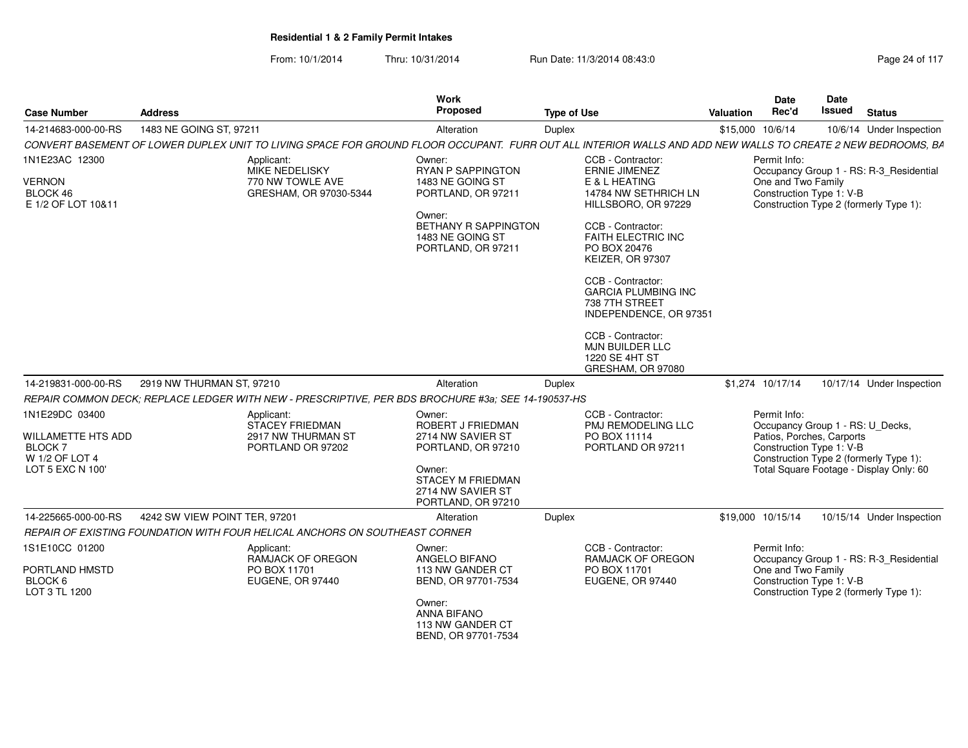| <b>Case Number</b>                                                             | <b>Address</b>                                                                                                                                              | Work<br><b>Proposed</b>                                                       | <b>Type of Use</b>                                                                          | Valuation | Date<br>Rec'd                                                                                             | Date<br><b>Issued</b> | <b>Status</b>                           |
|--------------------------------------------------------------------------------|-------------------------------------------------------------------------------------------------------------------------------------------------------------|-------------------------------------------------------------------------------|---------------------------------------------------------------------------------------------|-----------|-----------------------------------------------------------------------------------------------------------|-----------------------|-----------------------------------------|
| 14-214683-000-00-RS                                                            | 1483 NE GOING ST, 97211                                                                                                                                     | Alteration                                                                    | Duplex                                                                                      |           | \$15,000 10/6/14                                                                                          |                       | 10/6/14 Under Inspection                |
|                                                                                | CONVERT BASEMENT OF LOWER DUPLEX UNIT TO LIVING SPACE FOR GROUND FLOOR OCCUPANT. FURR OUT ALL INTERIOR WALLS AND ADD NEW WALLS TO CREATE 2 NEW BEDROOMS, BA |                                                                               |                                                                                             |           |                                                                                                           |                       |                                         |
| 1N1E23AC 12300                                                                 | Applicant:<br><b>MIKE NEDELISKY</b>                                                                                                                         | Owner:<br><b>RYAN P SAPPINGTON</b>                                            | CCB - Contractor:<br><b>ERNIE JIMENEZ</b>                                                   |           | Permit Info:                                                                                              |                       | Occupancy Group 1 - RS: R-3 Residential |
| <b>VERNON</b><br>BLOCK 46<br>E 1/2 OF LOT 10&11                                | 770 NW TOWLE AVE<br>GRESHAM, OR 97030-5344                                                                                                                  | 1483 NE GOING ST<br>PORTLAND, OR 97211                                        | E & L HEATING<br>14784 NW SETHRICH LN<br>HILLSBORO, OR 97229                                |           | One and Two Family<br>Construction Type 1: V-B                                                            |                       | Construction Type 2 (formerly Type 1):  |
|                                                                                |                                                                                                                                                             | Owner:<br>BETHANY R SAPPINGTON<br>1483 NE GOING ST<br>PORTLAND, OR 97211      | CCB - Contractor:<br><b>FAITH ELECTRIC INC</b><br>PO BOX 20476<br>KEIZER, OR 97307          |           |                                                                                                           |                       |                                         |
|                                                                                |                                                                                                                                                             |                                                                               | CCB - Contractor:<br><b>GARCIA PLUMBING INC</b><br>738 7TH STREET<br>INDEPENDENCE, OR 97351 |           |                                                                                                           |                       |                                         |
|                                                                                |                                                                                                                                                             |                                                                               | CCB - Contractor:<br><b>MJN BUILDER LLC</b><br>1220 SE 4HT ST<br>GRESHAM, OR 97080          |           |                                                                                                           |                       |                                         |
| 14-219831-000-00-RS                                                            | 2919 NW THURMAN ST, 97210                                                                                                                                   | Alteration                                                                    | Duplex                                                                                      |           | \$1.274 10/17/14                                                                                          |                       | 10/17/14 Under Inspection               |
|                                                                                | REPAIR COMMON DECK: REPLACE LEDGER WITH NEW - PRESCRIPTIVE, PER BDS BROCHURE #3a; SEE 14-190537-HS                                                          |                                                                               |                                                                                             |           |                                                                                                           |                       |                                         |
| 1N1E29DC 03400<br><b>WILLAMETTE HTS ADD</b><br><b>BLOCK7</b><br>W 1/2 OF LOT 4 | Applicant:<br><b>STACEY FRIEDMAN</b><br>2917 NW THURMAN ST<br>PORTLAND OR 97202                                                                             | Owner:<br><b>ROBERT J FRIEDMAN</b><br>2714 NW SAVIER ST<br>PORTLAND, OR 97210 | CCB - Contractor:<br><b>PMJ REMODELING LLC</b><br>PO BOX 11114<br>PORTLAND OR 97211         |           | Permit Info:<br>Occupancy Group 1 - RS: U_Decks,<br>Patios, Porches, Carports<br>Construction Type 1: V-B |                       | Construction Type 2 (formerly Type 1):  |
| LOT 5 EXC N 100'                                                               |                                                                                                                                                             | Owner:<br><b>STACEY M FRIEDMAN</b><br>2714 NW SAVIER ST<br>PORTLAND, OR 97210 |                                                                                             |           |                                                                                                           |                       | Total Square Footage - Display Only: 60 |
| 14-225665-000-00-RS                                                            | 4242 SW VIEW POINT TER, 97201                                                                                                                               | Alteration                                                                    | Duplex                                                                                      |           | \$19,000 10/15/14                                                                                         |                       | 10/15/14 Under Inspection               |
|                                                                                | REPAIR OF EXISTING FOUNDATION WITH FOUR HELICAL ANCHORS ON SOUTHEAST CORNER                                                                                 |                                                                               |                                                                                             |           |                                                                                                           |                       |                                         |
| 1S1E10CC 01200                                                                 | Applicant:<br>RAMJACK OF OREGON                                                                                                                             | Owner:<br>ANGELO BIFANO                                                       | CCB - Contractor:<br>RAMJACK OF OREGON                                                      |           | Permit Info:                                                                                              |                       | Occupancy Group 1 - RS: R-3_Residential |
| PORTLAND HMSTD<br>BLOCK 6<br>LOT 3 TL 1200                                     | PO BOX 11701<br>EUGENE, OR 97440                                                                                                                            | 113 NW GANDER CT<br>BEND, OR 97701-7534                                       | PO BOX 11701<br>EUGENE, OR 97440                                                            |           | One and Two Family<br>Construction Type 1: V-B                                                            |                       | Construction Type 2 (formerly Type 1):  |
|                                                                                |                                                                                                                                                             | Owner:<br><b>ANNA BIFANO</b><br>113 NW GANDER CT<br>BEND, OR 97701-7534       |                                                                                             |           |                                                                                                           |                       |                                         |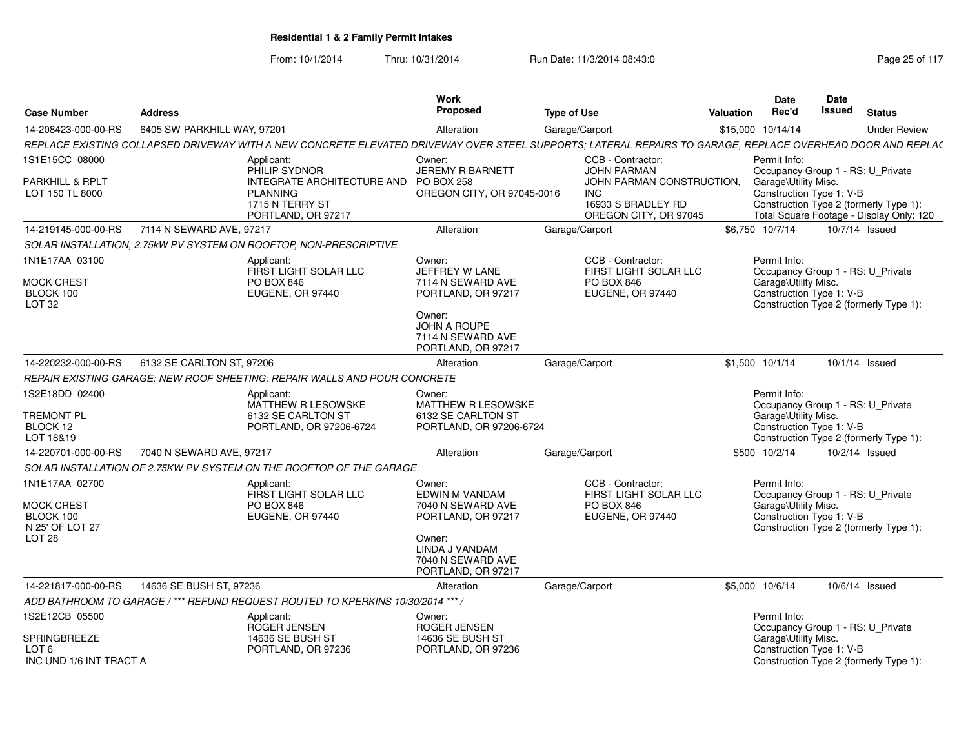| <b>Case Number</b>                                                                       | <b>Address</b>              |                                                                                                                                                            | Work<br><b>Proposed</b>                                                              | <b>Type of Use</b> |                                                                                        | Valuation | <b>Date</b><br>Rec'd                                                                                                                            | Date<br>Issued | <b>Status</b>  |                     |
|------------------------------------------------------------------------------------------|-----------------------------|------------------------------------------------------------------------------------------------------------------------------------------------------------|--------------------------------------------------------------------------------------|--------------------|----------------------------------------------------------------------------------------|-----------|-------------------------------------------------------------------------------------------------------------------------------------------------|----------------|----------------|---------------------|
| 14-208423-000-00-RS                                                                      | 6405 SW PARKHILL WAY, 97201 |                                                                                                                                                            | Alteration                                                                           | Garage/Carport     |                                                                                        |           | \$15,000 10/14/14                                                                                                                               |                |                | <b>Under Review</b> |
|                                                                                          |                             | REPLACE EXISTING COLLAPSED DRIVEWAY WITH A NEW CONCRETE ELEVATED DRIVEWAY OVER STEEL SUPPORTS; LATERAL REPAIRS TO GARAGE, REPLACE OVERHEAD DOOR AND REPLAC |                                                                                      |                    |                                                                                        |           |                                                                                                                                                 |                |                |                     |
| 1S1E15CC 08000                                                                           |                             | Applicant:<br>PHILIP SYDNOR                                                                                                                                | Owner:<br><b>JEREMY R BARNETT</b>                                                    |                    | CCB - Contractor:<br><b>JOHN PARMAN</b>                                                |           | Permit Info:<br>Occupancy Group 1 - RS: U_Private                                                                                               |                |                |                     |
| PARKHILL & RPLT<br>LOT 150 TL 8000                                                       |                             | INTEGRATE ARCHITECTURE AND<br><b>PLANNING</b><br>1715 N TERRY ST<br>PORTLAND, OR 97217                                                                     | <b>PO BOX 258</b><br>OREGON CITY, OR 97045-0016                                      |                    | JOHN PARMAN CONSTRUCTION.<br><b>INC</b><br>16933 S BRADLEY RD<br>OREGON CITY, OR 97045 |           | Garage\Utility Misc.<br>Construction Type 1: V-B<br>Construction Type 2 (formerly Type 1):<br>Total Square Footage - Display Only: 120          |                |                |                     |
| 14-219145-000-00-RS                                                                      | 7114 N SEWARD AVE, 97217    |                                                                                                                                                            | Alteration                                                                           | Garage/Carport     |                                                                                        |           | \$6,750 10/7/14                                                                                                                                 |                | 10/7/14 Issued |                     |
|                                                                                          |                             | SOLAR INSTALLATION. 2.75kW PV SYSTEM ON ROOFTOP, NON-PRESCRIPTIVE                                                                                          |                                                                                      |                    |                                                                                        |           |                                                                                                                                                 |                |                |                     |
| 1N1E17AA 03100                                                                           |                             | Applicant:<br>FIRST LIGHT SOLAR LLC                                                                                                                        | Owner:<br>JEFFREY W LANE                                                             |                    | CCB - Contractor:<br>FIRST LIGHT SOLAR LLC                                             |           | Permit Info:<br>Occupancy Group 1 - RS: U Private                                                                                               |                |                |                     |
| <b>MOCK CREST</b><br>BLOCK 100<br>LOT <sub>32</sub>                                      |                             | <b>PO BOX 846</b><br>EUGENE, OR 97440                                                                                                                      | 7114 N SEWARD AVE<br>PORTLAND, OR 97217                                              |                    | PO BOX 846<br>EUGENE, OR 97440                                                         |           | Garage\Utility Misc.<br>Construction Type 1: V-B<br>Construction Type 2 (formerly Type 1):                                                      |                |                |                     |
|                                                                                          |                             |                                                                                                                                                            | Owner:<br><b>JOHN A ROUPE</b><br>7114 N SEWARD AVE<br>PORTLAND, OR 97217             |                    |                                                                                        |           |                                                                                                                                                 |                |                |                     |
| 14-220232-000-00-RS                                                                      | 6132 SE CARLTON ST, 97206   |                                                                                                                                                            | Alteration                                                                           | Garage/Carport     |                                                                                        |           | \$1.500 10/1/14                                                                                                                                 |                | 10/1/14 Issued |                     |
|                                                                                          |                             | REPAIR EXISTING GARAGE; NEW ROOF SHEETING; REPAIR WALLS AND POUR CONCRETE                                                                                  |                                                                                      |                    |                                                                                        |           |                                                                                                                                                 |                |                |                     |
| 1S2E18DD 02400<br><b>TREMONT PL</b><br>BLOCK 12<br>LOT 18&19                             |                             | Applicant:<br><b>MATTHEW R LESOWSKE</b><br>6132 SE CARLTON ST<br>PORTLAND, OR 97206-6724                                                                   | Owner:<br><b>MATTHEW R LESOWSKE</b><br>6132 SE CARLTON ST<br>PORTLAND, OR 97206-6724 |                    |                                                                                        |           | Permit Info:<br>Occupancy Group 1 - RS: U Private<br>Garage\Utility Misc.<br>Construction Type 1: V-B<br>Construction Type 2 (formerly Type 1): |                |                |                     |
| 14-220701-000-00-RS                                                                      | 7040 N SEWARD AVE, 97217    |                                                                                                                                                            | Alteration                                                                           | Garage/Carport     |                                                                                        |           | \$500 10/2/14                                                                                                                                   |                | 10/2/14 Issued |                     |
|                                                                                          |                             | SOLAR INSTALLATION OF 2.75KW PV SYSTEM ON THE ROOFTOP OF THE GARAGE                                                                                        |                                                                                      |                    |                                                                                        |           |                                                                                                                                                 |                |                |                     |
| 1N1E17AA 02700<br><b>MOCK CREST</b><br>BLOCK 100<br>N 25' OF LOT 27<br>LOT <sub>28</sub> |                             | Applicant:<br>FIRST LIGHT SOLAR LLC<br><b>PO BOX 846</b><br>EUGENE, OR 97440                                                                               | Owner:<br>EDWIN M VANDAM<br>7040 N SEWARD AVE<br>PORTLAND, OR 97217<br>Owner:        |                    | CCB - Contractor:<br>FIRST LIGHT SOLAR LLC<br><b>PO BOX 846</b><br>EUGENE, OR 97440    |           | Permit Info:<br>Occupancy Group 1 - RS: U Private<br>Garage\Utility Misc.<br>Construction Type 1: V-B<br>Construction Type 2 (formerly Type 1): |                |                |                     |
|                                                                                          |                             |                                                                                                                                                            | LINDA J VANDAM<br>7040 N SEWARD AVE<br>PORTLAND, OR 97217                            |                    |                                                                                        |           |                                                                                                                                                 |                |                |                     |
| 14-221817-000-00-RS                                                                      | 14636 SE BUSH ST, 97236     |                                                                                                                                                            | Alteration                                                                           | Garage/Carport     |                                                                                        |           | \$5,000 10/6/14                                                                                                                                 |                | 10/6/14 Issued |                     |
|                                                                                          |                             | ADD BATHROOM TO GARAGE / *** REFUND REQUEST ROUTED TO KPERKINS 10/30/2014 ***,                                                                             |                                                                                      |                    |                                                                                        |           |                                                                                                                                                 |                |                |                     |
| 1S2E12CB 05500<br>SPRINGBREEZE                                                           |                             | Applicant:<br>ROGER JENSEN<br>14636 SE BUSH ST                                                                                                             | Owner:<br>ROGER JENSEN<br><b>14636 SE BUSH ST</b>                                    |                    |                                                                                        |           | Permit Info:<br>Occupancy Group 1 - RS: U Private<br>Garage\Utility Misc.                                                                       |                |                |                     |
| LOT <sub>6</sub><br>INC UND 1/6 INT TRACT A                                              |                             | PORTLAND, OR 97236                                                                                                                                         | PORTLAND, OR 97236                                                                   |                    |                                                                                        |           | Construction Type 1: V-B<br>Construction Type 2 (formerly Type 1):                                                                              |                |                |                     |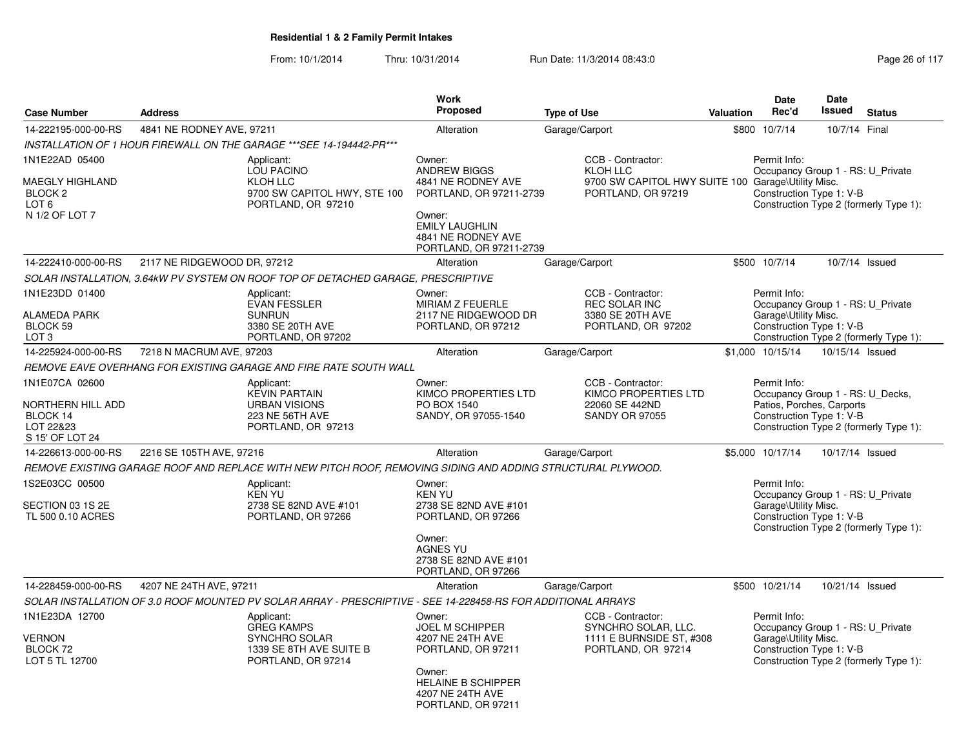|                                                                                                      |                             |                                                                                                               | <b>Work</b>                                                                                                                                                        |                                                                                                                  |           | <b>Date</b>                                                                                               | Date            |                                        |
|------------------------------------------------------------------------------------------------------|-----------------------------|---------------------------------------------------------------------------------------------------------------|--------------------------------------------------------------------------------------------------------------------------------------------------------------------|------------------------------------------------------------------------------------------------------------------|-----------|-----------------------------------------------------------------------------------------------------------|-----------------|----------------------------------------|
| <b>Case Number</b>                                                                                   | <b>Address</b>              |                                                                                                               | Proposed                                                                                                                                                           | <b>Type of Use</b>                                                                                               | Valuation | Rec'd                                                                                                     | <b>Issued</b>   | <b>Status</b>                          |
| 14-222195-000-00-RS                                                                                  | 4841 NE RODNEY AVE, 97211   |                                                                                                               | Alteration                                                                                                                                                         | Garage/Carport                                                                                                   |           | \$800 10/7/14                                                                                             | 10/7/14 Final   |                                        |
|                                                                                                      |                             | INSTALLATION OF 1 HOUR FIREWALL ON THE GARAGE *** SEE 14-194442-PR ***                                        |                                                                                                                                                                    |                                                                                                                  |           |                                                                                                           |                 |                                        |
| 1N1E22AD 05400<br><b>MAEGLY HIGHLAND</b><br>BLOCK <sub>2</sub><br>LOT <sub>6</sub><br>N 1/2 OF LOT 7 |                             | Applicant:<br>LOU PACINO<br>KLOH LLC<br>9700 SW CAPITOL HWY, STE 100<br>PORTLAND, OR 97210                    | Owner:<br><b>ANDREW BIGGS</b><br>4841 NE RODNEY AVE<br>PORTLAND, OR 97211-2739<br>Owner:<br><b>EMILY LAUGHLIN</b><br>4841 NE RODNEY AVE<br>PORTLAND, OR 97211-2739 | CCB - Contractor:<br><b>KLOH LLC</b><br>9700 SW CAPITOL HWY SUITE 100 Garage\Utility Misc.<br>PORTLAND, OR 97219 |           | Permit Info:<br>Occupancy Group 1 - RS: U_Private<br>Construction Type 1: V-B                             |                 | Construction Type 2 (formerly Type 1): |
| 14-222410-000-00-RS                                                                                  | 2117 NE RIDGEWOOD DR, 97212 |                                                                                                               | Alteration                                                                                                                                                         | Garage/Carport                                                                                                   |           | \$500 10/7/14                                                                                             |                 | 10/7/14 Issued                         |
|                                                                                                      |                             | SOLAR INSTALLATION, 3.64kW PV SYSTEM ON ROOF TOP OF DETACHED GARAGE, PRESCRIPTIVE                             |                                                                                                                                                                    |                                                                                                                  |           |                                                                                                           |                 |                                        |
| 1N1E23DD 01400<br><b>ALAMEDA PARK</b><br>BLOCK 59<br>LOT <sub>3</sub>                                |                             | Applicant:<br><b>EVAN FESSLER</b><br><b>SUNRUN</b><br>3380 SE 20TH AVE<br>PORTLAND, OR 97202                  | Owner:<br>MIRIAM Z FEUERLE<br>2117 NE RIDGEWOOD DR<br>PORTLAND, OR 97212                                                                                           | CCB - Contractor:<br><b>REC SOLAR INC</b><br>3380 SE 20TH AVE<br>PORTLAND, OR 97202                              |           | Permit Info:<br>Occupancy Group 1 - RS: U Private<br>Garage\Utility Misc.<br>Construction Type 1: V-B     |                 | Construction Type 2 (formerly Type 1): |
| 14-225924-000-00-RS                                                                                  | 7218 N MACRUM AVE, 97203    |                                                                                                               | Alteration                                                                                                                                                         | Garage/Carport                                                                                                   |           | \$1,000 10/15/14                                                                                          | 10/15/14 Issued |                                        |
|                                                                                                      |                             | REMOVE EAVE OVERHANG FOR EXISTING GARAGE AND FIRE RATE SOUTH WALL                                             |                                                                                                                                                                    |                                                                                                                  |           |                                                                                                           |                 |                                        |
| 1N1E07CA 02600<br>NORTHERN HILL ADD<br>BLOCK 14<br>LOT 22&23<br>S 15' OF LOT 24                      |                             | Applicant:<br><b>KEVIN PARTAIN</b><br><b>URBAN VISIONS</b><br>223 NE 56TH AVE<br>PORTLAND, OR 97213           | Owner:<br><b>KIMCO PROPERTIES LTD</b><br>PO BOX 1540<br>SANDY, OR 97055-1540                                                                                       | CCB - Contractor:<br>KIMCO PROPERTIES LTD<br>22060 SE 442ND<br><b>SANDY OR 97055</b>                             |           | Permit Info:<br>Occupancy Group 1 - RS: U Decks,<br>Patios, Porches, Carports<br>Construction Type 1: V-B |                 | Construction Type 2 (formerly Type 1): |
| 14-226613-000-00-RS                                                                                  | 2216 SE 105TH AVE, 97216    |                                                                                                               | Alteration                                                                                                                                                         | Garage/Carport                                                                                                   |           | \$5,000 10/17/14                                                                                          | 10/17/14 Issued |                                        |
|                                                                                                      |                             | REMOVE EXISTING GARAGE ROOF AND REPLACE WITH NEW PITCH ROOF, REMOVING SIDING AND ADDING STRUCTURAL PLYWOOD.   |                                                                                                                                                                    |                                                                                                                  |           |                                                                                                           |                 |                                        |
| 1S2E03CC 00500<br>SECTION 03 1S 2E<br>TL 500 0.10 ACRES                                              |                             | Applicant:<br><b>KEN YU</b><br>2738 SE 82ND AVE #101<br>PORTLAND, OR 97266                                    | Owner:<br><b>KEN YU</b><br>2738 SE 82ND AVE #101<br>PORTLAND, OR 97266<br>Owner:<br><b>AGNES YU</b><br>2738 SE 82ND AVE #101<br>PORTLAND, OR 97266                 |                                                                                                                  |           | Permit Info:<br>Occupancy Group 1 - RS: U_Private<br>Garage\Utility Misc.<br>Construction Type 1: V-B     |                 | Construction Type 2 (formerly Type 1): |
| 14-228459-000-00-RS                                                                                  | 4207 NE 24TH AVE, 97211     |                                                                                                               | Alteration                                                                                                                                                         | Garage/Carport                                                                                                   |           | \$500 10/21/14                                                                                            | 10/21/14 Issued |                                        |
|                                                                                                      |                             | SOLAR INSTALLATION OF 3.0 ROOF MOUNTED PV SOLAR ARRAY - PRESCRIPTIVE - SEE 14-228458-RS FOR ADDITIONAL ARRAYS |                                                                                                                                                                    |                                                                                                                  |           |                                                                                                           |                 |                                        |
| 1N1E23DA 12700<br><b>VERNON</b><br>BLOCK 72<br>LOT 5 TL 12700                                        |                             | Applicant:<br><b>GREG KAMPS</b><br><b>SYNCHRO SOLAR</b><br>1339 SE 8TH AVE SUITE B<br>PORTLAND, OR 97214      | Owner:<br><b>JOEL M SCHIPPER</b><br>4207 NE 24TH AVE<br>PORTLAND, OR 97211<br>Owner:<br><b>HELAINE B SCHIPPER</b><br>4207 NE 24TH AVE<br>PORTLAND, OR 97211        | CCB - Contractor:<br>SYNCHRO SOLAR, LLC.<br>1111 E BURNSIDE ST, #308<br>PORTLAND, OR 97214                       |           | Permit Info:<br>Occupancy Group 1 - RS: U_Private<br>Garage\Utility Misc.<br>Construction Type 1: V-B     |                 | Construction Type 2 (formerly Type 1): |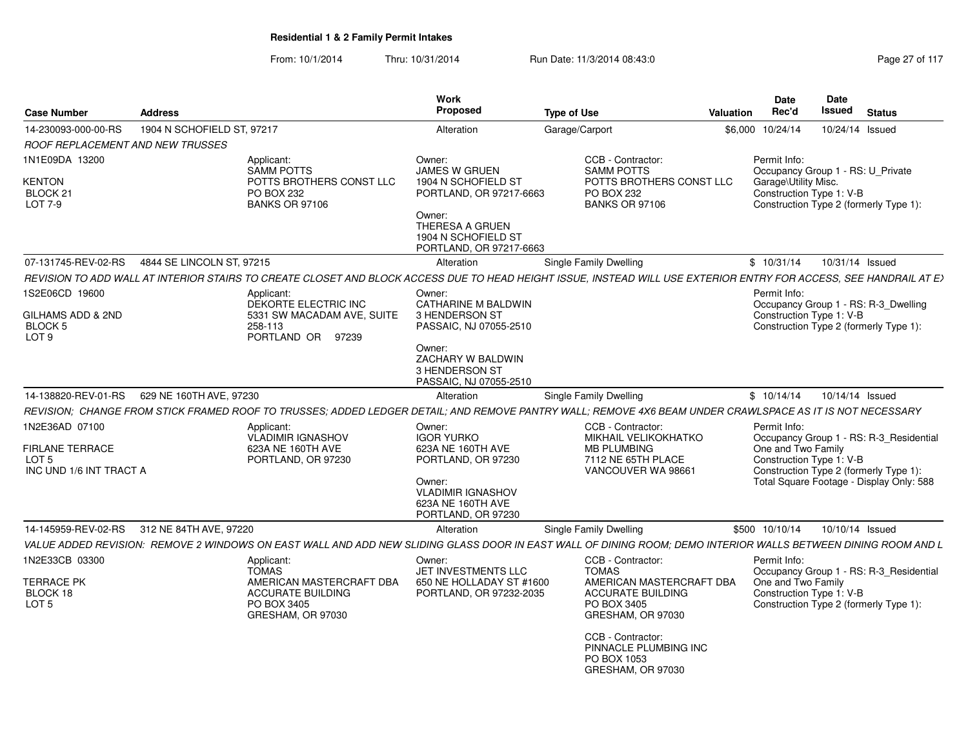| <b>Case Number</b>                                                                      | <b>Address</b>             |                                                                                                                                                                    | Work<br>Proposed                                                                                                                                         | <b>Type of Use</b> |                                                                                                             | Valuation | Date<br>Rec'd                                                                                         | Date<br><b>Issued</b> | <b>Status</b>                                                                                                                 |
|-----------------------------------------------------------------------------------------|----------------------------|--------------------------------------------------------------------------------------------------------------------------------------------------------------------|----------------------------------------------------------------------------------------------------------------------------------------------------------|--------------------|-------------------------------------------------------------------------------------------------------------|-----------|-------------------------------------------------------------------------------------------------------|-----------------------|-------------------------------------------------------------------------------------------------------------------------------|
| 14-230093-000-00-RS                                                                     | 1904 N SCHOFIELD ST, 97217 |                                                                                                                                                                    | Alteration                                                                                                                                               | Garage/Carport     |                                                                                                             | \$6,000   | 10/24/14                                                                                              | 10/24/14 Issued       |                                                                                                                               |
| ROOF REPLACEMENT AND NEW TRUSSES                                                        |                            |                                                                                                                                                                    |                                                                                                                                                          |                    |                                                                                                             |           |                                                                                                       |                       |                                                                                                                               |
| 1N1E09DA 13200<br>KENTON<br>BLOCK <sub>21</sub><br>LOT 7-9                              |                            | Applicant:<br><b>SAMM POTTS</b><br>POTTS BROTHERS CONST LLC<br>PO BOX 232<br><b>BANKS OR 97106</b>                                                                 | Owner:<br>JAMES W GRUEN<br>1904 N SCHOFIELD ST<br>PORTLAND, OR 97217-6663<br>Owner:<br>THERESA A GRUEN<br>1904 N SCHOFIELD ST<br>PORTLAND, OR 97217-6663 |                    | CCB - Contractor:<br><b>SAMM POTTS</b><br>POTTS BROTHERS CONST LLC<br>PO BOX 232<br><b>BANKS OR 97106</b>   |           | Permit Info:<br>Occupancy Group 1 - RS: U_Private<br>Garage\Utility Misc.<br>Construction Type 1: V-B |                       | Construction Type 2 (formerly Type 1):                                                                                        |
| 07-131745-REV-02-RS                                                                     | 4844 SE LINCOLN ST, 97215  |                                                                                                                                                                    | Alteration                                                                                                                                               |                    | Single Family Dwelling                                                                                      |           | \$10/31/14                                                                                            | 10/31/14 Issued       |                                                                                                                               |
|                                                                                         |                            | REVISION TO ADD WALL AT INTERIOR STAIRS TO CREATE CLOSET AND BLOCK ACCESS DUE TO HEAD HEIGHT ISSUE, INSTEAD WILL USE EXTERIOR ENTRY FOR ACCESS, SEE HANDRAIL AT EX |                                                                                                                                                          |                    |                                                                                                             |           |                                                                                                       |                       |                                                                                                                               |
| 1S2E06CD 19600<br>GILHAMS ADD & 2ND<br><b>BLOCK 5</b><br>LOT <sub>9</sub>               |                            | Applicant:<br>DEKORTE ELECTRIC INC<br>5331 SW MACADAM AVE, SUITE<br>258-113<br>PORTLAND OR 97239                                                                   | Owner:<br><b>CATHARINE M BALDWIN</b><br>3 HENDERSON ST<br>PASSAIC, NJ 07055-2510                                                                         |                    |                                                                                                             |           | Permit Info:<br>Construction Type 1: V-B                                                              |                       | Occupancy Group 1 - RS: R-3 Dwelling<br>Construction Type 2 (formerly Type 1):                                                |
|                                                                                         |                            |                                                                                                                                                                    | Owner:<br>ZACHARY W BALDWIN<br>3 HENDERSON ST<br>PASSAIC, NJ 07055-2510                                                                                  |                    |                                                                                                             |           |                                                                                                       |                       |                                                                                                                               |
| 14-138820-REV-01-RS                                                                     | 629 NE 160TH AVE, 97230    |                                                                                                                                                                    | Alteration                                                                                                                                               |                    | Single Family Dwelling                                                                                      |           | \$10/14/14                                                                                            | 10/14/14 Issued       |                                                                                                                               |
|                                                                                         |                            | REVISION; CHANGE FROM STICK FRAMED ROOF TO TRUSSES; ADDED LEDGER DETAIL; AND REMOVE PANTRY WALL; REMOVE 4X6 BEAM UNDER CRAWLSPACE AS IT IS NOT NECESSARY           |                                                                                                                                                          |                    |                                                                                                             |           |                                                                                                       |                       |                                                                                                                               |
| 1N2E36AD 07100<br><b>FIRLANE TERRACE</b><br>LOT <sub>5</sub><br>INC UND 1/6 INT TRACT A |                            | Applicant:<br><b>VLADIMIR IGNASHOV</b><br>623A NE 160TH AVE<br>PORTLAND, OR 97230                                                                                  | Owner:<br><b>IGOR YURKO</b><br>623A NE 160TH AVE<br>PORTLAND, OR 97230<br>Owner:<br><b>VLADIMIR IGNASHOV</b><br>623A NE 160TH AVE<br>PORTLAND, OR 97230  |                    | CCB - Contractor:<br>MIKHAIL VELIKOKHATKO<br><b>MB PLUMBING</b><br>7112 NE 65TH PLACE<br>VANCOUVER WA 98661 |           | Permit Info:<br>One and Two Family<br>Construction Type 1: V-B                                        |                       | Occupancy Group 1 - RS: R-3_Residential<br>Construction Type 2 (formerly Type 1):<br>Total Square Footage - Display Only: 588 |
| 14-145959-REV-02-RS                                                                     | 312 NE 84TH AVE, 97220     |                                                                                                                                                                    | Alteration                                                                                                                                               |                    | Single Family Dwelling                                                                                      |           | \$500 10/10/14                                                                                        | 10/10/14 Issued       |                                                                                                                               |
|                                                                                         |                            | VALUE ADDED REVISION: REMOVE 2 WINDOWS ON EAST WALL AND ADD NEW SLIDING GLASS DOOR IN EAST WALL OF DINING ROOM; DEMO INTERIOR WALLS BETWEEN DINING ROOM AND L      |                                                                                                                                                          |                    |                                                                                                             |           |                                                                                                       |                       |                                                                                                                               |
| 1N2E33CB 03300                                                                          |                            | Applicant:<br><b>TOMAS</b>                                                                                                                                         | Owner:<br>JET INVESTMENTS LLC                                                                                                                            |                    | CCB - Contractor:<br><b>TOMAS</b>                                                                           |           | Permit Info:                                                                                          |                       | Occupancy Group 1 - RS: R-3 Residential                                                                                       |
| TERRACE PK<br>BLOCK 18<br>LOT <sub>5</sub>                                              |                            | AMERICAN MASTERCRAFT DBA<br><b>ACCURATE BUILDING</b><br>PO BOX 3405<br>GRESHAM, OR 97030                                                                           | 650 NE HOLLADAY ST #1600<br>PORTLAND, OR 97232-2035                                                                                                      |                    | AMERICAN MASTERCRAFT DBA<br><b>ACCURATE BUILDING</b><br>PO BOX 3405<br>GRESHAM, OR 97030                    |           | One and Two Family<br>Construction Type 1: V-B                                                        |                       | Construction Type 2 (formerly Type 1):                                                                                        |
|                                                                                         |                            |                                                                                                                                                                    |                                                                                                                                                          |                    | CCB - Contractor:<br>PINNACLE PLUMBING INC<br>PO BOX 1053<br>GRESHAM, OR 97030                              |           |                                                                                                       |                       |                                                                                                                               |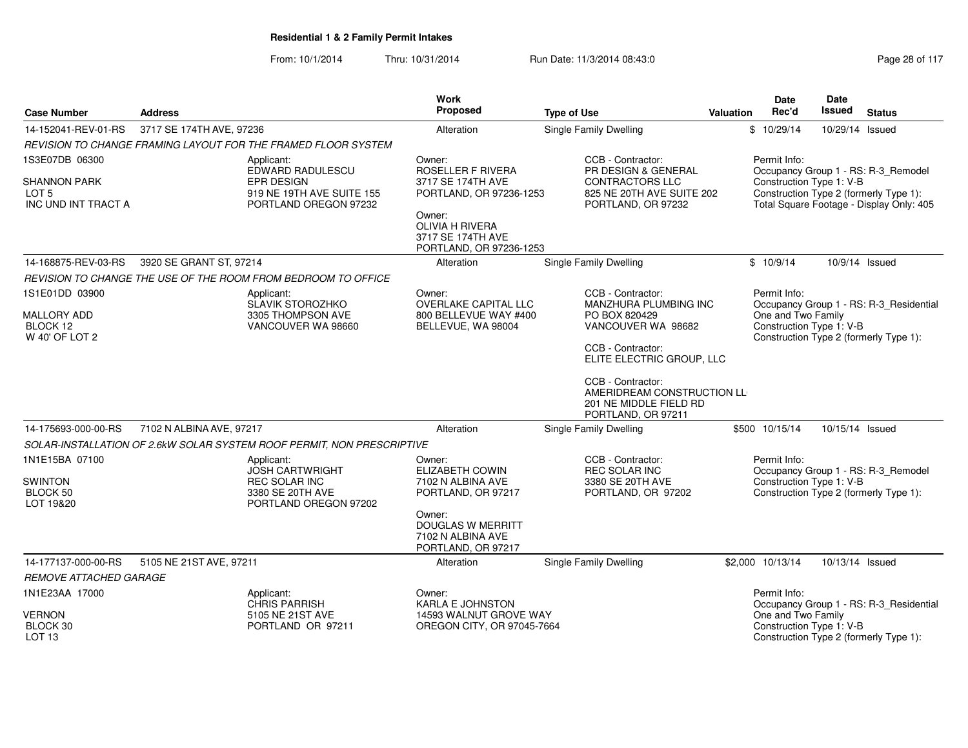|                                |                                                                        | Work<br>Proposed                             |                                                      | Date<br>Date<br><b>Issued</b><br>Rec'd                          |
|--------------------------------|------------------------------------------------------------------------|----------------------------------------------|------------------------------------------------------|-----------------------------------------------------------------|
| <b>Case Number</b>             | <b>Address</b>                                                         |                                              | <b>Type of Use</b>                                   | <b>Status</b><br>Valuation                                      |
| 14-152041-REV-01-RS            | 3717 SE 174TH AVE, 97236                                               | Alteration                                   | Single Family Dwelling                               | \$10/29/14<br>10/29/14 Issued                                   |
|                                | REVISION TO CHANGE FRAMING LAYOUT FOR THE FRAMED FLOOR SYSTEM          |                                              |                                                      |                                                                 |
| 1S3E07DB 06300                 | Applicant:<br>EDWARD RADULESCU                                         | Owner:<br>ROSELLER F RIVERA                  | CCB - Contractor:<br>PR DESIGN & GENERAL             | Permit Info:<br>Occupancy Group 1 - RS: R-3_Remodel             |
| <b>SHANNON PARK</b>            | <b>EPR DESIGN</b>                                                      | 3717 SE 174TH AVE                            | <b>CONTRACTORS LLC</b>                               | Construction Type 1: V-B                                        |
| LOT 5                          | 919 NE 19TH AVE SUITE 155                                              | PORTLAND, OR 97236-1253                      | 825 NE 20TH AVE SUITE 202                            | Construction Type 2 (formerly Type 1):                          |
| INC UND INT TRACT A            | PORTLAND OREGON 97232                                                  | Owner:                                       | PORTLAND, OR 97232                                   | Total Square Footage - Display Only: 405                        |
|                                |                                                                        | <b>OLIVIA H RIVERA</b>                       |                                                      |                                                                 |
|                                |                                                                        | 3717 SE 174TH AVE<br>PORTLAND, OR 97236-1253 |                                                      |                                                                 |
| 14-168875-REV-03-RS            | 3920 SE GRANT ST, 97214                                                | Alteration                                   | <b>Single Family Dwelling</b>                        | \$10/9/14<br>10/9/14 Issued                                     |
|                                | REVISION TO CHANGE THE USE OF THE ROOM FROM BEDROOM TO OFFICE          |                                              |                                                      |                                                                 |
| 1S1E01DD 03900                 | Applicant:                                                             | Owner:                                       | CCB - Contractor:                                    | Permit Info:                                                    |
|                                | <b>SLAVIK STOROZHKO</b>                                                | OVERLAKE CAPITAL LLC                         | MANZHURA PLUMBING INC                                | Occupancy Group 1 - RS: R-3_Residential                         |
| <b>MALLORY ADD</b><br>BLOCK 12 | 3305 THOMPSON AVE<br>VANCOUVER WA 98660                                | 800 BELLEVUE WAY #400                        | PO BOX 820429<br>VANCOUVER WA 98682                  | One and Two Family<br>Construction Type 1: V-B                  |
| W 40' OF LOT 2                 |                                                                        | BELLEVUE, WA 98004                           |                                                      | Construction Type 2 (formerly Type 1):                          |
|                                |                                                                        |                                              | CCB - Contractor:                                    |                                                                 |
|                                |                                                                        |                                              | ELITE ELECTRIC GROUP, LLC                            |                                                                 |
|                                |                                                                        |                                              | CCB - Contractor:                                    |                                                                 |
|                                |                                                                        |                                              | AMERIDREAM CONSTRUCTION LL<br>201 NE MIDDLE FIELD RD |                                                                 |
|                                |                                                                        |                                              | PORTLAND, OR 97211                                   |                                                                 |
| 14-175693-000-00-RS            | 7102 N ALBINA AVE, 97217                                               | Alteration                                   | <b>Single Family Dwelling</b>                        | \$500 10/15/14<br>10/15/14 Issued                               |
|                                | SOLAR-INSTALLATION OF 2.6kW SOLAR SYSTEM ROOF PERMIT, NON PRESCRIPTIVE |                                              |                                                      |                                                                 |
| 1N1E15BA 07100                 | Applicant:                                                             | Owner:                                       | CCB - Contractor:                                    | Permit Info:                                                    |
| SWINTON                        | <b>JOSH CARTWRIGHT</b><br><b>REC SOLAR INC</b>                         | ELIZABETH COWIN<br>7102 N ALBINA AVE         | <b>REC SOLAR INC</b><br>3380 SE 20TH AVE             | Occupancy Group 1 - RS: R-3_Remodel<br>Construction Type 1: V-B |
| BLOCK 50                       | 3380 SE 20TH AVE                                                       | PORTLAND, OR 97217                           | PORTLAND, OR 97202                                   | Construction Type 2 (formerly Type 1):                          |
| LOT 19&20                      | PORTLAND OREGON 97202                                                  |                                              |                                                      |                                                                 |
|                                |                                                                        | Owner:<br><b>DOUGLAS W MERRITT</b>           |                                                      |                                                                 |
|                                |                                                                        | 7102 N ALBINA AVE                            |                                                      |                                                                 |
|                                |                                                                        | PORTLAND, OR 97217                           |                                                      |                                                                 |
| 14-177137-000-00-RS            | 5105 NE 21ST AVE, 97211                                                | Alteration                                   | <b>Single Family Dwelling</b>                        | \$2,000 10/13/14<br>10/13/14 Issued                             |
| <b>REMOVE ATTACHED GARAGE</b>  |                                                                        |                                              |                                                      |                                                                 |
| 1N1E23AA 17000                 | Applicant:<br><b>CHRIS PARRISH</b>                                     | Owner:<br><b>KARLA E JOHNSTON</b>            |                                                      | Permit Info:<br>Occupancy Group 1 - RS: R-3_Residential         |
| <b>VERNON</b>                  | 5105 NE 21ST AVE                                                       | 14593 WALNUT GROVE WAY                       |                                                      | One and Two Family                                              |
| BLOCK 30                       | PORTLAND OR 97211                                                      | OREGON CITY, OR 97045-7664                   |                                                      | Construction Type 1: V-B                                        |
| LOT <sub>13</sub>              |                                                                        |                                              |                                                      | Construction Type 2 (formerly Type 1):                          |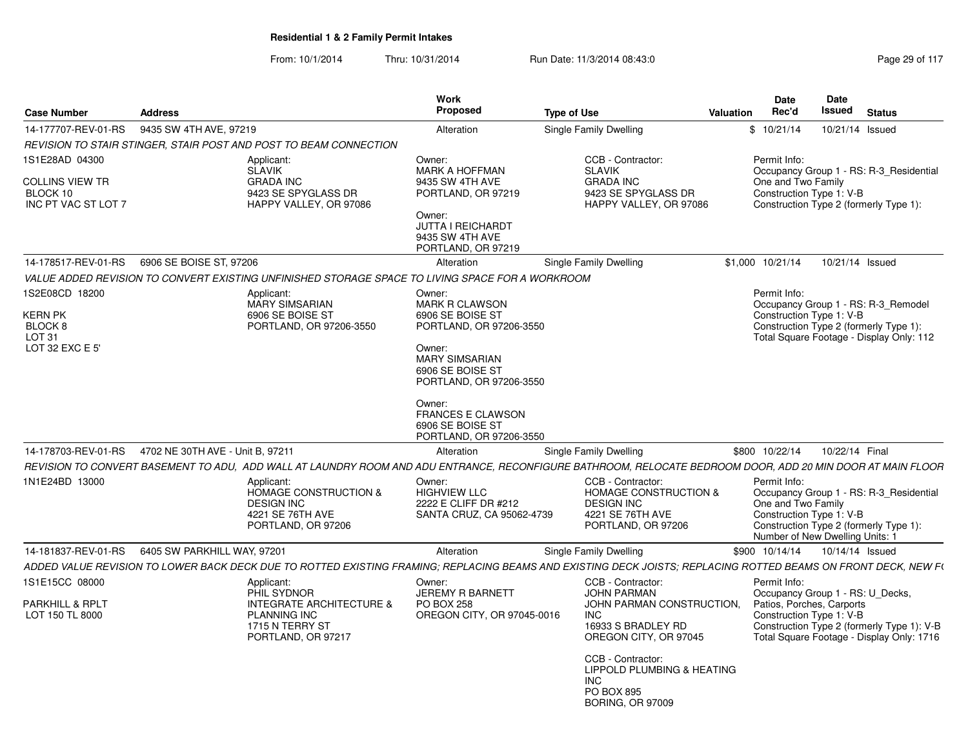| <b>Case Number</b>                                                                      | <b>Address</b>                                                                                                                                                                                                                                                              | Work<br><b>Proposed</b>                                                                                                               | <b>Type of Use</b>                                                                                                   | <b>Valuation</b> | Date<br>Rec'd                      | Date<br>Issued                                              | <b>Status</b>                                                                                                               |  |
|-----------------------------------------------------------------------------------------|-----------------------------------------------------------------------------------------------------------------------------------------------------------------------------------------------------------------------------------------------------------------------------|---------------------------------------------------------------------------------------------------------------------------------------|----------------------------------------------------------------------------------------------------------------------|------------------|------------------------------------|-------------------------------------------------------------|-----------------------------------------------------------------------------------------------------------------------------|--|
| 14-177707-REV-01-RS                                                                     | 9435 SW 4TH AVE, 97219                                                                                                                                                                                                                                                      | Alteration                                                                                                                            | Single Family Dwelling                                                                                               |                  | \$10/21/14                         | 10/21/14                                                    | Issued                                                                                                                      |  |
|                                                                                         | REVISION TO STAIR STINGER, STAIR POST AND POST TO BEAM CONNECTION                                                                                                                                                                                                           |                                                                                                                                       |                                                                                                                      |                  |                                    |                                                             |                                                                                                                             |  |
| 1S1E28AD 04300<br>COLLINS VIEW TR<br>BLOCK 10<br>INC PT VAC ST LOT 7                    | Applicant:<br><b>SLAVIK</b><br><b>GRADA INC</b><br>9423 SE SPYGLASS DR<br>HAPPY VALLEY, OR 97086                                                                                                                                                                            | Owner:<br><b>MARK A HOFFMAN</b><br>9435 SW 4TH AVE<br>PORTLAND, OR 97219<br>Owner:<br><b>JUTTA I REICHARDT</b><br>9435 SW 4TH AVE     | CCB - Contractor:<br><b>SLAVIK</b><br><b>GRADA INC</b><br>9423 SE SPYGLASS DR<br>HAPPY VALLEY, OR 97086              |                  | Permit Info:<br>One and Two Family | Construction Type 1: V-B                                    | Occupancy Group 1 - RS: R-3_Residential<br>Construction Type 2 (formerly Type 1):                                           |  |
|                                                                                         |                                                                                                                                                                                                                                                                             | PORTLAND, OR 97219                                                                                                                    |                                                                                                                      |                  |                                    |                                                             |                                                                                                                             |  |
| 14-178517-REV-01-RS                                                                     | 6906 SE BOISE ST, 97206                                                                                                                                                                                                                                                     | Alteration                                                                                                                            | Single Family Dwelling                                                                                               | \$1,000 10/21/14 |                                    | 10/21/14 Issued                                             |                                                                                                                             |  |
|                                                                                         | VALUE ADDED REVISION TO CONVERT EXISTING UNFINISHED STORAGE SPACE TO LIVING SPACE FOR A WORKROOM                                                                                                                                                                            |                                                                                                                                       |                                                                                                                      |                  |                                    |                                                             |                                                                                                                             |  |
| 1S2E08CD 18200<br>KERN PK<br>BLOCK <sub>8</sub><br>LOT <sub>31</sub><br>LOT 32 EXC E 5' | Applicant:<br><b>MARY SIMSARIAN</b><br>6906 SE BOISE ST<br>PORTLAND, OR 97206-3550                                                                                                                                                                                          | Owner:<br><b>MARK R CLAWSON</b><br>6906 SE BOISE ST<br>PORTLAND, OR 97206-3550<br>Owner:<br><b>MARY SIMSARIAN</b><br>6906 SE BOISE ST |                                                                                                                      |                  | Permit Info:                       | Construction Type 1: V-B                                    | Occupancy Group 1 - RS: R-3_Remodel<br>Construction Type 2 (formerly Type 1):<br>Total Square Footage - Display Only: 112   |  |
|                                                                                         |                                                                                                                                                                                                                                                                             | Owner:<br><b>FRANCES E CLAWSON</b><br>6906 SE BOISE ST<br>PORTLAND, OR 97206-3550                                                     |                                                                                                                      |                  |                                    |                                                             |                                                                                                                             |  |
| 14-178703-REV-01-RS                                                                     | 4702 NE 30TH AVE - Unit B, 97211                                                                                                                                                                                                                                            | Alteration                                                                                                                            | Single Family Dwelling                                                                                               | \$800 10/22/14   |                                    | 10/22/14 Final                                              |                                                                                                                             |  |
| 1N1E24BD 13000                                                                          | REVISION TO CONVERT BASEMENT TO ADU, ADD WALL AT LAUNDRY ROOM AND ADU ENTRANCE, RECONFIGURE BATHROOM, RELOCATE BEDROOM DOOR, ADD 20 MIN DOOR AT MAIN FLOOR<br>Applicant:<br><b>HOMAGE CONSTRUCTION &amp;</b><br><b>DESIGN INC</b><br>4221 SE 76TH AVE<br>PORTLAND, OR 97206 | Owner:<br><b>HIGHVIEW LLC</b><br>2222 E CLIFF DR #212<br>SANTA CRUZ, CA 95062-4739                                                    | CCB - Contractor:<br><b>HOMAGE CONSTRUCTION &amp;</b><br><b>DESIGN INC</b><br>4221 SE 76TH AVE<br>PORTLAND, OR 97206 |                  | Permit Info:<br>One and Two Family | Construction Type 1: V-B<br>Number of New Dwelling Units: 1 | Occupancy Group 1 - RS: R-3_Residential<br>Construction Type 2 (formerly Type 1):                                           |  |
| 14-181837-REV-01-RS                                                                     | 6405 SW PARKHILL WAY, 97201                                                                                                                                                                                                                                                 | Alteration                                                                                                                            | Single Family Dwelling                                                                                               | \$900 10/14/14   |                                    | 10/14/14 Issued                                             |                                                                                                                             |  |
|                                                                                         | ADDED VALUE REVISION TO LOWER BACK DECK DUE TO ROTTED EXISTING FRAMING: REPLACING BEAMS AND EXISTING DECK JOISTS: REPLACING ROTTED BEAMS ON FRONT DECK. NEW F(                                                                                                              |                                                                                                                                       |                                                                                                                      |                  |                                    |                                                             |                                                                                                                             |  |
| 1S1E15CC 08000                                                                          | Applicant:                                                                                                                                                                                                                                                                  | Owner:                                                                                                                                | CCB - Contractor:                                                                                                    |                  | Permit Info:                       |                                                             |                                                                                                                             |  |
| <b>PARKHILL &amp; RPLT</b><br>LOT 150 TL 8000                                           | PHIL SYDNOR<br><b>INTEGRATE ARCHITECTURE &amp;</b><br><b>PLANNING INC</b><br>1715 N TERRY ST<br>PORTLAND, OR 97217                                                                                                                                                          | <b>JEREMY R BARNETT</b><br><b>PO BOX 258</b><br>OREGON CITY, OR 97045-0016                                                            | <b>JOHN PARMAN</b><br>JOHN PARMAN CONSTRUCTION,<br><b>INC</b><br>16933 S BRADLEY RD<br>OREGON CITY, OR 97045         |                  |                                    | Patios, Porches, Carports<br>Construction Type 1: V-B       | Occupancy Group 1 - RS: U_Decks,<br>Construction Type 2 (formerly Type 1): V-B<br>Total Square Footage - Display Only: 1716 |  |
|                                                                                         |                                                                                                                                                                                                                                                                             |                                                                                                                                       | CCB - Contractor:<br>LIPPOLD PLUMBING & HEATING<br><b>INC</b><br>PO BOX 895<br><b>BORING, OR 97009</b>               |                  |                                    |                                                             |                                                                                                                             |  |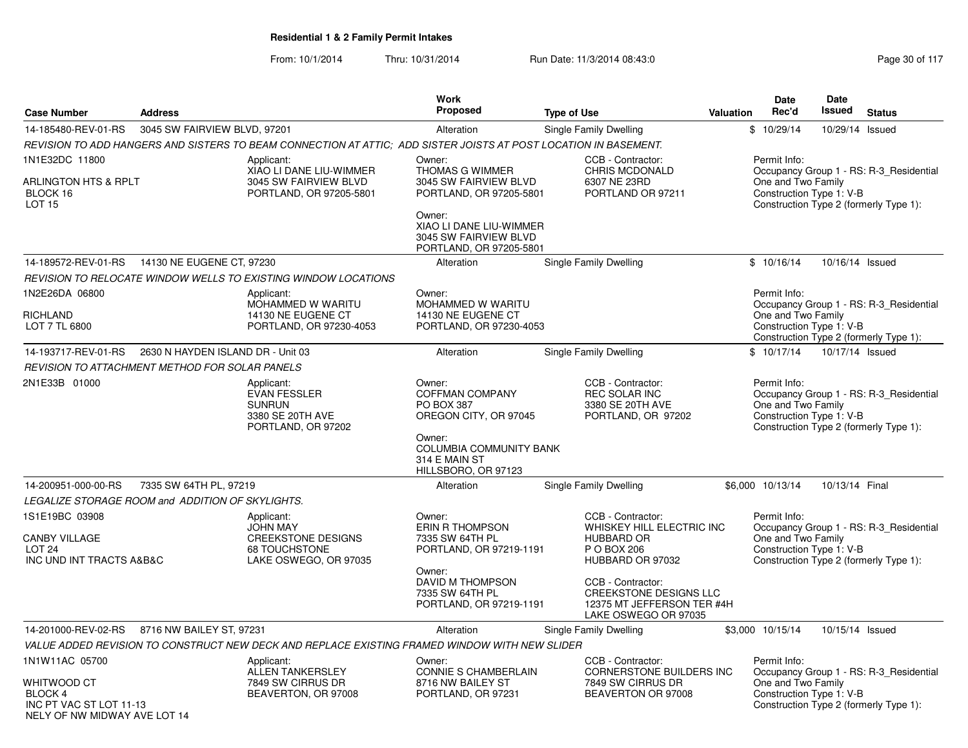|                                                                                          |                                                  |                                                                                                                  | <b>Work</b>                                                                                                                                                            |                                                                                                                                                                                     |           | <b>Date</b>                                                    | <b>Date</b>    |                                                                                   |
|------------------------------------------------------------------------------------------|--------------------------------------------------|------------------------------------------------------------------------------------------------------------------|------------------------------------------------------------------------------------------------------------------------------------------------------------------------|-------------------------------------------------------------------------------------------------------------------------------------------------------------------------------------|-----------|----------------------------------------------------------------|----------------|-----------------------------------------------------------------------------------|
| <b>Case Number</b>                                                                       | <b>Address</b>                                   |                                                                                                                  | Proposed                                                                                                                                                               | <b>Type of Use</b>                                                                                                                                                                  | Valuation | Rec'd                                                          | <b>Issued</b>  | <b>Status</b>                                                                     |
| 14-185480-REV-01-RS                                                                      | 3045 SW FAIRVIEW BLVD, 97201                     |                                                                                                                  | Alteration                                                                                                                                                             | Single Family Dwelling                                                                                                                                                              |           | \$10/29/14                                                     |                | 10/29/14 Issued                                                                   |
|                                                                                          |                                                  | REVISION TO ADD HANGERS AND SISTERS TO BEAM CONNECTION AT ATTIC; ADD SISTER JOISTS AT POST LOCATION IN BASEMENT. |                                                                                                                                                                        |                                                                                                                                                                                     |           |                                                                |                |                                                                                   |
| 1N1E32DC 11800<br><b>ARLINGTON HTS &amp; RPLT</b><br>BLOCK 16<br><b>LOT 15</b>           |                                                  | Applicant:<br>XIAO LI DANE LIU-WIMMER<br>3045 SW FAIRVIEW BLVD<br>PORTLAND, OR 97205-5801                        | Owner:<br>THOMAS G WIMMER<br>3045 SW FAIRVIEW BLVD<br>PORTLAND, OR 97205-5801<br>Owner:<br>XIAO LI DANE LIU-WIMMER<br>3045 SW FAIRVIEW BLVD<br>PORTLAND, OR 97205-5801 | CCB - Contractor:<br>CHRIS MCDONALD<br>6307 NE 23RD<br>PORTLAND OR 97211                                                                                                            |           | Permit Info:<br>One and Two Family<br>Construction Type 1: V-B |                | Occupancy Group 1 - RS: R-3_Residential<br>Construction Type 2 (formerly Type 1): |
| 14-189572-REV-01-RS                                                                      | 14130 NE EUGENE CT, 97230                        |                                                                                                                  | Alteration                                                                                                                                                             | Single Family Dwelling                                                                                                                                                              |           | \$10/16/14                                                     |                | 10/16/14 Issued                                                                   |
|                                                                                          |                                                  | REVISION TO RELOCATE WINDOW WELLS TO EXISTING WINDOW LOCATIONS                                                   |                                                                                                                                                                        |                                                                                                                                                                                     |           |                                                                |                |                                                                                   |
| 1N2E26DA 06800<br>RICHLAND<br>LOT 7 TL 6800                                              |                                                  | Applicant:<br>MOHAMMED W WARITU<br>14130 NE EUGENE CT<br>PORTLAND, OR 97230-4053                                 | Owner:<br>MOHAMMED W WARITU<br>14130 NE EUGENE CT<br>PORTLAND, OR 97230-4053                                                                                           |                                                                                                                                                                                     |           | Permit Info:<br>One and Two Family<br>Construction Type 1: V-B |                | Occupancy Group 1 - RS: R-3 Residential<br>Construction Type 2 (formerly Type 1): |
| 14-193717-REV-01-RS                                                                      | 2630 N HAYDEN ISLAND DR - Unit 03                |                                                                                                                  | Alteration                                                                                                                                                             | Single Family Dwelling                                                                                                                                                              |           | \$10/17/14                                                     |                | 10/17/14 Issued                                                                   |
|                                                                                          | REVISION TO ATTACHMENT METHOD FOR SOLAR PANELS   |                                                                                                                  |                                                                                                                                                                        |                                                                                                                                                                                     |           |                                                                |                |                                                                                   |
| 2N1E33B 01000                                                                            |                                                  | Applicant:<br><b>EVAN FESSLER</b><br><b>SUNRUN</b><br>3380 SE 20TH AVE<br>PORTLAND, OR 97202                     | Owner:<br><b>COFFMAN COMPANY</b><br>PO BOX 387<br>OREGON CITY, OR 97045<br>Owner:<br><b>COLUMBIA COMMUNITY BANK</b><br>314 E MAIN ST<br>HILLSBORO, OR 97123            | CCB - Contractor:<br>REC SOLAR INC<br>3380 SE 20TH AVE<br>PORTLAND, OR 97202                                                                                                        |           | Permit Info:<br>One and Two Family<br>Construction Type 1: V-B |                | Occupancy Group 1 - RS: R-3 Residential<br>Construction Type 2 (formerly Type 1): |
| 14-200951-000-00-RS                                                                      | 7335 SW 64TH PL, 97219                           |                                                                                                                  | Alteration                                                                                                                                                             | Single Family Dwelling                                                                                                                                                              |           | \$6,000 10/13/14                                               | 10/13/14 Final |                                                                                   |
|                                                                                          | LEGALIZE STORAGE ROOM and ADDITION OF SKYLIGHTS. |                                                                                                                  |                                                                                                                                                                        |                                                                                                                                                                                     |           |                                                                |                |                                                                                   |
| 1S1E19BC 03908<br><b>CANBY VILLAGE</b><br>LOT <sub>24</sub><br>INC UND INT TRACTS A&B&C  |                                                  | Applicant:<br><b>JOHN MAY</b><br><b>CREEKSTONE DESIGNS</b><br>68 TOUCHSTONE<br>LAKE OSWEGO, OR 97035             | Owner:<br>ERIN R THOMPSON<br>7335 SW 64TH PL<br>PORTLAND, OR 97219-1191<br>Owner:<br>DAVID M THOMPSON<br>7335 SW 64TH PL<br>PORTLAND, OR 97219-1191                    | CCB - Contractor:<br>WHISKEY HILL ELECTRIC INC<br><b>HUBBARD OR</b><br>P O BOX 206<br>HUBBARD OR 97032<br>CCB - Contractor:<br>CREEKSTONE DESIGNS LLC<br>12375 MT JEFFERSON TER #4H |           | Permit Info:<br>One and Two Family<br>Construction Type 1: V-B |                | Occupancy Group 1 - RS: R-3 Residential<br>Construction Type 2 (formerly Type 1): |
|                                                                                          |                                                  |                                                                                                                  |                                                                                                                                                                        | LAKE OSWEGO OR 97035                                                                                                                                                                |           |                                                                |                |                                                                                   |
| 14-201000-REV-02-RS                                                                      | 8716 NW BAILEY ST, 97231                         |                                                                                                                  | Alteration                                                                                                                                                             | Single Family Dwelling                                                                                                                                                              |           | \$3,000 10/15/14                                               |                | 10/15/14 Issued                                                                   |
| 1N1W11AC 05700                                                                           |                                                  | VALUE ADDED REVISION TO CONSTRUCT NEW DECK AND REPLACE EXISTING FRAMED WINDOW WITH NEW SLIDER<br>Applicant:      | Owner:                                                                                                                                                                 | CCB - Contractor:                                                                                                                                                                   |           | Permit Info:                                                   |                |                                                                                   |
| WHITWOOD CT<br><b>BLOCK 4</b><br>INC PT VAC ST LOT 11-13<br>NELY OF NW MIDWAY AVE LOT 14 |                                                  | ALLEN TANKERSLEY<br>7849 SW CIRRUS DR<br>BEAVERTON, OR 97008                                                     | CONNIE S CHAMBERLAIN<br>8716 NW BAILEY ST<br>PORTLAND, OR 97231                                                                                                        | CORNERSTONE BUILDERS INC<br>7849 SW CIRRUS DR<br>BEAVERTON OR 97008                                                                                                                 |           | One and Two Family<br>Construction Type 1: V-B                 |                | Occupancy Group 1 - RS: R-3_Residential<br>Construction Type 2 (formerly Type 1): |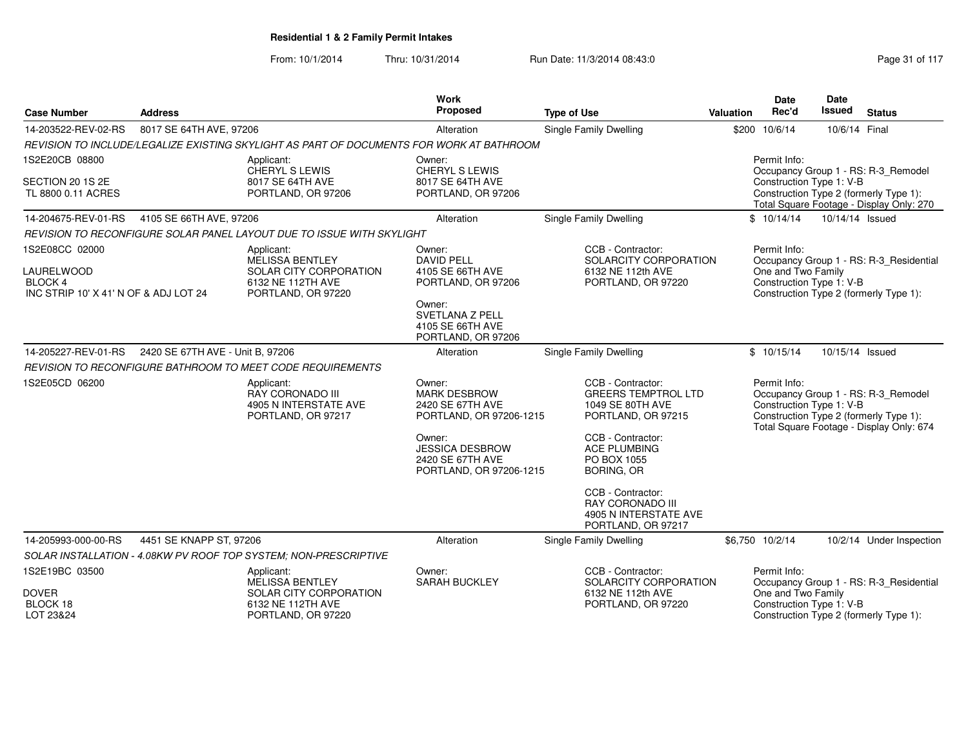| <b>Case Number</b>                                                                             | <b>Address</b>                   |                                                                                                           | <b>Work</b><br>Proposed                                                                                                                                         | <b>Type of Use</b>                                                                                                                                                                             | <b>Valuation</b> | <b>Date</b><br>Rec'd               | <b>Date</b><br><b>Issued</b> | <b>Status</b>                                                                                                             |
|------------------------------------------------------------------------------------------------|----------------------------------|-----------------------------------------------------------------------------------------------------------|-----------------------------------------------------------------------------------------------------------------------------------------------------------------|------------------------------------------------------------------------------------------------------------------------------------------------------------------------------------------------|------------------|------------------------------------|------------------------------|---------------------------------------------------------------------------------------------------------------------------|
| 14-203522-REV-02-RS                                                                            | 8017 SE 64TH AVE, 97206          |                                                                                                           | Alteration                                                                                                                                                      | <b>Single Family Dwelling</b>                                                                                                                                                                  |                  | \$200 10/6/14                      | 10/6/14 Final                |                                                                                                                           |
|                                                                                                |                                  | REVISION TO INCLUDE/LEGALIZE EXISTING SKYLIGHT AS PART OF DOCUMENTS FOR WORK AT BATHROOM                  |                                                                                                                                                                 |                                                                                                                                                                                                |                  |                                    |                              |                                                                                                                           |
| 1S2E20CB 08800<br>SECTION 20 1S 2E<br>TL 8800 0.11 ACRES                                       |                                  | Applicant:<br>CHERYL S LEWIS<br>8017 SE 64TH AVE<br>PORTLAND, OR 97206                                    | Owner:<br><b>CHERYL S LEWIS</b><br>8017 SE 64TH AVE<br>PORTLAND, OR 97206                                                                                       |                                                                                                                                                                                                |                  | Permit Info:                       | Construction Type 1: V-B     | Occupancy Group 1 - RS: R-3_Remodel<br>Construction Type 2 (formerly Type 1):<br>Total Square Footage - Display Only: 270 |
| 14-204675-REV-01-RS                                                                            | 4105 SE 66TH AVE, 97206          |                                                                                                           | Alteration                                                                                                                                                      | <b>Single Family Dwelling</b>                                                                                                                                                                  |                  | \$10/14/14                         | 10/14/14 Issued              |                                                                                                                           |
|                                                                                                |                                  | REVISION TO RECONFIGURE SOLAR PANEL LAYOUT DUE TO ISSUE WITH SKYLIGHT                                     |                                                                                                                                                                 |                                                                                                                                                                                                |                  |                                    |                              |                                                                                                                           |
| 1S2E08CC 02000<br><b>LAURELWOOD</b><br><b>BLOCK 4</b><br>INC STRIP 10' X 41' N OF & ADJ LOT 24 |                                  | Applicant:<br><b>MELISSA BENTLEY</b><br>SOLAR CITY CORPORATION<br>6132 NE 112TH AVE<br>PORTLAND, OR 97220 | Owner:<br><b>DAVID PELL</b><br>4105 SE 66TH AVE<br>PORTLAND, OR 97206<br>Owner:<br><b>SVETLANA Z PELL</b><br>4105 SE 66TH AVE<br>PORTLAND, OR 97206             | CCB - Contractor:<br>SOLARCITY CORPORATION<br>6132 NE 112th AVE<br>PORTLAND, OR 97220                                                                                                          |                  | Permit Info:<br>One and Two Family | Construction Type 1: V-B     | Occupancy Group 1 - RS: R-3_Residential<br>Construction Type 2 (formerly Type 1):                                         |
| 14-205227-REV-01-RS                                                                            | 2420 SE 67TH AVE - Unit B, 97206 |                                                                                                           | Alteration                                                                                                                                                      | Single Family Dwelling                                                                                                                                                                         |                  | \$10/15/14                         | 10/15/14 Issued              |                                                                                                                           |
|                                                                                                |                                  | REVISION TO RECONFIGURE BATHROOM TO MEET CODE REQUIREMENTS                                                |                                                                                                                                                                 |                                                                                                                                                                                                |                  |                                    |                              |                                                                                                                           |
| 1S2E05CD 06200                                                                                 |                                  | Applicant:<br><b>RAY CORONADO III</b><br>4905 N INTERSTATE AVE<br>PORTLAND, OR 97217                      | Owner:<br><b>MARK DESBROW</b><br>2420 SE 67TH AVE<br>PORTLAND, OR 97206-1215<br>Owner:<br><b>JESSICA DESBROW</b><br>2420 SE 67TH AVE<br>PORTLAND, OR 97206-1215 | CCB - Contractor:<br><b>GREERS TEMPTROL LTD</b><br>1049 SE 80TH AVE<br>PORTLAND, OR 97215<br>CCB - Contractor:<br><b>ACE PLUMBING</b><br>PO BOX 1055<br><b>BORING, OR</b><br>CCB - Contractor: |                  | Permit Info:                       | Construction Type 1: V-B     | Occupancy Group 1 - RS: R-3_Remodel<br>Construction Type 2 (formerly Type 1):<br>Total Square Footage - Display Only: 674 |
|                                                                                                |                                  |                                                                                                           |                                                                                                                                                                 | RAY CORONADO III<br>4905 N INTERSTATE AVE<br>PORTLAND, OR 97217                                                                                                                                |                  |                                    |                              |                                                                                                                           |
| 14-205993-000-00-RS                                                                            | 4451 SE KNAPP ST, 97206          |                                                                                                           | Alteration                                                                                                                                                      | Single Family Dwelling                                                                                                                                                                         |                  | \$6,750 10/2/14                    |                              | 10/2/14 Under Inspection                                                                                                  |
|                                                                                                |                                  | SOLAR INSTALLATION - 4.08KW PV ROOF TOP SYSTEM; NON-PRESCRIPTIVE                                          |                                                                                                                                                                 |                                                                                                                                                                                                |                  |                                    |                              |                                                                                                                           |
| 1S2E19BC 03500<br><b>DOVER</b><br>BLOCK 18<br>LOT 23&24                                        |                                  | Applicant:<br><b>MELISSA BENTLEY</b><br>SOLAR CITY CORPORATION<br>6132 NE 112TH AVE<br>PORTLAND, OR 97220 | Owner:<br>SARAH BUCKLEY                                                                                                                                         | CCB - Contractor:<br>SOLARCITY CORPORATION<br>6132 NE 112th AVE<br>PORTLAND, OR 97220                                                                                                          |                  | Permit Info:<br>One and Two Family | Construction Type 1: V-B     | Occupancy Group 1 - RS: R-3 Residential<br>Construction Type 2 (formerly Type 1):                                         |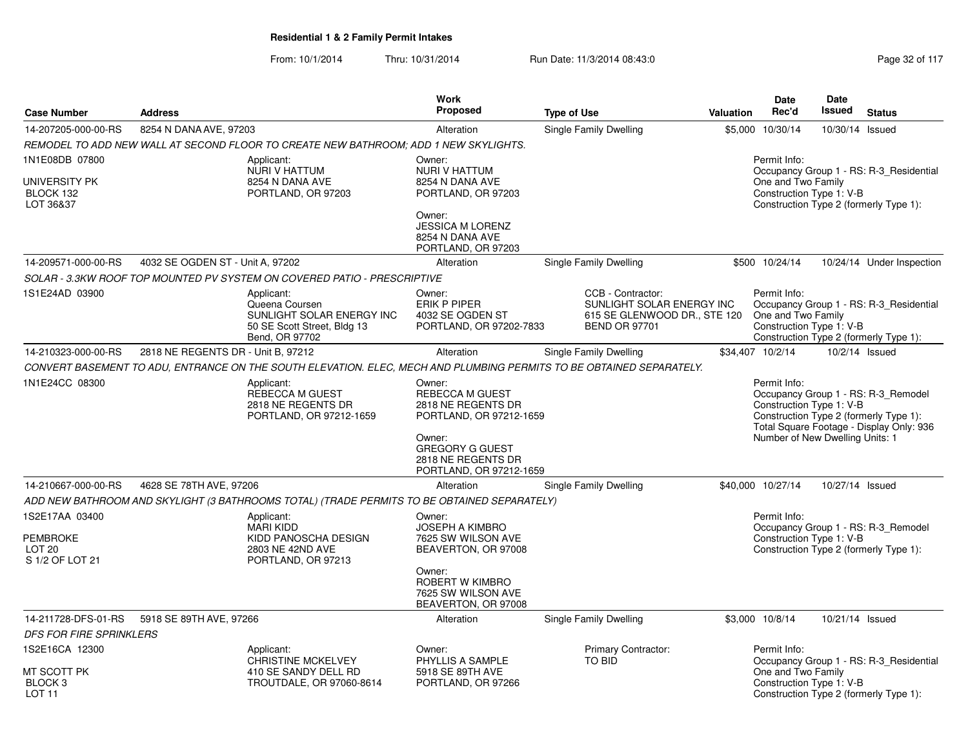|                                                                           |                                    |                                                                                                                      | Work                                                                              |                                                                                                        |           | <b>Date</b>                                                    | <b>Date</b>     |                                                                                                                           |
|---------------------------------------------------------------------------|------------------------------------|----------------------------------------------------------------------------------------------------------------------|-----------------------------------------------------------------------------------|--------------------------------------------------------------------------------------------------------|-----------|----------------------------------------------------------------|-----------------|---------------------------------------------------------------------------------------------------------------------------|
| <b>Case Number</b>                                                        | <b>Address</b>                     |                                                                                                                      | <b>Proposed</b>                                                                   | <b>Type of Use</b>                                                                                     | Valuation | Rec'd                                                          | Issued          | <b>Status</b>                                                                                                             |
| 14-207205-000-00-RS                                                       | 8254 N DANA AVE, 97203             |                                                                                                                      | Alteration                                                                        | Single Family Dwelling                                                                                 |           | \$5,000 10/30/14                                               | 10/30/14 Issued |                                                                                                                           |
|                                                                           |                                    | REMODEL TO ADD NEW WALL AT SECOND FLOOR TO CREATE NEW BATHROOM: ADD 1 NEW SKYLIGHTS.                                 |                                                                                   |                                                                                                        |           |                                                                |                 |                                                                                                                           |
| 1N1E08DB 07800<br>UNIVERSITY PK<br>BLOCK 132<br>LOT 36&37                 |                                    | Applicant:<br>NURI V HATTUM<br>8254 N DANA AVE<br>PORTLAND, OR 97203                                                 | Owner:<br>NURI V HATTUM<br>8254 N DANA AVE<br>PORTLAND, OR 97203                  |                                                                                                        |           | Permit Info:<br>One and Two Family<br>Construction Type 1: V-B |                 | Occupancy Group 1 - RS: R-3 Residential<br>Construction Type 2 (formerly Type 1):                                         |
|                                                                           |                                    |                                                                                                                      | Owner:<br><b>JESSICA M LORENZ</b><br>8254 N DANA AVE<br>PORTLAND, OR 97203        |                                                                                                        |           |                                                                |                 |                                                                                                                           |
| 14-209571-000-00-RS                                                       | 4032 SE OGDEN ST - Unit A, 97202   |                                                                                                                      | Alteration                                                                        | Single Family Dwelling                                                                                 |           | \$500 10/24/14                                                 |                 | 10/24/14 Under Inspection                                                                                                 |
|                                                                           |                                    | SOLAR - 3.3KW ROOF TOP MOUNTED PV SYSTEM ON COVERED PATIO - PRESCRIPTIVE                                             |                                                                                   |                                                                                                        |           |                                                                |                 |                                                                                                                           |
| 1S1E24AD 03900                                                            |                                    | Applicant:<br>Queena Coursen<br>SUNLIGHT SOLAR ENERGY INC<br>50 SE Scott Street, Bldg 13<br>Bend, OR 97702           | Owner:<br><b>ERIK P PIPER</b><br>4032 SE OGDEN ST<br>PORTLAND, OR 97202-7833      | CCB - Contractor:<br>SUNLIGHT SOLAR ENERGY INC<br>615 SE GLENWOOD DR., STE 120<br><b>BEND OR 97701</b> |           | Permit Info:<br>One and Two Family<br>Construction Type 1: V-B |                 | Occupancy Group 1 - RS: R-3_Residential<br>Construction Type 2 (formerly Type 1):                                         |
| 14-210323-000-00-RS                                                       | 2818 NE REGENTS DR - Unit B, 97212 |                                                                                                                      | Alteration                                                                        | Single Family Dwelling                                                                                 |           | \$34,407 10/2/14                                               |                 | 10/2/14 Issued                                                                                                            |
|                                                                           |                                    | CONVERT BASEMENT TO ADU, ENTRANCE ON THE SOUTH ELEVATION. ELEC, MECH AND PLUMBING PERMITS TO BE OBTAINED SEPARATELY. |                                                                                   |                                                                                                        |           |                                                                |                 |                                                                                                                           |
| 1N1E24CC 08300                                                            |                                    | Applicant:<br><b>REBECCA M GUEST</b><br>2818 NE REGENTS DR<br>PORTLAND, OR 97212-1659                                | Owner:<br><b>REBECCA M GUEST</b><br>2818 NE REGENTS DR<br>PORTLAND, OR 97212-1659 |                                                                                                        |           | Permit Info:<br>Construction Type 1: V-B                       |                 | Occupancy Group 1 - RS: R-3_Remodel<br>Construction Type 2 (formerly Type 1):<br>Total Square Footage - Display Only: 936 |
|                                                                           |                                    |                                                                                                                      | Owner:<br><b>GREGORY G GUEST</b><br>2818 NE REGENTS DR<br>PORTLAND, OR 97212-1659 |                                                                                                        |           | Number of New Dwelling Units: 1                                |                 |                                                                                                                           |
| 14-210667-000-00-RS                                                       | 4628 SE 78TH AVE, 97206            |                                                                                                                      | Alteration                                                                        | <b>Single Family Dwelling</b>                                                                          |           | \$40,000 10/27/14                                              | 10/27/14 Issued |                                                                                                                           |
|                                                                           |                                    | ADD NEW BATHROOM AND SKYLIGHT (3 BATHROOMS TOTAL) (TRADE PERMITS TO BE OBTAINED SEPARATELY)                          |                                                                                   |                                                                                                        |           |                                                                |                 |                                                                                                                           |
| 1S2E17AA 03400<br><b>PEMBROKE</b><br>LOT <sub>20</sub><br>S 1/2 OF LOT 21 |                                    | Applicant:<br><b>MARI KIDD</b><br>KIDD PANOSCHA DESIGN<br>2803 NE 42ND AVE<br>PORTLAND, OR 97213                     | Owner:<br><b>JOSEPH A KIMBRO</b><br>7625 SW WILSON AVE<br>BEAVERTON, OR 97008     |                                                                                                        |           | Permit Info:<br>Construction Type 1: V-B                       |                 | Occupancy Group 1 - RS: R-3_Remodel<br>Construction Type 2 (formerly Type 1):                                             |
|                                                                           |                                    |                                                                                                                      | Owner:<br>ROBERT W KIMBRO<br>7625 SW WILSON AVE<br>BEAVERTON, OR 97008            |                                                                                                        |           |                                                                |                 |                                                                                                                           |
| 14-211728-DFS-01-RS                                                       | 5918 SE 89TH AVE, 97266            |                                                                                                                      | Alteration                                                                        | <b>Single Family Dwelling</b>                                                                          |           | \$3,000 10/8/14                                                | 10/21/14 Issued |                                                                                                                           |
| <b>DFS FOR FIRE SPRINKLERS</b>                                            |                                    |                                                                                                                      |                                                                                   |                                                                                                        |           |                                                                |                 |                                                                                                                           |
| 1S2E16CA 12300                                                            |                                    | Applicant:<br><b>CHRISTINE MCKELVEY</b>                                                                              | Owner:<br>PHYLLIS A SAMPLE                                                        | <b>Primary Contractor:</b><br><b>TO BID</b>                                                            |           | Permit Info:                                                   |                 | Occupancy Group 1 - RS: R-3_Residential                                                                                   |
| MT SCOTT PK<br>BLOCK <sub>3</sub><br>LOT <sub>11</sub>                    |                                    | 410 SE SANDY DELL RD<br>TROUTDALE, OR 97060-8614                                                                     | 5918 SE 89TH AVE<br>PORTLAND, OR 97266                                            |                                                                                                        |           | One and Two Family<br>Construction Type 1: V-B                 |                 | Construction Type 2 (formerly Type 1):                                                                                    |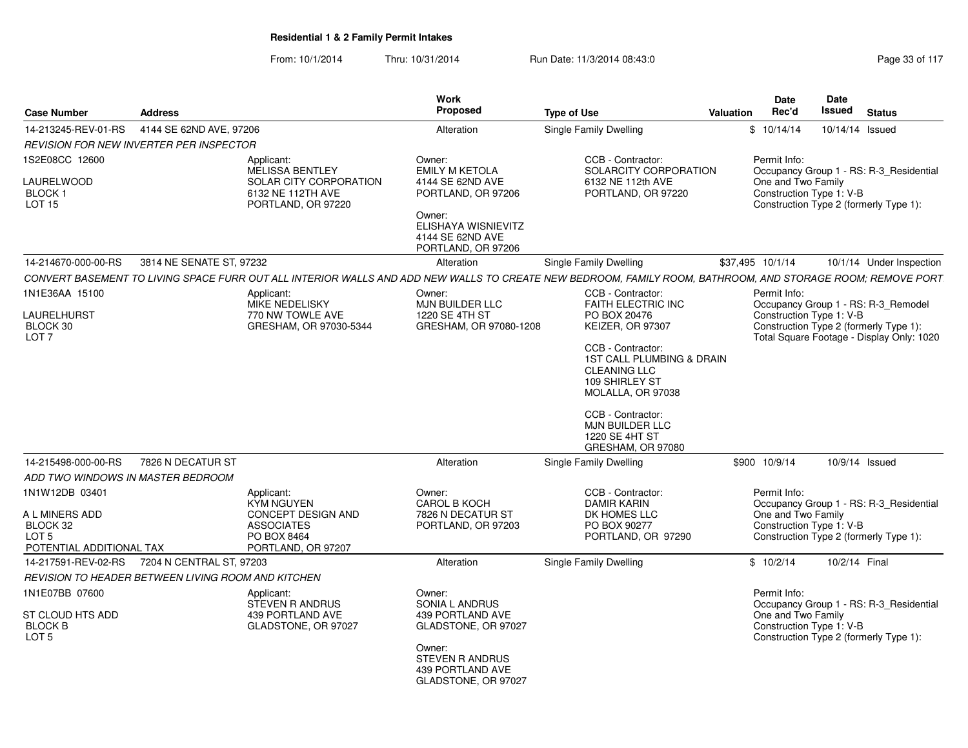From: 10/1/2014Thru: 10/31/2014 Run Date: 11/3/2014 08:43:0<br>
Page 33 of 117

| <b>Case Number</b><br><b>Address</b>                                                                                                         |                                                                                                                                                            | Work<br>Proposed                                                                                                                                     | <b>Type of Use</b>                                                                                                                                                                                                                                                         | Valuation        | Date<br>Rec'd                                   | <b>Date</b><br><b>Issued</b><br><b>Status</b>                                                                                                          |
|----------------------------------------------------------------------------------------------------------------------------------------------|------------------------------------------------------------------------------------------------------------------------------------------------------------|------------------------------------------------------------------------------------------------------------------------------------------------------|----------------------------------------------------------------------------------------------------------------------------------------------------------------------------------------------------------------------------------------------------------------------------|------------------|-------------------------------------------------|--------------------------------------------------------------------------------------------------------------------------------------------------------|
| 14-213245-REV-01-RS                                                                                                                          | 4144 SE 62ND AVE, 97206                                                                                                                                    | Alteration                                                                                                                                           | Single Family Dwelling                                                                                                                                                                                                                                                     |                  | \$10/14/14                                      | 10/14/14 Issued                                                                                                                                        |
| REVISION FOR NEW INVERTER PER INSPECTOR                                                                                                      |                                                                                                                                                            |                                                                                                                                                      |                                                                                                                                                                                                                                                                            |                  |                                                 |                                                                                                                                                        |
| 1S2E08CC 12600<br>LAURELWOOD<br>BLOCK <sub>1</sub><br><b>LOT 15</b>                                                                          | Applicant:<br>MELISSA BENTLEY<br>SOLAR CITY CORPORATION<br>6132 NE 112TH AVE<br>PORTLAND, OR 97220                                                         | Owner:<br><b>EMILY M KETOLA</b><br>4144 SE 62ND AVE<br>PORTLAND, OR 97206<br>Owner:<br>ELISHAYA WISNIEVITZ<br>4144 SE 62ND AVE<br>PORTLAND, OR 97206 | CCB - Contractor:<br>SOLARCITY CORPORATION<br>6132 NE 112th AVE<br>PORTLAND, OR 97220                                                                                                                                                                                      |                  | Permit Info:<br>One and Two Family              | Occupancy Group 1 - RS: R-3_Residential<br>Construction Type 1: V-B<br>Construction Type 2 (formerly Type 1):                                          |
| 14-214670-000-00-RS                                                                                                                          | 3814 NE SENATE ST, 97232                                                                                                                                   | Alteration                                                                                                                                           | <b>Single Family Dwelling</b>                                                                                                                                                                                                                                              | \$37,495 10/1/14 |                                                 | 10/1/14 Under Inspection                                                                                                                               |
|                                                                                                                                              | CONVERT BASEMENT TO LIVING SPACE FURR OUT ALL INTERIOR WALLS AND ADD NEW WALLS TO CREATE NEW BEDROOM, FAMILY ROOM, BATHROOM, AND STORAGE ROOM; REMOVE PORT |                                                                                                                                                      |                                                                                                                                                                                                                                                                            |                  |                                                 |                                                                                                                                                        |
| 1N1E36AA 15100<br>LAURELHURST<br>BLOCK 30<br>LOT <sub>7</sub>                                                                                | Applicant:<br>MIKE NEDELISKY<br>770 NW TOWLE AVE<br>GRESHAM, OR 97030-5344                                                                                 | Owner:<br>MJN BUILDER LLC<br>1220 SE 4TH ST<br>GRESHAM, OR 97080-1208                                                                                | CCB - Contractor:<br>FAITH ELECTRIC INC<br>PO BOX 20476<br>KEIZER, OR 97307<br>CCB - Contractor:<br>1ST CALL PLUMBING & DRAIN<br><b>CLEANING LLC</b><br>109 SHIRLEY ST<br>MOLALLA, OR 97038<br>CCB - Contractor:<br>MJN BUILDER LLC<br>1220 SE 4HT ST<br>GRESHAM, OR 97080 |                  | Permit Info:                                    | Occupancy Group 1 - RS: R-3_Remodel<br>Construction Type 1: V-B<br>Construction Type 2 (formerly Type 1):<br>Total Square Footage - Display Only: 1020 |
| 14-215498-000-00-RS<br>7826 N DECATUR ST                                                                                                     |                                                                                                                                                            | Alteration                                                                                                                                           | Single Family Dwelling                                                                                                                                                                                                                                                     |                  | \$900 10/9/14                                   | 10/9/14 Issued                                                                                                                                         |
| ADD TWO WINDOWS IN MASTER BEDROOM                                                                                                            |                                                                                                                                                            |                                                                                                                                                      |                                                                                                                                                                                                                                                                            |                  |                                                 |                                                                                                                                                        |
| 1N1W12DB 03401<br>A L MINERS ADD<br>BLOCK 32<br>LOT <sub>5</sub><br>POTENTIAL ADDITIONAL TAX<br>14-217591-REV-02-RS 7204 N CENTRAL ST, 97203 | Applicant:<br>KYM NGUYEN<br>CONCEPT DESIGN AND<br><b>ASSOCIATES</b><br>PO BOX 8464<br>PORTLAND, OR 97207                                                   | Owner:<br>CAROL B KOCH<br>7826 N DECATUR ST<br>PORTLAND, OR 97203                                                                                    | CCB - Contractor:<br><b>DAMIR KARIN</b><br>DK HOMES LLC<br>PO BOX 90277<br>PORTLAND, OR 97290                                                                                                                                                                              |                  | Permit Info:<br>One and Two Family<br>\$10/2/14 | Occupancy Group 1 - RS: R-3_Residential<br>Construction Type 1: V-B<br>Construction Type 2 (formerly Type 1):<br>10/2/14 Final                         |
|                                                                                                                                              |                                                                                                                                                            | Alteration                                                                                                                                           | Single Family Dwelling                                                                                                                                                                                                                                                     |                  |                                                 |                                                                                                                                                        |
| REVISION TO HEADER BETWEEN LIVING ROOM AND KITCHEN                                                                                           |                                                                                                                                                            |                                                                                                                                                      |                                                                                                                                                                                                                                                                            |                  |                                                 |                                                                                                                                                        |
| 1N1E07BB 07600<br>ST CLOUD HTS ADD<br><b>BLOCK B</b><br>LOT <sub>5</sub>                                                                     | Applicant:<br>STEVEN R ANDRUS<br>439 PORTLAND AVE<br>GLADSTONE, OR 97027                                                                                   | Owner:<br>SONIA L ANDRUS<br>439 PORTLAND AVE<br>GLADSTONE, OR 97027<br>Owner:<br>STEVEN R ANDRUS<br>439 PORTLAND AVE<br>GLADSTONE, OR 97027          |                                                                                                                                                                                                                                                                            |                  | Permit Info:<br>One and Two Family              | Occupancy Group 1 - RS: R-3_Residential<br>Construction Type 1: V-B<br>Construction Type 2 (formerly Type 1):                                          |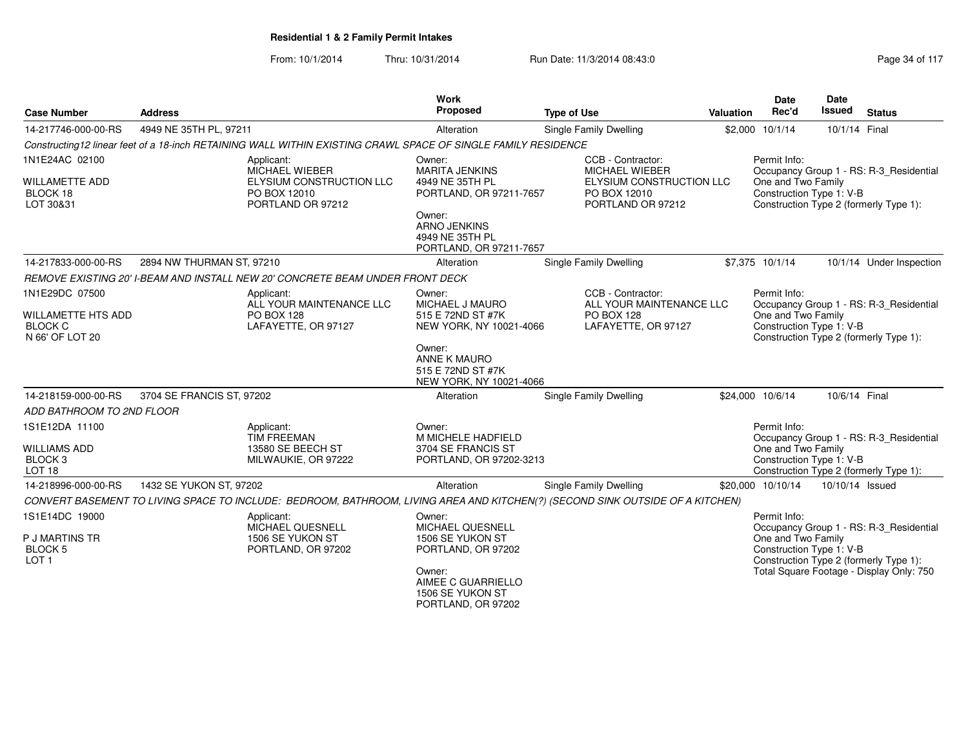| <b>Case Number</b>                                                        | <b>Address</b>                                                                                                                |                                                 | <b>Work</b><br>Proposed                                                                                                                                      | <b>Type of Use</b> |                                                                                                      | Valuation | <b>Date</b><br>Rec'd                                           | <b>Date</b><br>Issued | <b>Status</b>                                                                                                                 |
|---------------------------------------------------------------------------|-------------------------------------------------------------------------------------------------------------------------------|-------------------------------------------------|--------------------------------------------------------------------------------------------------------------------------------------------------------------|--------------------|------------------------------------------------------------------------------------------------------|-----------|----------------------------------------------------------------|-----------------------|-------------------------------------------------------------------------------------------------------------------------------|
| 14-217746-000-00-RS                                                       | 4949 NE 35TH PL, 97211                                                                                                        |                                                 | Alteration                                                                                                                                                   |                    | Single Family Dwelling                                                                               |           | \$2,000 10/1/14                                                | 10/1/14 Final         |                                                                                                                               |
|                                                                           | Constructing12 linear feet of a 18-inch RETAINING WALL WITHIN EXISTING CRAWL SPACE OF SINGLE FAMILY RESIDENCE                 |                                                 |                                                                                                                                                              |                    |                                                                                                      |           |                                                                |                       |                                                                                                                               |
| 1N1E24AC 02100<br>WILLAMETTE ADD<br>BLOCK 18<br>LOT 30&31                 | Applicant:<br>MICHAEL WIEBER<br>PO BOX 12010<br>PORTLAND OR 97212                                                             | ELYSIUM CONSTRUCTION LLC                        | Owner:<br><b>MARITA JENKINS</b><br>4949 NE 35TH PL<br>PORTLAND, OR 97211-7657<br>Owner:<br><b>ARNO JENKINS</b><br>4949 NE 35TH PL<br>PORTLAND, OR 97211-7657 |                    | CCB - Contractor:<br>MICHAEL WIEBER<br>ELYSIUM CONSTRUCTION LLC<br>PO BOX 12010<br>PORTLAND OR 97212 |           | Permit Info:<br>One and Two Family<br>Construction Type 1: V-B |                       | Occupancy Group 1 - RS: R-3_Residential<br>Construction Type 2 (formerly Type 1):                                             |
| 14-217833-000-00-RS                                                       | 2894 NW THURMAN ST, 97210                                                                                                     |                                                 | Alteration                                                                                                                                                   |                    | Single Family Dwelling                                                                               |           | \$7,375 10/1/14                                                |                       | 10/1/14 Under Inspection                                                                                                      |
|                                                                           | REMOVE EXISTING 20' I-BEAM AND INSTALL NEW 20' CONCRETE BEAM UNDER FRONT DECK                                                 |                                                 |                                                                                                                                                              |                    |                                                                                                      |           |                                                                |                       |                                                                                                                               |
| 1N1E29DC 07500<br>WILLAMETTE HTS ADD<br><b>BLOCK C</b><br>N 66' OF LOT 20 | Applicant:<br><b>PO BOX 128</b>                                                                                               | ALL YOUR MAINTENANCE LLC<br>LAFAYETTE, OR 97127 | Owner:<br>MICHAEL J MAURO<br>515 E 72ND ST #7K<br>NEW YORK, NY 10021-4066<br>Owner:<br>ANNE K MAURO<br>515 E 72ND ST #7K<br>NEW YORK, NY 10021-4066          |                    | CCB - Contractor:<br>ALL YOUR MAINTENANCE LLC<br><b>PO BOX 128</b><br>LAFAYETTE, OR 97127            |           | Permit Info:<br>One and Two Family<br>Construction Type 1: V-B |                       | Occupancy Group 1 - RS: R-3_Residential<br>Construction Type 2 (formerly Type 1):                                             |
| 14-218159-000-00-RS                                                       | 3704 SE FRANCIS ST, 97202                                                                                                     |                                                 | Alteration                                                                                                                                                   |                    | Single Family Dwelling                                                                               |           | \$24,000 10/6/14                                               | 10/6/14 Final         |                                                                                                                               |
| ADD BATHROOM TO 2ND FLOOR                                                 |                                                                                                                               |                                                 |                                                                                                                                                              |                    |                                                                                                      |           |                                                                |                       |                                                                                                                               |
| 1S1E12DA 11100<br>WILLIAMS ADD<br>BLOCK <sub>3</sub><br>LOT <sub>18</sub> | Applicant:<br><b>TIM FREEMAN</b><br>13580 SE BEECH ST                                                                         | MILWAUKIE, OR 97222                             | Owner:<br>M MICHELE HADFIELD<br>3704 SE FRANCIS ST<br>PORTLAND, OR 97202-3213                                                                                |                    |                                                                                                      |           | Permit Info:<br>One and Two Family<br>Construction Type 1: V-B |                       | Occupancy Group 1 - RS: R-3_Residential<br>Construction Type 2 (formerly Type 1):                                             |
| 14-218996-000-00-RS                                                       | 1432 SE YUKON ST, 97202                                                                                                       |                                                 | Alteration                                                                                                                                                   |                    | <b>Single Family Dwelling</b>                                                                        |           | \$20,000 10/10/14                                              | 10/10/14 Issued       |                                                                                                                               |
|                                                                           | CONVERT BASEMENT TO LIVING SPACE TO INCLUDE: BEDROOM, BATHROOM, LIVING AREA AND KITCHEN(?) (SECOND SINK OUTSIDE OF A KITCHEN) |                                                 |                                                                                                                                                              |                    |                                                                                                      |           |                                                                |                       |                                                                                                                               |
| 1S1E14DC 19000<br>P J MARTINS TR<br><b>BLOCK 5</b><br>LOT <sub>1</sub>    | Applicant:<br>MICHAEL QUESNELL<br>1506 SE YUKON ST                                                                            | PORTLAND, OR 97202                              | Owner:<br>MICHAEL QUESNELL<br>1506 SE YUKON ST<br>PORTLAND, OR 97202<br>Owner:<br>AIMEE C GUARRIELLO<br>1506 SE YUKON ST<br>PORTLAND, OR 97202               |                    |                                                                                                      |           | Permit Info:<br>One and Two Family<br>Construction Type 1: V-B |                       | Occupancy Group 1 - RS: R-3_Residential<br>Construction Type 2 (formerly Type 1):<br>Total Square Footage - Display Only: 750 |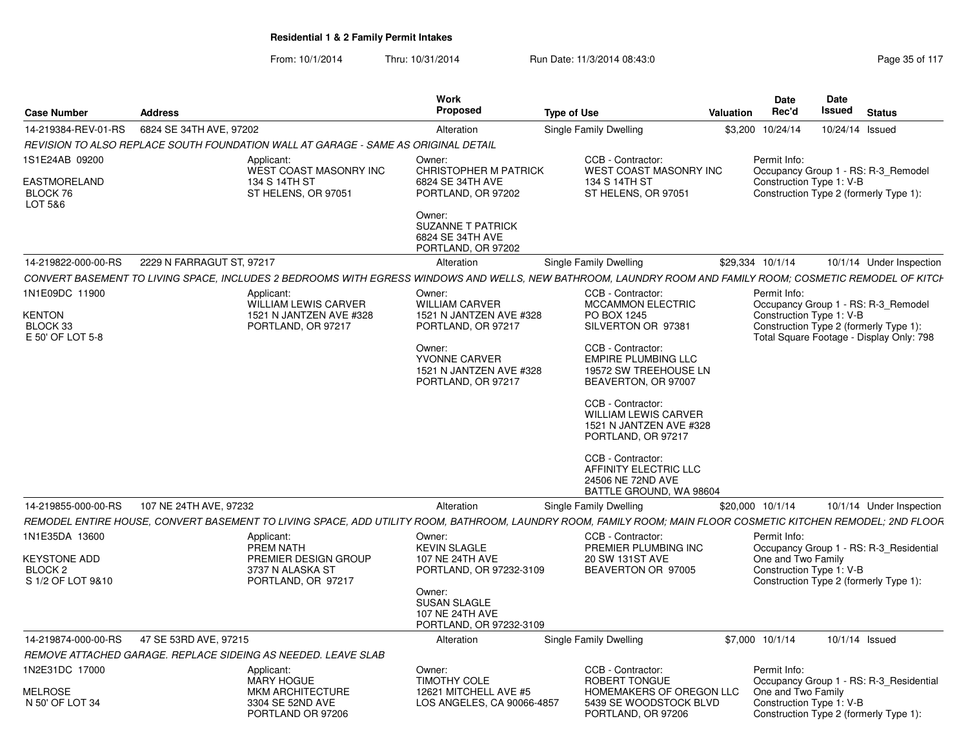| <b>Case Number</b>                                                    | <b>Address</b>                                                |                                                                                            | <b>Work</b><br>Proposed                                                                                                         | <b>Type of Use</b>                                                                                                                                                                                                                                                            | Valuation | <b>Date</b><br>Rec'd                                           | Date<br>Issued | <b>Status</b>                                                                                                             |  |
|-----------------------------------------------------------------------|---------------------------------------------------------------|--------------------------------------------------------------------------------------------|---------------------------------------------------------------------------------------------------------------------------------|-------------------------------------------------------------------------------------------------------------------------------------------------------------------------------------------------------------------------------------------------------------------------------|-----------|----------------------------------------------------------------|----------------|---------------------------------------------------------------------------------------------------------------------------|--|
| 14-219384-REV-01-RS                                                   | 6824 SE 34TH AVE, 97202                                       |                                                                                            | Alteration                                                                                                                      | Single Family Dwelling                                                                                                                                                                                                                                                        |           | \$3,200 10/24/14                                               |                | 10/24/14 Issued                                                                                                           |  |
|                                                                       |                                                               | REVISION TO ALSO REPLACE SOUTH FOUNDATION WALL AT GARAGE - SAME AS ORIGINAL DETAIL         |                                                                                                                                 |                                                                                                                                                                                                                                                                               |           |                                                                |                |                                                                                                                           |  |
| 1S1E24AB 09200<br>EASTMORELAND<br>BLOCK 76<br>LOT 5&6                 |                                                               | Applicant:<br>WEST COAST MASONRY INC<br>134 S 14TH ST<br>ST HELENS, OR 97051               | Owner:<br><b>CHRISTOPHER M PATRICK</b><br>6824 SE 34TH AVE<br>PORTLAND, OR 97202<br>Owner:                                      | CCB - Contractor:<br>WEST COAST MASONRY INC<br>134 S 14TH ST<br>ST HELENS, OR 97051                                                                                                                                                                                           |           | Permit Info:<br>Construction Type 1: V-B                       |                | Occupancy Group 1 - RS: R-3 Remodel<br>Construction Type 2 (formerly Type 1):                                             |  |
|                                                                       |                                                               |                                                                                            | <b>SUZANNE T PATRICK</b><br>6824 SE 34TH AVE<br>PORTLAND, OR 97202                                                              |                                                                                                                                                                                                                                                                               |           |                                                                |                |                                                                                                                           |  |
| 14-219822-000-00-RS                                                   | 2229 N FARRAGUT ST, 97217                                     |                                                                                            | Alteration                                                                                                                      | Single Family Dwelling                                                                                                                                                                                                                                                        |           | \$29,334 10/1/14                                               |                | 10/1/14 Under Inspection                                                                                                  |  |
|                                                                       |                                                               |                                                                                            |                                                                                                                                 | CONVERT BASEMENT TO LIVING SPACE. INCLUDES 2 BEDROOMS WITH EGRESS WINDOWS AND WELLS. NEW BATHROOM. LAUNDRY ROOM AND FAMILY ROOM: COSMETIC REMODEL OF KITCH                                                                                                                    |           |                                                                |                |                                                                                                                           |  |
| 1N1E09DC 11900<br><b>KENTON</b><br>BLOCK 33<br>E 50' OF LOT 5-8       |                                                               | Applicant:<br><b>WILLIAM LEWIS CARVER</b><br>1521 N JANTZEN AVE #328<br>PORTLAND, OR 97217 | Owner:<br><b>WILLIAM CARVER</b><br>1521 N JANTZEN AVE #328<br>PORTLAND, OR 97217<br>Owner:                                      | CCB - Contractor:<br><b>MCCAMMON ELECTRIC</b><br>PO BOX 1245<br>SILVERTON OR 97381<br>CCB - Contractor:                                                                                                                                                                       |           | Permit Info:<br>Construction Type 1: V-B                       |                | Occupancy Group 1 - RS: R-3 Remodel<br>Construction Type 2 (formerly Type 1):<br>Total Square Footage - Display Only: 798 |  |
|                                                                       |                                                               |                                                                                            | YVONNE CARVER<br>1521 N JANTZEN AVE #328<br>PORTLAND, OR 97217                                                                  | <b>EMPIRE PLUMBING LLC</b><br>19572 SW TREEHOUSE LN<br>BEAVERTON, OR 97007<br>CCB - Contractor:<br><b>WILLIAM LEWIS CARVER</b><br>1521 N JANTZEN AVE #328<br>PORTLAND, OR 97217<br>CCB - Contractor:<br>AFFINITY ELECTRIC LLC<br>24506 NE 72ND AVE<br>BATTLE GROUND, WA 98604 |           |                                                                |                |                                                                                                                           |  |
| 14-219855-000-00-RS                                                   | 107 NE 24TH AVE, 97232                                        |                                                                                            | Alteration                                                                                                                      | Single Family Dwelling                                                                                                                                                                                                                                                        |           | \$20,000 10/1/14                                               |                | 10/1/14 Under Inspection                                                                                                  |  |
|                                                                       |                                                               |                                                                                            |                                                                                                                                 | REMODEL ENTIRE HOUSE, CONVERT BASEMENT TO LIVING SPACE, ADD UTILITY ROOM, BATHROOM, LAUNDRY ROOM, FAMILY ROOM; MAIN FLOOR COSMETIC KITCHEN REMODEL; 2ND FLOOR                                                                                                                 |           |                                                                |                |                                                                                                                           |  |
| 1N1E35DA 13600<br><b>KEYSTONE ADD</b><br>BLOCK 2<br>S 1/2 OF LOT 9&10 |                                                               | Applicant:<br>PREM NATH<br>PREMIER DESIGN GROUP<br>3737 N ALASKA ST<br>PORTLAND, OR 97217  | Owner:<br><b>KEVIN SLAGLE</b><br>107 NE 24TH AVE<br>PORTLAND, OR 97232-3109<br>Owner:<br><b>SUSAN SLAGLE</b><br>107 NE 24TH AVE | CCB - Contractor:<br>PREMIER PLUMBING INC<br>20 SW 131ST AVE<br>BEAVERTON OR 97005                                                                                                                                                                                            |           | Permit Info:<br>One and Two Family<br>Construction Type 1: V-B |                | Occupancy Group 1 - RS: R-3_Residential<br>Construction Type 2 (formerly Type 1):                                         |  |
|                                                                       | 47 SE 53RD AVE, 97215                                         |                                                                                            | PORTLAND, OR 97232-3109                                                                                                         |                                                                                                                                                                                                                                                                               |           |                                                                |                |                                                                                                                           |  |
| 14-219874-000-00-RS                                                   | REMOVE ATTACHED GARAGE. REPLACE SIDEING AS NEEDED. LEAVE SLAB |                                                                                            | Alteration                                                                                                                      | Single Family Dwelling                                                                                                                                                                                                                                                        |           | \$7,000 10/1/14                                                |                | 10/1/14 Issued                                                                                                            |  |
| 1N2E31DC 17000                                                        |                                                               | Applicant:                                                                                 | Owner:                                                                                                                          | CCB - Contractor:                                                                                                                                                                                                                                                             |           | Permit Info:                                                   |                |                                                                                                                           |  |
| <b>MELROSE</b><br>N 50' OF LOT 34                                     |                                                               | <b>MARY HOGUE</b><br><b>MKM ARCHITECTURE</b><br>3304 SE 52ND AVE<br>PORTLAND OR 97206      | <b>TIMOTHY COLE</b><br>12621 MITCHELL AVE #5<br>LOS ANGELES, CA 90066-4857                                                      | ROBERT TONGUE<br>HOMEMAKERS OF OREGON LLC<br>5439 SE WOODSTOCK BLVD<br>PORTLAND, OR 97206                                                                                                                                                                                     |           | One and Two Family<br>Construction Type 1: V-B                 |                | Occupancy Group 1 - RS: R-3 Residential<br>Construction Type 2 (formerly Type 1):                                         |  |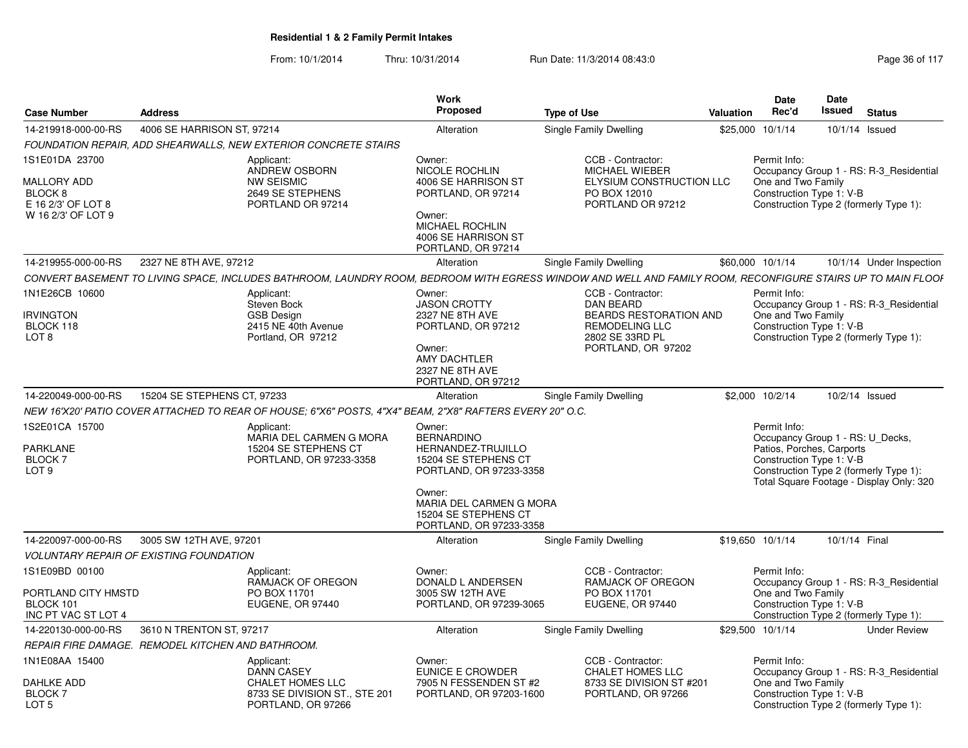| <b>Case Number</b>                                                                              | <b>Address</b>                                    |                                                                                                                                                             | Work<br><b>Proposed</b>                                                                                                                                           | <b>Type of Use</b>                                                                                                                       | Valuation        | Date<br>Rec'd                      | Date<br>Issued                                                                                                                      | <b>Status</b>                            |
|-------------------------------------------------------------------------------------------------|---------------------------------------------------|-------------------------------------------------------------------------------------------------------------------------------------------------------------|-------------------------------------------------------------------------------------------------------------------------------------------------------------------|------------------------------------------------------------------------------------------------------------------------------------------|------------------|------------------------------------|-------------------------------------------------------------------------------------------------------------------------------------|------------------------------------------|
| 14-219918-000-00-RS                                                                             | 4006 SE HARRISON ST. 97214                        |                                                                                                                                                             | Alteration                                                                                                                                                        | Single Family Dwelling                                                                                                                   | \$25,000 10/1/14 |                                    | 10/1/14 Issued                                                                                                                      |                                          |
|                                                                                                 |                                                   | <b>FOUNDATION REPAIR, ADD SHEARWALLS, NEW EXTERIOR CONCRETE STAIRS</b>                                                                                      |                                                                                                                                                                   |                                                                                                                                          |                  |                                    |                                                                                                                                     |                                          |
| 1S1E01DA 23700<br>MALLORY ADD<br>BLOCK <sub>8</sub><br>E 16 2/3' OF LOT 8<br>W 16 2/3' OF LOT 9 |                                                   | Applicant:<br>ANDREW OSBORN<br><b>NW SEISMIC</b><br>2649 SE STEPHENS<br>PORTLAND OR 97214                                                                   | Owner:<br><b>NICOLE ROCHLIN</b><br>4006 SE HARRISON ST<br>PORTLAND, OR 97214<br>Owner:<br>MICHAEL ROCHLIN<br>4006 SE HARRISON ST<br>PORTLAND, OR 97214            | CCB - Contractor:<br><b>MICHAEL WIEBER</b><br>ELYSIUM CONSTRUCTION LLC<br>PO BOX 12010<br>PORTLAND OR 97212                              |                  | Permit Info:<br>One and Two Family | Construction Type 1: V-B<br>Construction Type 2 (formerly Type 1):                                                                  | Occupancy Group 1 - RS: R-3_Residential  |
| 14-219955-000-00-RS                                                                             | 2327 NE 8TH AVE, 97212                            |                                                                                                                                                             | Alteration                                                                                                                                                        | Single Family Dwelling                                                                                                                   | \$60,000 10/1/14 |                                    |                                                                                                                                     | 10/1/14 Under Inspection                 |
|                                                                                                 |                                                   | CONVERT BASEMENT TO LIVING SPACE, INCLUDES BATHROOM, LAUNDRY ROOM, BEDROOM WITH EGRESS WINDOW AND WELL AND FAMILY ROOM, RECONFIGURE STAIRS UP TO MAIN FLOOF |                                                                                                                                                                   |                                                                                                                                          |                  |                                    |                                                                                                                                     |                                          |
| 1N1E26CB 10600<br><b>IRVINGTON</b><br>BLOCK 118<br>LOT <sub>8</sub>                             |                                                   | Applicant:<br>Steven Bock<br><b>GSB Design</b><br>2415 NE 40th Avenue<br>Portland, OR 97212                                                                 | Owner:<br><b>JASON CROTTY</b><br>2327 NE 8TH AVE<br>PORTLAND, OR 97212<br>Owner:<br><b>AMY DACHTLER</b><br>2327 NE 8TH AVE<br>PORTLAND, OR 97212                  | CCB - Contractor:<br><b>DAN BEARD</b><br><b>BEARDS RESTORATION AND</b><br><b>REMODELING LLC</b><br>2802 SE 33RD PL<br>PORTLAND, OR 97202 |                  | Permit Info:<br>One and Two Family | Construction Type 1: V-B<br>Construction Type 2 (formerly Type 1):                                                                  | Occupancy Group 1 - RS: R-3_Residential  |
| 14-220049-000-00-RS                                                                             | 15204 SE STEPHENS CT, 97233                       |                                                                                                                                                             | Alteration                                                                                                                                                        | Single Family Dwelling                                                                                                                   | \$2,000 10/2/14  |                                    | 10/2/14 Issued                                                                                                                      |                                          |
|                                                                                                 |                                                   | NEW 16'X20' PATIO COVER ATTACHED TO REAR OF HOUSE: 6"X6" POSTS. 4"X4" BEAM. 2"X8" RAFTERS EVERY 20" O.C.                                                    |                                                                                                                                                                   |                                                                                                                                          |                  |                                    |                                                                                                                                     |                                          |
| 1S2E01CA 15700<br><b>PARKLANE</b><br>BLOCK 7<br>LOT <sub>9</sub>                                |                                                   | Applicant<br>MARIA DEL CARMEN G MORA<br>15204 SE STEPHENS CT<br>PORTLAND, OR 97233-3358                                                                     | Owner:<br><b>BERNARDINO</b><br>HERNANDEZ-TRUJILLO<br>15204 SE STEPHENS CT<br>PORTLAND, OR 97233-3358<br>Owner:<br>MARIA DEL CARMEN G MORA<br>15204 SE STEPHENS CT |                                                                                                                                          |                  | Permit Info:                       | Occupancy Group 1 - RS: U Decks,<br>Patios, Porches, Carports<br>Construction Type 1: V-B<br>Construction Type 2 (formerly Type 1): | Total Square Footage - Display Only: 320 |
|                                                                                                 |                                                   |                                                                                                                                                             | PORTLAND, OR 97233-3358                                                                                                                                           |                                                                                                                                          |                  |                                    |                                                                                                                                     |                                          |
| 14-220097-000-00-RS                                                                             | 3005 SW 12TH AVE, 97201                           |                                                                                                                                                             | Alteration                                                                                                                                                        | Single Family Dwelling                                                                                                                   | \$19,650 10/1/14 |                                    | 10/1/14 Final                                                                                                                       |                                          |
|                                                                                                 | <b>VOLUNTARY REPAIR OF EXISTING FOUNDATION</b>    |                                                                                                                                                             |                                                                                                                                                                   |                                                                                                                                          |                  |                                    |                                                                                                                                     |                                          |
| 1S1E09BD 00100<br>PORTLAND CITY HMSTD                                                           |                                                   | Applicant:<br>RAMJACK OF OREGON<br>PO BOX 11701                                                                                                             | Owner:<br>DONALD L ANDERSEN<br>3005 SW 12TH AVE                                                                                                                   | CCB - Contractor:<br>RAMJACK OF OREGON<br>PO BOX 11701                                                                                   |                  | Permit Info:<br>One and Two Family |                                                                                                                                     | Occupancy Group 1 - RS: R-3 Residential  |
| BLOCK 101<br>INC PT VAC ST LOT 4                                                                |                                                   | <b>EUGENE, OR 97440</b>                                                                                                                                     | PORTLAND, OR 97239-3065                                                                                                                                           | EUGENE, OR 97440                                                                                                                         |                  |                                    | Construction Type 1: V-B                                                                                                            | Construction Type 2 (formerly Type 1):   |
| 14-220130-000-00-RS                                                                             | 3610 N TRENTON ST, 97217                          |                                                                                                                                                             | Alteration                                                                                                                                                        | Single Family Dwelling                                                                                                                   | \$29.500 10/1/14 |                                    |                                                                                                                                     | <b>Under Review</b>                      |
|                                                                                                 | REPAIR FIRE DAMAGE. REMODEL KITCHEN AND BATHROOM. |                                                                                                                                                             |                                                                                                                                                                   |                                                                                                                                          |                  |                                    |                                                                                                                                     |                                          |
| 1N1E08AA 15400<br><b>DAHLKE ADD</b>                                                             |                                                   | Applicant:<br><b>DANN CASEY</b><br><b>CHALET HOMES LLC</b>                                                                                                  | Owner:<br><b>EUNICE E CROWDER</b><br>7905 N FESSENDEN ST #2                                                                                                       | CCB - Contractor:<br><b>CHALET HOMES LLC</b><br>8733 SE DIVISION ST #201                                                                 |                  | Permit Info:<br>One and Two Family |                                                                                                                                     | Occupancy Group 1 - RS: R-3 Residential  |
| <b>BLOCK7</b><br>LOT <sub>5</sub>                                                               |                                                   | 8733 SE DIVISION ST., STE 201<br>PORTLAND, OR 97266                                                                                                         | PORTLAND, OR 97203-1600                                                                                                                                           | PORTLAND, OR 97266                                                                                                                       |                  |                                    | Construction Type 1: V-B<br>Construction Type 2 (formerly Type 1):                                                                  |                                          |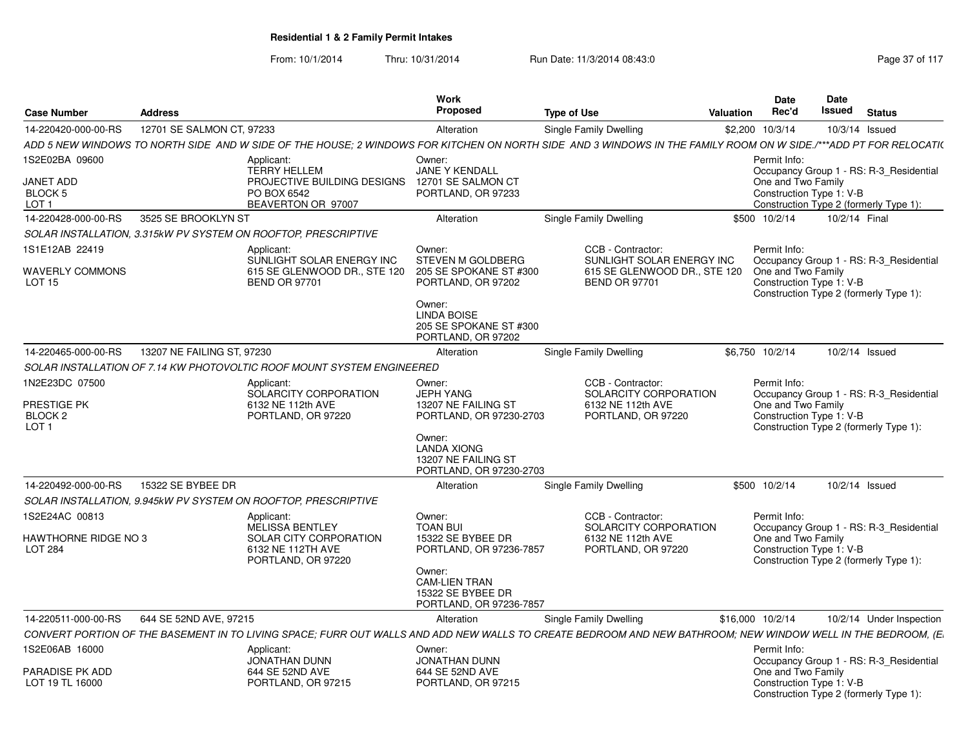| <b>Case Number</b>                                                | <b>Address</b>             |                                                                                                                                                                    | <b>Work</b><br><b>Proposed</b>                                                                                                                                 | <b>Type of Use</b>                                                                                     | Valuation | <b>Date</b><br>Rec'd                                           | Date<br>Issued | <b>Status</b>                                                                     |
|-------------------------------------------------------------------|----------------------------|--------------------------------------------------------------------------------------------------------------------------------------------------------------------|----------------------------------------------------------------------------------------------------------------------------------------------------------------|--------------------------------------------------------------------------------------------------------|-----------|----------------------------------------------------------------|----------------|-----------------------------------------------------------------------------------|
| 14-220420-000-00-RS                                               | 12701 SE SALMON CT, 97233  |                                                                                                                                                                    | Alteration                                                                                                                                                     | <b>Single Family Dwelling</b>                                                                          |           | \$2,200 10/3/14                                                | 10/3/14 Issued |                                                                                   |
|                                                                   |                            | ADD 5 NEW WINDOWS TO NORTH SIDE  AND W SIDE OF THE HOUSE; 2 WINDOWS FOR KITCHEN ON NORTH SIDE  AND 3 WINDOWS IN THE FAMILY ROOM ON W SIDE./***ADD PT FOR RELOCATI( |                                                                                                                                                                |                                                                                                        |           |                                                                |                |                                                                                   |
| 1S2E02BA 09600<br><b>JANET ADD</b><br>BLOCK 5<br>LOT <sub>1</sub> |                            | Applicant:<br><b>TERRY HELLEM</b><br>PROJECTIVE BUILDING DESIGNS<br>PO BOX 6542<br>BEAVERTON OR 97007                                                              | Owner:<br><b>JANE Y KENDALL</b><br>12701 SE SALMON CT<br>PORTLAND, OR 97233                                                                                    |                                                                                                        |           | Permit Info:<br>One and Two Family<br>Construction Type 1: V-B |                | Occupancy Group 1 - RS: R-3 Residential<br>Construction Type 2 (formerly Type 1): |
| 14-220428-000-00-RS                                               | 3525 SE BROOKLYN ST        |                                                                                                                                                                    | Alteration                                                                                                                                                     | <b>Single Family Dwelling</b>                                                                          |           | \$500 10/2/14                                                  | 10/2/14 Final  |                                                                                   |
|                                                                   |                            | SOLAR INSTALLATION, 3.315kW PV SYSTEM ON ROOFTOP, PRESCRIPTIVE                                                                                                     |                                                                                                                                                                |                                                                                                        |           |                                                                |                |                                                                                   |
| 1S1E12AB 22419<br><b>WAVERLY COMMONS</b><br>LOT <sub>15</sub>     |                            | Applicant:<br>SUNLIGHT SOLAR ENERGY INC<br>615 SE GLENWOOD DR., STE 120<br><b>BEND OR 97701</b>                                                                    | Owner:<br>STEVEN M GOLDBERG<br>205 SE SPOKANE ST #300<br>PORTLAND, OR 97202<br>Owner:                                                                          | CCB - Contractor:<br>SUNLIGHT SOLAR ENERGY INC<br>615 SE GLENWOOD DR., STE 120<br><b>BEND OR 97701</b> |           | Permit Info:<br>One and Two Family<br>Construction Type 1: V-B |                | Occupancy Group 1 - RS: R-3 Residential<br>Construction Type 2 (formerly Type 1): |
|                                                                   |                            |                                                                                                                                                                    | <b>LINDA BOISE</b><br>205 SE SPOKANE ST #300<br>PORTLAND, OR 97202                                                                                             |                                                                                                        |           |                                                                |                |                                                                                   |
| 14-220465-000-00-RS                                               | 13207 NE FAILING ST, 97230 |                                                                                                                                                                    | Alteration                                                                                                                                                     | Single Family Dwelling                                                                                 |           | \$6,750 10/2/14                                                | 10/2/14 Issued |                                                                                   |
|                                                                   |                            | SOLAR INSTALLATION OF 7.14 KW PHOTOVOLTIC ROOF MOUNT SYSTEM ENGINEERED                                                                                             |                                                                                                                                                                |                                                                                                        |           |                                                                |                |                                                                                   |
| 1N2E23DC 07500<br>PRESTIGE PK<br>BLOCK 2<br>LOT <sub>1</sub>      |                            | Applicant:<br>SOLARCITY CORPORATION<br>6132 NE 112th AVE<br>PORTLAND, OR 97220                                                                                     | Owner:<br><b>JEPH YANG</b><br>13207 NE FAILING ST<br>PORTLAND, OR 97230-2703<br>Owner:<br><b>LANDA XIONG</b><br>13207 NE FAILING ST<br>PORTLAND, OR 97230-2703 | CCB - Contractor:<br>SOLARCITY CORPORATION<br>6132 NE 112th AVE<br>PORTLAND, OR 97220                  |           | Permit Info:<br>One and Two Family<br>Construction Type 1: V-B |                | Occupancy Group 1 - RS: R-3 Residential<br>Construction Type 2 (formerly Type 1): |
| 14-220492-000-00-RS                                               | 15322 SE BYBEE DR          |                                                                                                                                                                    | Alteration                                                                                                                                                     | <b>Single Family Dwelling</b>                                                                          |           | \$500 10/2/14                                                  | 10/2/14 Issued |                                                                                   |
|                                                                   |                            | SOLAR INSTALLATION, 9.945kW PV SYSTEM ON ROOFTOP, PRESCRIPTIVE                                                                                                     |                                                                                                                                                                |                                                                                                        |           |                                                                |                |                                                                                   |
| 1S2E24AC 00813<br><b>HAWTHORNE RIDGE NO 3</b><br><b>LOT 284</b>   |                            | Applicant:<br>MELISSA BENTLEY<br>SOLAR CITY CORPORATION<br>6132 NE 112TH AVE<br>PORTLAND, OR 97220                                                                 | Owner:<br><b>TOAN BUI</b><br>15322 SE BYBEE DR<br>PORTLAND, OR 97236-7857<br>Owner:<br><b>CAM-LIEN TRAN</b><br>15322 SE BYBEE DR<br>PORTLAND, OR 97236-7857    | CCB - Contractor:<br>SOLARCITY CORPORATION<br>6132 NE 112th AVE<br>PORTLAND, OR 97220                  |           | Permit Info:<br>One and Two Family<br>Construction Type 1: V-B |                | Occupancy Group 1 - RS: R-3 Residential<br>Construction Type 2 (formerly Type 1): |
| 14-220511-000-00-RS                                               | 644 SE 52ND AVE, 97215     |                                                                                                                                                                    | Alteration                                                                                                                                                     | Single Family Dwelling                                                                                 |           | \$16,000 10/2/14                                               |                | 10/2/14 Under Inspection                                                          |
|                                                                   |                            | CONVERT PORTION OF THE BASEMENT IN TO LIVING SPACE; FURR OUT WALLS AND ADD NEW WALLS TO CREATE BEDROOM AND NEW BATHROOM; NEW WINDOW WELL IN THE BEDROOM, (E.       |                                                                                                                                                                |                                                                                                        |           |                                                                |                |                                                                                   |
| 1S2E06AB 16000<br>PARADISE PK ADD                                 |                            | Applicant:<br>JONATHAN DUNN<br>644 SE 52ND AVE                                                                                                                     | Owner:<br><b>JONATHAN DUNN</b>                                                                                                                                 |                                                                                                        |           | Permit Info:<br>One and Two Family                             |                | Occupancy Group 1 - RS: R-3 Residential                                           |
| LOT 19 TL 16000                                                   |                            | PORTLAND, OR 97215                                                                                                                                                 | 644 SE 52ND AVE<br>PORTLAND, OR 97215                                                                                                                          |                                                                                                        |           | Construction Type 1: V-B                                       |                | Construction Type 2 (formerly Type 1):                                            |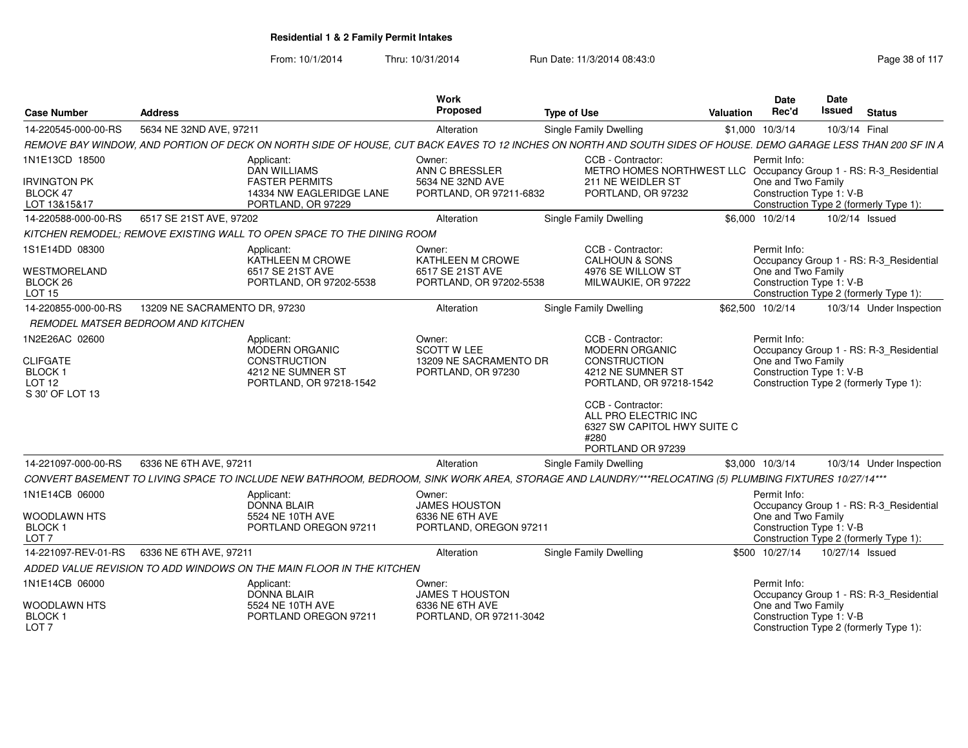| <b>Case Number</b>                                                                         | <b>Address</b>                     |                                                                                                                                                                 | <b>Work</b><br>Proposed                                                      | <b>Type of Use</b>                                                                                                                                                                                                  | <b>Valuation</b> | <b>Date</b><br>Rec'd                                                                                     | <b>Date</b><br>Issued | <b>Status</b>                                                                     |
|--------------------------------------------------------------------------------------------|------------------------------------|-----------------------------------------------------------------------------------------------------------------------------------------------------------------|------------------------------------------------------------------------------|---------------------------------------------------------------------------------------------------------------------------------------------------------------------------------------------------------------------|------------------|----------------------------------------------------------------------------------------------------------|-----------------------|-----------------------------------------------------------------------------------|
| 14-220545-000-00-RS                                                                        | 5634 NE 32ND AVE, 97211            |                                                                                                                                                                 | Alteration                                                                   | Single Family Dwelling                                                                                                                                                                                              |                  | \$1,000 10/3/14                                                                                          | 10/3/14 Final         |                                                                                   |
|                                                                                            |                                    | REMOVE BAY WINDOW, AND PORTION OF DECK ON NORTH SIDE OF HOUSE, CUT BACK EAVES TO 12 INCHES ON NORTH AND SOUTH SIDES OF HOUSE. DEMO GARAGE LESS THAN 200 SF IN A |                                                                              |                                                                                                                                                                                                                     |                  |                                                                                                          |                       |                                                                                   |
| 1N1E13CD 18500<br><b>IRVINGTON PK</b><br>BLOCK 47<br>LOT 13&15&17                          |                                    | Applicant:<br><b>DAN WILLIAMS</b><br><b>FASTER PERMITS</b><br>14334 NW EAGLERIDGE LANE<br>PORTLAND, OR 97229                                                    | Owner:<br>ANN C BRESSLER<br>5634 NE 32ND AVE<br>PORTLAND, OR 97211-6832      | CCB - Contractor:<br>METRO HOMES NORTHWEST LLC Occupancy Group 1 - RS: R-3_Residential<br>211 NE WEIDLER ST<br>PORTLAND, OR 97232                                                                                   |                  | Permit Info:<br>One and Two Family<br>Construction Type 1: V-B<br>Construction Type 2 (formerly Type 1): |                       |                                                                                   |
| 14-220588-000-00-RS                                                                        | 6517 SE 21ST AVE, 97202            |                                                                                                                                                                 | Alteration                                                                   | Single Family Dwelling                                                                                                                                                                                              |                  | \$6,000 10/2/14                                                                                          | 10/2/14 Issued        |                                                                                   |
|                                                                                            |                                    | KITCHEN REMODEL; REMOVE EXISTING WALL TO OPEN SPACE TO THE DINING ROOM                                                                                          |                                                                              |                                                                                                                                                                                                                     |                  |                                                                                                          |                       |                                                                                   |
| 1S1E14DD 08300<br><b>WESTMORELAND</b><br>BLOCK <sub>26</sub><br><b>LOT 15</b>              |                                    | Applicant:<br>KATHLEEN M CROWE<br>6517 SE 21ST AVE<br>PORTLAND, OR 97202-5538                                                                                   | Owner:<br>KATHLEEN M CROWE<br>6517 SE 21ST AVE<br>PORTLAND, OR 97202-5538    | CCB - Contractor:<br><b>CALHOUN &amp; SONS</b><br>4976 SE WILLOW ST<br>MILWAUKIE, OR 97222                                                                                                                          |                  | Permit Info:<br>One and Two Family<br>Construction Type 1: V-B                                           |                       | Occupancy Group 1 - RS: R-3_Residential<br>Construction Type 2 (formerly Type 1): |
| 14-220855-000-00-RS                                                                        | 13209 NE SACRAMENTO DR, 97230      |                                                                                                                                                                 | Alteration                                                                   | <b>Single Family Dwelling</b>                                                                                                                                                                                       |                  | \$62,500 10/2/14                                                                                         |                       | 10/3/14 Under Inspection                                                          |
|                                                                                            | REMODEL MATSER BEDROOM AND KITCHEN |                                                                                                                                                                 |                                                                              |                                                                                                                                                                                                                     |                  |                                                                                                          |                       |                                                                                   |
| 1N2E26AC 02600<br><b>CLIFGATE</b><br><b>BLOCK1</b><br>LOT <sub>12</sub><br>S 30' OF LOT 13 |                                    | Applicant:<br><b>MODERN ORGANIC</b><br><b>CONSTRUCTION</b><br>4212 NE SUMNER ST<br>PORTLAND, OR 97218-1542                                                      | Owner:<br><b>SCOTT W LEE</b><br>13209 NE SACRAMENTO DR<br>PORTLAND, OR 97230 | CCB - Contractor:<br><b>MODERN ORGANIC</b><br>CONSTRUCTION<br>4212 NE SUMNER ST<br>PORTLAND, OR 97218-1542<br>CCB - Contractor:<br>ALL PRO ELECTRIC INC<br>6327 SW CAPITOL HWY SUITE C<br>#280<br>PORTLAND OR 97239 |                  | Permit Info:<br>One and Two Family<br>Construction Type 1: V-B<br>Construction Type 2 (formerly Type 1): |                       | Occupancy Group 1 - RS: R-3_Residential                                           |
| 14-221097-000-00-RS                                                                        | 6336 NE 6TH AVE, 97211             |                                                                                                                                                                 | Alteration                                                                   | Single Family Dwelling                                                                                                                                                                                              |                  | \$3,000 10/3/14                                                                                          |                       | 10/3/14 Under Inspection                                                          |
|                                                                                            |                                    | CONVERT BASEMENT TO LIVING SPACE TO INCLUDE NEW BATHROOM, BEDROOM, SINK WORK AREA, STORAGE AND LAUNDRY/***RELOCATING (5) PLUMBING FIXTURES 10/27/14***          |                                                                              |                                                                                                                                                                                                                     |                  |                                                                                                          |                       |                                                                                   |
| 1N1E14CB 06000<br>WOODLAWN HTS<br><b>BLOCK1</b><br>LOT <sub>7</sub>                        |                                    | Applicant:<br><b>DONNA BLAIR</b><br>5524 NE 10TH AVE<br>PORTLAND OREGON 97211                                                                                   | Owner:<br><b>JAMES HOUSTON</b><br>6336 NE 6TH AVE<br>PORTLAND, OREGON 97211  |                                                                                                                                                                                                                     |                  | Permit Info:<br>One and Two Family<br>Construction Type 1: V-B                                           |                       | Occupancy Group 1 - RS: R-3_Residential<br>Construction Type 2 (formerly Type 1): |
| 14-221097-REV-01-RS                                                                        | 6336 NE 6TH AVE, 97211             |                                                                                                                                                                 | Alteration                                                                   | Single Family Dwelling                                                                                                                                                                                              |                  | \$500 10/27/14                                                                                           | 10/27/14 Issued       |                                                                                   |
|                                                                                            |                                    | ADDED VALUE REVISION TO ADD WINDOWS ON THE MAIN FLOOR IN THE KITCHEN                                                                                            |                                                                              |                                                                                                                                                                                                                     |                  |                                                                                                          |                       |                                                                                   |
| 1N1E14CB 06000                                                                             |                                    | Applicant:<br><b>DONNA BLAIR</b>                                                                                                                                | Owner:<br><b>JAMES T HOUSTON</b>                                             |                                                                                                                                                                                                                     |                  | Permit Info:                                                                                             |                       | Occupancy Group 1 - RS: R-3_Residential                                           |
| WOODLAWN HTS<br><b>BLOCK1</b><br>LOT 7                                                     |                                    | 5524 NE 10TH AVE<br>PORTLAND OREGON 97211                                                                                                                       | 6336 NE 6TH AVE<br>PORTLAND, OR 97211-3042                                   |                                                                                                                                                                                                                     |                  | One and Two Family<br>Construction Type 1: V-B                                                           |                       | Construction Type 2 (formerly Type 1):                                            |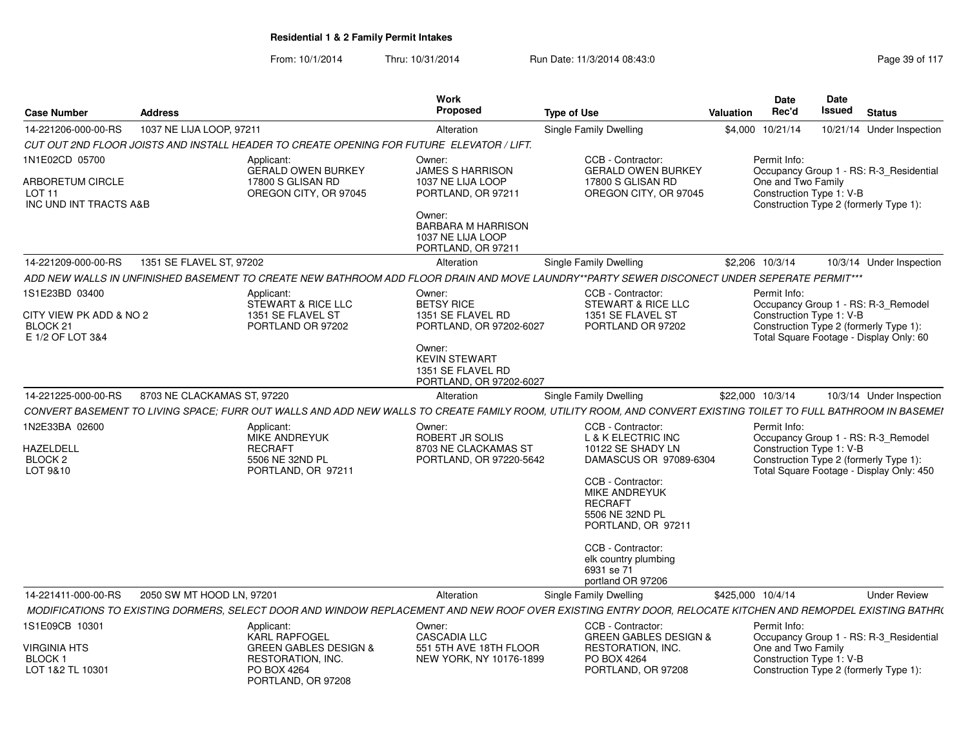| <b>Case Number</b>                                                                | <b>Address</b>              |                                                                                                                                  | Work<br>Proposed                                                                                                                                               | <b>Type of Use</b>                                                                                                                                                                                                                                                                        | Valuation         | Date<br>Rec'd                                                  | Date<br>Issued | <b>Status</b>                                                                                                             |
|-----------------------------------------------------------------------------------|-----------------------------|----------------------------------------------------------------------------------------------------------------------------------|----------------------------------------------------------------------------------------------------------------------------------------------------------------|-------------------------------------------------------------------------------------------------------------------------------------------------------------------------------------------------------------------------------------------------------------------------------------------|-------------------|----------------------------------------------------------------|----------------|---------------------------------------------------------------------------------------------------------------------------|
| 14-221206-000-00-RS                                                               | 1037 NE LIJA LOOP, 97211    |                                                                                                                                  | Alteration                                                                                                                                                     | <b>Single Family Dwelling</b>                                                                                                                                                                                                                                                             | \$4,000           | 10/21/14                                                       |                | 10/21/14 Under Inspection                                                                                                 |
|                                                                                   |                             | CUT OUT 2ND FLOOR JOISTS AND INSTALL HEADER TO CREATE OPENING FOR FUTURE ELEVATOR / LIFT.                                        |                                                                                                                                                                |                                                                                                                                                                                                                                                                                           |                   |                                                                |                |                                                                                                                           |
| 1N1E02CD 05700<br>ARBORETUM CIRCLE<br>LOT <sub>11</sub><br>INC UND INT TRACTS A&B |                             | Applicant:<br><b>GERALD OWEN BURKEY</b><br>17800 S GLISAN RD<br>OREGON CITY, OR 97045                                            | Owner:<br><b>JAMES S HARRISON</b><br>1037 NE LIJA LOOP<br>PORTLAND, OR 97211<br>Owner:<br><b>BARBARA M HARRISON</b><br>1037 NE LIJA LOOP<br>PORTLAND, OR 97211 | CCB - Contractor:<br><b>GERALD OWEN BURKEY</b><br>17800 S GLISAN RD<br>OREGON CITY, OR 97045                                                                                                                                                                                              |                   | Permit Info:<br>One and Two Family<br>Construction Type 1: V-B |                | Occupancy Group 1 - RS: R-3 Residential<br>Construction Type 2 (formerly Type 1):                                         |
| 14-221209-000-00-RS                                                               | 1351 SE FLAVEL ST, 97202    |                                                                                                                                  | Alteration                                                                                                                                                     | Single Family Dwelling                                                                                                                                                                                                                                                                    |                   | \$2,206 10/3/14                                                |                | 10/3/14 Under Inspection                                                                                                  |
|                                                                                   |                             |                                                                                                                                  |                                                                                                                                                                | ADD NEW WALLS IN UNFINISHED BASEMENT TO CREATE NEW BATHROOM ADD FLOOR DRAIN AND MOVE LAUNDRY**PARTY SEWER DISCONECT UNDER SEPERATE PERMIT***                                                                                                                                              |                   |                                                                |                |                                                                                                                           |
| 1S1E23BD 03400<br>CITY VIEW PK ADD & NO 2<br>BLOCK 21<br>E 1/2 OF LOT 3&4         |                             | Applicant:<br>STEWART & RICE LLC<br>1351 SE FLAVEL ST<br>PORTLAND OR 97202                                                       | Owner:<br><b>BETSY RICE</b><br>1351 SE FLAVEL RD<br>PORTLAND, OR 97202-6027<br>Owner:<br><b>KEVIN STEWART</b><br>1351 SE FLAVEL RD<br>PORTLAND, OR 97202-6027  | CCB - Contractor:<br>STEWART & RICE LLC<br>1351 SE FLAVEL ST<br>PORTLAND OR 97202                                                                                                                                                                                                         |                   | Permit Info:<br>Construction Type 1: V-B                       |                | Occupancy Group 1 - RS: R-3_Remodel<br>Construction Type 2 (formerly Type 1):<br>Total Square Footage - Display Only: 60  |
| 14-221225-000-00-RS                                                               | 8703 NE CLACKAMAS ST, 97220 |                                                                                                                                  | Alteration                                                                                                                                                     | <b>Single Family Dwelling</b>                                                                                                                                                                                                                                                             |                   | \$22,000 10/3/14                                               |                | 10/3/14 Under Inspection                                                                                                  |
|                                                                                   |                             |                                                                                                                                  |                                                                                                                                                                | CONVERT BASEMENT TO LIVING SPACE; FURR OUT WALLS AND ADD NEW WALLS TO CREATE FAMILY ROOM, UTILITY ROOM, AND CONVERT EXISTING TOILET TO FULL BATHROOM IN BASEMEI                                                                                                                           |                   |                                                                |                |                                                                                                                           |
| 1N2E33BA 02600<br>HAZELDELL<br>BLOCK <sub>2</sub><br>LOT 9&10                     |                             | Applicant:<br><b>MIKE ANDREYUK</b><br><b>RECRAFT</b><br>5506 NE 32ND PL<br>PORTLAND, OR 97211                                    | Owner:<br>ROBERT JR SOLIS<br>8703 NE CLACKAMAS ST<br>PORTLAND, OR 97220-5642                                                                                   | CCB - Contractor:<br><b>L &amp; K ELECTRIC INC</b><br>10122 SE SHADY LN<br>DAMASCUS OR 97089-6304<br>CCB - Contractor:<br><b>MIKE ANDREYUK</b><br><b>RECRAFT</b><br>5506 NE 32ND PL<br>PORTLAND, OR 97211<br>CCB - Contractor:<br>elk country plumbing<br>6931 se 71<br>portland OR 97206 |                   | Permit Info:<br>Construction Type 1: V-B                       |                | Occupancy Group 1 - RS: R-3_Remodel<br>Construction Type 2 (formerly Type 1):<br>Total Square Footage - Display Only: 450 |
| 14-221411-000-00-RS                                                               | 2050 SW MT HOOD LN, 97201   |                                                                                                                                  | Alteration                                                                                                                                                     | Single Family Dwelling                                                                                                                                                                                                                                                                    | \$425,000 10/4/14 |                                                                |                | <b>Under Review</b>                                                                                                       |
|                                                                                   |                             |                                                                                                                                  |                                                                                                                                                                | MODIFICATIONS TO EXISTING DORMERS, SELECT DOOR AND WINDOW REPLACEMENT AND NEW ROOF OVER EXISTING ENTRY DOOR, RELOCATE KITCHEN AND REMOPDEL EXISTING BATHR(                                                                                                                                |                   |                                                                |                |                                                                                                                           |
| 1S1E09CB 10301<br>VIRGINIA HTS<br>BLOCK 1<br>LOT 1&2 TL 10301                     |                             | Applicant:<br><b>KARL RAPFOGEL</b><br><b>GREEN GABLES DESIGN &amp;</b><br>RESTORATION, INC.<br>PO BOX 4264<br>PORTLAND, OR 97208 | Owner:<br><b>CASCADIA LLC</b><br>551 5TH AVE 18TH FLOOR<br>NEW YORK, NY 10176-1899                                                                             | CCB - Contractor:<br><b>GREEN GABLES DESIGN &amp;</b><br>RESTORATION, INC.<br>PO BOX 4264<br>PORTLAND, OR 97208                                                                                                                                                                           |                   | Permit Info:<br>One and Two Family<br>Construction Type 1: V-B |                | Occupancy Group 1 - RS: R-3 Residential<br>Construction Type 2 (formerly Type 1):                                         |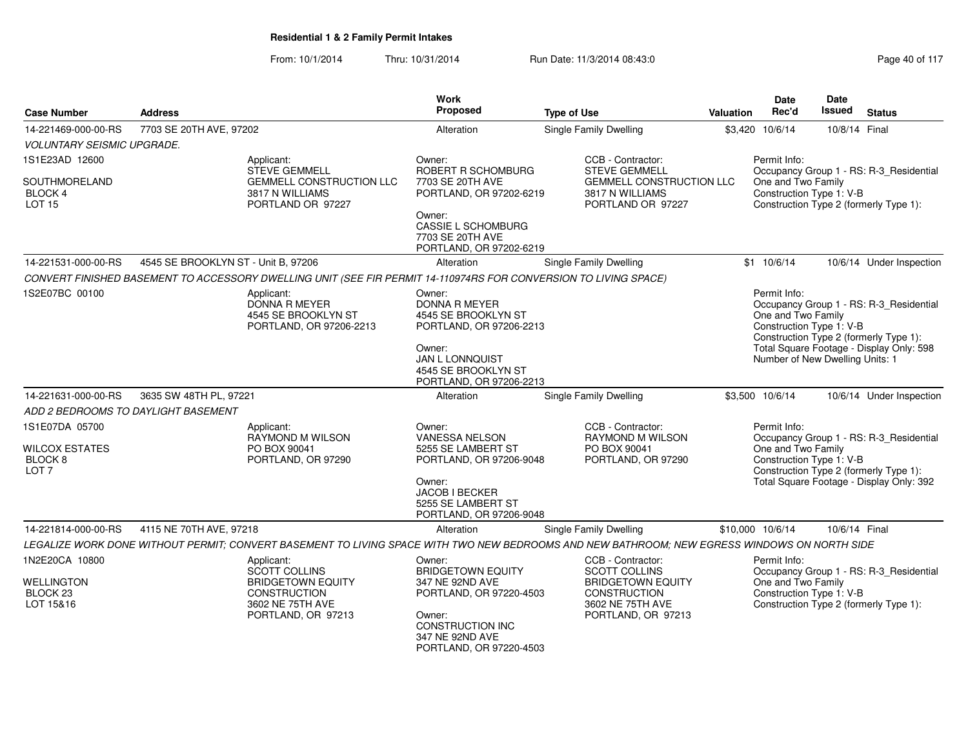| <b>Case Number</b>                                              | <b>Address</b>                      |                                                                                                                                              | <b>Work</b><br>Proposed                                                                                    | <b>Type of Use</b>                                                    | <b>Valuation</b>                                        | <b>Date</b><br>Rec'd                                           | <b>Date</b><br><b>Issued</b> | <b>Status</b>                                                                     |  |  |
|-----------------------------------------------------------------|-------------------------------------|----------------------------------------------------------------------------------------------------------------------------------------------|------------------------------------------------------------------------------------------------------------|-----------------------------------------------------------------------|---------------------------------------------------------|----------------------------------------------------------------|------------------------------|-----------------------------------------------------------------------------------|--|--|
| 14-221469-000-00-RS                                             | 7703 SE 20TH AVE, 97202             |                                                                                                                                              | Alteration                                                                                                 | <b>Single Family Dwelling</b>                                         |                                                         | \$3,420 10/6/14                                                | 10/8/14 Final                |                                                                                   |  |  |
| <i>VOLUNTARY SEISMIC UPGRADE.</i>                               |                                     |                                                                                                                                              |                                                                                                            |                                                                       |                                                         |                                                                |                              |                                                                                   |  |  |
| 1S1E23AD 12600                                                  |                                     | Applicant:<br><b>STEVE GEMMELL</b>                                                                                                           | Owner:<br>ROBERT R SCHOMBURG                                                                               | CCB - Contractor:<br><b>STEVE GEMMELL</b>                             | Permit Info:<br>Occupancy Group 1 - RS: R-3 Residential |                                                                |                              |                                                                                   |  |  |
| SOUTHMORELAND<br>BLOCK 4<br><b>LOT 15</b>                       |                                     | <b>GEMMELL CONSTRUCTION LLC</b><br>3817 N WILLIAMS<br>PORTLAND OR 97227                                                                      | 7703 SE 20TH AVE<br>PORTLAND, OR 97202-6219                                                                | GEMMELL CONSTRUCTION LLC<br>3817 N WILLIAMS<br>PORTLAND OR 97227      |                                                         | One and Two Family<br>Construction Type 1: V-B                 |                              | Construction Type 2 (formerly Type 1):                                            |  |  |
|                                                                 |                                     |                                                                                                                                              | Owner:<br><b>CASSIE L SCHOMBURG</b><br>7703 SE 20TH AVE<br>PORTLAND, OR 97202-6219                         |                                                                       |                                                         |                                                                |                              |                                                                                   |  |  |
| 14-221531-000-00-RS                                             | 4545 SE BROOKLYN ST - Unit B, 97206 |                                                                                                                                              | Alteration                                                                                                 | <b>Single Family Dwelling</b>                                         |                                                         | \$1 10/6/14                                                    |                              | 10/6/14 Under Inspection                                                          |  |  |
|                                                                 |                                     | CONVERT FINISHED BASEMENT TO ACCESSORY DWELLING UNIT (SEE FIR PERMIT 14-110974RS FOR CONVERSION TO LIVING SPACE)                             |                                                                                                            |                                                                       |                                                         |                                                                |                              |                                                                                   |  |  |
| 1S2E07BC 00100                                                  |                                     | Applicant:<br>DONNA R MEYER<br>4545 SE BROOKLYN ST<br>PORTLAND, OR 97206-2213                                                                | Owner:<br><b>DONNA R MEYER</b><br>4545 SE BROOKLYN ST<br>PORTLAND, OR 97206-2213                           |                                                                       |                                                         | Permit Info:<br>One and Two Family<br>Construction Type 1: V-B |                              | Occupancy Group 1 - RS: R-3_Residential<br>Construction Type 2 (formerly Type 1): |  |  |
|                                                                 |                                     |                                                                                                                                              | Owner:<br>JAN L LONNQUIST<br>4545 SE BROOKLYN ST<br>PORTLAND, OR 97206-2213                                |                                                                       |                                                         | Number of New Dwelling Units: 1                                |                              | Total Square Footage - Display Only: 598                                          |  |  |
| 14-221631-000-00-RS                                             | 3635 SW 48TH PL, 97221              |                                                                                                                                              | Alteration                                                                                                 | Single Family Dwelling                                                |                                                         | \$3,500 10/6/14                                                |                              | 10/6/14 Under Inspection                                                          |  |  |
| ADD 2 BEDROOMS TO DAYLIGHT BASEMENT                             |                                     |                                                                                                                                              |                                                                                                            |                                                                       |                                                         |                                                                |                              |                                                                                   |  |  |
| 1S1E07DA 05700                                                  |                                     | Applicant:<br>RAYMOND M WILSON                                                                                                               | Owner:<br>VANESSA NELSON                                                                                   | CCB - Contractor:<br>RAYMOND M WILSON                                 |                                                         | Permit Info:                                                   |                              | Occupancy Group 1 - RS: R-3_Residential                                           |  |  |
| <b>WILCOX ESTATES</b><br>BLOCK <sub>8</sub><br>LOT <sub>7</sub> |                                     | PO BOX 90041<br>PORTLAND, OR 97290                                                                                                           | 5255 SE LAMBERT ST<br>PORTLAND, OR 97206-9048                                                              | PO BOX 90041<br>PORTLAND, OR 97290                                    |                                                         | One and Two Family<br>Construction Type 1: V-B                 |                              | Construction Type 2 (formerly Type 1):                                            |  |  |
|                                                                 |                                     |                                                                                                                                              | Owner:<br><b>JACOB I BECKER</b><br>5255 SE LAMBERT ST<br>PORTLAND, OR 97206-9048                           |                                                                       |                                                         |                                                                |                              | Total Square Footage - Display Only: 392                                          |  |  |
| 14-221814-000-00-RS                                             | 4115 NE 70TH AVE, 97218             |                                                                                                                                              | Alteration                                                                                                 | Single Family Dwelling                                                |                                                         | \$10,000 10/6/14                                               | 10/6/14 Final                |                                                                                   |  |  |
|                                                                 |                                     | LEGALIZE WORK DONE WITHOUT PERMIT; CONVERT BASEMENT TO LIVING SPACE WITH TWO NEW BEDROOMS AND NEW BATHROOM; NEW EGRESS WINDOWS ON NORTH SIDE |                                                                                                            |                                                                       |                                                         |                                                                |                              |                                                                                   |  |  |
| 1N2E20CA 10800<br><b>WELLINGTON</b>                             |                                     | Applicant:<br><b>SCOTT COLLINS</b><br><b>BRIDGETOWN EQUITY</b>                                                                               | Owner:<br><b>BRIDGETOWN EQUITY</b><br>347 NE 92ND AVE                                                      | CCB - Contractor:<br><b>SCOTT COLLINS</b><br><b>BRIDGETOWN EQUITY</b> |                                                         | Permit Info:<br>One and Two Family                             |                              | Occupancy Group 1 - RS: R-3_Residential                                           |  |  |
| BLOCK <sub>23</sub><br>LOT 15&16                                |                                     | <b>CONSTRUCTION</b><br>3602 NE 75TH AVE<br>PORTLAND, OR 97213                                                                                | PORTLAND, OR 97220-4503<br>Owner:<br><b>CONSTRUCTION INC</b><br>347 NE 92ND AVE<br>PORTLAND, OR 97220-4503 | <b>CONSTRUCTION</b><br>3602 NE 75TH AVE<br>PORTLAND, OR 97213         |                                                         | Construction Type 1: V-B                                       |                              | Construction Type 2 (formerly Type 1):                                            |  |  |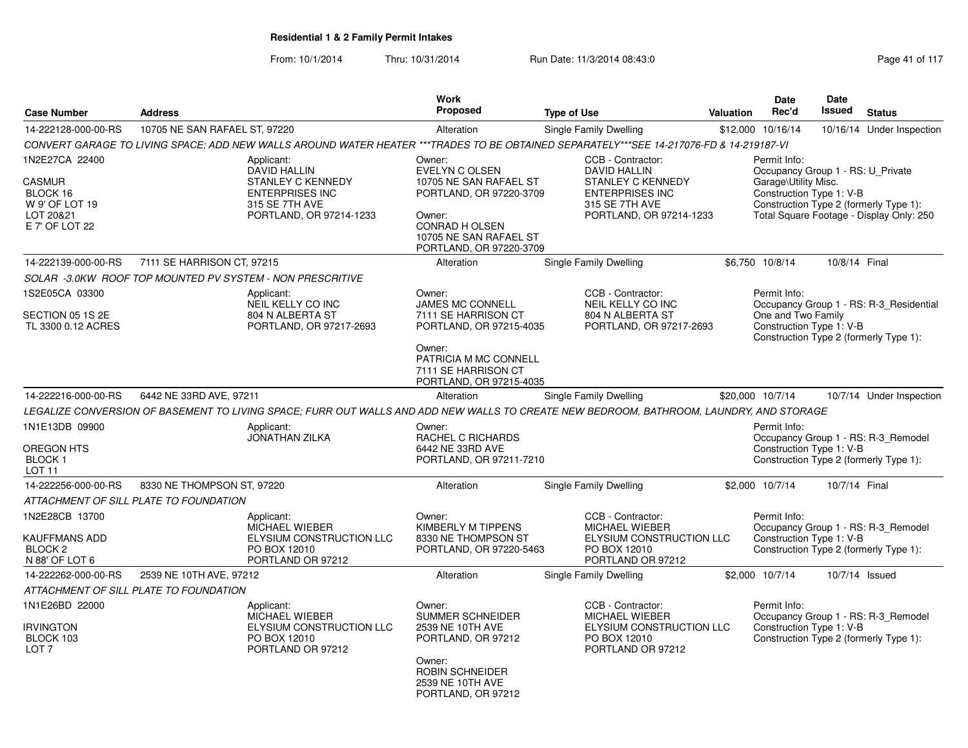| <b>Case Number</b>                                                                           | <b>Address</b>                         |                                                                                                                                         | <b>Work</b><br>Proposed                                                                                                                                                      | <b>Type of Use</b>                                                                                                                          | <b>Valuation</b> | <b>Date</b><br>Rec'd                                                                                  | Date<br><b>Issued</b> | <b>Status</b>                                                                      |
|----------------------------------------------------------------------------------------------|----------------------------------------|-----------------------------------------------------------------------------------------------------------------------------------------|------------------------------------------------------------------------------------------------------------------------------------------------------------------------------|---------------------------------------------------------------------------------------------------------------------------------------------|------------------|-------------------------------------------------------------------------------------------------------|-----------------------|------------------------------------------------------------------------------------|
|                                                                                              |                                        |                                                                                                                                         |                                                                                                                                                                              |                                                                                                                                             |                  |                                                                                                       |                       |                                                                                    |
| 14-222128-000-00-RS                                                                          | 10705 NE SAN RAFAEL ST, 97220          | CONVERT GARAGE TO LIVING SPACE; ADD NEW WALLS AROUND WATER HEATER ***TRADES TO BE OBTAINED SEPARATELY***SEE 14-217076-FD & 14-219187-VI | Alteration                                                                                                                                                                   | Single Family Dwelling                                                                                                                      |                  | \$12,000 10/16/14                                                                                     |                       | 10/16/14 Under Inspection                                                          |
| 1N2E27CA 22400<br><b>CASMUR</b><br>BLOCK 16<br>W 9' OF LOT 19<br>LOT 20&21<br>E 7' OF LOT 22 |                                        | Applicant:<br>DAVID HALLIN<br><b>STANLEY C KENNEDY</b><br><b>ENTERPRISES INC</b><br>315 SE 7TH AVE<br>PORTLAND, OR 97214-1233           | Owner:<br><b>EVELYN C OLSEN</b><br>10705 NE SAN RAFAEL ST<br>PORTLAND, OR 97220-3709<br>Owner:<br><b>CONRAD H OLSEN</b><br>10705 NE SAN RAFAEL ST<br>PORTLAND, OR 97220-3709 | CCB - Contractor:<br><b>DAVID HALLIN</b><br><b>STANLEY C KENNEDY</b><br><b>ENTERPRISES INC</b><br>315 SE 7TH AVE<br>PORTLAND, OR 97214-1233 |                  | Permit Info:<br>Occupancy Group 1 - RS: U Private<br>Garage\Utility Misc.<br>Construction Type 1: V-B |                       | Construction Type 2 (formerly Type 1):<br>Total Square Footage - Display Only: 250 |
| 14-222139-000-00-RS                                                                          | 7111 SE HARRISON CT, 97215             |                                                                                                                                         | Alteration                                                                                                                                                                   | Single Family Dwelling                                                                                                                      |                  | \$6,750 10/8/14                                                                                       | 10/8/14 Final         |                                                                                    |
|                                                                                              |                                        | SOLAR -3.0KW ROOF TOP MOUNTED PV SYSTEM - NON PRESCRITIVE                                                                               |                                                                                                                                                                              |                                                                                                                                             |                  |                                                                                                       |                       |                                                                                    |
| 1S2E05CA 03300<br>SECTION 05 1S 2E<br>TL 3300 0.12 ACRES                                     |                                        | Applicant:<br>NEIL KELLY CO INC<br>804 N ALBERTA ST<br>PORTLAND, OR 97217-2693                                                          | Owner:<br><b>JAMES MC CONNELL</b><br>7111 SE HARRISON CT<br>PORTLAND, OR 97215-4035<br>Owner:                                                                                | CCB - Contractor:<br>NEIL KELLY CO INC<br>804 N ALBERTA ST<br>PORTLAND, OR 97217-2693                                                       |                  | Permit Info:<br>One and Two Family<br>Construction Type 1: V-B                                        |                       | Occupancy Group 1 - RS: R-3_Residential<br>Construction Type 2 (formerly Type 1):  |
|                                                                                              |                                        |                                                                                                                                         | PATRICIA M MC CONNELL<br>7111 SE HARRISON CT<br>PORTLAND, OR 97215-4035                                                                                                      |                                                                                                                                             |                  |                                                                                                       |                       |                                                                                    |
| 14-222216-000-00-RS                                                                          | 6442 NE 33RD AVE, 97211                |                                                                                                                                         | Alteration                                                                                                                                                                   | Single Family Dwelling                                                                                                                      |                  | \$20,000 10/7/14                                                                                      |                       | 10/7/14 Under Inspection                                                           |
|                                                                                              |                                        | LEGALIZE CONVERSION OF BASEMENT TO LIVING SPACE: FURR OUT WALLS AND ADD NEW WALLS TO CREATE NEW BEDROOM. BATHROOM. LAUNDRY. AND STORAGE |                                                                                                                                                                              |                                                                                                                                             |                  |                                                                                                       |                       |                                                                                    |
| 1N1E13DB 09900<br>OREGON HTS<br><b>BLOCK1</b><br>LOT <sub>11</sub>                           |                                        | Applicant:<br><b>JONATHAN ZILKA</b>                                                                                                     | Owner:<br>RACHEL C RICHARDS<br>6442 NE 33RD AVE<br>PORTLAND, OR 97211-7210                                                                                                   |                                                                                                                                             |                  | Permit Info:<br>Construction Type 1: V-B                                                              |                       | Occupancy Group 1 - RS: R-3_Remodel<br>Construction Type 2 (formerly Type 1):      |
| 14-222256-000-00-RS                                                                          | 8330 NE THOMPSON ST, 97220             |                                                                                                                                         | Alteration                                                                                                                                                                   | Single Family Dwelling                                                                                                                      |                  | \$2,000 10/7/14                                                                                       | 10/7/14 Final         |                                                                                    |
|                                                                                              | ATTACHMENT OF SILL PLATE TO FOUNDATION |                                                                                                                                         |                                                                                                                                                                              |                                                                                                                                             |                  |                                                                                                       |                       |                                                                                    |
| 1N2E28CB 13700<br><b>KAUFFMANS ADD</b><br>BLOCK <sub>2</sub><br>N 88' OF LOT 6               |                                        | Applicant:<br>MICHAEL WIEBER<br>ELYSIUM CONSTRUCTION LLC<br>PO BOX 12010<br>PORTLAND OR 97212                                           | Owner:<br><b>KIMBERLY M TIPPENS</b><br>8330 NE THOMPSON ST<br>PORTLAND, OR 97220-5463                                                                                        | CCB - Contractor:<br>MICHAEL WIEBER<br>ELYSIUM CONSTRUCTION LLC<br>PO BOX 12010<br>PORTLAND OR 97212                                        |                  | Permit Info:<br>Construction Type 1: V-B                                                              |                       | Occupancy Group 1 - RS: R-3_Remodel<br>Construction Type 2 (formerly Type 1):      |
| 14-222262-000-00-RS                                                                          | 2539 NE 10TH AVE, 97212                |                                                                                                                                         | Alteration                                                                                                                                                                   | Single Family Dwelling                                                                                                                      |                  | \$2,000 10/7/14                                                                                       |                       | 10/7/14 Issued                                                                     |
|                                                                                              | ATTACHMENT OF SILL PLATE TO FOUNDATION |                                                                                                                                         |                                                                                                                                                                              |                                                                                                                                             |                  |                                                                                                       |                       |                                                                                    |
| 1N1E26BD 22000<br><b>IRVINGTON</b><br>BLOCK 103<br>LOT <sub>7</sub>                          |                                        | Applicant:<br>MICHAEL WIEBER<br>ELYSIUM CONSTRUCTION LLC<br>PO BOX 12010<br>PORTLAND OR 97212                                           | Owner:<br><b>SUMMER SCHNEIDER</b><br>2539 NE 10TH AVE<br>PORTLAND, OR 97212<br>Owner:<br><b>ROBIN SCHNEIDER</b><br>2539 NE 10TH AVE<br>PORTLAND, OR 97212                    | CCB - Contractor:<br>MICHAEL WIEBER<br>ELYSIUM CONSTRUCTION LLC<br>PO BOX 12010<br>PORTLAND OR 97212                                        |                  | Permit Info:<br>Construction Type 1: V-B                                                              |                       | Occupancy Group 1 - RS: R-3_Remodel<br>Construction Type 2 (formerly Type 1):      |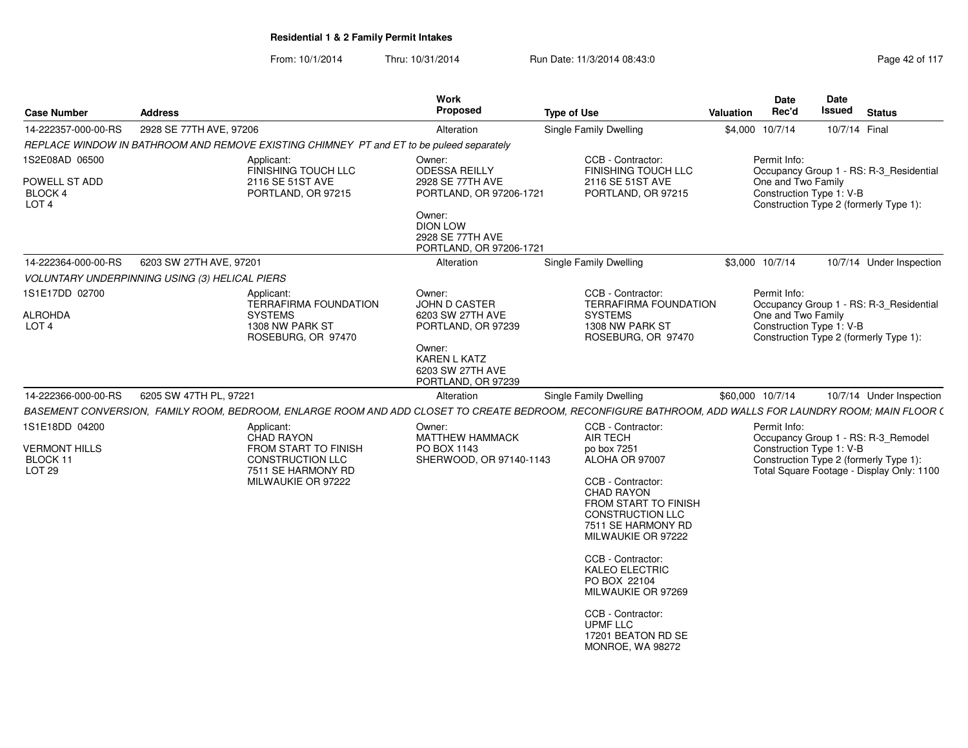| <b>Case Number</b>                                                                  | <b>Address</b>                                                                                                                                    | Work<br>Proposed                                                                                                               | <b>Type of Use</b>                                                                                                                                                                                                                                                                                     | <b>Date</b><br><b>Date</b><br>Rec'd<br><b>Issued</b><br><b>Status</b><br>Valuation                                                                                                                                                                                                                                                                                                 |
|-------------------------------------------------------------------------------------|---------------------------------------------------------------------------------------------------------------------------------------------------|--------------------------------------------------------------------------------------------------------------------------------|--------------------------------------------------------------------------------------------------------------------------------------------------------------------------------------------------------------------------------------------------------------------------------------------------------|------------------------------------------------------------------------------------------------------------------------------------------------------------------------------------------------------------------------------------------------------------------------------------------------------------------------------------------------------------------------------------|
|                                                                                     | 14-222357-000-00-RS 2928 SE 77TH AVE, 97206                                                                                                       | Alteration                                                                                                                     | Single Family Dwelling                                                                                                                                                                                                                                                                                 | \$4,000 10/7/14<br>10/7/14 Final                                                                                                                                                                                                                                                                                                                                                   |
|                                                                                     | REPLACE WINDOW IN BATHROOM AND REMOVE EXISTING CHIMNEY PT and ET to be puleed separately                                                          |                                                                                                                                |                                                                                                                                                                                                                                                                                                        |                                                                                                                                                                                                                                                                                                                                                                                    |
| 1S2E08AD 06500<br>POWELL ST ADD<br>BLOCK 4<br>LOT <sub>4</sub>                      | Applicant:<br>FINISHING TOUCH LLC<br>2116 SE 51ST AVE<br>PORTLAND, OR 97215                                                                       | Owner:<br><b>ODESSA REILLY</b><br>2928 SE 77TH AVE<br>PORTLAND, OR 97206-1721<br>Owner:<br><b>DION LOW</b><br>2928 SE 77TH AVE | CCB - Contractor:<br>FINISHING TOUCH LLC<br>2116 SE 51ST AVE<br>PORTLAND, OR 97215                                                                                                                                                                                                                     | Permit Info:<br>Occupancy Group 1 - RS: R-3_Residential<br>One and Two Family<br>Construction Type 1: V-B<br>Construction Type 2 (formerly Type 1):                                                                                                                                                                                                                                |
| 14-222364-000-00-RS                                                                 | 6203 SW 27TH AVE, 97201                                                                                                                           | PORTLAND, OR 97206-1721<br>Alteration                                                                                          | <b>Single Family Dwelling</b>                                                                                                                                                                                                                                                                          | \$3,000 10/7/14<br>10/7/14 Under Inspection                                                                                                                                                                                                                                                                                                                                        |
|                                                                                     | VOLUNTARY UNDERPINNING USING (3) HELICAL PIERS                                                                                                    |                                                                                                                                |                                                                                                                                                                                                                                                                                                        |                                                                                                                                                                                                                                                                                                                                                                                    |
| 1S1E17DD 02700<br><b>ALROHDA</b><br>LOT <sub>4</sub>                                | Applicant:<br><b>TERRAFIRMA FOUNDATION</b><br><b>SYSTEMS</b><br>1308 NW PARK ST<br>ROSEBURG, OR 97470                                             | Owner:<br>JOHN D CASTER<br>6203 SW 27TH AVE<br>PORTLAND, OR 97239<br>Owner:<br>KAREN L KATZ<br>6203 SW 27TH AVE                | CCB - Contractor:<br>TERRAFIRMA FOUNDATION<br><b>SYSTEMS</b><br>1308 NW PARK ST<br>ROSEBURG, OR 97470                                                                                                                                                                                                  | Permit Info:<br>Occupancy Group 1 - RS: R-3_Residential<br>One and Two Family<br>Construction Type 1: V-B<br>Construction Type 2 (formerly Type 1):                                                                                                                                                                                                                                |
| 14-222366-000-00-RS<br>1S1E18DD 04200<br><b>VERMONT HILLS</b><br>BLOCK 11<br>LOT 29 | 6205 SW 47TH PL, 97221<br>Applicant:<br>CHAD RAYON<br>FROM START TO FINISH<br><b>CONSTRUCTION LLC</b><br>7511 SE HARMONY RD<br>MILWAUKIE OR 97222 | Alteration<br>Owner:<br><b>MATTHEW HAMMACK</b><br>PO BOX 1143<br>SHERWOOD, OR 97140-1143                                       | <b>Single Family Dwelling</b><br>CCB - Contractor:<br><b>AIR TECH</b><br>po box 7251<br>ALOHA OR 97007<br>CCB - Contractor:<br><b>CHAD RAYON</b><br>FROM START TO FINISH<br><b>CONSTRUCTION LLC</b><br>7511 SE HARMONY RD<br>MILWAUKIE OR 97222<br>CCB - Contractor:<br>KALEO ELECTRIC<br>PO BOX 22104 | \$60,000 10/7/14<br>10/7/14 Under Inspection<br>BASEMENT CONVERSION, FAMILY ROOM, BEDROOM, ENLARGE ROOM AND ADD CLOSET TO CREATE BEDROOM, RECONFIGURE BATHROOM, ADD WALLS FOR LAUNDRY ROOM; MAIN FLOOR (<br>Permit Info:<br>Occupancy Group 1 - RS: R-3_Remodel<br>Construction Type 1: V-B<br>Construction Type 2 (formerly Type 1):<br>Total Square Footage - Display Only: 1100 |
|                                                                                     |                                                                                                                                                   |                                                                                                                                |                                                                                                                                                                                                                                                                                                        |                                                                                                                                                                                                                                                                                                                                                                                    |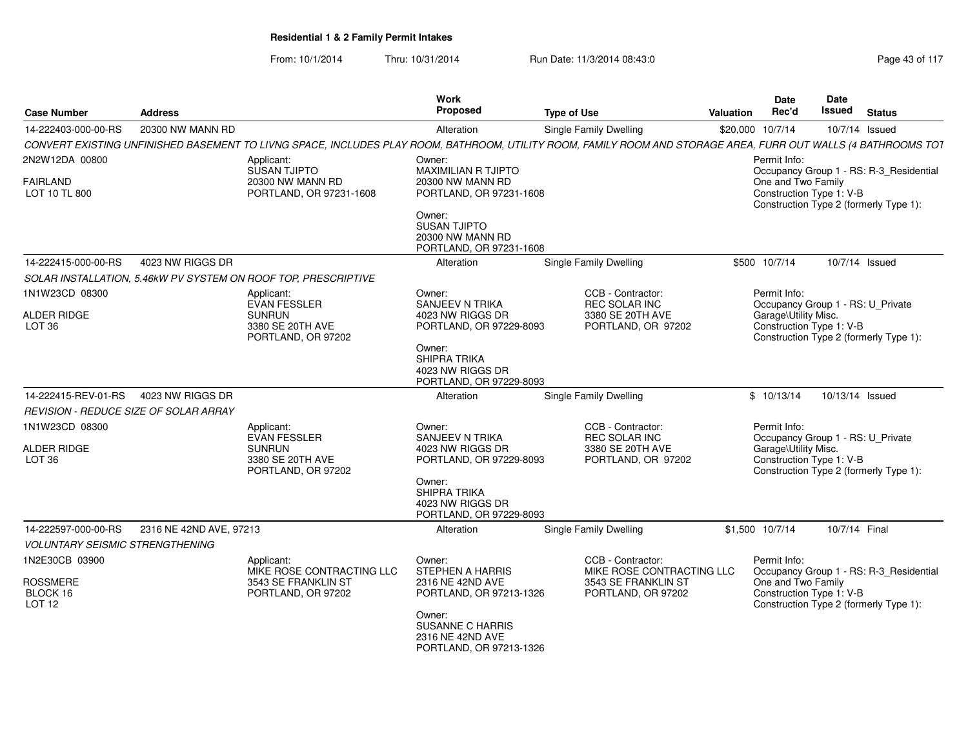| <b>Case Number</b>                           | <b>Address</b>                            |                                                                | Work<br>Proposed                                                                         | <b>Type of Use</b>                                                                                                                                             | <b>Valuation</b>                                                                           | Date<br>Rec'd                                                                                                                       | <b>Date</b><br>Issued | <b>Status</b>                           |  |  |
|----------------------------------------------|-------------------------------------------|----------------------------------------------------------------|------------------------------------------------------------------------------------------|----------------------------------------------------------------------------------------------------------------------------------------------------------------|--------------------------------------------------------------------------------------------|-------------------------------------------------------------------------------------------------------------------------------------|-----------------------|-----------------------------------------|--|--|
| 14-222403-000-00-RS                          | 20300 NW MANN RD                          |                                                                | Alteration                                                                               | <b>Single Family Dwelling</b>                                                                                                                                  |                                                                                            | \$20,000 10/7/14                                                                                                                    |                       | 10/7/14 Issued                          |  |  |
|                                              |                                           |                                                                |                                                                                          | CONVERT EXISTING UNFINISHED BASEMENT TO LIVNG SPACE, INCLUDES PLAY ROOM, BATHROOM, UTILITY ROOM, FAMILY ROOM AND STORAGE AREA, FURR OUT WALLS (4 BATHROOMS TOT |                                                                                            |                                                                                                                                     |                       |                                         |  |  |
| 2N2W12DA 00800                               |                                           | Applicant:                                                     | Owner:<br><b>MAXIMILIAN R TJIPTO</b>                                                     |                                                                                                                                                                |                                                                                            | Permit Info:                                                                                                                        |                       |                                         |  |  |
| <b>FAIRLAND</b><br>LOT 10 TL 800             |                                           | SUSAN TJIPTO<br>20300 NW MANN RD<br>PORTLAND, OR 97231-1608    | 20300 NW MANN RD<br>PORTLAND, OR 97231-1608                                              |                                                                                                                                                                |                                                                                            | Occupancy Group 1 - RS: R-3 Residential<br>One and Two Family<br>Construction Type 1: V-B<br>Construction Type 2 (formerly Type 1): |                       |                                         |  |  |
|                                              |                                           |                                                                | Owner:<br><b>SUSAN TJIPTO</b><br>20300 NW MANN RD<br>PORTLAND, OR 97231-1608             |                                                                                                                                                                |                                                                                            |                                                                                                                                     |                       |                                         |  |  |
| 14-222415-000-00-RS                          | 4023 NW RIGGS DR                          |                                                                | Alteration                                                                               | Single Family Dwelling                                                                                                                                         |                                                                                            | \$500 10/7/14                                                                                                                       |                       | 10/7/14 Issued                          |  |  |
|                                              |                                           | SOLAR INSTALLATION, 5.46kW PV SYSTEM ON ROOF TOP, PRESCRIPTIVE |                                                                                          |                                                                                                                                                                |                                                                                            |                                                                                                                                     |                       |                                         |  |  |
| 1N1W23CD 08300                               |                                           | Applicant:<br><b>EVAN FESSLER</b>                              | Owner:<br>SANJEEV N TRIKA                                                                | CCB - Contractor:<br>REC SOLAR INC                                                                                                                             |                                                                                            | Permit Info:                                                                                                                        |                       | Occupancy Group 1 - RS: U_Private       |  |  |
| ALDER RIDGE<br>LOT <sub>36</sub>             |                                           | <b>SUNRUN</b><br>3380 SE 20TH AVE<br>PORTLAND, OR 97202        | 4023 NW RIGGS DR<br>PORTLAND, OR 97229-8093<br>Owner:                                    | 3380 SE 20TH AVE<br>PORTLAND, OR 97202                                                                                                                         |                                                                                            | Garage\Utility Misc.<br>Construction Type 1: V-B                                                                                    |                       | Construction Type 2 (formerly Type 1):  |  |  |
|                                              |                                           |                                                                | SHIPRA TRIKA<br>4023 NW RIGGS DR<br>PORTLAND, OR 97229-8093                              |                                                                                                                                                                |                                                                                            |                                                                                                                                     |                       |                                         |  |  |
| 14-222415-REV-01-RS                          | 4023 NW RIGGS DR                          |                                                                | Alteration                                                                               | <b>Single Family Dwelling</b>                                                                                                                                  |                                                                                            | \$10/13/14                                                                                                                          |                       | 10/13/14 Issued                         |  |  |
| REVISION - REDUCE SIZE OF SOLAR ARRAY        |                                           |                                                                |                                                                                          |                                                                                                                                                                |                                                                                            |                                                                                                                                     |                       |                                         |  |  |
| 1N1W23CD 08300                               |                                           | Applicant:<br><b>EVAN FESSLER</b>                              | Owner:<br><b>SANJEEV N TRIKA</b>                                                         | CCB - Contractor:<br>REC SOLAR INC                                                                                                                             |                                                                                            | Permit Info:                                                                                                                        |                       | Occupancy Group 1 - RS: U_Private       |  |  |
| <b>ALDER RIDGE</b><br>LOT <sub>36</sub>      |                                           | <b>SUNRUN</b><br>3380 SE 20TH AVE<br>PORTLAND, OR 97202        | 4023 NW RIGGS DR<br>PORTLAND, OR 97229-8093                                              | 3380 SE 20TH AVE<br>PORTLAND, OR 97202                                                                                                                         | Garage\Utility Misc.<br>Construction Type 1: V-B<br>Construction Type 2 (formerly Type 1): |                                                                                                                                     |                       |                                         |  |  |
|                                              |                                           |                                                                | Owner:<br>SHIPRA TRIKA<br>4023 NW RIGGS DR<br>PORTLAND, OR 97229-8093                    |                                                                                                                                                                |                                                                                            |                                                                                                                                     |                       |                                         |  |  |
| 14-222597-000-00-RS                          | 2316 NE 42ND AVE, 97213                   |                                                                | Alteration                                                                               | Single Family Dwelling                                                                                                                                         |                                                                                            | \$1,500 10/7/14                                                                                                                     |                       | 10/7/14 Final                           |  |  |
| <b>VOLUNTARY SEISMIC STRENGTHENING</b>       |                                           |                                                                |                                                                                          |                                                                                                                                                                |                                                                                            |                                                                                                                                     |                       |                                         |  |  |
| 1N2E30CB 03900                               |                                           | Applicant:<br>MIKE ROSE CONTRACTING LLC                        | Owner:<br><b>STEPHEN A HARRIS</b>                                                        | CCB - Contractor:<br>MIKE ROSE CONTRACTING LLC<br>3543 SE FRANKLIN ST                                                                                          |                                                                                            | Permit Info:                                                                                                                        |                       | Occupancy Group 1 - RS: R-3_Residential |  |  |
| <b>ROSSMERE</b><br>BLOCK 16<br><b>LOT 12</b> | 3543 SE FRANKLIN ST<br>PORTLAND, OR 97202 | 2316 NE 42ND AVE<br>PORTLAND, OR 97213-1326                    | One and Two Family<br>Construction Type 1: V-B<br>Construction Type 2 (formerly Type 1): |                                                                                                                                                                |                                                                                            |                                                                                                                                     |                       |                                         |  |  |
|                                              |                                           |                                                                | Owner:<br><b>SUSANNE C HARRIS</b><br>2316 NE 42ND AVE<br>PORTLAND, OR 97213-1326         |                                                                                                                                                                |                                                                                            |                                                                                                                                     |                       |                                         |  |  |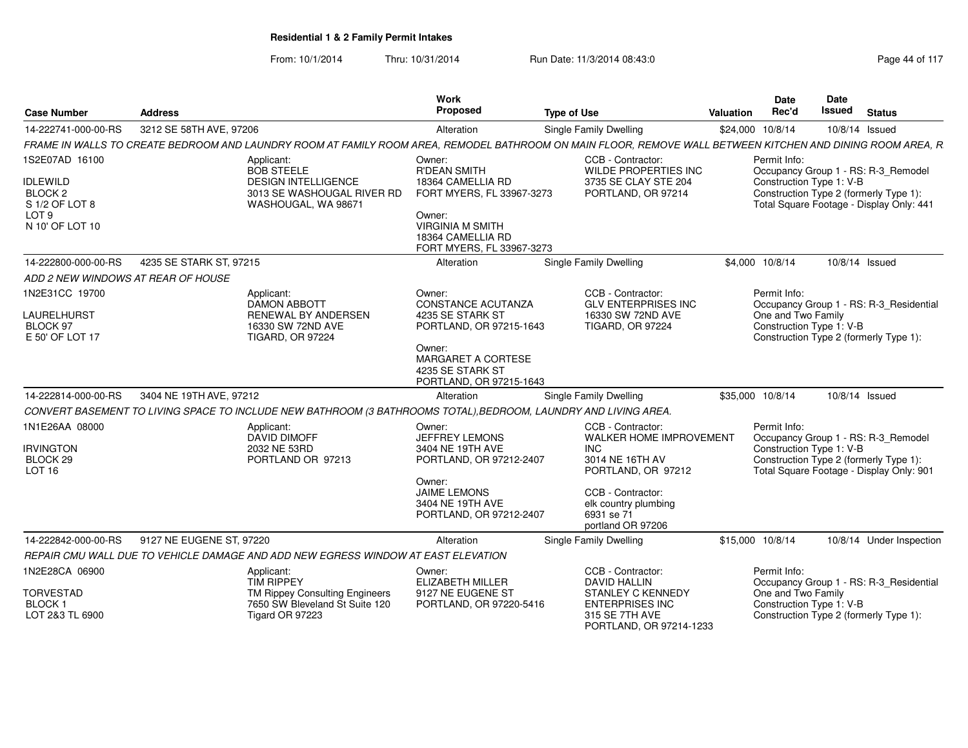| <b>Case Number</b>                                                                                               | <b>Address</b>           |                                                                                                                                                            | Work<br><b>Proposed</b>                                                                                                                                                | <b>Type of Use</b>                                                                                                                                                                  | <b>Valuation</b> | <b>Date</b><br>Rec'd                                                                                                                                                  | Date<br>Issued | <b>Status</b> |                                          |
|------------------------------------------------------------------------------------------------------------------|--------------------------|------------------------------------------------------------------------------------------------------------------------------------------------------------|------------------------------------------------------------------------------------------------------------------------------------------------------------------------|-------------------------------------------------------------------------------------------------------------------------------------------------------------------------------------|------------------|-----------------------------------------------------------------------------------------------------------------------------------------------------------------------|----------------|---------------|------------------------------------------|
| 14-222741-000-00-RS                                                                                              | 3212 SE 58TH AVE, 97206  |                                                                                                                                                            | Alteration                                                                                                                                                             | Single Family Dwelling                                                                                                                                                              |                  | \$24,000 10/8/14                                                                                                                                                      | 10/8/14 Issued |               |                                          |
|                                                                                                                  |                          | FRAME IN WALLS TO CREATE BEDROOM AND LAUNDRY ROOM AT FAMILY ROOM AREA, REMODEL BATHROOM ON MAIN FLOOR, REMOVE WALL BETWEEN KITCHEN AND DINING ROOM AREA, R |                                                                                                                                                                        |                                                                                                                                                                                     |                  |                                                                                                                                                                       |                |               |                                          |
| 1S2E07AD 16100<br><b>IDLEWILD</b><br>BLOCK <sub>2</sub><br>S 1/2 OF LOT 8<br>LOT <sub>9</sub><br>N 10' OF LOT 10 |                          | Applicant:<br><b>BOB STEELE</b><br><b>DESIGN INTELLIGENCE</b><br>3013 SE WASHOUGAL RIVER RD<br>WASHOUGAL, WA 98671                                         | Owner:<br><b>R'DEAN SMITH</b><br>18364 CAMELLIA RD<br>FORT MYERS, FL 33967-3273<br>Owner:<br><b>VIRGINIA M SMITH</b><br>18364 CAMELLIA RD<br>FORT MYERS, FL 33967-3273 | CCB - Contractor:<br>WILDE PROPERTIES INC<br>3735 SE CLAY STE 204<br>PORTLAND, OR 97214                                                                                             |                  | Permit Info:<br>Occupancy Group 1 - RS: R-3_Remodel<br>Construction Type 1: V-B<br>Construction Type 2 (formerly Type 1):<br>Total Square Footage - Display Only: 441 |                |               |                                          |
| 14-222800-000-00-RS                                                                                              | 4235 SE STARK ST. 97215  |                                                                                                                                                            | Alteration                                                                                                                                                             | Single Family Dwelling                                                                                                                                                              |                  | \$4,000 10/8/14                                                                                                                                                       | 10/8/14 Issued |               |                                          |
| ADD 2 NEW WINDOWS AT REAR OF HOUSE                                                                               |                          |                                                                                                                                                            |                                                                                                                                                                        |                                                                                                                                                                                     |                  |                                                                                                                                                                       |                |               |                                          |
| 1N2E31CC 19700<br>LAURELHURST<br>BLOCK 97<br>E 50' OF LOT 17                                                     |                          | Applicant:<br>DAMON ABBOTT<br><b>RENEWAL BY ANDERSEN</b><br>16330 SW 72ND AVE<br><b>TIGARD, OR 97224</b>                                                   | Owner:<br><b>CONSTANCE ACUTANZA</b><br>4235 SE STARK ST<br>PORTLAND, OR 97215-1643<br>Owner:<br>MARGARET A CORTESE<br>4235 SE STARK ST                                 | CCB - Contractor:<br><b>GLV ENTERPRISES INC</b><br>16330 SW 72ND AVE<br><b>TIGARD, OR 97224</b>                                                                                     |                  | Permit Info:<br>One and Two Family<br>Construction Type 1: V-B<br>Construction Type 2 (formerly Type 1):                                                              |                |               | Occupancy Group 1 - RS: R-3_Residential  |
| 14-222814-000-00-RS                                                                                              | 3404 NE 19TH AVE, 97212  |                                                                                                                                                            | PORTLAND, OR 97215-1643<br>Alteration                                                                                                                                  | Single Family Dwelling                                                                                                                                                              |                  | \$35,000 10/8/14                                                                                                                                                      | 10/8/14 Issued |               |                                          |
|                                                                                                                  |                          | CONVERT BASEMENT TO LIVING SPACE TO INCLUDE NEW BATHROOM (3 BATHROOMS TOTAL), BEDROOM, LAUNDRY AND LIVING AREA.                                            |                                                                                                                                                                        |                                                                                                                                                                                     |                  |                                                                                                                                                                       |                |               |                                          |
| 1N1E26AA 08000<br><b>IRVINGTON</b><br>BLOCK 29<br><b>LOT 16</b>                                                  |                          | Applicant:<br><b>DAVID DIMOFF</b><br>2032 NE 53RD<br>PORTLAND OR 97213                                                                                     | Owner:<br>JEFFREY LEMONS<br>3404 NE 19TH AVE<br>PORTLAND, OR 97212-2407<br>Owner:<br><b>JAIME LEMONS</b><br>3404 NE 19TH AVE<br>PORTLAND, OR 97212-2407                | CCB - Contractor:<br>WALKER HOME IMPROVEMENT<br><b>INC</b><br>3014 NE 16TH AV<br>PORTLAND, OR 97212<br>CCB - Contractor:<br>elk country plumbing<br>6931 se 71<br>portland OR 97206 |                  | Permit Info:<br>Occupancy Group 1 - RS: R-3_Remodel<br>Construction Type 1: V-B<br>Construction Type 2 (formerly Type 1):                                             |                |               | Total Square Footage - Display Only: 901 |
| 14-222842-000-00-RS                                                                                              | 9127 NE EUGENE ST. 97220 |                                                                                                                                                            | Alteration                                                                                                                                                             | Single Family Dwelling                                                                                                                                                              |                  | \$15,000 10/8/14                                                                                                                                                      |                |               | 10/8/14 Under Inspection                 |
|                                                                                                                  |                          | REPAIR CMU WALL DUE TO VEHICLE DAMAGE AND ADD NEW EGRESS WINDOW AT EAST ELEVATION                                                                          |                                                                                                                                                                        |                                                                                                                                                                                     |                  |                                                                                                                                                                       |                |               |                                          |
| 1N2E28CA 06900<br><b>TORVESTAD</b><br>BLOCK <sub>1</sub><br>LOT 2&3 TL 6900                                      |                          | Applicant:<br><b>TIM RIPPEY</b><br>TM Rippey Consulting Engineers<br>7650 SW Bleveland St Suite 120<br>Tigard OR 97223                                     | Owner:<br>ELIZABETH MILLER<br>9127 NE EUGENE ST<br>PORTLAND, OR 97220-5416                                                                                             | CCB - Contractor:<br><b>DAVID HALLIN</b><br><b>STANLEY C KENNEDY</b><br><b>ENTERPRISES INC</b><br>315 SE 7TH AVE                                                                    |                  | Permit Info:<br>One and Two Family<br>Construction Type 1: V-B<br>Construction Type 2 (formerly Type 1):                                                              |                |               | Occupancy Group 1 - RS: R-3_Residential  |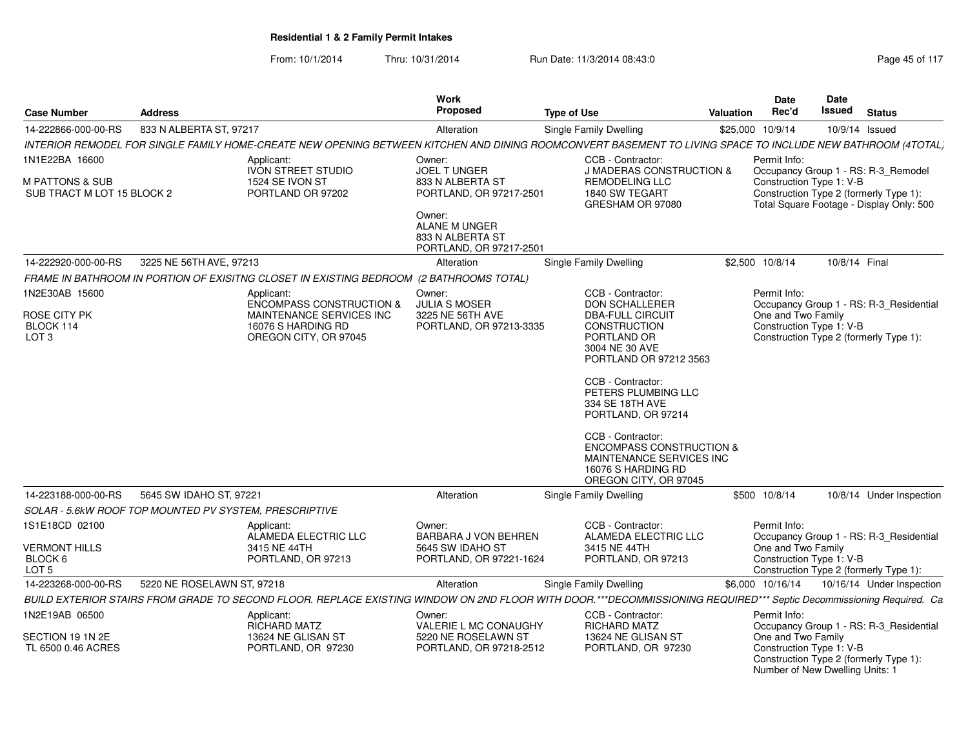From: 10/1/2014Thru: 10/31/2014 Run Date: 11/3/2014 08:43:0

Number of New Dwelling Units: 1

| <b>Case Number</b>                                       | <b>Address</b>                                         |                                                                                                                                                                     | <b>Work</b><br>Proposed                                                | <b>Type of Use</b>                                                                                                                  | <b>Valuation</b> | Date<br>Rec'd                                                                                                  | <b>Date</b><br><b>Issued</b> | <b>Status</b>                           |
|----------------------------------------------------------|--------------------------------------------------------|---------------------------------------------------------------------------------------------------------------------------------------------------------------------|------------------------------------------------------------------------|-------------------------------------------------------------------------------------------------------------------------------------|------------------|----------------------------------------------------------------------------------------------------------------|------------------------------|-----------------------------------------|
| 14-222866-000-00-RS                                      | 833 N ALBERTA ST, 97217                                |                                                                                                                                                                     | Alteration                                                             | Single Family Dwelling                                                                                                              |                  | \$25,000 10/9/14                                                                                               |                              | 10/9/14 Issued                          |
|                                                          |                                                        | INTERIOR REMODEL FOR SINGLE FAMILY HOME-CREATE NEW OPENING BETWEEN KITCHEN AND DINING ROOMCONVERT BASEMENT TO LIVING SPACE TO INCLUDE NEW BATHROOM (4TOTAL)         |                                                                        |                                                                                                                                     |                  |                                                                                                                |                              |                                         |
| 1N1E22BA 16600                                           |                                                        | Applicant:<br><b>IVON STREET STUDIO</b>                                                                                                                             | Owner:<br>JOEL TUNGER                                                  | CCB - Contractor:<br><b>J MADERAS CONSTRUCTION &amp;</b>                                                                            |                  | Permit Info:                                                                                                   |                              | Occupancy Group 1 - RS: R-3_Remodel     |
| <b>M PATTONS &amp; SUB</b><br>SUB TRACT M LOT 15 BLOCK 2 | 1524 SE IVON ST<br>PORTLAND OR 97202                   |                                                                                                                                                                     | 833 N ALBERTA ST<br>PORTLAND, OR 97217-2501                            | <b>REMODELING LLC</b><br>1840 SW TEGART<br>GRESHAM OR 97080                                                                         |                  | Construction Type 1: V-B<br>Construction Type 2 (formerly Type 1):<br>Total Square Footage - Display Only: 500 |                              |                                         |
|                                                          |                                                        |                                                                                                                                                                     | Owner:<br>ALANE M UNGER<br>833 N ALBERTA ST<br>PORTLAND, OR 97217-2501 |                                                                                                                                     |                  |                                                                                                                |                              |                                         |
| 14-222920-000-00-RS                                      | 3225 NE 56TH AVE, 97213                                |                                                                                                                                                                     | Alteration                                                             | Single Family Dwelling                                                                                                              |                  | \$2,500 10/8/14                                                                                                | 10/8/14 Final                |                                         |
|                                                          |                                                        | FRAME IN BATHROOM IN PORTION OF EXISITNG CLOSET IN EXISTING BEDROOM (2 BATHROOMS TOTAL)                                                                             |                                                                        |                                                                                                                                     |                  |                                                                                                                |                              |                                         |
| 1N2E30AB 15600                                           |                                                        | Applicant:<br><b>ENCOMPASS CONSTRUCTION &amp;</b>                                                                                                                   | Owner:<br><b>JULIA S MOSER</b>                                         | CCB - Contractor:<br><b>DON SCHALLERER</b>                                                                                          |                  | Permit Info:                                                                                                   |                              | Occupancy Group 1 - RS: R-3_Residential |
| ROSE CITY PK<br>BLOCK 114<br>LOT <sub>3</sub>            |                                                        | MAINTENANCE SERVICES INC<br>16076 S HARDING RD<br>OREGON CITY, OR 97045                                                                                             | 3225 NE 56TH AVE<br>PORTLAND, OR 97213-3335                            | <b>DBA-FULL CIRCUIT</b><br><b>CONSTRUCTION</b><br>PORTLAND OR<br>3004 NE 30 AVE<br>PORTLAND OR 97212 3563                           |                  | One and Two Family<br>Construction Type 1: V-B                                                                 |                              | Construction Type 2 (formerly Type 1):  |
|                                                          |                                                        |                                                                                                                                                                     |                                                                        | CCB - Contractor:<br>PETERS PLUMBING LLC<br>334 SE 18TH AVE<br>PORTLAND, OR 97214                                                   |                  |                                                                                                                |                              |                                         |
|                                                          |                                                        |                                                                                                                                                                     |                                                                        | CCB - Contractor:<br><b>ENCOMPASS CONSTRUCTION &amp;</b><br>MAINTENANCE SERVICES INC<br>16076 S HARDING RD<br>OREGON CITY, OR 97045 |                  |                                                                                                                |                              |                                         |
| 14-223188-000-00-RS                                      | 5645 SW IDAHO ST, 97221                                |                                                                                                                                                                     | Alteration                                                             | Single Family Dwelling                                                                                                              |                  | \$500 10/8/14                                                                                                  |                              | 10/8/14 Under Inspection                |
|                                                          | SOLAR - 5.6kW ROOF TOP MOUNTED PV SYSTEM, PRESCRIPTIVE |                                                                                                                                                                     |                                                                        |                                                                                                                                     |                  |                                                                                                                |                              |                                         |
| 1S1E18CD 02100                                           |                                                        | Applicant:<br>ALAMEDA ELECTRIC LLC                                                                                                                                  | Owner:<br>BARBARA J VON BEHREN                                         | CCB - Contractor:<br>ALAMEDA ELECTRIC LLC                                                                                           |                  | Permit Info:                                                                                                   |                              | Occupancy Group 1 - RS: R-3_Residential |
| <b>VERMONT HILLS</b><br>BLOCK 6<br>LOT <sub>5</sub>      |                                                        | 3415 NE 44TH<br>PORTLAND, OR 97213                                                                                                                                  | 5645 SW IDAHO ST<br>PORTLAND, OR 97221-1624                            | 3415 NE 44TH<br>PORTLAND, OR 97213                                                                                                  |                  | One and Two Family<br>Construction Type 1: V-B                                                                 |                              | Construction Type 2 (formerly Type 1):  |
| 14-223268-000-00-RS                                      | 5220 NE ROSELAWN ST, 97218                             |                                                                                                                                                                     | Alteration                                                             | Single Family Dwelling                                                                                                              |                  | \$6,000 10/16/14                                                                                               |                              | 10/16/14 Under Inspection               |
|                                                          |                                                        | BUILD EXTERIOR STAIRS FROM GRADE TO SECOND FLOOR. REPLACE EXISTING WINDOW ON 2ND FLOOR WITH DOOR.***DECOMMISSIONING REQUIRED*** Septic Decommissioning Required. Ca |                                                                        |                                                                                                                                     |                  |                                                                                                                |                              |                                         |
| 1N2E19AB 06500                                           |                                                        | Applicant:<br><b>RICHARD MATZ</b>                                                                                                                                   | Owner:<br>VALERIE L MC CONAUGHY                                        | CCB - Contractor:<br>RICHARD MATZ                                                                                                   |                  | Permit Info:                                                                                                   |                              | Occupancy Group 1 - RS: R-3_Residential |
| SECTION 19 1N 2E<br>TL 6500 0.46 ACRES                   |                                                        | 13624 NE GLISAN ST<br>PORTLAND, OR 97230                                                                                                                            | 5220 NE ROSELAWN ST<br>PORTLAND, OR 97218-2512                         | 13624 NE GLISAN ST<br>PORTLAND, OR 97230                                                                                            |                  | One and Two Family<br>Construction Type 1: V-B                                                                 |                              | Construction Type 2 (formerly Type 1):  |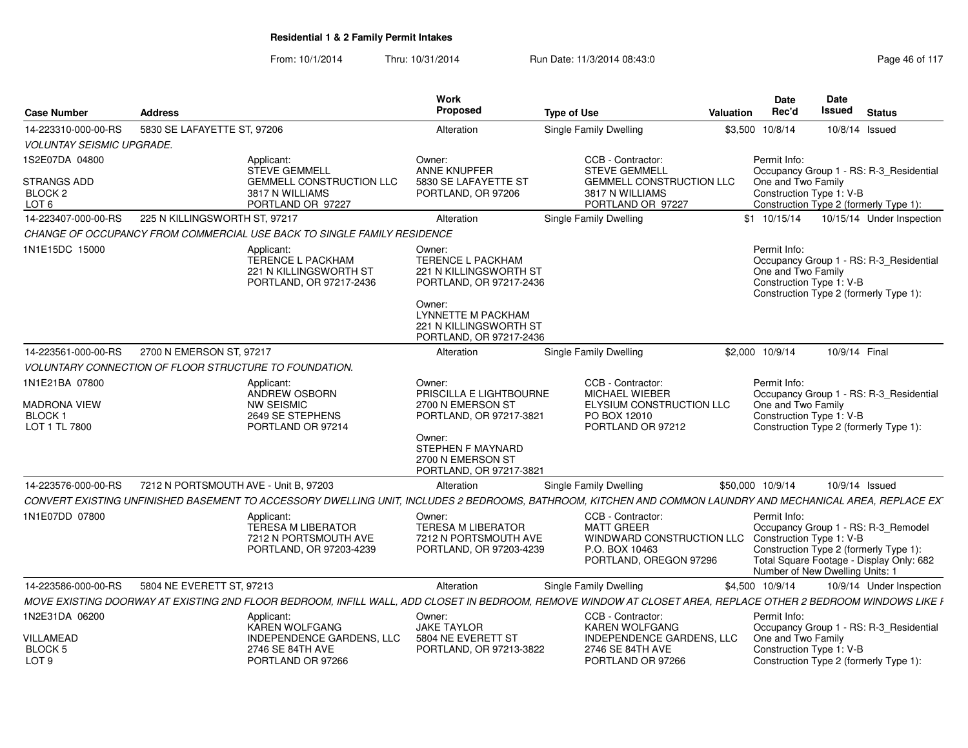| <b>Case Number</b>                                                      | <b>Address</b>                                                                                                                                                | Work<br>Proposed                                                                                                                                         | <b>Type of Use</b>                                                                                              | Valuation | Date<br>Rec'd                                                  | <b>Date</b><br><b>Issued</b>           | <b>Status</b>                                                                                                             |
|-------------------------------------------------------------------------|---------------------------------------------------------------------------------------------------------------------------------------------------------------|----------------------------------------------------------------------------------------------------------------------------------------------------------|-----------------------------------------------------------------------------------------------------------------|-----------|----------------------------------------------------------------|----------------------------------------|---------------------------------------------------------------------------------------------------------------------------|
| 14-223310-000-00-RS                                                     | 5830 SE LAFAYETTE ST, 97206                                                                                                                                   | Alteration                                                                                                                                               | Single Family Dwelling                                                                                          |           | \$3,500 10/8/14                                                | 10/8/14 Issued                         |                                                                                                                           |
| <b>VOLUNTAY SEISMIC UPGRADE.</b>                                        |                                                                                                                                                               |                                                                                                                                                          |                                                                                                                 |           |                                                                |                                        |                                                                                                                           |
| 1S2E07DA 04800<br><b>STRANGS ADD</b><br>BLOCK <sub>2</sub>              | Applicant:<br><b>STEVE GEMMELL</b><br><b>GEMMELL CONSTRUCTION LLC</b><br>3817 N WILLIAMS                                                                      | Owner:<br><b>ANNE KNUPFER</b><br>5830 SE LAFAYETTE ST<br>PORTLAND, OR 97206                                                                              | CCB - Contractor:<br><b>STEVE GEMMELL</b><br><b>GEMMELL CONSTRUCTION LLC</b><br>3817 N WILLIAMS                 |           | Permit Info:<br>One and Two Family<br>Construction Type 1: V-B |                                        | Occupancy Group 1 - RS: R-3_Residential                                                                                   |
| LOT <sub>6</sub>                                                        | PORTLAND OR 97227                                                                                                                                             |                                                                                                                                                          | PORTLAND OR 97227                                                                                               |           |                                                                |                                        | Construction Type 2 (formerly Type 1):                                                                                    |
| 14-223407-000-00-RS                                                     | 225 N KILLINGSWORTH ST, 97217                                                                                                                                 | Alteration                                                                                                                                               | Single Family Dwelling                                                                                          |           | $$1 \t10/15/14$                                                |                                        | 10/15/14 Under Inspection                                                                                                 |
|                                                                         | CHANGE OF OCCUPANCY FROM COMMERCIAL USE BACK TO SINGLE FAMILY RESIDENCE                                                                                       |                                                                                                                                                          |                                                                                                                 |           |                                                                |                                        |                                                                                                                           |
| 1N1E15DC 15000                                                          | Applicant:<br><b>TERENCE L PACKHAM</b><br>221 N KILLINGSWORTH ST<br>PORTLAND, OR 97217-2436                                                                   | Owner:<br><b>TERENCE L PACKHAM</b><br><b>221 N KILLINGSWORTH ST</b><br>PORTLAND, OR 97217-2436<br>Owner:<br>LYNNETTE M PACKHAM<br>221 N KILLINGSWORTH ST |                                                                                                                 |           | Permit Info:<br>One and Two Family<br>Construction Type 1: V-B |                                        | Occupancy Group 1 - RS: R-3_Residential<br>Construction Type 2 (formerly Type 1):                                         |
| 14-223561-000-00-RS                                                     | 2700 N EMERSON ST, 97217                                                                                                                                      | PORTLAND, OR 97217-2436<br>Alteration                                                                                                                    | <b>Single Family Dwelling</b>                                                                                   |           | \$2,000 10/9/14                                                | 10/9/14 Final                          |                                                                                                                           |
|                                                                         | <b>VOLUNTARY CONNECTION OF FLOOR STRUCTURE TO FOUNDATION.</b>                                                                                                 |                                                                                                                                                          |                                                                                                                 |           |                                                                |                                        |                                                                                                                           |
|                                                                         |                                                                                                                                                               |                                                                                                                                                          |                                                                                                                 |           |                                                                |                                        |                                                                                                                           |
| 1N1E21BA 07800<br><b>MADRONA VIEW</b><br><b>BLOCK1</b><br>LOT 1 TL 7800 | Applicant:<br>ANDREW OSBORN<br><b>NW SEISMIC</b><br>2649 SE STEPHENS<br>PORTLAND OR 97214                                                                     | Owner:<br>PRISCILLA E LIGHTBOURNE<br>2700 N EMERSON ST<br>PORTLAND, OR 97217-3821<br>Owner:<br><b>STEPHEN F MAYNARD</b>                                  | CCB - Contractor:<br>MICHAEL WIEBER<br>ELYSIUM CONSTRUCTION LLC<br>PO BOX 12010<br>PORTLAND OR 97212            |           | Permit Info:<br>One and Two Family<br>Construction Type 1: V-B | Construction Type 2 (formerly Type 1): | Occupancy Group 1 - RS: R-3_Residential                                                                                   |
|                                                                         |                                                                                                                                                               | 2700 N EMERSON ST<br>PORTLAND, OR 97217-3821                                                                                                             |                                                                                                                 |           |                                                                |                                        |                                                                                                                           |
| 14-223576-000-00-RS                                                     | 7212 N PORTSMOUTH AVE - Unit B. 97203                                                                                                                         | Alteration                                                                                                                                               | Single Family Dwelling                                                                                          |           | \$50,000 10/9/14                                               | 10/9/14 Issued                         |                                                                                                                           |
|                                                                         | CONVERT EXISTING UNFINISHED BASEMENT TO ACCESSORY DWELLING UNIT, INCLUDES 2 BEDROOMS, BATHROOM, KITCHEN AND COMMON LAUNDRY AND MECHANICAL AREA, REPLACE EX'   |                                                                                                                                                          |                                                                                                                 |           |                                                                |                                        |                                                                                                                           |
| 1N1E07DD 07800                                                          | Applicant:<br><b>TERESA M LIBERATOR</b><br>7212 N PORTSMOUTH AVE<br>PORTLAND, OR 97203-4239                                                                   | Owner:<br><b>TERESA M LIBERATOR</b><br>7212 N PORTSMOUTH AVE<br>PORTLAND, OR 97203-4239                                                                  | CCB - Contractor:<br><b>MATT GREER</b><br>WINDWARD CONSTRUCTION LLC<br>P.O. BOX 10463<br>PORTLAND, OREGON 97296 |           | Permit Info:<br>Construction Type 1: V-B                       | Number of New Dwelling Units: 1        | Occupancy Group 1 - RS: R-3_Remodel<br>Construction Type 2 (formerly Type 1):<br>Total Square Footage - Display Only: 682 |
| 14-223586-000-00-RS                                                     | 5804 NE EVERETT ST, 97213                                                                                                                                     | Alteration                                                                                                                                               | Single Family Dwelling                                                                                          |           | \$4,500 10/9/14                                                |                                        | 10/9/14 Under Inspection                                                                                                  |
|                                                                         | MOVE EXISTING DOORWAY AT EXISTING 2ND FLOOR BEDROOM. INFILL WALL. ADD CLOSET IN BEDROOM. REMOVE WINDOW AT CLOSET AREA. REPLACE OTHER 2 BEDROOM WINDOWS LIKE I |                                                                                                                                                          |                                                                                                                 |           |                                                                |                                        |                                                                                                                           |
| 1N2E31DA 06200                                                          | Applicant:                                                                                                                                                    | Owner:                                                                                                                                                   | CCB - Contractor:                                                                                               |           | Permit Info:                                                   |                                        |                                                                                                                           |
| <b>VILLAMEAD</b><br><b>BLOCK 5</b><br>LOT <sub>9</sub>                  | <b>KAREN WOLFGANG</b><br><b>INDEPENDENCE GARDENS, LLC</b><br>2746 SE 84TH AVE<br>PORTLAND OR 97266                                                            | <b>JAKE TAYLOR</b><br>5804 NE EVERETT ST<br>PORTLAND, OR 97213-3822                                                                                      | <b>KAREN WOLFGANG</b><br><b>INDEPENDENCE GARDENS, LLC</b><br>2746 SE 84TH AVE<br>PORTLAND OR 97266              |           | One and Two Family<br>Construction Type 1: V-B                 |                                        | Occupancy Group 1 - RS: R-3_Residential<br>Construction Type 2 (formerly Type 1):                                         |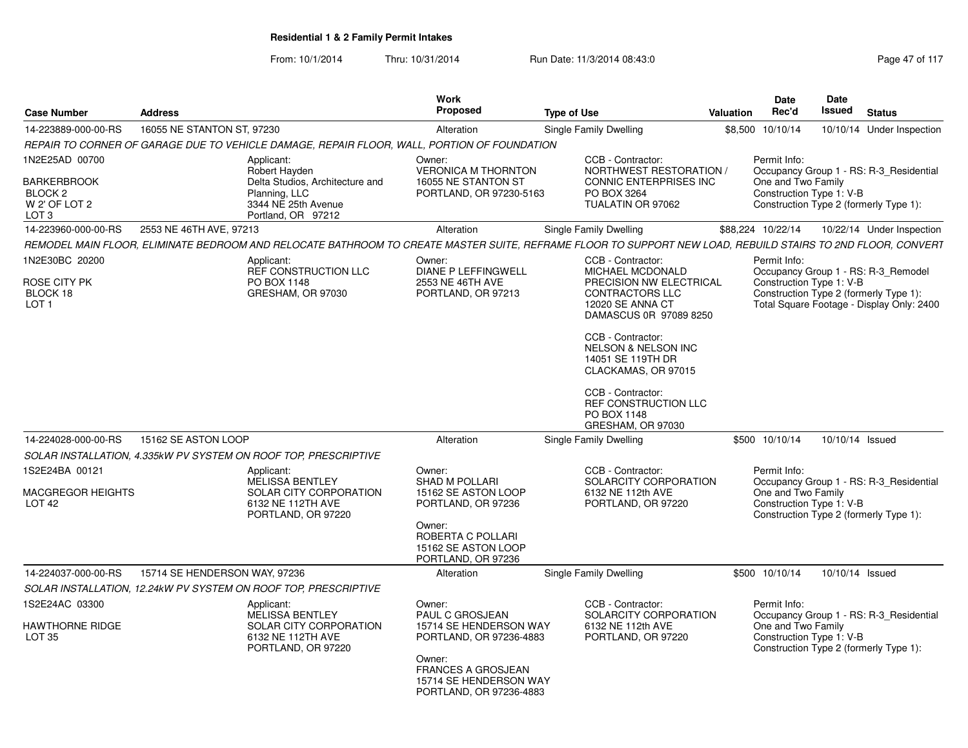| <b>Case Number</b>                                                                              | <b>Address</b>                |                                                                                                                              | <b>Work</b><br>Proposed                                                           | <b>Type of Use</b>                                                                                                                                                   | Valuation | <b>Date</b><br>Rec'd               | <b>Date</b><br><b>Issued</b>                                                                                                                           | <b>Status</b>             |  |
|-------------------------------------------------------------------------------------------------|-------------------------------|------------------------------------------------------------------------------------------------------------------------------|-----------------------------------------------------------------------------------|----------------------------------------------------------------------------------------------------------------------------------------------------------------------|-----------|------------------------------------|--------------------------------------------------------------------------------------------------------------------------------------------------------|---------------------------|--|
| 14-223889-000-00-RS                                                                             | 16055 NE STANTON ST, 97230    |                                                                                                                              | Alteration                                                                        | Single Family Dwelling                                                                                                                                               |           | \$8,500 10/10/14                   |                                                                                                                                                        | 10/10/14 Under Inspection |  |
|                                                                                                 |                               | REPAIR TO CORNER OF GARAGE DUE TO VEHICLE DAMAGE, REPAIR FLOOR, WALL, PORTION OF FOUNDATION                                  |                                                                                   |                                                                                                                                                                      |           |                                    |                                                                                                                                                        |                           |  |
| 1N2E25AD 00700<br><b>BARKERBROOK</b><br>BLOCK <sub>2</sub><br>W 2' OF LOT 2<br>LOT <sub>3</sub> |                               | Applicant:<br>Robert Hayden<br>Delta Studios, Architecture and<br>Planning, LLC<br>3344 NE 25th Avenue<br>Portland, OR 97212 | Owner:<br>VERONICA M THORNTON<br>16055 NE STANTON ST<br>PORTLAND, OR 97230-5163   | CCB - Contractor:<br>NORTHWEST RESTORATION<br><b>CONNIC ENTERPRISES INC</b><br>PO BOX 3264<br>TUALATIN OR 97062                                                      |           | Permit Info:<br>One and Two Family | Occupancy Group 1 - RS: R-3 Residential<br>Construction Type 1: V-B<br>Construction Type 2 (formerly Type 1):                                          |                           |  |
| 14-223960-000-00-RS                                                                             | 2553 NE 46TH AVE, 97213       |                                                                                                                              | Alteration                                                                        | Single Family Dwelling                                                                                                                                               |           | \$88,224 10/22/14                  |                                                                                                                                                        | 10/22/14 Under Inspection |  |
|                                                                                                 |                               |                                                                                                                              |                                                                                   | REMODEL MAIN FLOOR, ELIMINATE BEDROOM AND RELOCATE BATHROOM TO CREATE MASTER SUITE, REFRAME FLOOR TO SUPPORT NEW LOAD, REBUILD STAIRS TO 2ND FLOOR, CONVERT          |           |                                    |                                                                                                                                                        |                           |  |
| 1N2E30BC 20200<br><b>ROSE CITY PK</b><br>BLOCK 18<br>LOT <sub>1</sub>                           |                               | Applicant:<br>REF CONSTRUCTION LLC<br>PO BOX 1148<br>GRESHAM, OR 97030                                                       | Owner:<br><b>DIANE P LEFFINGWELL</b><br>2553 NE 46TH AVE<br>PORTLAND, OR 97213    | CCB - Contractor:<br><b>MICHAEL MCDONALD</b><br>PRECISION NW ELECTRICAL<br><b>CONTRACTORS LLC</b><br>12020 SE ANNA CT<br>DAMASCUS 0R 97089 8250<br>CCB - Contractor: |           | Permit Info:                       | Occupancy Group 1 - RS: R-3 Remodel<br>Construction Type 1: V-B<br>Construction Type 2 (formerly Type 1):<br>Total Square Footage - Display Only: 2400 |                           |  |
|                                                                                                 |                               |                                                                                                                              |                                                                                   | <b>NELSON &amp; NELSON INC</b><br>14051 SE 119TH DR<br>CLACKAMAS, OR 97015<br>CCB - Contractor:<br>REF CONSTRUCTION LLC<br>PO BOX 1148<br>GRESHAM, OR 97030          |           |                                    |                                                                                                                                                        |                           |  |
| 14-224028-000-00-RS                                                                             | 15162 SE ASTON LOOP           |                                                                                                                              | Alteration                                                                        | Single Family Dwelling                                                                                                                                               |           | \$500 10/10/14                     | 10/10/14 Issued                                                                                                                                        |                           |  |
|                                                                                                 |                               | SOLAR INSTALLATION, 4.335kW PV SYSTEM ON ROOF TOP, PRESCRIPTIVE                                                              |                                                                                   |                                                                                                                                                                      |           |                                    |                                                                                                                                                        |                           |  |
| 1S2E24BA 00121<br>MACGREGOR HEIGHTS<br>LOT <sub>42</sub>                                        |                               | Applicant:<br>MELISSA BENTLEY<br>SOLAR CITY CORPORATION<br>6132 NE 112TH AVE                                                 | Owner:<br><b>SHAD M POLLARI</b><br>15162 SE ASTON LOOP<br>PORTLAND, OR 97236      | CCB - Contractor:<br>SOLARCITY CORPORATION<br>6132 NE 112th AVE<br>PORTLAND, OR 97220                                                                                |           | Permit Info:<br>One and Two Family | Occupancy Group 1 - RS: R-3_Residential<br>Construction Type 1: V-B                                                                                    |                           |  |
|                                                                                                 |                               | PORTLAND, OR 97220                                                                                                           | Owner:<br>ROBERTA C POLLARI<br>15162 SE ASTON LOOP<br>PORTLAND, OR 97236          |                                                                                                                                                                      |           |                                    | Construction Type 2 (formerly Type 1):                                                                                                                 |                           |  |
| 14-224037-000-00-RS                                                                             | 15714 SE HENDERSON WAY, 97236 |                                                                                                                              | Alteration                                                                        | Single Family Dwelling                                                                                                                                               |           | \$500 10/10/14                     | 10/10/14 Issued                                                                                                                                        |                           |  |
|                                                                                                 |                               | SOLAR INSTALLATION, 12.24kW PV SYSTEM ON ROOF TOP, PRESCRIPTIVE                                                              |                                                                                   |                                                                                                                                                                      |           |                                    |                                                                                                                                                        |                           |  |
| 1S2E24AC 03300                                                                                  |                               | Applicant:                                                                                                                   | Owner:                                                                            | CCB - Contractor:                                                                                                                                                    |           | Permit Info:                       |                                                                                                                                                        |                           |  |
| <b>HAWTHORNE RIDGE</b><br>LOT <sub>35</sub>                                                     |                               | <b>MELISSA BENTLEY</b><br>SOLAR CITY CORPORATION<br>6132 NE 112TH AVE<br>PORTLAND, OR 97220                                  | PAUL C GROSJEAN<br>15714 SE HENDERSON WAY<br>PORTLAND, OR 97236-4883              | SOLARCITY CORPORATION<br>6132 NE 112th AVE<br>PORTLAND, OR 97220                                                                                                     |           | One and Two Family                 | Occupancy Group 1 - RS: R-3 Residential<br>Construction Type 1: V-B<br>Construction Type 2 (formerly Type 1):                                          |                           |  |
|                                                                                                 |                               |                                                                                                                              | Owner:<br>FRANCES A GROSJEAN<br>15714 SE HENDERSON WAY<br>PORTLAND, OR 97236-4883 |                                                                                                                                                                      |           |                                    |                                                                                                                                                        |                           |  |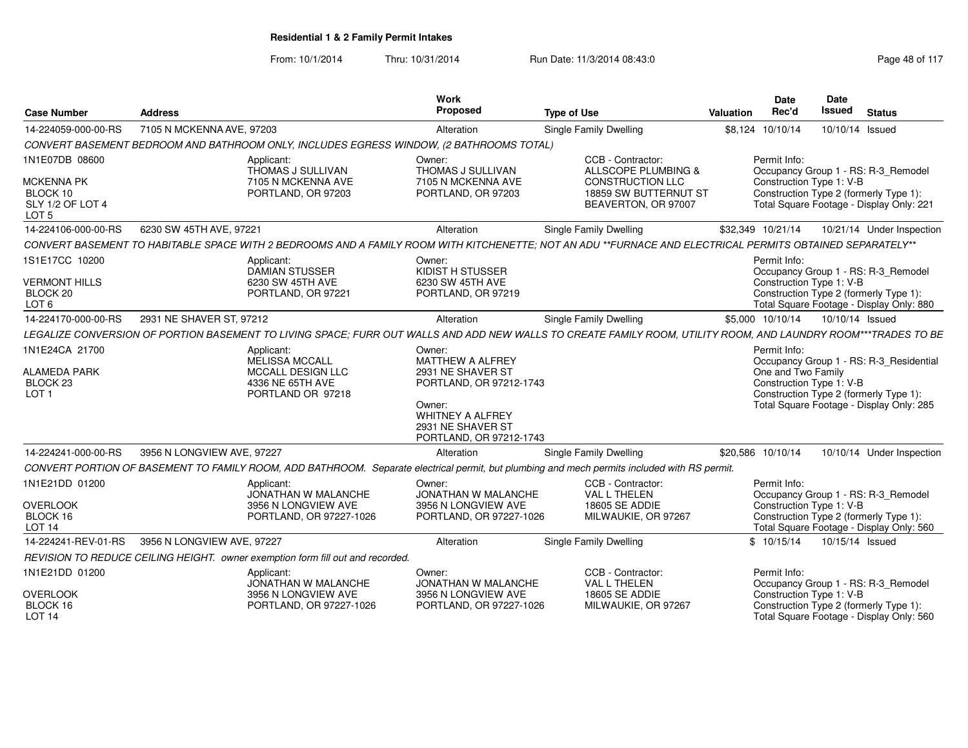| <b>Case Number</b>                                                    | <b>Address</b>                                                                                                                                                 | Work<br>Proposed                                                                  | <b>Type of Use</b>                                                      | <b>Valuation</b> | Date<br>Rec'd                                  | Date<br><b>Issued</b> | <b>Status</b>                                                                      |
|-----------------------------------------------------------------------|----------------------------------------------------------------------------------------------------------------------------------------------------------------|-----------------------------------------------------------------------------------|-------------------------------------------------------------------------|------------------|------------------------------------------------|-----------------------|------------------------------------------------------------------------------------|
| 14-224059-000-00-RS                                                   | 7105 N MCKENNA AVE, 97203                                                                                                                                      | Alteration                                                                        | <b>Single Family Dwelling</b>                                           |                  | \$8,124 10/10/14                               | 10/10/14 Issued       |                                                                                    |
|                                                                       | CONVERT BASEMENT BEDROOM AND BATHROOM ONLY, INCLUDES EGRESS WINDOW, (2 BATHROOMS TOTAL)                                                                        |                                                                                   |                                                                         |                  |                                                |                       |                                                                                    |
| 1N1E07DB 08600                                                        | Applicant:<br>THOMAS J SULLIVAN                                                                                                                                | Owner:<br>THOMAS J SULLIVAN                                                       | CCB - Contractor:<br>ALLSCOPE PLUMBING &                                |                  | Permit Info:                                   |                       | Occupancy Group 1 - RS: R-3_Remodel                                                |
| <b>MCKENNA PK</b><br>BLOCK 10<br>SLY 1/2 OF LOT 4<br>LOT <sub>5</sub> | 7105 N MCKENNA AVE<br>PORTLAND, OR 97203                                                                                                                       | 7105 N MCKENNA AVE<br>PORTLAND, OR 97203                                          | <b>CONSTRUCTION LLC</b><br>18859 SW BUTTERNUT ST<br>BEAVERTON, OR 97007 |                  | Construction Type 1: V-B                       |                       | Construction Type 2 (formerly Type 1):<br>Total Square Footage - Display Only: 221 |
| 14-224106-000-00-RS                                                   | 6230 SW 45TH AVE, 97221                                                                                                                                        | Alteration                                                                        | Single Family Dwelling                                                  |                  | \$32,349 10/21/14                              |                       | 10/21/14 Under Inspection                                                          |
|                                                                       | CONVERT BASEMENT TO HABITABLE SPACE WITH 2 BEDROOMS AND A FAMILY ROOM WITH KITCHENETTE: NOT AN ADU **FURNACE AND ELECTRICAL PERMITS OBTAINED SEPARATELY**      |                                                                                   |                                                                         |                  |                                                |                       |                                                                                    |
| 1S1E17CC 10200                                                        | Applicant:<br><b>DAMIAN STUSSER</b>                                                                                                                            | Owner:<br>KIDIST H STUSSER                                                        |                                                                         |                  | Permit Info:                                   |                       | Occupancy Group 1 - RS: R-3_Remodel                                                |
| <b>VERMONT HILLS</b><br>BLOCK 20<br>LOT <sub>6</sub>                  | 6230 SW 45TH AVE<br>PORTLAND, OR 97221                                                                                                                         | 6230 SW 45TH AVE<br>PORTLAND, OR 97219                                            |                                                                         |                  | Construction Type 1: V-B                       |                       | Construction Type 2 (formerly Type 1):<br>Total Square Footage - Display Only: 880 |
| 14-224170-000-00-RS                                                   | 2931 NE SHAVER ST, 97212                                                                                                                                       | Alteration                                                                        | Single Family Dwelling                                                  |                  | \$5,000 10/10/14                               | 10/10/14 Issued       |                                                                                    |
|                                                                       | LEGALIZE CONVERSION OF PORTION BASEMENT TO LIVING SPACE; FURR OUT WALLS AND ADD NEW WALLS TO CREATE FAMILY ROOM, UTILITY ROOM, AND LAUNDRY ROOM***TRADES TO BE |                                                                                   |                                                                         |                  |                                                |                       |                                                                                    |
| 1N1E24CA 21700                                                        | Applicant:<br>MELISSA MCCALL                                                                                                                                   | Owner:<br><b>MATTHEW A ALFREY</b>                                                 |                                                                         |                  | Permit Info:                                   |                       | Occupancy Group 1 - RS: R-3_Residential                                            |
| <b>ALAMEDA PARK</b><br>BLOCK <sub>23</sub><br>LOT <sub>1</sub>        | MCCALL DESIGN LLC<br>4336 NE 65TH AVE<br>PORTLAND OR 97218                                                                                                     | 2931 NE SHAVER ST<br>PORTLAND, OR 97212-1743                                      |                                                                         |                  | One and Two Family<br>Construction Type 1: V-B |                       | Construction Type 2 (formerly Type 1):                                             |
|                                                                       |                                                                                                                                                                | Owner:<br><b>WHITNEY A ALFREY</b><br>2931 NE SHAVER ST<br>PORTLAND, OR 97212-1743 |                                                                         |                  |                                                |                       | Total Square Footage - Display Only: 285                                           |
| 14-224241-000-00-RS                                                   | 3956 N LONGVIEW AVE, 97227                                                                                                                                     | Alteration                                                                        | Single Family Dwelling                                                  |                  | \$20,586 10/10/14                              |                       | 10/10/14 Under Inspection                                                          |
|                                                                       | CONVERT PORTION OF BASEMENT TO FAMILY ROOM, ADD BATHROOM. Separate electrical permit, but plumbing and mech permits included with RS permit.                   |                                                                                   |                                                                         |                  |                                                |                       |                                                                                    |
| 1N1E21DD 01200                                                        | Applicant:<br>JONATHAN W MALANCHE                                                                                                                              | Owner:<br>JONATHAN W MALANCHE                                                     | CCB - Contractor:<br>VAL L THELEN                                       |                  | Permit Info:                                   |                       | Occupancy Group 1 - RS: R-3_Remodel                                                |
| <b>OVERLOOK</b><br>BLOCK 16<br><b>LOT 14</b>                          | 3956 N LONGVIEW AVE<br>PORTLAND, OR 97227-1026                                                                                                                 | 3956 N LONGVIEW AVE<br>PORTLAND, OR 97227-1026                                    | 18605 SE ADDIE<br>MILWAUKIE, OR 97267                                   |                  | Construction Type 1: V-B                       |                       | Construction Type 2 (formerly Type 1):<br>Total Square Footage - Display Only: 560 |
| 14-224241-REV-01-RS                                                   | 3956 N LONGVIEW AVE, 97227                                                                                                                                     | Alteration                                                                        | <b>Single Family Dwelling</b>                                           |                  | \$10/15/14                                     | 10/15/14 Issued       |                                                                                    |
|                                                                       | REVISION TO REDUCE CEILING HEIGHT. owner exemption form fill out and recorded.                                                                                 |                                                                                   |                                                                         |                  |                                                |                       |                                                                                    |
| 1N1E21DD 01200                                                        | Applicant:<br>JONATHAN W MALANCHE                                                                                                                              | Owner:<br>JONATHAN W MALANCHE                                                     | CCB - Contractor:<br>VAL L THELEN                                       |                  | Permit Info:                                   |                       | Occupancy Group 1 - RS: R-3_Remodel                                                |
| <b>OVERLOOK</b><br>BLOCK 16<br><b>LOT 14</b>                          | 3956 N LONGVIEW AVE<br>PORTLAND, OR 97227-1026                                                                                                                 | 3956 N LONGVIEW AVE<br>PORTLAND, OR 97227-1026                                    | <b>18605 SE ADDIE</b><br>MILWAUKIE, OR 97267                            |                  | Construction Type 1: V-B                       |                       | Construction Type 2 (formerly Type 1):<br>Total Square Footage - Display Only: 560 |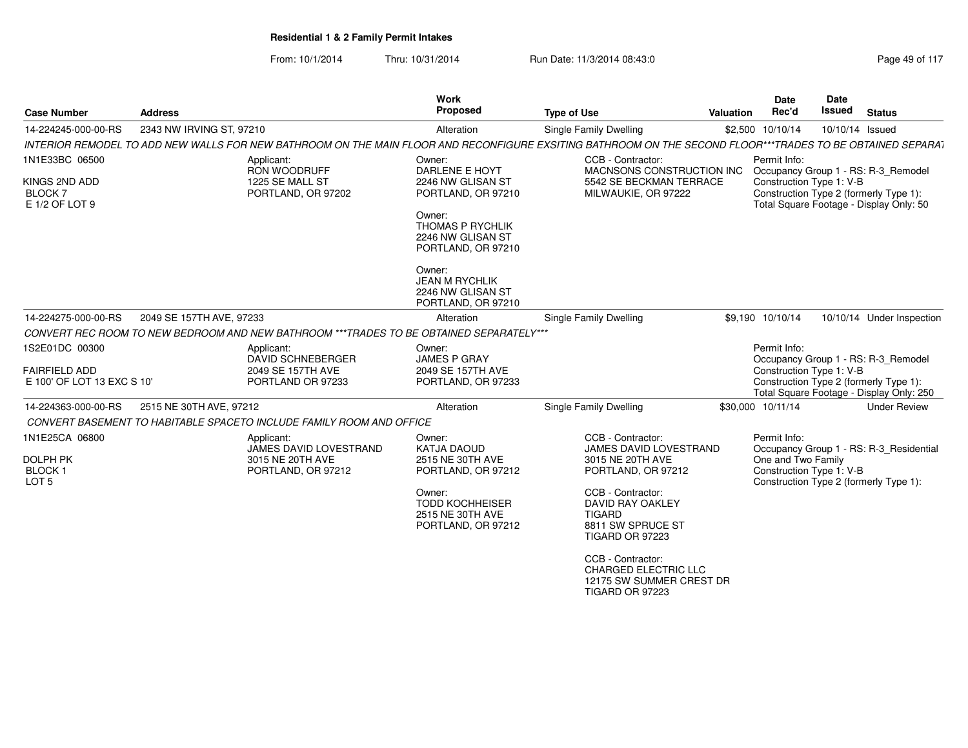| <b>Case Number</b>                                                     | <b>Address</b>           |                                                                                         | <b>Work</b><br><b>Proposed</b>                                                                                                                                                                              | <b>Type of Use</b>                                                                                                                                                                                                                                                                    | Valuation | Date<br>Rec'd                                                  | <b>Date</b><br><b>Issued</b> | <b>Status</b>                                                                                                             |
|------------------------------------------------------------------------|--------------------------|-----------------------------------------------------------------------------------------|-------------------------------------------------------------------------------------------------------------------------------------------------------------------------------------------------------------|---------------------------------------------------------------------------------------------------------------------------------------------------------------------------------------------------------------------------------------------------------------------------------------|-----------|----------------------------------------------------------------|------------------------------|---------------------------------------------------------------------------------------------------------------------------|
| 14-224245-000-00-RS                                                    | 2343 NW IRVING ST, 97210 |                                                                                         | Alteration                                                                                                                                                                                                  | Single Family Dwelling                                                                                                                                                                                                                                                                |           | \$2,500 10/10/14                                               | 10/10/14 Issued              |                                                                                                                           |
|                                                                        |                          |                                                                                         |                                                                                                                                                                                                             | INTERIOR REMODEL TO ADD NEW WALLS FOR NEW BATHROOM ON THE MAIN FLOOR AND RECONFIGURE EXSITING BATHROOM ON THE SECOND FLOOR***TRADES TO BE OBTAINED SEPARAT                                                                                                                            |           |                                                                |                              |                                                                                                                           |
| 1N1E33BC 06500<br>KINGS 2ND ADD<br><b>BLOCK 7</b><br>E 1/2 OF LOT 9    |                          | Applicant:<br>RON WOODRUFF<br>1225 SE MALL ST<br>PORTLAND, OR 97202                     | Owner:<br>DARLENE E HOYT<br>2246 NW GLISAN ST<br>PORTLAND, OR 97210<br>Owner:<br><b>THOMAS P RYCHLIK</b><br>2246 NW GLISAN ST<br>PORTLAND, OR 97210<br>Owner:<br><b>JEAN M RYCHLIK</b><br>2246 NW GLISAN ST | CCB - Contractor:<br>MACNSONS CONSTRUCTION INC<br>5542 SE BECKMAN TERRACE<br>MILWAUKIE, OR 97222                                                                                                                                                                                      |           | Permit Info:<br>Construction Type 1: V-B                       |                              | Occupancy Group 1 - RS: R-3_Remodel<br>Construction Type 2 (formerly Type 1):<br>Total Square Footage - Display Only: 50  |
| 14-224275-000-00-RS                                                    | 2049 SE 157TH AVE, 97233 |                                                                                         | PORTLAND, OR 97210<br>Alteration                                                                                                                                                                            | Single Family Dwelling                                                                                                                                                                                                                                                                |           | \$9,190 10/10/14                                               |                              | 10/10/14 Under Inspection                                                                                                 |
|                                                                        |                          | CONVERT REC ROOM TO NEW BEDROOM AND NEW BATHROOM ***TRADES TO BE OBTAINED SEPARATELY*** |                                                                                                                                                                                                             |                                                                                                                                                                                                                                                                                       |           |                                                                |                              |                                                                                                                           |
| 1S2E01DC 00300                                                         |                          | Applicant:                                                                              | Owner:                                                                                                                                                                                                      |                                                                                                                                                                                                                                                                                       |           | Permit Info:                                                   |                              |                                                                                                                           |
| <b>FAIRFIELD ADD</b><br>E 100' OF LOT 13 EXC S 10'                     |                          | DAVID SCHNEBERGER<br>2049 SE 157TH AVE<br>PORTLAND OR 97233                             | JAMES P GRAY<br>2049 SE 157TH AVE<br>PORTLAND, OR 97233                                                                                                                                                     |                                                                                                                                                                                                                                                                                       |           | Construction Type 1: V-B                                       |                              | Occupancy Group 1 - RS: R-3_Remodel<br>Construction Type 2 (formerly Type 1):<br>Total Square Footage - Display Only: 250 |
| 14-224363-000-00-RS                                                    | 2515 NE 30TH AVE, 97212  |                                                                                         | Alteration                                                                                                                                                                                                  | <b>Single Family Dwelling</b>                                                                                                                                                                                                                                                         |           | \$30,000 10/11/14                                              |                              | <b>Under Review</b>                                                                                                       |
|                                                                        |                          | CONVERT BASEMENT TO HABITABLE SPACETO INCLUDE FAMILY ROOM AND OFFICE                    |                                                                                                                                                                                                             |                                                                                                                                                                                                                                                                                       |           |                                                                |                              |                                                                                                                           |
| 1N1E25CA 06800<br><b>DOLPH PK</b><br><b>BLOCK1</b><br>LOT <sub>5</sub> |                          | Applicant:<br>JAMES DAVID LOVESTRAND<br>3015 NE 20TH AVE<br>PORTLAND, OR 97212          | Owner:<br><b>KATJA DAOUD</b><br>2515 NE 30TH AVE<br>PORTLAND, OR 97212<br>Owner:<br><b>TODD KOCHHEISER</b><br>2515 NE 30TH AVE<br>PORTLAND, OR 97212                                                        | CCB - Contractor:<br>JAMES DAVID LOVESTRAND<br>3015 NE 20TH AVE<br>PORTLAND, OR 97212<br>CCB - Contractor:<br><b>DAVID RAY OAKLEY</b><br><b>TIGARD</b><br>8811 SW SPRUCE ST<br><b>TIGARD OR 97223</b><br>CCB - Contractor:<br><b>CHARGED ELECTRIC LLC</b><br>12175 SW SUMMER CREST DR |           | Permit Info:<br>One and Two Family<br>Construction Type 1: V-B |                              | Occupancy Group 1 - RS: R-3_Residential<br>Construction Type 2 (formerly Type 1):                                         |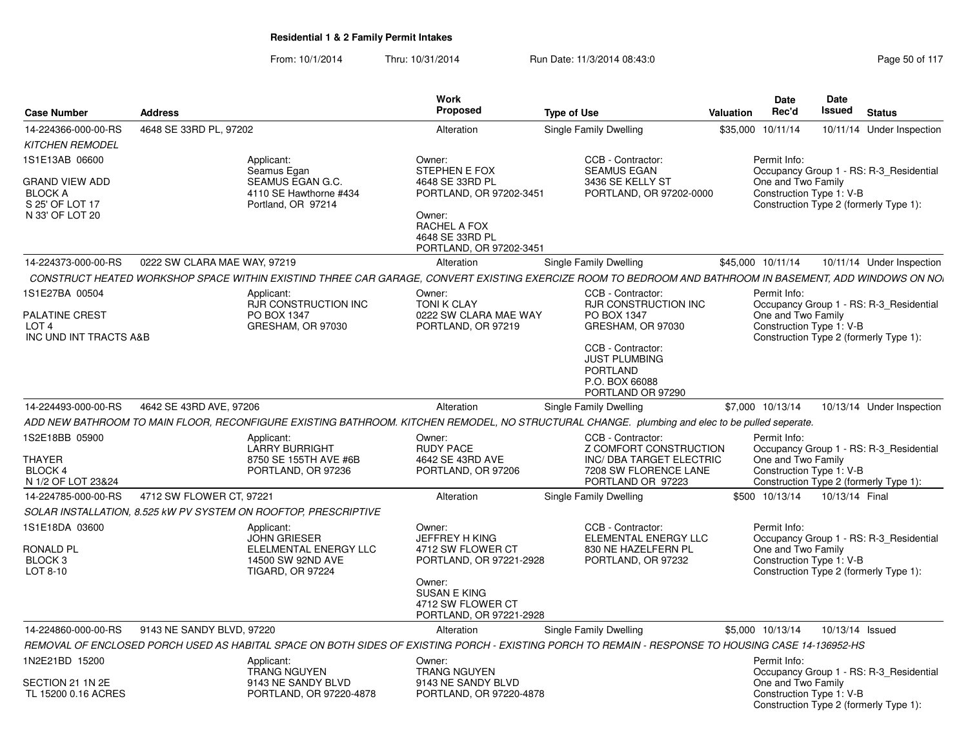| <b>Case Number</b>                                                                    | <b>Address</b>               |                                                                                                            | Work<br>Proposed                                                                                                                                                 | <b>Type of Use</b>                                                                                                                                              | <b>Valuation</b> | <b>Date</b><br>Rec'd                                           | Date<br>Issued | <b>Status</b>                                                                     |
|---------------------------------------------------------------------------------------|------------------------------|------------------------------------------------------------------------------------------------------------|------------------------------------------------------------------------------------------------------------------------------------------------------------------|-----------------------------------------------------------------------------------------------------------------------------------------------------------------|------------------|----------------------------------------------------------------|----------------|-----------------------------------------------------------------------------------|
| 14-224366-000-00-RS                                                                   | 4648 SE 33RD PL, 97202       |                                                                                                            | Alteration                                                                                                                                                       | Single Family Dwelling                                                                                                                                          | \$35,000         | 10/11/14                                                       |                | 10/11/14 Under Inspection                                                         |
| <b>KITCHEN REMODEL</b>                                                                |                              |                                                                                                            |                                                                                                                                                                  |                                                                                                                                                                 |                  |                                                                |                |                                                                                   |
| 1S1E13AB 06600                                                                        |                              | Applicant:                                                                                                 | Owner:                                                                                                                                                           | CCB - Contractor:                                                                                                                                               |                  | Permit Info:                                                   |                |                                                                                   |
| <b>GRAND VIEW ADD</b><br><b>BLOCK A</b><br>S 25' OF LOT 17<br>N 33' OF LOT 20         |                              | Seamus Egan<br>SEAMUS EGAN G.C.<br>4110 SE Hawthorne #434<br>Portland, OR 97214                            | STEPHEN E FOX<br>4648 SE 33RD PL<br>PORTLAND, OR 97202-3451<br>Owner:<br>RACHEL A FOX<br>4648 SE 33RD PL<br>PORTLAND, OR 97202-3451                              | <b>SEAMUS EGAN</b><br>3436 SE KELLY ST<br>PORTLAND, OR 97202-0000                                                                                               |                  | One and Two Family<br>Construction Type 1: V-B                 |                | Occupancy Group 1 - RS: R-3 Residential<br>Construction Type 2 (formerly Type 1): |
| 14-224373-000-00-RS                                                                   | 0222 SW CLARA MAE WAY, 97219 |                                                                                                            | Alteration                                                                                                                                                       | Single Family Dwelling                                                                                                                                          |                  | \$45,000 10/11/14                                              |                | 10/11/14 Under Inspection                                                         |
|                                                                                       |                              |                                                                                                            |                                                                                                                                                                  | CONSTRUCT HEATED WORKSHOP SPACE WITHIN EXISTIND THREE CAR GARAGE. CONVERT EXISTING EXERCIZE ROOM TO BEDROOM AND BATHROOM IN BASEMENT. ADD WINDOWS ON NO         |                  |                                                                |                |                                                                                   |
| 1S1E27BA 00504<br><b>PALATINE CREST</b><br>LOT <sub>4</sub><br>INC UND INT TRACTS A&B |                              | Applicant:<br><b>RJR CONSTRUCTION INC</b><br>PO BOX 1347<br>GRESHAM, OR 97030                              | Owner:<br><b>TONI K CLAY</b><br>0222 SW CLARA MAE WAY<br>PORTLAND, OR 97219                                                                                      | CCB - Contractor:<br><b>RJR CONSTRUCTION INC</b><br>PO BOX 1347<br>GRESHAM, OR 97030<br>CCB - Contractor:<br><b>JUST PLUMBING</b><br>PORTLAND<br>P.O. BOX 66088 |                  | Permit Info:<br>One and Two Family<br>Construction Type 1: V-B |                | Occupancy Group 1 - RS: R-3 Residential<br>Construction Type 2 (formerly Type 1): |
|                                                                                       |                              |                                                                                                            |                                                                                                                                                                  | PORTLAND OR 97290                                                                                                                                               |                  |                                                                |                |                                                                                   |
| 14-224493-000-00-RS                                                                   | 4642 SE 43RD AVE, 97206      |                                                                                                            | Alteration                                                                                                                                                       | Single Family Dwelling                                                                                                                                          |                  | \$7,000 10/13/14                                               |                | 10/13/14 Under Inspection                                                         |
|                                                                                       |                              |                                                                                                            |                                                                                                                                                                  | ADD NEW BATHROOM TO MAIN FLOOR, RECONFIGURE EXISTING BATHROOM. KITCHEN REMODEL, NO STRUCTURAL CHANGE. plumbing and elec to be pulled seperate.                  |                  |                                                                |                |                                                                                   |
| 1S2E18BB 05900<br>THAYER<br><b>BLOCK 4</b><br>N 1/2 OF LOT 23&24                      |                              | Applicant:<br><b>LARRY BURRIGHT</b><br>8750 SE 155TH AVE #6B<br>PORTLAND, OR 97236                         | Owner:<br><b>RUDY PACE</b><br>4642 SE 43RD AVE<br>PORTLAND, OR 97206                                                                                             | CCB - Contractor:<br>Z COMFORT CONSTRUCTION<br>INC/ DBA TARGET ELECTRIC<br>7208 SW FLORENCE LANE<br>PORTLAND OR 97223                                           |                  | Permit Info:<br>One and Two Family<br>Construction Type 1: V-B |                | Occupancy Group 1 - RS: R-3 Residential<br>Construction Type 2 (formerly Type 1): |
| 14-224785-000-00-RS                                                                   | 4712 SW FLOWER CT, 97221     |                                                                                                            | Alteration                                                                                                                                                       | Single Family Dwelling                                                                                                                                          |                  | \$500 10/13/14                                                 | 10/13/14 Final |                                                                                   |
|                                                                                       |                              | SOLAR INSTALLATION, 8.525 kW PV SYSTEM ON ROOFTOP, PRESCRIPTIVE                                            |                                                                                                                                                                  |                                                                                                                                                                 |                  |                                                                |                |                                                                                   |
| 1S1E18DA 03600<br><b>RONALD PL</b><br>BLOCK <sub>3</sub><br>LOT 8-10                  |                              | Applicant:<br><b>JOHN GRIESER</b><br>ELELMENTAL ENERGY LLC<br>14500 SW 92ND AVE<br><b>TIGARD, OR 97224</b> | Owner:<br><b>JEFFREY H KING</b><br>4712 SW FLOWER CT<br>PORTLAND, OR 97221-2928<br>Owner:<br><b>SUSAN E KING</b><br>4712 SW FLOWER CT<br>PORTLAND, OR 97221-2928 | CCB - Contractor:<br>ELEMENTAL ENERGY LLC<br>830 NE HAZELFERN PL<br>PORTLAND, OR 97232                                                                          |                  | Permit Info:<br>One and Two Family<br>Construction Type 1: V-B |                | Occupancy Group 1 - RS: R-3_Residential<br>Construction Type 2 (formerly Type 1): |
| 14-224860-000-00-RS                                                                   | 9143 NE SANDY BLVD, 97220    |                                                                                                            | Alteration                                                                                                                                                       | Single Family Dwelling                                                                                                                                          |                  | \$5,000 10/13/14                                               |                | 10/13/14 Issued                                                                   |
|                                                                                       |                              |                                                                                                            |                                                                                                                                                                  | REMOVAL OF ENCLOSED PORCH USED AS HABITAL SPACE ON BOTH SIDES OF EXISTING PORCH - EXISTING PORCH TO REMAIN - RESPONSE TO HOUSING CASE 14-136952-HS              |                  |                                                                |                |                                                                                   |
| 1N2E21BD 15200                                                                        |                              | Applicant:<br><b>TRANG NGUYEN</b>                                                                          | Owner:<br><b>TRANG NGUYEN</b>                                                                                                                                    |                                                                                                                                                                 |                  | Permit Info:                                                   |                | Occupancy Group 1 - RS: R-3_Residential                                           |
| SECTION 21 1N 2E<br>TL 15200 0.16 ACRES                                               |                              | 9143 NE SANDY BLVD<br>PORTLAND, OR 97220-4878                                                              | 9143 NE SANDY BLVD<br>PORTLAND, OR 97220-4878                                                                                                                    |                                                                                                                                                                 |                  | One and Two Family<br>Construction Type 1: V-B                 |                | Construction Type 2 (formerly Type 1):                                            |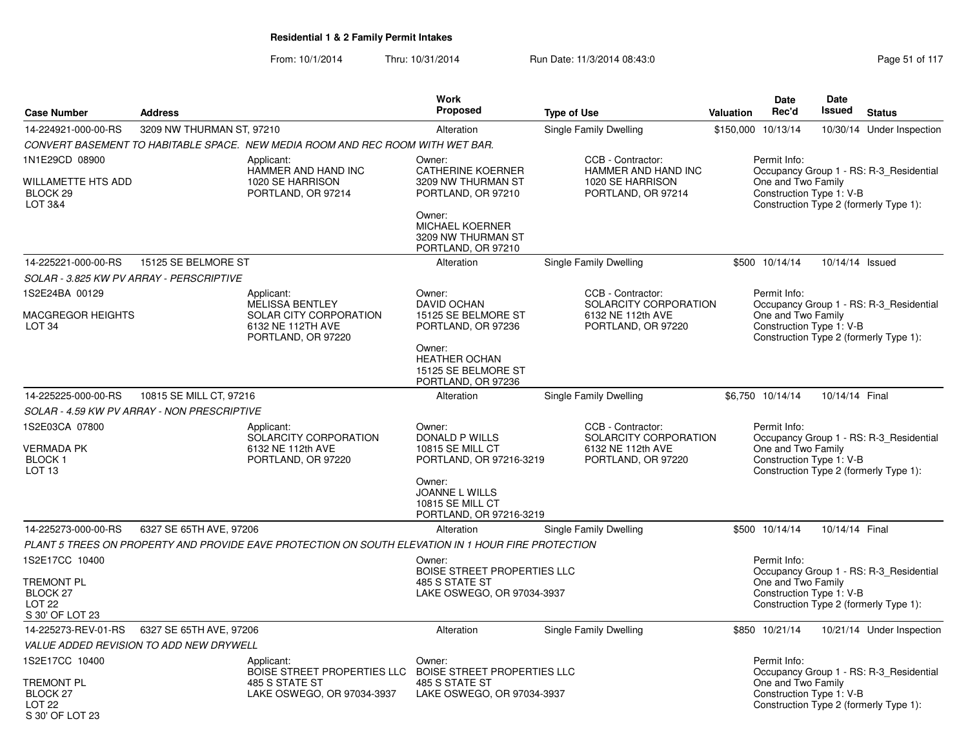|                                                                        |                                             |                                                                                                    | Work                                                                           |                                                                                    |           | <b>Date</b>                                                    | Date            |                                                                                   |
|------------------------------------------------------------------------|---------------------------------------------|----------------------------------------------------------------------------------------------------|--------------------------------------------------------------------------------|------------------------------------------------------------------------------------|-----------|----------------------------------------------------------------|-----------------|-----------------------------------------------------------------------------------|
| <b>Case Number</b>                                                     | <b>Address</b>                              |                                                                                                    | <b>Proposed</b>                                                                | <b>Type of Use</b>                                                                 | Valuation | Rec'd                                                          | Issued          | <b>Status</b>                                                                     |
| 14-224921-000-00-RS                                                    | 3209 NW THURMAN ST, 97210                   |                                                                                                    | Alteration                                                                     | Single Family Dwelling                                                             |           | \$150,000 10/13/14                                             |                 | 10/30/14 Under Inspection                                                         |
|                                                                        |                                             | CONVERT BASEMENT TO HABITABLE SPACE. NEW MEDIA ROOM AND REC ROOM WITH WET BAR.                     |                                                                                |                                                                                    |           |                                                                |                 |                                                                                   |
| 1N1E29CD 08900<br>WILLAMETTE HTS ADD<br>BLOCK <sub>29</sub><br>LOT 3&4 |                                             | Applicant:<br>HAMMER AND HAND INC<br>1020 SE HARRISON<br>PORTLAND, OR 97214                        | Owner:<br><b>CATHERINE KOERNER</b><br>3209 NW THURMAN ST<br>PORTLAND, OR 97210 | CCB - Contractor:<br>HAMMER AND HAND INC<br>1020 SE HARRISON<br>PORTLAND, OR 97214 |           | Permit Info:<br>One and Two Family<br>Construction Type 1: V-B |                 | Occupancy Group 1 - RS: R-3 Residential<br>Construction Type 2 (formerly Type 1): |
|                                                                        |                                             |                                                                                                    | Owner:<br><b>MICHAEL KOERNER</b><br>3209 NW THURMAN ST<br>PORTLAND, OR 97210   |                                                                                    |           |                                                                |                 |                                                                                   |
| 14-225221-000-00-RS                                                    | 15125 SE BELMORE ST                         |                                                                                                    | Alteration                                                                     | Single Family Dwelling                                                             |           | \$500 10/14/14                                                 | 10/14/14 Issued |                                                                                   |
|                                                                        | SOLAR - 3.825 KW PV ARRAY - PERSCRIPTIVE    |                                                                                                    |                                                                                |                                                                                    |           |                                                                |                 |                                                                                   |
| 1S2E24BA 00129                                                         |                                             | Applicant:<br><b>MELISSA BENTLEY</b>                                                               | Owner:<br><b>DAVID OCHAN</b>                                                   | CCB - Contractor:<br>SOLARCITY CORPORATION                                         |           | Permit Info:                                                   |                 | Occupancy Group 1 - RS: R-3_Residential                                           |
| <b>MACGREGOR HEIGHTS</b><br>LOT <sub>34</sub>                          |                                             | SOLAR CITY CORPORATION<br>6132 NE 112TH AVE<br>PORTLAND, OR 97220                                  | 15125 SE BELMORE ST<br>PORTLAND, OR 97236                                      | 6132 NE 112th AVE<br>PORTLAND, OR 97220                                            |           | One and Two Family<br>Construction Type 1: V-B                 |                 | Construction Type 2 (formerly Type 1):                                            |
|                                                                        |                                             |                                                                                                    | Owner:<br><b>HEATHER OCHAN</b><br>15125 SE BELMORE ST<br>PORTLAND, OR 97236    |                                                                                    |           |                                                                |                 |                                                                                   |
| 14-225225-000-00-RS                                                    | 10815 SE MILL CT, 97216                     |                                                                                                    | Alteration                                                                     | Single Family Dwelling                                                             |           | \$6,750 10/14/14                                               | 10/14/14 Final  |                                                                                   |
|                                                                        | SOLAR - 4.59 KW PV ARRAY - NON PRESCRIPTIVE |                                                                                                    |                                                                                |                                                                                    |           |                                                                |                 |                                                                                   |
| 1S2E03CA 07800<br><b>VERMADA PK</b>                                    |                                             | Applicant:<br>SOLARCITY CORPORATION<br>6132 NE 112th AVE                                           | Owner:<br>DONALD P WILLS<br><b>10815 SE MILL CT</b>                            | CCB - Contractor:<br>SOLARCITY CORPORATION<br>6132 NE 112th AVE                    |           | Permit Info:<br>One and Two Family                             |                 | Occupancy Group 1 - RS: R-3 Residential                                           |
| <b>BLOCK1</b><br>LOT <sub>13</sub>                                     |                                             | PORTLAND, OR 97220                                                                                 | PORTLAND, OR 97216-3219                                                        | PORTLAND, OR 97220                                                                 |           | Construction Type 1: V-B                                       |                 | Construction Type 2 (formerly Type 1):                                            |
|                                                                        |                                             |                                                                                                    | Owner:<br><b>JOANNE L WILLS</b><br>10815 SE MILL CT<br>PORTLAND, OR 97216-3219 |                                                                                    |           |                                                                |                 |                                                                                   |
| 14-225273-000-00-RS                                                    | 6327 SE 65TH AVE, 97206                     |                                                                                                    | Alteration                                                                     | <b>Single Family Dwelling</b>                                                      |           | \$500 10/14/14                                                 | 10/14/14 Final  |                                                                                   |
|                                                                        |                                             | PLANT 5 TREES ON PROPERTY AND PROVIDE EAVE PROTECTION ON SOUTH ELEVATION IN 1 HOUR FIRE PROTECTION |                                                                                |                                                                                    |           |                                                                |                 |                                                                                   |
| 1S2E17CC 10400                                                         |                                             |                                                                                                    | Owner:                                                                         |                                                                                    |           | Permit Info:                                                   |                 |                                                                                   |
|                                                                        |                                             |                                                                                                    | BOISE STREET PROPERTIES LLC                                                    |                                                                                    |           |                                                                |                 | Occupancy Group 1 - RS: R-3_Residential                                           |
| TREMONT PL<br>BLOCK <sub>27</sub>                                      |                                             |                                                                                                    | 485 S STATE ST<br>LAKE OSWEGO, OR 97034-3937                                   |                                                                                    |           | One and Two Family<br>Construction Type 1: V-B                 |                 |                                                                                   |
| LOT <sub>22</sub>                                                      |                                             |                                                                                                    |                                                                                |                                                                                    |           |                                                                |                 | Construction Type 2 (formerly Type 1):                                            |
| S 30' OF LOT 23                                                        |                                             |                                                                                                    |                                                                                |                                                                                    |           |                                                                |                 |                                                                                   |
| 14-225273-REV-01-RS                                                    | 6327 SE 65TH AVE, 97206                     |                                                                                                    | Alteration                                                                     | <b>Single Family Dwelling</b>                                                      |           | \$850 10/21/14                                                 |                 | 10/21/14 Under Inspection                                                         |
|                                                                        | VALUE ADDED REVISION TO ADD NEW DRYWELL     |                                                                                                    |                                                                                |                                                                                    |           |                                                                |                 |                                                                                   |
| 1S2E17CC 10400                                                         |                                             | Applicant:                                                                                         | Owner:                                                                         |                                                                                    |           | Permit Info:                                                   |                 |                                                                                   |
| TREMONT PL<br>BLOCK 27<br><b>LOT 22</b><br>S 30' OF LOT 23             |                                             | <b>BOISE STREET PROPERTIES LLC</b><br>485 S STATE ST<br>LAKE OSWEGO, OR 97034-3937                 | BOISE STREET PROPERTIES LLC<br>485 S STATE ST<br>LAKE OSWEGO, OR 97034-3937    |                                                                                    |           | One and Two Family<br>Construction Type 1: V-B                 |                 | Occupancy Group 1 - RS: R-3_Residential<br>Construction Type 2 (formerly Type 1): |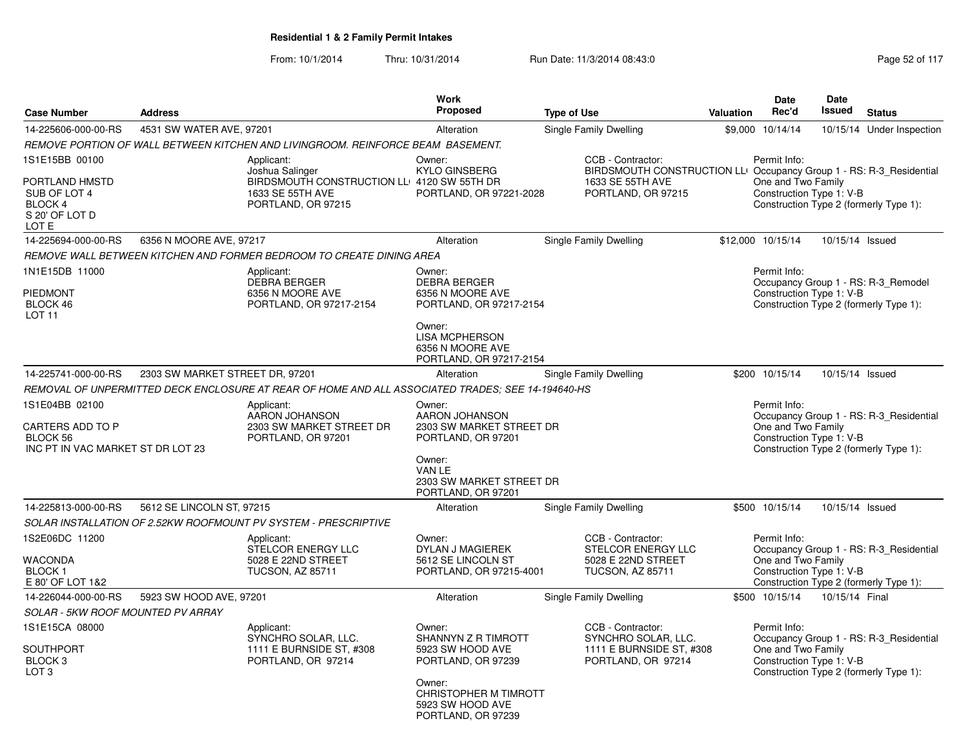| <b>Case Number</b>                                                   | <b>Address</b>                  |                                                                                                   | <b>Work</b><br><b>Proposed</b>                                                 | <b>Type of Use</b>                                                                       | <b>Valuation</b> | <b>Date</b><br>Rec'd                           | Date<br>Issued  | <b>Status</b>                           |
|----------------------------------------------------------------------|---------------------------------|---------------------------------------------------------------------------------------------------|--------------------------------------------------------------------------------|------------------------------------------------------------------------------------------|------------------|------------------------------------------------|-----------------|-----------------------------------------|
| 14-225606-000-00-RS                                                  | 4531 SW WATER AVE, 97201        |                                                                                                   | Alteration                                                                     | Single Family Dwelling                                                                   | \$9,000          | 10/14/14                                       | 10/15/14        | Under Inspection                        |
|                                                                      |                                 | REMOVE PORTION OF WALL BETWEEN KITCHEN AND LIVINGROOM. REINFORCE BEAM BASEMENT.                   |                                                                                |                                                                                          |                  |                                                |                 |                                         |
| 1S1E15BB 00100                                                       |                                 | Applicant:<br>Joshua Salinger                                                                     | Owner:<br><b>KYLO GINSBERG</b>                                                 | CCB - Contractor:<br>BIRDSMOUTH CONSTRUCTION LLI Occupancy Group 1 - RS: R-3_Residential |                  | Permit Info:                                   |                 |                                         |
| PORTLAND HMSTD<br>SUB OF LOT 4<br>BLOCK 4<br>S 20' OF LOT D<br>LOT E |                                 | BIRDSMOUTH CONSTRUCTION LL 4120 SW 55TH DR<br>1633 SE 55TH AVE<br>PORTLAND, OR 97215              | PORTLAND, OR 97221-2028                                                        | 1633 SE 55TH AVE<br>PORTLAND, OR 97215                                                   |                  | One and Two Family<br>Construction Type 1: V-B |                 | Construction Type 2 (formerly Type 1):  |
| 14-225694-000-00-RS                                                  | 6356 N MOORE AVE, 97217         |                                                                                                   | Alteration                                                                     | Single Family Dwelling                                                                   |                  | \$12,000 10/15/14                              | 10/15/14 Issued |                                         |
|                                                                      |                                 | REMOVE WALL BETWEEN KITCHEN AND FORMER BEDROOM TO CREATE DINING AREA                              |                                                                                |                                                                                          |                  |                                                |                 |                                         |
| 1N1E15DB 11000                                                       |                                 | Applicant:<br>DEBRA BERGER                                                                        | Owner:<br><b>DEBRA BERGER</b>                                                  |                                                                                          |                  | Permit Info:                                   |                 | Occupancy Group 1 - RS: R-3_Remodel     |
| <b>PIEDMONT</b><br>BLOCK 46<br>LOT <sub>11</sub>                     |                                 | 6356 N MOORE AVE<br>PORTLAND, OR 97217-2154                                                       | 6356 N MOORE AVE<br>PORTLAND, OR 97217-2154                                    |                                                                                          |                  | Construction Type 1: V-B                       |                 | Construction Type 2 (formerly Type 1):  |
|                                                                      |                                 |                                                                                                   | Owner:<br><b>LISA MCPHERSON</b><br>6356 N MOORE AVE<br>PORTLAND, OR 97217-2154 |                                                                                          |                  |                                                |                 |                                         |
| 14-225741-000-00-RS                                                  | 2303 SW MARKET STREET DR, 97201 |                                                                                                   | Alteration                                                                     | Single Family Dwelling                                                                   |                  | \$200 10/15/14                                 | 10/15/14 Issued |                                         |
|                                                                      |                                 | REMOVAL OF UNPERMITTED DECK ENCLOSURE AT REAR OF HOME AND ALL ASSOCIATED TRADES: SEE 14-194640-HS |                                                                                |                                                                                          |                  |                                                |                 |                                         |
| 1S1E04BB 02100                                                       |                                 | Applicant:<br>AARON JOHANSON                                                                      | Owner:<br>AARON JOHANSON                                                       |                                                                                          |                  | Permit Info:                                   |                 | Occupancy Group 1 - RS: R-3 Residential |
| CARTERS ADD TO P<br>BLOCK 56<br>INC PT IN VAC MARKET ST DR LOT 23    |                                 | 2303 SW MARKET STREET DR<br>PORTLAND, OR 97201                                                    | 2303 SW MARKET STREET DR<br>PORTLAND, OR 97201                                 |                                                                                          |                  | One and Two Family<br>Construction Type 1: V-B |                 | Construction Type 2 (formerly Type 1):  |
|                                                                      |                                 |                                                                                                   | Owner:<br>VAN LE<br>2303 SW MARKET STREET DR<br>PORTLAND, OR 97201             |                                                                                          |                  |                                                |                 |                                         |
| 14-225813-000-00-RS                                                  | 5612 SE LINCOLN ST, 97215       |                                                                                                   | Alteration                                                                     | Single Family Dwelling                                                                   |                  | \$500 10/15/14                                 | 10/15/14 Issued |                                         |
|                                                                      |                                 | SOLAR INSTALLATION OF 2.52KW ROOFMOUNT PV SYSTEM - PRESCRIPTIVE                                   |                                                                                |                                                                                          |                  |                                                |                 |                                         |
| 1S2E06DC 11200                                                       |                                 | Applicant:<br>STELCOR ENERGY LLC                                                                  | Owner:<br><b>DYLAN J MAGIEREK</b>                                              | CCB - Contractor:<br><b>STELCOR ENERGY LLC</b>                                           |                  | Permit Info:                                   |                 | Occupancy Group 1 - RS: R-3_Residential |
| <b>WACONDA</b><br><b>BLOCK1</b><br>E 80' OF LOT 1&2                  |                                 | 5028 E 22ND STREET<br><b>TUCSON, AZ 85711</b>                                                     | 5612 SE LINCOLN ST<br>PORTLAND, OR 97215-4001                                  | 5028 E 22ND STREET<br><b>TUCSON, AZ 85711</b>                                            |                  | One and Two Family<br>Construction Type 1: V-B |                 | Construction Type 2 (formerly Type 1):  |
| 14-226044-000-00-RS                                                  | 5923 SW HOOD AVE, 97201         |                                                                                                   | Alteration                                                                     | Single Family Dwelling                                                                   |                  | \$500 10/15/14                                 | 10/15/14 Final  |                                         |
| <b>SOLAR - 5KW ROOF MOUNTED PV ARRAY</b>                             |                                 |                                                                                                   |                                                                                |                                                                                          |                  |                                                |                 |                                         |
| 1S1E15CA 08000                                                       |                                 | Applicant:<br>SYNCHRO SOLAR, LLC.                                                                 | Owner:<br>SHANNYN Z R TIMROTT                                                  | CCB - Contractor:<br>SYNCHRO SOLAR, LLC.                                                 |                  | Permit Info:                                   |                 | Occupancy Group 1 - RS: R-3 Residential |
| <b>SOUTHPORT</b><br>BLOCK <sub>3</sub><br>LOT <sub>3</sub>           |                                 | 1111 E BURNSIDE ST, #308<br>PORTLAND, OR 97214                                                    | 5923 SW HOOD AVE<br>PORTLAND, OR 97239                                         | 1111 E BURNSIDE ST, #308<br>PORTLAND, OR 97214                                           |                  | One and Two Family<br>Construction Type 1: V-B |                 | Construction Type 2 (formerly Type 1):  |
|                                                                      |                                 |                                                                                                   | Owner:<br>CHRISTOPHER M TIMROTT<br>5923 SW HOOD AVE<br>PORTLAND, OR 97239      |                                                                                          |                  |                                                |                 |                                         |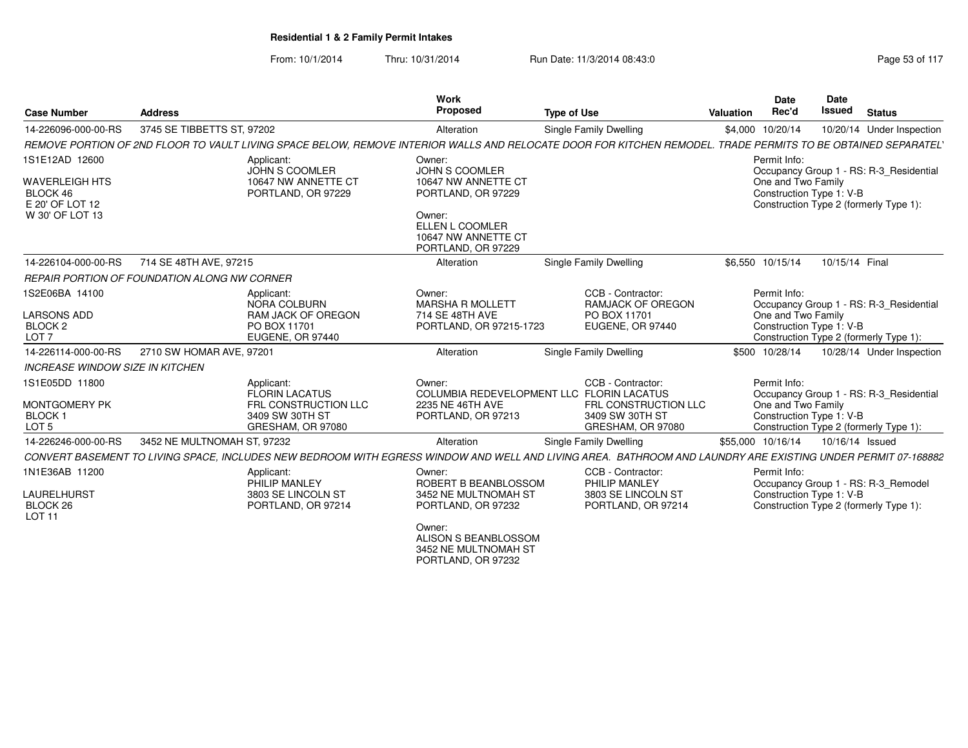From: 10/1/2014Thru: 10/31/2014 Run Date: 11/3/2014 08:43:0

| <b>Case Number</b>                                             | <b>Address</b>                                                                                                                                               | Work<br>Proposed                                                       | <b>Type of Use</b>                                             | <b>Date</b><br>Rec'd<br>Valuation  | <b>Date</b><br><b>Issued</b><br><b>Status</b>                      |
|----------------------------------------------------------------|--------------------------------------------------------------------------------------------------------------------------------------------------------------|------------------------------------------------------------------------|----------------------------------------------------------------|------------------------------------|--------------------------------------------------------------------|
| 14-226096-000-00-RS                                            | 3745 SE TIBBETTS ST. 97202                                                                                                                                   | Alteration                                                             | <b>Single Family Dwelling</b>                                  | \$4,000 10/20/14                   | 10/20/14 Under Inspection                                          |
|                                                                | REMOVE PORTION OF 2ND FLOOR TO VAULT LIVING SPACE BELOW, REMOVE INTERIOR WALLS AND RELOCATE DOOR FOR KITCHEN REMODEL. TRADE PERMITS TO BE OBTAINED SEPARATEL |                                                                        |                                                                |                                    |                                                                    |
| 1S1E12AD 12600<br><b>WAVERLEIGH HTS</b>                        | Applicant:<br><b>JOHN S COOMLER</b><br>10647 NW ANNETTE CT                                                                                                   | Owner:<br><b>JOHN S COOMLER</b><br>10647 NW ANNETTE CT                 |                                                                | Permit Info:<br>One and Two Family | Occupancy Group 1 - RS: R-3_Residential                            |
| BLOCK 46<br>E 20' OF LOT 12                                    | PORTLAND, OR 97229                                                                                                                                           | PORTLAND, OR 97229                                                     |                                                                |                                    | Construction Type 1: V-B<br>Construction Type 2 (formerly Type 1): |
| W 30' OF LOT 13                                                |                                                                                                                                                              | Owner:<br>ELLEN L COOMLER<br>10647 NW ANNETTE CT<br>PORTLAND, OR 97229 |                                                                |                                    |                                                                    |
| 14-226104-000-00-RS                                            | 714 SE 48TH AVE, 97215                                                                                                                                       | Alteration                                                             | <b>Single Family Dwelling</b>                                  | \$6,550 10/15/14                   | 10/15/14 Final                                                     |
|                                                                | <b>REPAIR PORTION OF FOUNDATION ALONG NW CORNER</b>                                                                                                          |                                                                        |                                                                |                                    |                                                                    |
| 1S2E06BA 14100                                                 | Applicant:<br>NORA COLBURN                                                                                                                                   | Owner:<br><b>MARSHA R MOLLETT</b>                                      | CCB - Contractor<br><b>RAMJACK OF OREGON</b>                   | Permit Info:                       | Occupancy Group 1 - RS: R-3_Residential                            |
| <b>LARSONS ADD</b><br>BLOCK <sub>2</sub><br>LOT <sub>7</sub>   | <b>RAM JACK OF OREGON</b><br>PO BOX 11701<br>EUGENE, OR 97440                                                                                                | 714 SE 48TH AVE<br>PORTLAND, OR 97215-1723                             | PO BOX 11701<br><b>EUGENE, OR 97440</b>                        | One and Two Family                 | Construction Type 1: V-B<br>Construction Type 2 (formerly Type 1): |
| 14-226114-000-00-RS                                            | 2710 SW HOMAR AVE, 97201                                                                                                                                     | Alteration                                                             | Single Family Dwelling                                         | \$500 10/28/14                     | 10/28/14 Under Inspection                                          |
| <b>INCREASE WINDOW SIZE IN KITCHEN</b>                         |                                                                                                                                                              |                                                                        |                                                                |                                    |                                                                    |
| 1S1E05DD 11800                                                 | Applicant:<br><b>FLORIN LACATUS</b>                                                                                                                          | Owner:                                                                 | CCB - Contractor:<br>COLUMBIA REDEVELOPMENT LLC FLORIN LACATUS | Permit Info:                       | Occupancy Group 1 - RS: R-3 Residential                            |
| <b>MONTGOMERY PK</b><br>BLOCK <sub>1</sub><br>LOT <sub>5</sub> | FRL CONSTRUCTION LLC<br>3409 SW 30TH ST<br>GRESHAM, OR 97080                                                                                                 | 2235 NE 46TH AVE<br>PORTLAND, OR 97213                                 | FRL CONSTRUCTION LLC<br>3409 SW 30TH ST<br>GRESHAM, OR 97080   | One and Two Family                 | Construction Type 1: V-B<br>Construction Type 2 (formerly Type 1): |
| 14-226246-000-00-RS                                            | 3452 NE MULTNOMAH ST, 97232                                                                                                                                  | Alteration                                                             | Single Family Dwelling                                         | \$55,000 10/16/14                  | 10/16/14 Issued                                                    |
|                                                                | CONVERT BASEMENT TO LIVING SPACE, INCLUDES NEW BEDROOM WITH EGRESS WINDOW AND WELL AND LIVING AREA. BATHROOM AND LAUNDRY ARE EXISTING UNDER PERMIT 07-168882 |                                                                        |                                                                |                                    |                                                                    |
| 1N1E36AB 11200                                                 | Applicant:<br>PHILIP MANLEY                                                                                                                                  | Owner:<br>ROBERT B BEANBLOSSOM                                         | CCB - Contractor:<br>PHILIP MANLEY                             | Permit Info:                       | Occupancy Group 1 - RS: R-3 Remodel                                |
| LAURELHURST<br>BLOCK 26<br><b>LOT 11</b>                       | 3803 SE LINCOLN ST<br>PORTLAND, OR 97214                                                                                                                     | 3452 NE MULTNOMAH ST<br>PORTLAND, OR 97232                             | 3803 SE LINCOLN ST<br>PORTLAND, OR 97214                       |                                    | Construction Type 1: V-B<br>Construction Type 2 (formerly Type 1): |
|                                                                |                                                                                                                                                              | Owner:<br>ALISON S BEANBLOSSOM                                         |                                                                |                                    |                                                                    |

3452 NE MULTNOMAH ST PORTLAND, OR 97232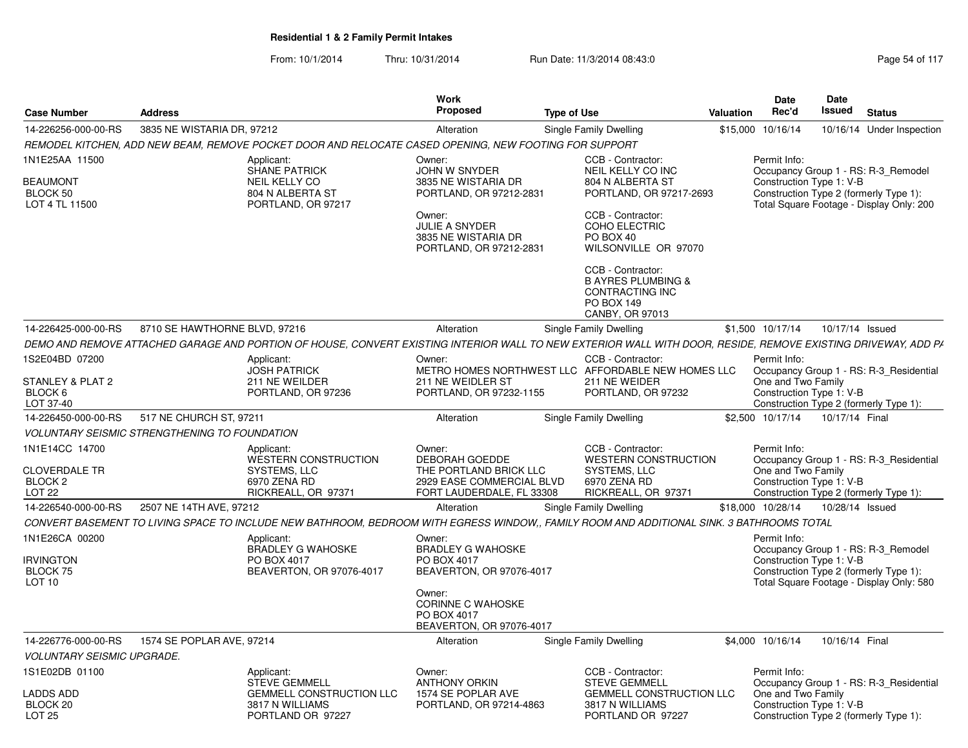| <b>Case Number</b>                                                 | <b>Address</b>                                       |                                                                                                                                                               | <b>Work</b><br><b>Proposed</b>                                                                                                                                        | <b>Type of Use</b> |                                                                                                                                                                                       | Valuation | <b>Date</b><br>Rec'd                                           | <b>Date</b><br>Issued | <b>Status</b>                                                                                                             |
|--------------------------------------------------------------------|------------------------------------------------------|---------------------------------------------------------------------------------------------------------------------------------------------------------------|-----------------------------------------------------------------------------------------------------------------------------------------------------------------------|--------------------|---------------------------------------------------------------------------------------------------------------------------------------------------------------------------------------|-----------|----------------------------------------------------------------|-----------------------|---------------------------------------------------------------------------------------------------------------------------|
| 14-226256-000-00-RS                                                | 3835 NE WISTARIA DR. 97212                           |                                                                                                                                                               | Alteration                                                                                                                                                            |                    | Single Family Dwelling                                                                                                                                                                |           | \$15,000 10/16/14                                              |                       | 10/16/14 Under Inspection                                                                                                 |
|                                                                    |                                                      | REMODEL KITCHEN. ADD NEW BEAM, REMOVE POCKET DOOR AND RELOCATE CASED OPENING. NEW FOOTING FOR SUPPORT                                                         |                                                                                                                                                                       |                    |                                                                                                                                                                                       |           |                                                                |                       |                                                                                                                           |
| 1N1E25AA 11500<br><b>BEAUMONT</b><br>BLOCK 50<br>LOT 4 TL 11500    |                                                      | Applicant:<br><b>SHANE PATRICK</b><br>NEIL KELLY CO<br>804 N ALBERTA ST<br>PORTLAND, OR 97217                                                                 | Owner:<br><b>JOHN W SNYDER</b><br>3835 NE WISTARIA DR<br>PORTLAND, OR 97212-2831<br>Owner:<br><b>JULIE A SNYDER</b><br>3835 NE WISTARIA DR<br>PORTLAND, OR 97212-2831 |                    | CCB - Contractor:<br>NEIL KELLY CO INC<br>804 N ALBERTA ST<br>PORTLAND, OR 97217-2693<br>CCB - Contractor:<br>COHO ELECTRIC<br>PO BOX 40<br>WILSONVILLE OR 97070<br>CCB - Contractor: |           | Permit Info:<br>Construction Type 1: V-B                       |                       | Occupancy Group 1 - RS: R-3_Remodel<br>Construction Type 2 (formerly Type 1):<br>Total Square Footage - Display Only: 200 |
|                                                                    |                                                      |                                                                                                                                                               |                                                                                                                                                                       |                    | <b>B AYRES PLUMBING &amp;</b><br>CONTRACTING INC<br>PO BOX 149<br>CANBY, OR 97013                                                                                                     |           |                                                                |                       |                                                                                                                           |
| 14-226425-000-00-RS                                                | 8710 SE HAWTHORNE BLVD, 97216                        |                                                                                                                                                               | Alteration                                                                                                                                                            |                    | Single Family Dwelling                                                                                                                                                                |           | \$1,500 10/17/14                                               | 10/17/14 Issued       |                                                                                                                           |
|                                                                    |                                                      | DEMO AND REMOVE ATTACHED GARAGE AND PORTION OF HOUSE. CONVERT EXISTING INTERIOR WALL TO NEW EXTERIOR WALL WITH DOOR. RESIDE. REMOVE EXISTING DRIVEWAY. ADD PA |                                                                                                                                                                       |                    |                                                                                                                                                                                       |           |                                                                |                       |                                                                                                                           |
| 1S2E04BD 07200                                                     |                                                      | Applicant:<br><b>JOSH PATRICK</b>                                                                                                                             | Owner:                                                                                                                                                                |                    | CCB - Contractor:<br>METRO HOMES NORTHWEST LLC AFFORDABLE NEW HOMES LLC                                                                                                               |           | Permit Info:                                                   |                       | Occupancy Group 1 - RS: R-3 Residential                                                                                   |
| STANLEY & PLAT 2<br>BLOCK 6<br>LOT 37-40                           |                                                      | 211 NE WEILDER<br>PORTLAND, OR 97236                                                                                                                          | 211 NE WEIDLER ST<br>PORTLAND, OR 97232-1155                                                                                                                          |                    | 211 NE WEIDER<br>PORTLAND, OR 97232                                                                                                                                                   |           | One and Two Family<br>Construction Type 1: V-B                 |                       | Construction Type 2 (formerly Type 1):                                                                                    |
| 14-226450-000-00-RS                                                | 517 NE CHURCH ST, 97211                              |                                                                                                                                                               | Alteration                                                                                                                                                            |                    | Single Family Dwelling                                                                                                                                                                |           | \$2,500 10/17/14                                               | 10/17/14 Final        |                                                                                                                           |
|                                                                    | <b>VOLUNTARY SEISMIC STRENGTHENING TO FOUNDATION</b> |                                                                                                                                                               |                                                                                                                                                                       |                    |                                                                                                                                                                                       |           |                                                                |                       |                                                                                                                           |
| 1N1E14CC 14700<br><b>CLOVERDALE TR</b><br>BLOCK 2<br><b>LOT 22</b> |                                                      | Applicant:<br><b>WESTERN CONSTRUCTION</b><br>SYSTEMS, LLC<br>6970 ZENA RD<br>RICKREALL, OR 97371                                                              | Owner:<br><b>DEBORAH GOEDDE</b><br>THE PORTLAND BRICK LLC<br>2929 EASE COMMERCIAL BLVD<br>FORT LAUDERDALE, FL 33308                                                   |                    | CCB - Contractor:<br><b>WESTERN CONSTRUCTION</b><br>SYSTEMS, LLC<br>6970 ZENA RD<br>RICKREALL, OR 97371                                                                               |           | Permit Info:<br>One and Two Family<br>Construction Type 1: V-B |                       | Occupancy Group 1 - RS: R-3_Residential<br>Construction Type 2 (formerly Type 1):                                         |
| 14-226540-000-00-RS                                                | 2507 NE 14TH AVE, 97212                              |                                                                                                                                                               | Alteration                                                                                                                                                            |                    | Single Family Dwelling                                                                                                                                                                |           | \$18,000 10/28/14                                              | 10/28/14 Issued       |                                                                                                                           |
|                                                                    |                                                      | CONVERT BASEMENT TO LIVING SPACE TO INCLUDE NEW BATHROOM, BEDROOM WITH EGRESS WINDOW., FAMILY ROOM AND ADDITIONAL SINK. 3 BATHROOMS TOTAL                     |                                                                                                                                                                       |                    |                                                                                                                                                                                       |           |                                                                |                       |                                                                                                                           |
| 1N1E26CA 00200<br><b>IRVINGTON</b><br>BLOCK 75<br><b>LOT 10</b>    |                                                      | Applicant:<br><b>BRADLEY G WAHOSKE</b><br>PO BOX 4017<br>BEAVERTON, OR 97076-4017                                                                             | Owner:<br><b>BRADLEY G WAHOSKE</b><br>PO BOX 4017<br>BEAVERTON, OR 97076-4017                                                                                         |                    |                                                                                                                                                                                       |           | Permit Info:<br>Construction Type 1: V-B                       |                       | Occupancy Group 1 - RS: R-3 Remodel<br>Construction Type 2 (formerly Type 1):<br>Total Square Footage - Display Only: 580 |
|                                                                    |                                                      |                                                                                                                                                               | Owner:<br><b>CORINNE C WAHOSKE</b><br>PO BOX 4017<br>BEAVERTON, OR 97076-4017                                                                                         |                    |                                                                                                                                                                                       |           |                                                                |                       |                                                                                                                           |
| 14-226776-000-00-RS                                                | 1574 SE POPLAR AVE, 97214                            |                                                                                                                                                               | Alteration                                                                                                                                                            |                    | Single Family Dwelling                                                                                                                                                                |           | \$4,000 10/16/14                                               | 10/16/14 Final        |                                                                                                                           |
| <b>VOLUNTARY SEISMIC UPGRADE.</b>                                  |                                                      |                                                                                                                                                               |                                                                                                                                                                       |                    |                                                                                                                                                                                       |           |                                                                |                       |                                                                                                                           |
| 1S1E02DB 01100<br><b>LADDS ADD</b>                                 |                                                      | Applicant:<br><b>STEVE GEMMELL</b><br><b>GEMMELL CONSTRUCTION LLC</b>                                                                                         | Owner:<br><b>ANTHONY ORKIN</b><br>1574 SE POPLAR AVE                                                                                                                  |                    | CCB - Contractor:<br><b>STEVE GEMMELL</b><br><b>GEMMELL CONSTRUCTION LLC</b>                                                                                                          |           | Permit Info:<br>One and Two Family                             |                       | Occupancy Group 1 - RS: R-3 Residential                                                                                   |
| BLOCK 20<br><b>LOT 25</b>                                          |                                                      | 3817 N WILLIAMS<br>PORTLAND OR 97227                                                                                                                          | PORTLAND, OR 97214-4863                                                                                                                                               |                    | 3817 N WILLIAMS<br>PORTLAND OR 97227                                                                                                                                                  |           | Construction Type 1: V-B                                       |                       | Construction Type 2 (formerly Type 1):                                                                                    |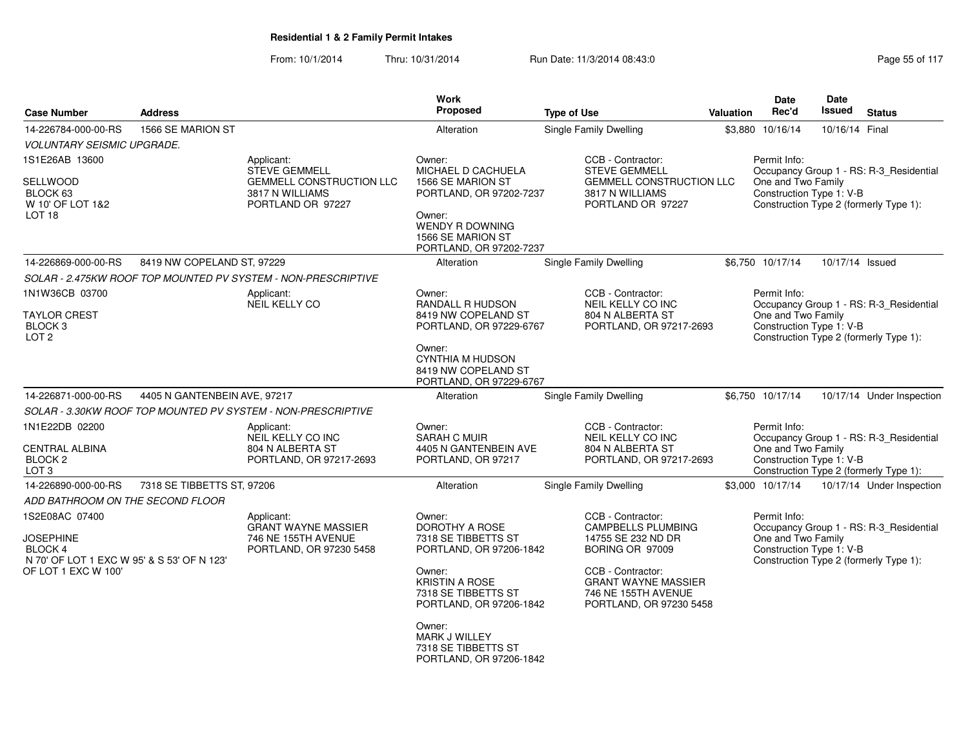| <b>Case Number</b>                                                               | <b>Address</b>               |                                                                         | Work<br><b>Proposed</b>                                                             | <b>Type of Use</b>                                                                                | <b>Valuation</b> | Date<br>Rec'd                                  | Date<br>Issued  | <b>Status</b>                           |
|----------------------------------------------------------------------------------|------------------------------|-------------------------------------------------------------------------|-------------------------------------------------------------------------------------|---------------------------------------------------------------------------------------------------|------------------|------------------------------------------------|-----------------|-----------------------------------------|
| 14-226784-000-00-RS                                                              | 1566 SE MARION ST            |                                                                         | Alteration                                                                          | Single Family Dwelling                                                                            | \$3,880          | 10/16/14                                       | 10/16/14 Final  |                                         |
| <i><b>VOLUNTARY SEISMIC UPGRADE.</b></i>                                         |                              |                                                                         |                                                                                     |                                                                                                   |                  |                                                |                 |                                         |
| 1S1E26AB 13600                                                                   |                              | Applicant:<br><b>STEVE GEMMELL</b>                                      | Owner:<br>MICHAEL D CACHUELA                                                        | CCB - Contractor:<br><b>STEVE GEMMELL</b>                                                         |                  | Permit Info:                                   |                 | Occupancy Group 1 - RS: R-3_Residential |
| SELLWOOD<br>BLOCK 63<br>W 10' OF LOT 1&2                                         |                              | <b>GEMMELL CONSTRUCTION LLC</b><br>3817 N WILLIAMS<br>PORTLAND OR 97227 | 1566 SE MARION ST<br>PORTLAND, OR 97202-7237                                        | <b>GEMMELL CONSTRUCTION LLC</b><br>3817 N WILLIAMS<br>PORTLAND OR 97227                           |                  | One and Two Family<br>Construction Type 1: V-B |                 | Construction Type 2 (formerly Type 1):  |
| LOT <sub>18</sub>                                                                |                              |                                                                         | Owner:<br><b>WENDY R DOWNING</b><br>1566 SE MARION ST<br>PORTLAND, OR 97202-7237    |                                                                                                   |                  |                                                |                 |                                         |
| 14-226869-000-00-RS                                                              | 8419 NW COPELAND ST, 97229   |                                                                         | Alteration                                                                          | Single Family Dwelling                                                                            |                  | \$6,750 10/17/14                               | 10/17/14 Issued |                                         |
|                                                                                  |                              | SOLAR - 2.475KW ROOF TOP MOUNTED PV SYSTEM - NON-PRESCRIPTIVE           |                                                                                     |                                                                                                   |                  |                                                |                 |                                         |
| 1N1W36CB 03700                                                                   |                              | Applicant:<br><b>NEIL KELLY CO</b>                                      | Owner:<br>RANDALL R HUDSON                                                          | CCB - Contractor:<br>NEIL KELLY CO INC                                                            |                  | Permit Info:                                   |                 | Occupancy Group 1 - RS: R-3_Residential |
| <b>TAYLOR CREST</b><br>BLOCK <sub>3</sub><br>LOT <sub>2</sub>                    |                              |                                                                         | 8419 NW COPELAND ST<br>PORTLAND, OR 97229-6767                                      | 804 N ALBERTA ST<br>PORTLAND, OR 97217-2693                                                       |                  | One and Two Family<br>Construction Type 1: V-B |                 | Construction Type 2 (formerly Type 1):  |
|                                                                                  |                              |                                                                         | Owner:<br><b>CYNTHIA M HUDSON</b><br>8419 NW COPELAND ST<br>PORTLAND, OR 97229-6767 |                                                                                                   |                  |                                                |                 |                                         |
| 14-226871-000-00-RS                                                              | 4405 N GANTENBEIN AVE, 97217 |                                                                         | Alteration                                                                          | Single Family Dwelling                                                                            |                  | \$6,750 10/17/14                               |                 | 10/17/14 Under Inspection               |
|                                                                                  |                              | SOLAR - 3.30KW ROOF TOP MOUNTED PV SYSTEM - NON-PRESCRIPTIVE            |                                                                                     |                                                                                                   |                  |                                                |                 |                                         |
| 1N1E22DB 02200                                                                   |                              | Applicant:<br>NEIL KELLY CO INC                                         | Owner:<br><b>SARAH C MUIR</b>                                                       | CCB - Contractor:<br>NEIL KELLY CO INC                                                            |                  | Permit Info:                                   |                 | Occupancy Group 1 - RS: R-3_Residential |
| CENTRAL ALBINA<br>BLOCK <sub>2</sub><br>LOT <sub>3</sub>                         |                              | 804 N ALBERTA ST<br>PORTLAND, OR 97217-2693                             | 4405 N GANTENBEIN AVE<br>PORTLAND, OR 97217                                         | 804 N ALBERTA ST<br>PORTLAND, OR 97217-2693                                                       |                  | One and Two Family<br>Construction Type 1: V-B |                 | Construction Type 2 (formerly Type 1):  |
| 14-226890-000-00-RS                                                              | 7318 SE TIBBETTS ST, 97206   |                                                                         | Alteration                                                                          | <b>Single Family Dwelling</b>                                                                     |                  | \$3,000 10/17/14                               |                 | 10/17/14 Under Inspection               |
| ADD BATHROOM ON THE SECOND FLOOR                                                 |                              |                                                                         |                                                                                     |                                                                                                   |                  |                                                |                 |                                         |
| 1S2E08AC 07400                                                                   |                              | Applicant:<br><b>GRANT WAYNE MASSIER</b>                                | Owner:<br><b>DOROTHY A ROSE</b>                                                     | CCB - Contractor:<br><b>CAMPBELLS PLUMBING</b>                                                    |                  | Permit Info:                                   |                 | Occupancy Group 1 - RS: R-3_Residential |
| <b>JOSEPHINE</b><br><b>BLOCK 4</b><br>N 70' OF LOT 1 EXC W 95' & S 53' OF N 123' |                              | 746 NE 155TH AVENUE<br>PORTLAND, OR 97230 5458                          | 7318 SE TIBBETTS ST<br>PORTLAND, OR 97206-1842                                      | 14755 SE 232 ND DR<br>BORING OR 97009                                                             |                  | One and Two Family<br>Construction Type 1: V-B |                 | Construction Type 2 (formerly Type 1):  |
| OF LOT 1 EXC W 100'                                                              |                              |                                                                         | Owner:<br><b>KRISTIN A ROSE</b><br>7318 SE TIBBETTS ST<br>PORTLAND, OR 97206-1842   | CCB - Contractor:<br><b>GRANT WAYNE MASSIER</b><br>746 NE 155TH AVENUE<br>PORTLAND, OR 97230 5458 |                  |                                                |                 |                                         |
|                                                                                  |                              |                                                                         | Owner:<br>MARK J WILLEY<br>7318 SE TIBBETTS ST<br>PORTLAND, OR 97206-1842           |                                                                                                   |                  |                                                |                 |                                         |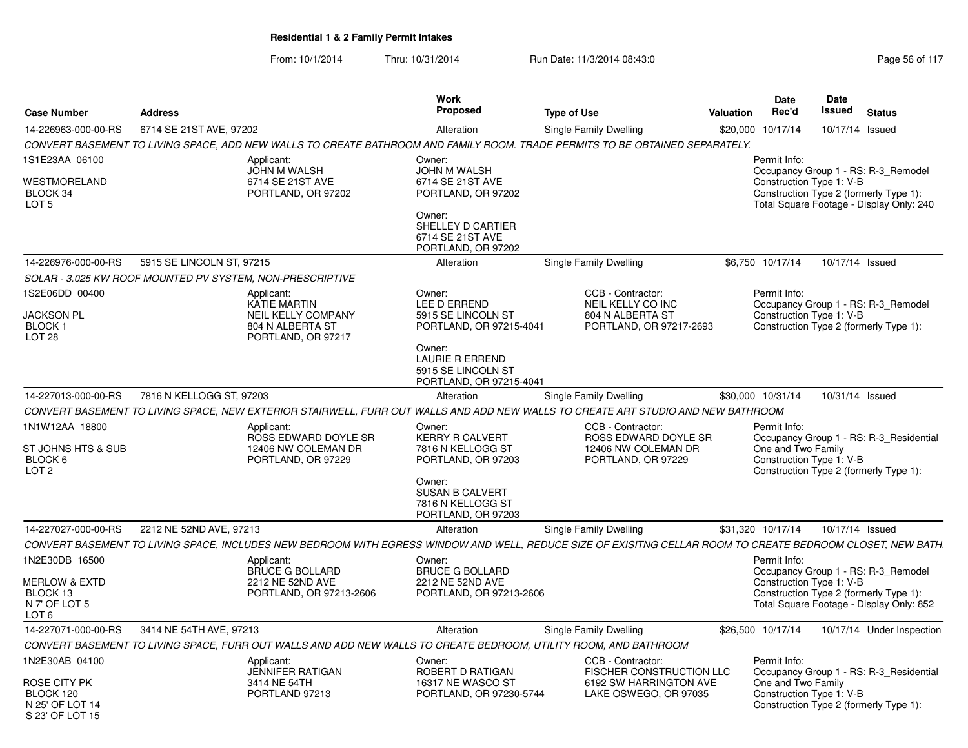| 6714 SE 21ST AVE, 97202<br>14-226963-000-00-RS<br>CONVERT BASEMENT TO LIVING SPACE, ADD NEW WALLS TO CREATE BATHROOM AND FAMILY ROOM. TRADE PERMITS TO BE OBTAINED SEPARATELY.<br>1S1E23AA 06100<br>Applicant:<br>JOHN M WALSH | Alteration                                                                                                                                                   | Single Family Dwelling                                                                                  | \$20,000 |                                                                |                 |                                                                                                                           |
|--------------------------------------------------------------------------------------------------------------------------------------------------------------------------------------------------------------------------------|--------------------------------------------------------------------------------------------------------------------------------------------------------------|---------------------------------------------------------------------------------------------------------|----------|----------------------------------------------------------------|-----------------|---------------------------------------------------------------------------------------------------------------------------|
|                                                                                                                                                                                                                                |                                                                                                                                                              |                                                                                                         |          | 10/17/14                                                       | 10/17/14 Issued |                                                                                                                           |
|                                                                                                                                                                                                                                |                                                                                                                                                              |                                                                                                         |          |                                                                |                 |                                                                                                                           |
| WESTMORELAND<br>6714 SE 21ST AVE<br>BLOCK 34<br>PORTLAND, OR 97202<br>LOT <sub>5</sub>                                                                                                                                         | Owner:<br>JOHN M WALSH<br>6714 SE 21ST AVE<br>PORTLAND, OR 97202<br>Owner:<br>SHELLEY D CARTIER<br>6714 SE 21ST AVE<br>PORTLAND, OR 97202                    |                                                                                                         |          | Permit Info:<br>Construction Type 1: V-B                       |                 | Occupancy Group 1 - RS: R-3 Remodel<br>Construction Type 2 (formerly Type 1):<br>Total Square Footage - Display Only: 240 |
| 5915 SE LINCOLN ST, 97215<br>14-226976-000-00-RS                                                                                                                                                                               | Alteration                                                                                                                                                   | <b>Single Family Dwelling</b>                                                                           |          | \$6,750 10/17/14                                               | 10/17/14 Issued |                                                                                                                           |
| SOLAR - 3.025 KW ROOF MOUNTED PV SYSTEM, NON-PRESCRIPTIVE                                                                                                                                                                      |                                                                                                                                                              |                                                                                                         |          |                                                                |                 |                                                                                                                           |
| 1S2E06DD 00400<br>Applicant:<br>KATIE MARTIN<br><b>JACKSON PL</b><br><b>NEIL KELLY COMPANY</b><br><b>BLOCK1</b><br>804 N ALBERTA ST<br>LOT <sub>28</sub><br>PORTLAND, OR 97217                                                 | Owner:<br>LEE D ERREND<br>5915 SE LINCOLN ST<br>PORTLAND, OR 97215-4041<br>Owner:<br><b>LAURIE R ERREND</b><br>5915 SE LINCOLN ST<br>PORTLAND, OR 97215-4041 | CCB - Contractor:<br>NEIL KELLY CO INC<br>804 N ALBERTA ST<br>PORTLAND, OR 97217-2693                   |          | Permit Info:<br>Construction Type 1: V-B                       |                 | Occupancy Group 1 - RS: R-3_Remodel<br>Construction Type 2 (formerly Type 1):                                             |
| 7816 N KELLOGG ST, 97203<br>14-227013-000-00-RS                                                                                                                                                                                | Alteration                                                                                                                                                   | Single Family Dwelling                                                                                  |          | \$30,000 10/31/14                                              | 10/31/14 Issued |                                                                                                                           |
| CONVERT BASEMENT TO LIVING SPACE. NEW EXTERIOR STAIRWELL. FURR OUT WALLS AND ADD NEW WALLS TO CREATE ART STUDIO AND NEW BATHROOM                                                                                               |                                                                                                                                                              |                                                                                                         |          |                                                                |                 |                                                                                                                           |
| 1N1W12AA 18800<br>Applicant:<br>ROSS EDWARD DOYLE SR<br>ST JOHNS HTS & SUB<br>12406 NW COLEMAN DR<br>BLOCK 6<br>PORTLAND, OR 97229<br>LOT <sub>2</sub>                                                                         | Owner:<br>KERRY R CALVERT<br>7816 N KELLOGG ST<br>PORTLAND, OR 97203<br>Owner:<br><b>SUSAN B CALVERT</b><br>7816 N KELLOGG ST<br>PORTLAND, OR 97203          | CCB - Contractor:<br>ROSS EDWARD DOYLE SR<br>12406 NW COLEMAN DR<br>PORTLAND, OR 97229                  |          | Permit Info:<br>One and Two Family<br>Construction Type 1: V-B |                 | Occupancy Group 1 - RS: R-3 Residential<br>Construction Type 2 (formerly Type 1):                                         |
| 14-227027-000-00-RS<br>2212 NE 52ND AVE, 97213                                                                                                                                                                                 | Alteration                                                                                                                                                   | Single Family Dwelling                                                                                  |          | \$31,320 10/17/14                                              | 10/17/14 Issued |                                                                                                                           |
| CONVERT BASEMENT TO LIVING SPACE, INCLUDES NEW BEDROOM WITH EGRESS WINDOW AND WELL, REDUCE SIZE OF EXISITNG CELLAR ROOM TO CREATE BEDROOM CLOSET, NEW BATH,                                                                    |                                                                                                                                                              |                                                                                                         |          |                                                                |                 |                                                                                                                           |
| 1N2E30DB 16500<br>Applicant:<br><b>BRUCE G BOLLARD</b><br><b>MERLOW &amp; EXTD</b><br>2212 NE 52ND AVE<br>BLOCK 13<br>PORTLAND, OR 97213-2606<br>N 7' OF LOT 5<br>LOT 6                                                        | Owner:<br><b>BRUCE G BOLLARD</b><br>2212 NE 52ND AVE<br>PORTLAND, OR 97213-2606                                                                              |                                                                                                         |          | Permit Info:<br>Construction Type 1: V-B                       |                 | Occupancy Group 1 - RS: R-3 Remodel<br>Construction Type 2 (formerly Type 1):<br>Total Square Footage - Display Only: 852 |
| 3414 NE 54TH AVE, 97213<br>14-227071-000-00-RS                                                                                                                                                                                 | Alteration                                                                                                                                                   | Single Family Dwelling                                                                                  |          | \$26,500 10/17/14                                              |                 | 10/17/14 Under Inspection                                                                                                 |
| CONVERT BASEMENT TO LIVING SPACE. FURR OUT WALLS AND ADD NEW WALLS TO CREATE BEDROOM, UTILITY ROOM, AND BATHROOM                                                                                                               |                                                                                                                                                              |                                                                                                         |          |                                                                |                 |                                                                                                                           |
| 1N2E30AB 04100<br>Applicant:<br><b>JENNIFER RATIGAN</b><br>ROSE CITY PK<br>3414 NE 54TH<br>BLOCK 120<br>PORTLAND 97213<br>N 25' OF LOT 14<br>S 23' OF LOT 15                                                                   | Owner:<br>ROBERT D RATIGAN<br>16317 NE WASCO ST<br>PORTLAND, OR 97230-5744                                                                                   | CCB - Contractor:<br><b>FISCHER CONSTRUCTION LLC</b><br>6192 SW HARRINGTON AVE<br>LAKE OSWEGO, OR 97035 |          | Permit Info:<br>One and Two Family<br>Construction Type 1: V-B |                 | Occupancy Group 1 - RS: R-3_Residential<br>Construction Type 2 (formerly Type 1):                                         |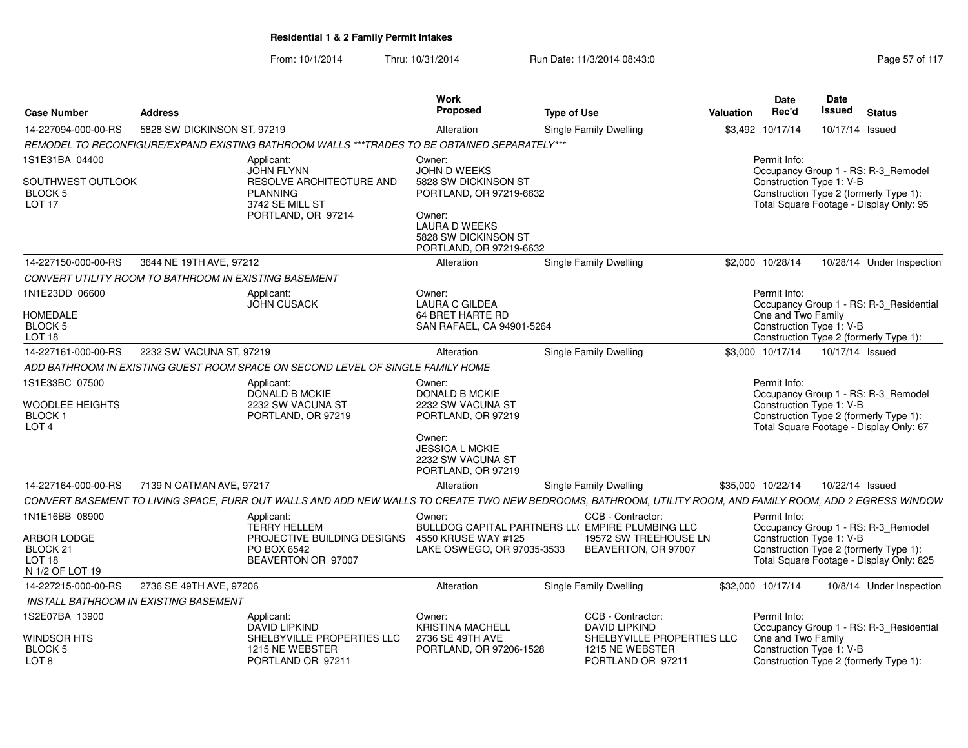| <b>Case Number</b>                                                            | Address                                                                                                                                                     | Work<br>Proposed                                                                                                                                        | <b>Type of Use</b>                                                                                                    | <b>Date</b><br>Rec'd<br>Valuation | Date<br>Issued                                 | <b>Status</b>                                                                                                             |
|-------------------------------------------------------------------------------|-------------------------------------------------------------------------------------------------------------------------------------------------------------|---------------------------------------------------------------------------------------------------------------------------------------------------------|-----------------------------------------------------------------------------------------------------------------------|-----------------------------------|------------------------------------------------|---------------------------------------------------------------------------------------------------------------------------|
| 14-227094-000-00-RS                                                           | 5828 SW DICKINSON ST, 97219                                                                                                                                 | Alteration                                                                                                                                              | Single Family Dwelling                                                                                                | \$3,492 10/17/14                  |                                                | 10/17/14 Issued                                                                                                           |
|                                                                               | REMODEL TO RECONFIGURE/EXPAND EXISTING BATHROOM WALLS *** TRADES TO BE OBTAINED SEPARATELY***                                                               |                                                                                                                                                         |                                                                                                                       |                                   |                                                |                                                                                                                           |
| 1S1E31BA 04400<br>SOUTHWEST OUTLOOK<br><b>BLOCK 5</b><br>LOT <sub>17</sub>    | Applicant:<br><b>JOHN FLYNN</b><br>RESOLVE ARCHITECTURE AND<br><b>PLANNING</b><br>3742 SE MILL ST<br>PORTLAND, OR 97214                                     | Owner:<br>JOHN D WEEKS<br>5828 SW DICKINSON ST<br>PORTLAND, OR 97219-6632<br>Owner:<br>LAURA D WEEKS<br>5828 SW DICKINSON ST<br>PORTLAND, OR 97219-6632 |                                                                                                                       | Permit Info:                      | Construction Type 1: V-B                       | Occupancy Group 1 - RS: R-3_Remodel<br>Construction Type 2 (formerly Type 1):<br>Total Square Footage - Display Only: 95  |
| 14-227150-000-00-RS                                                           | 3644 NE 19TH AVE, 97212                                                                                                                                     | Alteration                                                                                                                                              | Single Family Dwelling                                                                                                | \$2,000 10/28/14                  |                                                | 10/28/14 Under Inspection                                                                                                 |
|                                                                               | CONVERT UTILITY ROOM TO BATHROOM IN EXISTING BASEMENT                                                                                                       |                                                                                                                                                         |                                                                                                                       |                                   |                                                |                                                                                                                           |
| 1N1E23DD 06600<br><b>HOMEDALE</b><br>BLOCK 5<br>LOT <sub>18</sub>             | Applicant:<br><b>JOHN CUSACK</b>                                                                                                                            | Owner:<br><b>LAURA C GILDEA</b><br>64 BRET HARTE RD<br>SAN RAFAEL, CA 94901-5264                                                                        |                                                                                                                       | Permit Info:                      | One and Two Family<br>Construction Type 1: V-B | Occupancy Group 1 - RS: R-3 Residential<br>Construction Type 2 (formerly Type 1):                                         |
| 14-227161-000-00-RS                                                           | 2232 SW VACUNA ST, 97219                                                                                                                                    | Alteration                                                                                                                                              | Single Family Dwelling                                                                                                | \$3,000 10/17/14                  |                                                | 10/17/14 Issued                                                                                                           |
|                                                                               | ADD BATHROOM IN EXISTING GUEST ROOM SPACE ON SECOND LEVEL OF SINGLE FAMILY HOME                                                                             |                                                                                                                                                         |                                                                                                                       |                                   |                                                |                                                                                                                           |
| 1S1E33BC 07500<br>WOODLEE HEIGHTS<br><b>BLOCK1</b><br>LOT <sub>4</sub>        | Applicant:<br><b>DONALD B MCKIE</b><br>2232 SW VACUNA ST<br>PORTLAND, OR 97219                                                                              | Owner:<br><b>DONALD B MCKIE</b><br>2232 SW VACUNA ST<br>PORTLAND, OR 97219                                                                              |                                                                                                                       | Permit Info:                      | Construction Type 1: V-B                       | Occupancy Group 1 - RS: R-3_Remodel<br>Construction Type 2 (formerly Type 1):<br>Total Square Footage - Display Only: 67  |
|                                                                               |                                                                                                                                                             | Owner:<br><b>JESSICA L MCKIE</b><br>2232 SW VACUNA ST<br>PORTLAND, OR 97219                                                                             |                                                                                                                       |                                   |                                                |                                                                                                                           |
| 14-227164-000-00-RS                                                           | 7139 N OATMAN AVE, 97217                                                                                                                                    | Alteration                                                                                                                                              | Single Family Dwelling                                                                                                | \$35,000 10/22/14                 |                                                | 10/22/14 Issued                                                                                                           |
|                                                                               | CONVERT BASEMENT TO LIVING SPACE, FURR OUT WALLS AND ADD NEW WALLS TO CREATE TWO NEW BEDROOMS, BATHROOM, UTILITY ROOM, AND FAMILY ROOM, ADD 2 EGRESS WINDOW |                                                                                                                                                         |                                                                                                                       |                                   |                                                |                                                                                                                           |
| 1N1E16BB 08900<br>ARBOR LODGE<br>BLOCK 21<br><b>LOT 18</b><br>N 1/2 OF LOT 19 | Applicant:<br><b>TERRY HELLEM</b><br>PROJECTIVE BUILDING DESIGNS<br>PO BOX 6542<br>BEAVERTON OR 97007                                                       | Owner:<br>4550 KRUSE WAY #125<br>LAKE OSWEGO, OR 97035-3533                                                                                             | CCB - Contractor:<br>BULLDOG CAPITAL PARTNERS LLI EMPIRE PLUMBING LLC<br>19572 SW TREEHOUSE LN<br>BEAVERTON, OR 97007 | Permit Info:                      | Construction Type 1: V-B                       | Occupancy Group 1 - RS: R-3_Remodel<br>Construction Type 2 (formerly Type 1):<br>Total Square Footage - Display Only: 825 |
| 14-227215-000-00-RS                                                           | 2736 SE 49TH AVE, 97206                                                                                                                                     | Alteration                                                                                                                                              | Single Family Dwelling                                                                                                | \$32,000 10/17/14                 |                                                | 10/8/14 Under Inspection                                                                                                  |
| INSTALL BATHROOM IN EXISTING BASEMENT                                         |                                                                                                                                                             |                                                                                                                                                         |                                                                                                                       |                                   |                                                |                                                                                                                           |
| IS2E07BA 13900                                                                | Applicant:<br>DAVID LIPKIND                                                                                                                                 | Owner:<br><b>KRISTINA MACHELL</b>                                                                                                                       | CCB - Contractor:<br>DAVID LIPKIND                                                                                    | Permit Info:                      |                                                | Occupancy Group 1 - RS: R-3_Residential                                                                                   |
| WINDSOR HTS<br><b>BLOCK 5</b><br>LOT 8                                        | SHELBYVILLE PROPERTIES LLC<br>1215 NE WEBSTER<br>PORTLAND OR 97211                                                                                          | 2736 SE 49TH AVE<br>PORTLAND, OR 97206-1528                                                                                                             | SHELBYVILLE PROPERTIES LLC<br>1215 NE WEBSTER<br>PORTLAND OR 97211                                                    |                                   | One and Two Family<br>Construction Type 1: V-B | Construction Type 2 (formerly Type 1):                                                                                    |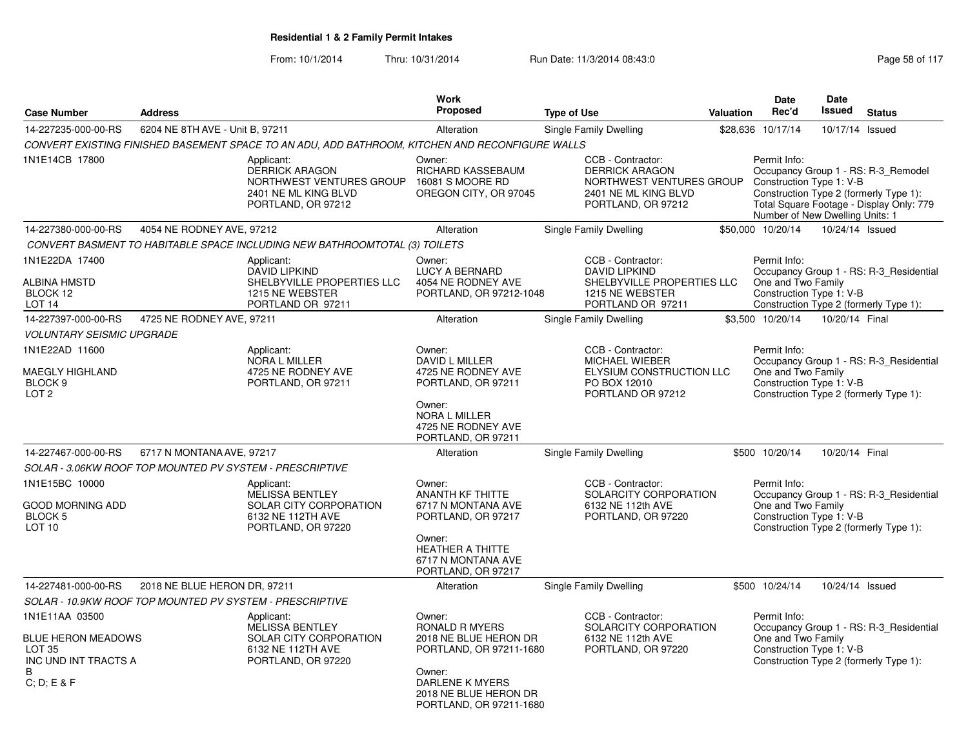|                                                                    |                                                          |                                                                                                          | Work                                                                             |                                                                                                                      |                  | <b>Date</b>                                                                 | <b>Date</b>     |                                                                                                                           |
|--------------------------------------------------------------------|----------------------------------------------------------|----------------------------------------------------------------------------------------------------------|----------------------------------------------------------------------------------|----------------------------------------------------------------------------------------------------------------------|------------------|-----------------------------------------------------------------------------|-----------------|---------------------------------------------------------------------------------------------------------------------------|
| <b>Case Number</b>                                                 | <b>Address</b>                                           |                                                                                                          | Proposed                                                                         | <b>Type of Use</b>                                                                                                   | <b>Valuation</b> | Rec'd                                                                       | <b>Issued</b>   | <b>Status</b>                                                                                                             |
| 14-227235-000-00-RS                                                | 6204 NE 8TH AVE - Unit B, 97211                          |                                                                                                          | Alteration                                                                       | Single Family Dwelling                                                                                               |                  | \$28,636 10/17/14                                                           | 10/17/14 Issued |                                                                                                                           |
|                                                                    |                                                          | CONVERT EXISTING FINISHED BASEMENT SPACE TO AN ADU, ADD BATHROOM, KITCHEN AND RECONFIGURE WALLS          |                                                                                  |                                                                                                                      |                  |                                                                             |                 |                                                                                                                           |
| 1N1E14CB 17800                                                     |                                                          | Applicant:<br>DERRICK ARAGON<br>NORTHWEST VENTURES GROUP<br>2401 NE ML KING BLVD<br>PORTLAND, OR 97212   | Owner:<br>RICHARD KASSEBAUM<br>16081 S MOORE RD<br>OREGON CITY, OR 97045         | CCB - Contractor:<br><b>DERRICK ARAGON</b><br>NORTHWEST VENTURES GROUP<br>2401 NE ML KING BLVD<br>PORTLAND, OR 97212 |                  | Permit Info:<br>Construction Type 1: V-B<br>Number of New Dwelling Units: 1 |                 | Occupancy Group 1 - RS: R-3_Remodel<br>Construction Type 2 (formerly Type 1):<br>Total Square Footage - Display Only: 779 |
| 14-227380-000-00-RS                                                | 4054 NE RODNEY AVE, 97212                                |                                                                                                          | Alteration                                                                       | Single Family Dwelling                                                                                               |                  | \$50.000 10/20/14                                                           | 10/24/14 Issued |                                                                                                                           |
|                                                                    |                                                          | CONVERT BASMENT TO HABITABLE SPACE INCLUDING NEW BATHROOMTOTAL (3) TOILETS                               |                                                                                  |                                                                                                                      |                  |                                                                             |                 |                                                                                                                           |
| 1N1E22DA 17400<br>ALBINA HMSTD<br>BLOCK 12<br>LOT <sub>14</sub>    |                                                          | Applicant:<br><b>DAVID LIPKIND</b><br>SHELBYVILLE PROPERTIES LLC<br>1215 NE WEBSTER<br>PORTLAND OR 97211 | Owner:<br><b>LUCY A BERNARD</b><br>4054 NE RODNEY AVE<br>PORTLAND, OR 97212-1048 | CCB - Contractor:<br><b>DAVID LIPKIND</b><br>SHELBYVILLE PROPERTIES LLC<br>1215 NE WEBSTER<br>PORTLAND OR 97211      |                  | Permit Info:<br>One and Two Family<br>Construction Type 1: V-B              |                 | Occupancy Group 1 - RS: R-3_Residential<br>Construction Type 2 (formerly Type 1):                                         |
| 14-227397-000-00-RS                                                | 4725 NE RODNEY AVE, 97211                                |                                                                                                          | Alteration                                                                       | Single Family Dwelling                                                                                               |                  | \$3,500 10/20/14                                                            | 10/20/14 Final  |                                                                                                                           |
| <b>VOLUNTARY SEISMIC UPGRADE</b>                                   |                                                          |                                                                                                          |                                                                                  |                                                                                                                      |                  |                                                                             |                 |                                                                                                                           |
| 1N1E22AD 11600                                                     |                                                          | Applicant:<br><b>NORA L MILLER</b>                                                                       | Owner:<br>DAVID L MILLER                                                         | CCB - Contractor:<br><b>MICHAEL WIEBER</b>                                                                           |                  | Permit Info:                                                                |                 | Occupancy Group 1 - RS: R-3_Residential                                                                                   |
| <b>MAEGLY HIGHLAND</b><br>BLOCK <sub>9</sub><br>LOT <sub>2</sub>   |                                                          | 4725 NE RODNEY AVE<br>PORTLAND, OR 97211                                                                 | 4725 NE RODNEY AVE<br>PORTLAND, OR 97211                                         | ELYSIUM CONSTRUCTION LLC<br>PO BOX 12010<br>PORTLAND OR 97212                                                        |                  | One and Two Family<br>Construction Type 1: V-B                              |                 | Construction Type 2 (formerly Type 1):                                                                                    |
|                                                                    |                                                          |                                                                                                          | Owner:<br><b>NORA L MILLER</b><br>4725 NE RODNEY AVE<br>PORTLAND, OR 97211       |                                                                                                                      |                  |                                                                             |                 |                                                                                                                           |
| 14-227467-000-00-RS                                                | 6717 N MONTANA AVE, 97217                                |                                                                                                          | Alteration                                                                       | Single Family Dwelling                                                                                               |                  | \$500 10/20/14                                                              | 10/20/14 Final  |                                                                                                                           |
|                                                                    | SOLAR - 3.06KW ROOF TOP MOUNTED PV SYSTEM - PRESCRIPTIVE |                                                                                                          |                                                                                  |                                                                                                                      |                  |                                                                             |                 |                                                                                                                           |
| 1N1E15BC 10000                                                     |                                                          | Applicant:<br><b>MELISSA BENTLEY</b>                                                                     | Owner:<br><b>ANANTH KF THITTE</b>                                                | CCB - Contractor:<br>SOLARCITY CORPORATION                                                                           |                  | Permit Info:                                                                |                 | Occupancy Group 1 - RS: R-3 Residential                                                                                   |
| <b>GOOD MORNING ADD</b><br>BLOCK <sub>5</sub><br>LOT <sub>10</sub> |                                                          | SOLAR CITY CORPORATION<br>6132 NE 112TH AVE<br>PORTLAND, OR 97220                                        | 6717 N MONTANA AVE<br>PORTLAND, OR 97217                                         | 6132 NE 112th AVE<br>PORTLAND, OR 97220                                                                              |                  | One and Two Family<br>Construction Type 1: V-B                              |                 | Construction Type 2 (formerly Type 1):                                                                                    |
|                                                                    |                                                          |                                                                                                          | Owner:<br><b>HEATHER A THITTE</b><br>6717 N MONTANA AVE<br>PORTLAND, OR 97217    |                                                                                                                      |                  |                                                                             |                 |                                                                                                                           |
| 14-227481-000-00-RS                                                | 2018 NE BLUE HERON DR, 97211                             |                                                                                                          | Alteration                                                                       | Single Family Dwelling                                                                                               |                  | \$500 10/24/14                                                              | 10/24/14 Issued |                                                                                                                           |
|                                                                    | SOLAR - 10.9KW ROOF TOP MOUNTED PV SYSTEM - PRESCRIPTIVE |                                                                                                          |                                                                                  |                                                                                                                      |                  |                                                                             |                 |                                                                                                                           |
| 1N1E11AA 03500<br><b>BLUE HERON MEADOWS</b>                        |                                                          | Applicant:<br><b>MELISSA BENTLEY</b><br>SOLAR CITY CORPORATION                                           | Owner:<br>RONALD R MYERS<br>2018 NE BLUE HERON DR                                | CCB - Contractor:<br>SOLARCITY CORPORATION<br>6132 NE 112th AVE                                                      |                  | Permit Info:<br>One and Two Family                                          |                 | Occupancy Group 1 - RS: R-3_Residential                                                                                   |
| <b>LOT 35</b><br>INC UND INT TRACTS A<br>B                         |                                                          | 6132 NE 112TH AVE<br>PORTLAND, OR 97220                                                                  | PORTLAND, OR 97211-1680<br>Owner:                                                | PORTLAND, OR 97220                                                                                                   |                  | Construction Type 1: V-B                                                    |                 | Construction Type 2 (formerly Type 1):                                                                                    |
| C: D: E & F                                                        |                                                          |                                                                                                          | <b>DARLENE K MYERS</b><br>2018 NE BLUE HERON DR<br>PORTLAND, OR 97211-1680       |                                                                                                                      |                  |                                                                             |                 |                                                                                                                           |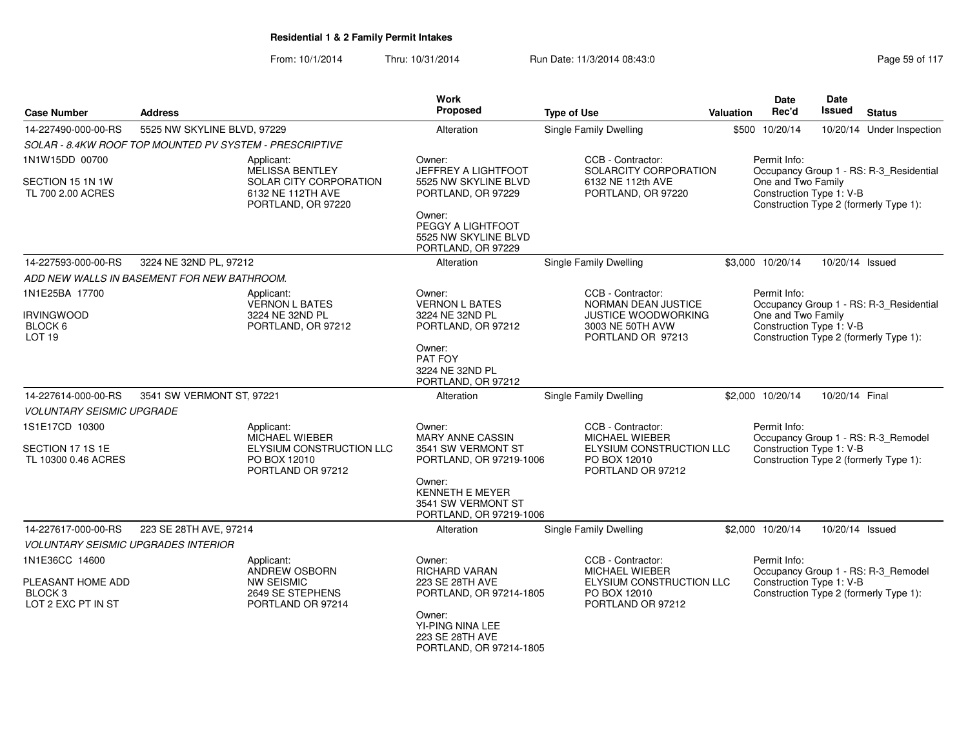| <b>Case Number</b>                                                              | <b>Address</b>                                          |                                                                                           | <b>Work</b><br><b>Proposed</b>                                                    | <b>Type of Use</b>                                                                                          | Valuation | Date<br>Rec'd                                  | Date<br>Issued  | <b>Status</b>                                                                 |
|---------------------------------------------------------------------------------|---------------------------------------------------------|-------------------------------------------------------------------------------------------|-----------------------------------------------------------------------------------|-------------------------------------------------------------------------------------------------------------|-----------|------------------------------------------------|-----------------|-------------------------------------------------------------------------------|
| 14-227490-000-00-RS                                                             | 5525 NW SKYLINE BLVD, 97229                             |                                                                                           | Alteration                                                                        | Single Family Dwelling                                                                                      |           | \$500 10/20/14                                 |                 | 10/20/14 Under Inspection                                                     |
|                                                                                 | SOLAR - 8.4KW ROOF TOP MOUNTED PV SYSTEM - PRESCRIPTIVE |                                                                                           |                                                                                   |                                                                                                             |           |                                                |                 |                                                                               |
| 1N1W15DD 00700                                                                  |                                                         | Applicant:<br><b>MELISSA BENTLEY</b>                                                      | Owner:<br>JEFFREY A LIGHTFOOT                                                     | CCB - Contractor:<br>SOLARCITY CORPORATION                                                                  |           | Permit Info:                                   |                 | Occupancy Group 1 - RS: R-3_Residential                                       |
| SECTION 15 1N 1W<br>TL 700 2.00 ACRES                                           |                                                         | SOLAR CITY CORPORATION<br>6132 NE 112TH AVE<br>PORTLAND, OR 97220                         | 5525 NW SKYLINE BLVD<br>PORTLAND, OR 97229                                        | 6132 NE 112th AVE<br>PORTLAND, OR 97220                                                                     |           | One and Two Family<br>Construction Type 1: V-B |                 | Construction Type 2 (formerly Type 1):                                        |
|                                                                                 |                                                         |                                                                                           | Owner:<br>PEGGY A LIGHTFOOT<br>5525 NW SKYLINE BLVD<br>PORTLAND, OR 97229         |                                                                                                             |           |                                                |                 |                                                                               |
| 14-227593-000-00-RS                                                             | 3224 NE 32ND PL, 97212                                  |                                                                                           | Alteration                                                                        | <b>Single Family Dwelling</b>                                                                               |           | \$3,000 10/20/14                               | 10/20/14 Issued |                                                                               |
|                                                                                 | ADD NEW WALLS IN BASEMENT FOR NEW BATHROOM.             |                                                                                           |                                                                                   |                                                                                                             |           |                                                |                 |                                                                               |
| 1N1E25BA 17700                                                                  |                                                         | Applicant:<br><b>VERNON L BATES</b>                                                       | Owner:<br><b>VERNON L BATES</b>                                                   | CCB - Contractor:<br>NORMAN DEAN JUSTICE                                                                    |           | Permit Info:                                   |                 | Occupancy Group 1 - RS: R-3_Residential                                       |
| <b>IRVINGWOOD</b><br>BLOCK 6<br>LOT <sub>19</sub>                               |                                                         | 3224 NE 32ND PL<br>PORTLAND, OR 97212                                                     | 3224 NE 32ND PL<br>PORTLAND, OR 97212                                             | JUSTICE WOODWORKING<br>3003 NE 50TH AVW<br>PORTLAND OR 97213                                                |           | One and Two Family<br>Construction Type 1: V-B |                 | Construction Type 2 (formerly Type 1):                                        |
|                                                                                 |                                                         |                                                                                           | Owner:<br>PAT FOY<br>3224 NE 32ND PL<br>PORTLAND, OR 97212                        |                                                                                                             |           |                                                |                 |                                                                               |
| 14-227614-000-00-RS                                                             | 3541 SW VERMONT ST, 97221                               |                                                                                           | Alteration                                                                        | Single Family Dwelling                                                                                      |           | \$2,000 10/20/14                               | 10/20/14 Final  |                                                                               |
| <b>VOLUNTARY SEISMIC UPGRADE</b>                                                |                                                         |                                                                                           |                                                                                   |                                                                                                             |           |                                                |                 |                                                                               |
| 1S1E17CD 10300                                                                  |                                                         | Applicant:<br><b>MICHAEL WIEBER</b>                                                       | Owner:<br><b>MARY ANNE CASSIN</b>                                                 | CCB - Contractor:<br><b>MICHAEL WIEBER</b>                                                                  |           | Permit Info:                                   |                 | Occupancy Group 1 - RS: R-3_Remodel                                           |
| SECTION 17 1S 1E<br>TL 10300 0.46 ACRES                                         |                                                         | ELYSIUM CONSTRUCTION LLC<br>PO BOX 12010<br>PORTLAND OR 97212                             | 3541 SW VERMONT ST<br>PORTLAND, OR 97219-1006                                     | ELYSIUM CONSTRUCTION LLC<br>PO BOX 12010<br>PORTLAND OR 97212                                               |           | Construction Type 1: V-B                       |                 | Construction Type 2 (formerly Type 1):                                        |
|                                                                                 |                                                         |                                                                                           | Owner:<br><b>KENNETH E MEYER</b><br>3541 SW VERMONT ST<br>PORTLAND, OR 97219-1006 |                                                                                                             |           |                                                |                 |                                                                               |
| 14-227617-000-00-RS                                                             | 223 SE 28TH AVE, 97214                                  |                                                                                           | Alteration                                                                        | <b>Single Family Dwelling</b>                                                                               |           | \$2,000 10/20/14                               | 10/20/14 Issued |                                                                               |
| <b>VOLUNTARY SEISMIC UPGRADES INTERIOR</b>                                      |                                                         |                                                                                           |                                                                                   |                                                                                                             |           |                                                |                 |                                                                               |
| 1N1E36CC 14600<br>PLEASANT HOME ADD<br>BLOCK <sub>3</sub><br>LOT 2 EXC PT IN ST |                                                         | Applicant:<br>ANDREW OSBORN<br><b>NW SEISMIC</b><br>2649 SE STEPHENS<br>PORTLAND OR 97214 | Owner:<br><b>RICHARD VARAN</b><br>223 SE 28TH AVE<br>PORTLAND, OR 97214-1805      | CCB - Contractor:<br><b>MICHAEL WIEBER</b><br>ELYSIUM CONSTRUCTION LLC<br>PO BOX 12010<br>PORTLAND OR 97212 |           | Permit Info:<br>Construction Type 1: V-B       |                 | Occupancy Group 1 - RS: R-3_Remodel<br>Construction Type 2 (formerly Type 1): |
|                                                                                 |                                                         |                                                                                           | Owner:<br>YI-PING NINA LEE<br>223 SE 28TH AVE<br>PORTLAND, OR 97214-1805          |                                                                                                             |           |                                                |                 |                                                                               |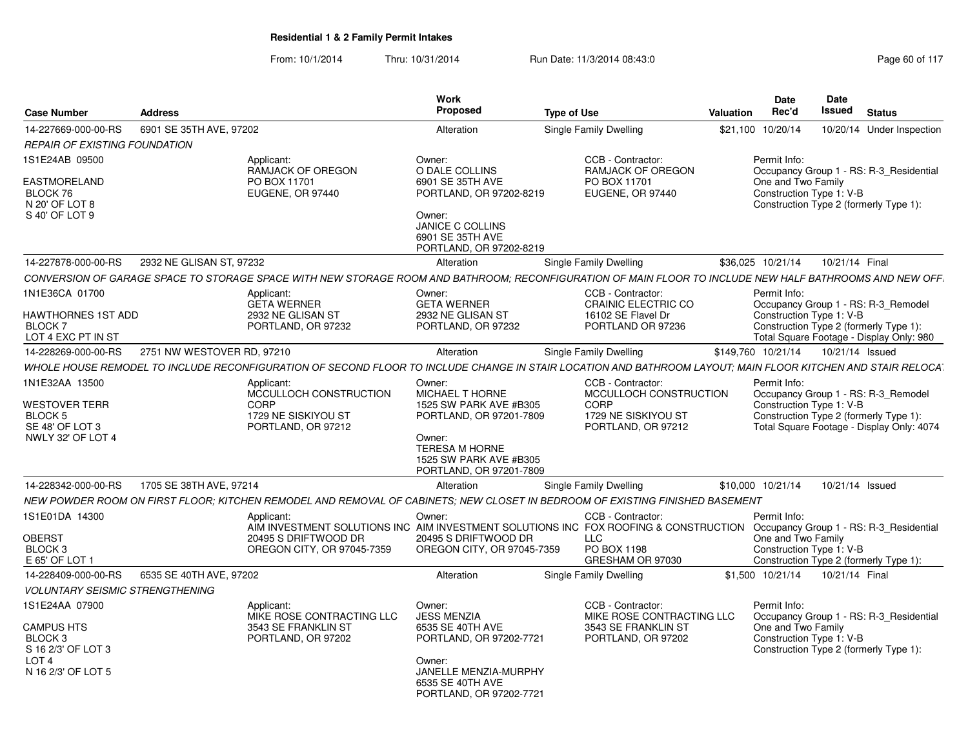|                                                              |                            |                                                                                                                                                             | Work                                                                        |                                                                                                          | Date                                           | <b>Date</b>                                                                        |
|--------------------------------------------------------------|----------------------------|-------------------------------------------------------------------------------------------------------------------------------------------------------------|-----------------------------------------------------------------------------|----------------------------------------------------------------------------------------------------------|------------------------------------------------|------------------------------------------------------------------------------------|
| <b>Case Number</b>                                           | <b>Address</b>             |                                                                                                                                                             | Proposed                                                                    | <b>Type of Use</b>                                                                                       | Rec'd<br>Valuation                             | Issued<br><b>Status</b>                                                            |
| 14-227669-000-00-RS                                          | 6901 SE 35TH AVE, 97202    |                                                                                                                                                             | Alteration                                                                  | Single Family Dwelling                                                                                   | \$21,100 10/20/14                              | 10/20/14 Under Inspection                                                          |
| <b>REPAIR OF EXISTING FOUNDATION</b>                         |                            |                                                                                                                                                             |                                                                             |                                                                                                          |                                                |                                                                                    |
| 1S1E24AB 09500                                               |                            | Applicant:<br>RAMJACK OF OREGON                                                                                                                             | Owner:<br>O DALE COLLINS                                                    | CCB - Contractor:<br><b>RAMJACK OF OREGON</b>                                                            | Permit Info:                                   | Occupancy Group 1 - RS: R-3_Residential                                            |
| EASTMORELAND<br>BLOCK 76<br>N 20' OF LOT 8<br>S 40' OF LOT 9 |                            | PO BOX 11701<br>EUGENE, OR 97440                                                                                                                            | 6901 SE 35TH AVE<br>PORTLAND, OR 97202-8219<br>Owner:<br>JANICE C COLLINS   | PO BOX 11701<br>EUGENE, OR 97440                                                                         | One and Two Family<br>Construction Type 1: V-B | Construction Type 2 (formerly Type 1):                                             |
|                                                              |                            |                                                                                                                                                             | 6901 SE 35TH AVE<br>PORTLAND, OR 97202-8219                                 |                                                                                                          |                                                |                                                                                    |
| 14-227878-000-00-RS                                          | 2932 NE GLISAN ST, 97232   |                                                                                                                                                             | Alteration                                                                  | Single Family Dwelling                                                                                   | \$36,025 10/21/14                              | 10/21/14 Final                                                                     |
|                                                              |                            | CONVERSION OF GARAGE SPACE TO STORAGE SPACE WITH NEW STORAGE ROOM AND BATHROOM; RECONFIGURATION OF MAIN FLOOR TO INCLUDE NEW HALF BATHROOMS AND NEW OFF.    |                                                                             |                                                                                                          |                                                |                                                                                    |
| 1N1E36CA 01700<br>HAWTHORNES 1ST ADD                         |                            | Applicant:<br><b>GETA WERNER</b><br>2932 NE GLISAN ST                                                                                                       | Owner:<br><b>GETA WERNER</b><br>2932 NE GLISAN ST                           | CCB - Contractor:<br>CRAINIC ELECTRIC CO<br>16102 SE Flavel Dr                                           | Permit Info:<br>Construction Type 1: V-B       | Occupancy Group 1 - RS: R-3_Remodel                                                |
| <b>BLOCK7</b><br>LOT 4 EXC PT IN ST                          |                            | PORTLAND, OR 97232                                                                                                                                          | PORTLAND, OR 97232                                                          | PORTLAND OR 97236                                                                                        |                                                | Construction Type 2 (formerly Type 1):<br>Total Square Footage - Display Only: 980 |
| 14-228269-000-00-RS                                          | 2751 NW WESTOVER RD, 97210 |                                                                                                                                                             | Alteration                                                                  | Single Family Dwelling                                                                                   | \$149,760 10/21/14                             | 10/21/14 Issued                                                                    |
|                                                              |                            | WHOLE HOUSE REMODEL TO INCLUDE RECONFIGURATION OF SECOND FLOOR TO INCLUDE CHANGE IN STAIR LOCATION AND BATHROOM LAYOUT: MAIN FLOOR KITCHEN AND STAIR RELOCA |                                                                             |                                                                                                          |                                                |                                                                                    |
| 1N1E32AA 13500                                               |                            | Applicant:                                                                                                                                                  | Owner:                                                                      | CCB - Contractor:                                                                                        | Permit Info:                                   |                                                                                    |
|                                                              |                            | MCCULLOCH CONSTRUCTION                                                                                                                                      | <b>MICHAEL T HORNE</b>                                                      | MCCULLOCH CONSTRUCTION                                                                                   |                                                | Occupancy Group 1 - RS: R-3_Remodel                                                |
| <b>WESTOVER TERR</b><br><b>BLOCK 5</b>                       |                            | CORP<br>1729 NE SISKIYOU ST                                                                                                                                 | 1525 SW PARK AVE #B305<br>PORTLAND, OR 97201-7809                           | CORP<br>1729 NE SISKIYOU ST                                                                              | Construction Type 1: V-B                       | Construction Type 2 (formerly Type 1):                                             |
| SE 48' OF LOT 3                                              |                            | PORTLAND, OR 97212                                                                                                                                          |                                                                             | PORTLAND, OR 97212                                                                                       |                                                | Total Square Footage - Display Only: 4074                                          |
| NWLY 32' OF LOT 4                                            |                            |                                                                                                                                                             | Owner:<br><b>TERESA M HORNE</b><br>1525 SW PARK AVE #B305                   |                                                                                                          |                                                |                                                                                    |
| 14-228342-000-00-RS                                          | 1705 SE 38TH AVE, 97214    |                                                                                                                                                             | PORTLAND, OR 97201-7809<br>Alteration                                       |                                                                                                          | \$10,000 10/21/14                              | 10/21/14 Issued                                                                    |
|                                                              |                            |                                                                                                                                                             |                                                                             | Single Family Dwelling                                                                                   |                                                |                                                                                    |
| 1S1E01DA 14300                                               |                            | NEW POWDER ROOM ON FIRST FLOOR: KITCHEN REMODEL AND REMOVAL OF CABINETS: NEW CLOSET IN BEDROOM OF EXISTING FINISHED BASEMENT                                |                                                                             |                                                                                                          |                                                |                                                                                    |
|                                                              |                            | Applicant:                                                                                                                                                  | Owner                                                                       | CCB - Contractor<br>AIM INVESTMENT SOLUTIONS INC AIM INVESTMENT SOLUTIONS INC FOX ROOFING & CONSTRUCTION | Permit Info:                                   | Occupancy Group 1 - RS: R-3_Residential                                            |
| <b>OBERST</b>                                                |                            | 20495 S DRIFTWOOD DR                                                                                                                                        | 20495 S DRIFTWOOD DF                                                        | LLC.                                                                                                     | One and Two Family                             |                                                                                    |
| BLOCK <sub>3</sub><br>E 65' OF LOT 1                         |                            | OREGON CITY, OR 97045-7359                                                                                                                                  | OREGON CITY, OR 97045-7359                                                  | PO BOX 1198<br>GRESHAM OR 97030                                                                          | Construction Type 1: V-B                       | Construction Type 2 (formerly Type 1):                                             |
| 14-228409-000-00-RS                                          | 6535 SE 40TH AVE, 97202    |                                                                                                                                                             | Alteration                                                                  | Single Family Dwelling                                                                                   | \$1,500 10/21/14                               | 10/21/14 Final                                                                     |
| <i><b>VOLUNTARY SEISMIC STRENGTHENING</b></i>                |                            |                                                                                                                                                             |                                                                             |                                                                                                          |                                                |                                                                                    |
| 1S1E24AA 07900                                               |                            | Applicant:<br>MIKE ROSE CONTRACTING LLC                                                                                                                     | Owner:<br><b>JESS MENZIA</b>                                                | CCB - Contractor:<br>MIKE ROSE CONTRACTING LLC                                                           | Permit Info:                                   | Occupancy Group 1 - RS: R-3_Residential                                            |
| CAMPUS HTS                                                   |                            | 3543 SE FRANKLIN ST                                                                                                                                         | 6535 SE 40TH AVE                                                            | 3543 SE FRANKLIN ST                                                                                      | One and Two Family                             |                                                                                    |
| BLOCK <sub>3</sub><br>S 16 2/3' OF LOT 3                     |                            | PORTLAND, OR 97202                                                                                                                                          | PORTLAND, OR 97202-7721                                                     | PORTLAND, OR 97202                                                                                       | Construction Type 1: V-B                       | Construction Type 2 (formerly Type 1):                                             |
| LOT <sub>4</sub>                                             |                            |                                                                                                                                                             | Owner:                                                                      |                                                                                                          |                                                |                                                                                    |
| N 16 2/3' OF LOT 5                                           |                            |                                                                                                                                                             | <b>JANELLE MENZIA-MURPHY</b><br>6535 SE 40TH AVE<br>PORTLAND, OR 97202-7721 |                                                                                                          |                                                |                                                                                    |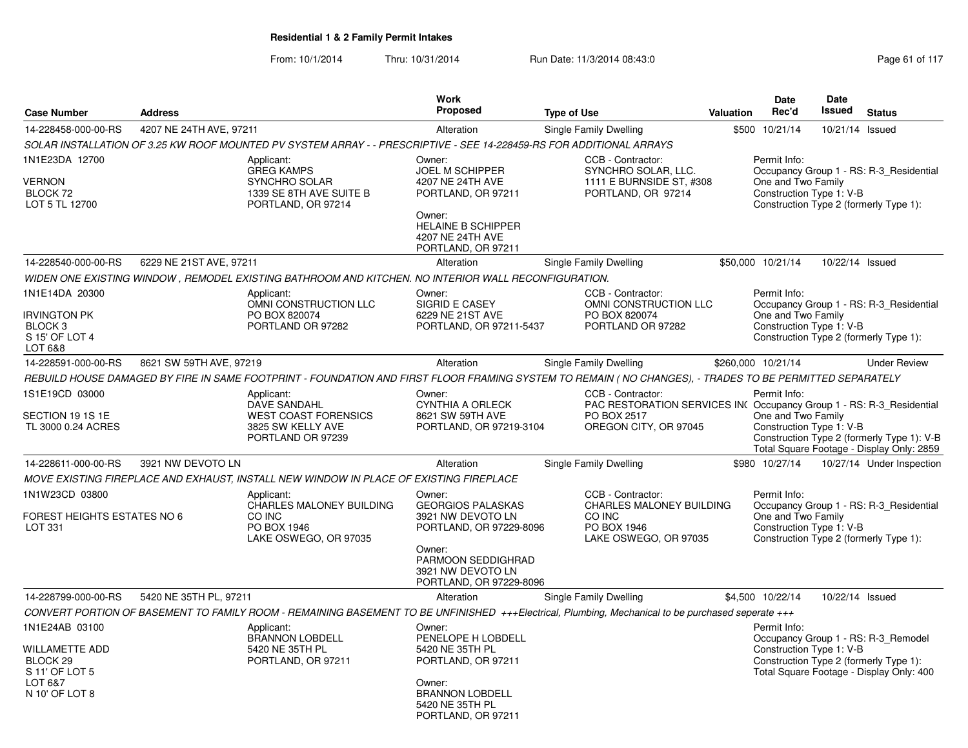|                                                                                                        |                         |                                                                                                                      | <b>Work</b>                                                                                                                                                 |                                                                                                                                                         |                  | Date                                                           | <b>Date</b>     |                                                                                                                           |
|--------------------------------------------------------------------------------------------------------|-------------------------|----------------------------------------------------------------------------------------------------------------------|-------------------------------------------------------------------------------------------------------------------------------------------------------------|---------------------------------------------------------------------------------------------------------------------------------------------------------|------------------|----------------------------------------------------------------|-----------------|---------------------------------------------------------------------------------------------------------------------------|
| <b>Case Number</b>                                                                                     | <b>Address</b>          |                                                                                                                      | <b>Proposed</b>                                                                                                                                             | <b>Type of Use</b>                                                                                                                                      | <b>Valuation</b> | Rec'd                                                          | <b>Issued</b>   | <b>Status</b>                                                                                                             |
| 14-228458-000-00-RS                                                                                    | 4207 NE 24TH AVE, 97211 |                                                                                                                      | Alteration                                                                                                                                                  | Single Family Dwelling                                                                                                                                  |                  | \$500 10/21/14                                                 | 10/21/14 Issued |                                                                                                                           |
|                                                                                                        |                         | SOLAR INSTALLATION OF 3.25 KW ROOF MOUNTED PV SYSTEM ARRAY - - PRESCRIPTIVE - SEE 14-228459-RS FOR ADDITIONAL ARRAYS |                                                                                                                                                             |                                                                                                                                                         |                  |                                                                |                 |                                                                                                                           |
| 1N1E23DA 12700<br>VERNON<br>BLOCK 72<br>LOT 5 TL 12700                                                 |                         | Applicant:<br><b>GREG KAMPS</b><br><b>SYNCHRO SOLAR</b><br>1339 SE 8TH AVE SUITE B<br>PORTLAND, OR 97214             | Owner:<br><b>JOEL M SCHIPPER</b><br>4207 NE 24TH AVE<br>PORTLAND, OR 97211<br>Owner:<br><b>HELAINE B SCHIPPER</b><br>4207 NE 24TH AVE<br>PORTLAND, OR 97211 | CCB - Contractor:<br>SYNCHRO SOLAR, LLC.<br>1111 E BURNSIDE ST, #308<br>PORTLAND, OR 97214                                                              |                  | Permit Info:<br>One and Two Family<br>Construction Type 1: V-B |                 | Occupancy Group 1 - RS: R-3 Residential<br>Construction Type 2 (formerly Type 1):                                         |
| 14-228540-000-00-RS                                                                                    | 6229 NE 21ST AVE, 97211 |                                                                                                                      | Alteration                                                                                                                                                  | Single Family Dwelling                                                                                                                                  |                  | \$50,000 10/21/14                                              | 10/22/14 Issued |                                                                                                                           |
|                                                                                                        |                         | WIDEN ONE EXISTING WINDOW, REMODEL EXISTING BATHROOM AND KITCHEN. NO INTERIOR WALL RECONFIGURATION.                  |                                                                                                                                                             |                                                                                                                                                         |                  |                                                                |                 |                                                                                                                           |
| 1N1E14DA 20300<br><b>IRVINGTON PK</b><br>BLOCK <sub>3</sub><br>S 15' OF LOT 4<br>LOT 6&8               |                         | Applicant:<br>OMNI CONSTRUCTION LLC<br>PO BOX 820074<br>PORTLAND OR 97282                                            | Owner:<br>SIGRID E CASEY<br>6229 NE 21ST AVE<br>PORTLAND, OR 97211-5437                                                                                     | CCB - Contractor:<br>OMNI CONSTRUCTION LLC<br>PO BOX 820074<br>PORTLAND OR 97282                                                                        |                  | Permit Info:<br>One and Two Family<br>Construction Type 1: V-B |                 | Occupancy Group 1 - RS: R-3 Residential<br>Construction Type 2 (formerly Type 1):                                         |
| 14-228591-000-00-RS                                                                                    | 8621 SW 59TH AVE, 97219 |                                                                                                                      | Alteration                                                                                                                                                  | Single Family Dwelling                                                                                                                                  |                  | \$260,000 10/21/14                                             |                 | <b>Under Review</b>                                                                                                       |
|                                                                                                        |                         |                                                                                                                      |                                                                                                                                                             | REBUILD HOUSE DAMAGED BY FIRE IN SAME FOOTPRINT - FOUNDATION AND FIRST FLOOR FRAMING SYSTEM TO REMAIN (NO CHANGES), - TRADES TO BE PERMITTED SEPARATELY |                  |                                                                |                 |                                                                                                                           |
| 1S1E19CD 03000<br>SECTION 19 1S 1E<br>TL 3000 0.24 ACRES                                               |                         | Applicant:<br><b>DAVE SANDAHL</b><br><b>WEST COAST FORENSICS</b><br>3825 SW KELLY AVE<br>PORTLAND OR 97239           | Owner:<br>CYNTHIA A ORLECK<br>8621 SW 59TH AVE<br>PORTLAND, OR 97219-3104                                                                                   | CCB - Contractor:<br>PAC RESTORATION SERVICES IN( Occupancy Group 1 - RS: R-3_Residential<br>PO BOX 2517<br>OREGON CITY, OR 97045                       |                  | Permit Info:<br>One and Two Family<br>Construction Type 1: V-B |                 | Construction Type 2 (formerly Type 1): V-B<br>Total Square Footage - Display Only: 2859                                   |
| 14-228611-000-00-RS                                                                                    | 3921 NW DEVOTO LN       |                                                                                                                      | Alteration                                                                                                                                                  | Single Family Dwelling                                                                                                                                  |                  | \$980 10/27/14                                                 |                 | 10/27/14 Under Inspection                                                                                                 |
|                                                                                                        |                         | MOVE EXISTING FIREPLACE AND EXHAUST, INSTALL NEW WINDOW IN PLACE OF EXISTING FIREPLACE                               |                                                                                                                                                             |                                                                                                                                                         |                  |                                                                |                 |                                                                                                                           |
| 1N1W23CD 03800                                                                                         |                         | Applicant:                                                                                                           | Owner:                                                                                                                                                      | CCB - Contractor:                                                                                                                                       |                  | Permit Info:                                                   |                 |                                                                                                                           |
| FOREST HEIGHTS ESTATES NO 6<br>LOT 331                                                                 |                         | CHARLES MALONEY BUILDING<br>CO INC<br>PO BOX 1946<br>LAKE OSWEGO, OR 97035                                           | <b>GEORGIOS PALASKAS</b><br>3921 NW DEVOTO LN<br>PORTLAND, OR 97229-8096<br>Owner:<br>PARMOON SEDDIGHRAD<br>3921 NW DEVOTO LN<br>PORTLAND, OR 97229-8096    | CHARLES MALONEY BUILDING<br>CO INC<br>PO BOX 1946<br>LAKE OSWEGO, OR 97035                                                                              |                  | One and Two Family<br>Construction Type 1: V-B                 |                 | Occupancy Group 1 - RS: R-3 Residential<br>Construction Type 2 (formerly Type 1):                                         |
| 14-228799-000-00-RS                                                                                    | 5420 NE 35TH PL, 97211  |                                                                                                                      | Alteration                                                                                                                                                  | Single Family Dwelling                                                                                                                                  |                  | \$4,500 10/22/14                                               | 10/22/14 Issued |                                                                                                                           |
|                                                                                                        |                         |                                                                                                                      |                                                                                                                                                             | CONVERT PORTION OF BASEMENT TO FAMILY ROOM - REMAINING BASEMENT TO BE UNFINISHED +++Electrical, Plumbing, Mechanical to be purchased seperate +++       |                  |                                                                |                 |                                                                                                                           |
| 1N1E24AB 03100<br>WILLAMETTE ADD<br>BLOCK <sub>29</sub><br>S 11' OF LOT 5<br>LOT 6&7<br>N 10' OF LOT 8 |                         | Applicant:<br><b>BRANNON LOBDELL</b><br>5420 NE 35TH PL<br>PORTLAND, OR 97211                                        | Owner:<br>PENELOPE H LOBDELL<br>5420 NE 35TH PL<br>PORTLAND, OR 97211<br>Owner:<br><b>BRANNON LOBDELL</b><br>5420 NE 35TH PL<br>PORTLAND, OR 97211          |                                                                                                                                                         |                  | Permit Info:<br>Construction Type 1: V-B                       |                 | Occupancy Group 1 - RS: R-3 Remodel<br>Construction Type 2 (formerly Type 1):<br>Total Square Footage - Display Only: 400 |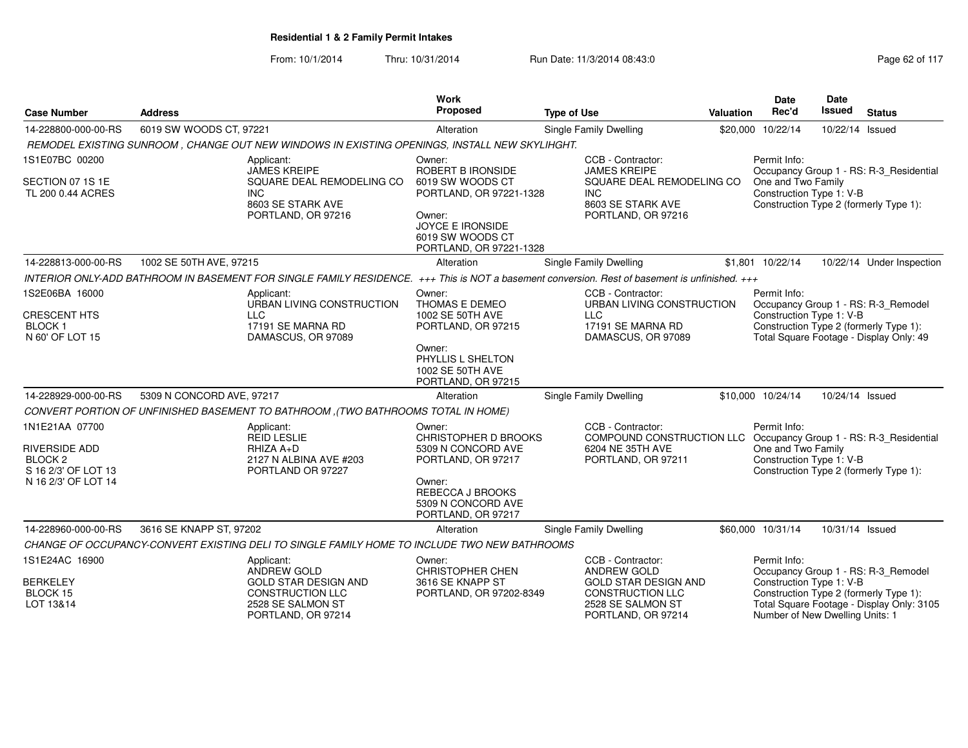| <b>Case Number</b>                                                           | <b>Address</b>                                                                                                                                 | <b>Work</b><br><b>Proposed</b>                                                    | <b>Type of Use</b>                                                                         | Valuation | <b>Date</b><br>Rec'd                                           | Date<br><b>Issued</b>                  | <b>Status</b>                                                                     |
|------------------------------------------------------------------------------|------------------------------------------------------------------------------------------------------------------------------------------------|-----------------------------------------------------------------------------------|--------------------------------------------------------------------------------------------|-----------|----------------------------------------------------------------|----------------------------------------|-----------------------------------------------------------------------------------|
| 14-228800-000-00-RS                                                          | 6019 SW WOODS CT, 97221                                                                                                                        | Alteration                                                                        | <b>Single Family Dwelling</b>                                                              | \$20,000  | 10/22/14                                                       | 10/22/14 Issued                        |                                                                                   |
|                                                                              | REMODEL EXISTING SUNROOM, CHANGE OUT NEW WINDOWS IN EXISTING OPENINGS, INSTALL NEW SKYLIHGHT.                                                  |                                                                                   |                                                                                            |           |                                                                |                                        |                                                                                   |
| 1S1E07BC 00200                                                               | Applicant:<br><b>JAMES KREIPE</b>                                                                                                              | Owner:<br>ROBERT B IRONSIDE                                                       | CCB - Contractor:<br><b>JAMES KREIPE</b>                                                   |           | Permit Info:                                                   |                                        | Occupancy Group 1 - RS: R-3_Residential                                           |
| SECTION 07 1S 1E<br>TL 200 0.44 ACRES                                        | SQUARE DEAL REMODELING CO<br><b>INC</b><br>8603 SE STARK AVE<br>PORTLAND, OR 97216                                                             | 6019 SW WOODS CT<br>PORTLAND, OR 97221-1328<br>Owner:<br><b>JOYCE E IRONSIDE</b>  | SQUARE DEAL REMODELING CO<br>INC<br>8603 SE STARK AVE<br>PORTLAND, OR 97216                |           | One and Two Family<br>Construction Type 1: V-B                 | Construction Type 2 (formerly Type 1): |                                                                                   |
|                                                                              |                                                                                                                                                | 6019 SW WOODS CT<br>PORTLAND, OR 97221-1328                                       |                                                                                            |           |                                                                |                                        |                                                                                   |
| 14-228813-000-00-RS                                                          | 1002 SE 50TH AVE, 97215                                                                                                                        | Alteration                                                                        | Single Family Dwelling                                                                     |           | \$1,801 10/22/14                                               |                                        | 10/22/14 Under Inspection                                                         |
|                                                                              | INTERIOR ONLY-ADD BATHROOM IN BASEMENT FOR SINGLE FAMILY RESIDENCE. +++ This is NOT a basement conversion. Rest of basement is unfinished. +++ |                                                                                   |                                                                                            |           |                                                                |                                        |                                                                                   |
| 1S2E06BA 16000                                                               | Applicant:<br>URBAN LIVING CONSTRUCTION                                                                                                        | Owner:<br>THOMAS E DEMEO                                                          | CCB - Contractor:<br>URBAN LIVING CONSTRUCTION                                             |           | Permit Info:                                                   |                                        | Occupancy Group 1 - RS: R-3_Remodel                                               |
| <b>CRESCENT HTS</b><br>BLOCK 1<br>N 60' OF LOT 15                            | <b>LLC</b><br>17191 SE MARNA RD<br>DAMASCUS, OR 97089                                                                                          | 1002 SE 50TH AVE<br>PORTLAND, OR 97215                                            | LLC<br>17191 SE MARNA RD<br>DAMASCUS, OR 97089                                             |           | Construction Type 1: V-B                                       |                                        | Construction Type 2 (formerly Type 1):<br>Total Square Footage - Display Only: 49 |
|                                                                              |                                                                                                                                                | Owner:<br>PHYLLIS L SHELTON<br>1002 SE 50TH AVE<br>PORTLAND, OR 97215             |                                                                                            |           |                                                                |                                        |                                                                                   |
| 14-228929-000-00-RS                                                          | 5309 N CONCORD AVE, 97217                                                                                                                      | Alteration                                                                        | Single Family Dwelling                                                                     |           | \$10,000 10/24/14                                              | 10/24/14 Issued                        |                                                                                   |
|                                                                              | CONVERT PORTION OF UNFINISHED BASEMENT TO BATHROOM , (TWO BATHROOMS TOTAL IN HOME)                                                             |                                                                                   |                                                                                            |           |                                                                |                                        |                                                                                   |
| 1N1E21AA 07700<br>RIVERSIDE ADD<br>BLOCK <sub>2</sub><br>S 16 2/3' OF LOT 13 | Applicant:<br><b>REID LESLIE</b><br>RHIZA A+D<br>2127 N ALBINA AVE #203<br>PORTLAND OR 97227                                                   | Owner:<br><b>CHRISTOPHER D BROOKS</b><br>5309 N CONCORD AVE<br>PORTLAND, OR 97217 | CCB - Contractor:<br>COMPOUND CONSTRUCTION LLC<br>6204 NE 35TH AVE<br>PORTLAND, OR 97211   |           | Permit Info:<br>One and Two Family<br>Construction Type 1: V-B |                                        | Occupancy Group 1 - RS: R-3_Residential<br>Construction Type 2 (formerly Type 1): |
| N 16 2/3' OF LOT 14                                                          |                                                                                                                                                | Owner:<br>REBECCA J BROOKS<br>5309 N CONCORD AVE<br>PORTLAND, OR 97217            |                                                                                            |           |                                                                |                                        |                                                                                   |
| 14-228960-000-00-RS                                                          | 3616 SE KNAPP ST, 97202                                                                                                                        | Alteration                                                                        | Single Family Dwelling                                                                     |           | \$60,000 10/31/14                                              | 10/31/14 Issued                        |                                                                                   |
|                                                                              | CHANGE OF OCCUPANCY-CONVERT EXISTING DELI TO SINGLE FAMILY HOME TO INCLUDE TWO NEW BATHROOMS                                                   |                                                                                   |                                                                                            |           |                                                                |                                        |                                                                                   |
| 1S1E24AC 16900<br><b>BERKELEY</b><br>BLOCK 15                                | Applicant:<br><b>ANDREW GOLD</b><br><b>GOLD STAR DESIGN AND</b><br>CONSTRUCTION LLC                                                            | Owner:<br><b>CHRISTOPHER CHEN</b><br>3616 SE KNAPP ST<br>PORTLAND, OR 97202-8349  | CCB - Contractor:<br><b>ANDREW GOLD</b><br><b>GOLD STAR DESIGN AND</b><br>CONSTRUCTION LLC |           | Permit Info:<br>Construction Type 1: V-B                       |                                        | Occupancy Group 1 - RS: R-3_Remodel<br>Construction Type 2 (formerly Type 1):     |
| LOT 13&14                                                                    | 2528 SE SALMON ST<br>PORTLAND, OR 97214                                                                                                        |                                                                                   | 2528 SE SALMON ST<br>PORTLAND, OR 97214                                                    |           | Number of New Dwelling Units: 1                                |                                        | Total Square Footage - Display Only: 3105                                         |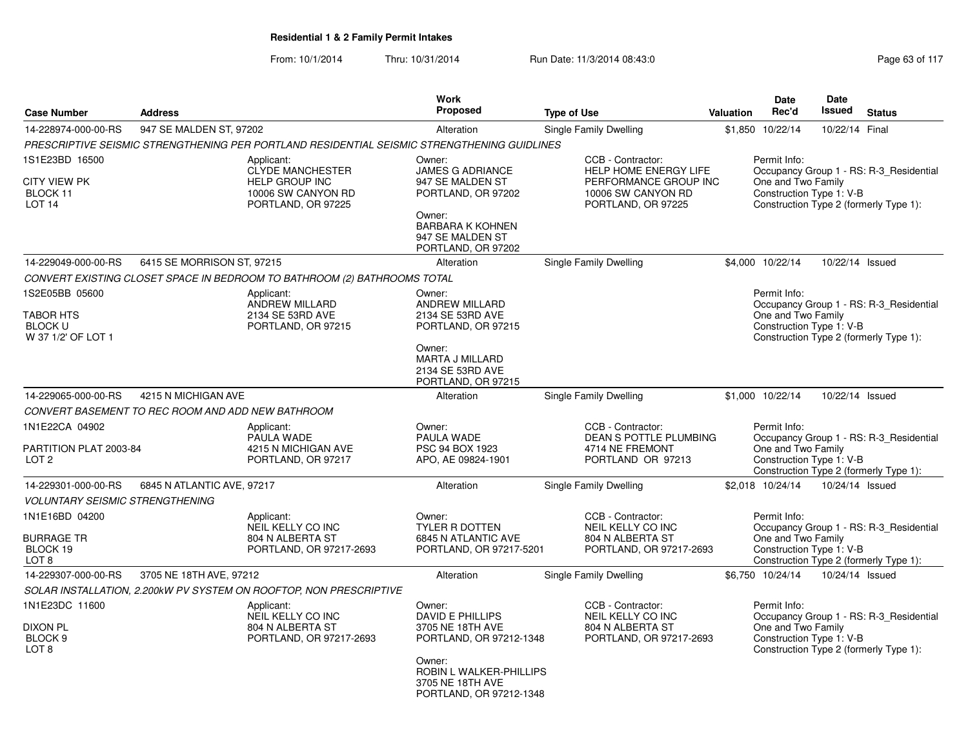| <b>Case Number</b>                                                          | <b>Address</b>             |                                                                                                            | <b>Work</b><br><b>Proposed</b>                                                                                                                                | <b>Type of Use</b>                                                                                              | Valuation | <b>Date</b><br>Rec'd                                           | <b>Date</b><br><b>Issued</b> | <b>Status</b>                                                                     |
|-----------------------------------------------------------------------------|----------------------------|------------------------------------------------------------------------------------------------------------|---------------------------------------------------------------------------------------------------------------------------------------------------------------|-----------------------------------------------------------------------------------------------------------------|-----------|----------------------------------------------------------------|------------------------------|-----------------------------------------------------------------------------------|
| 14-228974-000-00-RS                                                         | 947 SE MALDEN ST, 97202    |                                                                                                            |                                                                                                                                                               |                                                                                                                 |           | 10/22/14                                                       | 10/22/14 Final               |                                                                                   |
|                                                                             |                            | PRESCRIPTIVE SEISMIC STRENGTHENING PER PORTLAND RESIDENTIAL SEISMIC STRENGTHENING GUIDLINES                | Alteration                                                                                                                                                    | Single Family Dwelling                                                                                          | \$1,850   |                                                                |                              |                                                                                   |
| 1S1E23BD 16500<br><b>CITY VIEW PK</b><br>BLOCK 11<br>LOT <sub>14</sub>      |                            | Applicant:<br><b>CLYDE MANCHESTER</b><br><b>HELP GROUP INC</b><br>10006 SW CANYON RD<br>PORTLAND, OR 97225 | Owner:<br><b>JAMES G ADRIANCE</b><br>947 SE MALDEN ST<br>PORTLAND, OR 97202<br>Owner:<br><b>BARBARA K KOHNEN</b><br>947 SE MALDEN ST                          | CCB - Contractor:<br>HELP HOME ENERGY LIFE<br>PERFORMANCE GROUP INC<br>10006 SW CANYON RD<br>PORTLAND, OR 97225 |           | Permit Info:<br>One and Two Family<br>Construction Type 1: V-B |                              | Occupancy Group 1 - RS: R-3 Residential<br>Construction Type 2 (formerly Type 1): |
|                                                                             |                            |                                                                                                            | PORTLAND, OR 97202                                                                                                                                            |                                                                                                                 |           |                                                                |                              |                                                                                   |
| 14-229049-000-00-RS                                                         | 6415 SE MORRISON ST, 97215 |                                                                                                            | Alteration                                                                                                                                                    | Single Family Dwelling                                                                                          |           | \$4,000 10/22/14                                               | 10/22/14 Issued              |                                                                                   |
|                                                                             |                            | CONVERT EXISTING CLOSET SPACE IN BEDROOM TO BATHROOM (2) BATHROOMS TOTAL                                   |                                                                                                                                                               |                                                                                                                 |           |                                                                |                              |                                                                                   |
| 1S2E05BB 05600<br><b>TABOR HTS</b><br><b>BLOCK U</b><br>W 37 1/2' OF LOT 1  |                            | Applicant:<br>ANDREW MILLARD<br>2134 SE 53RD AVE<br>PORTLAND, OR 97215                                     | Owner:<br><b>ANDREW MILLARD</b><br>2134 SE 53RD AVE<br>PORTLAND, OR 97215<br>Owner:<br><b>MARTA J MILLARD</b>                                                 |                                                                                                                 |           | Permit Info:<br>One and Two Family<br>Construction Type 1: V-B |                              | Occupancy Group 1 - RS: R-3 Residential<br>Construction Type 2 (formerly Type 1): |
|                                                                             |                            |                                                                                                            | 2134 SE 53RD AVE<br>PORTLAND, OR 97215                                                                                                                        |                                                                                                                 |           |                                                                |                              |                                                                                   |
| 14-229065-000-00-RS                                                         | 4215 N MICHIGAN AVE        |                                                                                                            | Alteration                                                                                                                                                    | <b>Single Family Dwelling</b>                                                                                   |           | \$1,000 10/22/14                                               | 10/22/14 Issued              |                                                                                   |
| CONVERT BASEMENT TO REC ROOM AND ADD NEW BATHROOM                           |                            |                                                                                                            |                                                                                                                                                               |                                                                                                                 |           |                                                                |                              |                                                                                   |
| 1N1E22CA 04902<br>PARTITION PLAT 2003-84<br>LOT 2                           |                            | Applicant:<br>PAULA WADE<br>4215 N MICHIGAN AVE<br>PORTLAND, OR 97217                                      | Owner:<br>PAULA WADE<br>PSC 94 BOX 1923<br>APO, AE 09824-1901                                                                                                 | CCB - Contractor:<br>DEAN S POTTLE PLUMBING<br>4714 NE FREMONT<br>PORTLAND OR 97213                             |           | Permit Info:<br>One and Two Family<br>Construction Type 1: V-B |                              | Occupancy Group 1 - RS: R-3 Residential<br>Construction Type 2 (formerly Type 1): |
| 14-229301-000-00-RS                                                         | 6845 N ATLANTIC AVE, 97217 |                                                                                                            | Alteration                                                                                                                                                    | Single Family Dwelling                                                                                          |           | \$2.018 10/24/14                                               | 10/24/14 Issued              |                                                                                   |
| <b>VOLUNTARY SEISMIC STRENGTHENING</b>                                      |                            |                                                                                                            |                                                                                                                                                               |                                                                                                                 |           |                                                                |                              |                                                                                   |
| 1N1E16BD 04200<br><b>BURRAGE TR</b><br>BLOCK 19<br>LOT <sub>8</sub>         |                            | Applicant:<br>NEIL KELLY CO INC<br>804 N ALBERTA ST<br>PORTLAND, OR 97217-2693                             | Owner:<br><b>TYLER R DOTTEN</b><br>6845 N ATLANTIC AVE<br>PORTLAND, OR 97217-5201                                                                             | CCB - Contractor:<br>NEIL KELLY CO INC<br>804 N ALBERTA ST<br>PORTLAND, OR 97217-2693                           |           | Permit Info:<br>One and Two Family<br>Construction Type 1: V-B |                              | Occupancy Group 1 - RS: R-3 Residential<br>Construction Type 2 (formerly Type 1): |
| 14-229307-000-00-RS                                                         | 3705 NE 18TH AVE, 97212    |                                                                                                            | Alteration                                                                                                                                                    | <b>Single Family Dwelling</b>                                                                                   |           | \$6,750 10/24/14                                               | 10/24/14 Issued              |                                                                                   |
|                                                                             |                            | SOLAR INSTALLATION, 2.200kW PV SYSTEM ON ROOFTOP, NON PRESCRIPTIVE                                         |                                                                                                                                                               |                                                                                                                 |           |                                                                |                              |                                                                                   |
| 1N1E23DC 11600<br><b>DIXON PL</b><br>BLOCK <sub>9</sub><br>LOT <sub>8</sub> |                            | Applicant:<br>NEIL KELLY CO INC<br>804 N ALBERTA ST<br>PORTLAND, OR 97217-2693                             | Owner:<br>DAVID E PHILLIPS<br>3705 NE 18TH AVE<br>PORTLAND, OR 97212-1348<br>Owner:<br>ROBIN L WALKER-PHILLIPS<br>3705 NE 18TH AVE<br>PORTLAND, OR 97212-1348 | CCB - Contractor:<br>NEIL KELLY CO INC<br>804 N ALBERTA ST<br>PORTLAND, OR 97217-2693                           |           | Permit Info:<br>One and Two Family<br>Construction Type 1: V-B |                              | Occupancy Group 1 - RS: R-3 Residential<br>Construction Type 2 (formerly Type 1): |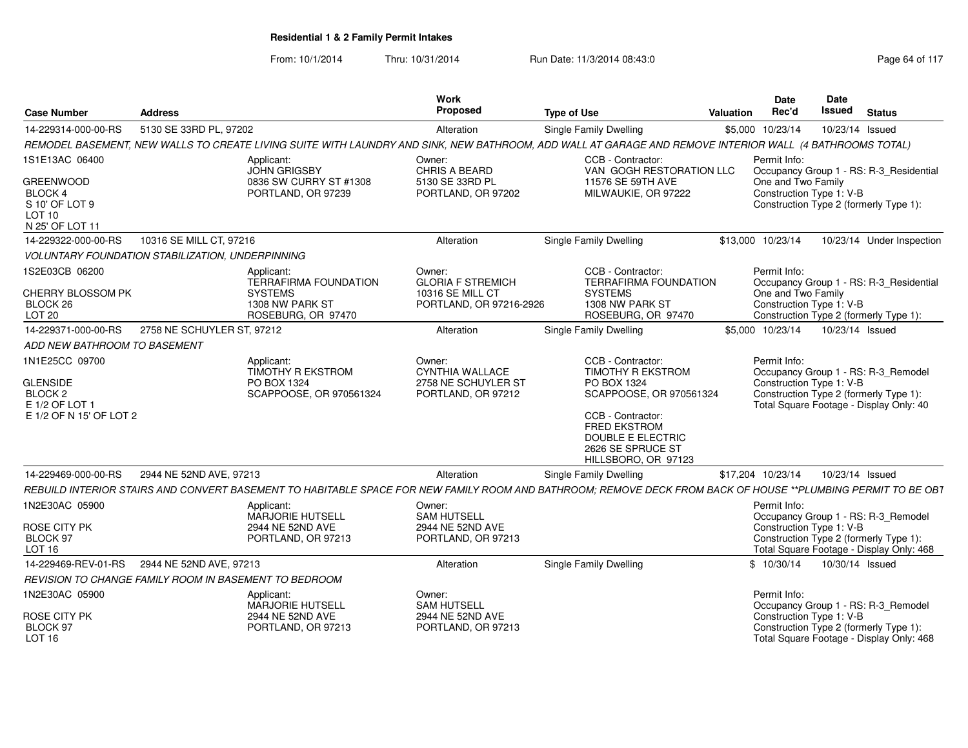| <b>Case Number</b>                                                                           | <b>Address</b>                                               |                                                                                  | Work<br>Proposed                                                              | <b>Type of Use</b>                                                                                                                                           | <b>Valuation</b> | <b>Date</b><br>Rec'd                           | Date<br><b>Issued</b> | <b>Status</b>                                                                                                            |
|----------------------------------------------------------------------------------------------|--------------------------------------------------------------|----------------------------------------------------------------------------------|-------------------------------------------------------------------------------|--------------------------------------------------------------------------------------------------------------------------------------------------------------|------------------|------------------------------------------------|-----------------------|--------------------------------------------------------------------------------------------------------------------------|
| 14-229314-000-00-RS                                                                          | 5130 SE 33RD PL, 97202                                       |                                                                                  | Alteration                                                                    | <b>Single Family Dwelling</b>                                                                                                                                |                  | \$5,000 10/23/14                               | 10/23/14 Issued       |                                                                                                                          |
|                                                                                              |                                                              |                                                                                  |                                                                               | REMODEL BASEMENT, NEW WALLS TO CREATE LIVING SUITE WITH LAUNDRY AND SINK, NEW BATHROOM, ADD WALL AT GARAGE AND REMOVE INTERIOR WALL (4 BATHROOMS TOTAL)      |                  |                                                |                       |                                                                                                                          |
| 1S1E13AC 06400                                                                               |                                                              | Applicant:<br><b>JOHN GRIGSBY</b>                                                | Owner:<br>CHRIS A BEARD                                                       | CCB - Contractor:<br>VAN GOGH RESTORATION LLC                                                                                                                |                  | Permit Info:                                   |                       | Occupancy Group 1 - RS: R-3_Residential                                                                                  |
| <b>GREENWOOD</b><br><b>BLOCK 4</b><br>S 10' OF LOT 9<br>LOT <sub>10</sub><br>N 25' OF LOT 11 |                                                              | 0836 SW CURRY ST #1308<br>PORTLAND, OR 97239                                     | 5130 SE 33RD PL<br>PORTLAND, OR 97202                                         | 11576 SE 59TH AVE<br>MILWAUKIE, OR 97222                                                                                                                     |                  | One and Two Family<br>Construction Type 1: V-B |                       | Construction Type 2 (formerly Type 1):                                                                                   |
| 14-229322-000-00-RS                                                                          | 10316 SE MILL CT, 97216                                      |                                                                                  | Alteration                                                                    | <b>Single Family Dwelling</b>                                                                                                                                |                  | \$13,000 10/23/14                              |                       | 10/23/14 Under Inspection                                                                                                |
|                                                                                              | <b>VOLUNTARY FOUNDATION STABILIZATION, UNDERPINNING</b>      |                                                                                  |                                                                               |                                                                                                                                                              |                  |                                                |                       |                                                                                                                          |
| 1S2E03CB 06200<br><b>CHERRY BLOSSOM PK</b>                                                   |                                                              | Applicant:<br><b>TERRAFIRMA FOUNDATION</b><br><b>SYSTEMS</b>                     | Owner:<br><b>GLORIA F STREMICH</b><br>10316 SE MILL CT                        | CCB - Contractor:<br><b>TERRAFIRMA FOUNDATION</b><br><b>SYSTEMS</b>                                                                                          |                  | Permit Info:<br>One and Two Family             |                       | Occupancy Group 1 - RS: R-3_Residential                                                                                  |
| BLOCK 26<br>LOT <sub>20</sub>                                                                |                                                              | 1308 NW PARK ST<br>ROSEBURG, OR 97470                                            | PORTLAND, OR 97216-2926                                                       | 1308 NW PARK ST<br>ROSEBURG, OR 97470                                                                                                                        |                  | Construction Type 1: V-B                       |                       | Construction Type 2 (formerly Type 1):                                                                                   |
| 14-229371-000-00-RS                                                                          | 2758 NE SCHUYLER ST, 97212                                   |                                                                                  | Alteration                                                                    | Single Family Dwelling                                                                                                                                       |                  | \$5,000 10/23/14                               | 10/23/14 Issued       |                                                                                                                          |
| ADD NEW BATHROOM TO BASEMENT                                                                 |                                                              |                                                                                  |                                                                               |                                                                                                                                                              |                  |                                                |                       |                                                                                                                          |
| 1N1E25CC 09700<br><b>GLENSIDE</b><br>BLOCK <sub>2</sub><br>E 1/2 OF LOT 1                    |                                                              | Applicant:<br><b>TIMOTHY R EKSTROM</b><br>PO BOX 1324<br>SCAPPOOSE, OR 970561324 | Owner:<br><b>CYNTHIA WALLACE</b><br>2758 NE SCHUYLER ST<br>PORTLAND, OR 97212 | CCB - Contractor:<br>TIMOTHY R EKSTROM<br>PO BOX 1324<br>SCAPPOOSE, OR 970561324                                                                             |                  | Permit Info:<br>Construction Type 1: V-B       |                       | Occupancy Group 1 - RS: R-3_Remodel<br>Construction Type 2 (formerly Type 1):<br>Total Square Footage - Display Only: 40 |
| E 1/2 OF N 15' OF LOT 2                                                                      |                                                              |                                                                                  |                                                                               | CCB - Contractor:<br>FRED EKSTROM<br>DOUBLE E ELECTRIC<br>2626 SE SPRUCE ST<br>HILLSBORO, OR 97123                                                           |                  |                                                |                       |                                                                                                                          |
| 14-229469-000-00-RS                                                                          | 2944 NE 52ND AVE, 97213                                      |                                                                                  | Alteration                                                                    | Single Family Dwelling                                                                                                                                       |                  | \$17,204 10/23/14                              | 10/23/14 Issued       |                                                                                                                          |
|                                                                                              |                                                              |                                                                                  |                                                                               | REBUILD INTERIOR STAIRS AND CONVERT BASEMENT TO HABITABLE SPACE FOR NEW FAMILY ROOM AND BATHROOM; REMOVE DECK FROM BACK OF HOUSE **PLUMBING PERMIT TO BE OBT |                  |                                                |                       |                                                                                                                          |
| 1N2E30AC 05900                                                                               |                                                              | Applicant:<br>MARJORIE HUTSELL                                                   | Owner:<br><b>SAM HUTSELL</b>                                                  |                                                                                                                                                              |                  | Permit Info:                                   |                       | Occupancy Group 1 - RS: R-3_Remodel                                                                                      |
| <b>ROSE CITY PK</b><br>BLOCK 97<br>LOT <sub>16</sub>                                         |                                                              | 2944 NE 52ND AVE<br>PORTLAND, OR 97213                                           | 2944 NE 52ND AVE<br>PORTLAND, OR 97213                                        |                                                                                                                                                              |                  | Construction Type 1: V-B                       |                       | Construction Type 2 (formerly Type 1):<br>Total Square Footage - Display Only: 468                                       |
| 14-229469-REV-01-RS                                                                          | 2944 NE 52ND AVE, 97213                                      |                                                                                  | Alteration                                                                    | <b>Single Family Dwelling</b>                                                                                                                                |                  | \$10/30/14                                     | 10/30/14 Issued       |                                                                                                                          |
|                                                                                              | <b>REVISION TO CHANGE FAMILY ROOM IN BASEMENT TO BEDROOM</b> |                                                                                  |                                                                               |                                                                                                                                                              |                  |                                                |                       |                                                                                                                          |
| 1N2E30AC 05900                                                                               |                                                              | Applicant:<br><b>MARJORIE HUTSELL</b>                                            | Owner:<br><b>SAM HUTSELL</b>                                                  |                                                                                                                                                              |                  | Permit Info:                                   |                       | Occupancy Group 1 - RS: R-3_Remodel                                                                                      |
| <b>ROSE CITY PK</b><br>BLOCK 97<br>LOT <sub>16</sub>                                         |                                                              | 2944 NE 52ND AVE<br>PORTLAND, OR 97213                                           | 2944 NE 52ND AVE<br>PORTLAND, OR 97213                                        |                                                                                                                                                              |                  | Construction Type 1: V-B                       |                       | Construction Type 2 (formerly Type 1):<br>Total Square Footage - Display Only: 468                                       |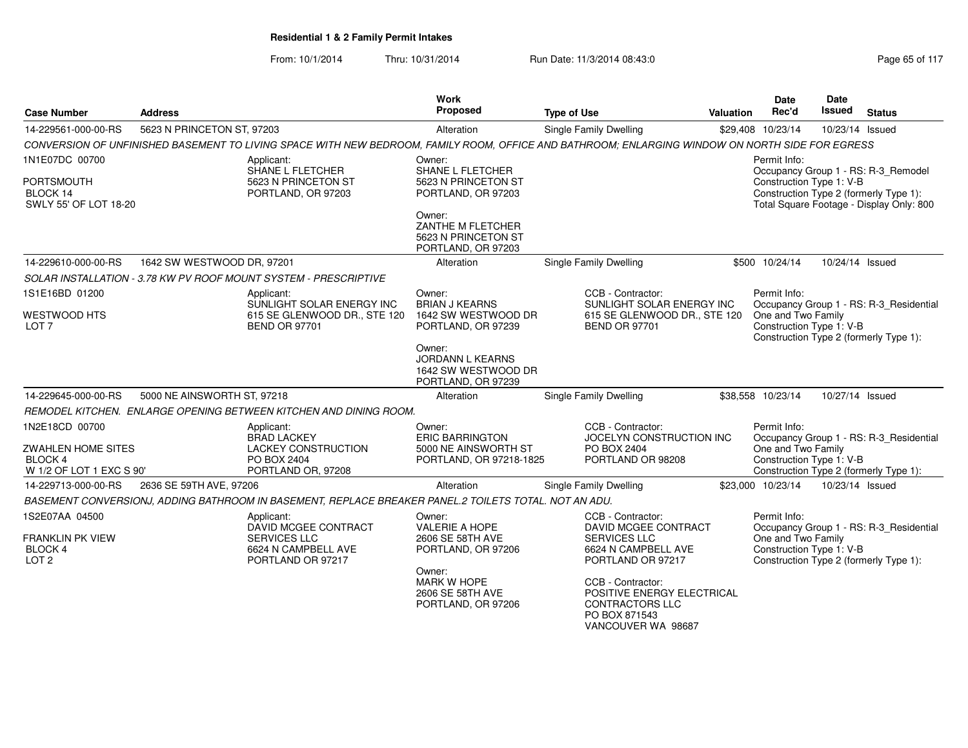| <b>Case Number</b>                                               | <b>Address</b>              |                                                                                                                                                 | <b>Work</b><br>Proposed                                                  | <b>Type of Use</b>                                                                                               | <b>Valuation</b> | <b>Date</b><br>Rec'd                           | <b>Date</b><br>Issued | <b>Status</b>                                                                      |
|------------------------------------------------------------------|-----------------------------|-------------------------------------------------------------------------------------------------------------------------------------------------|--------------------------------------------------------------------------|------------------------------------------------------------------------------------------------------------------|------------------|------------------------------------------------|-----------------------|------------------------------------------------------------------------------------|
| 14-229561-000-00-RS                                              | 5623 N PRINCETON ST, 97203  |                                                                                                                                                 | Alteration                                                               | Single Family Dwelling                                                                                           |                  | \$29,408 10/23/14                              | 10/23/14 Issued       |                                                                                    |
|                                                                  |                             | CONVERSION OF UNFINISHED BASEMENT TO LIVING SPACE WITH NEW BEDROOM, FAMILY ROOM, OFFICE AND BATHROOM; ENLARGING WINDOW ON NORTH SIDE FOR EGRESS |                                                                          |                                                                                                                  |                  |                                                |                       |                                                                                    |
| 1N1E07DC 00700                                                   |                             | Applicant:<br>SHANE L FLETCHER                                                                                                                  | Owner:<br><b>SHANE L FLETCHER</b>                                        |                                                                                                                  |                  | Permit Info:                                   |                       | Occupancy Group 1 - RS: R-3_Remodel                                                |
| PORTSMOUTH<br>BLOCK 14<br>SWLY 55' OF LOT 18-20                  |                             | 5623 N PRINCETON ST<br>PORTLAND, OR 97203                                                                                                       | 5623 N PRINCETON ST<br>PORTLAND, OR 97203                                |                                                                                                                  |                  | Construction Type 1: V-B                       |                       | Construction Type 2 (formerly Type 1):<br>Total Square Footage - Display Only: 800 |
|                                                                  |                             |                                                                                                                                                 | Owner:<br>ZANTHE M FLETCHER<br>5623 N PRINCETON ST<br>PORTLAND, OR 97203 |                                                                                                                  |                  |                                                |                       |                                                                                    |
| 14-229610-000-00-RS                                              | 1642 SW WESTWOOD DR, 97201  |                                                                                                                                                 | Alteration                                                               | <b>Single Family Dwelling</b>                                                                                    |                  | \$500 10/24/14                                 | 10/24/14 Issued       |                                                                                    |
|                                                                  |                             | SOLAR INSTALLATION - 3.78 KW PV ROOF MOUNT SYSTEM - PRESCRIPTIVE                                                                                |                                                                          |                                                                                                                  |                  |                                                |                       |                                                                                    |
| 1S1E16BD 01200                                                   |                             | Applicant:                                                                                                                                      | Owner:                                                                   | CCB - Contractor:                                                                                                |                  | Permit Info:                                   |                       |                                                                                    |
| <b>WESTWOOD HTS</b><br>LOT <sub>7</sub>                          |                             | SUNLIGHT SOLAR ENERGY INC<br>615 SE GLENWOOD DR., STE 120<br><b>BEND OR 97701</b>                                                               | <b>BRIAN J KEARNS</b><br>1642 SW WESTWOOD DR<br>PORTLAND, OR 97239       | SUNLIGHT SOLAR ENERGY INC<br>615 SE GLENWOOD DR., STE 120<br><b>BEND OR 97701</b>                                |                  | One and Two Family<br>Construction Type 1: V-B |                       | Occupancy Group 1 - RS: R-3_Residential<br>Construction Type 2 (formerly Type 1):  |
|                                                                  |                             |                                                                                                                                                 | Owner:<br>JORDANN L KEARNS<br>1642 SW WESTWOOD DR<br>PORTLAND, OR 97239  |                                                                                                                  |                  |                                                |                       |                                                                                    |
| 14-229645-000-00-RS                                              | 5000 NE AINSWORTH ST, 97218 |                                                                                                                                                 | Alteration                                                               | <b>Single Family Dwelling</b>                                                                                    |                  | \$38,558 10/23/14                              | 10/27/14 Issued       |                                                                                    |
|                                                                  |                             | REMODEL KITCHEN. ENLARGE OPENING BETWEEN KITCHEN AND DINING ROOM.                                                                               |                                                                          |                                                                                                                  |                  |                                                |                       |                                                                                    |
| 1N2E18CD 00700                                                   |                             | Applicant:<br><b>BRAD LACKEY</b>                                                                                                                | Owner:<br><b>ERIC BARRINGTON</b>                                         | CCB - Contractor:<br>JOCELYN CONSTRUCTION INC                                                                    |                  | Permit Info:                                   |                       | Occupancy Group 1 - RS: R-3 Residential                                            |
| <b>ZWAHLEN HOME SITES</b><br>BLOCK 4<br>W 1/2 OF LOT 1 EXC S 90' |                             | <b>LACKEY CONSTRUCTION</b><br>PO BOX 2404<br>PORTLAND OR, 97208                                                                                 | 5000 NE AINSWORTH ST<br>PORTLAND, OR 97218-1825                          | PO BOX 2404<br>PORTLAND OR 98208                                                                                 |                  | One and Two Family<br>Construction Type 1: V-B |                       | Construction Type 2 (formerly Type 1):                                             |
| 14-229713-000-00-RS                                              | 2636 SE 59TH AVE, 97206     |                                                                                                                                                 | Alteration                                                               | Single Family Dwelling                                                                                           |                  | \$23,000 10/23/14                              | 10/23/14 Issued       |                                                                                    |
|                                                                  |                             | BASEMENT CONVERSIONJ, ADDING BATHROOM IN BASEMENT, REPLACE BREAKER PANEL.2 TOILETS TOTAL. NOT AN ADU.                                           |                                                                          |                                                                                                                  |                  |                                                |                       |                                                                                    |
| 1S2E07AA 04500                                                   |                             | Applicant:                                                                                                                                      | Owner:                                                                   | CCB - Contractor:                                                                                                |                  | Permit Info:                                   |                       |                                                                                    |
| <b>FRANKLIN PK VIEW</b><br>BLOCK 4<br>LOT <sub>2</sub>           |                             | DAVID MCGEE CONTRACT<br><b>SERVICES LLC</b><br>6624 N CAMPBELL AVE<br>PORTLAND OR 97217                                                         | <b>VALERIE A HOPE</b><br>2606 SE 58TH AVE<br>PORTLAND, OR 97206          | DAVID MCGEE CONTRACT<br><b>SERVICES LLC</b><br>6624 N CAMPBELL AVE<br>PORTLAND OR 97217                          |                  | One and Two Family<br>Construction Type 1: V-B |                       | Occupancy Group 1 - RS: R-3_Residential<br>Construction Type 2 (formerly Type 1):  |
|                                                                  |                             |                                                                                                                                                 | Owner:<br><b>MARK W HOPE</b><br>2606 SE 58TH AVE<br>PORTLAND, OR 97206   | CCB - Contractor:<br>POSITIVE ENERGY ELECTRICAL<br><b>CONTRACTORS LLC</b><br>PO BOX 871543<br>VANCOUVER WA 98687 |                  |                                                |                       |                                                                                    |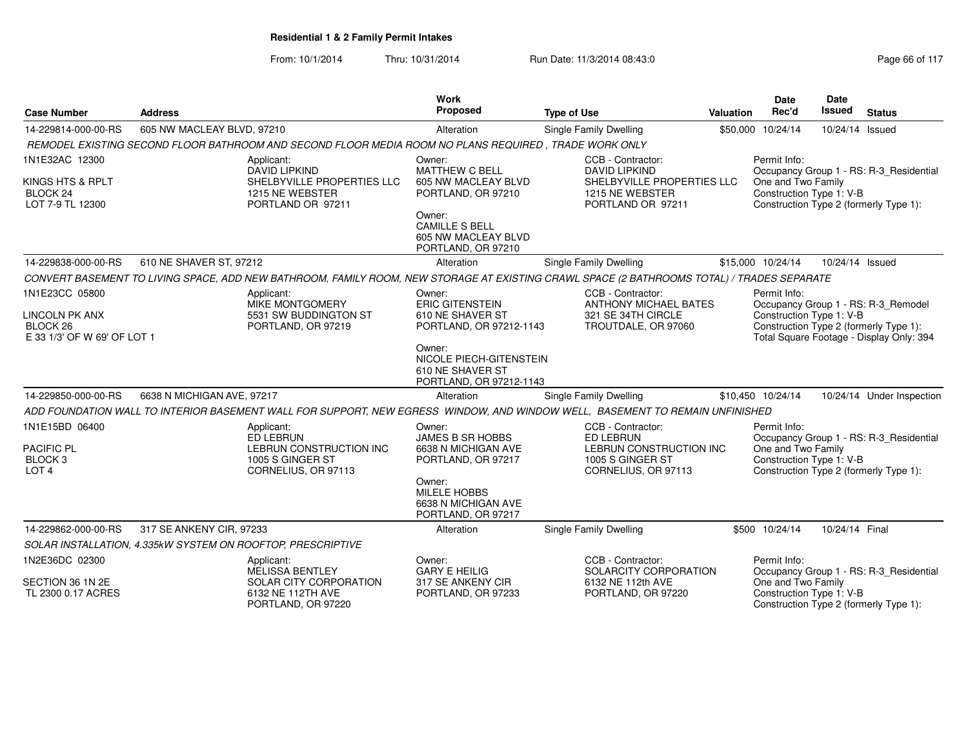| <b>Case Number</b>                                                                 | <b>Address</b>                                              | <b>Work</b><br>Proposed                                                                                                                    | <b>Type of Use</b>                                                                                                                                                                                                                                |                                                                                                                 | <b>Valuation</b> | Date<br>Rec'd                                                  | <b>Date</b><br>Issued | <b>Status</b>                                                                                                             |
|------------------------------------------------------------------------------------|-------------------------------------------------------------|--------------------------------------------------------------------------------------------------------------------------------------------|---------------------------------------------------------------------------------------------------------------------------------------------------------------------------------------------------------------------------------------------------|-----------------------------------------------------------------------------------------------------------------|------------------|----------------------------------------------------------------|-----------------------|---------------------------------------------------------------------------------------------------------------------------|
| 14-229814-000-00-RS                                                                | 605 NW MACLEAY BLVD, 97210                                  | Alteration                                                                                                                                 |                                                                                                                                                                                                                                                   | Single Family Dwelling                                                                                          |                  | \$50,000 10/24/14                                              | 10/24/14 Issued       |                                                                                                                           |
|                                                                                    |                                                             | REMODEL EXISTING SECOND FLOOR BATHROOM AND SECOND FLOOR MEDIA ROOM NO PLANS REQUIRED. TRADE WORK ONLY                                      |                                                                                                                                                                                                                                                   |                                                                                                                 |                  |                                                                |                       |                                                                                                                           |
| 1N1E32AC 12300<br>KINGS HTS & RPLT<br>BLOCK <sub>24</sub><br>LOT 7-9 TL 12300      | Applicant:<br><b>DAVID LIPKIND</b><br>1215 NE WEBSTER       | Owner:<br>MATTHEW C BELL<br>SHELBYVILLE PROPERTIES LLC<br>PORTLAND OR 97211<br>Owner:<br><b>CAMILLE S BELL</b>                             | 605 NW MACLEAY BLVD<br>PORTLAND, OR 97210<br>605 NW MACLEAY BLVD                                                                                                                                                                                  | CCB - Contractor:<br><b>DAVID LIPKIND</b><br>SHELBYVILLE PROPERTIES LLC<br>1215 NE WEBSTER<br>PORTLAND OR 97211 |                  | Permit Info:<br>One and Two Family<br>Construction Type 1: V-B |                       | Occupancy Group 1 - RS: R-3_Residential<br>Construction Type 2 (formerly Type 1):                                         |
|                                                                                    |                                                             |                                                                                                                                            | PORTLAND, OR 97210                                                                                                                                                                                                                                |                                                                                                                 |                  |                                                                |                       |                                                                                                                           |
| 14-229838-000-00-RS                                                                | 610 NE SHAVER ST, 97212                                     | Alteration                                                                                                                                 |                                                                                                                                                                                                                                                   | Single Family Dwelling                                                                                          |                  | \$15,000 10/24/14                                              | 10/24/14 Issued       |                                                                                                                           |
|                                                                                    |                                                             | CONVERT BASEMENT TO LIVING SPACE, ADD NEW BATHROOM, FAMILY ROOM, NEW STORAGE AT EXISTING CRAWL SPACE (2 BATHROOMS TOTAL) / TRADES SEPARATE |                                                                                                                                                                                                                                                   |                                                                                                                 |                  |                                                                |                       |                                                                                                                           |
| 1N1E23CC 05800<br><b>LINCOLN PK ANX</b><br>BLOCK 26<br>E 33 1/3' OF W 69' OF LOT 1 | Applicant:                                                  | Owner:<br>MIKE MONTGOMERY<br>5531 SW BUDDINGTON ST<br>PORTLAND, OR 97219<br>Owner:                                                         | CCB - Contractor:<br><b>ERIC GITENSTEIN</b><br><b>ANTHONY MICHAEL BATES</b><br>610 NE SHAVER ST<br>321 SE 34TH CIRCLE<br>PORTLAND, OR 97212-1143<br>TROUTDALE, OR 97060<br>NICOLE PIECH-GITENSTEIN<br>610 NE SHAVER ST<br>PORTLAND, OR 97212-1143 |                                                                                                                 |                  | Permit Info:<br>Construction Type 1: V-B                       |                       | Occupancy Group 1 - RS: R-3_Remodel<br>Construction Type 2 (formerly Type 1):<br>Total Square Footage - Display Only: 394 |
| 14-229850-000-00-RS                                                                | 6638 N MICHIGAN AVE, 97217                                  | Alteration                                                                                                                                 |                                                                                                                                                                                                                                                   | Single Family Dwelling                                                                                          |                  | \$10,450 10/24/14                                              |                       | 10/24/14 Under Inspection                                                                                                 |
|                                                                                    |                                                             | ADD FOUNDATION WALL TO INTERIOR BASEMENT WALL FOR SUPPORT, NEW EGRESS WINDOW, AND WINDOW WELL, BASEMENT TO REMAIN UNFINISHED               |                                                                                                                                                                                                                                                   |                                                                                                                 |                  |                                                                |                       |                                                                                                                           |
| 1N1E15BD 06400<br><b>PACIFIC PL</b><br>BLOCK <sub>3</sub><br>LOT <sub>4</sub>      | Applicant:<br><b>ED LEBRUN</b><br>1005 S GINGER ST          | Owner:<br>LEBRUN CONSTRUCTION INC<br>CORNELIUS, OR 97113<br>Owner:<br><b>MILELE HOBBS</b>                                                  | <b>JAMES B SR HOBBS</b><br>6638 N MICHIGAN AVE<br>PORTLAND, OR 97217<br>6638 N MICHIGAN AVE<br>PORTLAND, OR 97217                                                                                                                                 | CCB - Contractor:<br>ED LEBRUN<br>LEBRUN CONSTRUCTION INC<br>1005 S GINGER ST<br>CORNELIUS, OR 97113            |                  | Permit Info:<br>One and Two Family<br>Construction Type 1: V-B |                       | Occupancy Group 1 - RS: R-3_Residential<br>Construction Type 2 (formerly Type 1):                                         |
| 14-229862-000-00-RS                                                                | 317 SE ANKENY CIR, 97233                                    | Alteration                                                                                                                                 |                                                                                                                                                                                                                                                   | <b>Single Family Dwelling</b>                                                                                   |                  | \$500 10/24/14                                                 | 10/24/14 Final        |                                                                                                                           |
|                                                                                    | SOLAR INSTALLATION, 4.335kW SYSTEM ON ROOFTOP, PRESCRIPTIVE |                                                                                                                                            |                                                                                                                                                                                                                                                   |                                                                                                                 |                  |                                                                |                       |                                                                                                                           |
| 1N2E36DC 02300                                                                     | Applicant:<br><b>MELISSA BENTLEY</b>                        | Owner:<br><b>GARY E HEILIG</b>                                                                                                             |                                                                                                                                                                                                                                                   | CCB - Contractor:<br>SOLARCITY CORPORATION                                                                      |                  | Permit Info:                                                   |                       | Occupancy Group 1 - RS: R-3_Residential                                                                                   |
| SECTION 36 1N 2E<br>TL 2300 0.17 ACRES                                             |                                                             | SOLAR CITY CORPORATION<br>6132 NE 112TH AVE<br>PORTLAND, OR 97220                                                                          | 317 SE ANKENY CIR<br>PORTLAND, OR 97233                                                                                                                                                                                                           | 6132 NE 112th AVE<br>PORTLAND, OR 97220                                                                         |                  | One and Two Family<br>Construction Type 1: V-B                 |                       | Construction Type 2 (formerly Type 1):                                                                                    |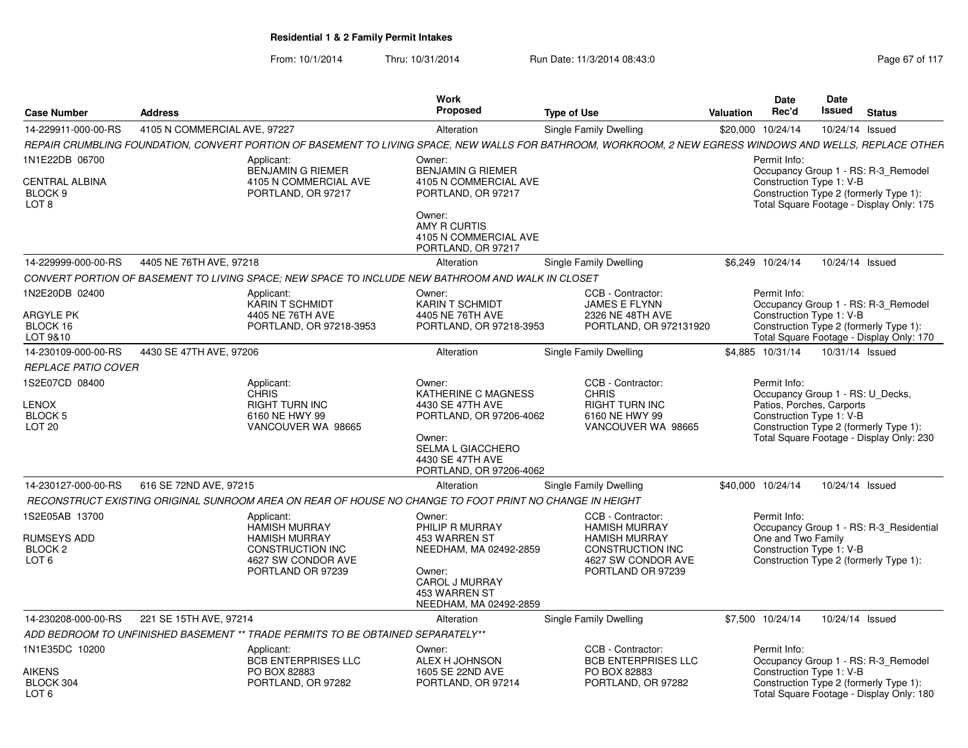| <b>Case Number</b>                                                      | <b>Address</b>               |                                                                                                                                  | Work<br>Proposed                                                                                                                                                         | <b>Type of Use</b>                                                                                                                                        | <b>Valuation</b> | <b>Date</b><br>Rec'd                                                  | Date<br><b>Issued</b> | <b>Status</b>                                                                                                             |
|-------------------------------------------------------------------------|------------------------------|----------------------------------------------------------------------------------------------------------------------------------|--------------------------------------------------------------------------------------------------------------------------------------------------------------------------|-----------------------------------------------------------------------------------------------------------------------------------------------------------|------------------|-----------------------------------------------------------------------|-----------------------|---------------------------------------------------------------------------------------------------------------------------|
| 14-229911-000-00-RS                                                     | 4105 N COMMERCIAL AVE, 97227 |                                                                                                                                  | Alteration                                                                                                                                                               | Single Family Dwelling                                                                                                                                    |                  | \$20,000 10/24/14                                                     |                       | 10/24/14 Issued                                                                                                           |
|                                                                         |                              |                                                                                                                                  |                                                                                                                                                                          | REPAIR CRUMBLING FOUNDATION, CONVERT PORTION OF BASEMENT TO LIVING SPACE, NEW WALLS FOR BATHROOM, WORKROOM, 2 NEW EGRESS WINDOWS AND WELLS, REPLACE OTHER |                  |                                                                       |                       |                                                                                                                           |
| 1N1E22DB 06700<br><b>CENTRAL ALBINA</b><br>BLOCK 9<br>LOT <sub>8</sub>  |                              | Applicant:<br>BENJAMIN G RIEMER<br>4105 N COMMERCIAL AVE<br>PORTLAND, OR 97217                                                   | Owner:<br><b>BENJAMIN G RIEMER</b><br>4105 N COMMERCIAL AVE<br>PORTLAND, OR 97217<br>Owner:<br>AMY R CURTIS<br>4105 N COMMERCIAL AVE<br>PORTLAND, OR 97217               |                                                                                                                                                           |                  | Permit Info:<br>Construction Type 1: V-B                              |                       | Occupancy Group 1 - RS: R-3_Remodel<br>Construction Type 2 (formerly Type 1):<br>Total Square Footage - Display Only: 175 |
| 14-229999-000-00-RS                                                     | 4405 NE 76TH AVE, 97218      |                                                                                                                                  | Alteration                                                                                                                                                               | Single Family Dwelling                                                                                                                                    |                  | \$6.249 10/24/14                                                      |                       | 10/24/14 Issued                                                                                                           |
|                                                                         |                              | CONVERT PORTION OF BASEMENT TO LIVING SPACE; NEW SPACE TO INCLUDE NEW BATHROOM AND WALK IN CLOSET                                |                                                                                                                                                                          |                                                                                                                                                           |                  |                                                                       |                       |                                                                                                                           |
| 1N2E20DB 02400<br>ARGYLE PK<br>BLOCK 16<br>LOT 9&10                     |                              | Applicant:<br><b>KARIN T SCHMIDT</b><br>4405 NE 76TH AVE<br>PORTLAND, OR 97218-3953                                              | Owner:<br><b>KARIN T SCHMIDT</b><br>4405 NE 76TH AVE<br>PORTLAND, OR 97218-3953                                                                                          | CCB - Contractor:<br><b>JAMES E FLYNN</b><br>2326 NE 48TH AVE<br>PORTLAND, OR 972131920                                                                   |                  | Permit Info:<br>Construction Type 1: V-B                              |                       | Occupancy Group 1 - RS: R-3 Remodel<br>Construction Type 2 (formerly Type 1):<br>Total Square Footage - Display Only: 170 |
| 14-230109-000-00-RS                                                     | 4430 SE 47TH AVE, 97206      |                                                                                                                                  | Alteration                                                                                                                                                               | Single Family Dwelling                                                                                                                                    |                  | \$4.885 10/31/14                                                      |                       | 10/31/14 Issued                                                                                                           |
| <b>REPLACE PATIO COVER</b>                                              |                              |                                                                                                                                  |                                                                                                                                                                          |                                                                                                                                                           |                  |                                                                       |                       |                                                                                                                           |
| 1S2E07CD 08400<br>LENOX<br>BLOCK 5<br>LOT <sub>20</sub>                 |                              | Applicant:<br><b>CHRIS</b><br><b>RIGHT TURN INC</b><br>6160 NE HWY 99<br>VANCOUVER WA 98665                                      | Owner:<br><b>KATHERINE C MAGNESS</b><br>4430 SE 47TH AVE<br>PORTLAND, OR 97206-4062<br>Owner:<br><b>SELMA L GIACCHERO</b><br>4430 SE 47TH AVE<br>PORTLAND, OR 97206-4062 | CCB - Contractor:<br><b>CHRIS</b><br><b>RIGHT TURN INC</b><br>6160 NE HWY 99<br>VANCOUVER WA 98665                                                        |                  | Permit Info:<br>Patios, Porches, Carports<br>Construction Type 1: V-B |                       | Occupancy Group 1 - RS: U Decks,<br>Construction Type 2 (formerly Type 1):<br>Total Square Footage - Display Only: 230    |
| 14-230127-000-00-RS                                                     | 616 SE 72ND AVE, 97215       |                                                                                                                                  | Alteration                                                                                                                                                               | Single Family Dwelling                                                                                                                                    |                  | \$40,000 10/24/14                                                     |                       | 10/24/14 Issued                                                                                                           |
|                                                                         |                              | RECONSTRUCT EXISTING ORIGINAL SUNROOM AREA ON REAR OF HOUSE NO CHANGE TO FOOT PRINT NO CHANGE IN HEIGHT                          |                                                                                                                                                                          |                                                                                                                                                           |                  |                                                                       |                       |                                                                                                                           |
| 1S2E05AB 13700<br>RUMSEYS ADD<br>BLOCK <sub>2</sub><br>LOT <sub>6</sub> |                              | Applicant:<br><b>HAMISH MURRAY</b><br><b>HAMISH MURRAY</b><br><b>CONSTRUCTION INC</b><br>4627 SW CONDOR AVE<br>PORTLAND OR 97239 | Owner:<br>PHILIP R MURRAY<br>453 WARREN ST<br>NEEDHAM, MA 02492-2859<br>Owner:<br><b>CAROL J MURRAY</b><br>453 WARREN ST<br>NEEDHAM, MA 02492-2859                       | CCB - Contractor:<br><b>HAMISH MURRAY</b><br><b>HAMISH MURRAY</b><br><b>CONSTRUCTION INC</b><br>4627 SW CONDOR AVE<br>PORTLAND OR 97239                   |                  | Permit Info:<br>One and Two Family<br>Construction Type 1: V-B        |                       | Occupancy Group 1 - RS: R-3_Residential<br>Construction Type 2 (formerly Type 1):                                         |
| 14-230208-000-00-RS                                                     | 221 SE 15TH AVE, 97214       |                                                                                                                                  | Alteration                                                                                                                                                               | Single Family Dwelling                                                                                                                                    |                  | \$7,500 10/24/14                                                      |                       | 10/24/14 Issued                                                                                                           |
|                                                                         |                              | ADD BEDROOM TO UNFINISHED BASEMENT ** TRADE PERMITS TO BE OBTAINED SEPARATELY**                                                  |                                                                                                                                                                          |                                                                                                                                                           |                  |                                                                       |                       |                                                                                                                           |
| 1N1E35DC 10200<br><b>AIKENS</b><br>BLOCK 304                            |                              | Applicant:<br><b>BCB ENTERPRISES LLC</b><br>PO BOX 82883<br>PORTLAND, OR 97282                                                   | Owner:<br>ALEX H JOHNSON<br>1605 SE 22ND AVE<br>PORTLAND, OR 97214                                                                                                       | CCB - Contractor:<br><b>BCB ENTERPRISES LLC</b><br>PO BOX 82883<br>PORTLAND, OR 97282                                                                     |                  | Permit Info:<br>Construction Type 1: V-B                              |                       | Occupancy Group 1 - RS: R-3_Remodel<br>Construction Type 2 (formerly Type 1):                                             |
| LOT <sub>6</sub>                                                        |                              |                                                                                                                                  |                                                                                                                                                                          |                                                                                                                                                           |                  |                                                                       |                       | Total Square Footage - Display Only: 180                                                                                  |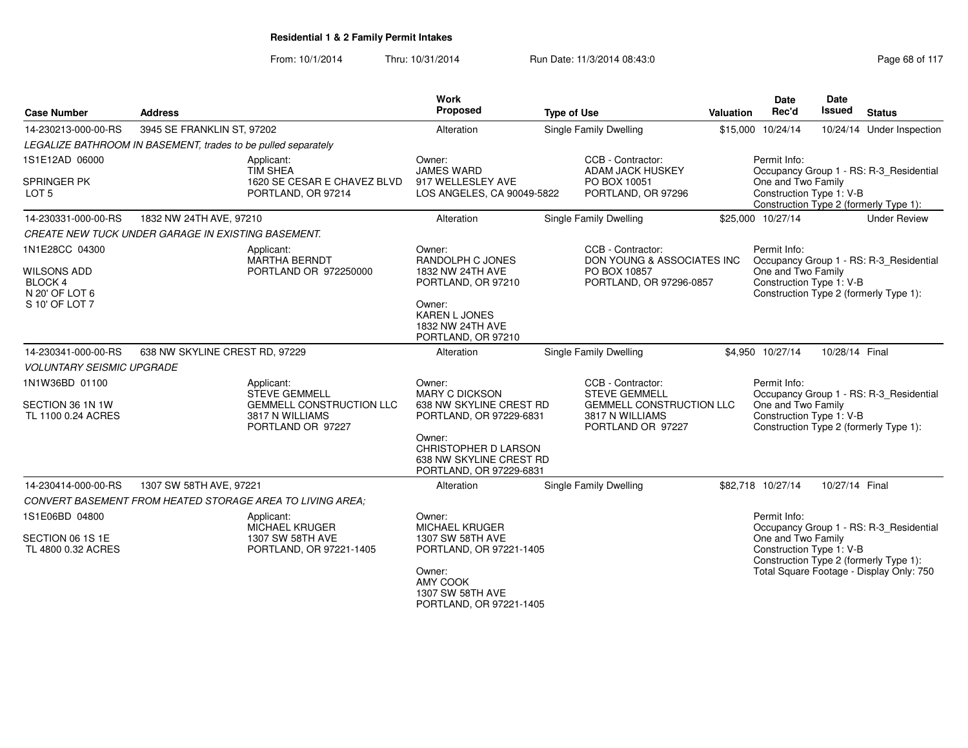From: 10/1/2014

Thru: 10/31/2014 Run Date: 11/3/2014 08:43:0

| <b>Case Number</b>                                                                         | <b>Address</b>                                                                                         | Work<br>Proposed                                                                                                                                 | <b>Type of Use</b>                                                                | Valuation                                             | <b>Date</b><br>Rec'd                                                                                                                | <b>Date</b><br>Issued                                                                                                                | <b>Status</b>                                                                     |  |  |
|--------------------------------------------------------------------------------------------|--------------------------------------------------------------------------------------------------------|--------------------------------------------------------------------------------------------------------------------------------------------------|-----------------------------------------------------------------------------------|-------------------------------------------------------|-------------------------------------------------------------------------------------------------------------------------------------|--------------------------------------------------------------------------------------------------------------------------------------|-----------------------------------------------------------------------------------|--|--|
| 14-230213-000-00-RS                                                                        | 3945 SE FRANKLIN ST, 97202                                                                             | Alteration                                                                                                                                       | Single Family Dwelling                                                            |                                                       | \$15,000 10/24/14                                                                                                                   |                                                                                                                                      | 10/24/14 Under Inspection                                                         |  |  |
|                                                                                            | LEGALIZE BATHROOM IN BASEMENT, trades to be pulled separately                                          |                                                                                                                                                  |                                                                                   |                                                       |                                                                                                                                     |                                                                                                                                      |                                                                                   |  |  |
| 1S1E12AD 06000                                                                             | Applicant:                                                                                             | Owner:                                                                                                                                           | CCB - Contractor:                                                                 |                                                       | Permit Info:                                                                                                                        |                                                                                                                                      |                                                                                   |  |  |
| <b>SPRINGER PK</b><br>LOT <sub>5</sub>                                                     | <b>TIM SHEA</b><br>1620 SE CESAR E CHAVEZ BLVD<br>PORTLAND, OR 97214                                   | <b>JAMES WARD</b><br>917 WELLESLEY AVE<br>LOS ANGELES, CA 90049-5822                                                                             | <b>ADAM JACK HUSKEY</b><br>PO BOX 10051<br>PORTLAND, OR 97296                     |                                                       | Occupancy Group 1 - RS: R-3_Residential<br>One and Two Family<br>Construction Type 1: V-B<br>Construction Type 2 (formerly Type 1): |                                                                                                                                      |                                                                                   |  |  |
| 14-230331-000-00-RS                                                                        | 1832 NW 24TH AVE, 97210                                                                                | Alteration                                                                                                                                       | <b>Single Family Dwelling</b>                                                     |                                                       | \$25,000 10/27/14                                                                                                                   |                                                                                                                                      | <b>Under Review</b>                                                               |  |  |
|                                                                                            | <b>CREATE NEW TUCK UNDER GARAGE IN EXISTING BASEMENT.</b>                                              |                                                                                                                                                  |                                                                                   |                                                       |                                                                                                                                     |                                                                                                                                      |                                                                                   |  |  |
| 1N1E28CC 04300<br><b>WILSONS ADD</b><br><b>BLOCK 4</b><br>N 20' OF LOT 6<br>S 10' OF LOT 7 | Applicant:<br><b>MARTHA BERNDT</b><br>PORTLAND OR 972250000                                            | Owner:<br>RANDOLPH C JONES<br>1832 NW 24TH AVE<br>PORTLAND, OR 97210<br>Owner:<br><b>KAREN L JONES</b><br>1832 NW 24TH AVE<br>PORTLAND, OR 97210 | CCB - Contractor:<br>PO BOX 10857                                                 | DON YOUNG & ASSOCIATES INC<br>PORTLAND, OR 97296-0857 | Permit Info:<br>One and Two Family<br>Construction Type 1: V-B                                                                      |                                                                                                                                      | Occupancy Group 1 - RS: R-3_Residential<br>Construction Type 2 (formerly Type 1): |  |  |
| 14-230341-000-00-RS                                                                        | 638 NW SKYLINE CREST RD, 97229                                                                         | Alteration                                                                                                                                       | Single Family Dwelling                                                            |                                                       | \$4,950 10/27/14                                                                                                                    | 10/28/14 Final                                                                                                                       |                                                                                   |  |  |
| <b>VOLUNTARY SEISMIC UPGRADE</b>                                                           |                                                                                                        |                                                                                                                                                  |                                                                                   |                                                       |                                                                                                                                     |                                                                                                                                      |                                                                                   |  |  |
| 1N1W36BD 01100<br>SECTION 36 1N 1W<br>TL 1100 0.24 ACRES                                   | Applicant:<br>STEVE GEMMELL<br><b>GEMMELL CONSTRUCTION LLC</b><br>3817 N WILLIAMS<br>PORTLAND OR 97227 | Owner:<br><b>MARY C DICKSON</b><br>638 NW SKYLINE CREST RD<br>PORTLAND, OR 97229-6831<br>Owner:                                                  | CCB - Contractor:<br><b>STEVE GEMMELL</b><br>3817 N WILLIAMS<br>PORTLAND OR 97227 | <b>GEMMELL CONSTRUCTION LLC</b>                       | Permit Info:<br>One and Two Family<br>Construction Type 1: V-B                                                                      |                                                                                                                                      | Occupancy Group 1 - RS: R-3_Residential<br>Construction Type 2 (formerly Type 1): |  |  |
|                                                                                            |                                                                                                        | CHRISTOPHER D LARSON<br>638 NW SKYLINE CREST RD<br>PORTLAND, OR 97229-6831                                                                       |                                                                                   |                                                       |                                                                                                                                     |                                                                                                                                      |                                                                                   |  |  |
| 14-230414-000-00-RS                                                                        | 1307 SW 58TH AVE, 97221                                                                                | Alteration                                                                                                                                       | Single Family Dwelling                                                            |                                                       | \$82,718 10/27/14                                                                                                                   | 10/27/14 Final                                                                                                                       |                                                                                   |  |  |
|                                                                                            | CONVERT BASEMENT FROM HEATED STORAGE AREA TO LIVING AREA:                                              |                                                                                                                                                  |                                                                                   |                                                       |                                                                                                                                     |                                                                                                                                      |                                                                                   |  |  |
| 1S1E06BD 04800                                                                             | Applicant:<br><b>MICHAEL KRUGER</b>                                                                    | Owner:<br><b>MICHAEL KRUGER</b>                                                                                                                  |                                                                                   |                                                       | Permit Info:                                                                                                                        |                                                                                                                                      | Occupancy Group 1 - RS: R-3_Residential                                           |  |  |
| SECTION 06 1S 1E<br>TL 4800 0.32 ACRES                                                     | 1307 SW 58TH AVE<br>PORTLAND, OR 97221-1405                                                            | Owner:                                                                                                                                           | 1307 SW 58TH AVE<br>PORTLAND, OR 97221-1405                                       |                                                       |                                                                                                                                     | One and Two Family<br>Construction Type 1: V-B<br>Construction Type 2 (formerly Type 1):<br>Total Square Footage - Display Only: 750 |                                                                                   |  |  |
|                                                                                            |                                                                                                        | AMY COOK<br>1307 SW 58TH AVE<br>PORTLAND, OR 97221-1405                                                                                          |                                                                                   |                                                       |                                                                                                                                     |                                                                                                                                      |                                                                                   |  |  |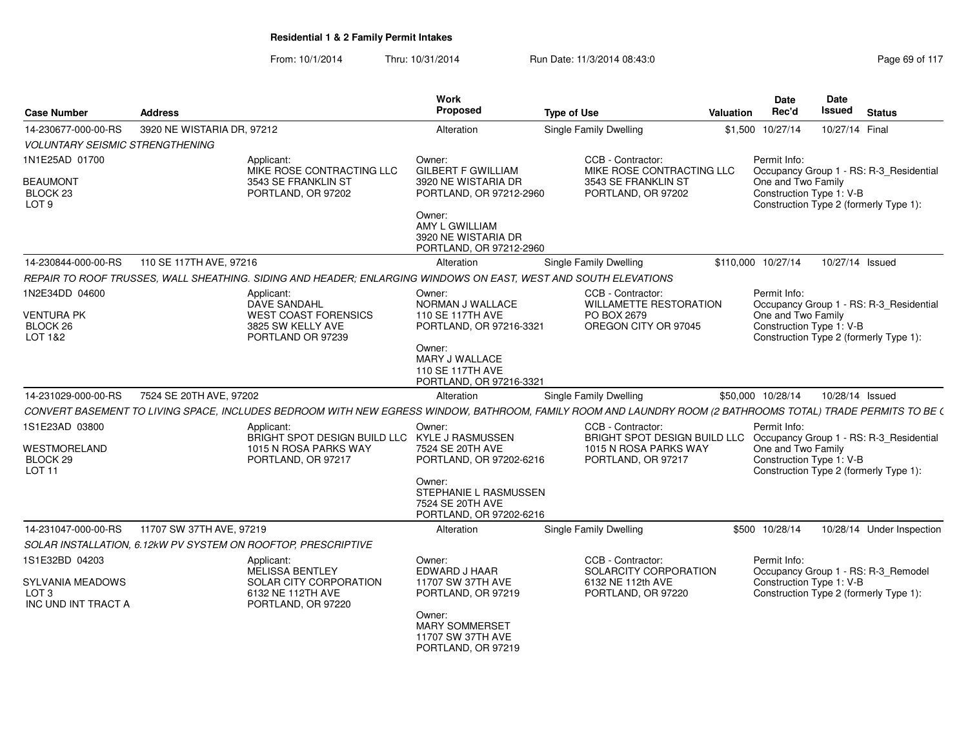| <b>Case Number</b>                                         | <b>Address</b>                                                                                                                                              | Work<br>Proposed                                                               | <b>Type of Use</b>                                 | Valuation | <b>Date</b><br>Rec'd                           | Date<br><b>Issued</b> | <b>Status</b>                           |
|------------------------------------------------------------|-------------------------------------------------------------------------------------------------------------------------------------------------------------|--------------------------------------------------------------------------------|----------------------------------------------------|-----------|------------------------------------------------|-----------------------|-----------------------------------------|
| 14-230677-000-00-RS                                        | 3920 NE WISTARIA DR, 97212                                                                                                                                  | Alteration                                                                     | Single Family Dwelling                             |           | \$1,500 10/27/14                               | 10/27/14 Final        |                                         |
| <b>VOLUNTARY SEISMIC STRENGTHENING</b>                     |                                                                                                                                                             |                                                                                |                                                    |           |                                                |                       |                                         |
| 1N1E25AD 01700                                             | Applicant:<br>MIKE ROSE CONTRACTING LLC                                                                                                                     | Owner:<br><b>GILBERT F GWILLIAM</b>                                            | CCB - Contractor:<br>MIKE ROSE CONTRACTING LLC     |           | Permit Info:                                   |                       | Occupancy Group 1 - RS: R-3_Residential |
| <b>BEAUMONT</b><br>BLOCK <sub>23</sub><br>LOT <sub>9</sub> | 3543 SE FRANKLIN ST<br>PORTLAND, OR 97202                                                                                                                   | 3920 NE WISTARIA DR<br>PORTLAND, OR 97212-2960                                 | 3543 SE FRANKLIN ST<br>PORTLAND, OR 97202          |           | One and Two Family<br>Construction Type 1: V-B |                       | Construction Type 2 (formerly Type 1):  |
|                                                            |                                                                                                                                                             | Owner:<br>AMY L GWILLIAM<br>3920 NE WISTARIA DR<br>PORTLAND, OR 97212-2960     |                                                    |           |                                                |                       |                                         |
| 14-230844-000-00-RS                                        | 110 SE 117TH AVE, 97216                                                                                                                                     | Alteration                                                                     | <b>Single Family Dwelling</b>                      |           | \$110,000 10/27/14                             | 10/27/14 Issued       |                                         |
|                                                            | REPAIR TO ROOF TRUSSES, WALL SHEATHING. SIDING AND HEADER; ENLARGING WINDOWS ON EAST, WEST AND SOUTH ELEVATIONS                                             |                                                                                |                                                    |           |                                                |                       |                                         |
| 1N2E34DD 04600                                             | Applicant:<br>DAVE SANDAHL                                                                                                                                  | Owner:<br>NORMAN J WALLACE                                                     | CCB - Contractor:<br><b>WILLAMETTE RESTORATION</b> |           | Permit Info:                                   |                       | Occupancy Group 1 - RS: R-3_Residential |
| <b>VENTURA PK</b><br>BLOCK 26<br>LOT 1&2                   | <b>WEST COAST FORENSICS</b><br>3825 SW KELLY AVE<br>PORTLAND OR 97239                                                                                       | 110 SE 117TH AVE<br>PORTLAND, OR 97216-3321                                    | PO BOX 2679<br>OREGON CITY OR 97045                |           | One and Two Family<br>Construction Type 1: V-B |                       | Construction Type 2 (formerly Type 1):  |
|                                                            |                                                                                                                                                             | Owner:<br>MARY J WALLACE<br>110 SE 117TH AVE<br>PORTLAND, OR 97216-3321        |                                                    |           |                                                |                       |                                         |
| 14-231029-000-00-RS                                        | 7524 SE 20TH AVE, 97202                                                                                                                                     | Alteration                                                                     | Single Family Dwelling                             |           | \$50,000 10/28/14                              | 10/28/14 Issued       |                                         |
|                                                            | CONVERT BASEMENT TO LIVING SPACE, INCLUDES BEDROOM WITH NEW EGRESS WINDOW, BATHROOM, FAMILY ROOM AND LAUNDRY ROOM (2 BATHROOMS TOTAL) TRADE PERMITS TO BE ( |                                                                                |                                                    |           |                                                |                       |                                         |
| 1S1E23AD 03800                                             | Applicant:<br>BRIGHT SPOT DESIGN BUILD LLC KYLE J RASMUSSEN                                                                                                 | Owner:                                                                         | CCB - Contractor:<br>BRIGHT SPOT DESIGN BUILD LLC  |           | Permit Info:                                   |                       | Occupancy Group 1 - RS: R-3_Residential |
| WESTMORELAND<br>BLOCK <sub>29</sub><br><b>LOT 11</b>       | 1015 N ROSA PARKS WAY<br>PORTLAND, OR 97217                                                                                                                 | 7524 SE 20TH AVE<br>PORTLAND, OR 97202-6216                                    | 1015 N ROSA PARKS WAY<br>PORTLAND, OR 97217        |           | One and Two Family<br>Construction Type 1: V-B |                       | Construction Type 2 (formerly Type 1):  |
|                                                            |                                                                                                                                                             | Owner:<br>STEPHANIE L RASMUSSEN<br>7524 SE 20TH AVE<br>PORTLAND, OR 97202-6216 |                                                    |           |                                                |                       |                                         |
| 14-231047-000-00-RS                                        | 11707 SW 37TH AVE, 97219                                                                                                                                    | Alteration                                                                     | Single Family Dwelling                             |           | \$500 10/28/14                                 |                       | 10/28/14 Under Inspection               |
|                                                            | SOLAR INSTALLATION, 6.12kW PV SYSTEM ON ROOFTOP, PRESCRIPTIVE                                                                                               |                                                                                |                                                    |           |                                                |                       |                                         |
| 1S1E32BD 04203                                             | Applicant:<br><b>MELISSA BENTLEY</b>                                                                                                                        | Owner:<br>EDWARD J HAAR                                                        | CCB - Contractor:<br>SOLARCITY CORPORATION         |           | Permit Info:                                   |                       | Occupancy Group 1 - RS: R-3 Remodel     |
| SYLVANIA MEADOWS<br>LOT 3<br>INC UND INT TRACT A           | SOLAR CITY CORPORATION<br>6132 NE 112TH AVE<br>PORTLAND, OR 97220                                                                                           | 11707 SW 37TH AVE<br>PORTLAND, OR 97219                                        | 6132 NE 112th AVE<br>PORTLAND, OR 97220            |           | Construction Type 1: V-B                       |                       | Construction Type 2 (formerly Type 1):  |
|                                                            |                                                                                                                                                             | Owner:<br><b>MARY SOMMERSET</b><br>11707 SW 37TH AVE<br>PORTLAND, OR 97219     |                                                    |           |                                                |                       |                                         |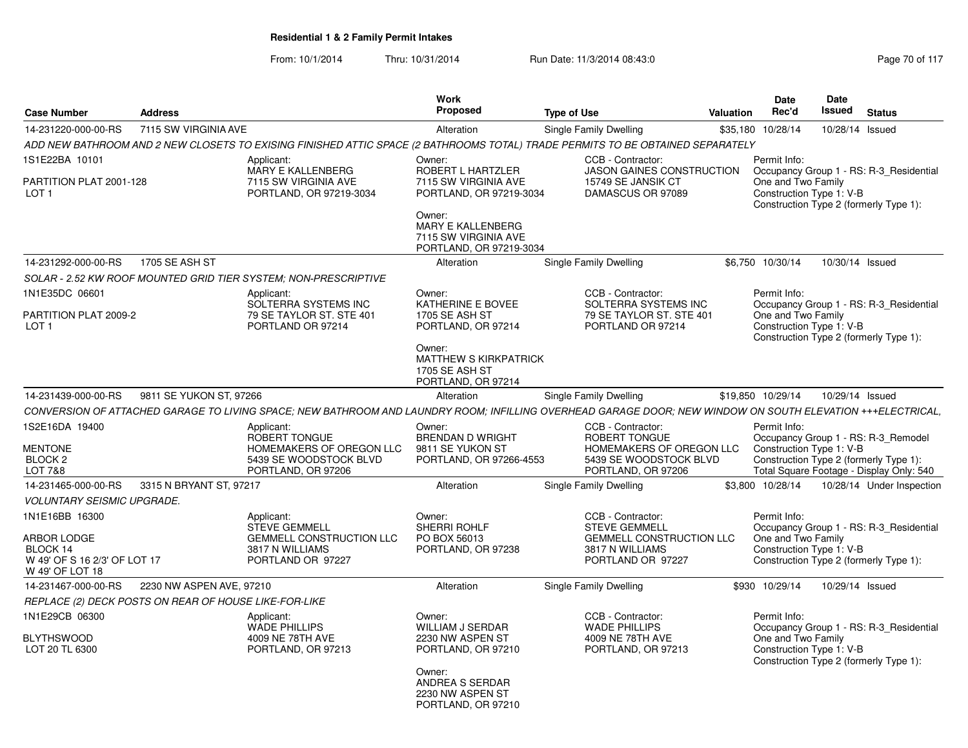|                                                             |                                                       |                                                                                                                                                            | Work                                                                                  |                    |                                                                          |           | <b>Date</b>                                    | <b>Date</b>     |                                                                                    |
|-------------------------------------------------------------|-------------------------------------------------------|------------------------------------------------------------------------------------------------------------------------------------------------------------|---------------------------------------------------------------------------------------|--------------------|--------------------------------------------------------------------------|-----------|------------------------------------------------|-----------------|------------------------------------------------------------------------------------|
| <b>Case Number</b>                                          | <b>Address</b>                                        |                                                                                                                                                            | Proposed                                                                              | <b>Type of Use</b> |                                                                          | Valuation | Rec'd                                          | <b>Issued</b>   | <b>Status</b>                                                                      |
| 14-231220-000-00-RS                                         | 7115 SW VIRGINIA AVE                                  |                                                                                                                                                            | Alteration                                                                            |                    | Single Family Dwelling                                                   |           | \$35,180 10/28/14                              | 10/28/14 Issued |                                                                                    |
|                                                             |                                                       | ADD NEW BATHROOM AND 2 NEW CLOSETS TO EXISING FINISHED ATTIC SPACE (2 BATHROOMS TOTAL) TRADE PERMITS TO BE OBTAINED SEPARATELY                             |                                                                                       |                    |                                                                          |           |                                                |                 |                                                                                    |
| 1S1E22BA 10101                                              |                                                       | Applicant:<br>MARY E KALLENBERG                                                                                                                            | Owner:<br>ROBERT L HARTZLER                                                           |                    | CCB - Contractor:<br><b>JASON GAINES CONSTRUCTION</b>                    |           | Permit Info:                                   |                 | Occupancy Group 1 - RS: R-3 Residential                                            |
| PARTITION PLAT 2001-128<br>LOT <sub>1</sub>                 |                                                       | 7115 SW VIRGINIA AVE<br>PORTLAND, OR 97219-3034                                                                                                            | 7115 SW VIRGINIA AVE<br>PORTLAND, OR 97219-3034                                       |                    | 15749 SE JANSIK CT<br>DAMASCUS OR 97089                                  |           | One and Two Family<br>Construction Type 1: V-B |                 | Construction Type 2 (formerly Type 1):                                             |
|                                                             |                                                       |                                                                                                                                                            | Owner:<br>MARY E KALLENBERG<br>7115 SW VIRGINIA AVE<br>PORTLAND, OR 97219-3034        |                    |                                                                          |           |                                                |                 |                                                                                    |
| 14-231292-000-00-RS                                         | 1705 SE ASH ST                                        |                                                                                                                                                            | Alteration                                                                            |                    | Single Family Dwelling                                                   |           | \$6,750 10/30/14                               | 10/30/14 Issued |                                                                                    |
|                                                             |                                                       | SOLAR - 2.52 KW ROOF MOUNTED GRID TIER SYSTEM: NON-PRESCRIPTIVE                                                                                            |                                                                                       |                    |                                                                          |           |                                                |                 |                                                                                    |
| 1N1E35DC 06601                                              |                                                       | Applicant:                                                                                                                                                 | Owner:                                                                                |                    | CCB - Contractor:                                                        |           | Permit Info:                                   |                 |                                                                                    |
| PARTITION PLAT 2009-2<br>LOT <sub>1</sub>                   |                                                       | SOLTERRA SYSTEMS INC<br>79 SE TAYLOR ST. STE 401<br>PORTLAND OR 97214                                                                                      | KATHERINE E BOVEE<br><b>1705 SE ASH ST</b><br>PORTLAND, OR 97214                      |                    | SOLTERRA SYSTEMS INC<br>79 SE TAYLOR ST. STE 401<br>PORTLAND OR 97214    |           | One and Two Family<br>Construction Type 1: V-B |                 | Occupancy Group 1 - RS: R-3 Residential<br>Construction Type 2 (formerly Type 1):  |
|                                                             |                                                       |                                                                                                                                                            | Owner:<br><b>MATTHEW S KIRKPATRICK</b><br><b>1705 SE ASH ST</b><br>PORTLAND, OR 97214 |                    |                                                                          |           |                                                |                 |                                                                                    |
| 14-231439-000-00-RS                                         | 9811 SE YUKON ST, 97266                               |                                                                                                                                                            | Alteration                                                                            |                    | Single Family Dwelling                                                   |           | \$19,850 10/29/14                              | 10/29/14 Issued |                                                                                    |
|                                                             |                                                       | CONVERSION OF ATTACHED GARAGE TO LIVING SPACE; NEW BATHROOM AND LAUNDRY ROOM; INFILLING OVERHEAD GARAGE DOOR; NEW WINDOW ON SOUTH ELEVATION +++ELECTRICAL, |                                                                                       |                    |                                                                          |           |                                                |                 |                                                                                    |
| 1S2E16DA 19400                                              |                                                       | Applicant:<br>ROBERT TONGUE                                                                                                                                | Owner:<br><b>BRENDAN D WRIGHT</b>                                                     |                    | CCB - Contractor:<br>ROBERT TONGUE                                       |           | Permit Info:                                   |                 | Occupancy Group 1 - RS: R-3 Remodel                                                |
| <b>MENTONE</b><br>BLOCK <sub>2</sub><br><b>LOT 7&amp;8</b>  |                                                       | HOMEMAKERS OF OREGON LLC<br>5439 SE WOODSTOCK BLVD<br>PORTLAND, OR 97206                                                                                   | 9811 SE YUKON ST<br>PORTLAND, OR 97266-4553                                           |                    | HOMEMAKERS OF OREGON LLC<br>5439 SE WOODSTOCK BLVD<br>PORTLAND, OR 97206 |           | Construction Type 1: V-B                       |                 | Construction Type 2 (formerly Type 1):<br>Total Square Footage - Display Only: 540 |
| 14-231465-000-00-RS                                         | 3315 N BRYANT ST. 97217                               |                                                                                                                                                            | Alteration                                                                            |                    | Single Family Dwelling                                                   |           | \$3.800 10/28/14                               |                 | 10/28/14 Under Inspection                                                          |
| <b>VOLUNTARY SEISMIC UPGRADE.</b>                           |                                                       |                                                                                                                                                            |                                                                                       |                    |                                                                          |           |                                                |                 |                                                                                    |
| 1N1E16BB 16300                                              |                                                       | Applicant:<br><b>STEVE GEMMELL</b>                                                                                                                         | Owner:<br>SHERRI ROHLF                                                                |                    | CCB - Contractor:<br><b>STEVE GEMMELL</b>                                |           | Permit Info:                                   |                 | Occupancy Group 1 - RS: R-3 Residential                                            |
| <b>ARBOR LODGE</b>                                          |                                                       | <b>GEMMELL CONSTRUCTION LLC</b>                                                                                                                            | PO BOX 56013                                                                          |                    | <b>GEMMELL CONSTRUCTION LLC</b>                                          |           | One and Two Family                             |                 |                                                                                    |
| BLOCK 14<br>W 49' OF S 16 2/3' OF LOT 17<br>W 49' OF LOT 18 |                                                       | 3817 N WILLIAMS<br>PORTLAND OR 97227                                                                                                                       | PORTLAND, OR 97238                                                                    |                    | 3817 N WILLIAMS<br>PORTLAND OR 97227                                     |           | Construction Type 1: V-B                       |                 | Construction Type 2 (formerly Type 1):                                             |
| 14-231467-000-00-RS                                         | 2230 NW ASPEN AVE, 97210                              |                                                                                                                                                            | Alteration                                                                            |                    | Single Family Dwelling                                                   |           | \$930 10/29/14                                 | 10/29/14 Issued |                                                                                    |
|                                                             | REPLACE (2) DECK POSTS ON REAR OF HOUSE LIKE-FOR-LIKE |                                                                                                                                                            |                                                                                       |                    |                                                                          |           |                                                |                 |                                                                                    |
| 1N1E29CB 06300                                              |                                                       | Applicant:<br><b>WADE PHILLIPS</b>                                                                                                                         | Owner:<br><b>WILLIAM J SERDAR</b>                                                     |                    | CCB - Contractor:<br><b>WADE PHILLIPS</b>                                |           | Permit Info:                                   |                 | Occupancy Group 1 - RS: R-3 Residential                                            |
| <b>BLYTHSWOOD</b><br>LOT 20 TL 6300                         |                                                       | 4009 NE 78TH AVE<br>PORTLAND, OR 97213                                                                                                                     | 2230 NW ASPEN ST<br>PORTLAND, OR 97210                                                |                    | 4009 NE 78TH AVE<br>PORTLAND, OR 97213                                   |           | One and Two Family<br>Construction Type 1: V-B |                 | Construction Type 2 (formerly Type 1):                                             |
|                                                             |                                                       |                                                                                                                                                            | Owner:<br>ANDREA S SERDAR<br>2230 NW ASPEN ST<br>PORTLAND, OR 97210                   |                    |                                                                          |           |                                                |                 |                                                                                    |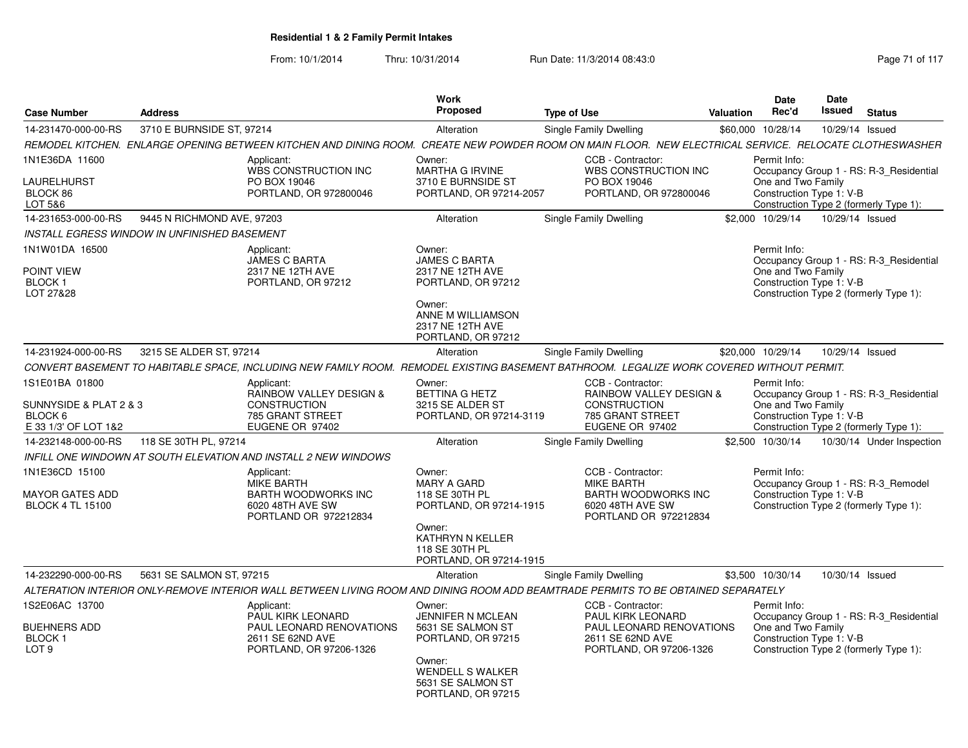| <b>Case Number</b>                                                         | <b>Address</b>                               |                                                                                                                                                        | Work<br>Proposed                                                                                                                                              | <b>Type of Use</b>                                                                                         | <b>Valuation</b>         | <b>Date</b><br>Rec'd                                           | <b>Date</b><br><b>Issued</b> | <b>Status</b>                                                                     |
|----------------------------------------------------------------------------|----------------------------------------------|--------------------------------------------------------------------------------------------------------------------------------------------------------|---------------------------------------------------------------------------------------------------------------------------------------------------------------|------------------------------------------------------------------------------------------------------------|--------------------------|----------------------------------------------------------------|------------------------------|-----------------------------------------------------------------------------------|
| 14-231470-000-00-RS                                                        | 3710 E BURNSIDE ST, 97214                    |                                                                                                                                                        | Alteration                                                                                                                                                    | Single Family Dwelling                                                                                     |                          | \$60,000 10/28/14                                              | 10/29/14 Issued              |                                                                                   |
|                                                                            |                                              | REMODEL KITCHEN. ENLARGE OPENING BETWEEN KITCHEN AND DINING ROOM. CREATE NEW POWDER ROOM ON MAIN FLOOR. NEW ELECTRICAL SERVICE. RELOCATE CLOTHESWASHER |                                                                                                                                                               |                                                                                                            |                          |                                                                |                              |                                                                                   |
| 1N1E36DA 11600<br>LAURELHURST<br>BLOCK 86<br>LOT 5&6                       |                                              | Applicant:<br>WBS CONSTRUCTION INC<br>PO BOX 19046<br>PORTLAND, OR 972800046                                                                           | Owner:<br><b>MARTHA G IRVINE</b><br>3710 E BURNSIDE ST<br>PORTLAND, OR 97214-2057                                                                             | CCB - Contractor:<br>WBS CONSTRUCTION INC<br>PO BOX 19046<br>PORTLAND, OR 972800046                        |                          | Permit Info:<br>One and Two Family<br>Construction Type 1: V-B |                              | Occupancy Group 1 - RS: R-3 Residential<br>Construction Type 2 (formerly Type 1): |
| 14-231653-000-00-RS                                                        | 9445 N RICHMOND AVE, 97203                   |                                                                                                                                                        | Alteration                                                                                                                                                    | Single Family Dwelling                                                                                     |                          | \$2,000 10/29/14                                               | 10/29/14 Issued              |                                                                                   |
|                                                                            | INSTALL EGRESS WINDOW IN UNFINISHED BASEMENT |                                                                                                                                                        |                                                                                                                                                               |                                                                                                            |                          |                                                                |                              |                                                                                   |
| 1N1W01DA 16500                                                             |                                              | Applicant:<br><b>JAMES C BARTA</b>                                                                                                                     | Owner:<br><b>JAMES C BARTA</b>                                                                                                                                |                                                                                                            |                          | Permit Info:                                                   |                              | Occupancy Group 1 - RS: R-3_Residential                                           |
| POINT VIEW<br>BLOCK 1<br>LOT 27&28                                         |                                              | 2317 NE 12TH AVE<br>PORTLAND, OR 97212                                                                                                                 | 2317 NE 12TH AVE<br>PORTLAND, OR 97212<br>Owner:<br>ANNE M WILLIAMSON<br>2317 NE 12TH AVE<br>PORTLAND, OR 97212                                               |                                                                                                            |                          | One and Two Family<br>Construction Type 1: V-B                 |                              | Construction Type 2 (formerly Type 1):                                            |
| 14-231924-000-00-RS                                                        | 3215 SE ALDER ST, 97214                      |                                                                                                                                                        | Alteration                                                                                                                                                    | Single Family Dwelling                                                                                     |                          | \$20,000 10/29/14                                              | 10/29/14 Issued              |                                                                                   |
|                                                                            |                                              | CONVERT BASEMENT TO HABITABLE SPACE, INCLUDING NEW FAMILY ROOM. REMODEL EXISTING BASEMENT BATHROOM. LEGALIZE WORK COVERED WITHOUT PERMIT.              |                                                                                                                                                               |                                                                                                            |                          |                                                                |                              |                                                                                   |
| 1S1E01BA 01800                                                             |                                              | Applicant:                                                                                                                                             | Owner:                                                                                                                                                        | CCB - Contractor:                                                                                          |                          | Permit Info:                                                   |                              |                                                                                   |
| SUNNYSIDE & PLAT 2 & 3<br>BLOCK 6<br>E 33 1/3' OF LOT 1&2                  |                                              | <b>RAINBOW VALLEY DESIGN &amp;</b><br><b>CONSTRUCTION</b><br>785 GRANT STREET<br>EUGENE OR 97402                                                       | <b>BETTINA G HETZ</b><br>3215 SE ALDER ST<br>PORTLAND, OR 97214-3119                                                                                          | <b>RAINBOW VALLEY DESIGN &amp;</b><br><b>CONSTRUCTION</b><br>785 GRANT STREET<br>EUGENE OR 97402           |                          | One and Two Family<br>Construction Type 1: V-B                 |                              | Occupancy Group 1 - RS: R-3 Residential<br>Construction Type 2 (formerly Type 1): |
| 14-232148-000-00-RS                                                        | 118 SE 30TH PL, 97214                        |                                                                                                                                                        | Alteration                                                                                                                                                    | Single Family Dwelling                                                                                     |                          | \$2,500 10/30/14                                               |                              | 10/30/14 Under Inspection                                                         |
|                                                                            |                                              | INFILL ONE WINDOWN AT SOUTH ELEVATION AND INSTALL 2 NEW WINDOWS                                                                                        |                                                                                                                                                               |                                                                                                            |                          |                                                                |                              |                                                                                   |
| 1N1E36CD 15100<br>MAYOR GATES ADD<br><b>BLOCK 4 TL 15100</b>               |                                              | Applicant:<br><b>MIKE BARTH</b><br><b>BARTH WOODWORKS INC</b><br>6020 48TH AVE SW<br>PORTLAND OR 972212834                                             | Owner:<br><b>MARY A GARD</b><br>118 SE 30TH PL<br>PORTLAND, OR 97214-1915<br>Owner:<br>KATHRYN N KELLER<br>118 SE 30TH PL<br>PORTLAND, OR 97214-1915          | CCB - Contractor:<br>MIKE BARTH<br><b>BARTH WOODWORKS INC</b><br>6020 48TH AVE SW<br>PORTLAND OR 972212834 |                          | Permit Info:<br>Construction Type 1: V-B                       |                              | Occupancy Group 1 - RS: R-3 Remodel<br>Construction Type 2 (formerly Type 1):     |
| 14-232290-000-00-RS                                                        | 5631 SE SALMON ST, 97215                     |                                                                                                                                                        | Alteration                                                                                                                                                    | Single Family Dwelling                                                                                     |                          | \$3,500 10/30/14                                               | 10/30/14 Issued              |                                                                                   |
|                                                                            |                                              | ALTERATION INTERIOR ONLY-REMOVE INTERIOR WALL BETWEEN LIVING ROOM AND DINING ROOM ADD BEAMTRADE PERMITS TO BE OBTAINED SEPARATELY                      |                                                                                                                                                               |                                                                                                            |                          |                                                                |                              |                                                                                   |
| 1S2E06AC 13700<br><b>BUEHNERS ADD</b><br><b>BLOCK1</b><br>LOT <sub>9</sub> |                                              | Applicant:<br>PAUL KIRK LEONARD<br>PAUL LEONARD RENOVATIONS<br>2611 SE 62ND AVE<br>PORTLAND, OR 97206-1326                                             | Owner:<br><b>JENNIFER N MCLEAN</b><br>5631 SE SALMON ST<br>PORTLAND, OR 97215<br>Owner:<br><b>WENDELL S WALKER</b><br>5631 SE SALMON ST<br>PORTLAND, OR 97215 | CCB - Contractor:<br>PAUL KIRK LEONARD<br>2611 SE 62ND AVE<br>PORTLAND, OR 97206-1326                      | PAUL LEONARD RENOVATIONS | Permit Info:<br>One and Two Family<br>Construction Type 1: V-B |                              | Occupancy Group 1 - RS: R-3_Residential<br>Construction Type 2 (formerly Type 1): |
|                                                                            |                                              |                                                                                                                                                        |                                                                                                                                                               |                                                                                                            |                          |                                                                |                              |                                                                                   |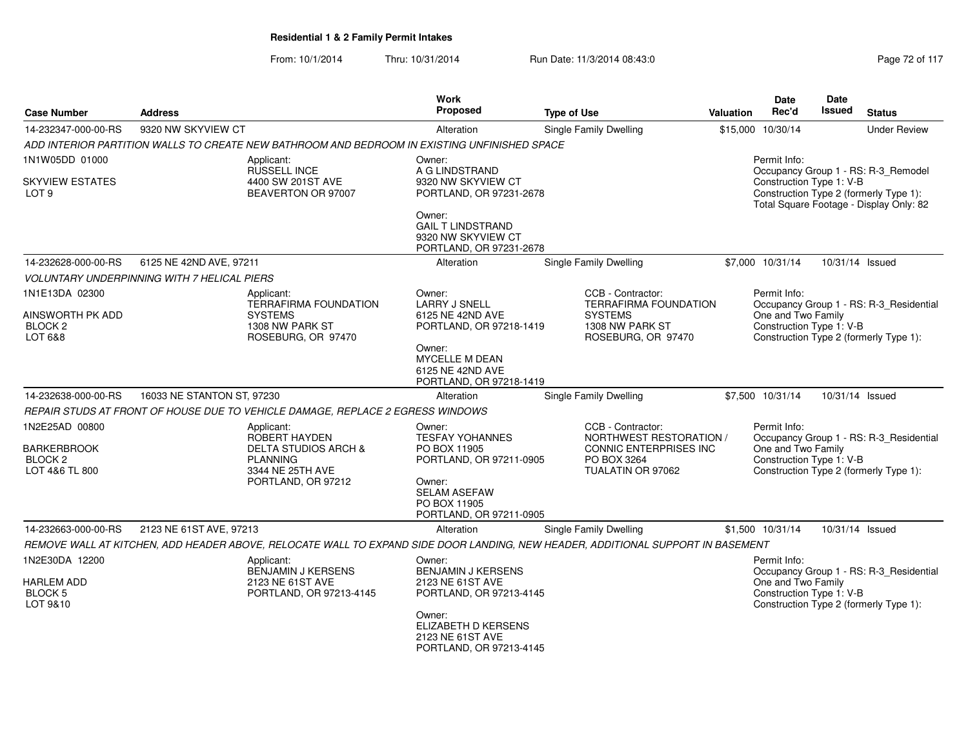| <b>Case Number</b>                                                           | <b>Address</b>                                     |                                                                                                                             | <b>Work</b><br>Proposed                                                                                                                                            | <b>Type of Use</b>                                                                                                              | <b>Valuation</b> | Date<br>Rec'd                                                  | <b>Date</b><br><b>Issued</b> | <b>Status</b>                                                                                                            |
|------------------------------------------------------------------------------|----------------------------------------------------|-----------------------------------------------------------------------------------------------------------------------------|--------------------------------------------------------------------------------------------------------------------------------------------------------------------|---------------------------------------------------------------------------------------------------------------------------------|------------------|----------------------------------------------------------------|------------------------------|--------------------------------------------------------------------------------------------------------------------------|
| 14-232347-000-00-RS                                                          | 9320 NW SKYVIEW CT                                 |                                                                                                                             | Alteration                                                                                                                                                         | <b>Single Family Dwelling</b>                                                                                                   |                  | \$15,000 10/30/14                                              |                              | <b>Under Review</b>                                                                                                      |
|                                                                              |                                                    | ADD INTERIOR PARTITION WALLS TO CREATE NEW BATHROOM AND BEDROOM IN EXISTING UNFINISHED SPACE                                |                                                                                                                                                                    |                                                                                                                                 |                  |                                                                |                              |                                                                                                                          |
| 1N1W05DD 01000                                                               |                                                    | Applicant:                                                                                                                  | Owner:                                                                                                                                                             |                                                                                                                                 |                  | Permit Info:                                                   |                              |                                                                                                                          |
| <b>SKYVIEW ESTATES</b><br>LOT <sub>9</sub>                                   |                                                    | <b>RUSSELL INCE</b><br>4400 SW 201ST AVE<br>BEAVERTON OR 97007                                                              | A G LINDSTRAND<br>9320 NW SKYVIEW CT<br>PORTLAND, OR 97231-2678<br>Owner:<br><b>GAIL T LINDSTRAND</b>                                                              |                                                                                                                                 |                  | Construction Type 1: V-B                                       |                              | Occupancy Group 1 - RS: R-3_Remodel<br>Construction Type 2 (formerly Type 1):<br>Total Square Footage - Display Only: 82 |
|                                                                              |                                                    |                                                                                                                             | 9320 NW SKYVIEW CT<br>PORTLAND, OR 97231-2678                                                                                                                      |                                                                                                                                 |                  |                                                                |                              |                                                                                                                          |
| 14-232628-000-00-RS                                                          | 6125 NE 42ND AVE, 97211                            |                                                                                                                             | Alteration                                                                                                                                                         | <b>Single Family Dwelling</b>                                                                                                   |                  | \$7,000 10/31/14                                               | 10/31/14 Issued              |                                                                                                                          |
|                                                                              | <b>VOLUNTARY UNDERPINNING WITH 7 HELICAL PIERS</b> |                                                                                                                             |                                                                                                                                                                    |                                                                                                                                 |                  |                                                                |                              |                                                                                                                          |
| 1N1E13DA 02300<br>AINSWORTH PK ADD<br>BLOCK <sub>2</sub><br>LOT 6&8          |                                                    | Applicant:<br><b>TERRAFIRMA FOUNDATION</b><br><b>SYSTEMS</b><br>1308 NW PARK ST<br>ROSEBURG, OR 97470                       | Owner:<br><b>LARRY J SNELL</b><br>6125 NE 42ND AVE<br>PORTLAND, OR 97218-1419<br>Owner:<br><b>MYCELLE M DEAN</b><br>6125 NE 42ND AVE<br>PORTLAND, OR 97218-1419    | CCB - Contractor:<br><b>TERRAFIRMA FOUNDATION</b><br><b>SYSTEMS</b><br>1308 NW PARK ST<br>ROSEBURG, OR 97470                    |                  | Permit Info:<br>One and Two Family<br>Construction Type 1: V-B |                              | Occupancy Group 1 - RS: R-3 Residential<br>Construction Type 2 (formerly Type 1):                                        |
| 14-232638-000-00-RS                                                          | 16033 NE STANTON ST, 97230                         |                                                                                                                             | Alteration                                                                                                                                                         | <b>Single Family Dwelling</b>                                                                                                   |                  | \$7,500 10/31/14                                               | 10/31/14 Issued              |                                                                                                                          |
|                                                                              |                                                    | REPAIR STUDS AT FRONT OF HOUSE DUE TO VEHICLE DAMAGE, REPLACE 2 EGRESS WINDOWS                                              |                                                                                                                                                                    |                                                                                                                                 |                  |                                                                |                              |                                                                                                                          |
| 1N2E25AD 00800<br><b>BARKERBROOK</b><br>BLOCK <sub>2</sub><br>LOT 4&6 TL 800 |                                                    | Applicant:<br>ROBERT HAYDEN<br><b>DELTA STUDIOS ARCH &amp;</b><br><b>PLANNING</b><br>3344 NE 25TH AVE<br>PORTLAND, OR 97212 | Owner:<br><b>TESFAY YOHANNES</b><br>PO BOX 11905<br>PORTLAND, OR 97211-0905<br>Owner:<br><b>SELAM ASEFAW</b><br>PO BOX 11905<br>PORTLAND, OR 97211-0905            | CCB - Contractor:<br>NORTHWEST RESTORATION /<br><b>CONNIC ENTERPRISES INC</b><br>PO BOX 3264<br>TUALATIN OR 97062               |                  | Permit Info:<br>One and Two Family<br>Construction Type 1: V-B |                              | Occupancy Group 1 - RS: R-3_Residential<br>Construction Type 2 (formerly Type 1):                                        |
| 14-232663-000-00-RS                                                          | 2123 NE 61ST AVE, 97213                            |                                                                                                                             | Alteration                                                                                                                                                         | <b>Single Family Dwelling</b>                                                                                                   |                  | \$1,500 10/31/14                                               | 10/31/14 Issued              |                                                                                                                          |
|                                                                              |                                                    |                                                                                                                             |                                                                                                                                                                    | REMOVE WALL AT KITCHEN, ADD HEADER ABOVE, RELOCATE WALL TO EXPAND SIDE DOOR LANDING, NEW HEADER, ADDITIONAL SUPPORT IN BASEMENT |                  |                                                                |                              |                                                                                                                          |
| 1N2E30DA 12200<br><b>HARLEM ADD</b><br>BLOCK 5<br>LOT 9&10                   |                                                    | Applicant:<br>BENJAMIN J KERSENS<br>2123 NE 61ST AVE<br>PORTLAND, OR 97213-4145                                             | Owner:<br><b>BENJAMIN J KERSENS</b><br>2123 NE 61ST AVE<br>PORTLAND, OR 97213-4145<br>Owner:<br>ELIZABETH D KERSENS<br>2123 NE 61ST AVE<br>PORTLAND, OR 97213-4145 |                                                                                                                                 |                  | Permit Info:<br>One and Two Family<br>Construction Type 1: V-B |                              | Occupancy Group 1 - RS: R-3_Residential<br>Construction Type 2 (formerly Type 1):                                        |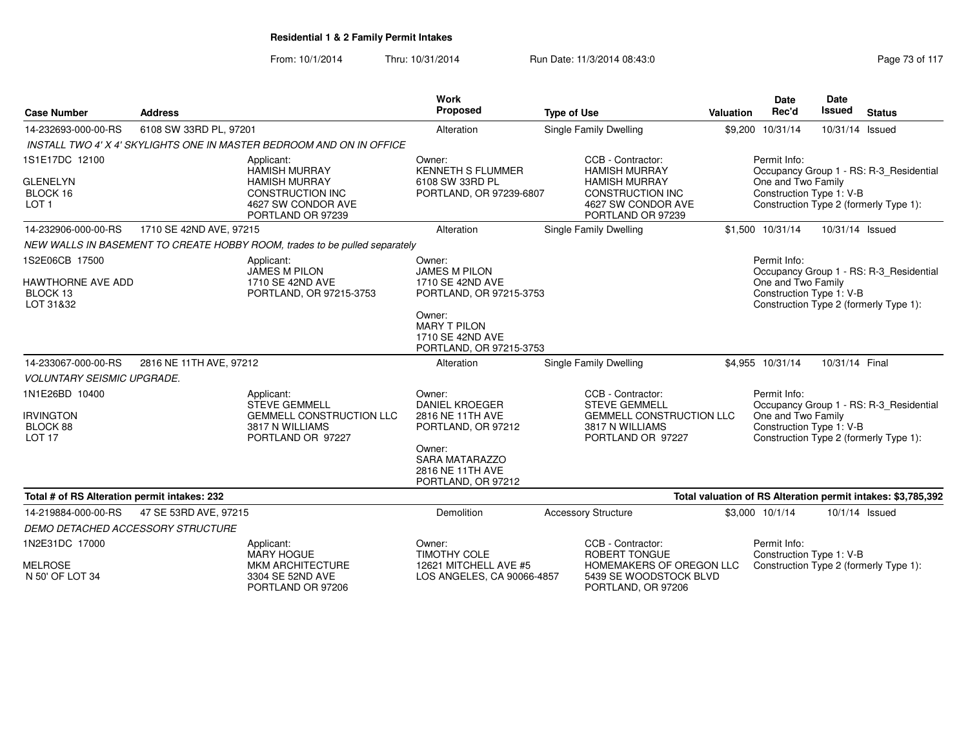|                                                                     |                         |                                                                                                                                  | Work                                                                             |                                                                                                                                  |                  | <b>Date</b>                                                    | <b>Date</b>     |                                                                                   |
|---------------------------------------------------------------------|-------------------------|----------------------------------------------------------------------------------------------------------------------------------|----------------------------------------------------------------------------------|----------------------------------------------------------------------------------------------------------------------------------|------------------|----------------------------------------------------------------|-----------------|-----------------------------------------------------------------------------------|
| <b>Case Number</b>                                                  | <b>Address</b>          |                                                                                                                                  | Proposed                                                                         | <b>Type of Use</b>                                                                                                               | <b>Valuation</b> | Rec'd                                                          | <b>Issued</b>   | <b>Status</b>                                                                     |
| 14-232693-000-00-RS                                                 | 6108 SW 33RD PL, 97201  |                                                                                                                                  | Alteration                                                                       | Single Family Dwelling                                                                                                           |                  | \$9,200 10/31/14                                               | 10/31/14 Issued |                                                                                   |
|                                                                     |                         | INSTALL TWO 4' X 4' SKYLIGHTS ONE IN MASTER BEDROOM AND ON IN OFFICE                                                             |                                                                                  |                                                                                                                                  |                  |                                                                |                 |                                                                                   |
| 1S1E17DC 12100<br><b>GLENELYN</b><br>BLOCK 16<br>LOT <sub>1</sub>   |                         | Applicant:<br><b>HAMISH MURRAY</b><br><b>HAMISH MURRAY</b><br><b>CONSTRUCTION INC</b><br>4627 SW CONDOR AVE<br>PORTLAND OR 97239 | Owner:<br><b>KENNETH S FLUMMER</b><br>6108 SW 33RD PL<br>PORTLAND, OR 97239-6807 | CCB - Contractor:<br><b>HAMISH MURRAY</b><br><b>HAMISH MURRAY</b><br>CONSTRUCTION INC<br>4627 SW CONDOR AVE<br>PORTLAND OR 97239 |                  | Permit Info:<br>One and Two Family<br>Construction Type 1: V-B |                 | Occupancy Group 1 - RS: R-3_Residential<br>Construction Type 2 (formerly Type 1): |
| 14-232906-000-00-RS                                                 | 1710 SE 42ND AVE, 97215 |                                                                                                                                  | Alteration                                                                       | Single Family Dwelling                                                                                                           |                  | \$1,500 10/31/14                                               | 10/31/14 Issued |                                                                                   |
|                                                                     |                         | NEW WALLS IN BASEMENT TO CREATE HOBBY ROOM, trades to be pulled separately                                                       |                                                                                  |                                                                                                                                  |                  |                                                                |                 |                                                                                   |
| 1S2E06CB 17500<br>HAWTHORNE AVE ADD                                 |                         | Applicant:<br><b>JAMES M PILON</b><br>1710 SE 42ND AVE                                                                           | Owner:<br><b>JAMES M PILON</b><br>1710 SE 42ND AVE                               |                                                                                                                                  |                  | Permit Info:<br>One and Two Family                             |                 | Occupancy Group 1 - RS: R-3_Residential                                           |
| BLOCK 13<br>LOT 31&32                                               |                         | PORTLAND, OR 97215-3753                                                                                                          | PORTLAND, OR 97215-3753                                                          |                                                                                                                                  |                  | Construction Type 1: V-B                                       |                 | Construction Type 2 (formerly Type 1):                                            |
|                                                                     |                         |                                                                                                                                  | Owner:<br><b>MARY T PILON</b><br>1710 SE 42ND AVE<br>PORTLAND, OR 97215-3753     |                                                                                                                                  |                  |                                                                |                 |                                                                                   |
| 14-233067-000-00-RS                                                 | 2816 NE 11TH AVE, 97212 |                                                                                                                                  | Alteration                                                                       | Single Family Dwelling                                                                                                           |                  | \$4,955 10/31/14                                               | 10/31/14 Final  |                                                                                   |
| <b>VOLUNTARY SEISMIC UPGRADE.</b>                                   |                         |                                                                                                                                  |                                                                                  |                                                                                                                                  |                  |                                                                |                 |                                                                                   |
| 1N1E26BD 10400<br><b>IRVINGTON</b><br>BLOCK 88<br>LOT <sub>17</sub> |                         | Applicant:<br><b>STEVE GEMMELL</b><br><b>GEMMELL CONSTRUCTION LLC</b><br>3817 N WILLIAMS<br>PORTLAND OR 97227                    | Owner:<br><b>DANIEL KROEGER</b><br>2816 NE 11TH AVE<br>PORTLAND, OR 97212        | CCB - Contractor:<br><b>STEVE GEMMELL</b><br><b>GEMMELL CONSTRUCTION LLC</b><br>3817 N WILLIAMS<br>PORTLAND OR 97227             |                  | Permit Info:<br>One and Two Family<br>Construction Type 1: V-B |                 | Occupancy Group 1 - RS: R-3_Residential<br>Construction Type 2 (formerly Type 1): |
|                                                                     |                         |                                                                                                                                  | Owner:<br><b>SARA MATARAZZO</b><br>2816 NE 11TH AVE<br>PORTLAND, OR 97212        |                                                                                                                                  |                  |                                                                |                 |                                                                                   |
| Total # of RS Alteration permit intakes: 232                        |                         |                                                                                                                                  |                                                                                  |                                                                                                                                  |                  |                                                                |                 | Total valuation of RS Alteration permit intakes: \$3,785,392                      |
| 14-219884-000-00-RS                                                 | 47 SE 53RD AVE, 97215   |                                                                                                                                  | Demolition                                                                       | <b>Accessory Structure</b>                                                                                                       |                  | \$3,000 10/1/14                                                |                 | 10/1/14 Issued                                                                    |
| <b>DEMO DETACHED ACCESSORY STRUCTURE</b>                            |                         |                                                                                                                                  |                                                                                  |                                                                                                                                  |                  |                                                                |                 |                                                                                   |
| 1N2E31DC 17000                                                      |                         | Applicant:<br><b>MARY HOGUE</b>                                                                                                  | Owner:<br><b>TIMOTHY COLE</b>                                                    | CCB - Contractor:<br>ROBERT TONGUE                                                                                               |                  | Permit Info:<br>Construction Type 1: V-B                       |                 |                                                                                   |
| <b>MELROSE</b><br>N 50' OF LOT 34                                   |                         | <b>MKM ARCHITECTURE</b><br>3304 SE 52ND AVE<br>PORTLAND OR 97206                                                                 | 12621 MITCHELL AVE #5<br>LOS ANGELES, CA 90066-4857                              | HOMEMAKERS OF OREGON LLC<br>5439 SE WOODSTOCK BLVD<br>PORTLAND, OR 97206                                                         |                  |                                                                |                 | Construction Type 2 (formerly Type 1):                                            |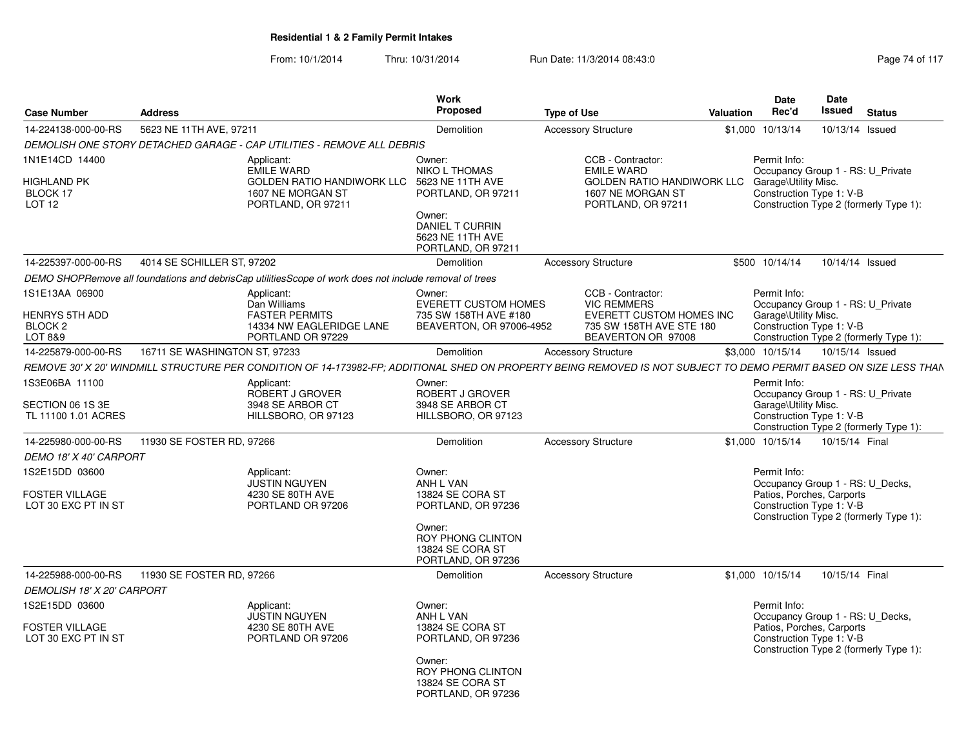| <b>Case Number</b>                                            | <b>Address</b>                |                                                                                                                                                                    | Work<br><b>Proposed</b>                                                                                                                                | <b>Type of Use</b>                                                                                                                   | <b>Valuation</b> | <b>Date</b><br>Rec'd                 | Date<br><b>Issued</b><br><b>Status</b>                                                                                              |  |
|---------------------------------------------------------------|-------------------------------|--------------------------------------------------------------------------------------------------------------------------------------------------------------------|--------------------------------------------------------------------------------------------------------------------------------------------------------|--------------------------------------------------------------------------------------------------------------------------------------|------------------|--------------------------------------|-------------------------------------------------------------------------------------------------------------------------------------|--|
| 14-224138-000-00-RS                                           | 5623 NE 11TH AVE, 97211       |                                                                                                                                                                    | Demolition                                                                                                                                             | <b>Accessory Structure</b>                                                                                                           |                  | \$1,000 10/13/14                     | 10/13/14 Issued                                                                                                                     |  |
|                                                               |                               | DEMOLISH ONE STORY DETACHED GARAGE - CAP UTILITIES - REMOVE ALL DEBRIS                                                                                             |                                                                                                                                                        |                                                                                                                                      |                  |                                      |                                                                                                                                     |  |
| 1N1E14CD 14400<br>HIGHLAND PK<br>BLOCK 17<br>LOT 12           |                               | Applicant:<br>EMILE WARD<br><b>GOLDEN RATIO HANDIWORK LLC</b><br>1607 NE MORGAN ST<br>PORTLAND, OR 97211                                                           | Owner:<br><b>NIKO L THOMAS</b><br>5623 NE 11TH AVE<br>PORTLAND, OR 97211<br>Owner:<br><b>DANIEL T CURRIN</b><br>5623 NE 11TH AVE<br>PORTLAND, OR 97211 | CCB - Contractor:<br><b>EMILE WARD</b><br>GOLDEN RATIO HANDIWORK LLC Garage\Utility Misc.<br>1607 NE MORGAN ST<br>PORTLAND, OR 97211 |                  | Permit Info:                         | Occupancy Group 1 - RS: U Private<br>Construction Type 1: V-B<br>Construction Type 2 (formerly Type 1):                             |  |
| 14-225397-000-00-RS                                           | 4014 SE SCHILLER ST, 97202    |                                                                                                                                                                    | Demolition                                                                                                                                             | <b>Accessory Structure</b>                                                                                                           |                  | \$500 10/14/14                       | 10/14/14 Issued                                                                                                                     |  |
|                                                               |                               | DEMO SHOPRemove all foundations and debrisCap utilitiesScope of work does not include removal of trees                                                             |                                                                                                                                                        |                                                                                                                                      |                  |                                      |                                                                                                                                     |  |
| 1S1E13AA 06900<br><b>HENRYS 5TH ADD</b><br>BLOCK 2<br>LOT 8&9 |                               | Applicant:<br>Dan Williams<br><b>FASTER PERMITS</b><br>14334 NW EAGLERIDGE LANE<br>PORTLAND OR 97229                                                               | Owner:<br><b>EVERETT CUSTOM HOMES</b><br>735 SW 158TH AVE #180<br>BEAVERTON, OR 97006-4952                                                             | CCB - Contractor:<br><b>VIC REMMERS</b><br>EVERETT CUSTOM HOMES INC<br>735 SW 158TH AVE STE 180<br>BEAVERTON OR 97008                |                  | Permit Info:<br>Garage\Utility Misc. | Occupancy Group 1 - RS: U_Private<br>Construction Type 1: V-B<br>Construction Type 2 (formerly Type 1):                             |  |
| 14-225879-000-00-RS                                           | 16711 SE WASHINGTON ST, 97233 |                                                                                                                                                                    | Demolition                                                                                                                                             | <b>Accessory Structure</b>                                                                                                           |                  | \$3,000 10/15/14                     | 10/15/14 Issued                                                                                                                     |  |
|                                                               |                               | REMOVE 30' X 20' WINDMILL STRUCTURE PER CONDITION OF 14-173982-FP; ADDITIONAL SHED ON PROPERTY BEING REMOVED IS NOT SUBJECT TO DEMO PERMIT BASED ON SIZE LESS THAN |                                                                                                                                                        |                                                                                                                                      |                  |                                      |                                                                                                                                     |  |
| 1S3E06BA 11100<br>SECTION 06 1S 3E<br>TL 11100 1.01 ACRES     |                               | Applicant:<br>ROBERT J GROVER<br>3948 SE ARBOR CT<br>HILLSBORO, OR 97123                                                                                           | Owner:<br>ROBERT J GROVER<br>3948 SE ARBOR CT<br>HILLSBORO, OR 97123                                                                                   |                                                                                                                                      |                  | Permit Info:<br>Garage\Utility Misc. | Occupancy Group 1 - RS: U_Private<br>Construction Type 1: V-B<br>Construction Type 2 (formerly Type 1):                             |  |
| 14-225980-000-00-RS                                           | 11930 SE FOSTER RD, 97266     |                                                                                                                                                                    | Demolition                                                                                                                                             | <b>Accessory Structure</b>                                                                                                           |                  | \$1,000 10/15/14                     | 10/15/14 Final                                                                                                                      |  |
| <b>DEMO 18' X 40' CARPORT</b>                                 |                               |                                                                                                                                                                    |                                                                                                                                                        |                                                                                                                                      |                  |                                      |                                                                                                                                     |  |
| 1S2E15DD 03600<br>FOSTER VILLAGE<br>LOT 30 EXC PT IN ST       |                               | Applicant:<br>JUSTIN NGUYEN<br>4230 SE 80TH AVE<br>PORTLAND OR 97206                                                                                               | Owner:<br>ANH L VAN<br>13824 SE CORA ST<br>PORTLAND, OR 97236<br>Owner:<br>ROY PHONG CLINTON<br>13824 SE CORA ST<br>PORTLAND, OR 97236                 |                                                                                                                                      |                  | Permit Info:                         | Occupancy Group 1 - RS: U Decks,<br>Patios, Porches, Carports<br>Construction Type 1: V-B<br>Construction Type 2 (formerly Type 1): |  |
| 14-225988-000-00-RS                                           | 11930 SE FOSTER RD, 97266     |                                                                                                                                                                    | Demolition                                                                                                                                             | <b>Accessory Structure</b>                                                                                                           |                  | \$1,000 10/15/14                     | 10/15/14 Final                                                                                                                      |  |
| DEMOLISH 18' X 20' CARPORT                                    |                               |                                                                                                                                                                    |                                                                                                                                                        |                                                                                                                                      |                  |                                      |                                                                                                                                     |  |
| 1S2E15DD 03600<br>FOSTER VILLAGE<br>LOT 30 EXC PT IN ST       |                               | Applicant:<br>JUSTIN NGUYEN<br>4230 SE 80TH AVE<br>PORTLAND OR 97206                                                                                               | Owner:<br>ANH L VAN<br>13824 SE CORA ST<br>PORTLAND, OR 97236                                                                                          |                                                                                                                                      |                  | Permit Info:                         | Occupancy Group 1 - RS: U_Decks,<br>Patios, Porches, Carports<br>Construction Type 1: V-B<br>Construction Type 2 (formerly Type 1): |  |
|                                                               |                               |                                                                                                                                                                    | Owner:<br>ROY PHONG CLINTON<br>13824 SE CORA ST<br>PORTLAND, OR 97236                                                                                  |                                                                                                                                      |                  |                                      |                                                                                                                                     |  |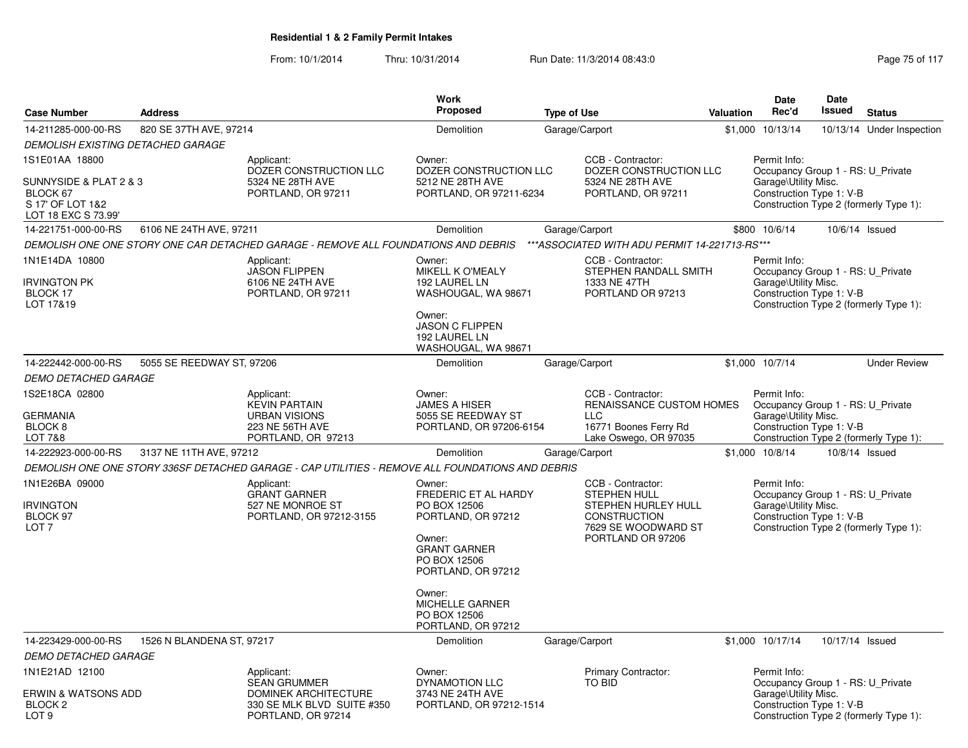| <b>Case Number</b>                                                            | <b>Address</b>                                                                                      |                                                                                                                                                                                                                                 | <b>Work</b><br><b>Proposed</b>                                                                                                                 | <b>Type of Use</b>                                                                                            |                                                                                                                                           | Valuation                                                                                             | Date<br>Rec'd                                                                                                                                   | <b>Date</b><br>Issued                  | <b>Status</b>                          |  |
|-------------------------------------------------------------------------------|-----------------------------------------------------------------------------------------------------|---------------------------------------------------------------------------------------------------------------------------------------------------------------------------------------------------------------------------------|------------------------------------------------------------------------------------------------------------------------------------------------|---------------------------------------------------------------------------------------------------------------|-------------------------------------------------------------------------------------------------------------------------------------------|-------------------------------------------------------------------------------------------------------|-------------------------------------------------------------------------------------------------------------------------------------------------|----------------------------------------|----------------------------------------|--|
| 14-211285-000-00-RS                                                           | 820 SE 37TH AVE, 97214                                                                              |                                                                                                                                                                                                                                 | Demolition                                                                                                                                     |                                                                                                               | Garage/Carport                                                                                                                            | \$1,000                                                                                               | 10/13/14                                                                                                                                        |                                        | 10/13/14 Under Inspection              |  |
| <b>DEMOLISH EXISTING DETACHED GARAGE</b>                                      |                                                                                                     |                                                                                                                                                                                                                                 |                                                                                                                                                |                                                                                                               |                                                                                                                                           |                                                                                                       |                                                                                                                                                 |                                        |                                        |  |
| 1S1E01AA 18800<br>SUNNYSIDE & PLAT 2 & 3<br>BLOCK 67<br>S 17' OF LOT 1&2      |                                                                                                     | Applicant:<br>DOZER CONSTRUCTION LLC<br>5324 NE 28TH AVE<br>PORTLAND, OR 97211                                                                                                                                                  | Owner:<br>DOZER CONSTRUCTION LLC<br>5212 NE 28TH AVE<br>PORTLAND, OR 97211-6234                                                                |                                                                                                               | CCB - Contractor:<br>DOZER CONSTRUCTION LLC<br>5324 NE 28TH AVE<br>PORTLAND, OR 97211                                                     |                                                                                                       | Permit Info:<br>Occupancy Group 1 - RS: U_Private<br>Garage\Utility Misc.<br>Construction Type 1: V-B<br>Construction Type 2 (formerly Type 1): |                                        |                                        |  |
| LOT 18 EXC S 73.99'                                                           |                                                                                                     |                                                                                                                                                                                                                                 |                                                                                                                                                |                                                                                                               |                                                                                                                                           |                                                                                                       |                                                                                                                                                 |                                        |                                        |  |
| 14-221751-000-00-RS                                                           | 6106 NE 24TH AVE, 97211                                                                             |                                                                                                                                                                                                                                 | Demolition                                                                                                                                     | Garage/Carport                                                                                                |                                                                                                                                           |                                                                                                       | \$800 10/6/14                                                                                                                                   |                                        | 10/6/14 Issued                         |  |
|                                                                               |                                                                                                     | DEMOLISH ONE ONE STORY ONE CAR DETACHED GARAGE - REMOVE ALL FOUNDATIONS AND DEBRIS                                                                                                                                              |                                                                                                                                                |                                                                                                               | *** ASSOCIATED WITH ADU PERMIT 14-221713-RS***                                                                                            |                                                                                                       |                                                                                                                                                 |                                        |                                        |  |
| 1N1E14DA 10800<br><b>IRVINGTON PK</b><br>BLOCK 17<br>LOT 17&19                |                                                                                                     | Applicant:<br><b>JASON FLIPPEN</b><br>6106 NE 24TH AVE<br>PORTLAND, OR 97211                                                                                                                                                    | Owner:<br>MIKELL K O'MEALY<br>192 LAUREL LN<br>WASHOUGAL, WA 98671<br>Owner:<br><b>JASON C FLIPPEN</b><br>192 LAUREL LN<br>WASHOUGAL, WA 98671 |                                                                                                               | CCB - Contractor:<br>STEPHEN RANDALL SMITH<br>1333 NE 47TH<br>PORTLAND OR 97213                                                           |                                                                                                       | Permit Info:<br>Occupancy Group 1 - RS: U Private<br>Garage\Utility Misc.<br>Construction Type 1: V-B                                           |                                        | Construction Type 2 (formerly Type 1): |  |
| 14-222442-000-00-RS                                                           | 5055 SE REEDWAY ST, 97206                                                                           |                                                                                                                                                                                                                                 | Demolition                                                                                                                                     | Garage/Carport                                                                                                |                                                                                                                                           |                                                                                                       | \$1,000 10/7/14                                                                                                                                 |                                        | <b>Under Review</b>                    |  |
| <b>DEMO DETACHED GARAGE</b>                                                   |                                                                                                     |                                                                                                                                                                                                                                 |                                                                                                                                                |                                                                                                               |                                                                                                                                           |                                                                                                       |                                                                                                                                                 |                                        |                                        |  |
| 1S2E18CA 02800<br><b>GERMANIA</b><br>BLOCK <sub>8</sub><br><b>LOT 7&amp;8</b> | Applicant:<br><b>KEVIN PARTAIN</b><br><b>URBAN VISIONS</b><br>223 NE 56TH AVE<br>PORTLAND, OR 97213 |                                                                                                                                                                                                                                 | Owner:<br><b>JAMES A HISER</b><br>5055 SE REEDWAY ST<br>PORTLAND, OR 97206-6154                                                                | CCB - Contractor:<br>RENAISSANCE CUSTOM HOMES<br><b>LLC</b><br>16771 Boones Ferry Rd<br>Lake Oswego, OR 97035 |                                                                                                                                           | Permit Info:<br>Occupancy Group 1 - RS: U Private<br>Garage\Utility Misc.<br>Construction Type 1: V-B |                                                                                                                                                 | Construction Type 2 (formerly Type 1): |                                        |  |
| 14-222923-000-00-RS                                                           | 3137 NE 11TH AVE, 97212                                                                             |                                                                                                                                                                                                                                 | Demolition                                                                                                                                     | Garage/Carport                                                                                                |                                                                                                                                           |                                                                                                       | \$1,000 10/8/14                                                                                                                                 |                                        | 10/8/14 Issued                         |  |
|                                                                               |                                                                                                     | DEMOLISH ONE ONE STORY 336SF DETACHED GARAGE - CAP UTILITIES - REMOVE ALL FOUNDATIONS AND DEBRIS                                                                                                                                |                                                                                                                                                |                                                                                                               |                                                                                                                                           |                                                                                                       |                                                                                                                                                 |                                        |                                        |  |
| 1N1E26BA 09000<br><b>IRVINGTON</b><br>BLOCK 97<br>LOT <sub>7</sub>            |                                                                                                     | Applicant:<br>Owner:<br><b>GRANT GARNER</b><br>FREDERIC ET AL HARDY<br>527 NE MONROE ST<br>PO BOX 12506<br>PORTLAND, OR 97212-3155<br>PORTLAND, OR 97212<br>Owner:<br><b>GRANT GARNER</b><br>PO BOX 12506<br>PORTLAND, OR 97212 |                                                                                                                                                |                                                                                                               | CCB - Contractor:<br><b>STEPHEN HULL</b><br><b>STEPHEN HURLEY HULL</b><br><b>CONSTRUCTION</b><br>7629 SE WOODWARD ST<br>PORTLAND OR 97206 |                                                                                                       | Permit Info:<br>Occupancy Group 1 - RS: U Private<br>Garage\Utility Misc.<br>Construction Type 1: V-B                                           |                                        | Construction Type 2 (formerly Type 1): |  |
|                                                                               |                                                                                                     |                                                                                                                                                                                                                                 | Owner:<br><b>MICHELLE GARNER</b><br>PO BOX 12506<br>PORTLAND, OR 97212                                                                         |                                                                                                               |                                                                                                                                           |                                                                                                       |                                                                                                                                                 |                                        |                                        |  |
| 14-223429-000-00-RS                                                           | 1526 N BLANDENA ST, 97217                                                                           |                                                                                                                                                                                                                                 | Demolition                                                                                                                                     | Garage/Carport                                                                                                |                                                                                                                                           |                                                                                                       | \$1,000 10/17/14                                                                                                                                | 10/17/14 Issued                        |                                        |  |
| <b>DEMO DETACHED GARAGE</b>                                                   |                                                                                                     |                                                                                                                                                                                                                                 |                                                                                                                                                |                                                                                                               |                                                                                                                                           |                                                                                                       |                                                                                                                                                 |                                        |                                        |  |
| 1N1E21AD 12100<br><b>ERWIN &amp; WATSONS ADD</b>                              |                                                                                                     | Applicant:<br><b>SEAN GRUMMER</b><br><b>DOMINEK ARCHITECTURE</b>                                                                                                                                                                | Owner:<br>DYNAMOTION LLC<br>3743 NE 24TH AVE                                                                                                   |                                                                                                               | <b>Primary Contractor:</b><br>TO BID                                                                                                      |                                                                                                       | Permit Info:<br>Occupancy Group 1 - RS: U Private<br>Garage\Utility Misc.                                                                       |                                        |                                        |  |
| <b>BLOCK 2</b><br>LOT <sub>9</sub>                                            |                                                                                                     | 330 SE MLK BLVD SUITE #350<br>PORTLAND, OR 97214                                                                                                                                                                                | PORTLAND, OR 97212-1514                                                                                                                        |                                                                                                               |                                                                                                                                           |                                                                                                       | Construction Type 1: V-B                                                                                                                        |                                        | Construction Type 2 (formerly Type 1): |  |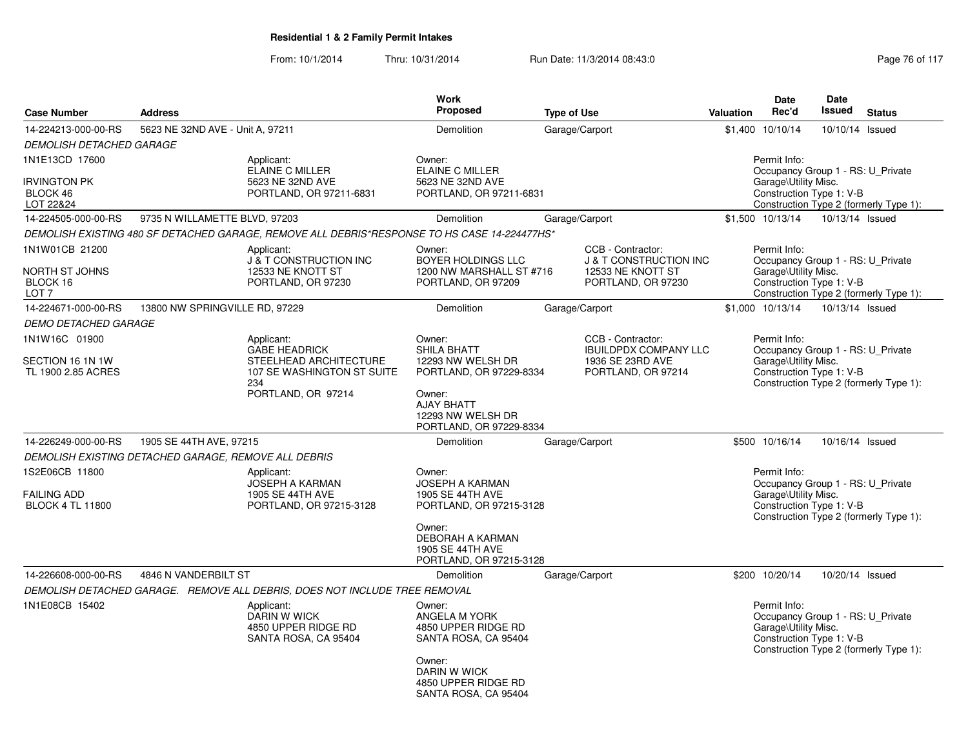| <b>Case Number</b>                                                                                                              | <b>Address</b>                                                                               | Work<br>Proposed                                                                 | <b>Type of Use</b>                                                          | <b>Date</b><br><b>Date</b><br><b>Issued</b><br>Rec'd<br><b>Valuation</b><br><b>Status</b>                                                       |
|---------------------------------------------------------------------------------------------------------------------------------|----------------------------------------------------------------------------------------------|----------------------------------------------------------------------------------|-----------------------------------------------------------------------------|-------------------------------------------------------------------------------------------------------------------------------------------------|
|                                                                                                                                 |                                                                                              |                                                                                  |                                                                             |                                                                                                                                                 |
| 14-224213-000-00-RS                                                                                                             | 5623 NE 32ND AVE - Unit A, 97211                                                             | Demolition                                                                       | Garage/Carport                                                              | \$1,400 10/10/14<br>10/10/14 Issued                                                                                                             |
| <b>DEMOLISH DETACHED GARAGE</b><br>1N1E13CD 17600                                                                               | Applicant:<br><b>ELAINE C MILLER</b>                                                         | Owner:<br><b>ELAINE C MILLER</b>                                                 |                                                                             | Permit Info:<br>Occupancy Group 1 - RS: U Private                                                                                               |
| <b>IRVINGTON PK</b><br>BLOCK 46<br>LOT 22&24                                                                                    | 5623 NE 32ND AVE<br>PORTLAND, OR 97211-6831                                                  | 5623 NE 32ND AVE<br>PORTLAND, OR 97211-6831                                      |                                                                             | Garage\Utility Misc.<br>Construction Type 1: V-B<br>Construction Type 2 (formerly Type 1):                                                      |
| 14-224505-000-00-RS                                                                                                             | 9735 N WILLAMETTE BLVD, 97203                                                                | Demolition                                                                       | Garage/Carport                                                              | \$1,500 10/13/14<br>10/13/14 Issued                                                                                                             |
|                                                                                                                                 | DEMOLISH EXISTING 480 SF DETACHED GARAGE, REMOVE ALL DEBRIS*RESPONSE TO HS CASE 14-224477HS* |                                                                                  |                                                                             |                                                                                                                                                 |
| 1N1W01CB 21200<br>Applicant:<br>J'& T CONSTRUCTION INC<br>NORTH ST JOHNS<br>12533 NE KNOTT ST<br>BLOCK 16<br>PORTLAND, OR 97230 |                                                                                              | Owner:<br><b>BOYER HOLDINGS LLC</b><br>1200 NW MARSHALL ST #716                  | CCB - Contractor:<br><b>J &amp; T CONSTRUCTION INC</b><br>12533 NE KNOTT ST | Permit Info:<br>Occupancy Group 1 - RS: U Private<br>Garage\Utility Misc.<br>Construction Type 1: V-B                                           |
| LOT 7                                                                                                                           |                                                                                              | PORTLAND, OR 97209                                                               | PORTLAND, OR 97230                                                          | Construction Type 2 (formerly Type 1):                                                                                                          |
| 14-224671-000-00-RS                                                                                                             | 13800 NW SPRINGVILLE RD, 97229                                                               | Demolition                                                                       | Garage/Carport                                                              | \$1,000 10/13/14<br>10/13/14 Issued                                                                                                             |
| <b>DEMO DETACHED GARAGE</b>                                                                                                     |                                                                                              |                                                                                  |                                                                             |                                                                                                                                                 |
| 1N1W16C 01900                                                                                                                   | Applicant:<br><b>GABE HEADRICK</b>                                                           | Owner:<br>SHILA BHATT                                                            | CCB - Contractor:<br><b>IBUILDPDX COMPANY LLC</b>                           | Permit Info:<br>Occupancy Group 1 - RS: U Private                                                                                               |
| SECTION 16 1N 1W<br>TL 1900 2.85 ACRES                                                                                          | STEELHEAD ARCHITECTURE<br>107 SE WASHINGTON ST SUITE<br>234                                  | 12293 NW WELSH DR<br>PORTLAND, OR 97229-8334                                     | 1936 SE 23RD AVE<br>PORTLAND, OR 97214                                      | Garage\Utility Misc.<br>Construction Type 1: V-B<br>Construction Type 2 (formerly Type 1):                                                      |
|                                                                                                                                 | PORTLAND, OR 97214                                                                           | Owner:<br><b>AJAY BHATT</b><br>12293 NW WELSH DR<br>PORTLAND, OR 97229-8334      |                                                                             |                                                                                                                                                 |
| 14-226249-000-00-RS                                                                                                             | 1905 SE 44TH AVE, 97215                                                                      | <b>Demolition</b>                                                                | Garage/Carport                                                              | \$500 10/16/14<br>10/16/14 Issued                                                                                                               |
|                                                                                                                                 | DEMOLISH EXISTING DETACHED GARAGE, REMOVE ALL DEBRIS                                         |                                                                                  |                                                                             |                                                                                                                                                 |
| 1S2E06CB 11800                                                                                                                  | Applicant:<br><b>JOSEPH A KARMAN</b>                                                         | Owner:<br><b>JOSEPH A KARMAN</b>                                                 |                                                                             | Permit Info:<br>Occupancy Group 1 - RS: U_Private                                                                                               |
| <b>FAILING ADD</b><br><b>BLOCK 4 TL 11800</b>                                                                                   | 1905 SE 44TH AVE<br>PORTLAND, OR 97215-3128                                                  | 1905 SE 44TH AVE<br>PORTLAND, OR 97215-3128                                      |                                                                             | Garage\Utility Misc.<br>Construction Type 1: V-B<br>Construction Type 2 (formerly Type 1):                                                      |
|                                                                                                                                 |                                                                                              | Owner:<br><b>DEBORAH A KARMAN</b><br>1905 SE 44TH AVE<br>PORTLAND, OR 97215-3128 |                                                                             |                                                                                                                                                 |
| 14-226608-000-00-RS                                                                                                             | 4846 N VANDERBILT ST                                                                         | Demolition                                                                       | Garage/Carport                                                              | \$200 10/20/14<br>10/20/14 Issued                                                                                                               |
|                                                                                                                                 | DEMOLISH DETACHED GARAGE. REMOVE ALL DEBRIS, DOES NOT INCLUDE TREE REMOVAL                   |                                                                                  |                                                                             |                                                                                                                                                 |
| 1N1E08CB 15402                                                                                                                  | Applicant:<br>DARIN W WICK<br>4850 UPPER RIDGE RD<br>SANTA ROSA, CA 95404                    | Owner:<br>ANGELA M YORK<br>4850 UPPER RIDGE RD<br>SANTA ROSA, CA 95404           |                                                                             | Permit Info:<br>Occupancy Group 1 - RS: U Private<br>Garage\Utility Misc.<br>Construction Type 1: V-B<br>Construction Type 2 (formerly Type 1): |
|                                                                                                                                 |                                                                                              | Owner:<br><b>DARIN W WICK</b><br>4850 UPPER RIDGE RD<br>SANTA ROSA, CA 95404     |                                                                             |                                                                                                                                                 |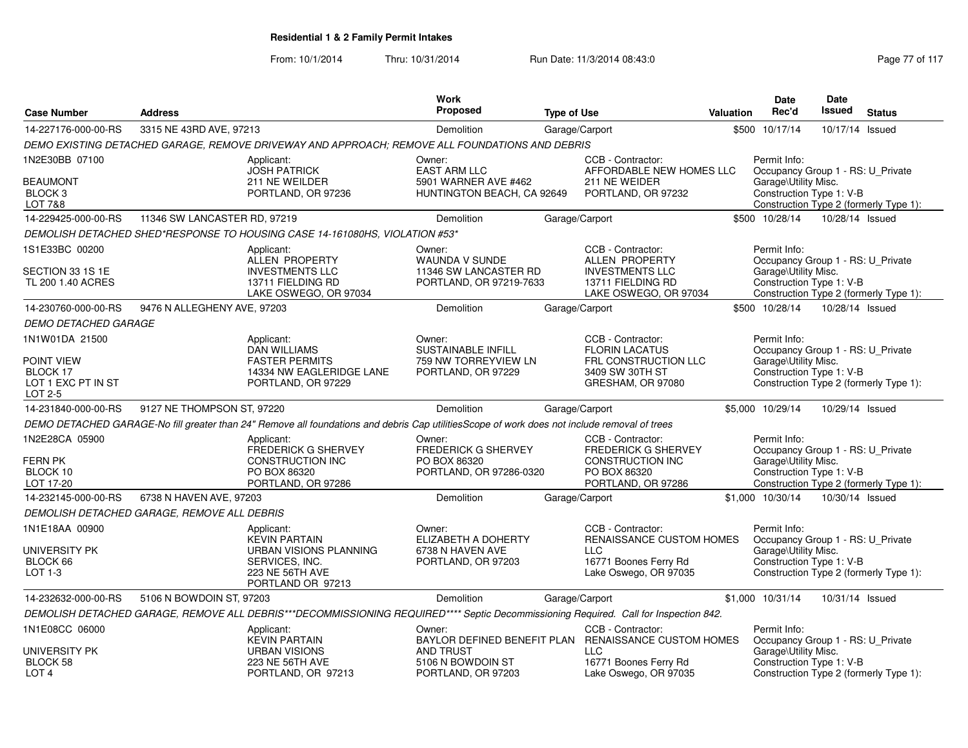| <b>Case Number</b>                                                 | <b>Address</b>                              |                                                                                                                                              | <b>Work</b><br><b>Proposed</b>                                                      | <b>Type of Use</b> |                                                                                                                  | <b>Valuation</b> | <b>Date</b><br>Rec'd                                                                                  | <b>Date</b><br>Issued | <b>Status</b>                          |
|--------------------------------------------------------------------|---------------------------------------------|----------------------------------------------------------------------------------------------------------------------------------------------|-------------------------------------------------------------------------------------|--------------------|------------------------------------------------------------------------------------------------------------------|------------------|-------------------------------------------------------------------------------------------------------|-----------------------|----------------------------------------|
| 14-227176-000-00-RS                                                | 3315 NE 43RD AVE, 97213                     |                                                                                                                                              | Demolition                                                                          | Garage/Carport     |                                                                                                                  |                  | \$500 10/17/14                                                                                        | 10/17/14 Issued       |                                        |
|                                                                    |                                             | DEMO EXISTING DETACHED GARAGE, REMOVE DRIVEWAY AND APPROACH; REMOVE ALL FOUNDATIONS AND DEBRIS                                               |                                                                                     |                    |                                                                                                                  |                  |                                                                                                       |                       |                                        |
| 1N2E30BB 07100<br><b>BEAUMONT</b><br>BLOCK <sub>3</sub><br>LOT 7&8 |                                             | Applicant:<br><b>JOSH PATRICK</b><br>211 NE WEILDER<br>PORTLAND, OR 97236                                                                    | Owner:<br><b>EAST ARM LLC</b><br>5901 WARNER AVE #462<br>HUNTINGTON BEACH, CA 92649 |                    | CCB - Contractor:<br>AFFORDABLE NEW HOMES LLC<br>211 NE WEIDER<br>PORTLAND, OR 97232                             |                  | Permit Info:<br>Occupancy Group 1 - RS: U_Private<br>Garage\Utility Misc.<br>Construction Type 1: V-B |                       | Construction Type 2 (formerly Type 1): |
| 14-229425-000-00-RS                                                | 11346 SW LANCASTER RD, 97219                |                                                                                                                                              | Demolition                                                                          | Garage/Carport     |                                                                                                                  |                  | \$500 10/28/14                                                                                        | 10/28/14 Issued       |                                        |
|                                                                    |                                             | DEMOLISH DETACHED SHED*RESPONSE TO HOUSING CASE 14-161080HS, VIOLATION #53*                                                                  |                                                                                     |                    |                                                                                                                  |                  |                                                                                                       |                       |                                        |
| 1S1E33BC 00200<br>SECTION 33 1S 1E<br>TL 200 1.40 ACRES            |                                             | Applicant:<br>ALLEN PROPERTY<br><b>INVESTMENTS LLC</b><br>13711 FIELDING RD<br>LAKE OSWEGO, OR 97034                                         | Owner:<br>WAUNDA V SUNDE<br>11346 SW LANCASTER RD<br>PORTLAND, OR 97219-7633        |                    | CCB - Contractor:<br>ALLEN PROPERTY<br><b>INVESTMENTS LLC</b><br>13711 FIELDING RD<br>LAKE OSWEGO, OR 97034      |                  | Permit Info:<br>Occupancy Group 1 - RS: U Private<br>Garage\Utility Misc.<br>Construction Type 1: V-B |                       | Construction Type 2 (formerly Type 1): |
| 14-230760-000-00-RS                                                | 9476 N ALLEGHENY AVE, 97203                 |                                                                                                                                              | Demolition                                                                          | Garage/Carport     |                                                                                                                  |                  | \$500 10/28/14                                                                                        | 10/28/14 Issued       |                                        |
| <b>DEMO DETACHED GARAGE</b>                                        |                                             |                                                                                                                                              |                                                                                     |                    |                                                                                                                  |                  |                                                                                                       |                       |                                        |
| 1N1W01DA 21500                                                     |                                             | Applicant:<br><b>DAN WILLIAMS</b>                                                                                                            | Owner:<br><b>SUSTAINABLE INFILL</b>                                                 |                    | CCB - Contractor:<br><b>FLORIN LACATUS</b>                                                                       |                  | Permit Info:<br>Occupancy Group 1 - RS: U_Private                                                     |                       |                                        |
| POINT VIEW<br>BLOCK 17<br>LOT 1 EXC PT IN ST<br>LOT 2-5            |                                             | <b>FASTER PERMITS</b><br>14334 NW EAGLERIDGE LANE<br>PORTLAND, OR 97229                                                                      | 759 NW TORREYVIEW LN<br>PORTLAND, OR 97229                                          |                    | FRL CONSTRUCTION LLC<br>3409 SW 30TH ST<br>GRESHAM, OR 97080                                                     |                  | Garage\Utility Misc.<br>Construction Type 1: V-B                                                      |                       | Construction Type 2 (formerly Type 1): |
| 14-231840-000-00-RS                                                | 9127 NE THOMPSON ST, 97220                  |                                                                                                                                              | Demolition                                                                          | Garage/Carport     |                                                                                                                  |                  | \$5,000 10/29/14                                                                                      | 10/29/14 Issued       |                                        |
|                                                                    |                                             | DEMO DETACHED GARAGE-No fill greater than 24" Remove all foundations and debris Cap utilitiesScope of work does not include removal of trees |                                                                                     |                    |                                                                                                                  |                  |                                                                                                       |                       |                                        |
| 1N2E28CA 05900<br><b>FERN PK</b><br>BLOCK 10<br>LOT 17-20          |                                             | Applicant:<br>FREDERICK G SHERVEY<br><b>CONSTRUCTION INC</b><br>PO BOX 86320<br>PORTLAND, OR 97286                                           | Owner:<br>FREDERICK G SHERVEY<br>PO BOX 86320<br>PORTLAND, OR 97286-0320            |                    | CCB - Contractor:<br><b>FREDERICK G SHERVEY</b><br><b>CONSTRUCTION INC</b><br>PO BOX 86320<br>PORTLAND, OR 97286 |                  | Permit Info:<br>Occupancy Group 1 - RS: U_Private<br>Garage\Utility Misc.<br>Construction Type 1: V-B |                       | Construction Type 2 (formerly Type 1): |
| 14-232145-000-00-RS                                                | 6738 N HAVEN AVE, 97203                     |                                                                                                                                              | Demolition                                                                          | Garage/Carport     |                                                                                                                  |                  | \$1,000 10/30/14                                                                                      | 10/30/14 Issued       |                                        |
|                                                                    | DEMOLISH DETACHED GARAGE, REMOVE ALL DEBRIS |                                                                                                                                              |                                                                                     |                    |                                                                                                                  |                  |                                                                                                       |                       |                                        |
| 1N1E18AA 00900<br>UNIVERSITY PK<br>BLOCK 66<br>LOT 1-3             |                                             | Applicant:<br><b>KEVIN PARTAIN</b><br>URBAN VISIONS PLANNING<br>SERVICES, INC.<br>223 NE 56TH AVE<br>PORTLAND OR 97213                       | Owner:<br>ELIZABETH A DOHERTY<br>6738 N HAVEN AVE<br>PORTLAND, OR 97203             |                    | CCB - Contractor:<br>RENAISSANCE CUSTOM HOMES<br><b>LLC</b><br>16771 Boones Ferry Rd<br>Lake Oswego, OR 97035    |                  | Permit Info:<br>Occupancy Group 1 - RS: U_Private<br>Garage\Utility Misc.<br>Construction Type 1: V-B |                       | Construction Type 2 (formerly Type 1): |
| 14-232632-000-00-RS                                                | 5106 N BOWDOIN ST, 97203                    |                                                                                                                                              | Demolition                                                                          |                    | Garage/Carport                                                                                                   |                  | \$1,000 10/31/14                                                                                      | 10/31/14 Issued       |                                        |
|                                                                    |                                             | DEMOLISH DETACHED GARAGE, REMOVE ALL DEBRIS***DECOMMISSIONING REQUIRED**** Septic Decommissioning Required. Call for Inspection 842.         |                                                                                     |                    |                                                                                                                  |                  |                                                                                                       |                       |                                        |
| 1N1E08CC 06000                                                     |                                             | Applicant:<br><b>KEVIN PARTAIN</b>                                                                                                           | Owner:                                                                              |                    | CCB - Contractor:<br>BAYLOR DEFINED BENEFIT PLAN RENAISSANCE CUSTOM HOMES                                        |                  | Permit Info:<br>Occupancy Group 1 - RS: U_Private                                                     |                       |                                        |
| UNIVERSITY PK<br>BLOCK 58<br>LOT <sub>4</sub>                      |                                             | <b>URBAN VISIONS</b><br>223 NE 56TH AVE<br>PORTLAND, OR 97213                                                                                | <b>AND TRUST</b><br>5106 N BOWDOIN ST<br>PORTLAND, OR 97203                         |                    | <b>LLC</b><br>16771 Boones Ferry Rd<br>Lake Oswego, OR 97035                                                     |                  | Garage\Utility Misc.<br>Construction Type 1: V-B                                                      |                       | Construction Type 2 (formerly Type 1): |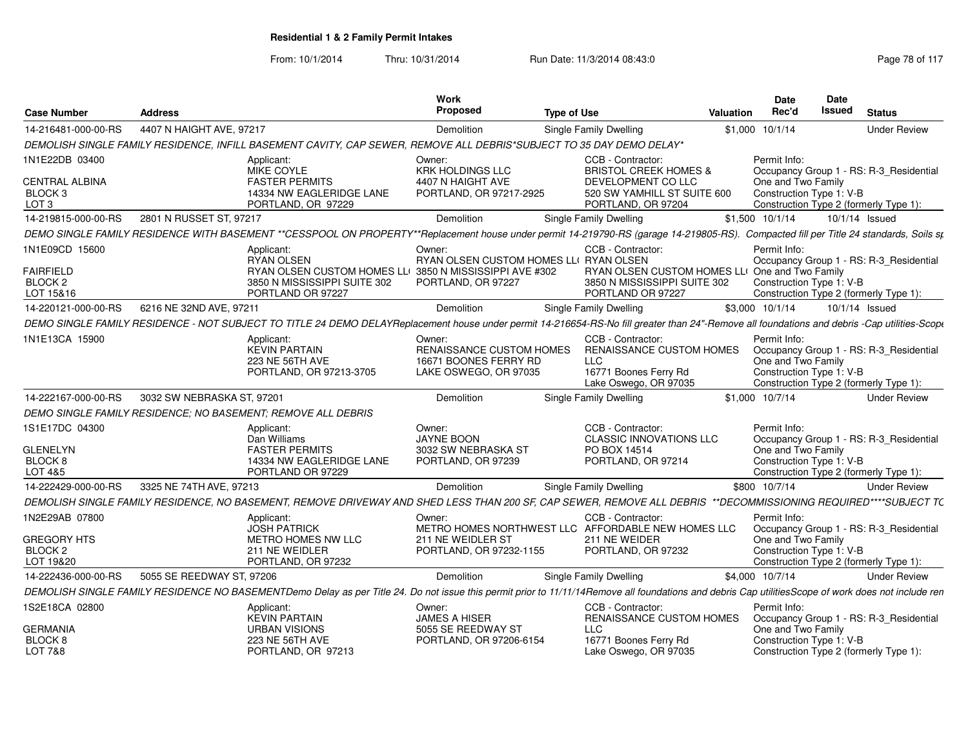| <b>Case Number</b>                                                                | <b>Address</b>             |                                                                                                                                                                                                     | Work<br><b>Proposed</b>                                                                                      | <b>Type of Use</b>                                                                                                               | Valuation                                      | <b>Date</b><br>Rec'd                                                                                                                                | Date<br><b>Issued</b> | <b>Status</b>       |  |
|-----------------------------------------------------------------------------------|----------------------------|-----------------------------------------------------------------------------------------------------------------------------------------------------------------------------------------------------|--------------------------------------------------------------------------------------------------------------|----------------------------------------------------------------------------------------------------------------------------------|------------------------------------------------|-----------------------------------------------------------------------------------------------------------------------------------------------------|-----------------------|---------------------|--|
| 14-216481-000-00-RS                                                               | 4407 N HAIGHT AVE, 97217   |                                                                                                                                                                                                     | <b>Demolition</b>                                                                                            | Single Family Dwelling                                                                                                           |                                                | \$1,000 10/1/14                                                                                                                                     |                       | <b>Under Review</b> |  |
|                                                                                   |                            | DEMOLISH SINGLE FAMILY RESIDENCE. INFILL BASEMENT CAVITY, CAP SEWER, REMOVE ALL DEBRIS*SUBJECT TO 35 DAY DEMO DELAY*                                                                                |                                                                                                              |                                                                                                                                  |                                                |                                                                                                                                                     |                       |                     |  |
| 1N1E22DB 03400<br><b>CENTRAL ALBINA</b><br>BLOCK <sub>3</sub><br>LOT <sub>3</sub> |                            | Applicant:<br>MIKE COYLE<br><b>FASTER PERMITS</b><br>14334 NW EAGLERIDGE LANE<br>PORTLAND, OR 97229                                                                                                 | Owner:<br><b>KRK HOLDINGS LLC</b><br>4407 N HAIGHT AVE<br>PORTLAND, OR 97217-2925                            | CCB - Contractor:<br><b>BRISTOL CREEK HOMES &amp;</b><br>DEVELOPMENT CO LLC<br>520 SW YAMHILL ST SUITE 600<br>PORTLAND, OR 97204 |                                                | Permit Info:<br>Occupancy Group 1 - RS: R-3_Residential<br>One and Two Family<br>Construction Type 1: V-B<br>Construction Type 2 (formerly Type 1): |                       |                     |  |
| 14-219815-000-00-RS                                                               | 2801 N RUSSET ST, 97217    |                                                                                                                                                                                                     | <b>Demolition</b>                                                                                            | Single Family Dwelling                                                                                                           |                                                | \$1,500 10/1/14                                                                                                                                     |                       | 10/1/14 Issued      |  |
|                                                                                   |                            | DEMO SINGLE FAMILY RESIDENCE WITH BASEMENT **CESSPOOL ON PROPERTY**Replacement house under permit 14-219790-RS (garage 14-219805-RS). Compacted fill per Title 24 standards, Soils st               |                                                                                                              |                                                                                                                                  |                                                |                                                                                                                                                     |                       |                     |  |
| 1N1E09CD 15600<br><b>FAIRFIELD</b><br>BLOCK <sub>2</sub><br>LOT 15&16             |                            | Applicant:<br><b>RYAN OLSEN</b><br>RYAN OLSEN CUSTOM HOMES LLI 3850 N MISSISSIPPI AVE #302<br>3850 N MISSISSIPPI SUITE 302<br>PORTLAND OR 97227                                                     | Owner:<br>RYAN OLSEN CUSTOM HOMES LLI RYAN OLSEN<br>PORTLAND, OR 97227                                       | CCB - Contractor:<br>3850 N MISSISSIPPI SUITE 302<br>PORTLAND OR 97227                                                           | RYAN OLSEN CUSTOM HOMES LLI One and Two Family | Permit Info:<br>Occupancy Group 1 - RS: R-3 Residential<br>Construction Type 1: V-B<br>Construction Type 2 (formerly Type 1):                       |                       |                     |  |
| 14-220121-000-00-RS                                                               | 6216 NE 32ND AVE, 97211    |                                                                                                                                                                                                     | Demolition                                                                                                   | Single Family Dwelling                                                                                                           |                                                | \$3,000 10/1/14                                                                                                                                     |                       | 10/1/14 Issued      |  |
|                                                                                   |                            | DEMO SINGLE FAMILY RESIDENCE - NOT SUBJECT TO TITLE 24 DEMO DELAYReplacement house under permit 14-216654-RS-No fill greater than 24"-Remove all foundations and debris -Cap utilities-Scope        |                                                                                                              |                                                                                                                                  |                                                |                                                                                                                                                     |                       |                     |  |
| 1N1E13CA 15900                                                                    |                            | Applicant<br><b>KEVIN PARTAIN</b><br>223 NE 56TH AVE<br>PORTLAND, OR 97213-3705                                                                                                                     | Owner:<br><b>RENAISSANCE CUSTOM HOMES</b><br>16671 BOONES FERRY RD<br>LAKE OSWEGO, OR 97035                  | CCB - Contractor:<br><b>RENAISSANCE CUSTOM HOMES</b><br><b>LLC</b><br>16771 Boones Ferry Rd<br>Lake Oswego, OR 97035             |                                                | Permit Info:<br>Occupancy Group 1 - RS: R-3 Residential<br>One and Two Family<br>Construction Type 1: V-B<br>Construction Type 2 (formerly Type 1): |                       |                     |  |
| 14-222167-000-00-RS                                                               | 3032 SW NEBRASKA ST, 97201 |                                                                                                                                                                                                     | <b>Demolition</b>                                                                                            | Single Family Dwelling                                                                                                           |                                                | \$1,000 10/7/14                                                                                                                                     |                       | <b>Under Review</b> |  |
|                                                                                   |                            | DEMO SINGLE FAMILY RESIDENCE: NO BASEMENT: REMOVE ALL DEBRIS                                                                                                                                        |                                                                                                              |                                                                                                                                  |                                                |                                                                                                                                                     |                       |                     |  |
| 1S1E17DC 04300<br><b>GLENELYN</b><br><b>BLOCK 8</b><br>LOT 4&5                    |                            | Applicant:<br>Dan Williams<br><b>FASTER PERMITS</b><br>14334 NW EAGLERIDGE LANE<br>PORTLAND OR 97229                                                                                                | Owner:<br>JAYNE BOON<br>3032 SW NEBRASKA ST<br>PORTLAND, OR 97239                                            | CCB - Contractor:<br><b>CLASSIC INNOVATIONS LLC</b><br>PO BOX 14514<br>PORTLAND, OR 97214                                        |                                                | Permit Info:<br>Occupancy Group 1 - RS: R-3_Residential<br>One and Two Family<br>Construction Type 1: V-B<br>Construction Type 2 (formerly Type 1): |                       |                     |  |
| 14-222429-000-00-RS                                                               | 3325 NE 74TH AVE, 97213    |                                                                                                                                                                                                     | Demolition                                                                                                   | Single Family Dwelling                                                                                                           |                                                | \$800 10/7/14                                                                                                                                       |                       | <b>Under Review</b> |  |
|                                                                                   |                            | DEMOLISH SINGLE FAMILY RESIDENCE, NO BASEMENT, REMOVE DRIVEWAY AND SHED LESS THAN 200 SF, CAP SEWER, REMOVE ALL DEBRIS **DECOMMISSIONING REQUIRED****SUBJECT TO                                     |                                                                                                              |                                                                                                                                  |                                                |                                                                                                                                                     |                       |                     |  |
| 1N2E29AB 07800<br><b>GREGORY HTS</b><br>BLOCK 2                                   |                            | Applicant:<br><b>JOSH PATRICK</b><br>METRO HOMES NW LLC<br>211 NE WEIDLER                                                                                                                           | Owner:<br>METRO HOMES NORTHWEST LLC AFFORDABLE NEW HOMES LLC<br>211 NE WEIDLER ST<br>PORTLAND, OR 97232-1155 | CCB - Contractor<br>211 NE WEIDER<br>PORTLAND, OR 97232                                                                          |                                                | Permit Info:<br>Occupancy Group 1 - RS: R-3_Residential<br>One and Two Family<br>Construction Type 1: V-B                                           |                       |                     |  |
| LOT 19&20                                                                         |                            | PORTLAND, OR 97232                                                                                                                                                                                  |                                                                                                              |                                                                                                                                  |                                                | Construction Type 2 (formerly Type 1):                                                                                                              |                       |                     |  |
| 14-222436-000-00-RS                                                               | 5055 SE REEDWAY ST, 97206  |                                                                                                                                                                                                     | <b>Demolition</b>                                                                                            | Single Family Dwelling                                                                                                           |                                                | \$4,000 10/7/14                                                                                                                                     |                       | <b>Under Review</b> |  |
|                                                                                   |                            | DEMOLISH SINGLE FAMILY RESIDENCE NO BASEMENTDemo Delay as per Title 24. Do not issue this permit prior to 11/11/14Remove all foundations and debris Cap utilitiesScope of work does not include ren |                                                                                                              |                                                                                                                                  |                                                |                                                                                                                                                     |                       |                     |  |
| 1S2E18CA 02800<br><b>GERMANIA</b>                                                 |                            | Applicant:<br><b>KEVIN PARTAIN</b><br><b>URBAN VISIONS</b>                                                                                                                                          | Owner:<br><b>JAMES A HISER</b><br>5055 SE REEDWAY ST                                                         | CCB - Contractor:<br>RENAISSANCE CUSTOM HOMES<br>LLC                                                                             |                                                | Permit Info:<br>Occupancy Group 1 - RS: R-3_Residential<br>One and Two Family                                                                       |                       |                     |  |
| <b>BLOCK 8</b><br>LOT 7&8                                                         |                            | <b>223 NE 56TH AVE</b><br>PORTLAND, OR 97213                                                                                                                                                        | PORTLAND, OR 97206-6154                                                                                      | 16771 Boones Ferry Rd<br>Lake Oswego, OR 97035                                                                                   |                                                | Construction Type 1: V-B<br>Construction Type 2 (formerly Type 1):                                                                                  |                       |                     |  |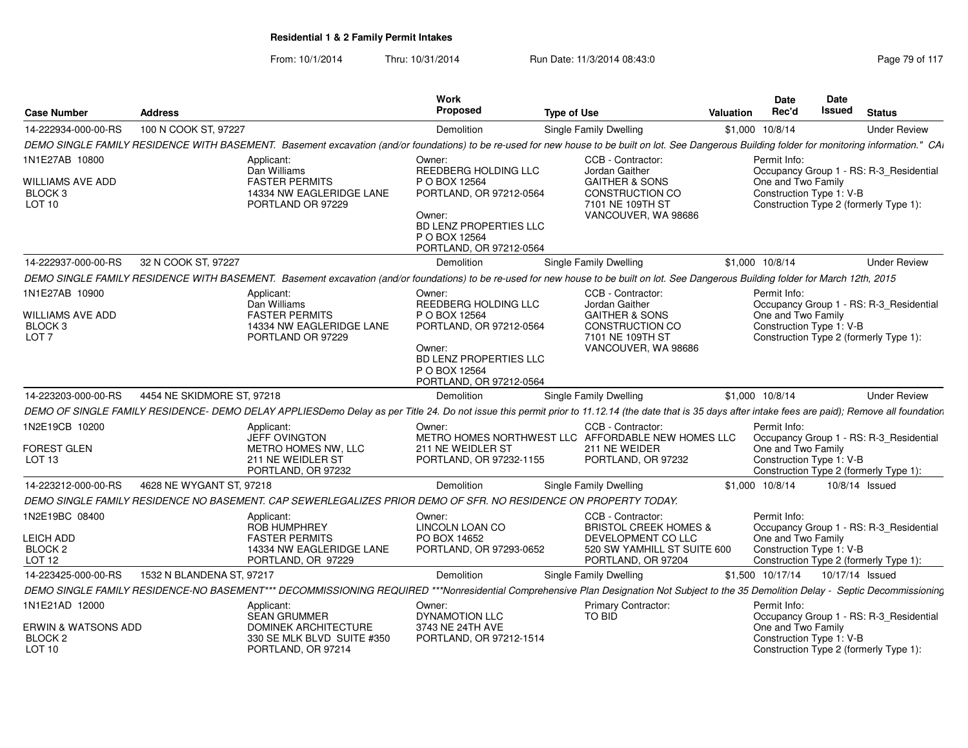| <b>Case Number</b>                                                    | <b>Address</b>                                                                                                                                                                                         | <b>Work</b><br>Proposed                                                                                                                          | <b>Type of Use</b>                                                                                        | Valuation | Date<br>Rec'd                                                  | <b>Date</b><br>Issued | <b>Status</b>                                                                     |
|-----------------------------------------------------------------------|--------------------------------------------------------------------------------------------------------------------------------------------------------------------------------------------------------|--------------------------------------------------------------------------------------------------------------------------------------------------|-----------------------------------------------------------------------------------------------------------|-----------|----------------------------------------------------------------|-----------------------|-----------------------------------------------------------------------------------|
| 14-222934-000-00-RS                                                   | 100 N COOK ST, 97227                                                                                                                                                                                   | Demolition                                                                                                                                       | Single Family Dwelling                                                                                    |           | \$1,000 10/8/14                                                |                       | <b>Under Review</b>                                                               |
|                                                                       | DEMO SINGLE FAMILY RESIDENCE WITH BASEMENT. Basement excavation (and/or foundations) to be re-used for new house to be built on lot. See Dangerous Building folder for monitoring information." CAI    |                                                                                                                                                  |                                                                                                           |           |                                                                |                       |                                                                                   |
| 1N1E27AB 10800                                                        | Applicant:<br>Dan Williams                                                                                                                                                                             | Owner:<br>REEDBERG HOLDING LLC                                                                                                                   | CCB - Contractor:<br>Jordan Gaither                                                                       |           | Permit Info:                                                   |                       | Occupancy Group 1 - RS: R-3_Residential                                           |
| WILLIAMS AVE ADD<br>BLOCK 3<br>LOT <sub>10</sub>                      | <b>FASTER PERMITS</b><br>14334 NW EAGLERIDGE LANE<br>PORTLAND OR 97229                                                                                                                                 | P O BOX 12564<br>PORTLAND, OR 97212-0564<br>Owner:<br>BD LENZ PROPERTIES LLC                                                                     | <b>GAITHER &amp; SONS</b><br>CONSTRUCTION CO<br>7101 NE 109TH ST<br>VANCOUVER, WA 98686                   |           | One and Two Family<br>Construction Type 1: V-B                 |                       | Construction Type 2 (formerly Type 1):                                            |
|                                                                       |                                                                                                                                                                                                        | P O BOX 12564<br>PORTLAND, OR 97212-0564                                                                                                         |                                                                                                           |           |                                                                |                       |                                                                                   |
| 14-222937-000-00-RS                                                   | 32 N COOK ST, 97227                                                                                                                                                                                    | Demolition                                                                                                                                       | Single Family Dwelling                                                                                    |           | \$1,000 10/8/14                                                |                       | <b>Under Review</b>                                                               |
|                                                                       | DEMO SINGLE FAMILY RESIDENCE WITH BASEMENT. Basement excavation (and/or foundations) to be re-used for new house to be built on lot. See Dangerous Building folder for March 12th, 2015                |                                                                                                                                                  |                                                                                                           |           |                                                                |                       |                                                                                   |
| 1N1E27AB 10900                                                        | Applicant:                                                                                                                                                                                             | Owner:                                                                                                                                           | CCB - Contractor:                                                                                         |           | Permit Info:                                                   |                       |                                                                                   |
| WILLIAMS AVE ADD<br>BLOCK 3<br>LOT <sub>7</sub>                       | Dan Williams<br><b>FASTER PERMITS</b><br>14334 NW EAGLERIDGE LANE<br>PORTLAND OR 97229                                                                                                                 | REEDBERG HOLDING LLC<br>P O BOX 12564<br>PORTLAND, OR 97212-0564<br>Owner:<br>BD LENZ PROPERTIES LLC<br>P O BOX 12564<br>PORTLAND, OR 97212-0564 | Jordan Gaither<br><b>GAITHER &amp; SONS</b><br>CONSTRUCTION CO<br>7101 NE 109TH ST<br>VANCOUVER, WA 98686 |           | One and Two Family<br>Construction Type 1: V-B                 |                       | Occupancy Group 1 - RS: R-3_Residential<br>Construction Type 2 (formerly Type 1): |
| 14-223203-000-00-RS                                                   | 4454 NE SKIDMORE ST, 97218                                                                                                                                                                             | Demolition                                                                                                                                       | Single Family Dwelling                                                                                    |           | \$1,000 10/8/14                                                |                       | <b>Under Review</b>                                                               |
|                                                                       | DEMO OF SINGLE FAMILY RESIDENCE- DEMO DELAY APPLIESDemo Delay as per Title 24. Do not issue this permit prior to 11.12.14 (the date that is 35 days after intake fees are paid); Remove all foundation |                                                                                                                                                  |                                                                                                           |           |                                                                |                       |                                                                                   |
| 1N2E19CB 10200                                                        | Applicant:<br><b>JEFF OVINGTON</b>                                                                                                                                                                     | Owner:                                                                                                                                           | CCB - Contractor:<br>METRO HOMES NORTHWEST LLC AFFORDABLE NEW HOMES LLC                                   |           | Permit Info:                                                   |                       | Occupancy Group 1 - RS: R-3_Residential                                           |
| FOREST GLEN<br>LOT <sub>13</sub>                                      | <b>METRO HOMES NW. LLC</b><br>211 NE WEIDLER ST<br>PORTLAND, OR 97232                                                                                                                                  | 211 NE WEIDLER ST<br>PORTLAND, OR 97232-1155                                                                                                     | 211 NE WEIDER<br>PORTLAND, OR 97232                                                                       |           | One and Two Family<br>Construction Type 1: V-B                 |                       | Construction Type 2 (formerly Type 1):                                            |
| 14-223212-000-00-RS                                                   | 4628 NE WYGANT ST, 97218                                                                                                                                                                               | <b>Demolition</b>                                                                                                                                | Single Family Dwelling                                                                                    |           | \$1,000 10/8/14                                                |                       | 10/8/14 Issued                                                                    |
|                                                                       | DEMO SINGLE FAMILY RESIDENCE NO BASEMENT. CAP SEWERLEGALIZES PRIOR DEMO OF SFR. NO RESIDENCE ON PROPERTY TODAY.                                                                                        |                                                                                                                                                  |                                                                                                           |           |                                                                |                       |                                                                                   |
| 1N2E19BC 08400                                                        | Applicant:<br><b>ROB HUMPHREY</b>                                                                                                                                                                      | Owner:<br>LINCOLN LOAN CO                                                                                                                        | CCB - Contractor:<br><b>BRISTOL CREEK HOMES &amp;</b>                                                     |           | Permit Info:                                                   |                       | Occupancy Group 1 - RS: R-3 Residential                                           |
| <b>LEICH ADD</b><br>BLOCK <sub>2</sub>                                | <b>FASTER PERMITS</b><br>14334 NW EAGLERIDGE LANE                                                                                                                                                      | PO BOX 14652<br>PORTLAND, OR 97293-0652                                                                                                          | DEVELOPMENT CO LLC<br>520 SW YAMHILL ST SUITE 600                                                         |           | One and Two Family<br>Construction Type 1: V-B                 |                       |                                                                                   |
| LOT 12                                                                | PORTLAND, OR 97229                                                                                                                                                                                     |                                                                                                                                                  | PORTLAND, OR 97204                                                                                        |           |                                                                |                       | Construction Type 2 (formerly Type 1):                                            |
| 14-223425-000-00-RS                                                   | 1532 N BLANDENA ST, 97217                                                                                                                                                                              | Demolition                                                                                                                                       | Single Family Dwelling                                                                                    |           | \$1,500 10/17/14                                               |                       | 10/17/14 Issued                                                                   |
|                                                                       | DEMO SINGLE FAMILY RESIDENCE-NO BASEMENT*** DECOMMISSIONING REQUIRED ***Nonresidential Comprehensive Plan Designation Not Subject to the 35 Demolition Delay - Septic Decommissioning                  |                                                                                                                                                  |                                                                                                           |           |                                                                |                       |                                                                                   |
| 1N1E21AD 12000<br>ERWIN & WATSONS ADD<br>BLOCK 2<br>LOT <sub>10</sub> | Applicant:<br><b>SEAN GRUMMER</b><br><b>DOMINEK ARCHITECTURE</b><br>330 SE MLK BLVD SUITE #350<br>PORTLAND, OR 97214                                                                                   | Owner:<br>DYNAMOTION LLC<br>3743 NE 24TH AVE<br>PORTLAND, OR 97212-1514                                                                          | Primary Contractor:<br>TO BID                                                                             |           | Permit Info:<br>One and Two Family<br>Construction Type 1: V-B |                       | Occupancy Group 1 - RS: R-3_Residential<br>Construction Type 2 (formerly Type 1): |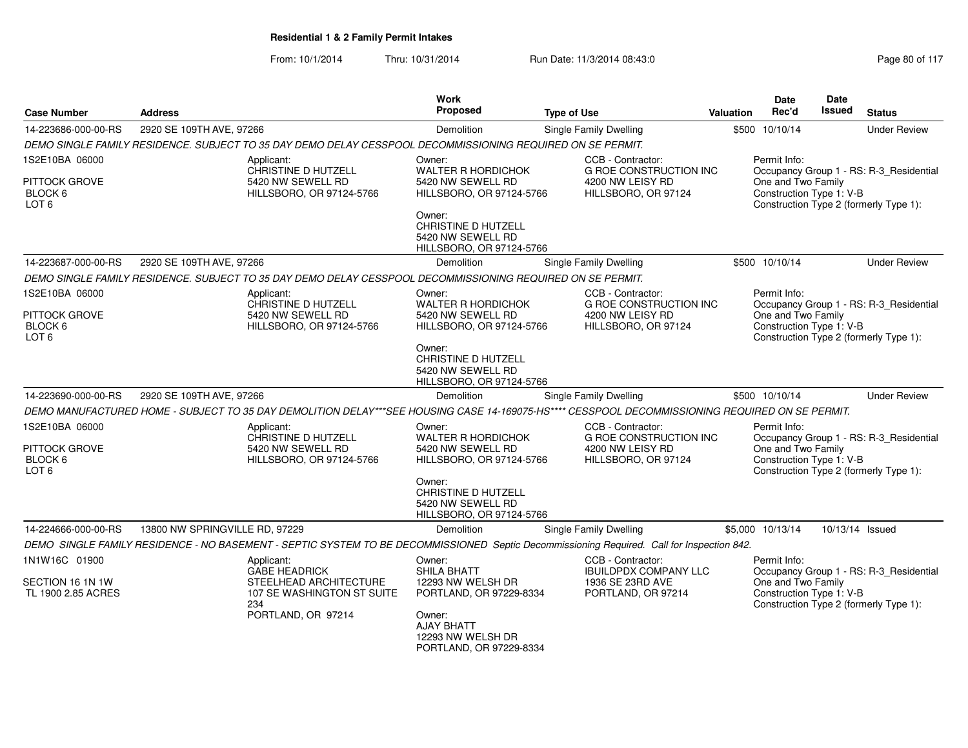|                          |                                                                                                                                                 | Work                                           |                                                    |           | <b>Date</b>                                    | <b>Date</b>     |                                         |
|--------------------------|-------------------------------------------------------------------------------------------------------------------------------------------------|------------------------------------------------|----------------------------------------------------|-----------|------------------------------------------------|-----------------|-----------------------------------------|
| <b>Case Number</b>       | <b>Address</b>                                                                                                                                  | <b>Proposed</b>                                | <b>Type of Use</b>                                 | Valuation | Rec'd                                          | <b>Issued</b>   | <b>Status</b>                           |
| 14-223686-000-00-RS      | 2920 SE 109TH AVE, 97266                                                                                                                        | <b>Demolition</b>                              | Single Family Dwelling                             | \$500     | 10/10/14                                       |                 | <b>Under Review</b>                     |
|                          | DEMO SINGLE FAMILY RESIDENCE. SUBJECT TO 35 DAY DEMO DELAY CESSPOOL DECOMMISSIONING REQUIRED ON SE PERMIT.                                      |                                                |                                                    |           |                                                |                 |                                         |
| 1S2E10BA 06000           | Applicant:                                                                                                                                      | Owner:                                         | CCB - Contractor:                                  |           | Permit Info:                                   |                 |                                         |
| <b>PITTOCK GROVE</b>     | CHRISTINE D HUTZELL<br>5420 NW SEWELL RD                                                                                                        | <b>WALTER R HORDICHOK</b><br>5420 NW SEWELL RD | <b>G ROE CONSTRUCTION INC</b><br>4200 NW LEISY RD  |           | One and Two Family                             |                 | Occupancy Group 1 - RS: R-3_Residential |
| BLOCK 6                  | HILLSBORO, OR 97124-5766                                                                                                                        | HILLSBORO, OR 97124-5766                       | HILLSBORO, OR 97124                                |           | Construction Type 1: V-B                       |                 |                                         |
| LOT <sub>6</sub>         |                                                                                                                                                 |                                                |                                                    |           |                                                |                 | Construction Type 2 (formerly Type 1):  |
|                          |                                                                                                                                                 | Owner:<br>CHRISTINE D HUTZELL                  |                                                    |           |                                                |                 |                                         |
|                          |                                                                                                                                                 | 5420 NW SEWELL RD                              |                                                    |           |                                                |                 |                                         |
|                          |                                                                                                                                                 | HILLSBORO, OR 97124-5766                       |                                                    |           |                                                |                 |                                         |
| 14-223687-000-00-RS      | 2920 SE 109TH AVE, 97266                                                                                                                        | Demolition                                     | Single Family Dwelling                             |           | \$500 10/10/14                                 |                 | <b>Under Review</b>                     |
|                          | DEMO SINGLE FAMILY RESIDENCE. SUBJECT TO 35 DAY DEMO DELAY CESSPOOL DECOMMISSIONING REQUIRED ON SE PERMIT.                                      |                                                |                                                    |           |                                                |                 |                                         |
| 1S2E10BA 06000           | Applicant:<br>CHRISTINE D HUTZELL                                                                                                               | Owner:<br><b>WALTER R HORDICHOK</b>            | CCB - Contractor:<br><b>G ROE CONSTRUCTION INC</b> |           | Permit Info:                                   |                 | Occupancy Group 1 - RS: R-3_Residential |
| <b>PITTOCK GROVE</b>     | 5420 NW SEWELL RD                                                                                                                               | 5420 NW SEWELL RD                              | 4200 NW LEISY RD                                   |           | One and Two Family                             |                 |                                         |
| BLOCK <sub>6</sub>       | HILLSBORO, OR 97124-5766                                                                                                                        | HILLSBORO, OR 97124-5766                       | HILLSBORO, OR 97124                                |           | Construction Type 1: V-B                       |                 |                                         |
| LOT <sub>6</sub>         |                                                                                                                                                 | Owner:                                         |                                                    |           |                                                |                 | Construction Type 2 (formerly Type 1):  |
|                          |                                                                                                                                                 | CHRISTINE D HUTZELL                            |                                                    |           |                                                |                 |                                         |
|                          |                                                                                                                                                 | 5420 NW SEWELL RD<br>HILLSBORO, OR 97124-5766  |                                                    |           |                                                |                 |                                         |
| 14-223690-000-00-RS      | 2920 SE 109TH AVE, 97266                                                                                                                        | <b>Demolition</b>                              | Single Family Dwelling                             |           | \$500 10/10/14                                 |                 | <b>Under Review</b>                     |
|                          | DEMO MANUFACTURED HOME - SUBJECT TO 35 DAY DEMOLITION DELAY***SEE HOUSING CASE 14-169075-HS**** CESSPOOL DECOMMISSIONING REQUIRED ON SE PERMIT. |                                                |                                                    |           |                                                |                 |                                         |
| 1S2E10BA 06000           | Applicant:                                                                                                                                      | Owner:                                         | CCB - Contractor:                                  |           | Permit Info:                                   |                 |                                         |
|                          | CHRISTINE D HUTZELL                                                                                                                             | WALTER R HORDICHOK                             | <b>G ROE CONSTRUCTION INC</b>                      |           |                                                |                 | Occupancy Group 1 - RS: R-3_Residential |
| PITTOCK GROVE<br>BLOCK 6 | 5420 NW SEWELL RD<br>HILLSBORO, OR 97124-5766                                                                                                   | 5420 NW SEWELL RD<br>HILLSBORO, OR 97124-5766  | 4200 NW LEISY RD<br>HILLSBORO, OR 97124            |           | One and Two Family<br>Construction Type 1: V-B |                 |                                         |
| LOT <sub>6</sub>         |                                                                                                                                                 |                                                |                                                    |           |                                                |                 | Construction Type 2 (formerly Type 1):  |
|                          |                                                                                                                                                 | Owner:<br><b>CHRISTINE D HUTZELL</b>           |                                                    |           |                                                |                 |                                         |
|                          |                                                                                                                                                 | 5420 NW SEWELL RD                              |                                                    |           |                                                |                 |                                         |
|                          |                                                                                                                                                 | HILLSBORO, OR 97124-5766                       |                                                    |           |                                                |                 |                                         |
| 14-224666-000-00-RS      | 13800 NW SPRINGVILLE RD, 97229                                                                                                                  | Demolition                                     | <b>Single Family Dwelling</b>                      |           | \$5,000 10/13/14                               | 10/13/14 Issued |                                         |
|                          | DEMO SINGLE FAMILY RESIDENCE - NO BASEMENT - SEPTIC SYSTEM TO BE DECOMMISSIONED Septic Decommissioning Required. Call for Inspection 842.       |                                                |                                                    |           |                                                |                 |                                         |
| 1N1W16C 01900            | Applicant:                                                                                                                                      | Owner:                                         | CCB - Contractor:                                  |           | Permit Info:                                   |                 |                                         |
| SECTION 16 1N 1W         | <b>GABE HEADRICK</b><br>STEELHEAD ARCHITECTURE                                                                                                  | <b>SHILA BHATT</b><br>12293 NW WELSH DR        | <b>IBUILDPDX COMPANY LLC</b><br>1936 SE 23RD AVE   |           | One and Two Family                             |                 | Occupancy Group 1 - RS: R-3 Residential |
| TL 1900 2.85 ACRES       | 107 SE WASHINGTON ST SUITE                                                                                                                      | PORTLAND, OR 97229-8334                        | PORTLAND, OR 97214                                 |           | Construction Type 1: V-B                       |                 |                                         |
|                          | 234<br>PORTLAND, OR 97214                                                                                                                       | Owner:                                         |                                                    |           |                                                |                 | Construction Type 2 (formerly Type 1):  |
|                          |                                                                                                                                                 | <b>AJAY BHATT</b>                              |                                                    |           |                                                |                 |                                         |
|                          |                                                                                                                                                 | 12293 NW WELSH DR                              |                                                    |           |                                                |                 |                                         |
|                          |                                                                                                                                                 | PORTLAND, OR 97229-8334                        |                                                    |           |                                                |                 |                                         |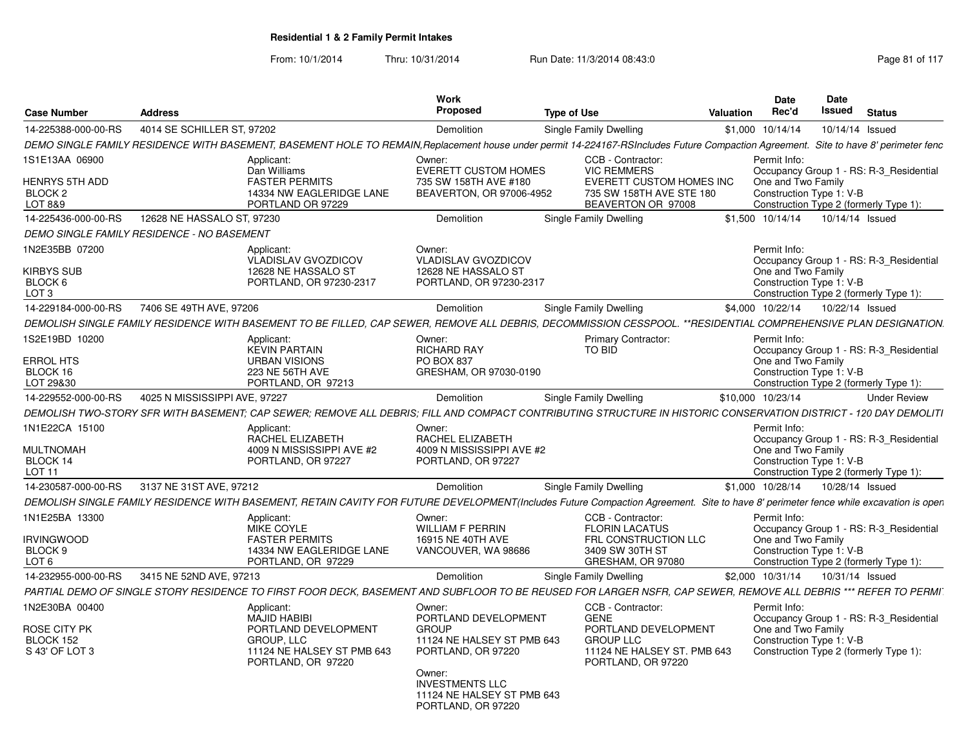|                                           |                                            |                                                                                                                                                                                     | Work<br>Proposed                                                                     |                                                                            |           | <b>Date</b>                                    | Date<br>Issued |                                         |
|-------------------------------------------|--------------------------------------------|-------------------------------------------------------------------------------------------------------------------------------------------------------------------------------------|--------------------------------------------------------------------------------------|----------------------------------------------------------------------------|-----------|------------------------------------------------|----------------|-----------------------------------------|
| <b>Case Number</b>                        | <b>Address</b>                             |                                                                                                                                                                                     |                                                                                      | <b>Type of Use</b>                                                         | Valuation | Rec'd                                          |                | <b>Status</b>                           |
| 14-225388-000-00-RS                       | 4014 SE SCHILLER ST, 97202                 |                                                                                                                                                                                     | Demolition                                                                           | Single Family Dwelling                                                     |           | \$1,000 10/14/14                               |                | 10/14/14 Issued                         |
|                                           |                                            | DEMO SINGLE FAMILY RESIDENCE WITH BASEMENT, BASEMENT HOLE TO REMAIN, Replacement house under permit 14-224167-RSIncludes Future Compaction Agreement.                               |                                                                                      |                                                                            |           |                                                |                | Site to have 8' perimeter fenc          |
| 1S1E13AA 06900                            |                                            | Applicant:<br>Dan Williams                                                                                                                                                          | Owner:<br><b>EVERETT CUSTOM HOMES</b>                                                | CCB - Contractor:<br><b>VIC REMMERS</b>                                    |           | Permit Info:                                   |                | Occupancy Group 1 - RS: R-3 Residential |
| HENRYS 5TH ADD<br>BLOCK 2<br>LOT 8&9      |                                            | <b>FASTER PERMITS</b><br>14334 NW EAGLERIDGE LANE<br>PORTLAND OR 97229                                                                                                              | 735 SW 158TH AVE #180<br>BEAVERTON, OR 97006-4952                                    | EVERETT CUSTOM HOMES INC<br>735 SW 158TH AVE STE 180<br>BEAVERTON OR 97008 |           | One and Two Family<br>Construction Type 1: V-B |                | Construction Type 2 (formerly Type 1):  |
| 14-225436-000-00-RS                       | 12628 NE HASSALO ST, 97230                 |                                                                                                                                                                                     | Demolition                                                                           | Single Family Dwelling                                                     |           | \$1,500 10/14/14                               |                | 10/14/14 Issued                         |
|                                           | DEMO SINGLE FAMILY RESIDENCE - NO BASEMENT |                                                                                                                                                                                     |                                                                                      |                                                                            |           |                                                |                |                                         |
| 1N2E35BB 07200                            |                                            | Applicant:<br>VLADISLAV GVOZDICOV                                                                                                                                                   | Owner:<br><b>VLADISLAV GVOZDICOV</b>                                                 |                                                                            |           | Permit Info:                                   |                | Occupancy Group 1 - RS: R-3 Residential |
| KIRBYS SUB<br>BLOCK 6<br>LOT <sub>3</sub> |                                            | 12628 NE HASSALO ST<br>PORTLAND, OR 97230-2317                                                                                                                                      | 12628 NE HASSALO ST<br>PORTLAND, OR 97230-2317                                       |                                                                            |           | One and Two Family<br>Construction Type 1: V-B |                | Construction Type 2 (formerly Type 1):  |
| 14-229184-000-00-RS                       | 7406 SE 49TH AVE, 97206                    |                                                                                                                                                                                     | Demolition                                                                           | Single Family Dwelling                                                     |           | \$4,000 10/22/14                               |                | 10/22/14 Issued                         |
|                                           |                                            | DEMOLISH SINGLE FAMILY RESIDENCE WITH BASEMENT TO BE FILLED. CAP SEWER. REMOVE ALL DEBRIS. DECOMMISSION CESSPOOL. **RESIDENTIAL COMPREHENSIVE PLAN DESIGNATION.                     |                                                                                      |                                                                            |           |                                                |                |                                         |
| 1S2E19BD 10200                            |                                            | Applicant:                                                                                                                                                                          | Owner:                                                                               | <b>Primary Contractor:</b>                                                 |           | Permit Info:                                   |                |                                         |
|                                           |                                            | <b>KEVIN PARTAIN</b>                                                                                                                                                                | <b>RICHARD RAY</b>                                                                   | TO BID                                                                     |           |                                                |                | Occupancy Group 1 - RS: R-3 Residential |
| <b>ERROL HTS</b>                          |                                            | <b>URBAN VISIONS</b>                                                                                                                                                                | PO BOX 837                                                                           |                                                                            |           | One and Two Family                             |                |                                         |
| BLOCK 16<br>LOT 29&30                     |                                            | 223 NE 56TH AVE<br>PORTLAND, OR 97213                                                                                                                                               | GRESHAM, OR 97030-0190                                                               |                                                                            |           | Construction Type 1: V-B                       |                | Construction Type 2 (formerly Type 1):  |
| 14-229552-000-00-RS                       | 4025 N MISSISSIPPI AVE, 97227              |                                                                                                                                                                                     | Demolition                                                                           | Single Family Dwelling                                                     |           | \$10,000 10/23/14                              |                | <b>Under Review</b>                     |
|                                           |                                            | DEMOLISH TWO-STORY SFR WITH BASEMENT; CAP SEWER; REMOVE ALL DEBRIS; FILL AND COMPACT CONTRIBUTING STRUCTURE IN HISTORIC CONSERVATION DISTRICT - 120 DAY DEMOLITI                    |                                                                                      |                                                                            |           |                                                |                |                                         |
| 1N1E22CA 15100                            |                                            | Applicant:                                                                                                                                                                          | Owner:                                                                               |                                                                            |           | Permit Info:                                   |                |                                         |
|                                           |                                            | RACHEL ELIZABETH                                                                                                                                                                    | RACHEL ELIZABETH                                                                     |                                                                            |           |                                                |                | Occupancy Group 1 - RS: R-3 Residential |
| <b>MULTNOMAH</b><br>BLOCK 14              |                                            | 4009 N MISSISSIPPI AVE #2<br>PORTLAND, OR 97227                                                                                                                                     | 4009 N MISSISSIPPI AVE #2<br>PORTLAND, OR 97227                                      |                                                                            |           | One and Two Family<br>Construction Type 1: V-B |                |                                         |
| LOT <sub>11</sub>                         |                                            |                                                                                                                                                                                     |                                                                                      |                                                                            |           |                                                |                | Construction Type 2 (formerly Type 1):  |
| 14-230587-000-00-RS                       | 3137 NE 31ST AVE, 97212                    |                                                                                                                                                                                     | Demolition                                                                           | Single Family Dwelling                                                     |           | \$1,000 10/28/14                               |                | 10/28/14 Issued                         |
|                                           |                                            | DEMOLISH SINGLE FAMILY RESIDENCE WITH BASEMENT, RETAIN CAVITY FOR FUTURE DEVELOPMENT(Includes Future Compaction Agreement. Site to have 8' perimeter fence while excavation is open |                                                                                      |                                                                            |           |                                                |                |                                         |
| 1N1E25BA 13300                            |                                            | Applicant:                                                                                                                                                                          | Owner:                                                                               | CCB - Contractor:                                                          |           | Permit Info:                                   |                |                                         |
|                                           |                                            | MIKE COYLE                                                                                                                                                                          | <b>WILLIAM F PERRIN</b>                                                              | <b>FLORIN LACATUS</b>                                                      |           |                                                |                | Occupancy Group 1 - RS: R-3 Residential |
| <b>IRVINGWOOD</b><br>BLOCK 9              |                                            | <b>FASTER PERMITS</b><br>14334 NW EAGLERIDGE LANE                                                                                                                                   | 16915 NE 40TH AVE                                                                    | FRL CONSTRUCTION LLC<br>3409 SW 30TH ST                                    |           | One and Two Family<br>Construction Type 1: V-B |                |                                         |
| LOT <sub>6</sub>                          |                                            | PORTLAND, OR 97229                                                                                                                                                                  | VANCOUVER, WA 98686                                                                  | GRESHAM, OR 97080                                                          |           |                                                |                | Construction Type 2 (formerly Type 1):  |
| 14-232955-000-00-RS                       | 3415 NE 52ND AVE, 97213                    |                                                                                                                                                                                     | Demolition                                                                           | Single Family Dwelling                                                     |           | \$2,000 10/31/14                               |                | 10/31/14 Issued                         |
|                                           |                                            | PARTIAL DEMO OF SINGLE STORY RESIDENCE TO FIRST FOOR DECK, BASEMENT AND SUBFLOOR TO BE REUSED FOR LARGER NSFR, CAP SEWER, REMOVE ALL DEBRIS *** REFER TO PERMI                      |                                                                                      |                                                                            |           |                                                |                |                                         |
| 1N2E30BA 00400                            |                                            | Applicant:                                                                                                                                                                          | Owner:                                                                               | CCB - Contractor:                                                          |           | Permit Info:                                   |                |                                         |
| ROSE CITY PK                              |                                            | <b>MAJID HABIBI</b><br>PORTLAND DEVELOPMENT                                                                                                                                         | PORTLAND DEVELOPMENT<br><b>GROUP</b>                                                 | <b>GENE</b><br>PORTLAND DEVELOPMENT                                        |           | One and Two Family                             |                | Occupancy Group 1 - RS: R-3_Residential |
| BLOCK 152                                 |                                            | GROUP, LLC                                                                                                                                                                          | 11124 NE HALSEY ST PMB 643                                                           | <b>GROUP LLC</b>                                                           |           | Construction Type 1: V-B                       |                |                                         |
| S 43' OF LOT 3                            |                                            | 11124 NE HALSEY ST PMB 643<br>PORTLAND, OR 97220                                                                                                                                    | PORTLAND, OR 97220                                                                   | 11124 NE HALSEY ST. PMB 643<br>PORTLAND, OR 97220                          |           |                                                |                | Construction Type 2 (formerly Type 1):  |
|                                           |                                            |                                                                                                                                                                                     | Owner:<br><b>INVESTMENTS LLC</b><br>11124 NE HALSEY ST PMB 643<br>PORTLAND, OR 97220 |                                                                            |           |                                                |                |                                         |
|                                           |                                            |                                                                                                                                                                                     |                                                                                      |                                                                            |           |                                                |                |                                         |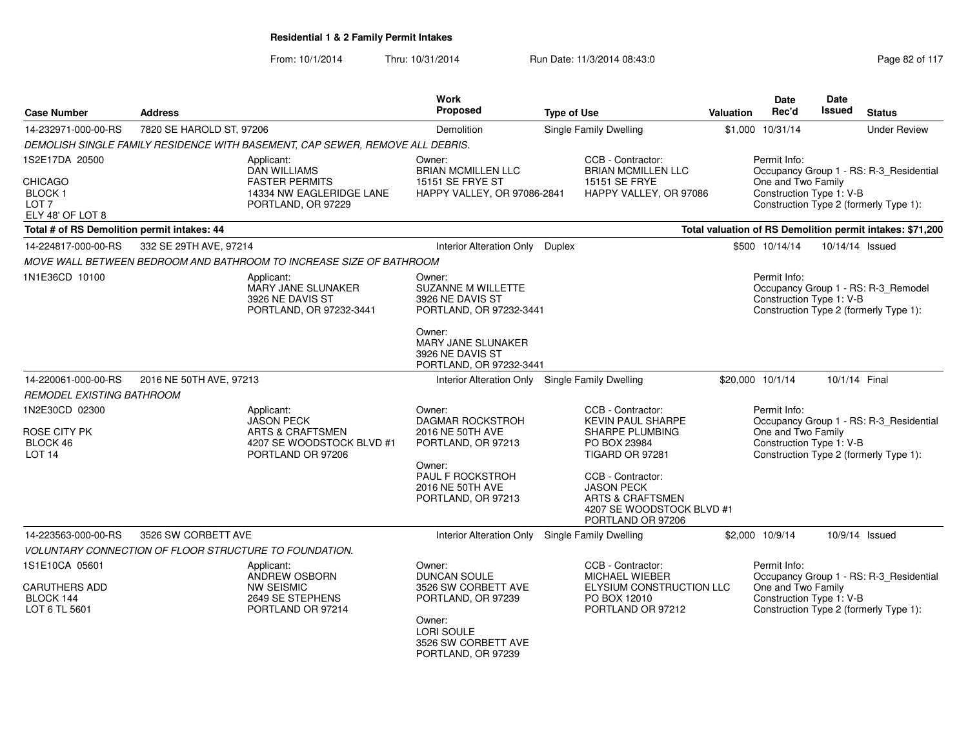From: 10/1/2014

Thru: 10/31/2014 Run Date: 11/3/2014 08:43:0

| <b>Case Number</b>                                                      | <b>Address</b>           |                                                                                 |                                                                                                | <b>Type of Use</b>                      |                                                                                                              | <b>Valuation</b>                                        | Date<br>Rec'd                                  | <b>Date</b><br><b>Issued</b>           | <b>Status</b>                                                                 |  |  |
|-------------------------------------------------------------------------|--------------------------|---------------------------------------------------------------------------------|------------------------------------------------------------------------------------------------|-----------------------------------------|--------------------------------------------------------------------------------------------------------------|---------------------------------------------------------|------------------------------------------------|----------------------------------------|-------------------------------------------------------------------------------|--|--|
| 14-232971-000-00-RS                                                     | 7820 SE HAROLD ST, 97206 |                                                                                 | <b>Demolition</b>                                                                              |                                         | Single Family Dwelling                                                                                       |                                                         | \$1,000 10/31/14                               |                                        | <b>Under Review</b>                                                           |  |  |
|                                                                         |                          | DEMOLISH SINGLE FAMILY RESIDENCE WITH BASEMENT, CAP SEWER, REMOVE ALL DEBRIS.   |                                                                                                |                                         |                                                                                                              |                                                         |                                                |                                        |                                                                               |  |  |
| 1S2E17DA 20500                                                          |                          | Applicant:<br><b>DAN WILLIAMS</b>                                               | Owner:<br><b>BRIAN MCMILLEN LLC</b>                                                            |                                         | CCB - Contractor:<br><b>BRIAN MCMILLEN LLC</b>                                                               | Permit Info:<br>Occupancy Group 1 - RS: R-3_Residential |                                                |                                        |                                                                               |  |  |
| <b>CHICAGO</b><br><b>BLOCK1</b><br>LOT <sub>7</sub><br>ELY 48' OF LOT 8 |                          | <b>FASTER PERMITS</b><br>14334 NW EAGLERIDGE LANE<br>PORTLAND, OR 97229         | <b>15151 SE FRYE ST</b><br>HAPPY VALLEY, OR 97086-2841                                         | 15151 SE FRYE<br>HAPPY VALLEY, OR 97086 |                                                                                                              |                                                         | One and Two Family<br>Construction Type 1: V-B | Construction Type 2 (formerly Type 1): |                                                                               |  |  |
| Total # of RS Demolition permit intakes: 44                             |                          |                                                                                 |                                                                                                |                                         |                                                                                                              |                                                         |                                                |                                        | Total valuation of RS Demolition permit intakes: \$71,200                     |  |  |
| 14-224817-000-00-RS                                                     | 332 SE 29TH AVE, 97214   |                                                                                 | Interior Alteration Only Duplex                                                                |                                         |                                                                                                              |                                                         | \$500 10/14/14                                 | 10/14/14 Issued                        |                                                                               |  |  |
|                                                                         |                          | MOVE WALL BETWEEN BEDROOM AND BATHROOM TO INCREASE SIZE OF BATHROOM             |                                                                                                |                                         |                                                                                                              |                                                         |                                                |                                        |                                                                               |  |  |
| 1N1E36CD 10100                                                          |                          | Applicant:<br>MARY JANE SLUNAKER<br>3926 NE DAVIS ST<br>PORTLAND, OR 97232-3441 | Owner:<br>SUZANNE M WILLETTE<br>3926 NE DAVIS ST<br>PORTLAND, OR 97232-3441                    |                                         |                                                                                                              |                                                         | Permit Info:<br>Construction Type 1: V-B       |                                        | Occupancy Group 1 - RS: R-3_Remodel<br>Construction Type 2 (formerly Type 1): |  |  |
|                                                                         |                          |                                                                                 | Owner:<br>MARY JANE SLUNAKER<br>3926 NE DAVIS ST<br>PORTLAND, OR 97232-3441                    |                                         |                                                                                                              |                                                         |                                                |                                        |                                                                               |  |  |
| 14-220061-000-00-RS                                                     | 2016 NE 50TH AVE, 97213  |                                                                                 | Interior Alteration Only                                                                       |                                         | <b>Single Family Dwelling</b>                                                                                |                                                         | \$20,000 10/1/14                               | 10/1/14 Final                          |                                                                               |  |  |
| <b>REMODEL EXISTING BATHROOM</b>                                        |                          |                                                                                 |                                                                                                |                                         |                                                                                                              |                                                         |                                                |                                        |                                                                               |  |  |
| 1N2E30CD 02300<br>ROSE CITY PK                                          |                          | Applicant:<br><b>JASON PECK</b><br><b>ARTS &amp; CRAFTSMEN</b>                  | Owner:<br>DAGMAR ROCKSTROH<br>2016 NE 50TH AVE                                                 |                                         | CCB - Contractor:<br><b>KEVIN PAUL SHARPE</b><br>SHARPE PLUMBING                                             |                                                         | Permit Info:<br>One and Two Family             |                                        | Occupancy Group 1 - RS: R-3_Residential                                       |  |  |
| BLOCK 46<br>LOT <sub>14</sub>                                           |                          | 4207 SE WOODSTOCK BLVD #1<br>PORTLAND OR 97206                                  | PORTLAND, OR 97213                                                                             |                                         | PO BOX 23984<br>TIGARD OR 97281                                                                              |                                                         | Construction Type 1: V-B                       |                                        | Construction Type 2 (formerly Type 1):                                        |  |  |
|                                                                         |                          |                                                                                 | Owner:<br>PAUL F ROCKSTROH<br>2016 NE 50TH AVE<br>PORTLAND, OR 97213                           |                                         | CCB - Contractor:<br><b>JASON PECK</b><br>ARTS & CRAFTSMEN<br>4207 SE WOODSTOCK BLVD #1<br>PORTLAND OR 97206 |                                                         |                                                |                                        |                                                                               |  |  |
| 14-223563-000-00-RS                                                     | 3526 SW CORBETT AVE      |                                                                                 | Interior Alteration Only                                                                       |                                         | <b>Single Family Dwelling</b>                                                                                |                                                         | \$2,000 10/9/14                                |                                        | 10/9/14 Issued                                                                |  |  |
|                                                                         |                          | VOLUNTARY CONNECTION OF FLOOR STRUCTURE TO FOUNDATION.                          |                                                                                                |                                         |                                                                                                              |                                                         |                                                |                                        |                                                                               |  |  |
| 1S1E10CA 05601<br><b>CARUTHERS ADD</b>                                  |                          | Applicant:<br>ANDREW OSBORN<br><b>NW SEISMIC</b>                                | Owner:<br><b>DUNCAN SOULE</b><br>3526 SW CORBETT AVE                                           |                                         | CCB - Contractor:<br><b>MICHAEL WIEBER</b><br>ELYSIUM CONSTRUCTION LLC                                       |                                                         | Permit Info:<br>One and Two Family             |                                        | Occupancy Group 1 - RS: R-3 Residential                                       |  |  |
| BLOCK 144<br>LOT 6 TL 5601                                              |                          | 2649 SE STEPHENS<br>PORTLAND OR 97214                                           | PORTLAND, OR 97239<br>Owner:<br><b>LORI SOULE</b><br>3526 SW CORBETT AVE<br>PORTLAND, OR 97239 |                                         | PO BOX 12010<br>PORTLAND OR 97212                                                                            |                                                         | Construction Type 1: V-B                       |                                        | Construction Type 2 (formerly Type 1):                                        |  |  |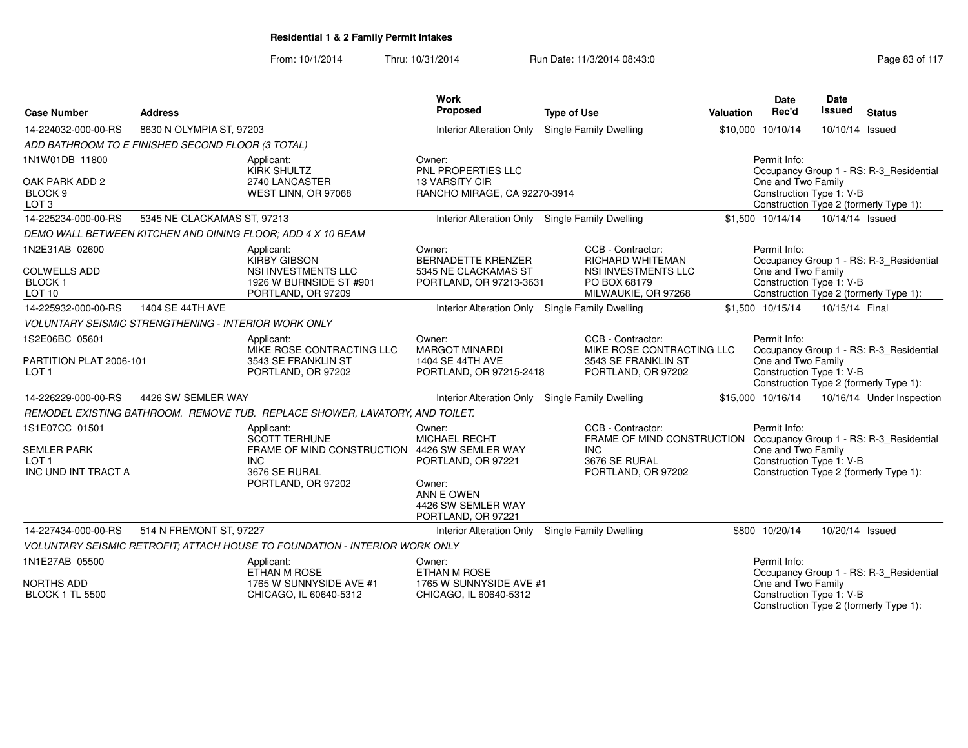From: 10/1/2014

Thru: 10/31/2014 Run Date: 11/3/2014 08:43:0

| <b>Case Number</b>                                               | <b>Address</b>              |                                                                                                                  | Work<br>Proposed                                                                | <b>Type of Use</b>                                                                                         | Valuation                                                                                | <b>Date</b><br>Rec'd                                           | Date<br>Issued  | <b>Status</b>                                                                     |  |  |
|------------------------------------------------------------------|-----------------------------|------------------------------------------------------------------------------------------------------------------|---------------------------------------------------------------------------------|------------------------------------------------------------------------------------------------------------|------------------------------------------------------------------------------------------|----------------------------------------------------------------|-----------------|-----------------------------------------------------------------------------------|--|--|
| 14-224032-000-00-RS                                              | 8630 N OLYMPIA ST, 97203    |                                                                                                                  | <b>Interior Alteration Only</b>                                                 | <b>Single Family Dwelling</b>                                                                              |                                                                                          | \$10,000 10/10/14                                              | 10/10/14 Issued |                                                                                   |  |  |
| ADD BATHROOM TO E FINISHED SECOND FLOOR (3 TOTAL)                |                             |                                                                                                                  |                                                                                 |                                                                                                            |                                                                                          |                                                                |                 |                                                                                   |  |  |
| 1N1W01DB 11800                                                   |                             | Applicant:<br><b>KIRK SHULTZ</b>                                                                                 | Owner:<br>PNL PROPERTIES LLC                                                    |                                                                                                            |                                                                                          | Permit Info:                                                   |                 | Occupancy Group 1 - RS: R-3_Residential                                           |  |  |
| OAK PARK ADD 2<br>BLOCK 9<br>LOT <sub>3</sub>                    |                             | 2740 LANCASTER<br>WEST LINN, OR 97068                                                                            | <b>13 VARSITY CIR</b><br>RANCHO MIRAGE, CA 92270-3914                           |                                                                                                            | One and Two Family<br>Construction Type 1: V-B<br>Construction Type 2 (formerly Type 1): |                                                                |                 |                                                                                   |  |  |
| 14-225234-000-00-RS                                              | 5345 NE CLACKAMAS ST, 97213 |                                                                                                                  | Interior Alteration Only Single Family Dwelling                                 |                                                                                                            |                                                                                          | \$1,500 10/14/14                                               | 10/14/14 Issued |                                                                                   |  |  |
|                                                                  |                             | DEMO WALL BETWEEN KITCHEN AND DINING FLOOR: ADD 4 X 10 BEAM                                                      |                                                                                 |                                                                                                            |                                                                                          |                                                                |                 |                                                                                   |  |  |
| 1N2E31AB 02600<br><b>COLWELLS ADD</b><br><b>BLOCK1</b><br>LOT 10 |                             | Applicant:<br><b>KIRBY GIBSON</b><br><b>NSI INVESTMENTS LLC</b><br>1926 W BURNSIDE ST #901<br>PORTLAND, OR 97209 | Owner:<br>BERNADETTE KRENZER<br>5345 NE CLACKAMAS ST<br>PORTLAND, OR 97213-3631 | CCB - Contractor:<br>RICHARD WHITEMAN<br><b>NSI INVESTMENTS LLC</b><br>PO BOX 68179<br>MILWAUKIE, OR 97268 |                                                                                          | Permit Info:<br>One and Two Family<br>Construction Type 1: V-B |                 | Occupancy Group 1 - RS: R-3_Residential<br>Construction Type 2 (formerly Type 1): |  |  |
| 14-225932-000-00-RS                                              | 1404 SE 44TH AVE            |                                                                                                                  | Interior Alteration Only Single Family Dwelling                                 |                                                                                                            |                                                                                          | \$1,500 10/15/14                                               | 10/15/14 Final  |                                                                                   |  |  |
| <b>VOLUNTARY SEISMIC STRENGTHENING - INTERIOR WORK ONLY</b>      |                             |                                                                                                                  |                                                                                 |                                                                                                            |                                                                                          |                                                                |                 |                                                                                   |  |  |
| 1S2E06BC 05601                                                   |                             | Applicant:<br>MIKE ROSE CONTRACTING LLC                                                                          | Owner:<br><b>MARGOT MINARDI</b>                                                 | CCB - Contractor:<br>MIKE ROSE CONTRACTING LLC                                                             |                                                                                          | Permit Info:                                                   |                 | Occupancy Group 1 - RS: R-3_Residential                                           |  |  |
| PARTITION PLAT 2006-101<br>LOT <sub>1</sub>                      |                             | 3543 SE FRANKLIN ST<br>PORTLAND, OR 97202                                                                        | 1404 SE 44TH AVE<br>PORTLAND, OR 97215-2418                                     | 3543 SE FRANKLIN ST<br>PORTLAND, OR 97202                                                                  |                                                                                          | One and Two Family<br>Construction Type 1: V-B                 |                 | Construction Type 2 (formerly Type 1):                                            |  |  |
| 14-226229-000-00-RS                                              | 4426 SW SEMLER WAY          |                                                                                                                  | Interior Alteration Only Single Family Dwelling                                 |                                                                                                            |                                                                                          | \$15,000 10/16/14                                              |                 | 10/16/14 Under Inspection                                                         |  |  |
|                                                                  |                             | REMODEL EXISTING BATHROOM. REMOVE TUB. REPLACE SHOWER, LAVATORY, AND TOILET.                                     |                                                                                 |                                                                                                            |                                                                                          |                                                                |                 |                                                                                   |  |  |
| 1S1E07CC 01501                                                   |                             | Applicant:<br><b>SCOTT TERHUNE</b>                                                                               | Owner:<br><b>MICHAEL RECHT</b>                                                  | CCB - Contractor:<br>FRAME OF MIND CONSTRUCTION Occupancy Group 1 - RS: R-3_Residential                    |                                                                                          | Permit Info:                                                   |                 |                                                                                   |  |  |
| <b>SEMLER PARK</b><br>LOT <sub>1</sub><br>INC UND INT TRACT A    |                             | FRAME OF MIND CONSTRUCTION<br><b>INC</b><br>3676 SE RURAL                                                        | 4426 SW SEMLER WAY<br>PORTLAND, OR 97221                                        | INC.<br>3676 SE RURAL                                                                                      |                                                                                          | One and Two Family<br>Construction Type 1: V-B                 |                 |                                                                                   |  |  |
|                                                                  |                             | PORTLAND, OR 97202                                                                                               | Owner:<br>ANN E OWEN<br>4426 SW SEMLER WAY<br>PORTLAND, OR 97221                | PORTLAND, OR 97202                                                                                         |                                                                                          |                                                                |                 | Construction Type 2 (formerly Type 1):                                            |  |  |
| 14-227434-000-00-RS                                              | 514 N FREMONT ST, 97227     |                                                                                                                  | <b>Interior Alteration Only</b>                                                 | Single Family Dwelling                                                                                     |                                                                                          | \$800 10/20/14                                                 | 10/20/14 Issued |                                                                                   |  |  |
|                                                                  |                             | VOLUNTARY SEISMIC RETROFIT; ATTACH HOUSE TO FOUNDATION - INTERIOR WORK ONLY                                      |                                                                                 |                                                                                                            |                                                                                          |                                                                |                 |                                                                                   |  |  |
| 1N1E27AB 05500                                                   |                             | Applicant:<br>ETHAN M ROSE                                                                                       | Owner:<br>ETHAN M ROSE                                                          |                                                                                                            |                                                                                          | Permit Info:                                                   |                 | Occupancy Group 1 - RS: R-3_Residential                                           |  |  |
| <b>NORTHS ADD</b><br><b>BLOCK 1 TL 5500</b>                      |                             | 1765 W SUNNYSIDE AVE #1<br>CHICAGO, IL 60640-5312                                                                | 1765 W SUNNYSIDE AVE #1<br>CHICAGO, IL 60640-5312                               |                                                                                                            |                                                                                          | One and Two Family<br>Construction Type 1: V-B                 |                 | Construction Type 2 (formerly Type 1):                                            |  |  |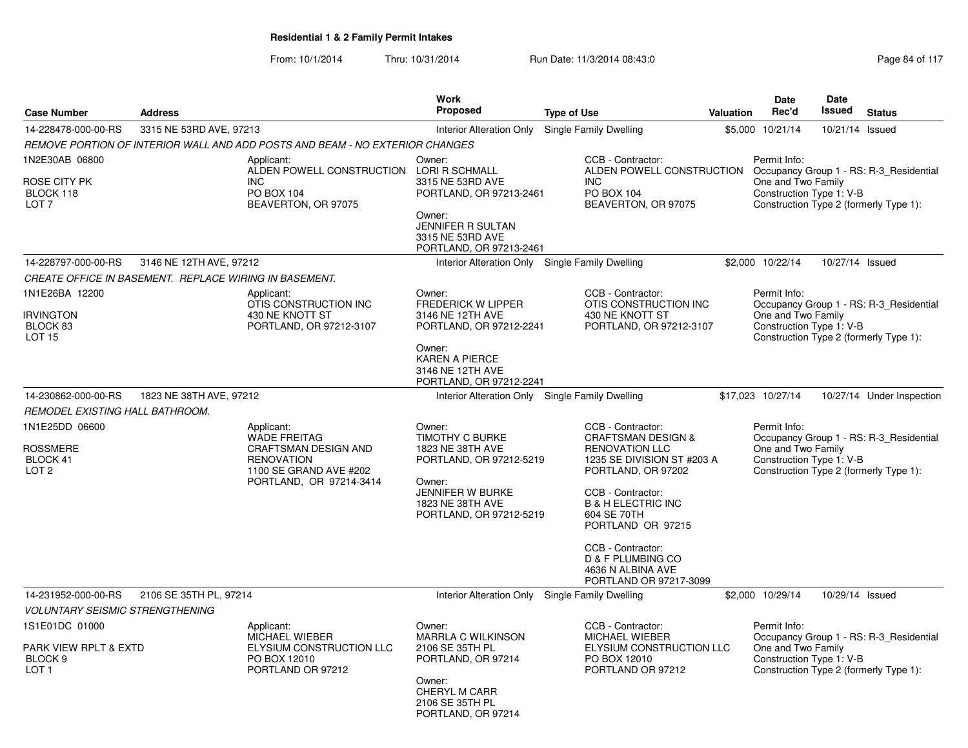| <b>Case Number</b>                                                                            | <b>Address</b>          |                                                                                                                                                                                           | <b>Work</b><br>Proposed                                                                                                                                      |                                                                                                                                                                                                                                                                                                                    | Valuation | Date<br>Rec'd                                                  | Date<br>Issued  | <b>Status</b>                                                                     |
|-----------------------------------------------------------------------------------------------|-------------------------|-------------------------------------------------------------------------------------------------------------------------------------------------------------------------------------------|--------------------------------------------------------------------------------------------------------------------------------------------------------------|--------------------------------------------------------------------------------------------------------------------------------------------------------------------------------------------------------------------------------------------------------------------------------------------------------------------|-----------|----------------------------------------------------------------|-----------------|-----------------------------------------------------------------------------------|
|                                                                                               |                         |                                                                                                                                                                                           |                                                                                                                                                              | <b>Type of Use</b>                                                                                                                                                                                                                                                                                                 |           |                                                                |                 |                                                                                   |
| 14-228478-000-00-RS                                                                           | 3315 NE 53RD AVE, 97213 |                                                                                                                                                                                           | <b>Interior Alteration Only</b>                                                                                                                              | <b>Single Family Dwelling</b>                                                                                                                                                                                                                                                                                      |           | \$5,000 10/21/14                                               | 10/21/14 Issued |                                                                                   |
| 1N2E30AB 06800<br>ROSE CITY PK<br>BLOCK 118<br>LOT <sub>7</sub>                               |                         | REMOVE PORTION OF INTERIOR WALL AND ADD POSTS AND BEAM - NO EXTERIOR CHANGES<br>Applicant:<br>ALDEN POWELL CONSTRUCTION LORI R SCHMALL<br><b>INC</b><br>PO BOX 104<br>BEAVERTON, OR 97075 | Owner:<br>3315 NE 53RD AVE<br>PORTLAND, OR 97213-2461<br>Owner:<br><b>JENNIFER R SULTAN</b><br>3315 NE 53RD AVE<br>PORTLAND, OR 97213-2461                   | CCB - Contractor:<br>ALDEN POWELL CONSTRUCTION<br><b>INC</b><br>PO BOX 104<br>BEAVERTON, OR 97075                                                                                                                                                                                                                  |           | Permit Info:<br>One and Two Family<br>Construction Type 1: V-B |                 | Occupancy Group 1 - RS: R-3_Residential<br>Construction Type 2 (formerly Type 1): |
| 14-228797-000-00-RS                                                                           | 3146 NE 12TH AVE, 97212 |                                                                                                                                                                                           | Interior Alteration Only Single Family Dwelling                                                                                                              |                                                                                                                                                                                                                                                                                                                    |           | \$2,000 10/22/14                                               | 10/27/14 Issued |                                                                                   |
| CREATE OFFICE IN BASEMENT. REPLACE WIRING IN BASEMENT.                                        |                         |                                                                                                                                                                                           |                                                                                                                                                              |                                                                                                                                                                                                                                                                                                                    |           |                                                                |                 |                                                                                   |
| 1N1E26BA 12200<br><b>IRVINGTON</b><br>BLOCK 83<br><b>LOT 15</b>                               |                         | Applicant:<br>OTIS CONSTRUCTION INC<br>430 NE KNOTT ST<br>PORTLAND, OR 97212-3107                                                                                                         | Owner:<br><b>FREDERICK W LIPPER</b><br>3146 NE 12TH AVE<br>PORTLAND, OR 97212-2241<br>Owner:<br><b>KAREN A PIERCE</b><br>3146 NE 12TH AVE                    | CCB - Contractor:<br>OTIS CONSTRUCTION INC<br>430 NE KNOTT ST<br>PORTLAND, OR 97212-3107                                                                                                                                                                                                                           |           | Permit Info:<br>One and Two Family<br>Construction Type 1: V-B |                 | Occupancy Group 1 - RS: R-3_Residential<br>Construction Type 2 (formerly Type 1): |
|                                                                                               |                         |                                                                                                                                                                                           | PORTLAND, OR 97212-2241                                                                                                                                      |                                                                                                                                                                                                                                                                                                                    |           |                                                                |                 |                                                                                   |
| 14-230862-000-00-RS                                                                           | 1823 NE 38TH AVE, 97212 |                                                                                                                                                                                           | Interior Alteration Only Single Family Dwelling                                                                                                              |                                                                                                                                                                                                                                                                                                                    |           | \$17,023 10/27/14                                              |                 | 10/27/14 Under Inspection                                                         |
| REMODEL EXISTING HALL BATHROOM.<br>1N1E25DD 06600<br>ROSSMERE<br>BLOCK 41<br>LOT <sub>2</sub> |                         | Applicant:<br><b>WADE FREITAG</b><br>CRAFTSMAN DESIGN AND<br><b>RENOVATION</b><br>1100 SE GRAND AVE #202<br>PORTLAND, OR 97214-3414                                                       | Owner:<br><b>TIMOTHY C BURKE</b><br>1823 NE 38TH AVE<br>PORTLAND, OR 97212-5219<br>Owner:<br>JENNIFER W BURKE<br>1823 NE 38TH AVE<br>PORTLAND, OR 97212-5219 | CCB - Contractor:<br><b>CRAFTSMAN DESIGN &amp;</b><br><b>RENOVATION LLC</b><br>1235 SE DIVISION ST #203 A<br>PORTLAND, OR 97202<br>CCB - Contractor:<br><b>B &amp; H ELECTRIC INC</b><br>604 SE 70TH<br>PORTLAND OR 97215<br>CCB - Contractor:<br>D & F PLUMBING CO<br>4636 N ALBINA AVE<br>PORTLAND OR 97217-3099 |           | Permit Info:<br>One and Two Family<br>Construction Type 1: V-B |                 | Occupancy Group 1 - RS: R-3 Residential<br>Construction Type 2 (formerly Type 1): |
| 14-231952-000-00-RS                                                                           | 2106 SE 35TH PL, 97214  |                                                                                                                                                                                           | Interior Alteration Only Single Family Dwelling                                                                                                              |                                                                                                                                                                                                                                                                                                                    |           | \$2,000 10/29/14                                               | 10/29/14 Issued |                                                                                   |
| <b>VOLUNTARY SEISMIC STRENGTHENING</b>                                                        |                         |                                                                                                                                                                                           |                                                                                                                                                              |                                                                                                                                                                                                                                                                                                                    |           |                                                                |                 |                                                                                   |
| 1S1E01DC 01000<br>PARK VIEW RPLT & EXTD<br>BLOCK <sub>9</sub><br>LOT <sub>1</sub>             |                         | Applicant:<br>MICHAEL WIEBER<br>ELYSIUM CONSTRUCTION LLC<br>PO BOX 12010<br>PORTLAND OR 97212                                                                                             | Owner:<br><b>MARRLA C WILKINSON</b><br>2106 SE 35TH PL<br>PORTLAND, OR 97214<br>Owner:<br><b>CHERYL M CARR</b><br>2106 SE 35TH PL<br>PORTLAND, OR 97214      | CCB - Contractor:<br><b>MICHAEL WIEBER</b><br>ELYSIUM CONSTRUCTION LLC<br>PO BOX 12010<br>PORTLAND OR 97212                                                                                                                                                                                                        |           | Permit Info:<br>One and Two Family<br>Construction Type 1: V-B |                 | Occupancy Group 1 - RS: R-3_Residential<br>Construction Type 2 (formerly Type 1): |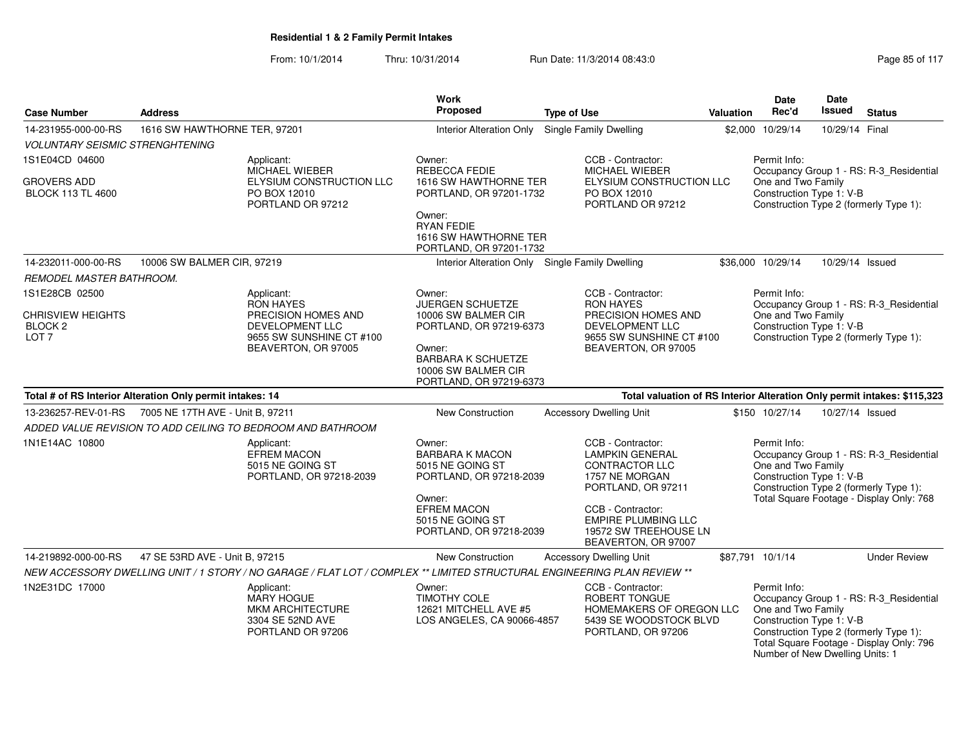| <b>Case Number</b>                                                 | <b>Address</b>                                                                                                              | Work<br>Proposed                                                                                                                                               | <b>Type of Use</b>                                                                                                                                                                                              | <b>Valuation</b> | Date<br>Rec'd                                                                                     | <b>Date</b><br>Issued | <b>Status</b>                                                                                                                 |
|--------------------------------------------------------------------|-----------------------------------------------------------------------------------------------------------------------------|----------------------------------------------------------------------------------------------------------------------------------------------------------------|-----------------------------------------------------------------------------------------------------------------------------------------------------------------------------------------------------------------|------------------|---------------------------------------------------------------------------------------------------|-----------------------|-------------------------------------------------------------------------------------------------------------------------------|
| 14-231955-000-00-RS                                                | 1616 SW HAWTHORNE TER, 97201                                                                                                | <b>Interior Alteration Only</b>                                                                                                                                | <b>Single Family Dwelling</b>                                                                                                                                                                                   |                  | \$2,000 10/29/14                                                                                  | 10/29/14 Final        |                                                                                                                               |
| <b>VOLUNTARY SEISMIC STRENGHTENING</b>                             |                                                                                                                             |                                                                                                                                                                |                                                                                                                                                                                                                 |                  |                                                                                                   |                       |                                                                                                                               |
| 1S1E04CD 04600                                                     | Applicant:<br>MICHAEL WIEBER                                                                                                | Owner:<br>REBECCA FEDIE                                                                                                                                        | CCB - Contractor:<br>MICHAEL WIEBER                                                                                                                                                                             |                  | Permit Info:                                                                                      |                       | Occupancy Group 1 - RS: R-3_Residential                                                                                       |
| GROVERS ADD<br><b>BLOCK 113 TL 4600</b>                            | ELYSIUM CONSTRUCTION LLC<br>PO BOX 12010<br>PORTLAND OR 97212                                                               | 1616 SW HAWTHORNE TER<br>PORTLAND, OR 97201-1732<br>Owner:<br><b>RYAN FEDIE</b><br>1616 SW HAWTHORNE TER<br>PORTLAND, OR 97201-1732                            | ELYSIUM CONSTRUCTION LLC<br>PO BOX 12010<br>PORTLAND OR 97212                                                                                                                                                   |                  | One and Two Family<br>Construction Type 1: V-B                                                    |                       | Construction Type 2 (formerly Type 1):                                                                                        |
| 14-232011-000-00-RS                                                | 10006 SW BALMER CIR, 97219                                                                                                  | Interior Alteration Only Single Family Dwelling                                                                                                                |                                                                                                                                                                                                                 |                  | \$36,000 10/29/14                                                                                 | 10/29/14 Issued       |                                                                                                                               |
| REMODEL MASTER BATHROOM.                                           |                                                                                                                             |                                                                                                                                                                |                                                                                                                                                                                                                 |                  |                                                                                                   |                       |                                                                                                                               |
| 1S1E28CB 02500<br>CHRISVIEW HEIGHTS<br>BLOCK 2<br>LOT <sub>7</sub> | Applicant:<br><b>RON HAYES</b><br>PRECISION HOMES AND<br>DEVELOPMENT LLC<br>9655 SW SUNSHINE CT #100<br>BEAVERTON, OR 97005 | Owner:<br><b>JUERGEN SCHUETZE</b><br>10006 SW BALMER CIR<br>PORTLAND, OR 97219-6373<br>Owner:<br><b>BARBARA K SCHUETZE</b><br>10006 SW BALMER CIR              | CCB - Contractor:<br><b>RON HAYES</b><br>PRECISION HOMES AND<br><b>DEVELOPMENT LLC</b><br>9655 SW SUNSHINE CT #100<br>BEAVERTON, OR 97005                                                                       |                  | Permit Info:<br>One and Two Family<br>Construction Type 1: V-B                                    |                       | Occupancy Group 1 - RS: R-3_Residential<br>Construction Type 2 (formerly Type 1):                                             |
|                                                                    |                                                                                                                             | PORTLAND, OR 97219-6373                                                                                                                                        |                                                                                                                                                                                                                 |                  |                                                                                                   |                       |                                                                                                                               |
|                                                                    | Total # of RS Interior Alteration Only permit intakes: 14                                                                   |                                                                                                                                                                | Total valuation of RS Interior Alteration Only permit intakes: \$115,323                                                                                                                                        |                  |                                                                                                   |                       |                                                                                                                               |
| 13-236257-REV-01-RS                                                | 7005 NE 17TH AVE - Unit B, 97211                                                                                            | New Construction                                                                                                                                               | <b>Accessory Dwelling Unit</b>                                                                                                                                                                                  |                  | \$150 10/27/14                                                                                    | 10/27/14 Issued       |                                                                                                                               |
|                                                                    | ADDED VALUE REVISION TO ADD CEILING TO BEDROOM AND BATHROOM                                                                 |                                                                                                                                                                |                                                                                                                                                                                                                 |                  |                                                                                                   |                       |                                                                                                                               |
| 1N1E14AC 10800                                                     | Applicant:<br><b>EFREM MACON</b><br>5015 NE GOING ST<br>PORTLAND, OR 97218-2039                                             | Owner:<br><b>BARBARA K MACON</b><br>5015 NE GOING ST<br>PORTLAND, OR 97218-2039<br>Owner:<br><b>EFREM MACON</b><br>5015 NE GOING ST<br>PORTLAND, OR 97218-2039 | CCB - Contractor:<br><b>LAMPKIN GENERAL</b><br><b>CONTRACTOR LLC</b><br>1757 NE MORGAN<br>PORTLAND, OR 97211<br>CCB - Contractor:<br><b>EMPIRE PLUMBING LLC</b><br>19572 SW TREEHOUSE LN<br>BEAVERTON, OR 97007 |                  | Permit Info:<br>One and Two Family<br>Construction Type 1: V-B                                    |                       | Occupancy Group 1 - RS: R-3_Residential<br>Construction Type 2 (formerly Type 1):<br>Total Square Footage - Display Only: 768 |
| 14-219892-000-00-RS                                                | 47 SE 53RD AVE - Unit B, 97215                                                                                              | New Construction                                                                                                                                               | <b>Accessory Dwelling Unit</b>                                                                                                                                                                                  |                  | \$87,791 10/1/14                                                                                  |                       | <b>Under Review</b>                                                                                                           |
|                                                                    | NEW ACCESSORY DWELLING UNIT / 1 STORY / NO GARAGE / FLAT LOT / COMPLEX ** LIMITED STRUCTURAL ENGINEERING PLAN REVIEW **     |                                                                                                                                                                |                                                                                                                                                                                                                 |                  |                                                                                                   |                       |                                                                                                                               |
| 1N2E31DC 17000                                                     | Applicant:<br><b>MARY HOGUE</b><br>MKM ARCHITECTURE<br>3304 SE 52ND AVE<br>PORTLAND OR 97206                                | Owner:<br><b>TIMOTHY COLE</b><br>12621 MITCHELL AVE #5<br>LOS ANGELES, CA 90066-4857                                                                           | CCB - Contractor:<br>ROBERT TONGUE<br>HOMEMAKERS OF OREGON LLC<br>5439 SE WOODSTOCK BLVD<br>PORTLAND, OR 97206                                                                                                  |                  | Permit Info:<br>One and Two Family<br>Construction Type 1: V-B<br>Number of New Dwelling Units: 1 |                       | Occupancy Group 1 - RS: R-3_Residential<br>Construction Type 2 (formerly Type 1):<br>Total Square Footage - Display Only: 796 |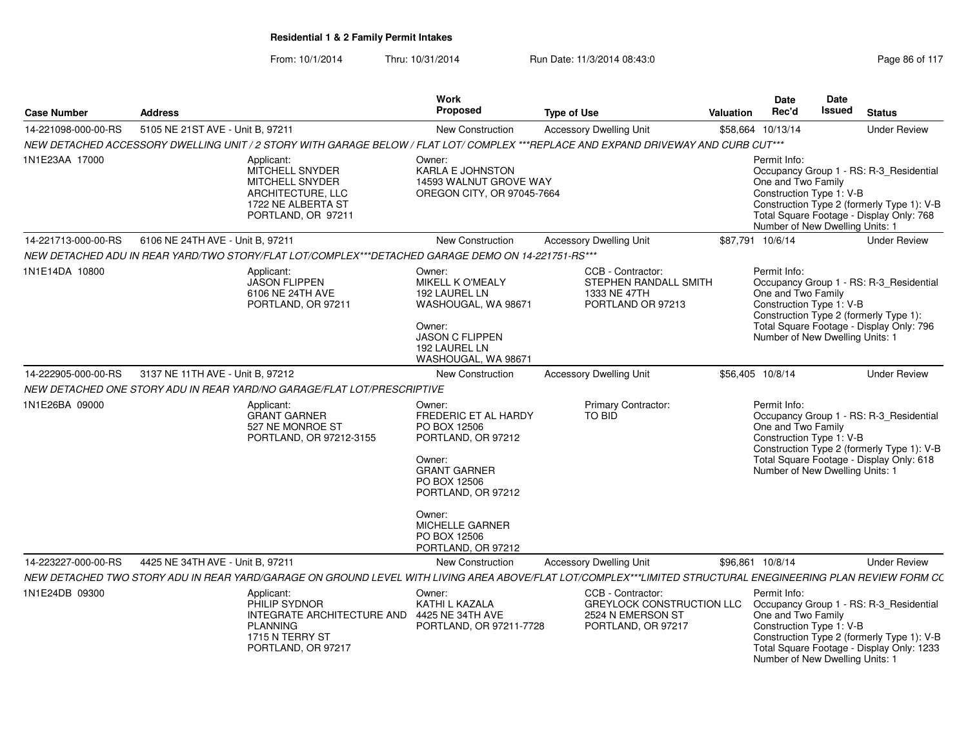| <b>Case Number</b>  | <b>Address</b>                   |                                                                                                                                        | Work<br><b>Proposed</b>                                                                                                                                                                                                      | <b>Type of Use</b>                                                                                                                                           | Valuation | <b>Date</b><br>Rec'd                                                                              | <b>Date</b><br><b>Issued</b> | <b>Status</b>                                                                                                                      |
|---------------------|----------------------------------|----------------------------------------------------------------------------------------------------------------------------------------|------------------------------------------------------------------------------------------------------------------------------------------------------------------------------------------------------------------------------|--------------------------------------------------------------------------------------------------------------------------------------------------------------|-----------|---------------------------------------------------------------------------------------------------|------------------------------|------------------------------------------------------------------------------------------------------------------------------------|
| 14-221098-000-00-RS | 5105 NE 21ST AVE - Unit B, 97211 |                                                                                                                                        | <b>New Construction</b>                                                                                                                                                                                                      | <b>Accessory Dwelling Unit</b>                                                                                                                               |           | \$58,664 10/13/14                                                                                 |                              | <b>Under Review</b>                                                                                                                |
|                     |                                  |                                                                                                                                        |                                                                                                                                                                                                                              | NEW DETACHED ACCESSORY DWELLING UNIT / 2 STORY WITH GARAGE BELOW / FLAT LOT/ COMPLEX ***REPLACE AND EXPAND DRIVEWAY AND CURB CUT***                          |           |                                                                                                   |                              |                                                                                                                                    |
| 1N1E23AA 17000      |                                  | Applicant:<br><b>MITCHELL SNYDER</b><br>MITCHELL SNYDER<br>ARCHITECTURE, LLC<br>1722 NE ALBERTA ST<br>PORTLAND, OR 97211               | Owner:<br><b>KARLA E JOHNSTON</b><br>14593 WALNUT GROVE WAY<br>OREGON CITY, OR 97045-7664                                                                                                                                    |                                                                                                                                                              |           | Permit Info:<br>One and Two Family<br>Construction Type 1: V-B<br>Number of New Dwelling Units: 1 |                              | Occupancy Group 1 - RS: R-3_Residential<br>Construction Type 2 (formerly Type 1): V-B<br>Total Square Footage - Display Only: 768  |
| 14-221713-000-00-RS | 6106 NE 24TH AVE - Unit B, 97211 |                                                                                                                                        | New Construction                                                                                                                                                                                                             | <b>Accessory Dwelling Unit</b>                                                                                                                               |           | \$87,791 10/6/14                                                                                  |                              | <b>Under Review</b>                                                                                                                |
|                     |                                  | NEW DETACHED ADU IN REAR YARD/TWO STORY/FLAT LOT/COMPLEX***DETACHED GARAGE DEMO ON 14-221751-RS***                                     |                                                                                                                                                                                                                              |                                                                                                                                                              |           |                                                                                                   |                              |                                                                                                                                    |
| 1N1E14DA 10800      |                                  | Applicant:<br><b>JASON FLIPPEN</b><br>6106 NE 24TH AVE<br>PORTLAND, OR 97211                                                           | Owner:<br>MIKELL K O'MEALY<br>192 LAUREL LN<br>WASHOUGAL, WA 98671<br>Owner:<br><b>JASON C FLIPPEN</b><br>192 LAUREL LN<br>WASHOUGAL, WA 98671                                                                               | CCB - Contractor:<br>STEPHEN RANDALL SMITH<br>1333 NE 47TH<br>PORTLAND OR 97213                                                                              |           | Permit Info:<br>One and Two Family<br>Construction Type 1: V-B<br>Number of New Dwelling Units: 1 |                              | Occupancy Group 1 - RS: R-3 Residential<br>Construction Type 2 (formerly Type 1):<br>Total Square Footage - Display Only: 796      |
| 14-222905-000-00-RS | 3137 NE 11TH AVE - Unit B, 97212 |                                                                                                                                        | New Construction                                                                                                                                                                                                             | <b>Accessory Dwelling Unit</b>                                                                                                                               |           | \$56,405 10/8/14                                                                                  |                              | <b>Under Review</b>                                                                                                                |
|                     |                                  | NEW DETACHED ONE STORY ADU IN REAR YARD/NO GARAGE/FLAT LOT/PRESCRIPTIVE                                                                |                                                                                                                                                                                                                              |                                                                                                                                                              |           |                                                                                                   |                              |                                                                                                                                    |
| 1N1E26BA 09000      |                                  | Applicant:<br><b>GRANT GARNER</b><br>527 NE MONROE ST<br>PORTLAND, OR 97212-3155                                                       | Owner:<br><b>FREDERIC ET AL HARDY</b><br>PO BOX 12506<br>PORTLAND, OR 97212<br>Owner:<br><b>GRANT GARNER</b><br>PO BOX 12506<br>PORTLAND, OR 97212<br>Owner:<br><b>MICHELLE GARNER</b><br>PO BOX 12506<br>PORTLAND, OR 97212 | Primary Contractor:<br>TO BID                                                                                                                                |           | Permit Info:<br>One and Two Family<br>Construction Type 1: V-B<br>Number of New Dwelling Units: 1 |                              | Occupancy Group 1 - RS: R-3_Residential<br>Construction Type 2 (formerly Type 1): V-B<br>Total Square Footage - Display Only: 618  |
| 14-223227-000-00-RS | 4425 NE 34TH AVE - Unit B, 97211 |                                                                                                                                        | <b>New Construction</b>                                                                                                                                                                                                      | <b>Accessory Dwelling Unit</b>                                                                                                                               |           | \$96,861 10/8/14                                                                                  |                              | <b>Under Review</b>                                                                                                                |
|                     |                                  |                                                                                                                                        |                                                                                                                                                                                                                              | NEW DETACHED TWO STORY ADU IN REAR YARD/GARAGE ON GROUND LEVEL WITH LIVING AREA ABOVE/FLAT LOT/COMPLEX***LIMITED STRUCTURAL ENEGINEERING PLAN REVIEW FORM CC |           |                                                                                                   |                              |                                                                                                                                    |
| 1N1E24DB 09300      |                                  | Applicant:<br>PHILIP SYDNOR<br>INTEGRATE ARCHITECTURE AND 4425 NE 34TH AVE<br><b>PLANNING</b><br>1715 N TERRY ST<br>PORTLAND, OR 97217 | Owner:<br>KATHI L KAZALA<br>PORTLAND, OR 97211-7728                                                                                                                                                                          | CCB - Contractor:<br>GREYLOCK CONSTRUCTION LLC<br>2524 N EMERSON ST<br>PORTLAND, OR 97217                                                                    |           | Permit Info:<br>One and Two Family<br>Construction Type 1: V-B<br>Number of New Dwelling Units: 1 |                              | Occupancy Group 1 - RS: R-3_Residential<br>Construction Type 2 (formerly Type 1): V-B<br>Total Square Footage - Display Only: 1233 |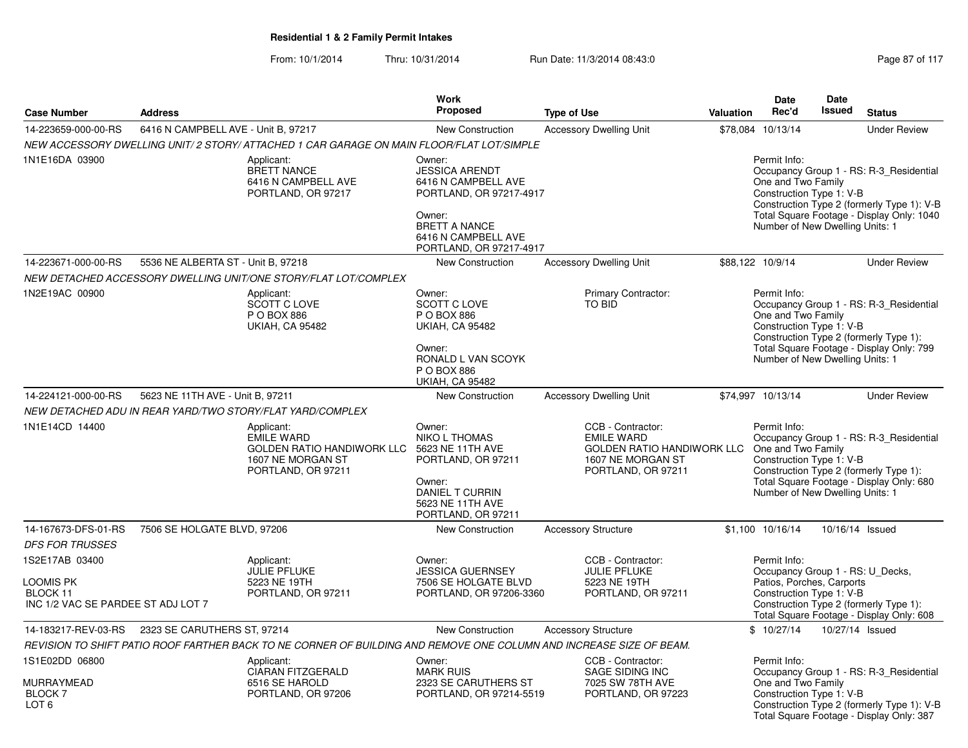|                                                                               |                                     |                                                                                                                     | Work                                                                                                                                                                  |                                                                                                                 |           | <b>Date</b>                                                                                               | Date            |                                                                                                                                    |
|-------------------------------------------------------------------------------|-------------------------------------|---------------------------------------------------------------------------------------------------------------------|-----------------------------------------------------------------------------------------------------------------------------------------------------------------------|-----------------------------------------------------------------------------------------------------------------|-----------|-----------------------------------------------------------------------------------------------------------|-----------------|------------------------------------------------------------------------------------------------------------------------------------|
| <b>Case Number</b>                                                            | <b>Address</b>                      |                                                                                                                     | Proposed                                                                                                                                                              | <b>Type of Use</b>                                                                                              | Valuation | Rec'd                                                                                                     | <b>Issued</b>   | <b>Status</b>                                                                                                                      |
| 14-223659-000-00-RS                                                           | 6416 N CAMPBELL AVE - Unit B, 97217 |                                                                                                                     | <b>New Construction</b>                                                                                                                                               | <b>Accessory Dwelling Unit</b>                                                                                  |           | \$78,084 10/13/14                                                                                         |                 | <b>Under Review</b>                                                                                                                |
|                                                                               |                                     | NEW ACCESSORY DWELLING UNIT/2 STORY/ ATTACHED 1 CAR GARAGE ON MAIN FLOOR/FLAT LOT/SIMPLE                            |                                                                                                                                                                       |                                                                                                                 |           |                                                                                                           |                 |                                                                                                                                    |
| 1N1E16DA 03900                                                                |                                     | Applicant:<br><b>BRETT NANCE</b><br>6416 N CAMPBELL AVE<br>PORTLAND, OR 97217                                       | Owner:<br><b>JESSICA ARENDT</b><br>6416 N CAMPBELL AVE<br>PORTLAND, OR 97217-4917<br>Owner:<br><b>BRETT A NANCE</b><br>6416 N CAMPBELL AVE<br>PORTLAND, OR 97217-4917 |                                                                                                                 |           | Permit Info:<br>One and Two Family<br>Construction Type 1: V-B<br>Number of New Dwelling Units: 1         |                 | Occupancy Group 1 - RS: R-3 Residential<br>Construction Type 2 (formerly Type 1): V-B<br>Total Square Footage - Display Only: 1040 |
| 14-223671-000-00-RS                                                           | 5536 NE ALBERTA ST - Unit B, 97218  |                                                                                                                     | <b>New Construction</b>                                                                                                                                               | <b>Accessory Dwelling Unit</b>                                                                                  |           | \$88,122 10/9/14                                                                                          |                 | <b>Under Review</b>                                                                                                                |
|                                                                               |                                     | NEW DETACHED ACCESSORY DWELLING UNIT/ONE STORY/FLAT LOT/COMPLEX                                                     |                                                                                                                                                                       |                                                                                                                 |           |                                                                                                           |                 |                                                                                                                                    |
| 1N2E19AC 00900                                                                |                                     | Applicant:<br>SCOTT C LOVE<br>P O BOX 886<br><b>UKIAH, CA 95482</b>                                                 | Owner:<br><b>SCOTT C LOVE</b><br>P O BOX 886<br><b>UKIAH, CA 95482</b><br>Owner:<br>RONALD L VAN SCOYK<br>P O BOX 886<br><b>UKIAH, CA 95482</b>                       | <b>Primary Contractor:</b><br><b>TO BID</b>                                                                     |           | Permit Info:<br>One and Two Family<br>Construction Type 1: V-B<br>Number of New Dwelling Units: 1         |                 | Occupancy Group 1 - RS: R-3_Residential<br>Construction Type 2 (formerly Type 1):<br>Total Square Footage - Display Only: 799      |
| 14-224121-000-00-RS                                                           | 5623 NE 11TH AVE - Unit B, 97211    |                                                                                                                     | <b>New Construction</b>                                                                                                                                               | <b>Accessory Dwelling Unit</b>                                                                                  |           | \$74,997 10/13/14                                                                                         |                 | <b>Under Review</b>                                                                                                                |
|                                                                               |                                     | NEW DETACHED ADU IN REAR YARD/TWO STORY/FLAT YARD/COMPLEX                                                           |                                                                                                                                                                       |                                                                                                                 |           |                                                                                                           |                 |                                                                                                                                    |
| 1N1E14CD 14400                                                                |                                     | Applicant:<br><b>EMILE WARD</b><br>GOLDEN RATIO HANDIWORK LLC<br>1607 NE MORGAN ST<br>PORTLAND, OR 97211            | Owner:<br><b>NIKO L THOMAS</b><br>5623 NE 11TH AVE<br>PORTLAND, OR 97211<br>Owner:<br><b>DANIEL T CURRIN</b><br>5623 NE 11TH AVE<br>PORTLAND, OR 97211                | CCB - Contractor:<br><b>EMILE WARD</b><br>GOLDEN RATIO HANDIWORK LLC<br>1607 NE MORGAN ST<br>PORTLAND, OR 97211 |           | Permit Info:<br>One and Two Family<br>Construction Type 1: V-B<br>Number of New Dwelling Units: 1         |                 | Occupancy Group 1 - RS: R-3_Residential<br>Construction Type 2 (formerly Type 1):<br>Total Square Footage - Display Only: 680      |
| 14-167673-DFS-01-RS                                                           | 7506 SE HOLGATE BLVD, 97206         |                                                                                                                     | New Construction                                                                                                                                                      | <b>Accessory Structure</b>                                                                                      |           | \$1,100 10/16/14                                                                                          |                 | 10/16/14 Issued                                                                                                                    |
| <b>DFS FOR TRUSSES</b>                                                        |                                     |                                                                                                                     |                                                                                                                                                                       |                                                                                                                 |           |                                                                                                           |                 |                                                                                                                                    |
| 1S2E17AB 03400<br>LOOMIS PK<br>BLOCK 11<br>INC 1/2 VAC SE PARDEE ST ADJ LOT 7 |                                     | Applicant:<br><b>JULIE PFLUKE</b><br>5223 NE 19TH<br>PORTLAND, OR 97211                                             | Owner:<br><b>JESSICA GUERNSEY</b><br>7506 SE HOLGATE BLVD<br>PORTLAND, OR 97206-3360                                                                                  | CCB - Contractor:<br><b>JULIE PFLUKE</b><br>5223 NE 19TH<br>PORTLAND, OR 97211                                  |           | Permit Info:<br>Occupancy Group 1 - RS: U Decks,<br>Patios, Porches, Carports<br>Construction Type 1: V-B |                 | Construction Type 2 (formerly Type 1):<br>Total Square Footage - Display Only: 608                                                 |
| 14-183217-REV-03-RS                                                           | 2323 SE CARUTHERS ST, 97214         |                                                                                                                     | <b>New Construction</b>                                                                                                                                               | <b>Accessory Structure</b>                                                                                      |           | \$10/27/14                                                                                                | 10/27/14 Issued |                                                                                                                                    |
|                                                                               |                                     | REVISION TO SHIFT PATIO ROOF FARTHER BACK TO NE CORNER OF BUILDING AND REMOVE ONE COLUMN AND INCREASE SIZE OF BEAM. |                                                                                                                                                                       |                                                                                                                 |           |                                                                                                           |                 |                                                                                                                                    |
| 1S1E02DD 06800<br>MURRAYMEAD                                                  |                                     | Applicant:<br><b>CIARAN FITZGERALD</b><br>6516 SE HAROLD                                                            | Owner:<br><b>MARK RUIS</b><br>2323 SE CARUTHERS ST                                                                                                                    | CCB - Contractor:<br>SAGE SIDING INC<br>7025 SW 78TH AVE                                                        |           | Permit Info:<br>One and Two Family                                                                        |                 | Occupancy Group 1 - RS: R-3_Residential                                                                                            |
| <b>BLOCK7</b><br>LOT <sub>6</sub>                                             |                                     | PORTLAND, OR 97206                                                                                                  | PORTLAND, OR 97214-5519                                                                                                                                               | PORTLAND, OR 97223                                                                                              |           | Construction Type 1: V-B                                                                                  |                 | Construction Type 2 (formerly Type 1): V-B<br>Total Square Footage - Display Only: 387                                             |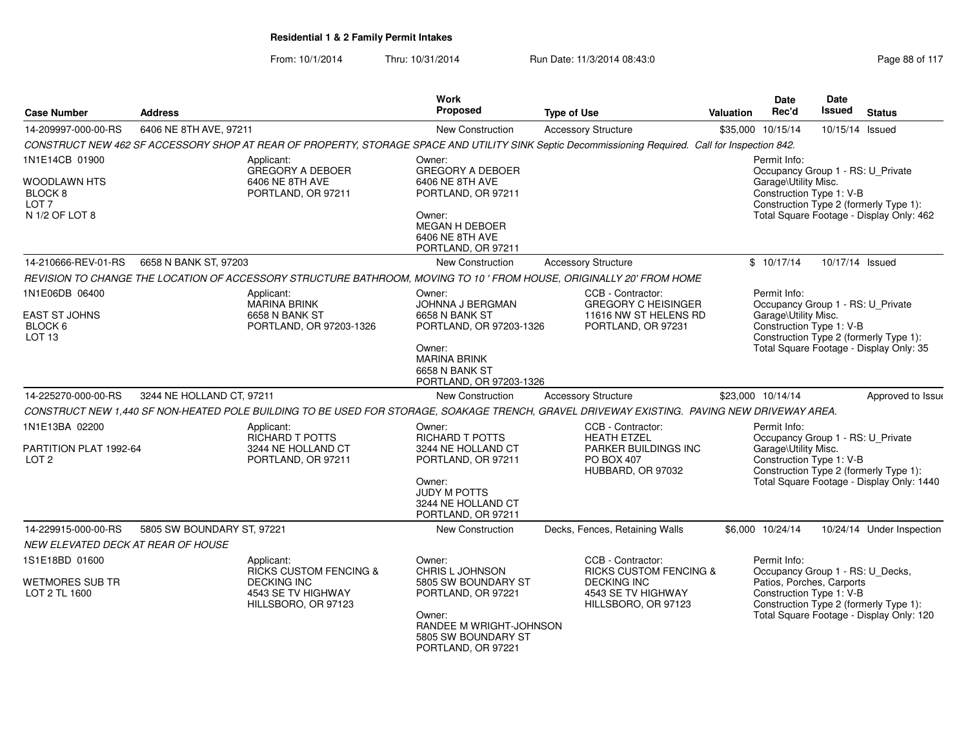| <b>Case Number</b>                          | <b>Address</b>             |                                                                                                                                                   | Work<br><b>Proposed</b>                                                        | <b>Type of Use</b>                                                       | Valuation | <b>Date</b><br>Rec'd                                                      | <b>Date</b><br><b>Issued</b> | <b>Status</b>                             |
|---------------------------------------------|----------------------------|---------------------------------------------------------------------------------------------------------------------------------------------------|--------------------------------------------------------------------------------|--------------------------------------------------------------------------|-----------|---------------------------------------------------------------------------|------------------------------|-------------------------------------------|
| 14-209997-000-00-RS                         | 6406 NE 8TH AVE, 97211     |                                                                                                                                                   | New Construction                                                               | <b>Accessory Structure</b>                                               |           | \$35,000 10/15/14                                                         | 10/15/14 Issued              |                                           |
|                                             |                            | CONSTRUCT NEW 462 SF ACCESSORY SHOP AT REAR OF PROPERTY, STORAGE SPACE AND UTILITY SINK Septic Decommissioning Required. Call for Inspection 842. |                                                                                |                                                                          |           |                                                                           |                              |                                           |
| 1N1E14CB 01900                              |                            | Applicant:<br><b>GREGORY A DEBOER</b>                                                                                                             | Owner:<br><b>GREGORY A DEBOER</b>                                              |                                                                          |           | Permit Info:<br>Occupancy Group 1 - RS: U_Private                         |                              |                                           |
| WOODLAWN HTS<br>BLOCK 8<br>LOT <sub>7</sub> |                            | 6406 NE 8TH AVE<br>PORTLAND, OR 97211                                                                                                             | 6406 NE 8TH AVE<br>PORTLAND, OR 97211                                          |                                                                          |           | Garage\Utility Misc.<br>Construction Type 1: V-B                          |                              | Construction Type 2 (formerly Type 1):    |
| N 1/2 OF LOT 8                              |                            |                                                                                                                                                   | Owner:<br><b>MEGAN H DEBOER</b><br>6406 NE 8TH AVE<br>PORTLAND, OR 97211       |                                                                          |           |                                                                           |                              | Total Square Footage - Display Only: 462  |
| 14-210666-REV-01-RS                         | 6658 N BANK ST, 97203      |                                                                                                                                                   | New Construction                                                               | <b>Accessory Structure</b>                                               |           | \$10/17/14                                                                | 10/17/14 Issued              |                                           |
|                                             |                            | REVISION TO CHANGE THE LOCATION OF ACCESSORY STRUCTURE BATHROOM, MOVING TO 10' FROM HOUSE, ORIGINALLY 20' FROM HOME                               |                                                                                |                                                                          |           |                                                                           |                              |                                           |
| 1N1E06DB 06400<br><b>EAST ST JOHNS</b>      |                            | Applicant:<br><b>MARINA BRINK</b><br>6658 N BANK ST                                                                                               | Owner:<br>JOHNNA J BERGMAN<br>6658 N BANK ST                                   | CCB - Contractor:<br><b>GREGORY C HEISINGER</b><br>11616 NW ST HELENS RD |           | Permit Info:<br>Occupancy Group 1 - RS: U_Private<br>Garage\Utility Misc. |                              |                                           |
| BLOCK 6<br>LOT <sub>13</sub>                |                            | PORTLAND, OR 97203-1326                                                                                                                           | PORTLAND, OR 97203-1326                                                        | PORTLAND, OR 97231                                                       |           | Construction Type 1: V-B                                                  |                              | Construction Type 2 (formerly Type 1):    |
|                                             |                            |                                                                                                                                                   | Owner:<br><b>MARINA BRINK</b><br>6658 N BANK ST<br>PORTLAND, OR 97203-1326     |                                                                          |           |                                                                           |                              | Total Square Footage - Display Only: 35   |
| 14-225270-000-00-RS                         | 3244 NE HOLLAND CT, 97211  |                                                                                                                                                   | <b>New Construction</b>                                                        | <b>Accessory Structure</b>                                               |           | \$23,000 10/14/14                                                         |                              | Approved to Issue                         |
|                                             |                            | CONSTRUCT NEW 1,440 SF NON-HEATED POLE BUILDING TO BE USED FOR STORAGE, SOAKAGE TRENCH, GRAVEL DRIVEWAY EXISTING. PAVING NEW DRIVEWAY AREA.       |                                                                                |                                                                          |           |                                                                           |                              |                                           |
| 1N1E13BA 02200                              |                            | Applicant:<br><b>RICHARD T POTTS</b>                                                                                                              | Owner:<br><b>RICHARD T POTTS</b>                                               | CCB - Contractor:<br><b>HEATH ETZEL</b>                                  |           | Permit Info:<br>Occupancy Group 1 - RS: U_Private                         |                              |                                           |
| PARTITION PLAT 1992-64<br>LOT <sub>2</sub>  |                            | 3244 NE HOLLAND CT<br>PORTLAND, OR 97211                                                                                                          | 3244 NE HOLLAND CT<br>PORTLAND, OR 97211                                       | PARKER BUILDINGS INC<br><b>PO BOX 407</b><br>HUBBARD, OR 97032           |           | Garage\Utility Misc.<br>Construction Type 1: V-B                          |                              | Construction Type 2 (formerly Type 1):    |
|                                             |                            |                                                                                                                                                   | Owner:<br><b>JUDY M POTTS</b><br>3244 NE HOLLAND CT<br>PORTLAND, OR 97211      |                                                                          |           |                                                                           |                              | Total Square Footage - Display Only: 1440 |
| 14-229915-000-00-RS                         | 5805 SW BOUNDARY ST, 97221 |                                                                                                                                                   | New Construction                                                               | Decks, Fences, Retaining Walls                                           |           | \$6,000 10/24/14                                                          |                              | 10/24/14 Under Inspection                 |
| NEW ELEVATED DECK AT REAR OF HOUSE          |                            |                                                                                                                                                   |                                                                                |                                                                          |           |                                                                           |                              |                                           |
| 1S1E18BD 01600                              |                            | Applicant:<br><b>RICKS CUSTOM FENCING &amp;</b>                                                                                                   | Owner:<br><b>CHRIS L JOHNSON</b>                                               | CCB - Contractor:<br><b>RICKS CUSTOM FENCING &amp;</b>                   |           | Permit Info:<br>Occupancy Group 1 - RS: U_Decks,                          |                              |                                           |
| WETMORES SUB TR<br>LOT 2 TL 1600            |                            | <b>DECKING INC</b><br>4543 SE TV HIGHWAY<br>HILLSBORO, OR 97123                                                                                   | 5805 SW BOUNDARY ST<br>PORTLAND, OR 97221                                      | <b>DECKING INC</b><br>4543 SE TV HIGHWAY<br>HILLSBORO, OR 97123          |           | Patios, Porches, Carports<br>Construction Type 1: V-B                     |                              | Construction Type 2 (formerly Type 1):    |
|                                             |                            |                                                                                                                                                   | Owner:<br>RANDEE M WRIGHT-JOHNSON<br>5805 SW BOUNDARY ST<br>PORTLAND, OR 97221 |                                                                          |           |                                                                           |                              | Total Square Footage - Display Only: 120  |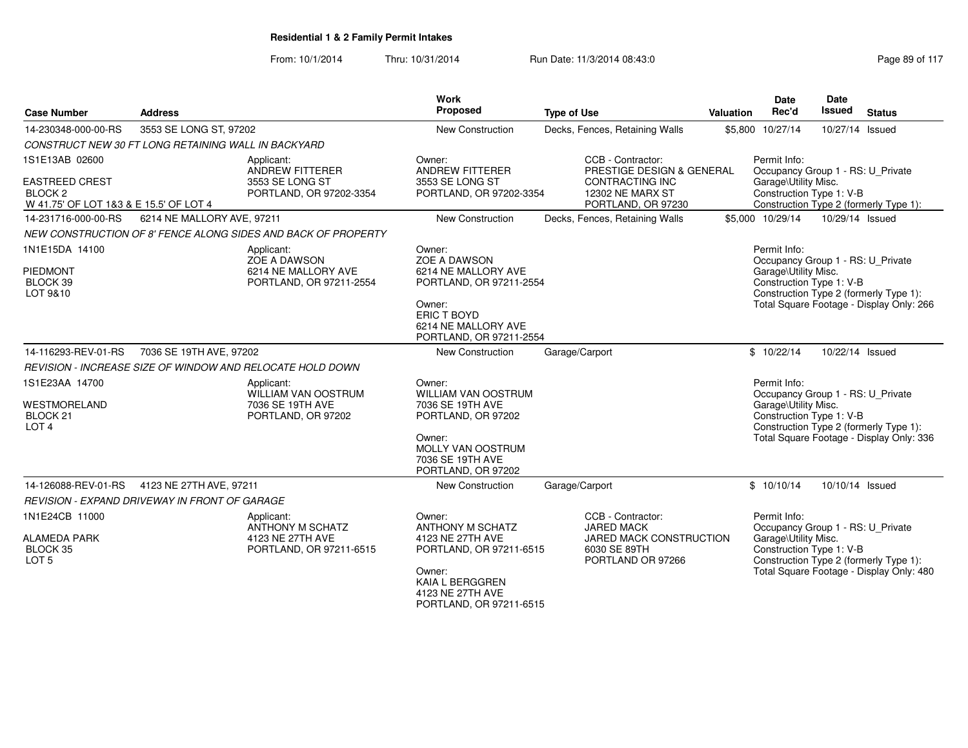| <b>Case Number</b>                                                                                  | <b>Address</b>                                                                       | Work<br>Proposed                                                                                                                                             | <b>Type of Use</b>                                                                                                        | Valuation | <b>Date</b><br>Rec'd                                                                                  | Date<br><b>Issued</b> | <b>Status</b>                                                                      |
|-----------------------------------------------------------------------------------------------------|--------------------------------------------------------------------------------------|--------------------------------------------------------------------------------------------------------------------------------------------------------------|---------------------------------------------------------------------------------------------------------------------------|-----------|-------------------------------------------------------------------------------------------------------|-----------------------|------------------------------------------------------------------------------------|
| 14-230348-000-00-RS                                                                                 | 3553 SE LONG ST, 97202                                                               | New Construction                                                                                                                                             | Decks, Fences, Retaining Walls                                                                                            |           | \$5,800 10/27/14                                                                                      | 10/27/14 Issued       |                                                                                    |
|                                                                                                     | CONSTRUCT NEW 30 FT LONG RETAINING WALL IN BACKYARD                                  |                                                                                                                                                              |                                                                                                                           |           |                                                                                                       |                       |                                                                                    |
| 1S1E13AB 02600<br><b>EASTREED CREST</b><br><b>BLOCK 2</b><br>W 41.75' OF LOT 1&3 & E 15.5' OF LOT 4 | Applicant:<br><b>ANDREW FITTERER</b><br>3553 SE LONG ST<br>PORTLAND, OR 97202-3354   | Owner:<br><b>ANDREW FITTERER</b><br>3553 SE LONG ST<br>PORTLAND, OR 97202-3354                                                                               | CCB - Contractor:<br>PRESTIGE DESIGN & GENERAL<br><b>CONTRACTING INC</b><br><b>12302 NE MARX ST</b><br>PORTLAND, OR 97230 |           | Permit Info:<br>Occupancy Group 1 - RS: U_Private<br>Garage\Utility Misc.<br>Construction Type 1: V-B |                       | Construction Type 2 (formerly Type 1):                                             |
| 14-231716-000-00-RS                                                                                 | 6214 NE MALLORY AVE, 97211                                                           | <b>New Construction</b>                                                                                                                                      | Decks, Fences, Retaining Walls                                                                                            |           | \$5,000 10/29/14                                                                                      | 10/29/14 Issued       |                                                                                    |
|                                                                                                     | NEW CONSTRUCTION OF 8' FENCE ALONG SIDES AND BACK OF PROPERTY                        |                                                                                                                                                              |                                                                                                                           |           |                                                                                                       |                       |                                                                                    |
| 1N1E15DA 14100<br>PIEDMONT<br>BLOCK 39<br>LOT 9&10                                                  | Applicant:<br>ZOE A DAWSON<br>6214 NE MALLORY AVE<br>PORTLAND, OR 97211-2554         | Owner:<br>ZOE A DAWSON<br>6214 NE MALLORY AVE<br>PORTLAND, OR 97211-2554<br>Owner:<br>ERIC T BOYD<br>6214 NE MALLORY AVE<br>PORTLAND, OR 97211-2554          |                                                                                                                           |           | Permit Info:<br>Occupancy Group 1 - RS: U Private<br>Garage\Utility Misc.<br>Construction Type 1: V-B |                       | Construction Type 2 (formerly Type 1):<br>Total Square Footage - Display Only: 266 |
| 14-116293-REV-01-RS                                                                                 | 7036 SE 19TH AVE, 97202                                                              | New Construction                                                                                                                                             | Garage/Carport                                                                                                            |           | \$10/22/14                                                                                            | 10/22/14 Issued       |                                                                                    |
|                                                                                                     | REVISION - INCREASE SIZE OF WINDOW AND RELOCATE HOLD DOWN                            |                                                                                                                                                              |                                                                                                                           |           |                                                                                                       |                       |                                                                                    |
| 1S1E23AA 14700<br>WESTMORELAND<br>BLOCK <sub>21</sub><br>LOT <sub>4</sub>                           | Applicant:<br>WILLIAM VAN OOSTRUM<br>7036 SE 19TH AVE<br>PORTLAND, OR 97202          | Owner:<br><b>WILLIAM VAN OOSTRUM</b><br>7036 SE 19TH AVE<br>PORTLAND, OR 97202<br>Owner:<br>MOLLY VAN OOSTRUM<br>7036 SE 19TH AVE<br>PORTLAND, OR 97202      |                                                                                                                           |           | Permit Info:<br>Occupancy Group 1 - RS: U_Private<br>Garage\Utility Misc.<br>Construction Type 1: V-B |                       | Construction Type 2 (formerly Type 1):<br>Total Square Footage - Display Only: 336 |
| 14-126088-REV-01-RS                                                                                 | 4123 NE 27TH AVE, 97211                                                              | <b>New Construction</b>                                                                                                                                      | Garage/Carport                                                                                                            |           | \$10/10/14                                                                                            | 10/10/14 Issued       |                                                                                    |
|                                                                                                     | <b>REVISION - EXPAND DRIVEWAY IN FRONT OF GARAGE</b>                                 |                                                                                                                                                              |                                                                                                                           |           |                                                                                                       |                       |                                                                                    |
| 1N1E24CB 11000<br><b>ALAMEDA PARK</b><br>BLOCK 35<br>LOT <sub>5</sub>                               | Applicant:<br><b>ANTHONY M SCHATZ</b><br>4123 NE 27TH AVE<br>PORTLAND, OR 97211-6515 | Owner:<br><b>ANTHONY M SCHATZ</b><br>4123 NE 27TH AVE<br>PORTLAND, OR 97211-6515<br>Owner:<br>KAIA L BERGGREN<br>4123 NE 27TH AVE<br>PORTLAND, OR 97211-6515 | CCB - Contractor:<br><b>JARED MACK</b><br>JARED MACK CONSTRUCTION<br>6030 SE 89TH<br>PORTLAND OR 97266                    |           | Permit Info:<br>Occupancy Group 1 - RS: U_Private<br>Garage\Utility Misc.<br>Construction Type 1: V-B |                       | Construction Type 2 (formerly Type 1):<br>Total Square Footage - Display Only: 480 |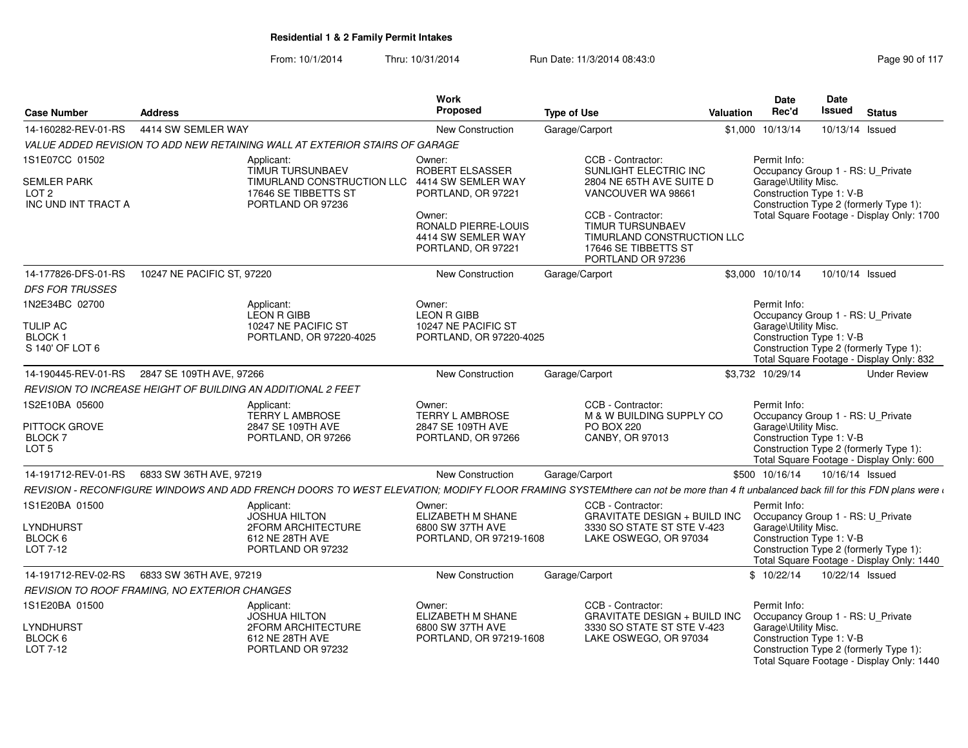| <b>Case Number</b>                                            | <b>Address</b>             |                                                                                            | Work<br>Proposed                                                          | <b>Type of Use</b>                                                                                                                                                               | <b>Valuation</b> | Date<br>Rec'd                                                             | Date<br><b>Issued</b> | <b>Status</b>                                                                       |
|---------------------------------------------------------------|----------------------------|--------------------------------------------------------------------------------------------|---------------------------------------------------------------------------|----------------------------------------------------------------------------------------------------------------------------------------------------------------------------------|------------------|---------------------------------------------------------------------------|-----------------------|-------------------------------------------------------------------------------------|
| 14-160282-REV-01-RS                                           | 4414 SW SEMLER WAY         |                                                                                            | New Construction                                                          | Garage/Carport                                                                                                                                                                   |                  | \$1,000 10/13/14                                                          | 10/13/14 Issued       |                                                                                     |
|                                                               |                            | VALUE ADDED REVISION TO ADD NEW RETAINING WALL AT EXTERIOR STAIRS OF GARAGE                |                                                                           |                                                                                                                                                                                  |                  |                                                                           |                       |                                                                                     |
| 1S1E07CC 01502                                                |                            | Applicant:<br><b>TIMUR TURSUNBAEV</b>                                                      | Owner:<br>ROBERT ELSASSER                                                 | CCB - Contractor:<br>SUNLIGHT ELECTRIC INC                                                                                                                                       |                  | Permit Info:<br>Occupancy Group 1 - RS: U_Private                         |                       |                                                                                     |
| <b>SEMLER PARK</b><br>LOT <sub>2</sub><br>INC UND INT TRACT A |                            | TIMURLAND CONSTRUCTION LLC 4414 SW SEMLER WAY<br>17646 SE TIBBETTS ST<br>PORTLAND OR 97236 | PORTLAND, OR 97221                                                        | 2804 NE 65TH AVE SUITE D<br>VANCOUVER WA 98661                                                                                                                                   |                  | Garage\Utility Misc.<br>Construction Type 1: V-B                          |                       | Construction Type 2 (formerly Type 1):                                              |
|                                                               |                            |                                                                                            | Owner:<br>RONALD PIERRE-LOUIS<br>4414 SW SEMLER WAY<br>PORTLAND, OR 97221 | CCB - Contractor:<br>TIMUR TURSUNBAEV<br>TIMURLAND CONSTRUCTION LLC<br>17646 SE TIBBETTS ST<br>PORTLAND OR 97236                                                                 |                  |                                                                           |                       | Total Square Footage - Display Only: 1700                                           |
| 14-177826-DFS-01-RS                                           | 10247 NE PACIFIC ST, 97220 |                                                                                            | New Construction                                                          | Garage/Carport                                                                                                                                                                   |                  | \$3,000 10/10/14                                                          | 10/10/14 Issued       |                                                                                     |
| <b>DFS FOR TRUSSES</b>                                        |                            |                                                                                            |                                                                           |                                                                                                                                                                                  |                  |                                                                           |                       |                                                                                     |
| 1N2E34BC 02700                                                |                            | Applicant:<br>LEON R GIBB                                                                  | Owner:<br><b>LEON R GIBB</b>                                              |                                                                                                                                                                                  |                  | Permit Info:<br>Occupancy Group 1 - RS: U_Private                         |                       |                                                                                     |
| <b>TULIP AC</b>                                               |                            | 10247 NE PACIFIC ST                                                                        | 10247 NE PACIFIC ST                                                       |                                                                                                                                                                                  |                  | Garage\Utility Misc.                                                      |                       |                                                                                     |
| BLOCK <sub>1</sub><br>S 140' OF LOT 6                         |                            | PORTLAND, OR 97220-4025                                                                    | PORTLAND, OR 97220-4025                                                   |                                                                                                                                                                                  |                  | Construction Type 1: V-B                                                  |                       | Construction Type 2 (formerly Type 1):<br>Total Square Footage - Display Only: 832  |
| 14-190445-REV-01-RS                                           | 2847 SE 109TH AVE, 97266   |                                                                                            | <b>New Construction</b>                                                   | Garage/Carport                                                                                                                                                                   |                  | \$3.732 10/29/14                                                          |                       | <b>Under Review</b>                                                                 |
|                                                               |                            | REVISION TO INCREASE HEIGHT OF BUILDING AN ADDITIONAL 2 FEET                               |                                                                           |                                                                                                                                                                                  |                  |                                                                           |                       |                                                                                     |
| 1S2E10BA 05600<br>PITTOCK GROVE                               |                            | Applicant:<br><b>TERRY L AMBROSE</b><br>2847 SE 109TH AVE                                  | Owner:<br>TERRY L AMBROSE<br>2847 SE 109TH AVE                            | CCB - Contractor:<br>M & W BUILDING SUPPLY CO<br><b>PO BOX 220</b>                                                                                                               |                  | Permit Info:<br>Occupancy Group 1 - RS: U_Private<br>Garage\Utility Misc. |                       |                                                                                     |
| BLOCK 7<br>LOT <sub>5</sub>                                   |                            | PORTLAND, OR 97266                                                                         | PORTLAND, OR 97266                                                        | CANBY, OR 97013                                                                                                                                                                  |                  | Construction Type 1: V-B                                                  |                       | Construction Type 2 (formerly Type 1):<br>Total Square Footage - Display Only: 600  |
| 14-191712-REV-01-RS                                           | 6833 SW 36TH AVE, 97219    |                                                                                            | <b>New Construction</b>                                                   | Garage/Carport                                                                                                                                                                   |                  | \$500 10/16/14                                                            | 10/16/14 Issued       |                                                                                     |
|                                                               |                            |                                                                                            |                                                                           | REVISION - RECONFIGURE WINDOWS AND ADD FRENCH DOORS TO WEST ELEVATION; MODIFY FLOOR FRAMING SYSTEMthere can not be more than 4 ft unbalanced back fill for this FDN plans were a |                  |                                                                           |                       |                                                                                     |
| 1S1E20BA 01500                                                |                            | Applicant:<br><b>JOSHUA HILTON</b>                                                         | Owner:<br>ELIZABETH M SHANE                                               | CCB - Contractor:<br><b>GRAVITATE DESIGN + BUILD INC</b>                                                                                                                         |                  | Permit Info:<br>Occupancy Group 1 - RS: U_Private                         |                       |                                                                                     |
| LYNDHURST<br>BLOCK 6<br>LOT 7-12                              |                            | 2FORM ARCHITECTURE<br>612 NE 28TH AVE<br>PORTLAND OR 97232                                 | 6800 SW 37TH AVE<br>PORTLAND, OR 97219-1608                               | 3330 SO STATE ST STE V-423<br>LAKE OSWEGO, OR 97034                                                                                                                              |                  | Garage\Utility Misc.<br>Construction Type 1: V-B                          |                       | Construction Type 2 (formerly Type 1):<br>Total Square Footage - Display Only: 1440 |
| 14-191712-REV-02-RS                                           | 6833 SW 36TH AVE, 97219    |                                                                                            | <b>New Construction</b>                                                   | Garage/Carport                                                                                                                                                                   |                  | \$10/22/14                                                                | 10/22/14 Issued       |                                                                                     |
| REVISION TO ROOF FRAMING, NO EXTERIOR CHANGES                 |                            |                                                                                            |                                                                           |                                                                                                                                                                                  |                  |                                                                           |                       |                                                                                     |
| 1S1E20BA 01500                                                |                            | Applicant:<br><b>JOSHUA HILTON</b>                                                         | Owner:<br>ELIZABETH M SHANE                                               | CCB - Contractor:<br><b>GRAVITATE DESIGN + BUILD INC</b>                                                                                                                         |                  | Permit Info:<br>Occupancy Group 1 - RS: U_Private                         |                       |                                                                                     |
| LYNDHURST                                                     |                            | 2FORM ARCHITECTURE                                                                         | 6800 SW 37TH AVE                                                          | 3330 SO STATE ST STE V-423                                                                                                                                                       |                  | Garage\Utility Misc.                                                      |                       |                                                                                     |
| BLOCK 6<br>LOT 7-12                                           |                            | 612 NE 28TH AVE<br>PORTLAND OR 97232                                                       | PORTLAND, OR 97219-1608                                                   | LAKE OSWEGO, OR 97034                                                                                                                                                            |                  | Construction Type 1: V-B                                                  |                       | Construction Type 2 (formerly Type 1):<br>Total Square Footage - Display Only: 1440 |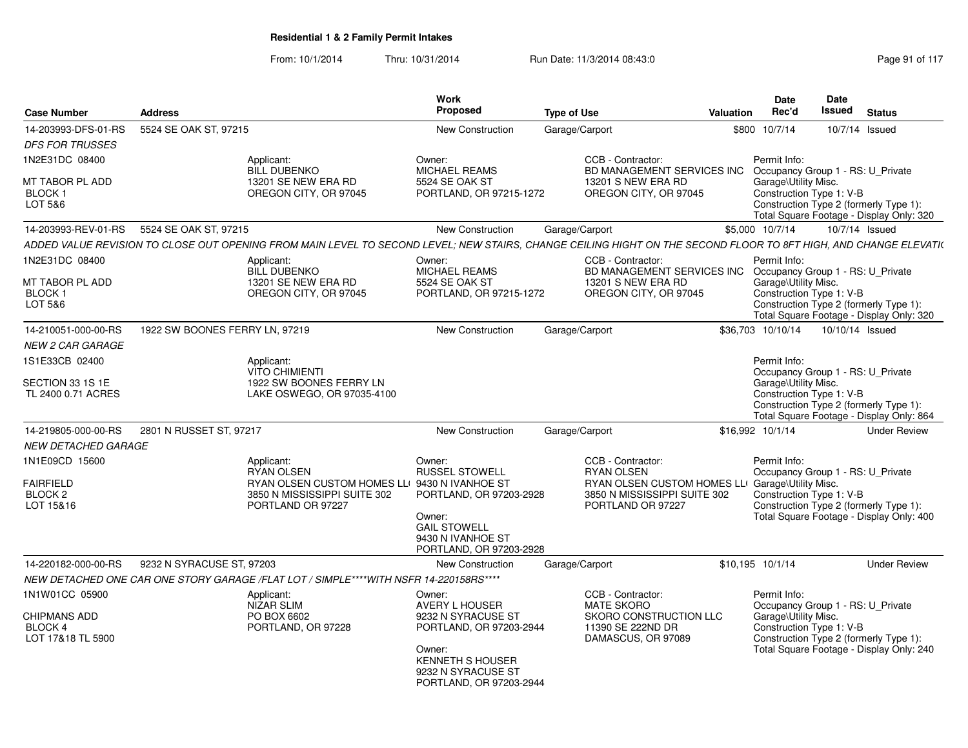| <b>Case Number</b>                                  | <b>Address</b>                 |                                                                                                                                                                  | Work<br><b>Proposed</b>                                                                                                                               | <b>Type of Use</b> |                                                                                        | Valuation | <b>Date</b><br>Rec'd                                                                  | <b>Date</b><br><b>Issued</b> | <b>Status</b>                                                                      |
|-----------------------------------------------------|--------------------------------|------------------------------------------------------------------------------------------------------------------------------------------------------------------|-------------------------------------------------------------------------------------------------------------------------------------------------------|--------------------|----------------------------------------------------------------------------------------|-----------|---------------------------------------------------------------------------------------|------------------------------|------------------------------------------------------------------------------------|
| 14-203993-DFS-01-RS                                 | 5524 SE OAK ST, 97215          |                                                                                                                                                                  | <b>New Construction</b>                                                                                                                               | Garage/Carport     |                                                                                        | \$800     | 10/7/14                                                                               |                              | 10/7/14 Issued                                                                     |
| <b>DFS FOR TRUSSES</b>                              |                                |                                                                                                                                                                  |                                                                                                                                                       |                    |                                                                                        |           |                                                                                       |                              |                                                                                    |
| 1N2E31DC 08400                                      |                                | Applicant:<br><b>BILL DUBENKO</b>                                                                                                                                | Owner:<br><b>MICHAEL REAMS</b>                                                                                                                        |                    | CCB - Contractor:<br>BD MANAGEMENT SERVICES INC                                        |           | Permit Info:<br>Occupancy Group 1 - RS: U_Private                                     |                              |                                                                                    |
| MT TABOR PL ADD<br><b>BLOCK1</b><br>LOT 5&6         |                                | 13201 SE NEW ERA RD<br>OREGON CITY, OR 97045                                                                                                                     | 5524 SE OAK ST<br>PORTLAND, OR 97215-1272                                                                                                             |                    | 13201 S NEW ERA RD<br>OREGON CITY, OR 97045                                            |           | Garage\Utility Misc.<br>Construction Type 1: V-B                                      |                              | Construction Type 2 (formerly Type 1):<br>Total Square Footage - Display Only: 320 |
| 14-203993-REV-01-RS                                 | 5524 SE OAK ST, 97215          |                                                                                                                                                                  | New Construction                                                                                                                                      | Garage/Carport     |                                                                                        |           | \$5,000 10/7/14                                                                       |                              | 10/7/14 Issued                                                                     |
|                                                     |                                | ADDED VALUE REVISION TO CLOSE OUT OPENING FROM MAIN LEVEL TO SECOND LEVEL; NEW STAIRS, CHANGE CEILING HIGHT ON THE SECOND FLOOR TO 8FT HIGH, AND CHANGE ELEVATI( |                                                                                                                                                       |                    |                                                                                        |           |                                                                                       |                              |                                                                                    |
| 1N2E31DC 08400                                      |                                | Applicant:<br><b>BILL DUBENKO</b>                                                                                                                                | Owner:<br><b>MICHAEL REAMS</b>                                                                                                                        |                    | CCB - Contractor:<br><b>BD MANAGEMENT SERVICES INC</b>                                 |           | Permit Info:<br>Occupancy Group 1 - RS: U Private                                     |                              |                                                                                    |
| MT TABOR PL ADD<br><b>BLOCK1</b><br>LOT 5&6         |                                | 13201 SE NEW ERA RD<br>OREGON CITY, OR 97045                                                                                                                     | 5524 SE OAK ST<br>PORTLAND, OR 97215-1272                                                                                                             |                    | 13201 S NEW ERA RD<br>OREGON CITY, OR 97045                                            |           | Garage\Utility Misc.<br>Construction Type 1: V-B                                      |                              | Construction Type 2 (formerly Type 1):<br>Total Square Footage - Display Only: 320 |
| 14-210051-000-00-RS                                 | 1922 SW BOONES FERRY LN, 97219 |                                                                                                                                                                  | New Construction                                                                                                                                      | Garage/Carport     |                                                                                        |           | \$36,703 10/10/14                                                                     | 10/10/14 Issued              |                                                                                    |
| <b>NEW 2 CAR GARAGE</b>                             |                                |                                                                                                                                                                  |                                                                                                                                                       |                    |                                                                                        |           |                                                                                       |                              |                                                                                    |
| 1S1E33CB 02400                                      |                                | Applicant:<br><b>VITO CHIMIENTI</b>                                                                                                                              |                                                                                                                                                       |                    |                                                                                        |           | Permit Info:<br>Occupancy Group 1 - RS: U_Private                                     |                              |                                                                                    |
| SECTION 33 1S 1E<br>TL 2400 0.71 ACRES              |                                | 1922 SW BOONES FERRY LN<br>LAKE OSWEGO, OR 97035-4100                                                                                                            |                                                                                                                                                       |                    |                                                                                        |           | Garage\Utility Misc.<br>Construction Type 1: V-B                                      |                              | Construction Type 2 (formerly Type 1):<br>Total Square Footage - Display Only: 864 |
| 14-219805-000-00-RS                                 | 2801 N RUSSET ST, 97217        |                                                                                                                                                                  | New Construction                                                                                                                                      | Garage/Carport     |                                                                                        |           | \$16.992 10/1/14                                                                      |                              | <b>Under Review</b>                                                                |
| <b>NEW DETACHED GARAGE</b>                          |                                |                                                                                                                                                                  |                                                                                                                                                       |                    |                                                                                        |           |                                                                                       |                              |                                                                                    |
| 1N1E09CD 15600                                      |                                | Applicant:<br><b>RYAN OLSEN</b>                                                                                                                                  | Owner:<br><b>RUSSEL STOWELL</b>                                                                                                                       |                    | CCB - Contractor:<br><b>RYAN OLSEN</b>                                                 |           | Permit Info:<br>Occupancy Group 1 - RS: U_Private                                     |                              |                                                                                    |
| <b>FAIRFIELD</b><br>BLOCK <sub>2</sub><br>LOT 15&16 |                                | RYAN OLSEN CUSTOM HOMES LLI 9430 N IVANHOE ST<br>3850 N MISSISSIPPI SUITE 302<br>PORTLAND OR 97227                                                               | PORTLAND, OR 97203-2928<br>Owner:<br><b>GAIL STOWELL</b><br>9430 N IVANHOE ST<br>PORTLAND, OR 97203-2928                                              |                    | RYAN OLSEN CUSTOM HOMES LL<br>3850 N MISSISSIPPI SUITE 302<br>PORTLAND OR 97227        |           | Garage\Utility Misc.<br>Construction Type 1: V-B                                      |                              | Construction Type 2 (formerly Type 1):<br>Total Square Footage - Display Only: 400 |
| 14-220182-000-00-RS                                 | 9232 N SYRACUSE ST, 97203      |                                                                                                                                                                  | New Construction                                                                                                                                      | Garage/Carport     |                                                                                        |           | \$10,195 10/1/14                                                                      |                              | <b>Under Review</b>                                                                |
|                                                     |                                | NEW DETACHED ONE CAR ONE STORY GARAGE /FLAT LOT / SIMPLE****WITH NSFR 14-220158RS****                                                                            |                                                                                                                                                       |                    |                                                                                        |           |                                                                                       |                              |                                                                                    |
| 1N1W01CC 05900                                      |                                | Applicant:                                                                                                                                                       | Owner:                                                                                                                                                |                    | CCB - Contractor:                                                                      |           | Permit Info:                                                                          |                              |                                                                                    |
| <b>CHIPMANS ADD</b><br>BLOCK 4<br>LOT 17&18 TL 5900 |                                | NIZAR SLIM<br>PO BOX 6602<br>PORTLAND, OR 97228                                                                                                                  | AVERY L HOUSER<br>9232 N SYRACUSE ST<br>PORTLAND, OR 97203-2944<br>Owner:<br><b>KENNETH S HOUSER</b><br>9232 N SYRACUSE ST<br>PORTLAND, OR 97203-2944 |                    | <b>MATE SKORO</b><br>SKORO CONSTRUCTION LLC<br>11390 SE 222ND DR<br>DAMASCUS, OR 97089 |           | Occupancy Group 1 - RS: U Private<br>Garage\Utility Misc.<br>Construction Type 1: V-B |                              | Construction Type 2 (formerly Type 1):<br>Total Square Footage - Display Only: 240 |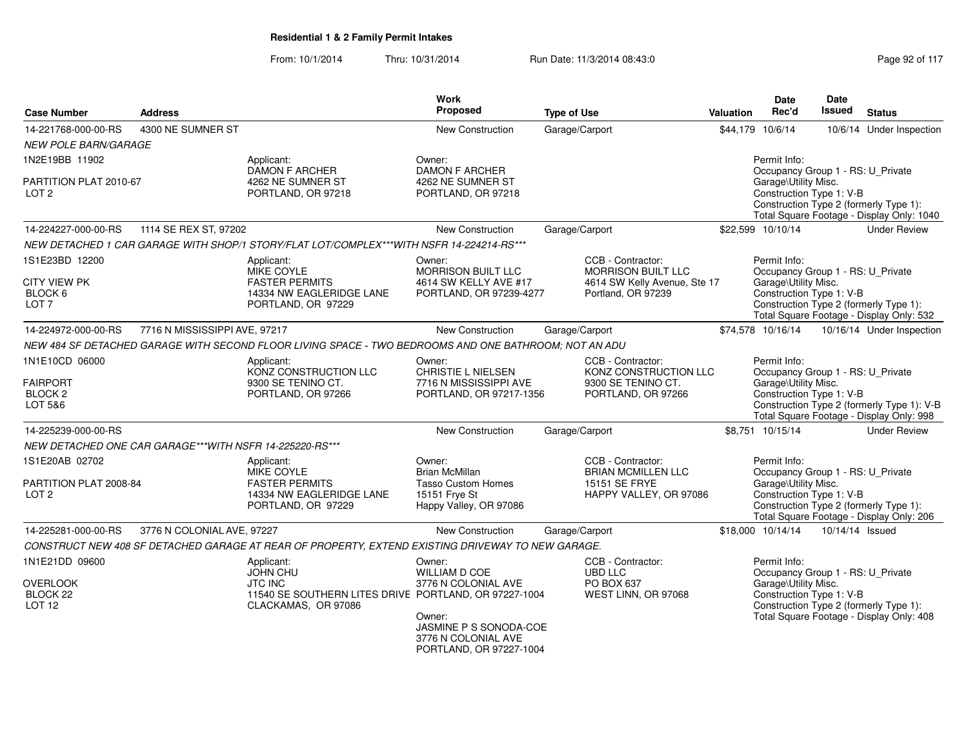| <b>Case Number</b>                                 | <b>Address</b>                                          |                                                                                                       | <b>Work</b><br>Proposed                                                  | <b>Type of Use</b>                                               | Valuation | Date<br>Rec'd                                                             | <b>Date</b><br><b>Issued</b> | <b>Status</b>                                                                          |
|----------------------------------------------------|---------------------------------------------------------|-------------------------------------------------------------------------------------------------------|--------------------------------------------------------------------------|------------------------------------------------------------------|-----------|---------------------------------------------------------------------------|------------------------------|----------------------------------------------------------------------------------------|
| 14-221768-000-00-RS                                | 4300 NE SUMNER ST                                       |                                                                                                       | <b>New Construction</b>                                                  | Garage/Carport                                                   |           | \$44.179 10/6/14                                                          |                              | 10/6/14 Under Inspection                                                               |
| <b>NEW POLE BARN/GARAGE</b>                        |                                                         |                                                                                                       |                                                                          |                                                                  |           |                                                                           |                              |                                                                                        |
| 1N2E19BB 11902                                     |                                                         | Applicant:<br><b>DAMON F ARCHER</b>                                                                   | Owner:<br><b>DAMON F ARCHER</b>                                          |                                                                  |           | Permit Info:<br>Occupancy Group 1 - RS: U_Private                         |                              |                                                                                        |
| PARTITION PLAT 2010-67<br>LOT <sub>2</sub>         |                                                         | 4262 NE SUMNER ST<br>PORTLAND, OR 97218                                                               | 4262 NE SUMNER ST<br>PORTLAND, OR 97218                                  |                                                                  |           | Garage\Utility Misc.<br>Construction Type 1: V-B                          |                              | Construction Type 2 (formerly Type 1):<br>Total Square Footage - Display Only: 1040    |
| 14-224227-000-00-RS                                | 1114 SE REX ST, 97202                                   |                                                                                                       | New Construction                                                         | Garage/Carport                                                   |           | \$22.599 10/10/14                                                         |                              | <b>Under Review</b>                                                                    |
|                                                    |                                                         | NEW DETACHED 1 CAR GARAGE WITH SHOP/1 STORY/FLAT LOT/COMPLEX***WITH NSFR 14-224214-RS***              |                                                                          |                                                                  |           |                                                                           |                              |                                                                                        |
| 1S1E23BD 12200                                     |                                                         | Applicant:<br><b>MIKE COYLE</b>                                                                       | Owner:<br>MORRISON BUILT LLC                                             | CCB - Contractor:<br><b>MORRISON BUILT LLC</b>                   |           | Permit Info:<br>Occupancy Group 1 - RS: U_Private                         |                              |                                                                                        |
| <b>CITY VIEW PK</b><br>BLOCK 6<br>LOT <sub>7</sub> |                                                         | <b>FASTER PERMITS</b><br>14334 NW EAGLERIDGE LANE<br>PORTLAND, OR 97229                               | 4614 SW KELLY AVE #17<br>PORTLAND, OR 97239-4277                         | 4614 SW Kelly Avenue, Ste 17<br>Portland, OR 97239               |           | Garage\Utility Misc.<br>Construction Type 1: V-B                          |                              | Construction Type 2 (formerly Type 1):<br>Total Square Footage - Display Only: 532     |
| 14-224972-000-00-RS                                | 7716 N MISSISSIPPI AVE, 97217                           |                                                                                                       | New Construction                                                         | Garage/Carport                                                   |           | \$74,578 10/16/14                                                         |                              | 10/16/14 Under Inspection                                                              |
|                                                    |                                                         | NEW 484 SF DETACHED GARAGE WITH SECOND FLOOR LIVING SPACE - TWO BEDROOMS AND ONE BATHROOM; NOT AN ADU |                                                                          |                                                                  |           |                                                                           |                              |                                                                                        |
| 1N1E10CD 06000<br><b>FAIRPORT</b>                  |                                                         | Applicant:<br>KONZ CONSTRUCTION LLC<br>9300 SE TENINO CT.                                             | Owner:<br><b>CHRISTIE L NIELSEN</b><br>7716 N MISSISSIPPI AVE            | CCB - Contractor:<br>KONZ CONSTRUCTION LLC<br>9300 SE TENINO CT. |           | Permit Info:<br>Occupancy Group 1 - RS: U_Private<br>Garage\Utility Misc. |                              |                                                                                        |
| BLOCK <sub>2</sub><br>LOT 5&6                      |                                                         | PORTLAND, OR 97266                                                                                    | PORTLAND, OR 97217-1356                                                  | PORTLAND, OR 97266                                               |           | Construction Type 1: V-B                                                  |                              | Construction Type 2 (formerly Type 1): V-B<br>Total Square Footage - Display Only: 998 |
| 14-225239-000-00-RS                                |                                                         |                                                                                                       | <b>New Construction</b>                                                  | Garage/Carport                                                   |           | \$8.751 10/15/14                                                          |                              | <b>Under Review</b>                                                                    |
|                                                    | NEW DETACHED ONE CAR GARAGE***WITH NSFR 14-225220-RS*** |                                                                                                       |                                                                          |                                                                  |           |                                                                           |                              |                                                                                        |
| 1S1E20AB 02702                                     |                                                         | Applicant:<br>MIKE COYLE                                                                              | Owner:<br><b>Brian McMillan</b>                                          | CCB - Contractor:<br><b>BRIAN MCMILLEN LLC</b>                   |           | Permit Info:<br>Occupancy Group 1 - RS: U_Private                         |                              |                                                                                        |
| PARTITION PLAT 2008-84<br>LOT <sub>2</sub>         |                                                         | <b>FASTER PERMITS</b><br>14334 NW EAGLERIDGE LANE<br>PORTLAND, OR 97229                               | <b>Tasso Custom Homes</b><br>15151 Frye St<br>Happy Valley, OR 97086     | 15151 SE FRYE<br>HAPPY VALLEY, OR 97086                          |           | Garage\Utility Misc.<br>Construction Type 1: V-B                          |                              | Construction Type 2 (formerly Type 1):<br>Total Square Footage - Display Only: 206     |
| 14-225281-000-00-RS                                | 3776 N COLONIAL AVE, 97227                              |                                                                                                       | New Construction                                                         | Garage/Carport                                                   |           | \$18,000 10/14/14                                                         | 10/14/14 Issued              |                                                                                        |
|                                                    |                                                         | CONSTRUCT NEW 408 SF DETACHED GARAGE AT REAR OF PROPERTY, EXTEND EXISTING DRIVEWAY TO NEW GARAGE.     |                                                                          |                                                                  |           |                                                                           |                              |                                                                                        |
| 1N1E21DD 09600                                     |                                                         | Applicant:<br><b>JOHN CHU</b>                                                                         | Owner:<br><b>WILLIAM D COE</b>                                           | CCB - Contractor:<br><b>UBD LLC</b>                              |           | Permit Info:<br>Occupancy Group 1 - RS: U_Private                         |                              |                                                                                        |
| <b>OVERLOOK</b><br>BLOCK 22<br>LOT <sub>12</sub>   |                                                         | <b>JTC INC</b><br>11540 SE SOUTHERN LITES DRIVE PORTLAND, OR 97227-1004<br>CLACKAMAS, OR 97086        | 3776 N COLONIAL AVE<br>Owner:                                            | PO BOX 637<br>WEST LINN, OR 97068                                |           | Garage\Utility Misc.<br>Construction Type 1: V-B                          |                              | Construction Type 2 (formerly Type 1):<br>Total Square Footage - Display Only: 408     |
|                                                    |                                                         |                                                                                                       | JASMINE P S SONODA-COE<br>3776 N COLONIAL AVE<br>PORTLAND, OR 97227-1004 |                                                                  |           |                                                                           |                              |                                                                                        |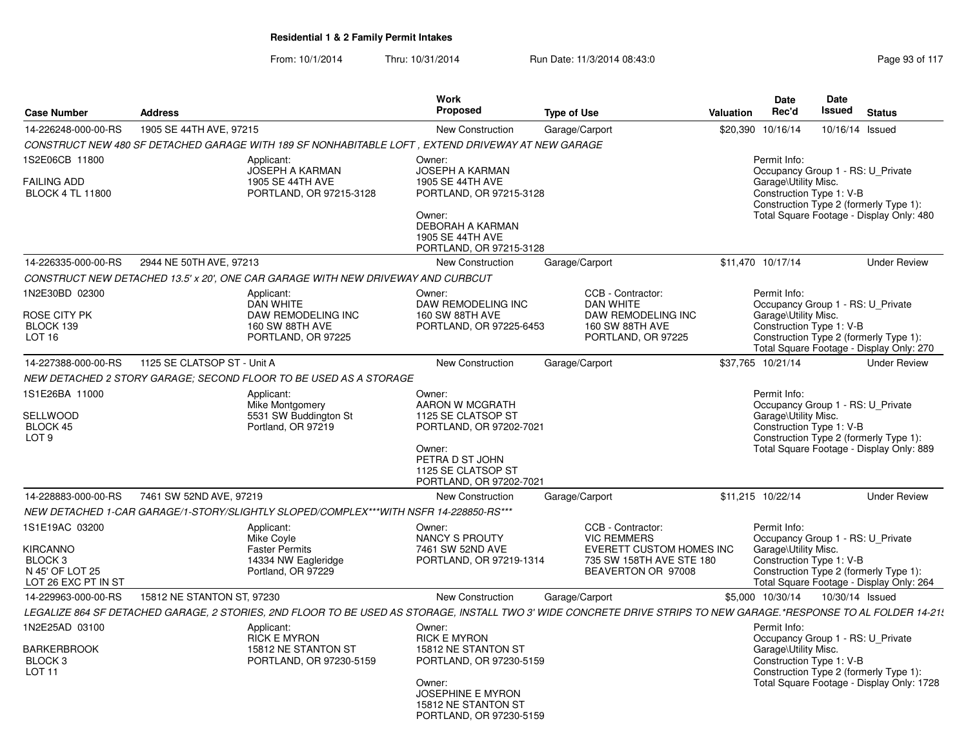| <b>Case Number</b>                                                                                | <b>Address</b>              |                                                                                                    | <b>Work</b><br>Proposed                                                                                                                                                 | <b>Type of Use</b>                                                                                                                                                | <b>Valuation</b> | Date<br>Rec'd                                                                                         | <b>Date</b><br>Issued | <b>Status</b>                                                                       |
|---------------------------------------------------------------------------------------------------|-----------------------------|----------------------------------------------------------------------------------------------------|-------------------------------------------------------------------------------------------------------------------------------------------------------------------------|-------------------------------------------------------------------------------------------------------------------------------------------------------------------|------------------|-------------------------------------------------------------------------------------------------------|-----------------------|-------------------------------------------------------------------------------------|
| 14-226248-000-00-RS                                                                               | 1905 SE 44TH AVE, 97215     |                                                                                                    | New Construction                                                                                                                                                        | Garage/Carport                                                                                                                                                    |                  | \$20,390 10/16/14                                                                                     | 10/16/14 Issued       |                                                                                     |
|                                                                                                   |                             | CONSTRUCT NEW 480 SF DETACHED GARAGE WITH 189 SF NONHABITABLE LOFT , EXTEND DRIVEWAY AT NEW GARAGE |                                                                                                                                                                         |                                                                                                                                                                   |                  |                                                                                                       |                       |                                                                                     |
| 1S2E06CB 11800<br><b>FAILING ADD</b><br><b>BLOCK 4 TL 11800</b>                                   |                             | Applicant:<br><b>JOSEPH A KARMAN</b><br>1905 SE 44TH AVE<br>PORTLAND, OR 97215-3128                | Owner:<br><b>JOSEPH A KARMAN</b><br>1905 SE 44TH AVE<br>PORTLAND, OR 97215-3128<br>Owner:<br>DEBORAH A KARMAN<br>1905 SE 44TH AVE<br>PORTLAND, OR 97215-3128            |                                                                                                                                                                   |                  | Permit Info:<br>Occupancy Group 1 - RS: U Private<br>Garage\Utility Misc.<br>Construction Type 1: V-B |                       | Construction Type 2 (formerly Type 1):<br>Total Square Footage - Display Only: 480  |
| 14-226335-000-00-RS                                                                               | 2944 NE 50TH AVE, 97213     |                                                                                                    | <b>New Construction</b>                                                                                                                                                 | Garage/Carport                                                                                                                                                    |                  | \$11,470 10/17/14                                                                                     |                       | <b>Under Review</b>                                                                 |
|                                                                                                   |                             | CONSTRUCT NEW DETACHED 13.5' x 20', ONE CAR GARAGE WITH NEW DRIVEWAY AND CURBCUT                   |                                                                                                                                                                         |                                                                                                                                                                   |                  |                                                                                                       |                       |                                                                                     |
| 1N2E30BD 02300<br>ROSE CITY PK<br>BLOCK 139<br>LOT <sub>16</sub>                                  |                             | Applicant:<br><b>DAN WHITE</b><br>DAW REMODELING INC<br>160 SW 88TH AVE<br>PORTLAND, OR 97225      | Owner:<br>DAW REMODELING INC<br>160 SW 88TH AVE<br>PORTLAND, OR 97225-6453                                                                                              | CCB - Contractor:<br><b>DAN WHITE</b><br>DAW REMODELING INC<br>160 SW 88TH AVE<br>PORTLAND, OR 97225                                                              |                  | Permit Info:<br>Occupancy Group 1 - RS: U Private<br>Garage\Utility Misc.<br>Construction Type 1: V-B |                       | Construction Type 2 (formerly Type 1):<br>Total Square Footage - Display Only: 270  |
| 14-227388-000-00-RS                                                                               | 1125 SE CLATSOP ST - Unit A |                                                                                                    | New Construction                                                                                                                                                        | Garage/Carport                                                                                                                                                    |                  | \$37,765 10/21/14                                                                                     |                       | <b>Under Review</b>                                                                 |
|                                                                                                   |                             | NEW DETACHED 2 STORY GARAGE: SECOND FLOOR TO BE USED AS A STORAGE                                  |                                                                                                                                                                         |                                                                                                                                                                   |                  |                                                                                                       |                       |                                                                                     |
| 1S1E26BA 11000<br>SELLWOOD<br>BLOCK 45<br>LOT <sub>9</sub>                                        |                             | Applicant:<br>Mike Montgomery<br>5531 SW Buddington St<br>Portland, OR 97219                       | Owner:<br>AARON W MCGRATH<br>1125 SE CLATSOP ST<br>PORTLAND, OR 97202-7021<br>Owner:<br>PETRA D ST JOHN<br>1125 SE CLATSOP ST<br>PORTLAND, OR 97202-7021                |                                                                                                                                                                   |                  | Permit Info:<br>Occupancy Group 1 - RS: U_Private<br>Garage\Utility Misc.<br>Construction Type 1: V-B |                       | Construction Type 2 (formerly Type 1):<br>Total Square Footage - Display Only: 889  |
| 14-228883-000-00-RS                                                                               | 7461 SW 52ND AVE, 97219     |                                                                                                    | <b>New Construction</b>                                                                                                                                                 | Garage/Carport                                                                                                                                                    |                  | \$11,215 10/22/14                                                                                     |                       | <b>Under Review</b>                                                                 |
|                                                                                                   |                             | NEW DETACHED 1-CAR GARAGE/1-STORY/SLIGHTLY SLOPED/COMPLEX***WITH NSFR 14-228850-RS***              |                                                                                                                                                                         |                                                                                                                                                                   |                  |                                                                                                       |                       |                                                                                     |
| 1S1E19AC 03200<br><b>KIRCANNO</b><br>BLOCK <sub>3</sub><br>N 45' OF LOT 25<br>LOT 26 EXC PT IN ST |                             | Applicant:<br>Mike Covle<br><b>Faster Permits</b><br>14334 NW Eagleridge<br>Portland, OR 97229     | Owner:<br><b>NANCY S PROUTY</b><br>7461 SW 52ND AVE<br>PORTLAND, OR 97219-1314                                                                                          | CCB - Contractor:<br><b>VIC REMMERS</b><br>EVERETT CUSTOM HOMES INC<br>735 SW 158TH AVE STE 180<br>BEAVERTON OR 97008                                             |                  | Permit Info:<br>Occupancy Group 1 - RS: U Private<br>Garage\Utility Misc.<br>Construction Type 1: V-B |                       | Construction Type 2 (formerly Type 1):<br>Total Square Footage - Display Only: 264  |
| 14-229963-000-00-RS                                                                               | 15812 NE STANTON ST, 97230  |                                                                                                    | New Construction                                                                                                                                                        | Garage/Carport                                                                                                                                                    |                  | \$5,000 10/30/14                                                                                      | 10/30/14 Issued       |                                                                                     |
|                                                                                                   |                             |                                                                                                    |                                                                                                                                                                         | LEGALIZE 864 SF DETACHED GARAGE, 2 STORIES, 2ND FLOOR TO BE USED AS STORAGE, INSTALL TWO 3' WIDE CONCRETE DRIVE STRIPS TO NEW GARAGE.*RESPONSE TO AL FOLDER 14-21 |                  |                                                                                                       |                       |                                                                                     |
| 1N2E25AD 03100<br><b>BARKERBROOK</b><br>BLOCK <sub>3</sub><br>LOT <sub>11</sub>                   |                             | Applicant:<br><b>RICK E MYRON</b><br>15812 NE STANTON ST<br>PORTLAND, OR 97230-5159                | Owner:<br><b>RICK E MYRON</b><br>15812 NE STANTON ST<br>PORTLAND, OR 97230-5159<br>Owner:<br><b>JOSEPHINE E MYRON</b><br>15812 NE STANTON ST<br>PORTLAND, OR 97230-5159 |                                                                                                                                                                   |                  | Permit Info:<br>Occupancy Group 1 - RS: U_Private<br>Garage\Utility Misc.<br>Construction Type 1: V-B |                       | Construction Type 2 (formerly Type 1):<br>Total Square Footage - Display Only: 1728 |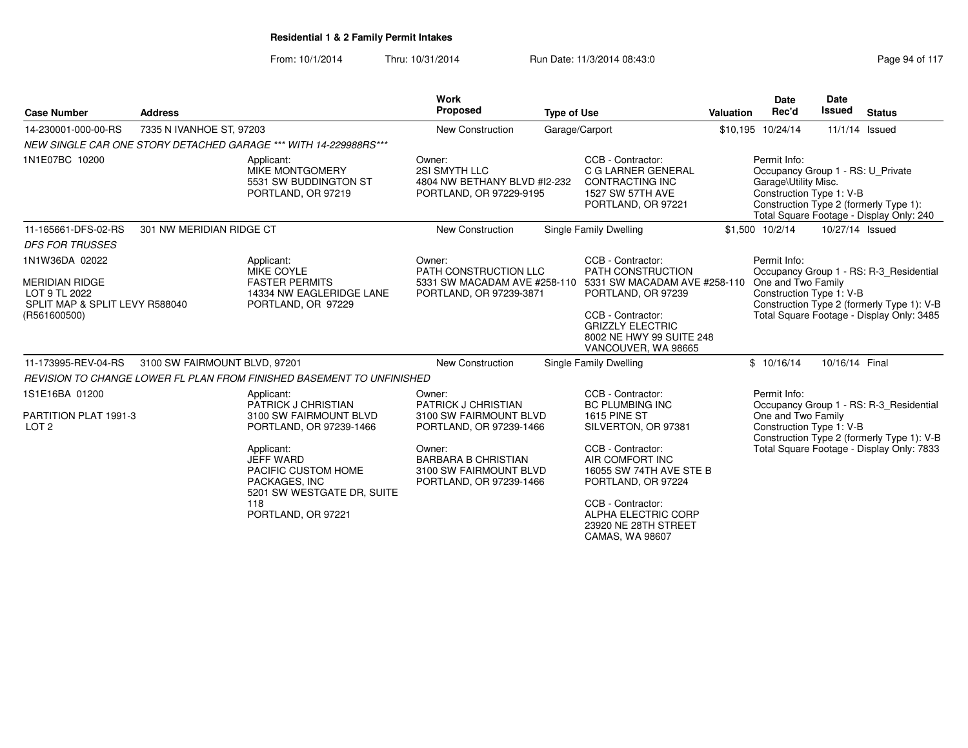| <b>Case Number</b>                                                       | <b>Address</b>                |                                                                                                      | Work<br><b>Proposed</b>                                                                   | <b>Type of Use</b> |                                                                                                             | <b>Valuation</b> | <b>Date</b><br>Rec'd                                                                                  | <b>Date</b><br><b>Issued</b> | <b>Status</b>                                                                         |
|--------------------------------------------------------------------------|-------------------------------|------------------------------------------------------------------------------------------------------|-------------------------------------------------------------------------------------------|--------------------|-------------------------------------------------------------------------------------------------------------|------------------|-------------------------------------------------------------------------------------------------------|------------------------------|---------------------------------------------------------------------------------------|
| 14-230001-000-00-RS                                                      | 7335 N IVANHOE ST, 97203      |                                                                                                      | <b>New Construction</b>                                                                   |                    | Garage/Carport                                                                                              |                  | \$10,195 10/24/14                                                                                     |                              | 11/1/14 Issued                                                                        |
|                                                                          |                               | NEW SINGLE CAR ONE STORY DETACHED GARAGE *** WITH 14-229988RS ***                                    |                                                                                           |                    |                                                                                                             |                  |                                                                                                       |                              |                                                                                       |
| 1N1E07BC 10200                                                           |                               | Applicant:<br>MIKE MONTGOMERY<br>5531 SW BUDDINGTON ST<br>PORTLAND, OR 97219                         | Owner:<br>2SI SMYTH LLC<br>4804 NW BETHANY BLVD #12-232<br>PORTLAND, OR 97229-9195        |                    | CCB - Contractor:<br>C G LARNER GENERAL<br><b>CONTRACTING INC</b><br>1527 SW 57TH AVE<br>PORTLAND, OR 97221 |                  | Permit Info:<br>Occupancy Group 1 - RS: U Private<br>Garage\Utility Misc.<br>Construction Type 1: V-B |                              | Construction Type 2 (formerly Type 1):<br>Total Square Footage - Display Only: 240    |
| 11-165661-DFS-02-RS                                                      | 301 NW MERIDIAN RIDGE CT      |                                                                                                      | New Construction                                                                          |                    | Single Family Dwelling                                                                                      |                  | \$1,500 10/2/14                                                                                       | 10/27/14 Issued              |                                                                                       |
| <b>DFS FOR TRUSSES</b>                                                   |                               |                                                                                                      |                                                                                           |                    |                                                                                                             |                  |                                                                                                       |                              |                                                                                       |
| 1N1W36DA 02022                                                           |                               | Applicant:<br><b>MIKE COYLE</b>                                                                      | Owner:<br>PATH CONSTRUCTION LLC                                                           |                    | CCB - Contractor:<br>PATH CONSTRUCTION                                                                      |                  | Permit Info:                                                                                          |                              | Occupancy Group 1 - RS: R-3 Residential                                               |
| <b>MERIDIAN RIDGE</b><br>LOT 9 TL 2022<br>SPLIT MAP & SPLIT LEVY R588040 |                               | <b>FASTER PERMITS</b><br>14334 NW EAGLERIDGE LANE<br>PORTLAND, OR 97229                              | PORTLAND, OR 97239-3871                                                                   |                    | 5331 SW MACADAM AVE #258-110 5331 SW MACADAM AVE #258-110<br>PORTLAND, OR 97239                             |                  | One and Two Family<br>Construction Type 1: V-B                                                        |                              | Construction Type 2 (formerly Type 1): V-B                                            |
| (R561600500)                                                             |                               |                                                                                                      |                                                                                           |                    | CCB - Contractor:<br><b>GRIZZLY ELECTRIC</b><br>8002 NE HWY 99 SUITE 248<br>VANCOUVER, WA 98665             |                  |                                                                                                       |                              | Total Square Footage - Display Only: 3485                                             |
| 11-173995-REV-04-RS                                                      | 3100 SW FAIRMOUNT BLVD, 97201 |                                                                                                      | <b>New Construction</b>                                                                   |                    | Single Family Dwelling                                                                                      |                  | \$10/16/14                                                                                            | 10/16/14 Final               |                                                                                       |
|                                                                          |                               | REVISION TO CHANGE LOWER FL PLAN FROM FINISHED BASEMENT TO UNFINISHED                                |                                                                                           |                    |                                                                                                             |                  |                                                                                                       |                              |                                                                                       |
| 1S1E16BA 01200                                                           |                               | Applicant:                                                                                           | Owner:                                                                                    |                    | CCB - Contractor:                                                                                           |                  | Permit Info:                                                                                          |                              |                                                                                       |
| PARTITION PLAT 1991-3<br>LOT <sub>2</sub>                                |                               | PATRICK J CHRISTIAN<br>3100 SW FAIRMOUNT BLVD<br>PORTLAND, OR 97239-1466                             | <b>PATRICK J CHRISTIAN</b><br>3100 SW FAIRMOUNT BLVD<br>PORTLAND, OR 97239-1466           |                    | <b>BC PLUMBING INC</b><br><b>1615 PINE ST</b><br>SILVERTON, OR 97381                                        |                  | One and Two Family<br>Construction Type 1: V-B                                                        |                              | Occupancy Group 1 - RS: R-3 Residential<br>Construction Type 2 (formerly Type 1): V-B |
|                                                                          |                               | Applicant:<br><b>JEFF WARD</b><br>PACIFIC CUSTOM HOME<br>PACKAGES, INC<br>5201 SW WESTGATE DR, SUITE | Owner:<br><b>BARBARA B CHRISTIAN</b><br>3100 SW FAIRMOUNT BLVD<br>PORTLAND, OR 97239-1466 |                    | CCB - Contractor:<br>AIR COMFORT INC<br>16055 SW 74TH AVE STE B<br>PORTLAND, OR 97224                       |                  |                                                                                                       |                              | Total Square Footage - Display Only: 7833                                             |
|                                                                          |                               | 118<br>PORTLAND, OR 97221                                                                            |                                                                                           |                    | CCB - Contractor:<br>ALPHA ELECTRIC CORP<br>23920 NE 28TH STREET<br>CAMAS, WA 98607                         |                  |                                                                                                       |                              |                                                                                       |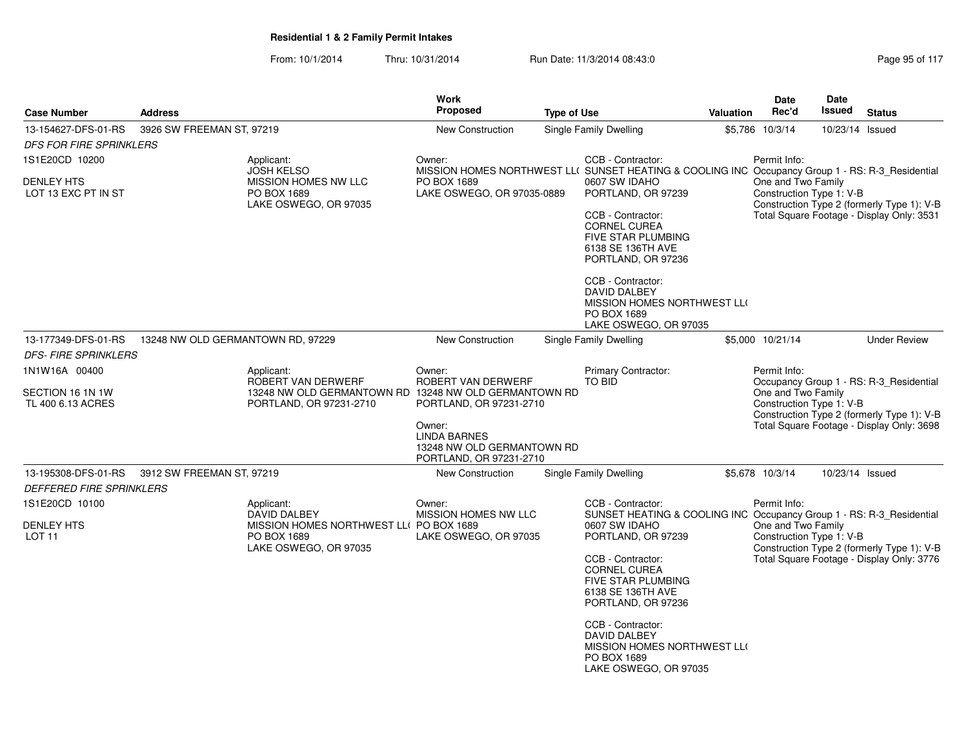|                                          |                                   |                                                                     | <b>Work</b>                                                                                                |                    |                                                                                                                  |                  | <b>Date</b>                                    | <b>Date</b>     |                                                                                         |
|------------------------------------------|-----------------------------------|---------------------------------------------------------------------|------------------------------------------------------------------------------------------------------------|--------------------|------------------------------------------------------------------------------------------------------------------|------------------|------------------------------------------------|-----------------|-----------------------------------------------------------------------------------------|
| <b>Case Number</b>                       | <b>Address</b>                    |                                                                     | Proposed                                                                                                   | <b>Type of Use</b> |                                                                                                                  | <b>Valuation</b> | Rec'd                                          | Issued          | <b>Status</b>                                                                           |
| 13-154627-DFS-01-RS                      | 3926 SW FREEMAN ST, 97219         |                                                                     | New Construction                                                                                           |                    | Single Family Dwelling                                                                                           |                  | \$5,786 10/3/14                                | 10/23/14 Issued |                                                                                         |
| <b>DFS FOR FIRE SPRINKLERS</b>           |                                   |                                                                     |                                                                                                            |                    |                                                                                                                  |                  |                                                |                 |                                                                                         |
| 1S1E20CD 10200                           |                                   | Applicant:<br><b>JOSH KELSO</b>                                     | Owner:<br>MISSION HOMES NORTHWEST LL( SUNSET HEATING & COOLING INC Occupancy Group 1 - RS: R-3_Residential |                    | CCB - Contractor:                                                                                                |                  | Permit Info:                                   |                 |                                                                                         |
| <b>DENLEY HTS</b><br>LOT 13 EXC PT IN ST |                                   | MISSION HOMES NW LLC<br>PO BOX 1689<br>LAKE OSWEGO, OR 97035        | PO BOX 1689<br>LAKE OSWEGO, OR 97035-0889                                                                  |                    | 0607 SW IDAHO<br>PORTLAND, OR 97239                                                                              |                  | One and Two Family<br>Construction Type 1: V-B |                 | Construction Type 2 (formerly Type 1): V-B                                              |
|                                          |                                   |                                                                     |                                                                                                            |                    | CCB - Contractor:<br><b>CORNEL CUREA</b><br><b>FIVE STAR PLUMBING</b><br>6138 SE 136TH AVE<br>PORTLAND, OR 97236 |                  |                                                |                 | Total Square Footage - Display Only: 3531                                               |
|                                          |                                   |                                                                     |                                                                                                            |                    | CCB - Contractor:<br>DAVID DALBEY<br>MISSION HOMES NORTHWEST LLO<br>PO BOX 1689<br>LAKE OSWEGO, OR 97035         |                  |                                                |                 |                                                                                         |
| 13-177349-DFS-01-RS                      | 13248 NW OLD GERMANTOWN RD, 97229 |                                                                     | New Construction                                                                                           |                    | Single Family Dwelling                                                                                           |                  | \$5,000 10/21/14                               |                 | <b>Under Review</b>                                                                     |
| <b>DFS- FIRE SPRINKLERS</b>              |                                   |                                                                     |                                                                                                            |                    |                                                                                                                  |                  |                                                |                 |                                                                                         |
| 1N1W16A 00400                            |                                   | Applicant:<br>ROBERT VAN DERWERF                                    | Owner:<br>ROBERT VAN DERWERF                                                                               |                    | Primary Contractor:<br><b>TO BID</b>                                                                             |                  | Permit Info:                                   |                 | Occupancy Group 1 - RS: R-3_Residential                                                 |
| SECTION 16 1N 1W<br>TL 400 6.13 ACRES    |                                   | 13248 NW OLD GERMANTOWN RD<br>PORTLAND, OR 97231-2710               | 13248 NW OLD GERMANTOWN RD<br>PORTLAND, OR 97231-2710                                                      |                    |                                                                                                                  |                  | One and Two Family<br>Construction Type 1: V-B |                 |                                                                                         |
|                                          |                                   |                                                                     | Owner:<br><b>LINDA BARNES</b><br>13248 NW OLD GERMANTOWN RD<br>PORTLAND, OR 97231-2710                     |                    |                                                                                                                  |                  |                                                |                 | Construction Type 2 (formerly Type 1): V-B<br>Total Square Footage - Display Only: 3698 |
| 13-195308-DFS-01-RS                      | 3912 SW FREEMAN ST, 97219         |                                                                     | New Construction                                                                                           |                    | Single Family Dwelling                                                                                           |                  | \$5,678 10/3/14                                | 10/23/14 Issued |                                                                                         |
| <b>DEFFERED FIRE SPRINKLERS</b>          |                                   |                                                                     |                                                                                                            |                    |                                                                                                                  |                  |                                                |                 |                                                                                         |
| 1S1E20CD 10100                           |                                   | Applicant:<br><b>DAVID DALBEY</b>                                   | Owner:<br>MISSION HOMES NW LLC                                                                             |                    | CCB - Contractor:<br>SUNSET HEATING & COOLING INC Occupancy Group 1 - RS: R-3_Residential                        |                  | Permit Info:                                   |                 |                                                                                         |
| <b>DENLEY HTS</b><br>LOT <sub>11</sub>   |                                   | MISSION HOMES NORTHWEST LLO<br>PO BOX 1689<br>LAKE OSWEGO, OR 97035 | PO BOX 1689<br>LAKE OSWEGO, OR 97035                                                                       |                    | 0607 SW IDAHO<br>PORTLAND, OR 97239                                                                              |                  | One and Two Family<br>Construction Type 1: V-B |                 | Construction Type 2 (formerly Type 1): V-B                                              |
|                                          |                                   |                                                                     |                                                                                                            |                    | CCB - Contractor:<br><b>CORNEL CUREA</b><br><b>FIVE STAR PLUMBING</b><br>6138 SE 136TH AVE<br>PORTLAND, OR 97236 |                  |                                                |                 | Total Square Footage - Display Only: 3776                                               |
|                                          |                                   |                                                                     |                                                                                                            |                    | CCB - Contractor:<br><b>DAVID DALBEY</b><br>MISSION HOMES NORTHWEST LLO<br>PO BOX 1689<br>LAKE OSWEGO, OR 97035  |                  |                                                |                 |                                                                                         |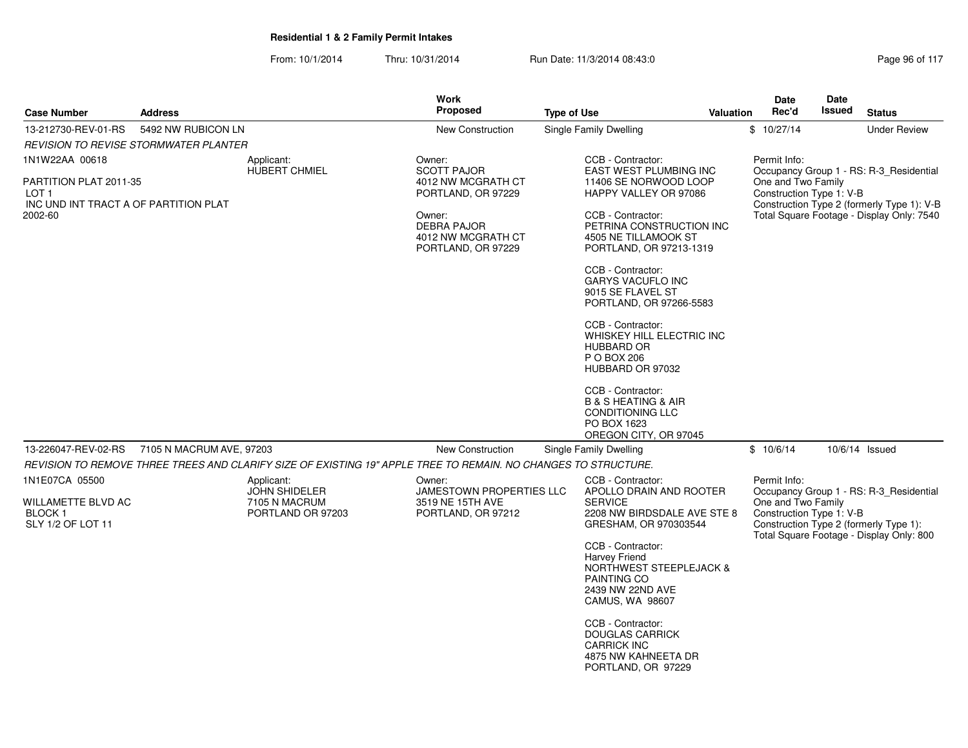| Page 96 of 117 |  |
|----------------|--|
|----------------|--|

|                                                                                                       |                          |                                                                                                                              | <b>Work</b>                                                                                                                                          |                                                                                                                                                                                                                                                                                                                                                                                                                                                                                                                   |                  | Date                                                           | Date          |                                                                                                                                    |
|-------------------------------------------------------------------------------------------------------|--------------------------|------------------------------------------------------------------------------------------------------------------------------|------------------------------------------------------------------------------------------------------------------------------------------------------|-------------------------------------------------------------------------------------------------------------------------------------------------------------------------------------------------------------------------------------------------------------------------------------------------------------------------------------------------------------------------------------------------------------------------------------------------------------------------------------------------------------------|------------------|----------------------------------------------------------------|---------------|------------------------------------------------------------------------------------------------------------------------------------|
| <b>Case Number</b>                                                                                    | <b>Address</b>           |                                                                                                                              | <b>Proposed</b>                                                                                                                                      | <b>Type of Use</b>                                                                                                                                                                                                                                                                                                                                                                                                                                                                                                | <b>Valuation</b> | Rec'd                                                          | <b>Issued</b> | <b>Status</b>                                                                                                                      |
| 13-212730-REV-01-RS                                                                                   | 5492 NW RUBICON LN       |                                                                                                                              | New Construction                                                                                                                                     | Single Family Dwelling                                                                                                                                                                                                                                                                                                                                                                                                                                                                                            |                  | \$10/27/14                                                     |               | <b>Under Review</b>                                                                                                                |
| <b>REVISION TO REVISE STORMWATER PLANTER</b>                                                          |                          |                                                                                                                              |                                                                                                                                                      |                                                                                                                                                                                                                                                                                                                                                                                                                                                                                                                   |                  |                                                                |               |                                                                                                                                    |
| 1N1W22AA 00618<br>PARTITION PLAT 2011-35<br>LOT 1<br>INC UND INT TRACT A OF PARTITION PLAT<br>2002-60 |                          | Applicant:<br><b>HUBERT CHMIEL</b>                                                                                           | Owner:<br><b>SCOTT PAJOR</b><br>4012 NW MCGRATH CT<br>PORTLAND, OR 97229<br>Owner:<br><b>DEBRA PAJOR</b><br>4012 NW MCGRATH CT<br>PORTLAND, OR 97229 | CCB - Contractor:<br>EAST WEST PLUMBING INC<br>11406 SE NORWOOD LOOP<br>HAPPY VALLEY OR 97086<br>CCB - Contractor:<br>PETRINA CONSTRUCTION INC<br>4505 NE TILLAMOOK ST<br>PORTLAND, OR 97213-1319<br>CCB - Contractor:<br><b>GARYS VACUFLO INC</b><br>9015 SE FLAVEL ST<br>PORTLAND, OR 97266-5583<br>CCB - Contractor:<br>WHISKEY HILL ELECTRIC INC<br><b>HUBBARD OR</b><br>P O BOX 206<br>HUBBARD OR 97032<br>CCB - Contractor:<br><b>B &amp; S HEATING &amp; AIR</b><br><b>CONDITIONING LLC</b><br>PO BOX 1623 |                  | Permit Info:<br>One and Two Family<br>Construction Type 1: V-B |               | Occupancy Group 1 - RS: R-3 Residential<br>Construction Type 2 (formerly Type 1): V-B<br>Total Square Footage - Display Only: 7540 |
|                                                                                                       |                          |                                                                                                                              |                                                                                                                                                      |                                                                                                                                                                                                                                                                                                                                                                                                                                                                                                                   |                  |                                                                |               |                                                                                                                                    |
|                                                                                                       |                          |                                                                                                                              |                                                                                                                                                      |                                                                                                                                                                                                                                                                                                                                                                                                                                                                                                                   |                  |                                                                |               |                                                                                                                                    |
|                                                                                                       |                          |                                                                                                                              |                                                                                                                                                      |                                                                                                                                                                                                                                                                                                                                                                                                                                                                                                                   |                  |                                                                |               |                                                                                                                                    |
| WILLAMETTE BLVD AC<br><b>BLOCK1</b><br>SLY 1/2 OF LOT 11                                              |                          | <b>JOHN SHIDELER</b><br>7105 N MACRUM<br>PORTLAND OR 97203                                                                   | JAMESTOWN PROPERTIES LLC<br>3519 NE 15TH AVE<br>PORTLAND, OR 97212                                                                                   | APOLLO DRAIN AND ROOTER<br><b>SERVICE</b><br>2208 NW BIRDSDALE AVE STE 8<br>GRESHAM, OR 970303544<br>CCB - Contractor:<br><b>Harvey Friend</b><br><b>NORTHWEST STEEPLEJACK &amp;</b><br>PAINTING CO<br>2439 NW 22ND AVE<br>CAMUS, WA 98607<br>CCB - Contractor:<br><b>DOUGLAS CARRICK</b><br><b>CARRICK INC</b><br>4875 NW KAHNEETA DR<br>PORTLAND, OR 97229                                                                                                                                                      |                  | One and Two Family<br>Construction Type 1: V-B                 |               | Occupancy Group 1 - RS: R-3_Residential<br>Construction Type 2 (formerly Type 1):<br>Total Square Footage - Display Only: 800      |
| 13-226047-REV-02-RS<br>1N1E07CA 05500                                                                 | 7105 N MACRUM AVE, 97203 | REVISION TO REMOVE THREE TREES AND CLARIFY SIZE OF EXISTING 19" APPLE TREE TO REMAIN. NO CHANGES TO STRUCTURE.<br>Applicant: | New Construction<br>Owner:                                                                                                                           | OREGON CITY, OR 97045<br>Single Family Dwelling<br>CCB - Contractor:                                                                                                                                                                                                                                                                                                                                                                                                                                              |                  | \$10/6/14<br>Permit Info:                                      |               | 10/6/14 Issued                                                                                                                     |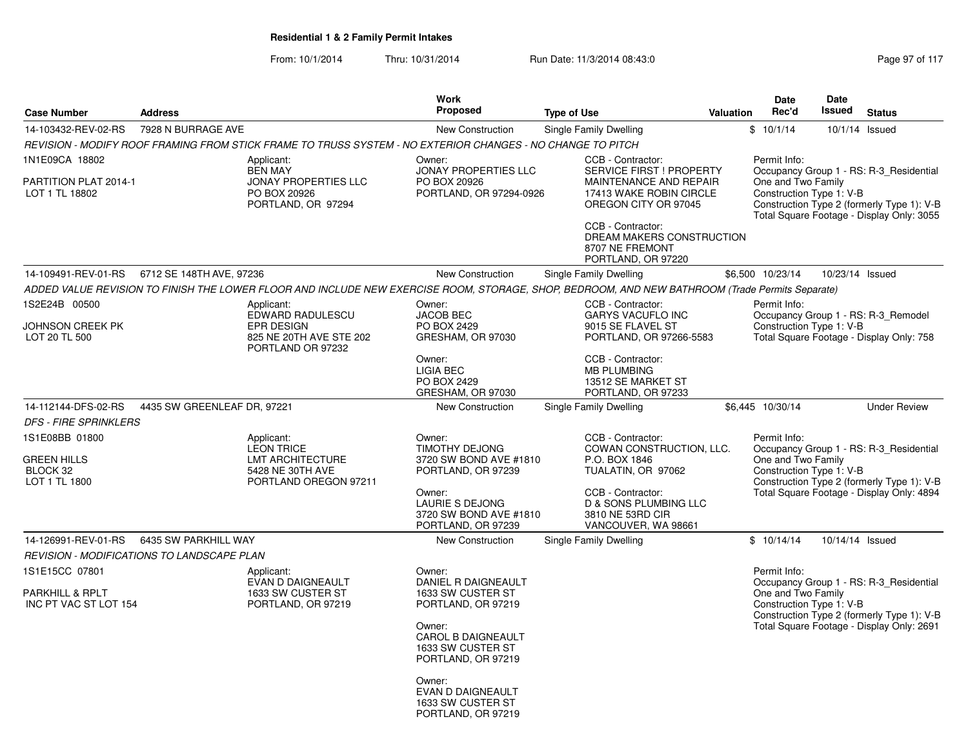| <b>Case Number</b>                                                | <b>Address</b>              |                                                                                                            | <b>Work</b><br><b>Proposed</b>                                                                                                                |                                                                                                                                                                   | <b>Valuation</b> | <b>Date</b><br>Rec'd                                           | <b>Date</b><br><b>Issued</b> | <b>Status</b>                                                                                                                      |
|-------------------------------------------------------------------|-----------------------------|------------------------------------------------------------------------------------------------------------|-----------------------------------------------------------------------------------------------------------------------------------------------|-------------------------------------------------------------------------------------------------------------------------------------------------------------------|------------------|----------------------------------------------------------------|------------------------------|------------------------------------------------------------------------------------------------------------------------------------|
|                                                                   |                             |                                                                                                            |                                                                                                                                               | <b>Type of Use</b>                                                                                                                                                |                  |                                                                |                              |                                                                                                                                    |
| 14-103432-REV-02-RS                                               | 7928 N BURRAGE AVE          |                                                                                                            | <b>New Construction</b>                                                                                                                       | Single Family Dwelling                                                                                                                                            |                  | \$10/1/14                                                      |                              | 10/1/14 Issued                                                                                                                     |
|                                                                   |                             | REVISION - MODIFY ROOF FRAMING FROM STICK FRAME TO TRUSS SYSTEM - NO EXTERIOR CHANGES - NO CHANGE TO PITCH |                                                                                                                                               |                                                                                                                                                                   |                  |                                                                |                              |                                                                                                                                    |
| 1N1E09CA 18802<br>PARTITION PLAT 2014-1<br>LOT 1 TL 18802         |                             | Applicant:<br><b>BEN MAY</b><br><b>JONAY PROPERTIES LLC</b><br>PO BOX 20926<br>PORTLAND, OR 97294          | Owner:<br><b>JONAY PROPERTIES LLC</b><br>PO BOX 20926<br>PORTLAND, OR 97294-0926                                                              | CCB - Contractor:<br><b>SERVICE FIRST ! PROPERTY</b><br>MAINTENANCE AND REPAIR<br>17413 WAKE ROBIN CIRCLE<br>OREGON CITY OR 97045<br>CCB - Contractor:            |                  | Permit Info:<br>One and Two Family<br>Construction Type 1: V-B |                              | Occupancy Group 1 - RS: R-3 Residential<br>Construction Type 2 (formerly Type 1): V-B<br>Total Square Footage - Display Only: 3055 |
|                                                                   |                             |                                                                                                            |                                                                                                                                               | DREAM MAKERS CONSTRUCTION<br>8707 NE FREMONT<br>PORTLAND, OR 97220                                                                                                |                  |                                                                |                              |                                                                                                                                    |
| 14-109491-REV-01-RS   6712 SE 148TH AVE, 97236                    |                             |                                                                                                            | New Construction                                                                                                                              | Single Family Dwelling                                                                                                                                            |                  | \$6,500 10/23/14                                               | 10/23/14 Issued              |                                                                                                                                    |
|                                                                   |                             |                                                                                                            |                                                                                                                                               | ADDED VALUE REVISION TO FINISH THE LOWER FLOOR AND INCLUDE NEW EXERCISE ROOM, STORAGE, SHOP, BEDROOM, AND NEW BATHROOM (Trade Permits Separate)                   |                  |                                                                |                              |                                                                                                                                    |
| 1S2E24B 00500<br>JOHNSON CREEK PK<br>LOT 20 TL 500                |                             | Applicant:<br>EDWARD RADULESCU<br>EPR DESIGN<br>825 NE 20TH AVE STE 202                                    | Owner:<br><b>JACOB BEC</b><br>PO BOX 2429<br>GRESHAM, OR 97030                                                                                | CCB - Contractor:<br><b>GARYS VACUFLO INC</b><br>9015 SE FLAVEL ST<br>PORTLAND, OR 97266-5583                                                                     |                  | Permit Info:<br>Construction Type 1: V-B                       |                              | Occupancy Group 1 - RS: R-3_Remodel<br>Total Square Footage - Display Only: 758                                                    |
|                                                                   |                             | PORTLAND OR 97232                                                                                          | Owner:<br><b>LIGIA BEC</b><br>PO BOX 2429<br>GRESHAM, OR 97030                                                                                | CCB - Contractor:<br><b>MB PLUMBING</b><br>13512 SE MARKET ST<br>PORTLAND, OR 97233                                                                               |                  |                                                                |                              |                                                                                                                                    |
| 14-112144-DFS-02-RS                                               | 4435 SW GREENLEAF DR, 97221 |                                                                                                            | <b>New Construction</b>                                                                                                                       | Single Family Dwelling                                                                                                                                            |                  | \$6,445 10/30/14                                               |                              | <b>Under Review</b>                                                                                                                |
| <b>DFS - FIRE SPRINKLERS</b>                                      |                             |                                                                                                            |                                                                                                                                               |                                                                                                                                                                   |                  |                                                                |                              |                                                                                                                                    |
| 1S1E08BB 01800<br><b>GREEN HILLS</b><br>BLOCK 32<br>LOT 1 TL 1800 |                             | Applicant:<br><b>LEON TRICE</b><br>LMT ARCHITECTURE<br>5428 NE 30TH AVE<br>PORTLAND OREGON 97211           | Owner:<br><b>TIMOTHY DEJONG</b><br>3720 SW BOND AVE #1810<br>PORTLAND, OR 97239<br>Owner:<br><b>LAURIE S DEJONG</b><br>3720 SW BOND AVE #1810 | CCB - Contractor:<br>COWAN CONSTRUCTION, LLC.<br>P.O. BOX 1846<br>TUALATIN, OR 97062<br>CCB - Contractor:<br><b>D &amp; SONS PLUMBING LLC</b><br>3810 NE 53RD CIR |                  | Permit Info:<br>One and Two Family<br>Construction Type 1: V-B |                              | Occupancy Group 1 - RS: R-3_Residential<br>Construction Type 2 (formerly Type 1): V-B<br>Total Square Footage - Display Only: 4894 |
|                                                                   |                             |                                                                                                            | PORTLAND, OR 97239                                                                                                                            | VANCOUVER, WA 98661                                                                                                                                               |                  |                                                                |                              |                                                                                                                                    |
| 14-126991-REV-01-RS                                               | 6435 SW PARKHILL WAY        |                                                                                                            | New Construction                                                                                                                              | Single Family Dwelling                                                                                                                                            |                  | \$10/14/14                                                     | 10/14/14 Issued              |                                                                                                                                    |
| REVISION - MODIFICATIONS TO LANDSCAPE PLAN                        |                             |                                                                                                            |                                                                                                                                               |                                                                                                                                                                   |                  |                                                                |                              |                                                                                                                                    |
| 1S1E15CC 07801                                                    |                             | Applicant:<br><b>EVAN D DAIGNEAULT</b>                                                                     | Owner:<br><b>DANIEL R DAIGNEAULT</b>                                                                                                          |                                                                                                                                                                   |                  | Permit Info:                                                   |                              | Occupancy Group 1 - RS: R-3_Residential                                                                                            |
| PARKHILL & RPLT<br>INC PT VAC ST LOT 154                          |                             | 1633 SW CUSTER ST<br>PORTLAND, OR 97219                                                                    | 1633 SW CUSTER ST<br>PORTLAND, OR 97219                                                                                                       |                                                                                                                                                                   |                  | One and Two Family<br>Construction Type 1: V-B                 |                              | Construction Type 2 (formerly Type 1): V-B                                                                                         |
|                                                                   |                             |                                                                                                            | Owner:<br><b>CAROL B DAIGNEAULT</b><br>1633 SW CUSTER ST<br>PORTLAND, OR 97219                                                                |                                                                                                                                                                   |                  |                                                                |                              | Total Square Footage - Display Only: 2691                                                                                          |
|                                                                   |                             |                                                                                                            | Owner:<br>EVAN D DAIGNEAULT<br>1633 SW CUSTER ST<br>PORTLAND, OR 97219                                                                        |                                                                                                                                                                   |                  |                                                                |                              |                                                                                                                                    |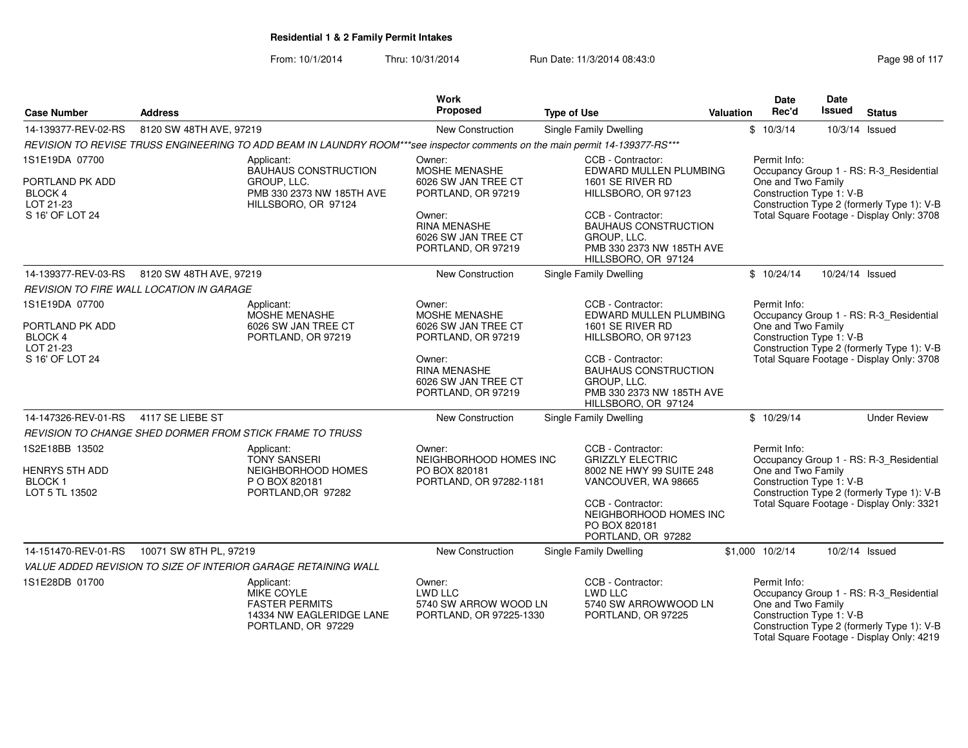| <b>Case Number</b>                                                              | <b>Address</b>                                  |                                                                                                                              | Work<br>Proposed                                                             | <b>Type of Use</b>                                                                                                   | <b>Valuation</b> | <b>Date</b><br>Rec'd                                           | Date<br>Issued  | <b>Status</b>                                                                                                                      |
|---------------------------------------------------------------------------------|-------------------------------------------------|------------------------------------------------------------------------------------------------------------------------------|------------------------------------------------------------------------------|----------------------------------------------------------------------------------------------------------------------|------------------|----------------------------------------------------------------|-----------------|------------------------------------------------------------------------------------------------------------------------------------|
| 14-139377-REV-02-RS                                                             | 8120 SW 48TH AVE, 97219                         |                                                                                                                              | New Construction                                                             | Single Family Dwelling                                                                                               |                  | \$10/3/14                                                      |                 | 10/3/14 Issued                                                                                                                     |
|                                                                                 |                                                 | REVISION TO REVISE TRUSS ENGINEERING TO ADD BEAM IN LAUNDRY ROOM***see inspector comments on the main permit 14-139377-RS*** |                                                                              |                                                                                                                      |                  |                                                                |                 |                                                                                                                                    |
| 1S1E19DA 07700                                                                  |                                                 | Applicant:<br><b>BAUHAUS CONSTRUCTION</b>                                                                                    | Owner:<br>MOSHE MENASHE                                                      | CCB - Contractor:<br>EDWARD MULLEN PLUMBING                                                                          |                  | Permit Info:                                                   |                 | Occupancy Group 1 - RS: R-3_Residential                                                                                            |
| PORTLAND PK ADD<br><b>BLOCK 4</b><br>LOT 21-23                                  |                                                 | GROUP, LLC.<br>PMB 330 2373 NW 185TH AVE<br>HILLSBORO, OR 97124                                                              | 6026 SW JAN TREE CT<br>PORTLAND, OR 97219                                    | 1601 SE RIVER RD<br>HILLSBORO, OR 97123                                                                              |                  | One and Two Family<br>Construction Type 1: V-B                 |                 | Construction Type 2 (formerly Type 1): V-B                                                                                         |
| S 16' OF LOT 24                                                                 |                                                 |                                                                                                                              | Owner:<br><b>RINA MENASHE</b><br>6026 SW JAN TREE CT<br>PORTLAND, OR 97219   | CCB - Contractor:<br><b>BAUHAUS CONSTRUCTION</b><br>GROUP, LLC.<br>PMB 330 2373 NW 185TH AVE<br>HILLSBORO, OR 97124  |                  |                                                                |                 | Total Square Footage - Display Only: 3708                                                                                          |
| 14-139377-REV-03-RS                                                             | 8120 SW 48TH AVE, 97219                         |                                                                                                                              | New Construction                                                             | Single Family Dwelling                                                                                               |                  | \$10/24/14                                                     | 10/24/14 Issued |                                                                                                                                    |
|                                                                                 | <b>REVISION TO FIRE WALL LOCATION IN GARAGE</b> |                                                                                                                              |                                                                              |                                                                                                                      |                  |                                                                |                 |                                                                                                                                    |
| 1S1E19DA 07700<br>PORTLAND PK ADD                                               |                                                 | Applicant:<br>MOSHE MENASHE<br>6026 SW JAN TREE CT                                                                           | Owner:<br><b>MOSHE MENASHE</b><br>6026 SW JAN TREE CT                        | CCB - Contractor:<br>EDWARD MULLEN PLUMBING<br>1601 SE RIVER RD                                                      |                  | Permit Info:<br>One and Two Family                             |                 | Occupancy Group 1 - RS: R-3_Residential                                                                                            |
| BLOCK 4<br>LOT 21-23                                                            |                                                 | PORTLAND, OR 97219                                                                                                           | PORTLAND, OR 97219                                                           | HILLSBORO, OR 97123                                                                                                  |                  | Construction Type 1: V-B                                       |                 | Construction Type 2 (formerly Type 1): V-B                                                                                         |
| S 16' OF LOT 24                                                                 |                                                 |                                                                                                                              | Owner:<br><b>RINA MENASHE</b><br>6026 SW JAN TREE CT<br>PORTLAND, OR 97219   | CCB - Contractor:<br><b>BAUHAUS CONSTRUCTION</b><br>GROUP, LLC.<br>PMB 330 2373 NW 185TH AVE<br>HILLSBORO, OR 97124  |                  |                                                                |                 | Total Square Footage - Display Only: 3708                                                                                          |
| 14-147326-REV-01-RS                                                             | 4117 SE LIEBE ST                                |                                                                                                                              | New Construction                                                             | Single Family Dwelling                                                                                               |                  | \$10/29/14                                                     |                 | <b>Under Review</b>                                                                                                                |
|                                                                                 |                                                 | REVISION TO CHANGE SHED DORMER FROM STICK FRAME TO TRUSS                                                                     |                                                                              |                                                                                                                      |                  |                                                                |                 |                                                                                                                                    |
| 1S2E18BB 13502<br><b>HENRYS 5TH ADD</b><br>BLOCK <sub>1</sub><br>LOT 5 TL 13502 |                                                 | Applicant:<br><b>TONY SANSERI</b><br>NEIGHBORHOOD HOMES<br>P O BOX 820181<br>PORTLAND, OR 97282                              | Owner:<br>NEIGHBORHOOD HOMES INC<br>PO BOX 820181<br>PORTLAND, OR 97282-1181 | CCB - Contractor:<br><b>GRIZZLY ELECTRIC</b><br>8002 NE HWY 99 SUITE 248<br>VANCOUVER, WA 98665<br>CCB - Contractor: |                  | Permit Info:<br>One and Two Family<br>Construction Type 1: V-B |                 | Occupancy Group 1 - RS: R-3_Residential<br>Construction Type 2 (formerly Type 1): V-B<br>Total Square Footage - Display Only: 3321 |
|                                                                                 |                                                 |                                                                                                                              |                                                                              | NEIGHBORHOOD HOMES INC<br>PO BOX 820181<br>PORTLAND, OR 97282                                                        |                  |                                                                |                 |                                                                                                                                    |
| 14-151470-REV-01-RS                                                             | 10071 SW 8TH PL, 97219                          |                                                                                                                              | <b>New Construction</b>                                                      | Single Family Dwelling                                                                                               |                  | \$1,000 10/2/14                                                |                 | 10/2/14 Issued                                                                                                                     |
|                                                                                 |                                                 | VALUE ADDED REVISION TO SIZE OF INTERIOR GARAGE RETAINING WALL                                                               |                                                                              |                                                                                                                      |                  |                                                                |                 |                                                                                                                                    |
| 1S1E28DB 01700                                                                  |                                                 | Applicant:<br><b>MIKE COYLE</b><br><b>FASTER PERMITS</b><br>14334 NW EAGLERIDGE LANE<br>PORTLAND, OR 97229                   | Owner:<br>LWD LLC<br>5740 SW ARROW WOOD LN<br>PORTLAND, OR 97225-1330        | CCB - Contractor:<br>LWD LLC<br>5740 SW ARROWWOOD LN<br>PORTLAND, OR 97225                                           |                  | Permit Info:<br>One and Two Family<br>Construction Type 1: V-B |                 | Occupancy Group 1 - RS: R-3_Residential<br>Construction Type 2 (formerly Type 1): V-B<br>Total Square Footage - Display Only: 4219 |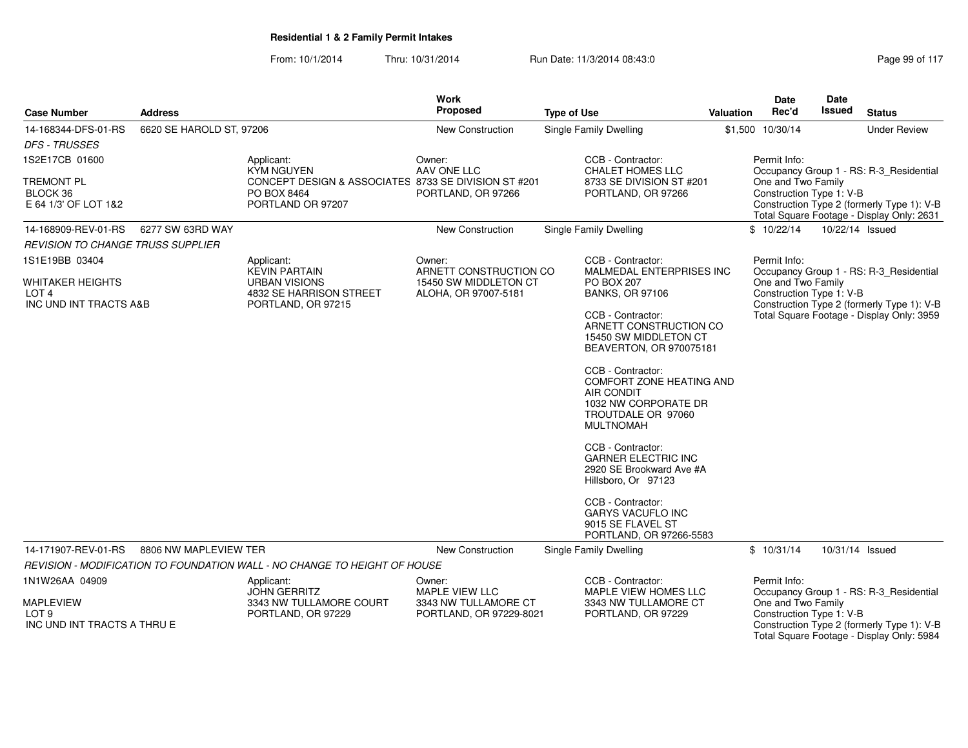| <b>Case Number</b>                                                  | <b>Address</b>           |                                                                                          | <b>Work</b><br>Proposed                                   | <b>Type of Use</b>                                                                                                                          | <b>Valuation</b> | Date<br>Rec'd                                  | <b>Date</b><br>Issued | <b>Status</b>                                                                           |
|---------------------------------------------------------------------|--------------------------|------------------------------------------------------------------------------------------|-----------------------------------------------------------|---------------------------------------------------------------------------------------------------------------------------------------------|------------------|------------------------------------------------|-----------------------|-----------------------------------------------------------------------------------------|
| 14-168344-DFS-01-RS                                                 | 6620 SE HAROLD ST, 97206 |                                                                                          | New Construction                                          | <b>Single Family Dwelling</b>                                                                                                               |                  | \$1,500 10/30/14                               |                       | <b>Under Review</b>                                                                     |
| <b>DFS - TRUSSES</b>                                                |                          |                                                                                          |                                                           |                                                                                                                                             |                  |                                                |                       |                                                                                         |
| 1S2E17CB 01600                                                      |                          | Applicant:<br><b>KYM NGUYEN</b>                                                          | Owner:<br>AAV ONE LLC                                     | CCB - Contractor:<br>CHALET HOMES LLC                                                                                                       |                  | Permit Info:                                   |                       | Occupancy Group 1 - RS: R-3_Residential                                                 |
| <b>TREMONT PL</b><br>BLOCK 36<br>E 64 1/3' OF LOT 1&2               |                          | CONCEPT DESIGN & ASSOCIATES 8733 SE DIVISION ST #201<br>PO BOX 8464<br>PORTLAND OR 97207 | PORTLAND, OR 97266                                        | 8733 SE DIVISION ST #201<br>PORTLAND, OR 97266                                                                                              |                  | One and Two Family<br>Construction Type 1: V-B |                       | Construction Type 2 (formerly Type 1): V-B<br>Total Square Footage - Display Only: 2631 |
| 14-168909-REV-01-RS                                                 | 6277 SW 63RD WAY         |                                                                                          | New Construction                                          | <b>Single Family Dwelling</b>                                                                                                               |                  | \$10/22/14                                     | 10/22/14 Issued       |                                                                                         |
| <b>REVISION TO CHANGE TRUSS SUPPLIER</b>                            |                          |                                                                                          |                                                           |                                                                                                                                             |                  |                                                |                       |                                                                                         |
| 1S1E19BB 03404<br><b>WHITAKER HEIGHTS</b>                           |                          | Applicant:<br><b>KEVIN PARTAIN</b><br><b>URBAN VISIONS</b>                               | Owner:<br>ARNETT CONSTRUCTION CO<br>15450 SW MIDDLETON CT | CCB - Contractor:<br><b>MALMEDAL ENTERPRISES INC</b><br><b>PO BOX 207</b>                                                                   |                  | Permit Info:<br>One and Two Family             |                       | Occupancy Group 1 - RS: R-3_Residential                                                 |
| LOT <sub>4</sub><br>INC UND INT TRACTS A&B                          |                          | 4832 SE HARRISON STREET<br>PORTLAND, OR 97215                                            | ALOHA, OR 97007-5181                                      | <b>BANKS, OR 97106</b>                                                                                                                      |                  | Construction Type 1: V-B                       |                       | Construction Type 2 (formerly Type 1): V-B                                              |
|                                                                     |                          |                                                                                          |                                                           | CCB - Contractor:<br>ARNETT CONSTRUCTION CO<br>15450 SW MIDDLETON CT<br>BEAVERTON, OR 970075181                                             |                  |                                                |                       | Total Square Footage - Display Only: 3959                                               |
|                                                                     |                          |                                                                                          |                                                           | CCB - Contractor:<br><b>COMFORT ZONE HEATING AND</b><br><b>AIR CONDIT</b><br>1032 NW CORPORATE DR<br>TROUTDALE OR 97060<br><b>MULTNOMAH</b> |                  |                                                |                       |                                                                                         |
|                                                                     |                          |                                                                                          |                                                           | CCB - Contractor:<br><b>GARNER ELECTRIC INC</b><br>2920 SE Brookward Ave #A<br>Hillsboro, Or 97123                                          |                  |                                                |                       |                                                                                         |
|                                                                     |                          |                                                                                          |                                                           | CCB - Contractor:<br><b>GARYS VACUFLO INC</b><br>9015 SE FLAVEL ST<br>PORTLAND, OR 97266-5583                                               |                  |                                                |                       |                                                                                         |
| 14-171907-REV-01-RS                                                 | 8806 NW MAPLEVIEW TER    |                                                                                          | New Construction                                          | Single Family Dwelling                                                                                                                      |                  | \$10/31/14                                     | 10/31/14 Issued       |                                                                                         |
|                                                                     |                          | REVISION - MODIFICATION TO FOUNDATION WALL - NO CHANGE TO HEIGHT OF HOUSE                |                                                           |                                                                                                                                             |                  |                                                |                       |                                                                                         |
| 1N1W26AA 04909                                                      |                          | Applicant:<br><b>JOHN GERRITZ</b>                                                        | Owner:<br>MAPLE VIEW LLC                                  | CCB - Contractor:<br>MAPLE VIEW HOMES LLC                                                                                                   |                  | Permit Info:                                   |                       | Occupancy Group 1 - RS: R-3_Residential                                                 |
| <b>MAPLEVIEW</b><br>LOT <sub>9</sub><br>INC UND INT TRACTS A THRU E |                          | 3343 NW TULLAMORE COURT<br>PORTLAND, OR 97229                                            | 3343 NW TULLAMORE CT<br>PORTLAND, OR 97229-8021           | 3343 NW TULLAMORE CT<br>PORTLAND, OR 97229                                                                                                  |                  | One and Two Family<br>Construction Type 1: V-B |                       | Construction Type 2 (formerly Type 1): V-B<br>Total Square Footage - Display Only: 5984 |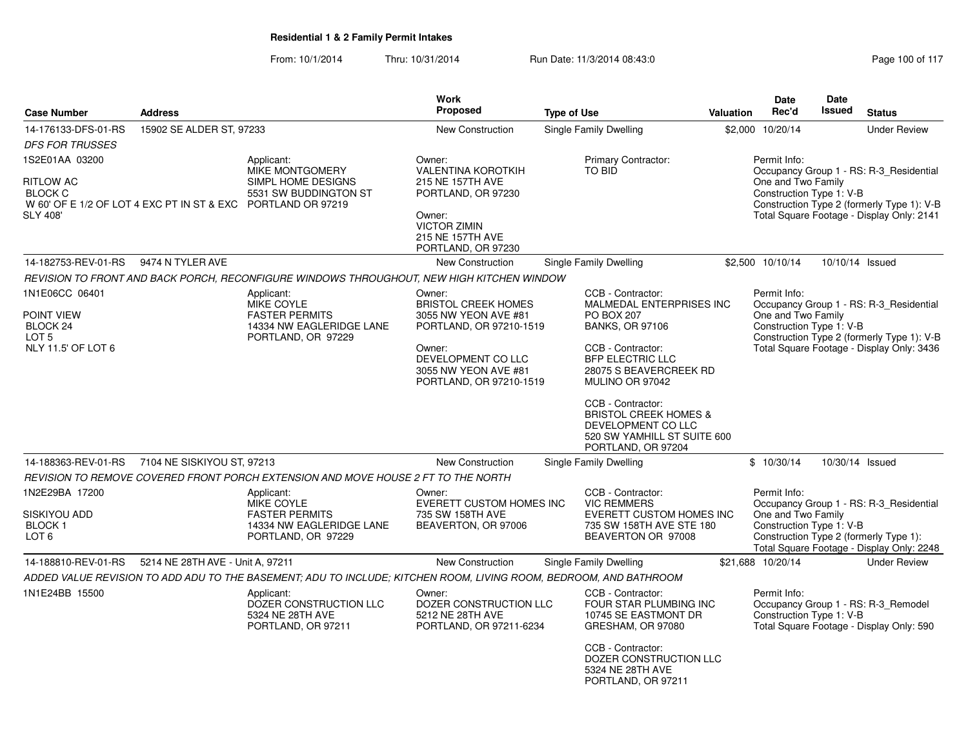| <b>Case Number</b>                                                                                                               | <b>Address</b>                   |                                                                                                                   | Work<br><b>Proposed</b>                                                                                                                                                    | <b>Type of Use</b>                                                                                                                                                                                                                                                                                                            | <b>Valuation</b> | <b>Date</b><br>Rec'd                                           | Date<br><b>Issued</b> | <b>Status</b>                                                                                                                      |
|----------------------------------------------------------------------------------------------------------------------------------|----------------------------------|-------------------------------------------------------------------------------------------------------------------|----------------------------------------------------------------------------------------------------------------------------------------------------------------------------|-------------------------------------------------------------------------------------------------------------------------------------------------------------------------------------------------------------------------------------------------------------------------------------------------------------------------------|------------------|----------------------------------------------------------------|-----------------------|------------------------------------------------------------------------------------------------------------------------------------|
| 14-176133-DFS-01-RS<br><b>DFS FOR TRUSSES</b>                                                                                    | 15902 SE ALDER ST, 97233         |                                                                                                                   | New Construction                                                                                                                                                           | Single Family Dwelling                                                                                                                                                                                                                                                                                                        |                  | \$2,000 10/20/14                                               |                       | <b>Under Review</b>                                                                                                                |
| 1S2E01AA 03200<br>RITLOW AC<br><b>BLOCK C</b><br>W 60' OF E 1/2 OF LOT 4 EXC PT IN ST & EXC PORTLAND OR 97219<br><b>SLY 408'</b> |                                  | Applicant:<br>MIKE MONTGOMERY<br>SIMPL HOME DESIGNS<br>5531 SW BUDDINGTON ST                                      | Owner:<br><b>VALENTINA KOROTKIH</b><br>215 NE 157TH AVE<br>PORTLAND, OR 97230<br>Owner:<br><b>VICTOR ZIMIN</b><br>215 NE 157TH AVE<br>PORTLAND, OR 97230                   | Primary Contractor:<br>TO BID                                                                                                                                                                                                                                                                                                 |                  | Permit Info:<br>One and Two Family<br>Construction Type 1: V-B |                       | Occupancy Group 1 - RS: R-3_Residential<br>Construction Type 2 (formerly Type 1): V-B<br>Total Square Footage - Display Only: 2141 |
| 14-182753-REV-01-RS                                                                                                              | 9474 N TYLER AVE                 |                                                                                                                   | <b>New Construction</b>                                                                                                                                                    | Single Family Dwelling                                                                                                                                                                                                                                                                                                        |                  | \$2,500 10/10/14                                               |                       | 10/10/14 Issued                                                                                                                    |
|                                                                                                                                  |                                  | REVISION TO FRONT AND BACK PORCH, RECONFIGURE WINDOWS THROUGHOUT, NEW HIGH KITCHEN WINDOW                         |                                                                                                                                                                            |                                                                                                                                                                                                                                                                                                                               |                  |                                                                |                       |                                                                                                                                    |
| 1N1E06CC 06401<br>POINT VIEW<br>BLOCK 24<br>LOT <sub>5</sub><br>NLY 11.5' OF LOT 6                                               |                                  | Applicant:<br><b>MIKE COYLE</b><br><b>FASTER PERMITS</b><br>14334 NW EAGLERIDGE LANE<br>PORTLAND, OR 97229        | Owner:<br><b>BRISTOL CREEK HOMES</b><br>3055 NW YEON AVE #81<br>PORTLAND, OR 97210-1519<br>Owner:<br>DEVELOPMENT CO LLC<br>3055 NW YEON AVE #81<br>PORTLAND, OR 97210-1519 | CCB - Contractor:<br>MALMEDAL ENTERPRISES INC<br><b>PO BOX 207</b><br><b>BANKS, OR 97106</b><br>CCB - Contractor:<br><b>BFP ELECTRIC LLC</b><br>28075 S BEAVERCREEK RD<br>MULINO OR 97042<br>CCB - Contractor:<br><b>BRISTOL CREEK HOMES &amp;</b><br>DEVELOPMENT CO LLC<br>520 SW YAMHILL ST SUITE 600<br>PORTLAND, OR 97204 |                  | Permit Info:<br>One and Two Family<br>Construction Type 1: V-B |                       | Occupancy Group 1 - RS: R-3_Residential<br>Construction Type 2 (formerly Type 1): V-B<br>Total Square Footage - Display Only: 3436 |
| 14-188363-REV-01-RS                                                                                                              | 7104 NE SISKIYOU ST, 97213       |                                                                                                                   | <b>New Construction</b>                                                                                                                                                    | Single Family Dwelling                                                                                                                                                                                                                                                                                                        |                  | \$10/30/14                                                     |                       | 10/30/14 Issued                                                                                                                    |
|                                                                                                                                  |                                  | REVISION TO REMOVE COVERED FRONT PORCH EXTENSION AND MOVE HOUSE 2 FT TO THE NORTH                                 |                                                                                                                                                                            |                                                                                                                                                                                                                                                                                                                               |                  |                                                                |                       |                                                                                                                                    |
| 1N2E29BA 17200<br>SISKIYOU ADD<br><b>BLOCK1</b><br>LOT 6                                                                         |                                  | Applicant:<br>MIKE COYLE<br><b>FASTER PERMITS</b><br>14334 NW EAGLERIDGE LANE<br>PORTLAND, OR 97229               | Owner:<br>EVERETT CUSTOM HOMES INC<br>735 SW 158TH AVE<br>BEAVERTON, OR 97006                                                                                              | CCB - Contractor:<br><b>VIC REMMERS</b><br><b>EVERETT CUSTOM HOMES INC</b><br>735 SW 158TH AVE STE 180<br>BEAVERTON OR 97008                                                                                                                                                                                                  |                  | Permit Info:<br>One and Two Family<br>Construction Type 1: V-B |                       | Occupancy Group 1 - RS: R-3_Residential<br>Construction Type 2 (formerly Type 1):<br>Total Square Footage - Display Only: 2248     |
| 14-188810-REV-01-RS                                                                                                              | 5214 NE 28TH AVE - Unit A, 97211 |                                                                                                                   | New Construction                                                                                                                                                           | Single Family Dwelling                                                                                                                                                                                                                                                                                                        |                  | \$21,688 10/20/14                                              |                       | <b>Under Review</b>                                                                                                                |
|                                                                                                                                  |                                  | ADDED VALUE REVISION TO ADD ADU TO THE BASEMENT; ADU TO INCLUDE; KITCHEN ROOM, LIVING ROOM, BEDROOM, AND BATHROOM |                                                                                                                                                                            |                                                                                                                                                                                                                                                                                                                               |                  |                                                                |                       |                                                                                                                                    |
| 1N1E24BB 15500                                                                                                                   |                                  | Applicant:<br>DOZER CONSTRUCTION LLC<br>5324 NE 28TH AVE<br>PORTLAND, OR 97211                                    | Owner:<br>DOZER CONSTRUCTION LLC<br>5212 NE 28TH AVE<br>PORTLAND, OR 97211-6234                                                                                            | CCB - Contractor:<br>FOUR STAR PLUMBING INC<br>10745 SE EASTMONT DR<br>GRESHAM, OR 97080<br>CCB - Contractor:<br>DOZER CONSTRUCTION LLC<br>5324 NE 28TH AVE<br>PORTLAND, OR 97211                                                                                                                                             |                  | Permit Info:<br>Construction Type 1: V-B                       |                       | Occupancy Group 1 - RS: R-3_Remodel<br>Total Square Footage - Display Only: 590                                                    |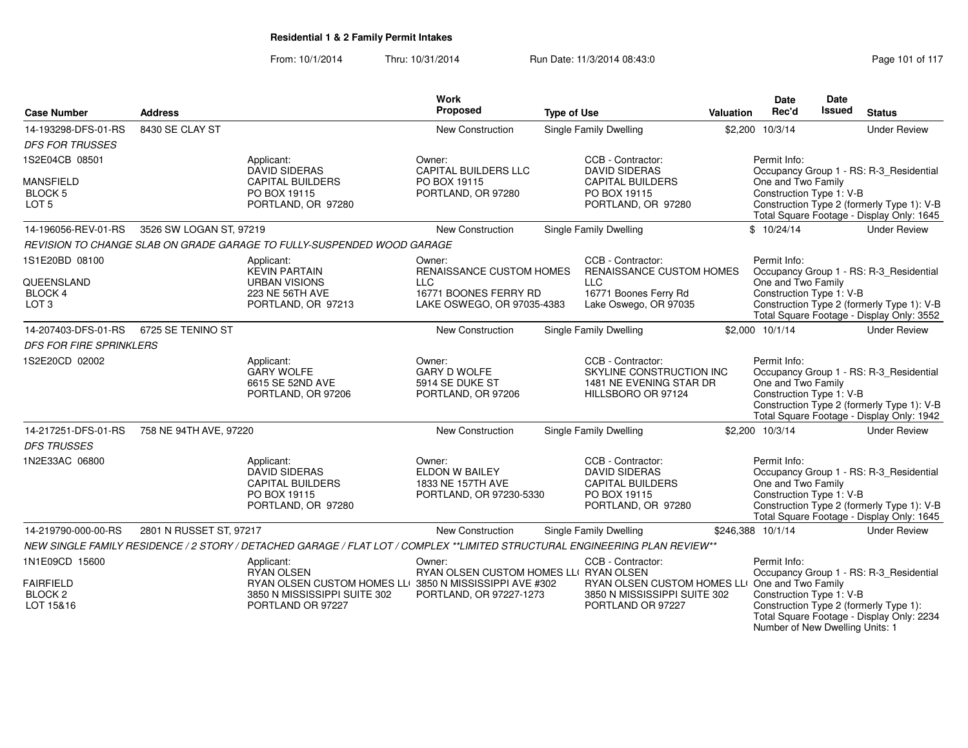From: 10/1/2014Thru: 10/31/2014 Run Date: 11/3/2014 08:43:0

Number of New Dwelling Units: 1

|                                        |                         |                                                                                                                             | <b>Work</b><br>Proposed                |                    |                                                     |                  | <b>Date</b><br>Rec'd                           | Date<br><b>Issued</b> | <b>Status</b>                                                                           |
|----------------------------------------|-------------------------|-----------------------------------------------------------------------------------------------------------------------------|----------------------------------------|--------------------|-----------------------------------------------------|------------------|------------------------------------------------|-----------------------|-----------------------------------------------------------------------------------------|
| <b>Case Number</b>                     | <b>Address</b>          |                                                                                                                             |                                        | <b>Type of Use</b> |                                                     | <b>Valuation</b> |                                                |                       |                                                                                         |
| 14-193298-DFS-01-RS                    | 8430 SE CLAY ST         |                                                                                                                             | New Construction                       |                    | <b>Single Family Dwelling</b>                       |                  | \$2,200 10/3/14                                |                       | <b>Under Review</b>                                                                     |
| <b>DFS FOR TRUSSES</b>                 |                         |                                                                                                                             |                                        |                    |                                                     |                  |                                                |                       |                                                                                         |
| 1S2E04CB 08501                         |                         | Applicant:<br><b>DAVID SIDERAS</b>                                                                                          | Owner:<br><b>CAPITAL BUILDERS LLC</b>  |                    | CCB - Contractor:<br><b>DAVID SIDERAS</b>           |                  | Permit Info:                                   |                       | Occupancy Group 1 - RS: R-3_Residential                                                 |
| <b>MANSFIELD</b>                       |                         | <b>CAPITAL BUILDERS</b>                                                                                                     | PO BOX 19115                           |                    | <b>CAPITAL BUILDERS</b>                             |                  | One and Two Family                             |                       |                                                                                         |
| BLOCK <sub>5</sub>                     |                         | PO BOX 19115                                                                                                                | PORTLAND, OR 97280                     |                    | PO BOX 19115                                        |                  | Construction Type 1: V-B                       |                       |                                                                                         |
| LOT <sub>5</sub>                       |                         | PORTLAND, OR 97280                                                                                                          |                                        |                    | PORTLAND, OR 97280                                  |                  |                                                |                       | Construction Type 2 (formerly Type 1): V-B<br>Total Square Footage - Display Only: 1645 |
| 14-196056-REV-01-RS                    | 3526 SW LOGAN ST, 97219 |                                                                                                                             | New Construction                       |                    | <b>Single Family Dwelling</b>                       |                  | \$10/24/14                                     |                       | <b>Under Review</b>                                                                     |
|                                        |                         | REVISION TO CHANGE SLAB ON GRADE GARAGE TO FULLY-SUSPENDED WOOD GARAGE                                                      |                                        |                    |                                                     |                  |                                                |                       |                                                                                         |
| 1S1E20BD 08100                         |                         | Applicant:                                                                                                                  | Owner:                                 |                    | CCB - Contractor:                                   |                  | Permit Info:                                   |                       |                                                                                         |
|                                        |                         | <b>KEVIN PARTAIN</b>                                                                                                        | RENAISSANCE CUSTOM HOMES               |                    | <b>RENAISSANCE CUSTOM HOMES</b>                     |                  |                                                |                       | Occupancy Group 1 - RS: R-3_Residential                                                 |
| QUEENSLAND<br><b>BLOCK 4</b>           |                         | <b>URBAN VISIONS</b><br>223 NE 56TH AVE                                                                                     | <b>LLC</b><br>16771 BOONES FERRY RD    |                    | <b>LLC</b><br>16771 Boones Ferry Rd                 |                  | One and Two Family<br>Construction Type 1: V-B |                       |                                                                                         |
| LOT <sub>3</sub>                       |                         | PORTLAND, OR 97213                                                                                                          | LAKE OSWEGO, OR 97035-4383             |                    | Lake Oswego, OR 97035                               |                  |                                                |                       | Construction Type 2 (formerly Type 1): V-B                                              |
|                                        |                         |                                                                                                                             |                                        |                    |                                                     |                  |                                                |                       | Total Square Footage - Display Only: 3552                                               |
| 14-207403-DFS-01-RS                    | 6725 SE TENINO ST       |                                                                                                                             | New Construction                       |                    | <b>Single Family Dwelling</b>                       |                  | \$2,000 10/1/14                                |                       | <b>Under Review</b>                                                                     |
| <b>DFS FOR FIRE SPRINKLERS</b>         |                         |                                                                                                                             |                                        |                    |                                                     |                  |                                                |                       |                                                                                         |
| 1S2E20CD 02002                         |                         | Applicant:                                                                                                                  | Owner:                                 |                    | CCB - Contractor:                                   |                  | Permit Info:                                   |                       |                                                                                         |
|                                        |                         | <b>GARY WOLFE</b><br>6615 SE 52ND AVE                                                                                       | <b>GARY D WOLFE</b><br>5914 SE DUKE ST |                    | SKYLINE CONSTRUCTION INC<br>1481 NE EVENING STAR DR |                  | One and Two Family                             |                       | Occupancy Group 1 - RS: R-3 Residential                                                 |
|                                        |                         | PORTLAND, OR 97206                                                                                                          | PORTLAND, OR 97206                     |                    | HILLSBORO OR 97124                                  |                  | Construction Type 1: V-B                       |                       |                                                                                         |
|                                        |                         |                                                                                                                             |                                        |                    |                                                     |                  |                                                |                       | Construction Type 2 (formerly Type 1): V-B                                              |
| 14-217251-DFS-01-RS                    | 758 NE 94TH AVE, 97220  |                                                                                                                             | <b>New Construction</b>                |                    | <b>Single Family Dwelling</b>                       |                  | \$2,200 10/3/14                                |                       | Total Square Footage - Display Only: 1942<br><b>Under Review</b>                        |
|                                        |                         |                                                                                                                             |                                        |                    |                                                     |                  |                                                |                       |                                                                                         |
| <b>DFS TRUSSES</b>                     |                         |                                                                                                                             |                                        |                    |                                                     |                  |                                                |                       |                                                                                         |
| 1N2E33AC 06800                         |                         | Applicant:<br><b>DAVID SIDERAS</b>                                                                                          | Owner:<br>ELDON W BAILEY               |                    | CCB - Contractor:<br><b>DAVID SIDERAS</b>           |                  | Permit Info:                                   |                       | Occupancy Group 1 - RS: R-3_Residential                                                 |
|                                        |                         | <b>CAPITAL BUILDERS</b>                                                                                                     | 1833 NE 157TH AVE                      |                    | <b>CAPITAL BUILDERS</b>                             |                  | One and Two Family                             |                       |                                                                                         |
|                                        |                         | PO BOX 19115                                                                                                                | PORTLAND, OR 97230-5330                |                    | PO BOX 19115                                        |                  | Construction Type 1: V-B                       |                       |                                                                                         |
|                                        |                         | PORTLAND, OR 97280                                                                                                          |                                        |                    | PORTLAND, OR 97280                                  |                  |                                                |                       | Construction Type 2 (formerly Type 1): V-B<br>Total Square Footage - Display Only: 1645 |
| 14-219790-000-00-RS                    | 2801 N RUSSET ST, 97217 |                                                                                                                             | New Construction                       |                    | <b>Single Family Dwelling</b>                       |                  | \$246.388 10/1/14                              |                       | <b>Under Review</b>                                                                     |
|                                        |                         | NEW SINGLE FAMILY RESIDENCE / 2 STORY / DETACHED GARAGE / FLAT LOT / COMPLEX **LIMITED STRUCTURAL ENGINEERING PLAN REVIEW** |                                        |                    |                                                     |                  |                                                |                       |                                                                                         |
| 1N1E09CD 15600                         |                         | Applicant:                                                                                                                  | Owner:                                 |                    | CCB - Contractor:                                   |                  | Permit Info:                                   |                       |                                                                                         |
|                                        |                         | <b>RYAN OLSEN</b>                                                                                                           | RYAN OLSEN CUSTOM HOMES LLI RYAN OLSEN |                    |                                                     |                  |                                                |                       | Occupancy Group 1 - RS: R-3_Residential                                                 |
| <b>FAIRFIELD</b><br>BLOCK <sub>2</sub> |                         | RYAN OLSEN CUSTOM HOMES LLI 3850 N MISSISSIPPI AVE #302                                                                     |                                        |                    | RYAN OLSEN CUSTOM HOMES LLI One and Two Family      |                  |                                                |                       |                                                                                         |
| LOT 15&16                              |                         | 3850 N MISSISSIPPI SUITE 302<br>PORTLAND OR 97227                                                                           | PORTLAND, OR 97227-1273                |                    | 3850 N MISSISSIPPI SUITE 302<br>PORTLAND OR 97227   |                  | Construction Type 1: V-B                       |                       | Construction Type 2 (formerly Type 1):                                                  |
|                                        |                         |                                                                                                                             |                                        |                    |                                                     |                  |                                                |                       | Total Square Footage - Display Only: 2234                                               |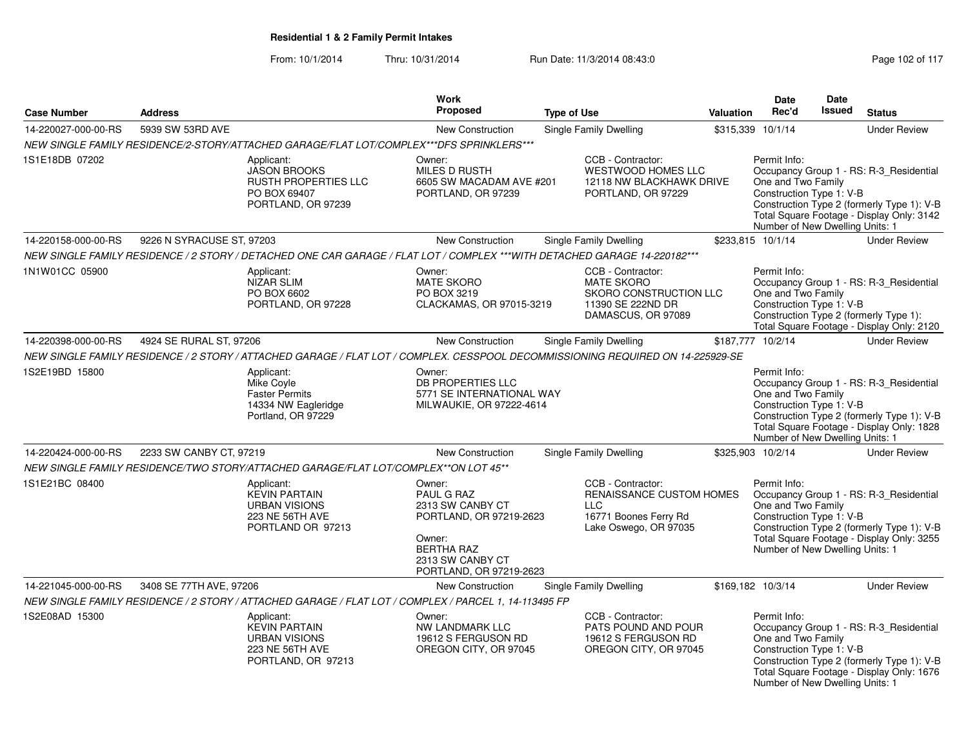| <b>Case Number</b>  | <b>Address</b>            |                                                                                                                                 | Work<br>Proposed                                                                                                                                  | <b>Type of Use</b> |                                                                                                               | Valuation | <b>Date</b><br>Rec'd                                                                              | Date<br><b>Issued</b> | <b>Status</b>                                                                                                                      |
|---------------------|---------------------------|---------------------------------------------------------------------------------------------------------------------------------|---------------------------------------------------------------------------------------------------------------------------------------------------|--------------------|---------------------------------------------------------------------------------------------------------------|-----------|---------------------------------------------------------------------------------------------------|-----------------------|------------------------------------------------------------------------------------------------------------------------------------|
| 14-220027-000-00-RS | 5939 SW 53RD AVE          |                                                                                                                                 | New Construction                                                                                                                                  |                    | Single Family Dwelling                                                                                        |           | \$315,339 10/1/14                                                                                 |                       | <b>Under Review</b>                                                                                                                |
|                     |                           | NEW SINGLE FAMILY RESIDENCE/2-STORY/ATTACHED GARAGE/FLAT LOT/COMPLEX***DFS SPRINKLERS***                                        |                                                                                                                                                   |                    |                                                                                                               |           |                                                                                                   |                       |                                                                                                                                    |
| 1S1E18DB 07202      |                           | Applicant:<br><b>JASON BROOKS</b><br><b>RUSTH PROPERTIES LLC</b><br>PO BOX 69407<br>PORTLAND, OR 97239                          | Owner:<br><b>MILES D RUSTH</b><br>6605 SW MACADAM AVE #201<br>PORTLAND, OR 97239                                                                  |                    | CCB - Contractor:<br><b>WESTWOOD HOMES LLC</b><br>12118 NW BLACKHAWK DRIVE<br>PORTLAND, OR 97229              |           | Permit Info:<br>One and Two Family<br>Construction Type 1: V-B<br>Number of New Dwelling Units: 1 |                       | Occupancy Group 1 - RS: R-3_Residential<br>Construction Type 2 (formerly Type 1): V-B<br>Total Square Footage - Display Only: 3142 |
| 14-220158-000-00-RS | 9226 N SYRACUSE ST, 97203 |                                                                                                                                 | New Construction                                                                                                                                  |                    | Single Family Dwelling                                                                                        |           | \$233,815 10/1/14                                                                                 |                       | <b>Under Review</b>                                                                                                                |
|                     |                           | NEW SINGLE FAMILY RESIDENCE / 2 STORY / DETACHED ONE CAR GARAGE / FLAT LOT / COMPLEX ***WITH DETACHED GARAGE 14-220182***       |                                                                                                                                                   |                    |                                                                                                               |           |                                                                                                   |                       |                                                                                                                                    |
| 1N1W01CC 05900      |                           | Applicant:<br><b>NIZAR SLIM</b><br>PO BOX 6602<br>PORTLAND, OR 97228                                                            | Owner:<br><b>MATE SKORO</b><br>PO BOX 3219<br>CLACKAMAS, OR 97015-3219                                                                            |                    | CCB - Contractor:<br><b>MATE SKORO</b><br>SKORO CONSTRUCTION LLC<br>11390 SE 222ND DR<br>DAMASCUS, OR 97089   |           | Permit Info:<br>One and Two Family<br>Construction Type 1: V-B                                    |                       | Occupancy Group 1 - RS: R-3_Residential<br>Construction Type 2 (formerly Type 1):<br>Total Square Footage - Display Only: 2120     |
| 14-220398-000-00-RS | 4924 SE RURAL ST, 97206   |                                                                                                                                 | New Construction                                                                                                                                  |                    | Single Family Dwelling                                                                                        |           | \$187,777 10/2/14                                                                                 |                       | <b>Under Review</b>                                                                                                                |
|                     |                           | NEW SINGLE FAMILY RESIDENCE / 2 STORY / ATTACHED GARAGE / FLAT LOT / COMPLEX. CESSPOOL DECOMMISSIONING REQUIRED ON 14-225929-SE |                                                                                                                                                   |                    |                                                                                                               |           |                                                                                                   |                       |                                                                                                                                    |
| 1S2E19BD 15800      |                           | Applicant:<br>Mike Coyle<br><b>Faster Permits</b><br>14334 NW Eagleridge<br>Portland, OR 97229                                  | Owner:<br>DB PROPERTIES LLC<br>5771 SE INTERNATIONAL WAY<br>MILWAUKIE, OR 97222-4614                                                              |                    |                                                                                                               |           | Permit Info:<br>One and Two Family<br>Construction Type 1: V-B<br>Number of New Dwelling Units: 1 |                       | Occupancy Group 1 - RS: R-3_Residential<br>Construction Type 2 (formerly Type 1): V-B<br>Total Square Footage - Display Only: 1828 |
| 14-220424-000-00-RS | 2233 SW CANBY CT, 97219   |                                                                                                                                 | New Construction                                                                                                                                  |                    | <b>Single Family Dwelling</b>                                                                                 |           | \$325,903 10/2/14                                                                                 |                       | <b>Under Review</b>                                                                                                                |
|                     |                           | NEW SINGLE FAMILY RESIDENCE/TWO STORY/ATTACHED GARAGE/FLAT LOT/COMPLEX**ON LOT 45**                                             |                                                                                                                                                   |                    |                                                                                                               |           |                                                                                                   |                       |                                                                                                                                    |
| 1S1E21BC 08400      |                           | Applicant:<br><b>KEVIN PARTAIN</b><br><b>URBAN VISIONS</b><br>223 NE 56TH AVE<br>PORTLAND OR 97213                              | Owner:<br>PAUL G RAZ<br>2313 SW CANBY CT<br>PORTLAND, OR 97219-2623<br>Owner:<br><b>BERTHA RAZ</b><br>2313 SW CANBY CT<br>PORTLAND, OR 97219-2623 |                    | CCB - Contractor:<br>RENAISSANCE CUSTOM HOMES<br><b>LLC</b><br>16771 Boones Ferry Rd<br>Lake Oswego, OR 97035 |           | Permit Info:<br>One and Two Family<br>Construction Type 1: V-B<br>Number of New Dwelling Units: 1 |                       | Occupancy Group 1 - RS: R-3 Residential<br>Construction Type 2 (formerly Type 1): V-B<br>Total Square Footage - Display Only: 3255 |
| 14-221045-000-00-RS | 3408 SE 77TH AVE, 97206   |                                                                                                                                 | New Construction                                                                                                                                  |                    | <b>Single Family Dwelling</b>                                                                                 |           | \$169,182 10/3/14                                                                                 |                       | <b>Under Review</b>                                                                                                                |
|                     |                           | NEW SINGLE FAMILY RESIDENCE / 2 STORY / ATTACHED GARAGE / FLAT LOT / COMPLEX / PARCEL 1, 14-113495 FP                           |                                                                                                                                                   |                    |                                                                                                               |           |                                                                                                   |                       |                                                                                                                                    |
| 1S2E08AD 15300      |                           | Applicant:<br><b>KEVIN PARTAIN</b><br><b>URBAN VISIONS</b><br>223 NE 56TH AVE<br>PORTLAND, OR 97213                             | Owner:<br>NW LANDMARK LLC<br>19612 S FERGUSON RD<br>OREGON CITY, OR 97045                                                                         |                    | CCB - Contractor:<br>PATS POUND AND POUR<br>19612 S FERGUSON RD<br>OREGON CITY, OR 97045                      |           | Permit Info:<br>One and Two Family<br>Construction Type 1: V-B<br>Number of New Dwelling Units: 1 |                       | Occupancy Group 1 - RS: R-3_Residential<br>Construction Type 2 (formerly Type 1): V-B<br>Total Square Footage - Display Only: 1676 |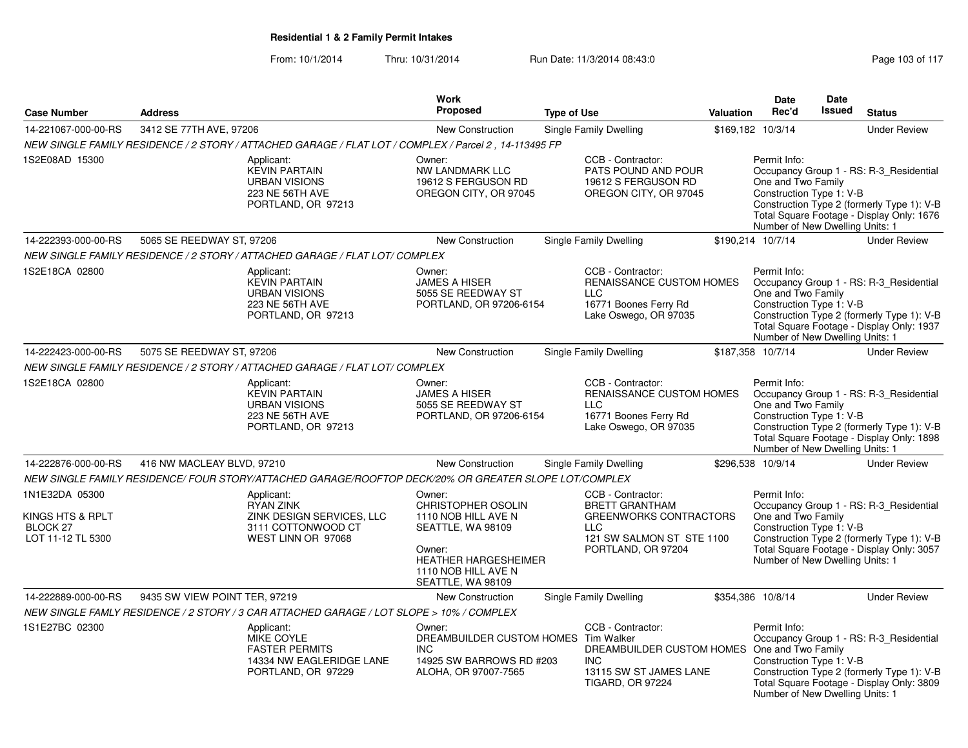|                                                                            |                                                                                                         | <b>Work</b>                                                                                                                                                   |                                                                                                                                              |           | <b>Date</b>                                                                                       | Date          |                                                                                                                                    |
|----------------------------------------------------------------------------|---------------------------------------------------------------------------------------------------------|---------------------------------------------------------------------------------------------------------------------------------------------------------------|----------------------------------------------------------------------------------------------------------------------------------------------|-----------|---------------------------------------------------------------------------------------------------|---------------|------------------------------------------------------------------------------------------------------------------------------------|
| <b>Case Number</b>                                                         | <b>Address</b>                                                                                          | <b>Proposed</b>                                                                                                                                               | <b>Type of Use</b>                                                                                                                           | Valuation | Rec'd                                                                                             | <b>Issued</b> | <b>Status</b>                                                                                                                      |
| 14-221067-000-00-RS                                                        | 3412 SE 77TH AVE, 97206                                                                                 | New Construction                                                                                                                                              | Single Family Dwelling                                                                                                                       |           | \$169,182 10/3/14                                                                                 |               | <b>Under Review</b>                                                                                                                |
|                                                                            |                                                                                                         | NEW SINGLE FAMILY RESIDENCE / 2 STORY / ATTACHED GARAGE / FLAT LOT / COMPLEX / Parcel 2 , 14-113495 FP                                                        |                                                                                                                                              |           |                                                                                                   |               |                                                                                                                                    |
| 1S2E08AD 15300                                                             | Applicant:<br><b>KEVIN PARTAIN</b><br><b>URBAN VISIONS</b><br>223 NE 56TH AVE<br>PORTLAND, OR 97213     | Owner:<br>NW LANDMARK LLC<br>19612 S FERGUSON RD<br>OREGON CITY, OR 97045                                                                                     | CCB - Contractor:<br>PATS POUND AND POUR<br>19612 S FERGUSON RD<br>OREGON CITY, OR 97045                                                     |           | Permit Info:<br>One and Two Family<br>Construction Type 1: V-B<br>Number of New Dwelling Units: 1 |               | Occupancy Group 1 - RS: R-3_Residential<br>Construction Type 2 (formerly Type 1): V-B<br>Total Square Footage - Display Only: 1676 |
| 14-222393-000-00-RS                                                        | 5065 SE REEDWAY ST, 97206                                                                               | New Construction                                                                                                                                              | Single Family Dwelling                                                                                                                       |           | \$190,214 10/7/14                                                                                 |               | <b>Under Review</b>                                                                                                                |
|                                                                            | NEW SINGLE FAMILY RESIDENCE / 2 STORY / ATTACHED GARAGE / FLAT LOT/ COMPLEX                             |                                                                                                                                                               |                                                                                                                                              |           |                                                                                                   |               |                                                                                                                                    |
| 1S2E18CA 02800                                                             | Applicant:<br><b>KEVIN PARTAIN</b><br><b>URBAN VISIONS</b><br>223 NE 56TH AVE<br>PORTLAND, OR 97213     | Owner:<br><b>JAMES A HISER</b><br>5055 SE REEDWAY ST<br>PORTLAND, OR 97206-6154                                                                               | CCB - Contractor:<br>RENAISSANCE CUSTOM HOMES<br>LLC<br>16771 Boones Ferry Rd<br>Lake Oswego, OR 97035                                       |           | Permit Info:<br>One and Two Family<br>Construction Type 1: V-B<br>Number of New Dwelling Units: 1 |               | Occupancy Group 1 - RS: R-3_Residential<br>Construction Type 2 (formerly Type 1): V-B<br>Total Square Footage - Display Only: 1937 |
| 14-222423-000-00-RS                                                        | 5075 SE REEDWAY ST, 97206                                                                               | <b>New Construction</b>                                                                                                                                       | Single Family Dwelling                                                                                                                       |           | \$187,358 10/7/14                                                                                 |               | <b>Under Review</b>                                                                                                                |
|                                                                            | NEW SINGLE FAMILY RESIDENCE / 2 STORY / ATTACHED GARAGE / FLAT LOT/ COMPLEX                             |                                                                                                                                                               |                                                                                                                                              |           |                                                                                                   |               |                                                                                                                                    |
| 1S2E18CA 02800                                                             | Applicant:<br><b>KEVIN PARTAIN</b><br><b>URBAN VISIONS</b><br>223 NE 56TH AVE<br>PORTLAND, OR 97213     | Owner:<br><b>JAMES A HISER</b><br>5055 SE REEDWAY ST<br>PORTLAND, OR 97206-6154                                                                               | CCB - Contractor:<br>RENAISSANCE CUSTOM HOMES<br><b>LLC</b><br>16771 Boones Ferry Rd<br>Lake Oswego, OR 97035                                |           | Permit Info:<br>One and Two Family<br>Construction Type 1: V-B<br>Number of New Dwelling Units: 1 |               | Occupancy Group 1 - RS: R-3_Residential<br>Construction Type 2 (formerly Type 1): V-B<br>Total Square Footage - Display Only: 1898 |
| 14-222876-000-00-RS                                                        | 416 NW MACLEAY BLVD, 97210                                                                              | <b>New Construction</b>                                                                                                                                       | Single Family Dwelling                                                                                                                       |           | \$296,538 10/9/14                                                                                 |               | <b>Under Review</b>                                                                                                                |
|                                                                            |                                                                                                         | NEW SINGLE FAMILY RESIDENCE/ FOUR STORY/ATTACHED GARAGE/ROOFTOP DECK/20% OR GREATER SLOPE LOT/COMPLEX                                                         |                                                                                                                                              |           |                                                                                                   |               |                                                                                                                                    |
| 1N1E32DA 05300<br>KINGS HTS & RPLT<br><b>BLOCK 27</b><br>LOT 11-12 TL 5300 | Applicant:<br><b>RYAN ZINK</b><br>ZINK DESIGN SERVICES, LLC<br>3111 COTTONWOOD CT<br>WEST LINN OR 97068 | Owner:<br>CHRISTOPHER OSOLIN<br>1110 NOB HILL AVE N<br>SEATTLE, WA 98109<br>Owner:<br><b>HEATHER HARGESHEIMER</b><br>1110 NOB HILL AVE N<br>SEATTLE, WA 98109 | CCB - Contractor:<br><b>BRETT GRANTHAM</b><br><b>GREENWORKS CONTRACTORS</b><br>$\sqcup$ C<br>121 SW SALMON ST STE 1100<br>PORTLAND, OR 97204 |           | Permit Info:<br>One and Two Family<br>Construction Type 1: V-B<br>Number of New Dwelling Units: 1 |               | Occupancy Group 1 - RS: R-3_Residential<br>Construction Type 2 (formerly Type 1): V-B<br>Total Square Footage - Display Only: 3057 |
| 14-222889-000-00-RS                                                        | 9435 SW VIEW POINT TER, 97219                                                                           | <b>New Construction</b>                                                                                                                                       | Single Family Dwelling                                                                                                                       |           | \$354,386 10/8/14                                                                                 |               | <b>Under Review</b>                                                                                                                |
|                                                                            | NEW SINGLE FAMLY RESIDENCE / 2 STORY / 3 CAR ATTACHED GARAGE / LOT SLOPE > 10% / COMPLEX                |                                                                                                                                                               |                                                                                                                                              |           |                                                                                                   |               |                                                                                                                                    |
| 1S1E27BC 02300                                                             | Applicant:<br>MIKE COYLE<br><b>FASTER PERMITS</b><br>14334 NW EAGLERIDGE LANE<br>PORTLAND, OR 97229     | Owner:<br>DREAMBUILDER CUSTOM HOMES Tim Walker<br><b>INC</b><br>14925 SW BARROWS RD #203<br>ALOHA, OR 97007-7565                                              | CCB - Contractor:<br>DREAMBUILDER CUSTOM HOMES<br>INC.<br>13115 SW ST JAMES LANE<br><b>TIGARD, OR 97224</b>                                  |           | Permit Info:<br>One and Two Family<br>Construction Type 1: V-B<br>Number of New Dwelling Units: 1 |               | Occupancy Group 1 - RS: R-3_Residential<br>Construction Type 2 (formerly Type 1): V-B<br>Total Square Footage - Display Only: 3809 |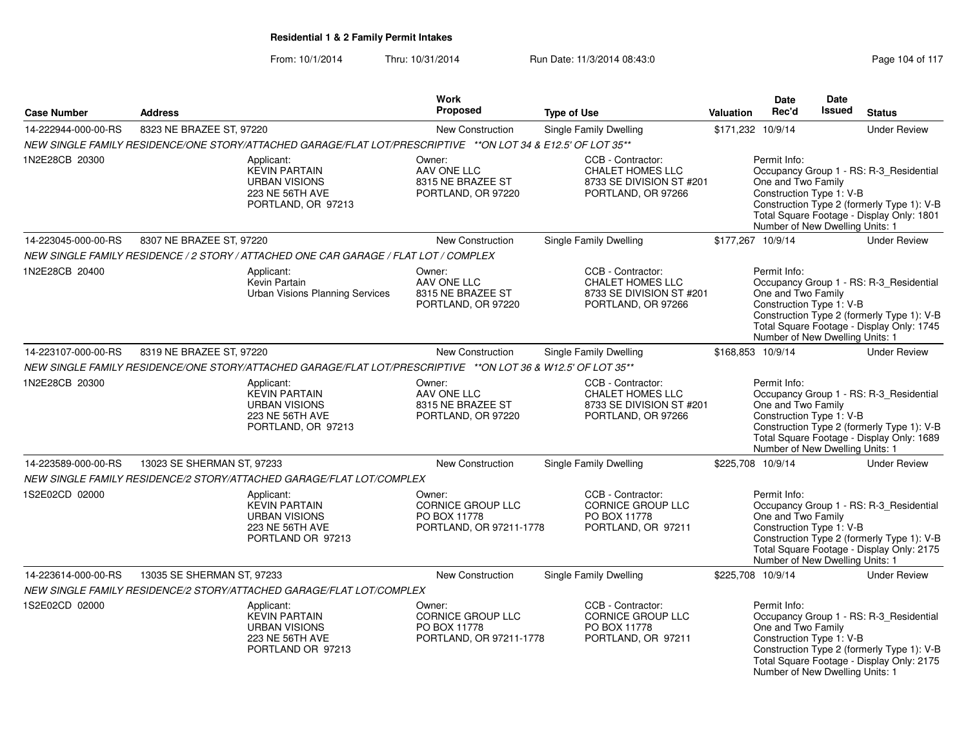|                     |                            |                                                                                                               | Work                                                                          |                                                                                                |           | <b>Date</b>                                                                                       | Date          |                                                                                                                                    |
|---------------------|----------------------------|---------------------------------------------------------------------------------------------------------------|-------------------------------------------------------------------------------|------------------------------------------------------------------------------------------------|-----------|---------------------------------------------------------------------------------------------------|---------------|------------------------------------------------------------------------------------------------------------------------------------|
| <b>Case Number</b>  | <b>Address</b>             |                                                                                                               | <b>Proposed</b>                                                               | <b>Type of Use</b>                                                                             | Valuation | Rec'd                                                                                             | <b>Issued</b> | <b>Status</b>                                                                                                                      |
| 14-222944-000-00-RS | 8323 NE BRAZEE ST, 97220   |                                                                                                               | New Construction                                                              | Single Family Dwelling                                                                         |           | \$171,232 10/9/14                                                                                 |               | <b>Under Review</b>                                                                                                                |
|                     |                            | NEW SINGLE FAMILY RESIDENCE/ONE STORY/ATTACHED GARAGE/FLAT LOT/PRESCRIPTIVE **ON LOT 34 & E12.5' OF LOT 35**  |                                                                               |                                                                                                |           |                                                                                                   |               |                                                                                                                                    |
| 1N2E28CB 20300      |                            | Applicant:<br><b>KEVIN PARTAIN</b><br><b>URBAN VISIONS</b><br>223 NE 56TH AVE<br>PORTLAND, OR 97213           | Owner:<br>AAV ONE LLC<br>8315 NE BRAZEE ST<br>PORTLAND, OR 97220              | CCB - Contractor:<br><b>CHALET HOMES LLC</b><br>8733 SE DIVISION ST #201<br>PORTLAND, OR 97266 |           | Permit Info:<br>One and Two Family<br>Construction Type 1: V-B<br>Number of New Dwelling Units: 1 |               | Occupancy Group 1 - RS: R-3_Residential<br>Construction Type 2 (formerly Type 1): V-B<br>Total Square Footage - Display Only: 1801 |
| 14-223045-000-00-RS | 8307 NE BRAZEE ST, 97220   |                                                                                                               | New Construction                                                              | Single Family Dwelling                                                                         |           | \$177,267 10/9/14                                                                                 |               | <b>Under Review</b>                                                                                                                |
|                     |                            | NEW SINGLE FAMILY RESIDENCE / 2 STORY / ATTACHED ONE CAR GARAGE / FLAT LOT / COMPLEX                          |                                                                               |                                                                                                |           |                                                                                                   |               |                                                                                                                                    |
| 1N2E28CB 20400      |                            | Applicant:<br>Kevin Partain<br><b>Urban Visions Planning Services</b>                                         | Owner:<br>AAV ONE LLC<br>8315 NE BRAZEE ST<br>PORTLAND, OR 97220              | CCB - Contractor:<br><b>CHALET HOMES LLC</b><br>8733 SE DIVISION ST #201<br>PORTLAND, OR 97266 |           | Permit Info:<br>One and Two Family<br>Construction Type 1: V-B<br>Number of New Dwelling Units: 1 |               | Occupancy Group 1 - RS: R-3 Residential<br>Construction Type 2 (formerly Type 1): V-B<br>Total Square Footage - Display Only: 1745 |
| 14-223107-000-00-RS | 8319 NE BRAZEE ST, 97220   |                                                                                                               | New Construction                                                              | <b>Single Family Dwelling</b>                                                                  |           | \$168,853 10/9/14                                                                                 |               | <b>Under Review</b>                                                                                                                |
|                     |                            | NEW SINGLE FAMILY RESIDENCE/ONE STORY/ATTACHED GARAGE/FLAT LOT/PRESCRIPTIVE ** ON LOT 36 & W12.5' OF LOT 35** |                                                                               |                                                                                                |           |                                                                                                   |               |                                                                                                                                    |
| 1N2E28CB 20300      |                            | Applicant:<br><b>KEVIN PARTAIN</b><br><b>URBAN VISIONS</b><br>223 NE 56TH AVE<br>PORTLAND, OR 97213           | Owner:<br>AAV ONE LLC<br>8315 NE BRAZEE ST<br>PORTLAND, OR 97220              | CCB - Contractor:<br><b>CHALET HOMES LLC</b><br>8733 SE DIVISION ST #201<br>PORTLAND, OR 97266 |           | Permit Info:<br>One and Two Family<br>Construction Type 1: V-B<br>Number of New Dwelling Units: 1 |               | Occupancy Group 1 - RS: R-3_Residential<br>Construction Type 2 (formerly Type 1): V-B<br>Total Square Footage - Display Only: 1689 |
| 14-223589-000-00-RS | 13023 SE SHERMAN ST, 97233 |                                                                                                               | New Construction                                                              | <b>Single Family Dwelling</b>                                                                  |           | \$225,708 10/9/14                                                                                 |               | <b>Under Review</b>                                                                                                                |
|                     |                            | NEW SINGLE FAMILY RESIDENCE/2 STORY/ATTACHED GARAGE/FLAT LOT/COMPLEX                                          |                                                                               |                                                                                                |           |                                                                                                   |               |                                                                                                                                    |
| 1S2E02CD 02000      |                            | Applicant:<br><b>KEVIN PARTAIN</b><br><b>URBAN VISIONS</b><br>223 NE 56TH AVE<br>PORTLAND OR 97213            | Owner:<br><b>CORNICE GROUP LLC</b><br>PO BOX 11778<br>PORTLAND, OR 97211-1778 | CCB - Contractor:<br><b>CORNICE GROUP LLC</b><br>PO BOX 11778<br>PORTLAND, OR 97211            |           | Permit Info:<br>One and Two Family<br>Construction Type 1: V-B<br>Number of New Dwelling Units: 1 |               | Occupancy Group 1 - RS: R-3_Residential<br>Construction Type 2 (formerly Type 1): V-B<br>Total Square Footage - Display Only: 2175 |
| 14-223614-000-00-RS | 13035 SE SHERMAN ST, 97233 |                                                                                                               | New Construction                                                              | Single Family Dwelling                                                                         |           | \$225,708 10/9/14                                                                                 |               | <b>Under Review</b>                                                                                                                |
|                     |                            | NEW SINGLE FAMILY RESIDENCE/2 STORY/ATTACHED GARAGE/FLAT LOT/COMPLEX                                          |                                                                               |                                                                                                |           |                                                                                                   |               |                                                                                                                                    |
| 1S2E02CD 02000      |                            | Applicant:<br><b>KEVIN PARTAIN</b><br><b>URBAN VISIONS</b><br>223 NE 56TH AVE<br>PORTLAND OR 97213            | Owner:<br><b>CORNICE GROUP LLC</b><br>PO BOX 11778<br>PORTLAND, OR 97211-1778 | CCB - Contractor:<br>CORNICE GROUP LLC<br>PO BOX 11778<br>PORTLAND, OR 97211                   |           | Permit Info:<br>One and Two Family<br>Construction Type 1: V-B<br>Number of New Dwelling Units: 1 |               | Occupancy Group 1 - RS: R-3_Residential<br>Construction Type 2 (formerly Type 1): V-B<br>Total Square Footage - Display Only: 2175 |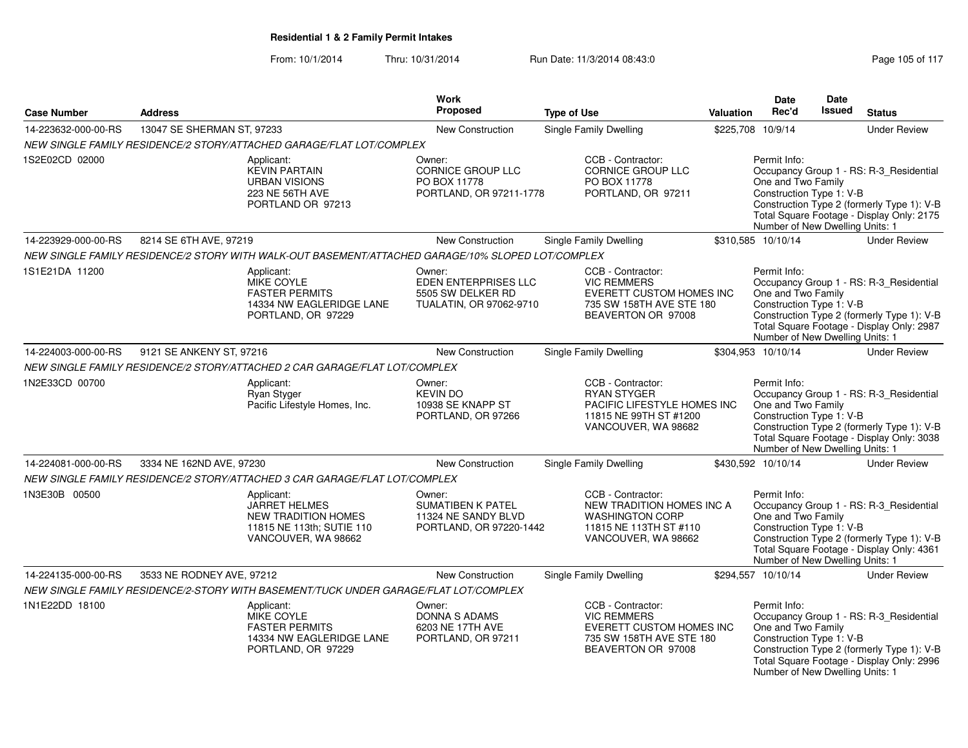| <b>Case Number</b>  | <b>Address</b>             |                                                                                                                                                                            | Work<br>Proposed                                                                     | <b>Type of Use</b>                                                                                                        | Valuation | <b>Date</b><br>Rec'd                                                                              | <b>Date</b><br><b>Issued</b> | <b>Status</b>                                                                                                                      |
|---------------------|----------------------------|----------------------------------------------------------------------------------------------------------------------------------------------------------------------------|--------------------------------------------------------------------------------------|---------------------------------------------------------------------------------------------------------------------------|-----------|---------------------------------------------------------------------------------------------------|------------------------------|------------------------------------------------------------------------------------------------------------------------------------|
|                     |                            |                                                                                                                                                                            |                                                                                      |                                                                                                                           |           |                                                                                                   |                              |                                                                                                                                    |
| 14-223632-000-00-RS | 13047 SE SHERMAN ST, 97233 |                                                                                                                                                                            | <b>New Construction</b>                                                              | <b>Single Family Dwelling</b>                                                                                             | \$225,708 | 10/9/14                                                                                           |                              | <b>Under Review</b>                                                                                                                |
| 1S2E02CD 02000      |                            | NEW SINGLE FAMILY RESIDENCE/2 STORY/ATTACHED GARAGE/FLAT LOT/COMPLEX<br>Applicant:<br><b>KEVIN PARTAIN</b><br><b>URBAN VISIONS</b><br>223 NE 56TH AVE<br>PORTLAND OR 97213 | Owner:<br><b>CORNICE GROUP LLC</b><br>PO BOX 11778<br>PORTLAND, OR 97211-1778        | CCB - Contractor:<br><b>CORNICE GROUP LLC</b><br>PO BOX 11778<br>PORTLAND, OR 97211                                       |           | Permit Info:<br>One and Two Family<br>Construction Type 1: V-B                                    |                              | Occupancy Group 1 - RS: R-3 Residential<br>Construction Type 2 (formerly Type 1): V-B<br>Total Square Footage - Display Only: 2175 |
|                     |                            |                                                                                                                                                                            |                                                                                      |                                                                                                                           |           | Number of New Dwelling Units: 1                                                                   |                              |                                                                                                                                    |
| 14-223929-000-00-RS | 8214 SE 6TH AVE, 97219     |                                                                                                                                                                            | New Construction                                                                     | Single Family Dwelling                                                                                                    |           | \$310,585 10/10/14                                                                                |                              | <b>Under Review</b>                                                                                                                |
|                     |                            | NEW SINGLE FAMILY RESIDENCE/2 STORY WITH WALK-OUT BASEMENT/ATTACHED GARAGE/10% SLOPED LOT/COMPLEX                                                                          |                                                                                      |                                                                                                                           |           |                                                                                                   |                              |                                                                                                                                    |
| 1S1E21DA 11200      |                            | Applicant:<br><b>MIKE COYLE</b><br><b>FASTER PERMITS</b><br>14334 NW EAGLERIDGE LANE<br>PORTLAND, OR 97229                                                                 | Owner:<br>EDEN ENTERPRISES LLC<br>5505 SW DELKER RD<br>TUALATIN, OR 97062-9710       | CCB - Contractor:<br><b>VIC REMMERS</b><br>EVERETT CUSTOM HOMES INC<br>735 SW 158TH AVE STE 180<br>BEAVERTON OR 97008     |           | Permit Info:<br>One and Two Family<br>Construction Type 1: V-B<br>Number of New Dwelling Units: 1 |                              | Occupancy Group 1 - RS: R-3_Residential<br>Construction Type 2 (formerly Type 1): V-B<br>Total Square Footage - Display Only: 2987 |
| 14-224003-000-00-RS | 9121 SE ANKENY ST, 97216   |                                                                                                                                                                            | New Construction                                                                     | <b>Single Family Dwelling</b>                                                                                             |           | \$304,953 10/10/14                                                                                |                              | <b>Under Review</b>                                                                                                                |
|                     |                            | NEW SINGLE FAMILY RESIDENCE/2 STORY/ATTACHED 2 CAR GARAGE/FLAT LOT/COMPLEX                                                                                                 |                                                                                      |                                                                                                                           |           |                                                                                                   |                              |                                                                                                                                    |
| 1N2E33CD 00700      |                            | Applicant:<br>Ryan Styger<br>Pacific Lifestyle Homes, Inc.                                                                                                                 | Owner:<br><b>KEVIN DO</b><br>10938 SE KNAPP ST<br>PORTLAND, OR 97266                 | CCB - Contractor:<br><b>RYAN STYGER</b><br>PACIFIC LIFESTYLE HOMES INC<br>11815 NE 99TH ST #1200<br>VANCOUVER, WA 98682   |           | Permit Info:<br>One and Two Family<br>Construction Type 1: V-B<br>Number of New Dwelling Units: 1 |                              | Occupancy Group 1 - RS: R-3_Residential<br>Construction Type 2 (formerly Type 1): V-B<br>Total Square Footage - Display Only: 3038 |
| 14-224081-000-00-RS | 3334 NE 162ND AVE, 97230   |                                                                                                                                                                            | <b>New Construction</b>                                                              | Single Family Dwelling                                                                                                    |           | \$430,592 10/10/14                                                                                |                              | <b>Under Review</b>                                                                                                                |
|                     |                            | NEW SINGLE FAMILY RESIDENCE/2 STORY/ATTACHED 3 CAR GARAGE/FLAT LOT/COMPLEX                                                                                                 |                                                                                      |                                                                                                                           |           |                                                                                                   |                              |                                                                                                                                    |
| 1N3E30B 00500       |                            | Applicant:<br><b>JARRET HELMES</b><br><b>NEW TRADITION HOMES</b><br>11815 NE 113th; SUTIE 110<br>VANCOUVER, WA 98662                                                       | Owner:<br><b>SUMATIBEN K PATEL</b><br>11324 NE SANDY BLVD<br>PORTLAND, OR 97220-1442 | CCB - Contractor:<br>NEW TRADITION HOMES INC A<br><b>WASHINGTON CORP</b><br>11815 NE 113TH ST #110<br>VANCOUVER, WA 98662 |           | Permit Info:<br>One and Two Family<br>Construction Type 1: V-B<br>Number of New Dwelling Units: 1 |                              | Occupancy Group 1 - RS: R-3_Residential<br>Construction Type 2 (formerly Type 1): V-B<br>Total Square Footage - Display Only: 4361 |
| 14-224135-000-00-RS | 3533 NE RODNEY AVE, 97212  |                                                                                                                                                                            | New Construction                                                                     | Single Family Dwelling                                                                                                    |           | \$294,557 10/10/14                                                                                |                              | <b>Under Review</b>                                                                                                                |
|                     |                            | NEW SINGLE FAMILY RESIDENCE/2-STORY WITH BASEMENT/TUCK UNDER GARAGE/FLAT LOT/COMPLEX                                                                                       |                                                                                      |                                                                                                                           |           |                                                                                                   |                              |                                                                                                                                    |
| 1N1E22DD 18100      |                            | Applicant:<br><b>MIKE COYLE</b><br><b>FASTER PERMITS</b><br>14334 NW EAGLERIDGE LANE<br>PORTLAND, OR 97229                                                                 | Owner:<br><b>DONNA S ADAMS</b><br>6203 NE 17TH AVE<br>PORTLAND, OR 97211             | CCB - Contractor:<br><b>VIC REMMERS</b><br>EVERETT CUSTOM HOMES INC<br>735 SW 158TH AVE STE 180<br>BEAVERTON OR 97008     |           | Permit Info:<br>One and Two Family<br>Construction Type 1: V-B<br>Number of New Dwelling Units: 1 |                              | Occupancy Group 1 - RS: R-3_Residential<br>Construction Type 2 (formerly Type 1): V-B<br>Total Square Footage - Display Only: 2996 |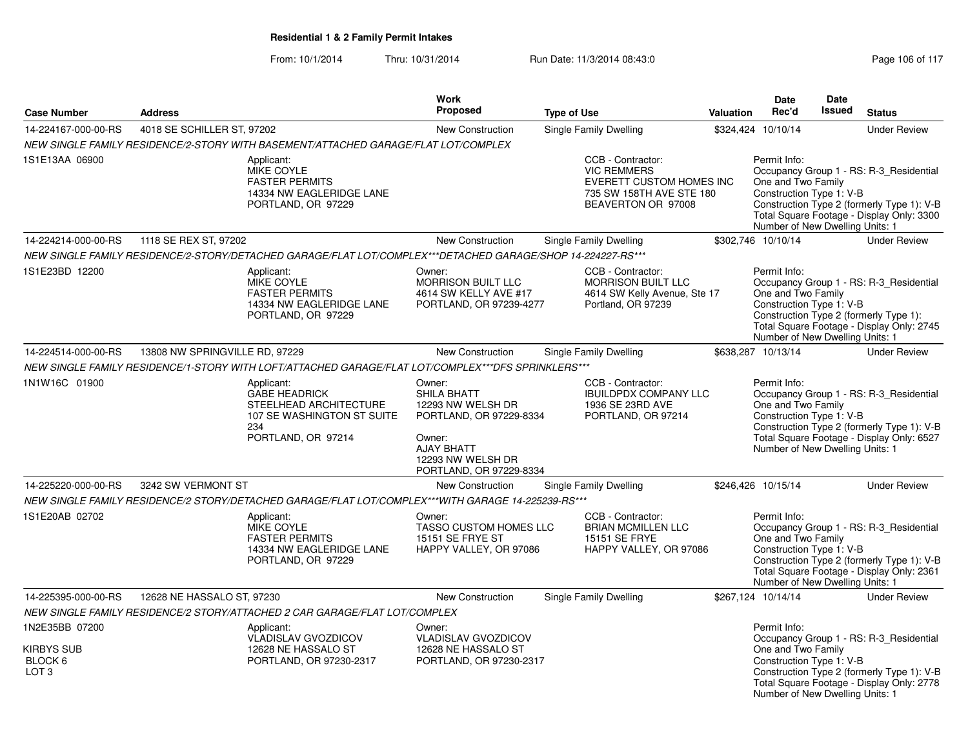| <b>Case Number</b>                        | <b>Address</b>                                                                                                                       |                                                                                                    | <b>Work</b><br><b>Proposed</b>                                                                                                                       | <b>Type of Use</b>                                                                                                    | <b>Valuation</b> | Date<br>Rec'd                                                                                     | Date<br>Issued | <b>Status</b>                                                                                                                      |
|-------------------------------------------|--------------------------------------------------------------------------------------------------------------------------------------|----------------------------------------------------------------------------------------------------|------------------------------------------------------------------------------------------------------------------------------------------------------|-----------------------------------------------------------------------------------------------------------------------|------------------|---------------------------------------------------------------------------------------------------|----------------|------------------------------------------------------------------------------------------------------------------------------------|
| 14-224167-000-00-RS                       | 4018 SE SCHILLER ST, 97202                                                                                                           |                                                                                                    | <b>New Construction</b>                                                                                                                              | Single Family Dwelling                                                                                                |                  | \$324,424 10/10/14                                                                                |                | <b>Under Review</b>                                                                                                                |
|                                           | NEW SINGLE FAMILY RESIDENCE/2-STORY WITH BASEMENT/ATTACHED GARAGE/FLAT LOT/COMPLEX                                                   |                                                                                                    |                                                                                                                                                      |                                                                                                                       |                  |                                                                                                   |                |                                                                                                                                    |
| 1S1E13AA 06900                            | Applicant:<br><b>MIKE COYLE</b>                                                                                                      | <b>FASTER PERMITS</b><br>14334 NW EAGLERIDGE LANE<br>PORTLAND, OR 97229                            |                                                                                                                                                      | CCB - Contractor:<br><b>VIC REMMERS</b><br>EVERETT CUSTOM HOMES INC<br>735 SW 158TH AVE STE 180<br>BEAVERTON OR 97008 |                  | Permit Info:<br>One and Two Family<br>Construction Type 1: V-B<br>Number of New Dwelling Units: 1 |                | Occupancy Group 1 - RS: R-3 Residential<br>Construction Type 2 (formerly Type 1): V-B<br>Total Square Footage - Display Only: 3300 |
| 14-224214-000-00-RS                       | 1118 SE REX ST, 97202                                                                                                                |                                                                                                    | New Construction                                                                                                                                     | Single Family Dwelling                                                                                                |                  | \$302,746 10/10/14                                                                                |                | <b>Under Review</b>                                                                                                                |
|                                           | NEW SINGLE FAMILY RESIDENCE/2-STORY/DETACHED GARAGE/FLAT LOT/COMPLEX***DETACHED GARAGE/SHOP 14-224227-RS***                          |                                                                                                    |                                                                                                                                                      |                                                                                                                       |                  |                                                                                                   |                |                                                                                                                                    |
| 1S1E23BD 12200                            | Applicant:<br><b>MIKE COYLE</b>                                                                                                      | <b>FASTER PERMITS</b><br>14334 NW EAGLERIDGE LANE<br>PORTLAND, OR 97229                            | Owner:<br><b>MORRISON BUILT LLC</b><br>4614 SW KELLY AVE #17<br>PORTLAND, OR 97239-4277                                                              | CCB - Contractor:<br><b>MORRISON BUILT LLC</b><br>4614 SW Kelly Avenue, Ste 17<br>Portland, OR 97239                  |                  | Permit Info:<br>One and Two Family<br>Construction Type 1: V-B<br>Number of New Dwelling Units: 1 |                | Occupancy Group 1 - RS: R-3 Residential<br>Construction Type 2 (formerly Type 1):<br>Total Square Footage - Display Only: 2745     |
| 14-224514-000-00-RS                       | 13808 NW SPRINGVILLE RD, 97229<br>NEW SINGLE FAMILY RESIDENCE/1-STORY WITH LOFT/ATTACHED GARAGE/FLAT LOT/COMPLEX***DFS SPRINKLERS*** |                                                                                                    | New Construction                                                                                                                                     | <b>Single Family Dwelling</b>                                                                                         |                  | \$638,287 10/13/14                                                                                |                | <b>Under Review</b>                                                                                                                |
| 1N1W16C 01900                             | Applicant:<br>234                                                                                                                    | <b>GABE HEADRICK</b><br>STEELHEAD ARCHITECTURE<br>107 SE WASHINGTON ST SUITE<br>PORTLAND, OR 97214 | Owner:<br>SHILA BHATT<br>12293 NW WELSH DR<br>PORTLAND, OR 97229-8334<br>Owner:<br><b>AJAY BHATT</b><br>12293 NW WELSH DR<br>PORTLAND, OR 97229-8334 | CCB - Contractor:<br><b>IBUILDPDX COMPANY LLC</b><br>1936 SE 23RD AVE<br>PORTLAND, OR 97214                           |                  | Permit Info:<br>One and Two Family<br>Construction Type 1: V-B<br>Number of New Dwelling Units: 1 |                | Occupancy Group 1 - RS: R-3 Residential<br>Construction Type 2 (formerly Type 1): V-B<br>Total Square Footage - Display Only: 6527 |
| 14-225220-000-00-RS                       | 3242 SW VERMONT ST                                                                                                                   |                                                                                                    | New Construction                                                                                                                                     | Single Family Dwelling                                                                                                |                  | \$246,426 10/15/14                                                                                |                | <b>Under Review</b>                                                                                                                |
|                                           | NEW SINGLE FAMILY RESIDENCE/2 STORY/DETACHED GARAGE/FLAT LOT/COMPLEX***WITH GARAGE 14-225239-RS***                                   |                                                                                                    |                                                                                                                                                      |                                                                                                                       |                  |                                                                                                   |                |                                                                                                                                    |
| 1S1E20AB 02702                            | Applicant:<br><b>MIKE COYLE</b>                                                                                                      | <b>FASTER PERMITS</b><br>14334 NW EAGLERIDGE LANE<br>PORTLAND, OR 97229                            | Owner:<br>TASSO CUSTOM HOMES LLC<br><b>15151 SE FRYE ST</b><br>HAPPY VALLEY, OR 97086                                                                | CCB - Contractor:<br><b>BRIAN MCMILLEN LLC</b><br>15151 SE FRYE<br>HAPPY VALLEY, OR 97086                             |                  | Permit Info:<br>One and Two Family<br>Construction Type 1: V-B<br>Number of New Dwelling Units: 1 |                | Occupancy Group 1 - RS: R-3_Residential<br>Construction Type 2 (formerly Type 1): V-B<br>Total Square Footage - Display Only: 2361 |
| 14-225395-000-00-RS                       | 12628 NE HASSALO ST, 97230                                                                                                           |                                                                                                    | <b>New Construction</b>                                                                                                                              | Single Family Dwelling                                                                                                |                  | \$267,124 10/14/14                                                                                |                | <b>Under Review</b>                                                                                                                |
|                                           | NEW SINGLE FAMILY RESIDENCE/2 STORY/ATTACHED 2 CAR GARAGE/FLAT LOT/COMPLEX                                                           |                                                                                                    |                                                                                                                                                      |                                                                                                                       |                  |                                                                                                   |                |                                                                                                                                    |
| 1N2E35BB 07200                            | Applicant:                                                                                                                           | <b>VLADISLAV GVOZDICOV</b>                                                                         | Owner:<br>VLADISLAV GVOZDICOV                                                                                                                        |                                                                                                                       |                  | Permit Info:                                                                                      |                | Occupancy Group 1 - RS: R-3_Residential                                                                                            |
| KIRBYS SUB<br>BLOCK 6<br>LOT <sub>3</sub> |                                                                                                                                      | 12628 NE HASSALO ST<br>PORTLAND, OR 97230-2317                                                     | 12628 NE HASSALO ST<br>PORTLAND, OR 97230-2317                                                                                                       |                                                                                                                       |                  | One and Two Family<br>Construction Type 1: V-B<br>Number of New Dwelling Units: 1                 |                | Construction Type 2 (formerly Type 1): V-B<br>Total Square Footage - Display Only: 2778                                            |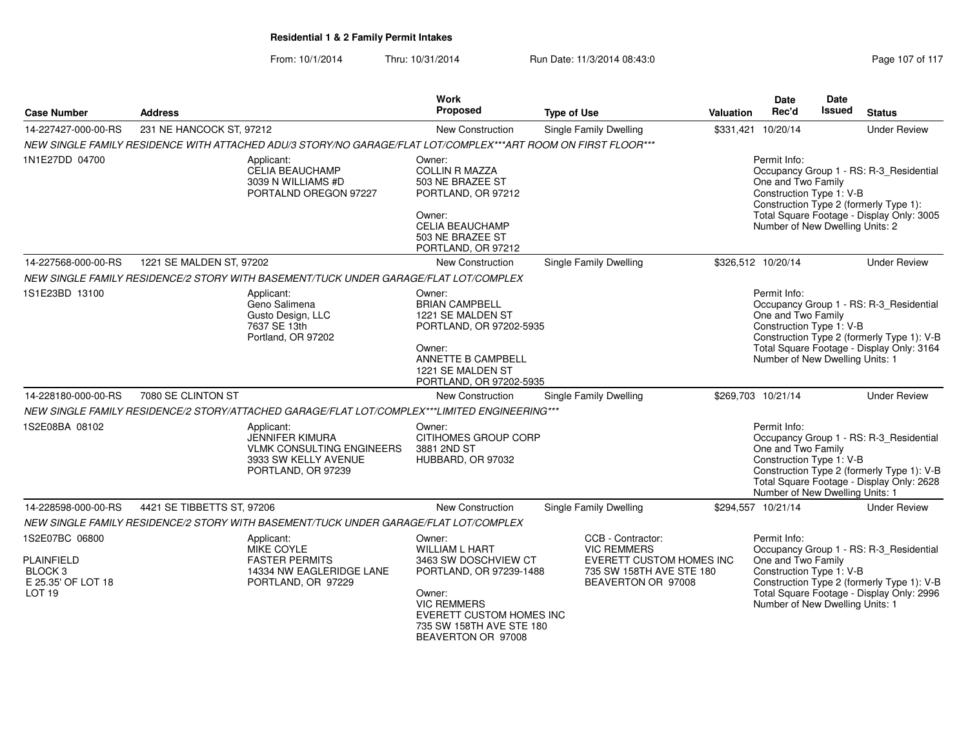| <b>Case Number</b>                                                                                   | <b>Address</b>             |                                                                                                                        | Work<br>Proposed                                                                                                                                                                                 | <b>Type of Use</b>                                                                                                    | Valuation | Date<br>Rec'd                                                                                                                                                                                                                       | <b>Date</b><br>Issued                                                                                                                                                                                | <b>Status</b>                                                                                                                      |  |  |
|------------------------------------------------------------------------------------------------------|----------------------------|------------------------------------------------------------------------------------------------------------------------|--------------------------------------------------------------------------------------------------------------------------------------------------------------------------------------------------|-----------------------------------------------------------------------------------------------------------------------|-----------|-------------------------------------------------------------------------------------------------------------------------------------------------------------------------------------------------------------------------------------|------------------------------------------------------------------------------------------------------------------------------------------------------------------------------------------------------|------------------------------------------------------------------------------------------------------------------------------------|--|--|
| 14-227427-000-00-RS                                                                                  | 231 NE HANCOCK ST, 97212   |                                                                                                                        | New Construction                                                                                                                                                                                 | <b>Single Family Dwelling</b>                                                                                         |           | \$331,421 10/20/14                                                                                                                                                                                                                  |                                                                                                                                                                                                      | <b>Under Review</b>                                                                                                                |  |  |
|                                                                                                      |                            | NEW SINGLE FAMILY RESIDENCE WITH ATTACHED ADU/3 STORY/NO GARAGE/FLAT LOT/COMPLEX***ART ROOM ON FIRST FLOOR***          |                                                                                                                                                                                                  |                                                                                                                       |           |                                                                                                                                                                                                                                     |                                                                                                                                                                                                      |                                                                                                                                    |  |  |
| 1N1E27DD 04700                                                                                       |                            | Applicant:<br>CELIA BEAUCHAMP<br>3039 N WILLIAMS #D<br>PORTALND OREGON 97227                                           | Owner:<br><b>COLLIN R MAZZA</b><br>503 NE BRAZEE ST<br>PORTLAND, OR 97212<br>Owner:<br><b>CELIA BEAUCHAMP</b><br>503 NE BRAZEE ST                                                                |                                                                                                                       |           | Permit Info:<br>Occupancy Group 1 - RS: R-3 Residential<br>One and Two Family<br>Construction Type 1: V-B<br>Construction Type 2 (formerly Type 1):<br>Total Square Footage - Display Only: 3005<br>Number of New Dwelling Units: 2 |                                                                                                                                                                                                      |                                                                                                                                    |  |  |
|                                                                                                      |                            |                                                                                                                        | PORTLAND, OR 97212                                                                                                                                                                               |                                                                                                                       |           |                                                                                                                                                                                                                                     |                                                                                                                                                                                                      |                                                                                                                                    |  |  |
| 14-227568-000-00-RS                                                                                  | 1221 SE MALDEN ST, 97202   |                                                                                                                        | New Construction                                                                                                                                                                                 | <b>Single Family Dwelling</b>                                                                                         |           | \$326.512 10/20/14                                                                                                                                                                                                                  |                                                                                                                                                                                                      | <b>Under Review</b>                                                                                                                |  |  |
|                                                                                                      |                            | NEW SINGLE FAMILY RESIDENCE/2 STORY WITH BASEMENT/TUCK UNDER GARAGE/FLAT LOT/COMPLEX                                   |                                                                                                                                                                                                  |                                                                                                                       |           |                                                                                                                                                                                                                                     |                                                                                                                                                                                                      |                                                                                                                                    |  |  |
| 1S1E23BD 13100                                                                                       |                            | Applicant:<br>Geno Salimena<br>Gusto Design, LLC<br>7637 SE 13th<br>Portland, OR 97202                                 | Owner:<br><b>BRIAN CAMPBELL</b><br>1221 SE MALDEN ST<br>PORTLAND, OR 97202-5935<br>Owner:                                                                                                        |                                                                                                                       |           |                                                                                                                                                                                                                                     | Permit Info:<br>Occupancy Group 1 - RS: R-3_Residential<br>One and Two Family<br>Construction Type 1: V-B<br>Construction Type 2 (formerly Type 1): V-B<br>Total Square Footage - Display Only: 3164 |                                                                                                                                    |  |  |
|                                                                                                      |                            | ANNETTE B CAMPBELL<br>1221 SE MALDEN ST<br>PORTLAND, OR 97202-5935                                                     |                                                                                                                                                                                                  |                                                                                                                       |           | Number of New Dwelling Units: 1                                                                                                                                                                                                     |                                                                                                                                                                                                      |                                                                                                                                    |  |  |
| 14-228180-000-00-RS                                                                                  | 7080 SE CLINTON ST         |                                                                                                                        | New Construction                                                                                                                                                                                 | Single Family Dwelling                                                                                                |           | \$269,703 10/21/14                                                                                                                                                                                                                  |                                                                                                                                                                                                      | <b>Under Review</b>                                                                                                                |  |  |
|                                                                                                      |                            | NEW SINGLE FAMILY RESIDENCE/2 STORY/ATTACHED GARAGE/FLAT LOT/COMPLEX***LIMITED ENGINEERING***                          |                                                                                                                                                                                                  |                                                                                                                       |           |                                                                                                                                                                                                                                     |                                                                                                                                                                                                      |                                                                                                                                    |  |  |
| 1S2E08BA 08102                                                                                       |                            | Applicant:<br><b>JENNIFER KIMURA</b><br><b>VLMK CONSULTING ENGINEERS</b><br>3933 SW KELLY AVENUE<br>PORTLAND, OR 97239 | Owner:<br>CITIHOMES GROUP CORP<br>3881 2ND ST<br>HUBBARD, OR 97032                                                                                                                               |                                                                                                                       |           | Permit Info:<br>One and Two Family<br>Construction Type 1: V-B<br>Number of New Dwelling Units: 1                                                                                                                                   |                                                                                                                                                                                                      | Occupancy Group 1 - RS: R-3_Residential<br>Construction Type 2 (formerly Type 1): V-B<br>Total Square Footage - Display Only: 2628 |  |  |
| 14-228598-000-00-RS                                                                                  | 4421 SE TIBBETTS ST, 97206 |                                                                                                                        | New Construction                                                                                                                                                                                 | Single Family Dwelling                                                                                                |           | \$294,557 10/21/14                                                                                                                                                                                                                  |                                                                                                                                                                                                      | <b>Under Review</b>                                                                                                                |  |  |
|                                                                                                      |                            | NEW SINGLE FAMILY RESIDENCE/2 STORY WITH BASEMENT/TUCK UNDER GARAGE/FLAT LOT/COMPLEX                                   |                                                                                                                                                                                                  |                                                                                                                       |           |                                                                                                                                                                                                                                     |                                                                                                                                                                                                      |                                                                                                                                    |  |  |
| 1S2E07BC 06800<br><b>PLAINFIELD</b><br>BLOCK <sub>3</sub><br>E 25.35' OF LOT 18<br>LOT <sub>19</sub> |                            | Applicant:<br><b>MIKE COYLE</b><br><b>FASTER PERMITS</b><br>14334 NW EAGLERIDGE LANE<br>PORTLAND, OR 97229             | Owner:<br><b>WILLIAM L HART</b><br>3463 SW DOSCHVIEW CT<br>PORTLAND, OR 97239-1488<br>Owner:<br><b>VIC REMMERS</b><br>EVERETT CUSTOM HOMES INC<br>735 SW 158TH AVE STE 180<br>BEAVERTON OR 97008 | CCB - Contractor:<br><b>VIC REMMERS</b><br>EVERETT CUSTOM HOMES INC<br>735 SW 158TH AVE STE 180<br>BEAVERTON OR 97008 |           | Permit Info:<br>One and Two Family<br>Construction Type 1: V-B<br>Number of New Dwelling Units: 1                                                                                                                                   |                                                                                                                                                                                                      | Occupancy Group 1 - RS: R-3_Residential<br>Construction Type 2 (formerly Type 1): V-B<br>Total Square Footage - Display Only: 2996 |  |  |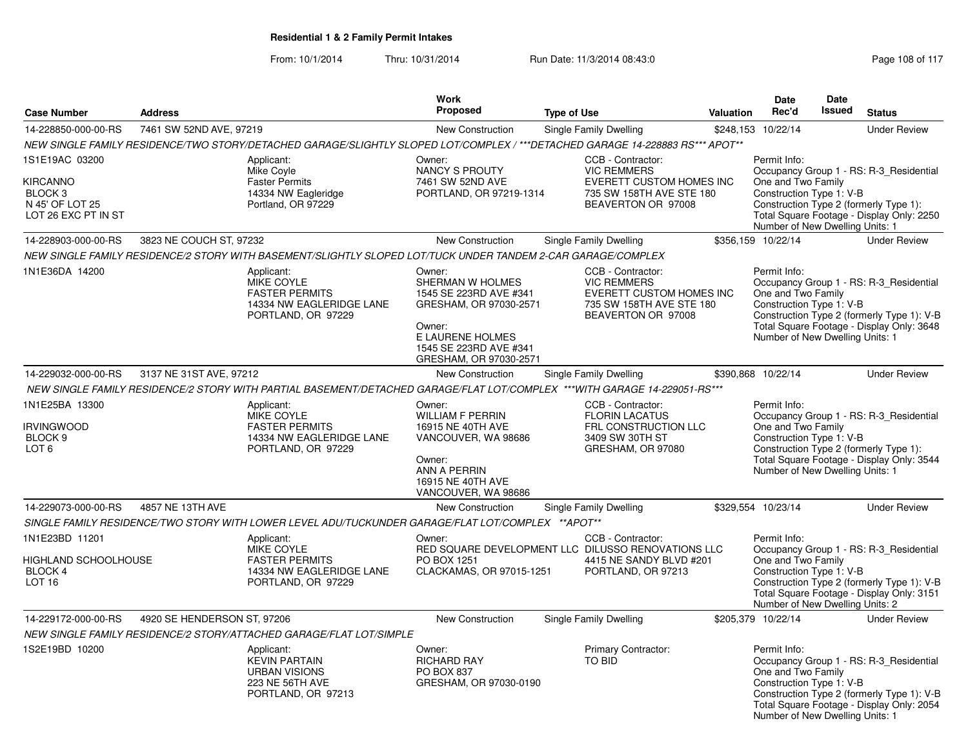|                                                                                            |                             |                                                                                                                               | Work                                                                                                                                                                                                                 |                    |                                                                                                                              |                                                                                                                                                                                                                                     | Date                                                                                              | <b>Date</b>   |                                                                                                                                    |
|--------------------------------------------------------------------------------------------|-----------------------------|-------------------------------------------------------------------------------------------------------------------------------|----------------------------------------------------------------------------------------------------------------------------------------------------------------------------------------------------------------------|--------------------|------------------------------------------------------------------------------------------------------------------------------|-------------------------------------------------------------------------------------------------------------------------------------------------------------------------------------------------------------------------------------|---------------------------------------------------------------------------------------------------|---------------|------------------------------------------------------------------------------------------------------------------------------------|
| <b>Case Number</b>                                                                         | <b>Address</b>              |                                                                                                                               | Proposed                                                                                                                                                                                                             | <b>Type of Use</b> |                                                                                                                              | <b>Valuation</b>                                                                                                                                                                                                                    | Rec'd                                                                                             | <b>Issued</b> | <b>Status</b>                                                                                                                      |
| 14-228850-000-00-RS                                                                        | 7461 SW 52ND AVE, 97219     |                                                                                                                               | New Construction                                                                                                                                                                                                     |                    | <b>Single Family Dwelling</b>                                                                                                |                                                                                                                                                                                                                                     | \$248,153 10/22/14                                                                                |               | <b>Under Review</b>                                                                                                                |
|                                                                                            |                             | NEW SINGLE FAMILY RESIDENCE/TWO STORY/DETACHED GARAGE/SLIGHTLY SLOPED LOT/COMPLEX / ***DETACHED GARAGE 14-228883 RS*** APOT** |                                                                                                                                                                                                                      |                    |                                                                                                                              |                                                                                                                                                                                                                                     |                                                                                                   |               |                                                                                                                                    |
| 1S1E19AC 03200<br>KIRCANNO<br>BLOCK <sub>3</sub><br>N 45' OF LOT 25<br>LOT 26 EXC PT IN ST |                             | Applicant:<br>Mike Coyle<br><b>Faster Permits</b><br>14334 NW Eagleridge<br>Portland, OR 97229                                | Owner:<br><b>NANCY S PROUTY</b><br>7461 SW 52ND AVE<br>PORTLAND, OR 97219-1314                                                                                                                                       |                    | CCB - Contractor:<br><b>VIC REMMERS</b><br><b>EVERETT CUSTOM HOMES INC</b><br>735 SW 158TH AVE STE 180<br>BEAVERTON OR 97008 |                                                                                                                                                                                                                                     | Permit Info:<br>One and Two Family<br>Construction Type 1: V-B<br>Number of New Dwelling Units: 1 |               | Occupancy Group 1 - RS: R-3_Residential<br>Construction Type 2 (formerly Type 1):<br>Total Square Footage - Display Only: 2250     |
| 14-228903-000-00-RS                                                                        | 3823 NE COUCH ST, 97232     |                                                                                                                               | New Construction                                                                                                                                                                                                     |                    | Single Family Dwelling                                                                                                       |                                                                                                                                                                                                                                     | \$356,159 10/22/14                                                                                |               | <b>Under Review</b>                                                                                                                |
|                                                                                            |                             | NEW SINGLE FAMILY RESIDENCE/2 STORY WITH BASEMENT/SLIGHTLY SLOPED LOT/TUCK UNDER TANDEM 2-CAR GARAGE/COMPLEX                  |                                                                                                                                                                                                                      |                    |                                                                                                                              |                                                                                                                                                                                                                                     |                                                                                                   |               |                                                                                                                                    |
| 1N1E36DA 14200                                                                             |                             | Applicant:<br>MIKE COYLE<br><b>FASTER PERMITS</b><br>14334 NW EAGLERIDGE LANE<br>PORTLAND, OR 97229                           | Owner:<br>SHERMAN W HOLMES<br>1545 SE 223RD AVE #341<br>GRESHAM, OR 97030-2571<br>Owner:<br>E LAURENE HOLMES<br>1545 SE 223RD AVE #341<br>GRESHAM, OR 97030-2571                                                     |                    | CCB - Contractor:<br><b>VIC REMMERS</b><br>EVERETT CUSTOM HOMES INC<br>735 SW 158TH AVE STE 180<br>BEAVERTON OR 97008        |                                                                                                                                                                                                                                     | Permit Info:<br>One and Two Family<br>Construction Type 1: V-B<br>Number of New Dwelling Units: 1 |               | Occupancy Group 1 - RS: R-3_Residential<br>Construction Type 2 (formerly Type 1): V-B<br>Total Square Footage - Display Only: 3648 |
| 14-229032-000-00-RS                                                                        | 3137 NE 31ST AVE, 97212     |                                                                                                                               | New Construction                                                                                                                                                                                                     |                    | <b>Single Family Dwelling</b>                                                                                                |                                                                                                                                                                                                                                     | \$390,868 10/22/14                                                                                |               | <b>Under Review</b>                                                                                                                |
|                                                                                            |                             | NEW SINGLE FAMILY RESIDENCE/2 STORY WITH PARTIAL BASEMENT/DETACHED GARAGE/FLAT LOT/COMPLEX ***WITH GARAGE 14-229051-RS***     |                                                                                                                                                                                                                      |                    |                                                                                                                              |                                                                                                                                                                                                                                     |                                                                                                   |               |                                                                                                                                    |
| 1N1E25BA 13300<br>Applicant:<br><b>IRVINGWOOD</b><br>BLOCK 9<br>LOT <sub>6</sub>           |                             | MIKE COYLE<br><b>FASTER PERMITS</b><br>14334 NW EAGLERIDGE LANE<br>PORTLAND, OR 97229                                         | CCB - Contractor:<br>Owner:<br><b>FLORIN LACATUS</b><br><b>WILLIAM F PERRIN</b><br>16915 NE 40TH AVE<br>3409 SW 30TH ST<br>VANCOUVER, WA 98686<br>Owner:<br>ANN A PERRIN<br>16915 NE 40TH AVE<br>VANCOUVER, WA 98686 |                    | FRL CONSTRUCTION LLC<br>GRESHAM, OR 97080                                                                                    | Permit Info:<br>Occupancy Group 1 - RS: R-3_Residential<br>One and Two Family<br>Construction Type 1: V-B<br>Construction Type 2 (formerly Type 1):<br>Total Square Footage - Display Only: 3544<br>Number of New Dwelling Units: 1 |                                                                                                   |               |                                                                                                                                    |
| 14-229073-000-00-RS                                                                        | 4857 NE 13TH AVE            |                                                                                                                               | New Construction                                                                                                                                                                                                     |                    | <b>Single Family Dwelling</b>                                                                                                |                                                                                                                                                                                                                                     | \$329,554 10/23/14                                                                                |               | <b>Under Review</b>                                                                                                                |
|                                                                                            |                             | SINGLE FAMILY RESIDENCE/TWO STORY WITH LOWER LEVEL ADU/TUCKUNDER GARAGE/FLAT LOT/COMPLEX **APOT**                             |                                                                                                                                                                                                                      |                    |                                                                                                                              |                                                                                                                                                                                                                                     |                                                                                                   |               |                                                                                                                                    |
| 1N1E23BD 11201<br>HIGHLAND SCHOOLHOUSE<br>BLOCK 4<br><b>LOT 16</b>                         |                             | Applicant:<br>MIKE COYLE<br><b>FASTER PERMITS</b><br>14334 NW EAGLERIDGE LANE<br>PORTLAND, OR 97229                           | Owner:<br>RED SQUARE DEVELOPMENT LLC DILUSSO RENOVATIONS LLC<br>PO BOX 1251<br>CLACKAMAS, OR 97015-1251                                                                                                              |                    | CCB - Contractor:<br>4415 NE SANDY BLVD #201<br>PORTLAND, OR 97213                                                           |                                                                                                                                                                                                                                     | Permit Info:<br>One and Two Family<br>Construction Type 1: V-B<br>Number of New Dwelling Units: 2 |               | Occupancy Group 1 - RS: R-3_Residential<br>Construction Type 2 (formerly Type 1): V-B<br>Total Square Footage - Display Only: 3151 |
| 14-229172-000-00-RS                                                                        | 4920 SE HENDERSON ST, 97206 |                                                                                                                               | New Construction                                                                                                                                                                                                     |                    | Single Family Dwelling                                                                                                       |                                                                                                                                                                                                                                     | \$205,379 10/22/14                                                                                |               | <b>Under Review</b>                                                                                                                |
|                                                                                            |                             | NEW SINGLE FAMILY RESIDENCE/2 STORY/ATTACHED GARAGE/FLAT LOT/SIMPLE                                                           |                                                                                                                                                                                                                      |                    |                                                                                                                              |                                                                                                                                                                                                                                     |                                                                                                   |               |                                                                                                                                    |
| 1S2E19BD 10200                                                                             |                             | Applicant:<br><b>KEVIN PARTAIN</b><br><b>URBAN VISIONS</b><br>223 NE 56TH AVE<br>PORTLAND, OR 97213                           | Owner:<br><b>RICHARD RAY</b><br><b>PO BOX 837</b><br>GRESHAM, OR 97030-0190                                                                                                                                          |                    | Primary Contractor:<br><b>TO BID</b>                                                                                         |                                                                                                                                                                                                                                     | Permit Info:<br>One and Two Family<br>Construction Type 1: V-B<br>Number of New Dwelling Units: 1 |               | Occupancy Group 1 - RS: R-3_Residential<br>Construction Type 2 (formerly Type 1): V-B<br>Total Square Footage - Display Only: 2054 |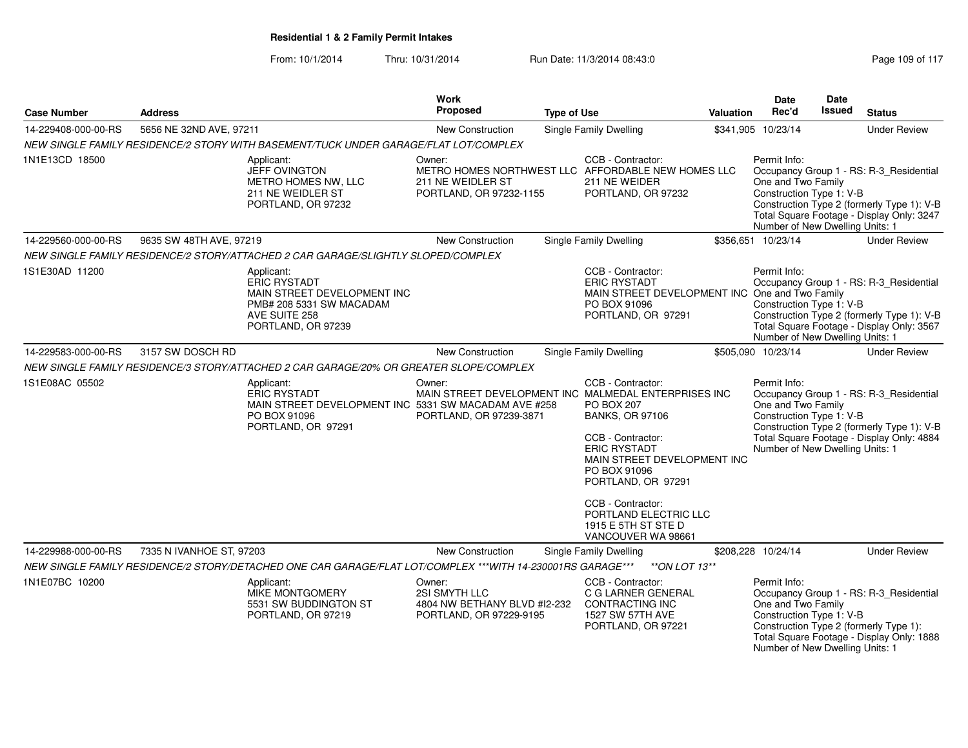| <b>Case Number</b>  | <b>Address</b>           |                                                                                                                                     | Work<br>Proposed                                                                   | <b>Type of Use</b> |                                                                                                                                                                                                                                                                                                                                      | <b>Valuation</b> | <b>Date</b><br>Rec'd                                                                              | <b>Date</b><br><b>Issued</b> | <b>Status</b>                                                                                                                      |
|---------------------|--------------------------|-------------------------------------------------------------------------------------------------------------------------------------|------------------------------------------------------------------------------------|--------------------|--------------------------------------------------------------------------------------------------------------------------------------------------------------------------------------------------------------------------------------------------------------------------------------------------------------------------------------|------------------|---------------------------------------------------------------------------------------------------|------------------------------|------------------------------------------------------------------------------------------------------------------------------------|
| 14-229408-000-00-RS | 5656 NE 32ND AVE, 97211  |                                                                                                                                     | New Construction                                                                   |                    | Single Family Dwelling                                                                                                                                                                                                                                                                                                               |                  | \$341,905 10/23/14                                                                                |                              | <b>Under Review</b>                                                                                                                |
|                     |                          | NEW SINGLE FAMILY RESIDENCE/2 STORY WITH BASEMENT/TUCK UNDER GARAGE/FLAT LOT/COMPLEX                                                |                                                                                    |                    |                                                                                                                                                                                                                                                                                                                                      |                  |                                                                                                   |                              |                                                                                                                                    |
| 1N1E13CD 18500      |                          | Applicant:<br><b>JEFF OVINGTON</b><br>METRO HOMES NW, LLC<br>211 NE WEIDLER ST<br>PORTLAND, OR 97232                                | Owner:<br>211 NE WEIDLER ST<br>PORTLAND, OR 97232-1155                             |                    | CCB - Contractor:<br>METRO HOMES NORTHWEST LLC AFFORDABLE NEW HOMES LLC<br>211 NE WEIDER<br>PORTLAND, OR 97232                                                                                                                                                                                                                       |                  | Permit Info:<br>One and Two Family<br>Construction Type 1: V-B<br>Number of New Dwelling Units: 1 |                              | Occupancy Group 1 - RS: R-3_Residential<br>Construction Type 2 (formerly Type 1): V-B<br>Total Square Footage - Display Only: 3247 |
| 14-229560-000-00-RS | 9635 SW 48TH AVE, 97219  |                                                                                                                                     | New Construction                                                                   |                    | Single Family Dwelling                                                                                                                                                                                                                                                                                                               |                  | \$356,651 10/23/14                                                                                |                              | <b>Under Review</b>                                                                                                                |
|                     |                          | NEW SINGLE FAMILY RESIDENCE/2 STORY/ATTACHED 2 CAR GARAGE/SLIGHTLY SLOPED/COMPLEX                                                   |                                                                                    |                    |                                                                                                                                                                                                                                                                                                                                      |                  |                                                                                                   |                              |                                                                                                                                    |
| 1S1E30AD 11200      |                          | Applicant:<br><b>ERIC RYSTADT</b><br>MAIN STREET DEVELOPMENT INC<br>PMB# 208 5331 SW MACADAM<br>AVE SUITE 258<br>PORTLAND, OR 97239 |                                                                                    |                    | CCB - Contractor:<br><b>ERIC RYSTADT</b><br>MAIN STREET DEVELOPMENT INC One and Two Family<br>PO BOX 91096<br>PORTLAND, OR 97291                                                                                                                                                                                                     |                  | Permit Info:<br>Construction Type 1: V-B<br>Number of New Dwelling Units: 1                       |                              | Occupancy Group 1 - RS: R-3_Residential<br>Construction Type 2 (formerly Type 1): V-B<br>Total Square Footage - Display Only: 3567 |
| 14-229583-000-00-RS | 3157 SW DOSCH RD         |                                                                                                                                     | New Construction                                                                   |                    | Single Family Dwelling                                                                                                                                                                                                                                                                                                               |                  | \$505,090 10/23/14                                                                                |                              | <b>Under Review</b>                                                                                                                |
|                     |                          | NEW SINGLE FAMILY RESIDENCE/3 STORY/ATTACHED 2 CAR GARAGE/20% OR GREATER SLOPE/COMPLEX                                              |                                                                                    |                    |                                                                                                                                                                                                                                                                                                                                      |                  |                                                                                                   |                              |                                                                                                                                    |
| 1S1E08AC 05502      |                          | Applicant:<br><b>ERIC RYSTADT</b><br>MAIN STREET DEVELOPMENT INC 5331 SW MACADAM AVE #258<br>PO BOX 91096<br>PORTLAND, OR 97291     | Owner:<br>PORTLAND, OR 97239-3871                                                  |                    | CCB - Contractor:<br>MAIN STREET DEVELOPMENT INC MALMEDAL ENTERPRISES INC<br><b>PO BOX 207</b><br><b>BANKS, OR 97106</b><br>CCB - Contractor:<br><b>ERIC RYSTADT</b><br>MAIN STREET DEVELOPMENT INC<br>PO BOX 91096<br>PORTLAND, OR 97291<br>CCB - Contractor:<br>PORTLAND ELECTRIC LLC<br>1915 E 5TH ST STE D<br>VANCOUVER WA 98661 |                  | Permit Info:<br>One and Two Family<br>Construction Type 1: V-B<br>Number of New Dwelling Units: 1 |                              | Occupancy Group 1 - RS: R-3_Residential<br>Construction Type 2 (formerly Type 1): V-B<br>Total Square Footage - Display Only: 4884 |
| 14-229988-000-00-RS | 7335 N IVANHOE ST, 97203 |                                                                                                                                     | New Construction                                                                   |                    | Single Family Dwelling                                                                                                                                                                                                                                                                                                               |                  | \$208,228 10/24/14                                                                                |                              | <b>Under Review</b>                                                                                                                |
|                     |                          | NEW SINGLE FAMILY RESIDENCE/2 STORY/DETACHED ONE CAR GARAGE/FLAT LOT/COMPLEX ***WITH 14-230001RS GARAGE***                          |                                                                                    |                    | **ON LOT $13**$                                                                                                                                                                                                                                                                                                                      |                  |                                                                                                   |                              |                                                                                                                                    |
| 1N1E07BC 10200      |                          | Applicant:<br><b>MIKE MONTGOMERY</b><br>5531 SW BUDDINGTON ST<br>PORTLAND, OR 97219                                                 | Owner:<br>2SI SMYTH LLC<br>4804 NW BETHANY BLVD #12-232<br>PORTLAND, OR 97229-9195 |                    | CCB - Contractor:<br>C G LARNER GENERAL<br><b>CONTRACTING INC</b><br>1527 SW 57TH AVE<br>PORTLAND, OR 97221                                                                                                                                                                                                                          |                  | Permit Info:<br>One and Two Family<br>Construction Type 1: V-B<br>Number of New Dwelling Units: 1 |                              | Occupancy Group 1 - RS: R-3 Residential<br>Construction Type 2 (formerly Type 1):<br>Total Square Footage - Display Only: 1888     |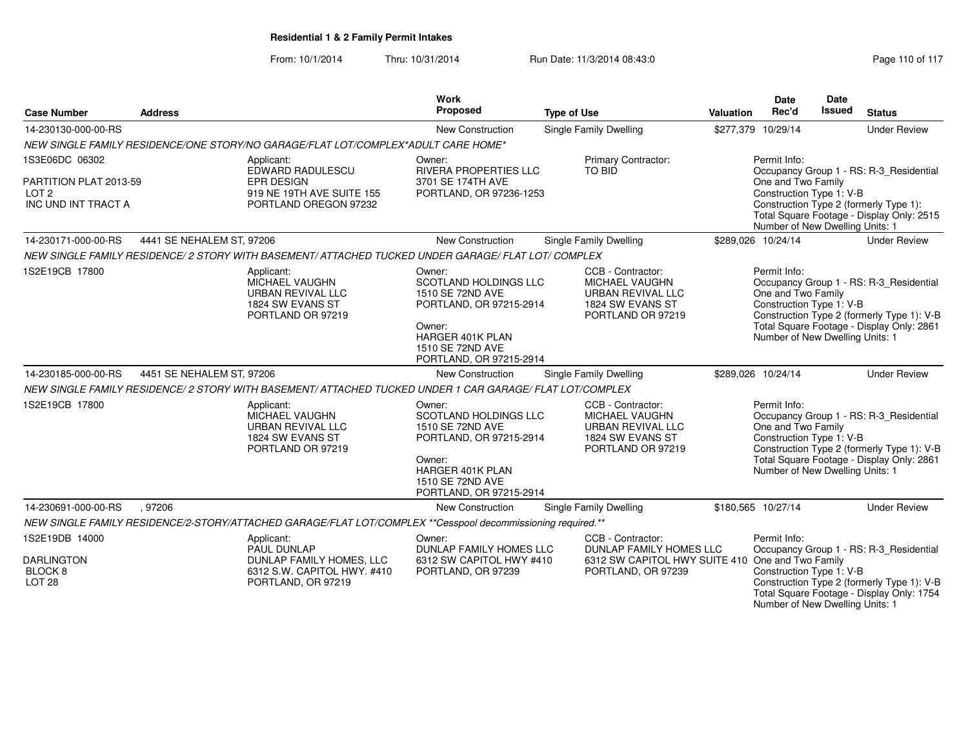| <b>Case Number</b>                                                                  | <b>Address</b>            |                                                                                                             | <b>Work</b><br><b>Proposed</b>                                                                                                                                            | <b>Type of Use</b>                                                                                                                                                                                                                  | <b>Valuation</b> | <b>Date</b><br>Rec'd                                                                              | Date<br>Issued | <b>Status</b>                                                                                                                      |  |
|-------------------------------------------------------------------------------------|---------------------------|-------------------------------------------------------------------------------------------------------------|---------------------------------------------------------------------------------------------------------------------------------------------------------------------------|-------------------------------------------------------------------------------------------------------------------------------------------------------------------------------------------------------------------------------------|------------------|---------------------------------------------------------------------------------------------------|----------------|------------------------------------------------------------------------------------------------------------------------------------|--|
| 14-230130-000-00-RS                                                                 |                           |                                                                                                             | <b>New Construction</b>                                                                                                                                                   | <b>Single Family Dwelling</b>                                                                                                                                                                                                       |                  | \$277,379 10/29/14                                                                                |                | <b>Under Review</b>                                                                                                                |  |
|                                                                                     |                           | NEW SINGLE FAMILY RESIDENCE/ONE STORY/NO GARAGE/FLAT LOT/COMPLEX*ADULT CARE HOME*                           |                                                                                                                                                                           |                                                                                                                                                                                                                                     |                  |                                                                                                   |                |                                                                                                                                    |  |
| 1S3E06DC 06302<br>PARTITION PLAT 2013-59<br>LOT <sub>2</sub><br>INC UND INT TRACT A |                           | Applicant:<br>EDWARD RADULESCU<br><b>EPR DESIGN</b><br>919 NE 19TH AVE SUITE 155<br>PORTLAND OREGON 97232   | Owner:<br><b>RIVERA PROPERTIES LLC</b><br>3701 SE 174TH AVE<br>PORTLAND, OR 97236-1253                                                                                    | Permit Info:<br>Occupancy Group 1 - RS: R-3_Residential<br>One and Two Family<br>Construction Type 1: V-B<br>Construction Type 2 (formerly Type 1):<br>Total Square Footage - Display Only: 2515<br>Number of New Dwelling Units: 1 |                  |                                                                                                   |                |                                                                                                                                    |  |
| 14-230171-000-00-RS                                                                 | 4441 SE NEHALEM ST, 97206 |                                                                                                             | New Construction                                                                                                                                                          | Single Family Dwelling                                                                                                                                                                                                              |                  | \$289,026 10/24/14                                                                                |                | <b>Under Review</b>                                                                                                                |  |
|                                                                                     |                           | NEW SINGLE FAMILY RESIDENCE/ 2 STORY WITH BASEMENT/ ATTACHED TUCKED UNDER GARAGE/ FLAT LOT/ COMPLEX         |                                                                                                                                                                           |                                                                                                                                                                                                                                     |                  |                                                                                                   |                |                                                                                                                                    |  |
| 1S2E19CB 17800                                                                      |                           | Applicant:<br>MICHAEL VAUGHN<br><b>URBAN REVIVAL LLC</b><br>1824 SW EVANS ST<br>PORTLAND OR 97219           | Owner:<br><b>SCOTLAND HOLDINGS LLC</b><br>1510 SE 72ND AVE<br>PORTLAND, OR 97215-2914<br>Owner:<br><b>HARGER 401K PLAN</b><br>1510 SE 72ND AVE<br>PORTLAND, OR 97215-2914 | CCB - Contractor:<br>MICHAEL VAUGHN<br>URBAN REVIVAL LLC<br>1824 SW EVANS ST<br>PORTLAND OR 97219                                                                                                                                   |                  | Permit Info:<br>One and Two Family<br>Construction Type 1: V-B<br>Number of New Dwelling Units: 1 |                | Occupancy Group 1 - RS: R-3_Residential<br>Construction Type 2 (formerly Type 1): V-B<br>Total Square Footage - Display Only: 2861 |  |
| 14-230185-000-00-RS                                                                 | 4451 SE NEHALEM ST, 97206 |                                                                                                             | <b>New Construction</b>                                                                                                                                                   | Single Family Dwelling                                                                                                                                                                                                              |                  | \$289,026 10/24/14                                                                                |                | <b>Under Review</b>                                                                                                                |  |
|                                                                                     |                           | NEW SINGLE FAMILY RESIDENCE/ 2 STORY WITH BASEMENT/ ATTACHED TUCKED UNDER 1 CAR GARAGE/ FLAT LOT/COMPLEX    |                                                                                                                                                                           |                                                                                                                                                                                                                                     |                  |                                                                                                   |                |                                                                                                                                    |  |
| 1S2E19CB 17800                                                                      |                           | Applicant:<br>MICHAEL VAUGHN<br><b>URBAN REVIVAL LLC</b><br>1824 SW EVANS ST<br>PORTLAND OR 97219           | Owner:<br><b>SCOTLAND HOLDINGS LLC</b><br>1510 SE 72ND AVE<br>PORTLAND, OR 97215-2914<br>Owner:<br>HARGER 401K PLAN<br>1510 SE 72ND AVE<br>PORTLAND, OR 97215-2914        | CCB - Contractor:<br>MICHAEL VAUGHN<br>URBAN REVIVAL LLC<br>1824 SW EVANS ST<br>PORTLAND OR 97219                                                                                                                                   |                  | Permit Info:<br>One and Two Family<br>Construction Type 1: V-B<br>Number of New Dwelling Units: 1 |                | Occupancy Group 1 - RS: R-3_Residential<br>Construction Type 2 (formerly Type 1): V-B<br>Total Square Footage - Display Only: 2861 |  |
| 14-230691-000-00-RS                                                                 | .97206                    |                                                                                                             | <b>New Construction</b>                                                                                                                                                   | Single Family Dwelling                                                                                                                                                                                                              |                  | \$180,565 10/27/14                                                                                |                | <b>Under Review</b>                                                                                                                |  |
|                                                                                     |                           | NEW SINGLE FAMILY RESIDENCE/2-STORY/ATTACHED GARAGE/FLAT LOT/COMPLEX **Cesspool decommissioning required.** |                                                                                                                                                                           |                                                                                                                                                                                                                                     |                  |                                                                                                   |                |                                                                                                                                    |  |
| 1S2E19DB 14000<br><b>DARLINGTON</b><br>BLOCK <sub>8</sub>                           |                           | Applicant:<br>PAUL DUNLAP<br>DUNLAP FAMILY HOMES, LLC<br>6312 S.W. CAPITOL HWY. #410                        | Owner:<br><b>DUNLAP FAMILY HOMES LLC</b><br>6312 SW CAPITOL HWY #410<br>PORTLAND, OR 97239                                                                                | CCB - Contractor:<br>DUNLAP FAMILY HOMES LLC<br>6312 SW CAPITOL HWY SUITE 410 One and Two Family<br>PORTLAND, OR 97239                                                                                                              |                  | Permit Info:<br>Occupancy Group 1 - RS: R-3_Residential<br>Construction Type 1: V-B               |                |                                                                                                                                    |  |
| LOT 28                                                                              |                           | PORTLAND, OR 97219                                                                                          |                                                                                                                                                                           |                                                                                                                                                                                                                                     |                  | Number of New Dwelling Units: 1                                                                   |                | Construction Type 2 (formerly Type 1): V-B<br>Total Square Footage - Display Only: 1754                                            |  |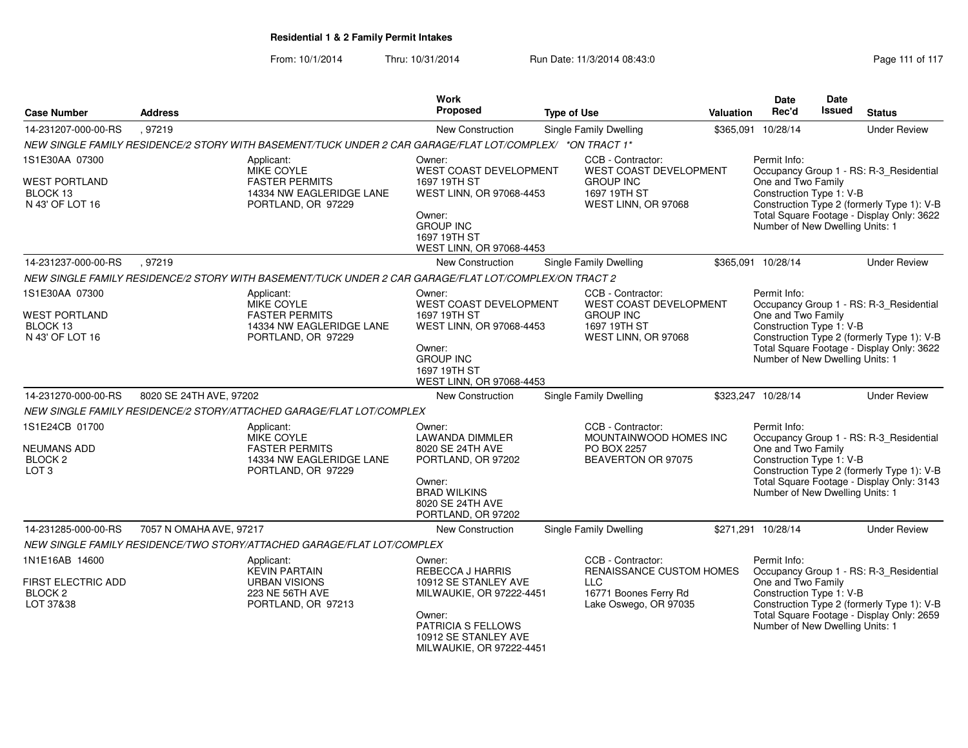| <b>Case Number</b>                                                      | <b>Address</b>                                                                                      |                                                                                                          | <b>Work</b><br>Proposed                                                                                            | <b>Type of Use</b>                                                                                            | Valuation                                                                                                                                 | Date<br>Rec'd                                                                                                                                                                                        | Date<br><b>Issued</b> | <b>Status</b>                           |  |
|-------------------------------------------------------------------------|-----------------------------------------------------------------------------------------------------|----------------------------------------------------------------------------------------------------------|--------------------------------------------------------------------------------------------------------------------|---------------------------------------------------------------------------------------------------------------|-------------------------------------------------------------------------------------------------------------------------------------------|------------------------------------------------------------------------------------------------------------------------------------------------------------------------------------------------------|-----------------------|-----------------------------------------|--|
| 14-231207-000-00-RS                                                     | , 97219                                                                                             |                                                                                                          | <b>New Construction</b>                                                                                            | Single Family Dwelling                                                                                        |                                                                                                                                           | \$365,091 10/28/14                                                                                                                                                                                   |                       | <b>Under Review</b>                     |  |
|                                                                         |                                                                                                     | NEW SINGLE FAMILY RESIDENCE/2 STORY WITH BASEMENT/TUCK UNDER 2 CAR GARAGE/FLAT LOT/COMPLEX/ *ON TRACT 1* |                                                                                                                    |                                                                                                               |                                                                                                                                           |                                                                                                                                                                                                      |                       |                                         |  |
| 1S1E30AA 07300                                                          |                                                                                                     | Applicant:<br>MIKE COYLE                                                                                 | Owner:<br>WEST COAST DEVELOPMENT                                                                                   | CCB - Contractor:<br>WEST COAST DEVELOPMENT                                                                   |                                                                                                                                           | Permit Info:                                                                                                                                                                                         |                       | Occupancy Group 1 - RS: R-3_Residential |  |
| <b>WEST PORTLAND</b><br>BLOCK 13<br>N 43' OF LOT 16                     |                                                                                                     | <b>FASTER PERMITS</b><br>14334 NW EAGLERIDGE LANE<br>PORTLAND, OR 97229                                  | 1697 19TH ST<br>WEST LINN, OR 97068-4453                                                                           | <b>GROUP INC</b><br>1697 19TH ST<br>WEST LINN, OR 97068                                                       |                                                                                                                                           | One and Two Family<br>Construction Type 1: V-B<br>Construction Type 2 (formerly Type 1): V-B<br>Total Square Footage - Display Only: 3622                                                            |                       |                                         |  |
|                                                                         |                                                                                                     | Owner:<br><b>GROUP INC</b><br>1697 19TH ST<br>WEST LINN, OR 97068-4453                                   |                                                                                                                    |                                                                                                               | Number of New Dwelling Units: 1                                                                                                           |                                                                                                                                                                                                      |                       |                                         |  |
| 14-231237-000-00-RS                                                     | .97219                                                                                              |                                                                                                          | <b>New Construction</b>                                                                                            | Single Family Dwelling                                                                                        |                                                                                                                                           | \$365,091 10/28/14                                                                                                                                                                                   |                       | <b>Under Review</b>                     |  |
|                                                                         |                                                                                                     | NEW SINGLE FAMILY RESIDENCE/2 STORY WITH BASEMENT/TUCK UNDER 2 CAR GARAGE/FLAT LOT/COMPLEX/ON TRACT 2    |                                                                                                                    |                                                                                                               |                                                                                                                                           |                                                                                                                                                                                                      |                       |                                         |  |
| 1S1E30AA 07300                                                          |                                                                                                     | Applicant:<br>MIKE COYLE                                                                                 | Owner:<br>WEST COAST DEVELOPMENT                                                                                   | CCB - Contractor:<br>WEST COAST DEVELOPMENT                                                                   |                                                                                                                                           | Permit Info:<br>Occupancy Group 1 - RS: R-3_Residential                                                                                                                                              |                       |                                         |  |
| <b>WEST PORTLAND</b><br>BLOCK 13<br>N 43' OF LOT 16                     |                                                                                                     | <b>FASTER PERMITS</b><br>14334 NW EAGLERIDGE LANE<br>PORTLAND, OR 97229                                  | 1697 19TH ST<br>WEST LINN, OR 97068-4453<br>Owner:<br><b>GROUP INC</b><br>1697 19TH ST<br>WEST LINN, OR 97068-4453 | <b>GROUP INC</b><br>1697 19TH ST<br>WEST LINN, OR 97068                                                       |                                                                                                                                           | One and Two Family<br>Construction Type 1: V-B<br>Construction Type 2 (formerly Type 1): V-B<br>Total Square Footage - Display Only: 3622<br>Number of New Dwelling Units: 1                         |                       |                                         |  |
| 14-231270-000-00-RS                                                     | 8020 SE 24TH AVE, 97202                                                                             |                                                                                                          | New Construction                                                                                                   | Single Family Dwelling                                                                                        |                                                                                                                                           | \$323,247 10/28/14                                                                                                                                                                                   |                       | <b>Under Review</b>                     |  |
|                                                                         |                                                                                                     | NEW SINGLE FAMILY RESIDENCE/2 STORY/ATTACHED GARAGE/FLAT LOT/COMPLEX                                     |                                                                                                                    |                                                                                                               |                                                                                                                                           |                                                                                                                                                                                                      |                       |                                         |  |
| 1S1E24CB 01700                                                          |                                                                                                     | Applicant:<br><b>MIKE COYLE</b>                                                                          | Owner:<br><b>LAWANDA DIMMLER</b>                                                                                   | CCB - Contractor:<br>MOUNTAINWOOD HOMES INC                                                                   |                                                                                                                                           | Permit Info:<br>Occupancy Group 1 - RS: R-3_Residential                                                                                                                                              |                       |                                         |  |
| <b>NEUMANS ADD</b><br>BLOCK <sub>2</sub><br>LOT <sub>3</sub>            |                                                                                                     | <b>FASTER PERMITS</b><br>14334 NW EAGLERIDGE LANE<br>PORTLAND, OR 97229                                  | 8020 SE 24TH AVE<br>PORTLAND, OR 97202<br>Owner:                                                                   | BEAVERTON OR 97075                                                                                            | One and Two Family<br>Construction Type 1: V-B<br>Construction Type 2 (formerly Type 1): V-B<br>Total Square Footage - Display Only: 3143 |                                                                                                                                                                                                      |                       |                                         |  |
|                                                                         |                                                                                                     |                                                                                                          | <b>BRAD WILKINS</b><br>8020 SE 24TH AVE<br>PORTLAND, OR 97202                                                      |                                                                                                               | Number of New Dwelling Units: 1                                                                                                           |                                                                                                                                                                                                      |                       |                                         |  |
| 14-231285-000-00-RS                                                     | 7057 N OMAHA AVE, 97217                                                                             |                                                                                                          | New Construction                                                                                                   | Single Family Dwelling                                                                                        |                                                                                                                                           | \$271,291 10/28/14                                                                                                                                                                                   |                       | <b>Under Review</b>                     |  |
|                                                                         |                                                                                                     | NEW SINGLE FAMILY RESIDENCE/TWO STORY/ATTACHED GARAGE/FLAT LOT/COMPLEX                                   |                                                                                                                    |                                                                                                               |                                                                                                                                           |                                                                                                                                                                                                      |                       |                                         |  |
| 1N1E16AB 14600<br>FIRST ELECTRIC ADD<br>BLOCK <sub>2</sub><br>LOT 37&38 | Applicant:<br><b>KEVIN PARTAIN</b><br><b>URBAN VISIONS</b><br>223 NE 56TH AVE<br>PORTLAND, OR 97213 |                                                                                                          | Owner:<br><b>REBECCA J HARRIS</b><br>10912 SE STANLEY AVE<br>MILWAUKIE, OR 97222-4451<br>Owner:                    | CCB - Contractor:<br>RENAISSANCE CUSTOM HOMES<br><b>LLC</b><br>16771 Boones Ferry Rd<br>Lake Oswego, OR 97035 |                                                                                                                                           | Permit Info:<br>Occupancy Group 1 - RS: R-3_Residential<br>One and Two Family<br>Construction Type 1: V-B<br>Construction Type 2 (formerly Type 1): V-B<br>Total Square Footage - Display Only: 2659 |                       |                                         |  |
|                                                                         |                                                                                                     |                                                                                                          |                                                                                                                    | MILWAUKIE, OR 97222-4451                                                                                      |                                                                                                                                           |                                                                                                                                                                                                      |                       | Number of New Dwelling Units: 1         |  |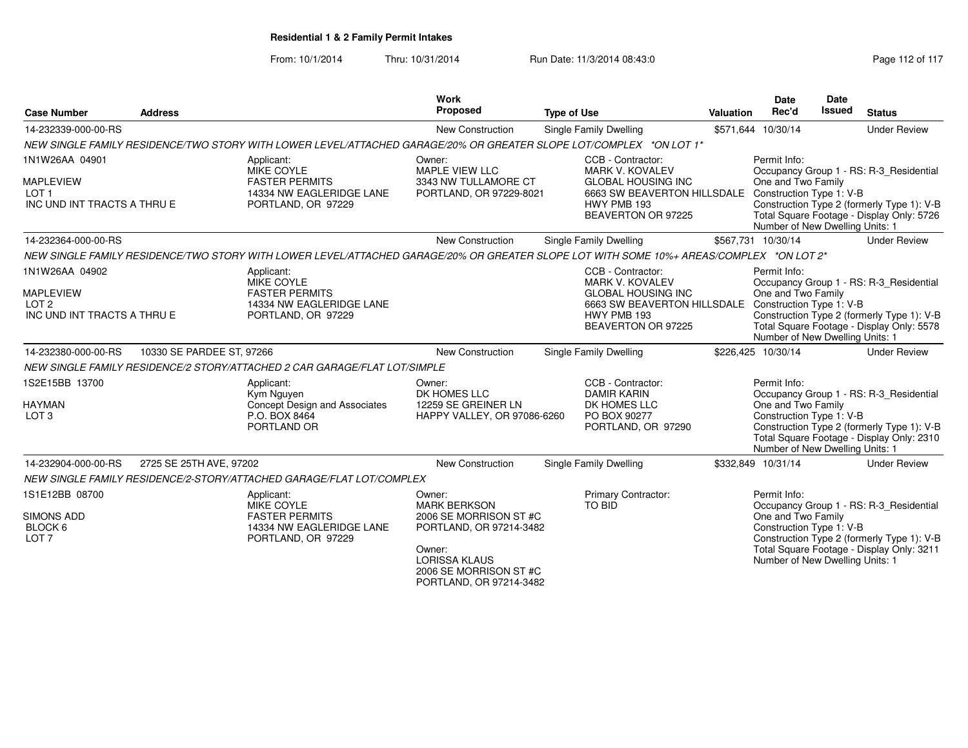| <b>Case Number</b>                                                                    | <b>Address</b>            |                                                                                                                                         | Work<br>Proposed                                                                                                                                                          | <b>Type of Use</b>                                                                                                                                                    | <b>Valuation</b> | <b>Date</b><br>Rec'd                                                                              | Date<br><b>Issued</b> | <b>Status</b>                                                                                                                      |
|---------------------------------------------------------------------------------------|---------------------------|-----------------------------------------------------------------------------------------------------------------------------------------|---------------------------------------------------------------------------------------------------------------------------------------------------------------------------|-----------------------------------------------------------------------------------------------------------------------------------------------------------------------|------------------|---------------------------------------------------------------------------------------------------|-----------------------|------------------------------------------------------------------------------------------------------------------------------------|
| 14-232339-000-00-RS                                                                   |                           |                                                                                                                                         | New Construction                                                                                                                                                          | Single Family Dwelling                                                                                                                                                |                  | \$571,644 10/30/14                                                                                |                       | <b>Under Review</b>                                                                                                                |
|                                                                                       |                           | NEW SINGLE FAMILY RESIDENCE/TWO STORY WITH LOWER LEVEL/ATTACHED GARAGE/20% OR GREATER SLOPE LOT/COMPLEX *ON LOT 1*                      |                                                                                                                                                                           |                                                                                                                                                                       |                  |                                                                                                   |                       |                                                                                                                                    |
| 1N1W26AA 04901<br><b>MAPLEVIEW</b><br>LOT <sub>1</sub><br>INC UND INT TRACTS A THRU E |                           | Applicant:<br><b>MIKE COYLE</b><br><b>FASTER PERMITS</b><br>14334 NW EAGLERIDGE LANE<br>PORTLAND, OR 97229                              | Owner:<br><b>MAPLE VIEW LLC</b><br>3343 NW TULLAMORE CT<br>PORTLAND, OR 97229-8021                                                                                        | CCB - Contractor:<br><b>MARK V. KOVALEV</b><br><b>GLOBAL HOUSING INC</b><br>6663 SW BEAVERTON HILLSDALE Construction Type 1: V-B<br>HWY PMB 193<br>BEAVERTON OR 97225 |                  | Permit Info:<br>One and Two Family<br>Number of New Dwelling Units: 1                             |                       | Occupancy Group 1 - RS: R-3_Residential<br>Construction Type 2 (formerly Type 1): V-B<br>Total Square Footage - Display Only: 5726 |
| 14-232364-000-00-RS                                                                   |                           |                                                                                                                                         | <b>New Construction</b>                                                                                                                                                   | Single Family Dwelling                                                                                                                                                |                  | \$567,731 10/30/14                                                                                |                       | <b>Under Review</b>                                                                                                                |
|                                                                                       |                           | NEW SINGLE FAMILY RESIDENCE/TWO STORY WITH LOWER LEVEL/ATTACHED GARAGE/20% OR GREATER SLOPE LOT WITH SOME 10%+ AREAS/COMPLEX *ON LOT 2* |                                                                                                                                                                           |                                                                                                                                                                       |                  |                                                                                                   |                       |                                                                                                                                    |
| 1N1W26AA 04902<br><b>MAPLEVIEW</b><br>LOT <sub>2</sub><br>INC UND INT TRACTS A THRU E |                           | Applicant:<br>MIKE COYLE<br><b>FASTER PERMITS</b><br>14334 NW EAGLERIDGE LANE<br>PORTLAND, OR 97229                                     |                                                                                                                                                                           | CCB - Contractor:<br><b>MARK V. KOVALEV</b><br><b>GLOBAL HOUSING INC</b><br>6663 SW BEAVERTON HILLSDALE Construction Type 1: V-B<br>HWY PMB 193<br>BEAVERTON OR 97225 |                  | Permit Info:<br>One and Two Family<br>Number of New Dwelling Units: 1                             |                       | Occupancy Group 1 - RS: R-3_Residential<br>Construction Type 2 (formerly Type 1): V-B<br>Total Square Footage - Display Only: 5578 |
| 14-232380-000-00-RS                                                                   | 10330 SE PARDEE ST, 97266 |                                                                                                                                         | <b>New Construction</b>                                                                                                                                                   | Single Family Dwelling                                                                                                                                                |                  | \$226,425 10/30/14                                                                                |                       | <b>Under Review</b>                                                                                                                |
|                                                                                       |                           | NEW SINGLE FAMILY RESIDENCE/2 STORY/ATTACHED 2 CAR GARAGE/FLAT LOT/SIMPLE                                                               |                                                                                                                                                                           |                                                                                                                                                                       |                  |                                                                                                   |                       |                                                                                                                                    |
| 1S2E15BB 13700<br><b>HAYMAN</b><br>LOT <sub>3</sub>                                   |                           | Applicant:<br>Kym Nguyen<br>Concept Design and Associates<br>P.O. BOX 8464<br>PORTLAND OR                                               | Owner:<br>DK HOMES LLC<br>12259 SE GREINER LN<br>HAPPY VALLEY, OR 97086-6260                                                                                              | CCB - Contractor:<br><b>DAMIR KARIN</b><br>DK HOMES LLC<br>PO BOX 90277<br>PORTLAND, OR 97290                                                                         |                  | Permit Info:<br>One and Two Family<br>Construction Type 1: V-B<br>Number of New Dwelling Units: 1 |                       | Occupancy Group 1 - RS: R-3_Residential<br>Construction Type 2 (formerly Type 1): V-B<br>Total Square Footage - Display Only: 2310 |
| 14-232904-000-00-RS                                                                   | 2725 SE 25TH AVE, 97202   |                                                                                                                                         | New Construction                                                                                                                                                          | Single Family Dwelling                                                                                                                                                |                  | \$332,849 10/31/14                                                                                |                       | <b>Under Review</b>                                                                                                                |
|                                                                                       |                           | NEW SINGLE FAMILY RESIDENCE/2-STORY/ATTACHED GARAGE/FLAT LOT/COMPLEX                                                                    |                                                                                                                                                                           |                                                                                                                                                                       |                  |                                                                                                   |                       |                                                                                                                                    |
| 1S1E12BB 08700<br><b>SIMONS ADD</b><br>BLOCK 6<br>LOT <sub>7</sub>                    |                           | Applicant:<br><b>MIKE COYLE</b><br><b>FASTER PERMITS</b><br>14334 NW EAGLERIDGE LANE<br>PORTLAND, OR 97229                              | Owner:<br><b>MARK BERKSON</b><br>2006 SE MORRISON ST #C<br>PORTLAND, OR 97214-3482<br>Owner:<br><b>LORISSA KLAUS</b><br>2006 SE MORRISON ST #C<br>PORTLAND, OR 97214-3482 | Primary Contractor:<br><b>TO BID</b>                                                                                                                                  |                  | Permit Info:<br>One and Two Family<br>Construction Type 1: V-B<br>Number of New Dwelling Units: 1 |                       | Occupancy Group 1 - RS: R-3 Residential<br>Construction Type 2 (formerly Type 1): V-B<br>Total Square Footage - Display Only: 3211 |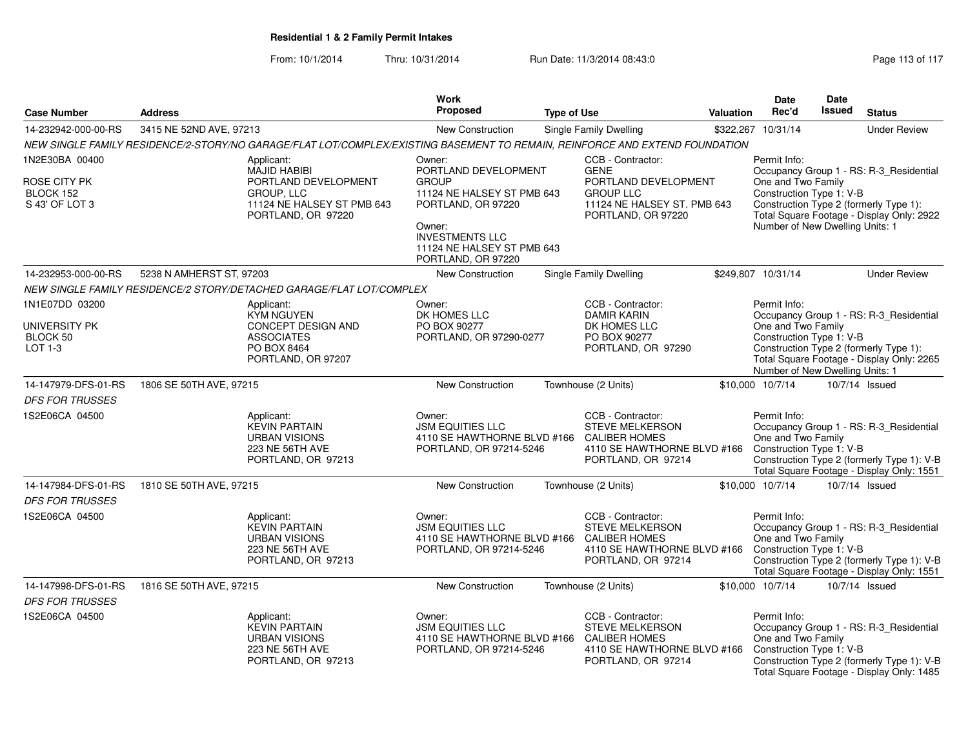|                                                               |                          |                                                                                                                                    | Work                                                                                                                                                                                       |                    |                                                                                                                                                   |           | <b>Date</b>                                                                                                                                                                                                                         | <b>Date</b> |                                                                                                                                    |
|---------------------------------------------------------------|--------------------------|------------------------------------------------------------------------------------------------------------------------------------|--------------------------------------------------------------------------------------------------------------------------------------------------------------------------------------------|--------------------|---------------------------------------------------------------------------------------------------------------------------------------------------|-----------|-------------------------------------------------------------------------------------------------------------------------------------------------------------------------------------------------------------------------------------|-------------|------------------------------------------------------------------------------------------------------------------------------------|
| <b>Case Number</b>                                            | <b>Address</b>           |                                                                                                                                    | <b>Proposed</b>                                                                                                                                                                            | <b>Type of Use</b> |                                                                                                                                                   | Valuation | Rec'd                                                                                                                                                                                                                               | Issued      | <b>Status</b>                                                                                                                      |
| 14-232942-000-00-RS                                           | 3415 NE 52ND AVE, 97213  |                                                                                                                                    | New Construction                                                                                                                                                                           |                    | <b>Single Family Dwelling</b>                                                                                                                     | \$322.267 | 10/31/14                                                                                                                                                                                                                            |             | <b>Under Review</b>                                                                                                                |
|                                                               |                          | NEW SINGLE FAMILY RESIDENCE/2-STORY/NO GARAGE/FLAT LOT/COMPLEX/EXISTING BASEMENT TO REMAIN, REINFORCE AND EXTEND FOUNDATION        |                                                                                                                                                                                            |                    |                                                                                                                                                   |           |                                                                                                                                                                                                                                     |             |                                                                                                                                    |
| 1N2E30BA 00400<br>ROSE CITY PK<br>BLOCK 152<br>S 43' OF LOT 3 |                          | Applicant:<br><b>MAJID HABIBI</b><br>PORTLAND DEVELOPMENT<br><b>GROUP, LLC</b><br>11124 NE HALSEY ST PMB 643<br>PORTLAND, OR 97220 | Owner:<br>PORTLAND DEVELOPMENT<br><b>GROUP</b><br>11124 NE HALSEY ST PMB 643<br>PORTLAND, OR 97220<br>Owner:<br><b>INVESTMENTS LLC</b><br>11124 NE HALSEY ST PMB 643<br>PORTLAND, OR 97220 |                    | CCB - Contractor:<br><b>GENE</b><br>PORTLAND DEVELOPMENT<br><b>GROUP LLC</b><br>11124 NE HALSEY ST. PMB 643<br>PORTLAND, OR 97220                 |           | Permit Info:<br>Occupancy Group 1 - RS: R-3_Residential<br>One and Two Family<br>Construction Type 1: V-B<br>Construction Type 2 (formerly Type 1):<br>Total Square Footage - Display Only: 2922<br>Number of New Dwelling Units: 1 |             |                                                                                                                                    |
| 14-232953-000-00-RS                                           | 5238 N AMHERST ST, 97203 |                                                                                                                                    | <b>New Construction</b>                                                                                                                                                                    |                    | Single Family Dwelling                                                                                                                            |           | \$249,807 10/31/14                                                                                                                                                                                                                  |             | <b>Under Review</b>                                                                                                                |
|                                                               |                          | NEW SINGLE FAMILY RESIDENCE/2 STORY/DETACHED GARAGE/FLAT LOT/COMPLEX                                                               |                                                                                                                                                                                            |                    |                                                                                                                                                   |           |                                                                                                                                                                                                                                     |             |                                                                                                                                    |
| 1N1E07DD 03200<br>UNIVERSITY PK<br>BLOCK 50<br>$LOT 1-3$      |                          | Applicant:<br><b>KYM NGUYEN</b><br>CONCEPT DESIGN AND<br><b>ASSOCIATES</b><br>PO BOX 8464<br>PORTLAND, OR 97207                    | Owner:<br>DK HOMES LLC<br>PO BOX 90277<br>PORTLAND, OR 97290-0277                                                                                                                          |                    | CCB - Contractor:<br><b>DAMIR KARIN</b><br>DK HOMES LLC<br>PO BOX 90277<br>PORTLAND, OR 97290                                                     |           | Permit Info:<br>One and Two Family<br>Construction Type 1: V-B<br>Number of New Dwelling Units: 1                                                                                                                                   |             | Occupancy Group 1 - RS: R-3_Residential<br>Construction Type 2 (formerly Type 1):<br>Total Square Footage - Display Only: 2265     |
| 14-147979-DFS-01-RS                                           | 1806 SE 50TH AVE, 97215  |                                                                                                                                    | <b>New Construction</b>                                                                                                                                                                    |                    | Townhouse (2 Units)                                                                                                                               |           | \$10,000 10/7/14                                                                                                                                                                                                                    |             | 10/7/14 Issued                                                                                                                     |
| <b>DFS FOR TRUSSES</b>                                        |                          |                                                                                                                                    |                                                                                                                                                                                            |                    |                                                                                                                                                   |           |                                                                                                                                                                                                                                     |             |                                                                                                                                    |
| 1S2E06CA 04500                                                |                          | Applicant:<br><b>KEVIN PARTAIN</b><br><b>URBAN VISIONS</b><br><b>223 NE 56TH AVE</b><br>PORTLAND, OR 97213                         | Owner:<br><b>JSM EQUITIES LLC</b><br>4110 SE HAWTHORNE BLVD #166<br>PORTLAND, OR 97214-5246                                                                                                |                    | CCB - Contractor:<br><b>STEVE MELKERSON</b><br><b>CALIBER HOMES</b><br>4110 SE HAWTHORNE BLVD #166 Construction Type 1: V-B<br>PORTLAND, OR 97214 |           | Permit Info:<br>One and Two Family                                                                                                                                                                                                  |             | Occupancy Group 1 - RS: R-3_Residential<br>Construction Type 2 (formerly Type 1): V-B<br>Total Square Footage - Display Only: 1551 |
| 14-147984-DFS-01-RS<br><b>DFS FOR TRUSSES</b>                 | 1810 SE 50TH AVE, 97215  |                                                                                                                                    | <b>New Construction</b>                                                                                                                                                                    |                    | Townhouse (2 Units)                                                                                                                               |           | \$10,000 10/7/14                                                                                                                                                                                                                    |             | 10/7/14 Issued                                                                                                                     |
| 1S2E06CA 04500                                                |                          | Applicant:<br><b>KEVIN PARTAIN</b><br><b>URBAN VISIONS</b><br><b>223 NE 56TH AVE</b><br>PORTLAND, OR 97213                         | Owner:<br><b>JSM EQUITIES LLC</b><br>4110 SE HAWTHORNE BLVD #166<br>PORTLAND, OR 97214-5246                                                                                                |                    | CCB - Contractor:<br><b>STEVE MELKERSON</b><br><b>CALIBER HOMES</b><br>4110 SE HAWTHORNE BLVD #166 Construction Type 1: V-B<br>PORTLAND, OR 97214 |           | Permit Info:<br>One and Two Family                                                                                                                                                                                                  |             | Occupancy Group 1 - RS: R-3_Residential<br>Construction Type 2 (formerly Type 1): V-B<br>Total Square Footage - Display Only: 1551 |
| 14-147998-DFS-01-RS<br><b>DFS FOR TRUSSES</b>                 | 1816 SE 50TH AVE, 97215  |                                                                                                                                    | New Construction                                                                                                                                                                           |                    | Townhouse (2 Units)                                                                                                                               |           | \$10,000 10/7/14                                                                                                                                                                                                                    |             | 10/7/14 Issued                                                                                                                     |
| 1S2E06CA 04500                                                |                          | Applicant:<br><b>KEVIN PARTAIN</b><br><b>URBAN VISIONS</b><br><b>223 NE 56TH AVE</b><br>PORTLAND, OR 97213                         | Owner:<br><b>JSM EQUITIES LLC</b><br>4110 SE HAWTHORNE BLVD #166<br>PORTLAND, OR 97214-5246                                                                                                |                    | CCB - Contractor:<br><b>STEVE MELKERSON</b><br><b>CALIBER HOMES</b><br>4110 SE HAWTHORNE BLVD #166<br>PORTLAND, OR 97214                          |           | Permit Info:<br>One and Two Family<br>Construction Type 1: V-B                                                                                                                                                                      |             | Occupancy Group 1 - RS: R-3_Residential<br>Construction Type 2 (formerly Type 1): V-B<br>Total Square Footage - Display Only: 1485 |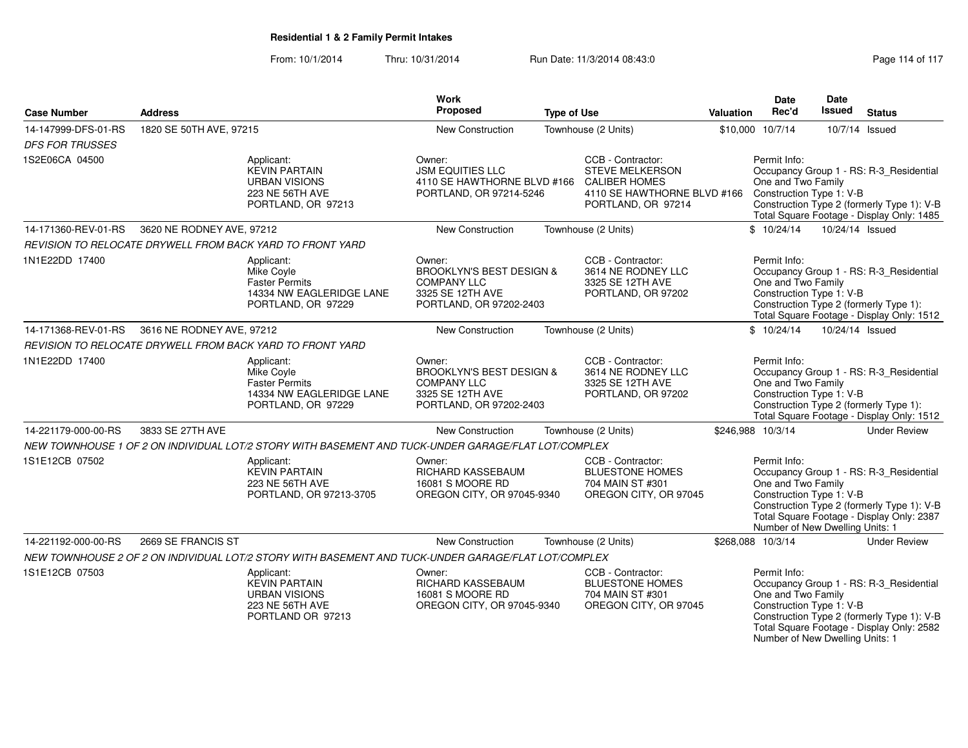| <b>Case Number</b>     | <b>Address</b>            |                                                                                                     | <b>Work</b><br>Proposed                                                                                            | <b>Type of Use</b> |                                                                                                                          | <b>Valuation</b> | Date<br>Rec'd                                                                                     | Date<br>Issued  | <b>Status</b>                                                                                                                      |
|------------------------|---------------------------|-----------------------------------------------------------------------------------------------------|--------------------------------------------------------------------------------------------------------------------|--------------------|--------------------------------------------------------------------------------------------------------------------------|------------------|---------------------------------------------------------------------------------------------------|-----------------|------------------------------------------------------------------------------------------------------------------------------------|
| 14-147999-DFS-01-RS    | 1820 SE 50TH AVE, 97215   |                                                                                                     | New Construction                                                                                                   |                    | Townhouse (2 Units)                                                                                                      |                  | \$10,000 10/7/14                                                                                  |                 | 10/7/14 Issued                                                                                                                     |
| <b>DFS FOR TRUSSES</b> |                           |                                                                                                     |                                                                                                                    |                    |                                                                                                                          |                  |                                                                                                   |                 |                                                                                                                                    |
| 1S2E06CA 04500         |                           | Applicant:<br><b>KEVIN PARTAIN</b><br><b>URBAN VISIONS</b><br>223 NE 56TH AVE<br>PORTLAND, OR 97213 | Owner:<br><b>JSM EQUITIES LLC</b><br>4110 SE HAWTHORNE BLVD #166<br>PORTLAND, OR 97214-5246                        |                    | CCB - Contractor:<br><b>STEVE MELKERSON</b><br><b>CALIBER HOMES</b><br>4110 SE HAWTHORNE BLVD #166<br>PORTLAND, OR 97214 |                  | Permit Info:<br>One and Two Family<br>Construction Type 1: V-B                                    |                 | Occupancy Group 1 - RS: R-3 Residential<br>Construction Type 2 (formerly Type 1): V-B<br>Total Square Footage - Display Only: 1485 |
| 14-171360-REV-01-RS    | 3620 NE RODNEY AVE, 97212 |                                                                                                     | New Construction                                                                                                   |                    | Townhouse (2 Units)                                                                                                      |                  | \$10/24/14                                                                                        | 10/24/14 Issued |                                                                                                                                    |
|                        |                           | REVISION TO RELOCATE DRYWELL FROM BACK YARD TO FRONT YARD                                           |                                                                                                                    |                    |                                                                                                                          |                  |                                                                                                   |                 |                                                                                                                                    |
| 1N1E22DD 17400         |                           | Applicant:<br>Mike Coyle<br><b>Faster Permits</b><br>14334 NW EAGLERIDGE LANE<br>PORTLAND, OR 97229 | Owner:<br><b>BROOKLYN'S BEST DESIGN &amp;</b><br><b>COMPANY LLC</b><br>3325 SE 12TH AVE<br>PORTLAND, OR 97202-2403 |                    | CCB - Contractor:<br>3614 NE RODNEY LLC<br>3325 SE 12TH AVE<br>PORTLAND, OR 97202                                        |                  | Permit Info:<br>One and Two Family<br>Construction Type 1: V-B                                    |                 | Occupancy Group 1 - RS: R-3_Residential<br>Construction Type 2 (formerly Type 1):<br>Total Square Footage - Display Only: 1512     |
| 14-171368-REV-01-RS    | 3616 NE RODNEY AVE, 97212 |                                                                                                     | New Construction                                                                                                   |                    | Townhouse (2 Units)                                                                                                      |                  | \$10/24/14                                                                                        | 10/24/14 Issued |                                                                                                                                    |
|                        |                           | REVISION TO RELOCATE DRYWELL FROM BACK YARD TO FRONT YARD                                           |                                                                                                                    |                    |                                                                                                                          |                  |                                                                                                   |                 |                                                                                                                                    |
| 1N1E22DD 17400         |                           | Applicant:<br>Mike Coyle<br><b>Faster Permits</b><br>14334 NW EAGLERIDGE LANE<br>PORTLAND, OR 97229 | Owner:<br><b>BROOKLYN'S BEST DESIGN &amp;</b><br><b>COMPANY LLC</b><br>3325 SE 12TH AVE<br>PORTLAND, OR 97202-2403 |                    | CCB - Contractor:<br>3614 NE RODNEY LLC<br>3325 SE 12TH AVE<br>PORTLAND, OR 97202                                        |                  | Permit Info:<br>One and Two Family<br>Construction Type 1: V-B                                    |                 | Occupancy Group 1 - RS: R-3_Residential<br>Construction Type 2 (formerly Type 1):<br>Total Square Footage - Display Only: 1512     |
| 14-221179-000-00-RS    | 3833 SE 27TH AVE          |                                                                                                     | New Construction                                                                                                   |                    | Townhouse (2 Units)                                                                                                      |                  | \$246,988 10/3/14                                                                                 |                 | <b>Under Review</b>                                                                                                                |
|                        |                           | NEW TOWNHOUSE 1 OF 2 ON INDIVIDUAL LOT/2 STORY WITH BASEMENT AND TUCK-UNDER GARAGE/FLAT LOT/COMPLEX |                                                                                                                    |                    |                                                                                                                          |                  |                                                                                                   |                 |                                                                                                                                    |
| 1S1E12CB 07502         |                           | Applicant:<br><b>KEVIN PARTAIN</b><br>223 NE 56TH AVE<br>PORTLAND, OR 97213-3705                    | Owner:<br>RICHARD KASSEBAUM<br>16081 S MOORE RD<br>OREGON CITY, OR 97045-9340                                      |                    | CCB - Contractor:<br><b>BLUESTONE HOMES</b><br>704 MAIN ST #301<br>OREGON CITY, OR 97045                                 |                  | Permit Info:<br>One and Two Family<br>Construction Type 1: V-B<br>Number of New Dwelling Units: 1 |                 | Occupancy Group 1 - RS: R-3_Residential<br>Construction Type 2 (formerly Type 1): V-B<br>Total Square Footage - Display Only: 2387 |
| 14-221192-000-00-RS    | 2669 SE FRANCIS ST        |                                                                                                     | <b>New Construction</b>                                                                                            |                    | Townhouse (2 Units)                                                                                                      |                  | \$268,088 10/3/14                                                                                 |                 | <b>Under Review</b>                                                                                                                |
|                        |                           | NEW TOWNHOUSE 2 OF 2 ON INDIVIDUAL LOT/2 STORY WITH BASEMENT AND TUCK-UNDER GARAGE/FLAT LOT/COMPLEX |                                                                                                                    |                    |                                                                                                                          |                  |                                                                                                   |                 |                                                                                                                                    |
| 1S1E12CB 07503         |                           | Applicant:<br><b>KEVIN PARTAIN</b><br><b>URBAN VISIONS</b><br>223 NE 56TH AVE<br>PORTLAND OR 97213  | Owner:<br>RICHARD KASSEBAUM<br>16081 S MOORE RD<br>OREGON CITY, OR 97045-9340                                      |                    | CCB - Contractor:<br><b>BLUESTONE HOMES</b><br>704 MAIN ST #301<br>OREGON CITY, OR 97045                                 |                  | Permit Info:<br>One and Two Family<br>Construction Type 1: V-B<br>Number of New Dwelling Units: 1 |                 | Occupancy Group 1 - RS: R-3_Residential<br>Construction Type 2 (formerly Type 1): V-B<br>Total Square Footage - Display Only: 2582 |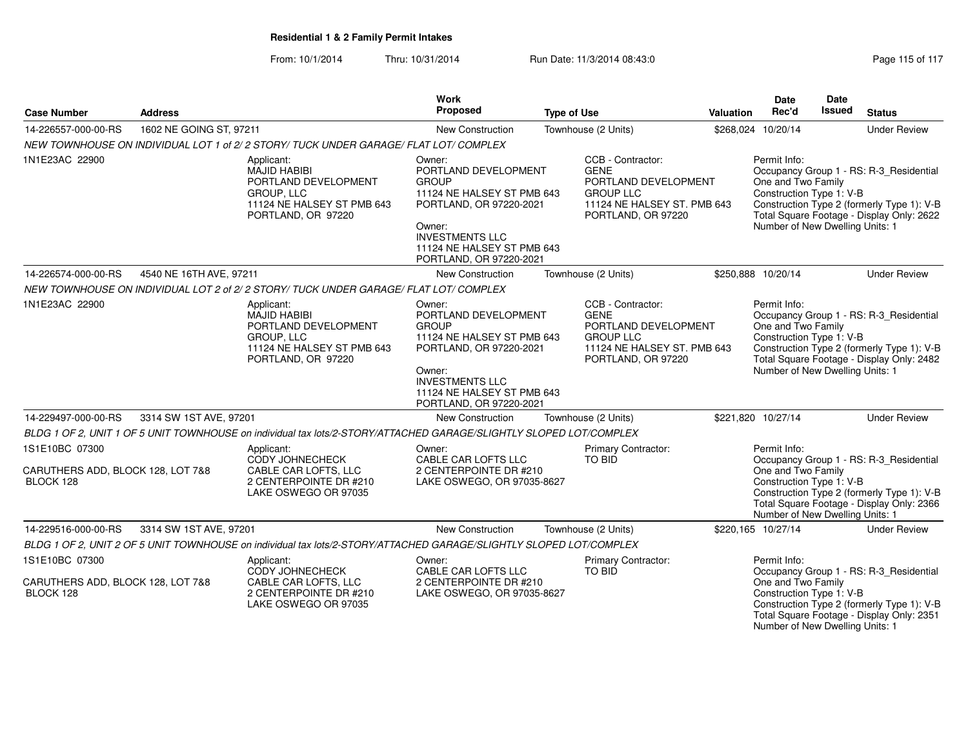| <b>Case Number</b>                                               | <b>Address</b>          |                                                                                                                             | Work<br>Proposed                                                                                                                                                                                     | <b>Type of Use</b>                                                                                                                | Valuation | <b>Date</b><br>Rec'd                                                                                                                                                                                                                    | <b>Date</b><br>Issued | <b>Status</b>                                                                                                                      |
|------------------------------------------------------------------|-------------------------|-----------------------------------------------------------------------------------------------------------------------------|------------------------------------------------------------------------------------------------------------------------------------------------------------------------------------------------------|-----------------------------------------------------------------------------------------------------------------------------------|-----------|-----------------------------------------------------------------------------------------------------------------------------------------------------------------------------------------------------------------------------------------|-----------------------|------------------------------------------------------------------------------------------------------------------------------------|
| 14-226557-000-00-RS                                              | 1602 NE GOING ST, 97211 |                                                                                                                             | New Construction                                                                                                                                                                                     | Townhouse (2 Units)                                                                                                               |           | \$268,024 10/20/14                                                                                                                                                                                                                      |                       | <b>Under Review</b>                                                                                                                |
|                                                                  |                         | NEW TOWNHOUSE ON INDIVIDUAL LOT 1 of 2/2 STORY/ TUCK UNDER GARAGE/ FLAT LOT/ COMPLEX                                        |                                                                                                                                                                                                      |                                                                                                                                   |           |                                                                                                                                                                                                                                         |                       |                                                                                                                                    |
| 1N1E23AC 22900                                                   |                         | Applicant:<br><b>MAJID HABIBI</b><br>PORTLAND DEVELOPMENT<br>GROUP, LLC<br>11124 NE HALSEY ST PMB 643<br>PORTLAND, OR 97220 | Owner:<br>PORTLAND DEVELOPMENT<br><b>GROUP</b><br>11124 NE HALSEY ST PMB 643<br>PORTLAND, OR 97220-2021<br>Owner:<br><b>INVESTMENTS LLC</b><br>11124 NE HALSEY ST PMB 643<br>PORTLAND, OR 97220-2021 | CCB - Contractor:<br><b>GENE</b><br>PORTLAND DEVELOPMENT<br><b>GROUP LLC</b><br>11124 NE HALSEY ST. PMB 643<br>PORTLAND, OR 97220 |           | Permit Info:<br>One and Two Family<br>Construction Type 1: V-B<br>Number of New Dwelling Units: 1                                                                                                                                       |                       | Occupancy Group 1 - RS: R-3_Residential<br>Construction Type 2 (formerly Type 1): V-B<br>Total Square Footage - Display Only: 2622 |
| 14-226574-000-00-RS                                              | 4540 NE 16TH AVE, 97211 |                                                                                                                             | New Construction                                                                                                                                                                                     | Townhouse (2 Units)                                                                                                               |           | \$250,888 10/20/14                                                                                                                                                                                                                      |                       | <b>Under Review</b>                                                                                                                |
|                                                                  |                         | NEW TOWNHOUSE ON INDIVIDUAL LOT 2 of 2/2 STORY/ TUCK UNDER GARAGE/ FLAT LOT/ COMPLEX                                        |                                                                                                                                                                                                      |                                                                                                                                   |           |                                                                                                                                                                                                                                         |                       |                                                                                                                                    |
| 1N1E23AC 22900                                                   |                         | Applicant:<br><b>MAJID HABIBI</b><br>PORTLAND DEVELOPMENT<br>GROUP, LLC<br>11124 NE HALSEY ST PMB 643<br>PORTLAND, OR 97220 | Owner:<br>PORTLAND DEVELOPMENT<br><b>GROUP</b><br>11124 NE HALSEY ST PMB 643<br>PORTLAND, OR 97220-2021<br>Owner:<br><b>INVESTMENTS LLC</b><br>11124 NE HALSEY ST PMB 643<br>PORTLAND, OR 97220-2021 | CCB - Contractor:<br><b>GENE</b><br>PORTLAND DEVELOPMENT<br><b>GROUP LLC</b><br>11124 NE HALSEY ST. PMB 643<br>PORTLAND, OR 97220 |           | Permit Info:<br>Occupancy Group 1 - RS: R-3_Residential<br>One and Two Family<br>Construction Type 1: V-B<br>Construction Type 2 (formerly Type 1): V-B<br>Total Square Footage - Display Only: 2482<br>Number of New Dwelling Units: 1 |                       |                                                                                                                                    |
| 14-229497-000-00-RS                                              | 3314 SW 1ST AVE, 97201  |                                                                                                                             | New Construction                                                                                                                                                                                     | Townhouse (2 Units)                                                                                                               |           | \$221,820 10/27/14                                                                                                                                                                                                                      |                       | <b>Under Review</b>                                                                                                                |
|                                                                  |                         | BLDG 1 OF 2, UNIT 1 OF 5 UNIT TOWNHOUSE on individual tax lots/2-STORY/ATTACHED GARAGE/SLIGHTLY SLOPED LOT/COMPLEX          |                                                                                                                                                                                                      |                                                                                                                                   |           |                                                                                                                                                                                                                                         |                       |                                                                                                                                    |
| 1S1E10BC 07300<br>CARUTHERS ADD, BLOCK 128, LOT 7&8<br>BLOCK 128 |                         | Applicant:<br>CODY JOHNECHECK<br>CABLE CAR LOFTS, LLC<br>2 CENTERPOINTE DR #210<br>LAKE OSWEGO OR 97035                     | Owner:<br>CABLE CAR LOFTS LLC<br>2 CENTERPOINTE DR #210<br>LAKE OSWEGO, OR 97035-8627                                                                                                                | Primary Contractor:<br>TO BID                                                                                                     |           | Permit Info:<br>One and Two Family<br>Construction Type 1: V-B<br>Number of New Dwelling Units: 1                                                                                                                                       |                       | Occupancy Group 1 - RS: R-3_Residential<br>Construction Type 2 (formerly Type 1): V-B<br>Total Square Footage - Display Only: 2366 |
| 14-229516-000-00-RS                                              | 3314 SW 1ST AVE, 97201  |                                                                                                                             | New Construction                                                                                                                                                                                     | Townhouse (2 Units)                                                                                                               |           | \$220,165 10/27/14                                                                                                                                                                                                                      |                       | <b>Under Review</b>                                                                                                                |
|                                                                  |                         | BLDG 1 OF 2, UNIT 2 OF 5 UNIT TOWNHOUSE on individual tax lots/2-STORY/ATTACHED GARAGE/SLIGHTLY SLOPED LOT/COMPLEX          |                                                                                                                                                                                                      |                                                                                                                                   |           |                                                                                                                                                                                                                                         |                       |                                                                                                                                    |
| 1S1E10BC 07300                                                   |                         | Applicant:                                                                                                                  | Owner:                                                                                                                                                                                               | <b>Primary Contractor:</b>                                                                                                        |           | Permit Info:                                                                                                                                                                                                                            |                       |                                                                                                                                    |
| CARUTHERS ADD, BLOCK 128, LOT 7&8<br>BLOCK 128                   |                         | CODY JOHNECHECK<br>CABLE CAR LOFTS, LLC<br>2 CENTERPOINTE DR #210<br>LAKE OSWEGO OR 97035                                   | CABLE CAR LOFTS LLC<br>2 CENTERPOINTE DR #210<br>LAKE OSWEGO, OR 97035-8627                                                                                                                          | TO BID                                                                                                                            |           | One and Two Family<br>Construction Type 1: V-B<br>Number of New Dwelling Units: 1                                                                                                                                                       |                       | Occupancy Group 1 - RS: R-3_Residential<br>Construction Type 2 (formerly Type 1): V-B<br>Total Square Footage - Display Only: 2351 |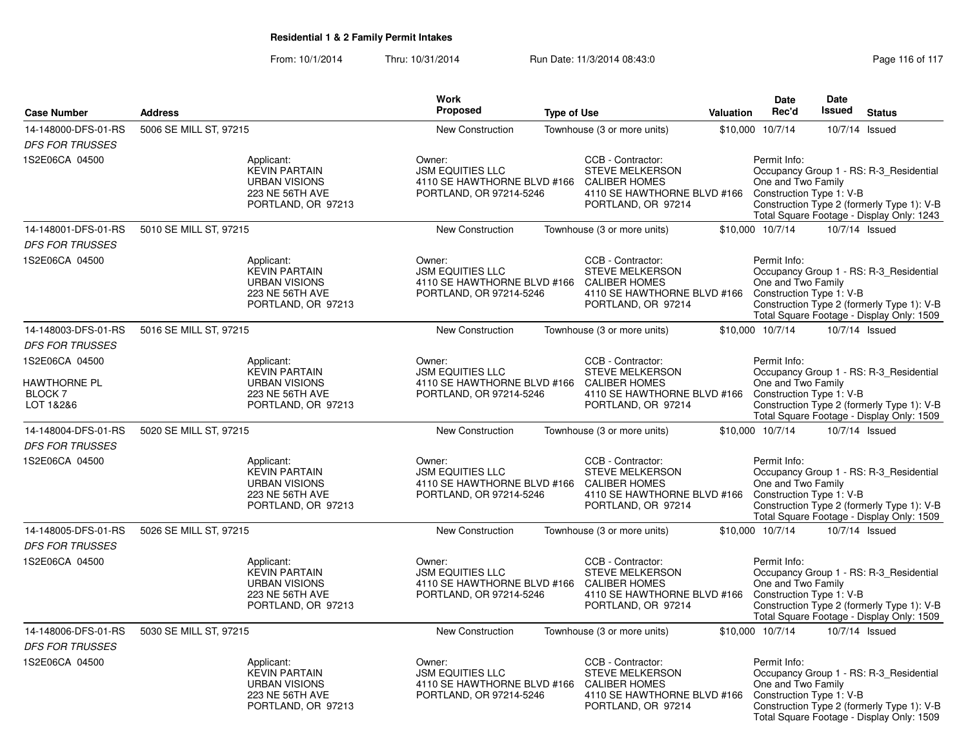|                                                    |                        |                                                                                       | <b>Work</b>                                                                                                                                                             |                    |                                                                                                                          |                                                                                                                                           | Date                                                           | Date          |                                                                                                                                    |
|----------------------------------------------------|------------------------|---------------------------------------------------------------------------------------|-------------------------------------------------------------------------------------------------------------------------------------------------------------------------|--------------------|--------------------------------------------------------------------------------------------------------------------------|-------------------------------------------------------------------------------------------------------------------------------------------|----------------------------------------------------------------|---------------|------------------------------------------------------------------------------------------------------------------------------------|
| <b>Case Number</b>                                 | <b>Address</b>         |                                                                                       | Proposed                                                                                                                                                                | <b>Type of Use</b> |                                                                                                                          | <b>Valuation</b>                                                                                                                          | Rec'd                                                          | <b>Issued</b> | <b>Status</b>                                                                                                                      |
| 14-148000-DFS-01-RS                                | 5006 SE MILL ST, 97215 |                                                                                       | <b>New Construction</b>                                                                                                                                                 |                    | Townhouse (3 or more units)                                                                                              |                                                                                                                                           | \$10,000 10/7/14                                               |               | 10/7/14 Issued                                                                                                                     |
| <b>DFS FOR TRUSSES</b>                             |                        |                                                                                       |                                                                                                                                                                         |                    |                                                                                                                          |                                                                                                                                           |                                                                |               |                                                                                                                                    |
| 1S2E06CA 04500                                     | Applicant:             | <b>KEVIN PARTAIN</b><br><b>URBAN VISIONS</b><br>223 NE 56TH AVE<br>PORTLAND, OR 97213 | Owner:<br><b>JSM EQUITIES LLC</b><br>4110 SE HAWTHORNE BLVD #166<br>PORTLAND, OR 97214-5246                                                                             |                    | CCB - Contractor:<br><b>STEVE MELKERSON</b><br><b>CALIBER HOMES</b><br>4110 SE HAWTHORNE BLVD #166<br>PORTLAND, OR 97214 |                                                                                                                                           | Permit Info:<br>One and Two Family<br>Construction Type 1: V-B |               | Occupancy Group 1 - RS: R-3 Residential<br>Construction Type 2 (formerly Type 1): V-B<br>Total Square Footage - Display Only: 1243 |
| 14-148001-DFS-01-RS                                | 5010 SE MILL ST, 97215 |                                                                                       | New Construction                                                                                                                                                        |                    | Townhouse (3 or more units)                                                                                              |                                                                                                                                           | \$10,000 10/7/14                                               |               | 10/7/14 Issued                                                                                                                     |
| <b>DFS FOR TRUSSES</b>                             |                        |                                                                                       |                                                                                                                                                                         |                    |                                                                                                                          |                                                                                                                                           |                                                                |               |                                                                                                                                    |
| 1S2E06CA 04500                                     | Applicant:             | <b>KEVIN PARTAIN</b><br><b>URBAN VISIONS</b><br>223 NE 56TH AVE<br>PORTLAND, OR 97213 | Owner:<br><b>JSM EQUITIES LLC</b><br>4110 SE HAWTHORNE BLVD #166 CALIBER HOMES<br>PORTLAND, OR 97214-5246                                                               |                    | CCB - Contractor:<br>STEVE MELKERSON<br>4110 SE HAWTHORNE BLVD #166<br>PORTLAND, OR 97214                                |                                                                                                                                           | Permit Info:<br>One and Two Family<br>Construction Type 1: V-B |               | Occupancy Group 1 - RS: R-3_Residential<br>Construction Type 2 (formerly Type 1): V-B<br>Total Square Footage - Display Only: 1509 |
| 14-148003-DFS-01-RS                                | 5016 SE MILL ST, 97215 |                                                                                       | <b>New Construction</b>                                                                                                                                                 |                    | Townhouse (3 or more units)                                                                                              |                                                                                                                                           | \$10,000 10/7/14                                               |               | 10/7/14 Issued                                                                                                                     |
| <b>DFS FOR TRUSSES</b>                             |                        |                                                                                       |                                                                                                                                                                         |                    |                                                                                                                          |                                                                                                                                           |                                                                |               |                                                                                                                                    |
| 1S2E06CA 04500                                     | Applicant:             |                                                                                       | Owner:                                                                                                                                                                  |                    | CCB - Contractor:                                                                                                        |                                                                                                                                           | Permit Info:                                                   |               |                                                                                                                                    |
| <b>HAWTHORNE PL</b><br><b>BLOCK 7</b><br>LOT 1&2&6 |                        | <b>KEVIN PARTAIN</b><br><b>URBAN VISIONS</b><br>223 NE 56TH AVE<br>PORTLAND, OR 97213 | <b>JSM EQUITIES LLC</b><br>STEVE MELKERSON<br>4110 SE HAWTHORNE BLVD #166 CALIBER HOMES<br>PORTLAND, OR 97214-5246<br>4110 SE HAWTHORNE BLVD #166<br>PORTLAND, OR 97214 |                    |                                                                                                                          | One and Two Family<br>Construction Type 1: V-B<br>Construction Type 2 (formerly Type 1): V-B<br>Total Square Footage - Display Only: 1509 |                                                                |               | Occupancy Group 1 - RS: R-3_Residential                                                                                            |
| 14-148004-DFS-01-RS                                | 5020 SE MILL ST, 97215 |                                                                                       | <b>New Construction</b>                                                                                                                                                 |                    | Townhouse (3 or more units)                                                                                              |                                                                                                                                           | \$10,000 10/7/14                                               |               | 10/7/14 Issued                                                                                                                     |
| <b>DFS FOR TRUSSES</b>                             |                        |                                                                                       |                                                                                                                                                                         |                    |                                                                                                                          |                                                                                                                                           |                                                                |               |                                                                                                                                    |
| 1S2E06CA 04500                                     | Applicant:             | <b>KEVIN PARTAIN</b><br><b>URBAN VISIONS</b><br>223 NE 56TH AVE<br>PORTLAND, OR 97213 | Owner:<br><b>JSM EQUITIES LLC</b><br>4110 SE HAWTHORNE BLVD #166 CALIBER HOMES<br>PORTLAND, OR 97214-5246                                                               |                    | CCB - Contractor:<br><b>STEVE MELKERSON</b><br>4110 SE HAWTHORNE BLVD #166<br>PORTLAND, OR 97214                         |                                                                                                                                           | Permit Info:<br>One and Two Family<br>Construction Type 1: V-B |               | Occupancy Group 1 - RS: R-3_Residential<br>Construction Type 2 (formerly Type 1): V-B<br>Total Square Footage - Display Only: 1509 |
| 14-148005-DFS-01-RS                                | 5026 SE MILL ST, 97215 |                                                                                       | New Construction                                                                                                                                                        |                    | Townhouse (3 or more units)                                                                                              |                                                                                                                                           | \$10,000 10/7/14                                               |               | 10/7/14 Issued                                                                                                                     |
| <b>DFS FOR TRUSSES</b>                             |                        |                                                                                       |                                                                                                                                                                         |                    |                                                                                                                          |                                                                                                                                           |                                                                |               |                                                                                                                                    |
| 1S2E06CA 04500                                     | Applicant:             | <b>KEVIN PARTAIN</b><br><b>URBAN VISIONS</b><br>223 NE 56TH AVE<br>PORTLAND, OR 97213 | Owner:<br><b>JSM EQUITIES LLC</b><br>4110 SE HAWTHORNE BLVD #166 CALIBER HOMES<br>PORTLAND, OR 97214-5246                                                               |                    | CCB - Contractor:<br><b>STEVE MELKERSON</b><br>4110 SE HAWTHORNE BLVD #166<br>PORTLAND, OR 97214                         |                                                                                                                                           | Permit Info:<br>One and Two Family<br>Construction Type 1: V-B |               | Occupancy Group 1 - RS: R-3_Residential<br>Construction Type 2 (formerly Type 1): V-B<br>Total Square Footage - Display Only: 1509 |
| 14-148006-DFS-01-RS                                | 5030 SE MILL ST, 97215 |                                                                                       | <b>New Construction</b>                                                                                                                                                 |                    | Townhouse (3 or more units)                                                                                              |                                                                                                                                           | \$10,000 10/7/14                                               |               | 10/7/14 Issued                                                                                                                     |
| <b>DFS FOR TRUSSES</b>                             |                        |                                                                                       |                                                                                                                                                                         |                    |                                                                                                                          |                                                                                                                                           |                                                                |               |                                                                                                                                    |
| 1S2E06CA 04500                                     | Applicant:             | <b>KEVIN PARTAIN</b><br><b>URBAN VISIONS</b><br>223 NE 56TH AVE<br>PORTLAND, OR 97213 | Owner:<br><b>JSM EQUITIES LLC</b><br>4110 SE HAWTHORNE BLVD #166<br>PORTLAND, OR 97214-5246                                                                             |                    | CCB - Contractor:<br>STEVE MELKERSON<br><b>CALIBER HOMES</b><br>4110 SE HAWTHORNE BLVD #166<br>PORTLAND, OR 97214        |                                                                                                                                           | Permit Info:<br>One and Two Family<br>Construction Type 1: V-B |               | Occupancy Group 1 - RS: R-3_Residential<br>Construction Type 2 (formerly Type 1): V-B<br>Total Square Footage - Display Only: 1509 |